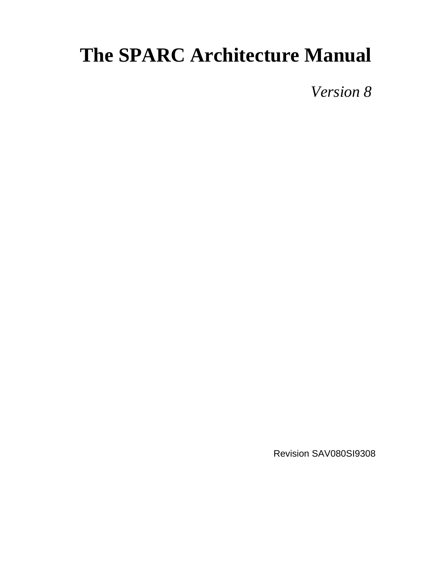## **The SPARC Architecture Manual**

*Version 8*

Revision SAV080SI9308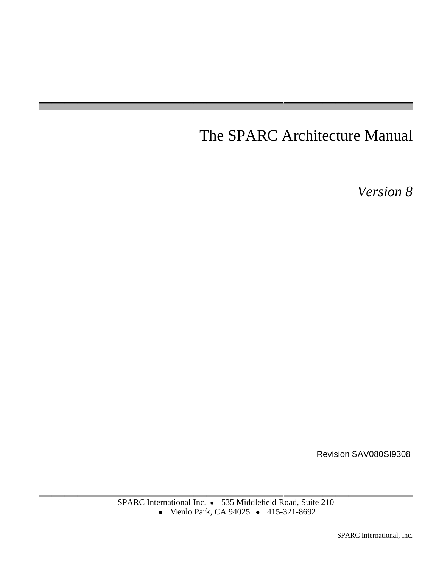## The SPARC Architecture Manual

*Version 8*

Revision SAV080SI9308

SPARC International Inc. • 535 Middlefield Road, Suite 210 • Menlo Park, CA 94025 • 415-321-8692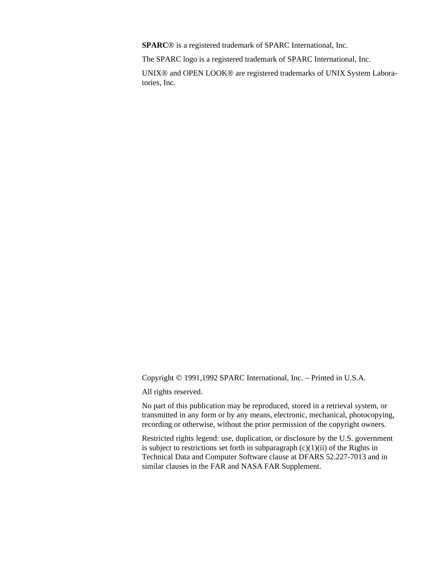**SPARC**® is a registered trademark of SPARC International, Inc.

The SPARC logo is a registered trademark of SPARC International, Inc.

UNIX® and OPEN LOOK® are registered trademarks of UNIX System Laboratories, Inc.

Copyright © 1991,1992 SPARC International, Inc. − Printed in U.S.A.

All rights reserved.

No part of this publication may be reproduced, stored in a retrieval system, or transmitted in any form or by any means, electronic, mechanical, photocopying, recording or otherwise, without the prior permission of the copyright owners.

Restricted rights legend: use, duplication, or disclosure by the U.S. government is subject to restrictions set forth in subparagraph  $(c)(1)(ii)$  of the Rights in Technical Data and Computer Software clause at DFARS 52.227-7013 and in similar clauses in the FAR and NASA FAR Supplement.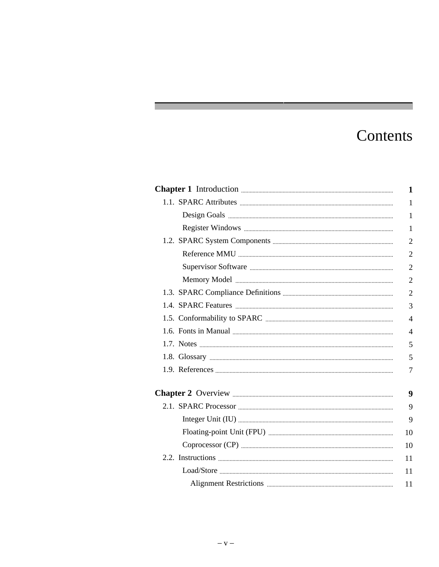### Contents

| $\mathbf{1}$   |
|----------------|
| $\mathbf{1}$   |
| $\mathbf{1}$   |
| 1              |
| $\overline{c}$ |
| $\overline{c}$ |
| $\overline{2}$ |
| $\overline{2}$ |
| $\overline{2}$ |
| 3              |
| $\overline{4}$ |
| $\overline{4}$ |
| 5              |
| 5              |
| 7              |
| 9              |
| 9              |
| 9              |
| 10             |
| 10             |
| 11             |
| 11             |
| 11             |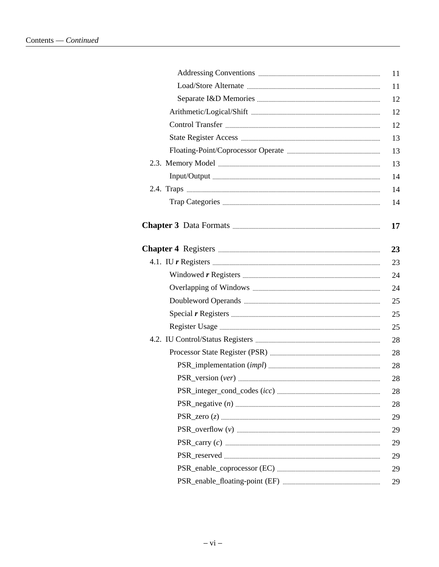|                                                                                                   | 11 |
|---------------------------------------------------------------------------------------------------|----|
|                                                                                                   | 11 |
|                                                                                                   | 12 |
|                                                                                                   | 12 |
|                                                                                                   | 12 |
|                                                                                                   | 13 |
|                                                                                                   | 13 |
|                                                                                                   | 13 |
|                                                                                                   | 14 |
|                                                                                                   | 14 |
|                                                                                                   | 14 |
|                                                                                                   | 17 |
|                                                                                                   |    |
| Chapter 4 Registers <b>Election</b> Research Andrew Registers <b>Election Registers</b> and Anti- | 23 |
|                                                                                                   | 23 |
|                                                                                                   | 24 |
|                                                                                                   | 24 |
|                                                                                                   | 25 |
|                                                                                                   | 25 |
|                                                                                                   | 25 |
|                                                                                                   | 28 |
|                                                                                                   | 28 |
|                                                                                                   | 28 |
|                                                                                                   | 28 |
|                                                                                                   | 28 |
|                                                                                                   | 28 |
|                                                                                                   | 29 |
|                                                                                                   | 29 |
|                                                                                                   | 29 |
|                                                                                                   | 29 |
|                                                                                                   | 29 |
|                                                                                                   | 29 |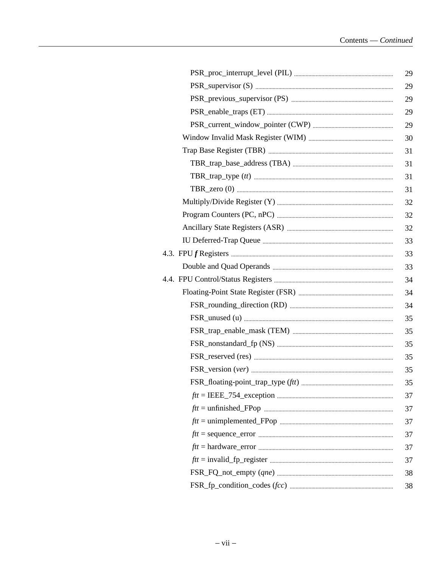| 29 |
|----|
| 29 |
| 29 |
| 29 |
| 29 |
| 30 |
| 31 |
| 31 |
| 31 |
| 31 |
| 32 |
| 32 |
| 32 |
| 33 |
| 33 |
| 33 |
| 34 |
| 34 |
| 34 |
| 35 |
| 35 |
| 35 |
| 35 |
| 35 |
| 35 |
| 37 |
| 37 |
| 37 |
| 37 |
| 37 |
| 37 |
| 38 |
| 38 |
|    |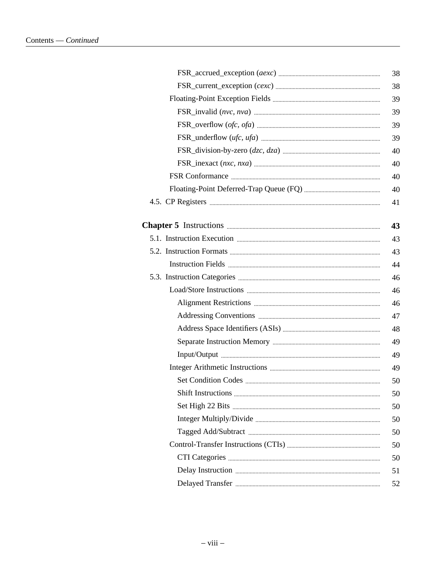|                                                                                                         | 38 |
|---------------------------------------------------------------------------------------------------------|----|
|                                                                                                         | 38 |
|                                                                                                         | 39 |
|                                                                                                         | 39 |
|                                                                                                         | 39 |
|                                                                                                         | 39 |
|                                                                                                         | 40 |
|                                                                                                         | 40 |
|                                                                                                         | 40 |
|                                                                                                         | 40 |
|                                                                                                         | 41 |
|                                                                                                         |    |
|                                                                                                         | 43 |
| 5.1. Instruction Execution <b>Execution Execution Execution Execution Execution Execution EXECUTION</b> | 43 |
|                                                                                                         | 43 |
|                                                                                                         | 44 |
|                                                                                                         | 46 |
|                                                                                                         | 46 |
|                                                                                                         | 46 |
|                                                                                                         | 47 |
|                                                                                                         | 48 |
|                                                                                                         | 49 |
|                                                                                                         | 49 |
|                                                                                                         | 49 |
|                                                                                                         | 50 |
|                                                                                                         | 50 |
|                                                                                                         | 50 |
|                                                                                                         | 50 |
|                                                                                                         | 50 |
|                                                                                                         | 50 |
|                                                                                                         | 50 |
|                                                                                                         | 51 |
|                                                                                                         | 52 |
|                                                                                                         |    |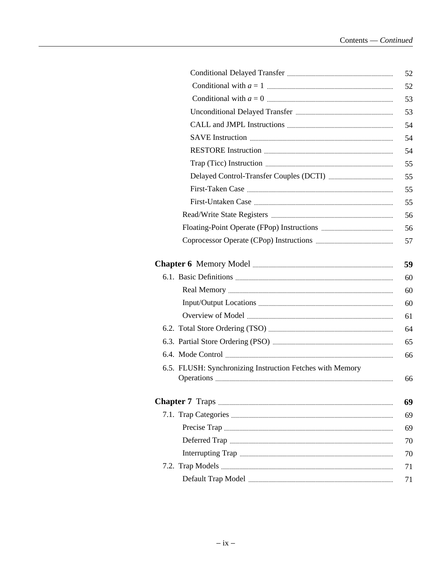|                                                                                                                                                                                                                                                                                             | 52 |
|---------------------------------------------------------------------------------------------------------------------------------------------------------------------------------------------------------------------------------------------------------------------------------------------|----|
|                                                                                                                                                                                                                                                                                             | 52 |
|                                                                                                                                                                                                                                                                                             | 53 |
|                                                                                                                                                                                                                                                                                             | 53 |
|                                                                                                                                                                                                                                                                                             | 54 |
|                                                                                                                                                                                                                                                                                             | 54 |
|                                                                                                                                                                                                                                                                                             | 54 |
|                                                                                                                                                                                                                                                                                             | 55 |
|                                                                                                                                                                                                                                                                                             | 55 |
|                                                                                                                                                                                                                                                                                             | 55 |
|                                                                                                                                                                                                                                                                                             | 55 |
|                                                                                                                                                                                                                                                                                             | 56 |
|                                                                                                                                                                                                                                                                                             | 56 |
|                                                                                                                                                                                                                                                                                             | 57 |
|                                                                                                                                                                                                                                                                                             |    |
|                                                                                                                                                                                                                                                                                             | 59 |
|                                                                                                                                                                                                                                                                                             | 60 |
|                                                                                                                                                                                                                                                                                             | 60 |
|                                                                                                                                                                                                                                                                                             | 60 |
|                                                                                                                                                                                                                                                                                             | 61 |
|                                                                                                                                                                                                                                                                                             | 64 |
|                                                                                                                                                                                                                                                                                             | 65 |
|                                                                                                                                                                                                                                                                                             | 66 |
| 6.5. FLUSH: Synchronizing Instruction Fetches with Memory                                                                                                                                                                                                                                   | 66 |
|                                                                                                                                                                                                                                                                                             |    |
| Chapter 7 Traps <b>Example 2</b> Traps <b>Example 2</b> Traps <b>Example 2</b> Traps <b>Example 2</b> Traps <b>Example 2</b> Traps <b>Example 2</b> Traps <b>Example 2</b> Traps <b>Example 2</b> Traps <b>Example 2</b> Traps <b>Example 2</b> Traps <b>Example 2</b> Traps <b>Example</b> | 69 |
|                                                                                                                                                                                                                                                                                             | 69 |
|                                                                                                                                                                                                                                                                                             | 69 |
|                                                                                                                                                                                                                                                                                             | 70 |
|                                                                                                                                                                                                                                                                                             | 70 |
|                                                                                                                                                                                                                                                                                             | 71 |
|                                                                                                                                                                                                                                                                                             | 71 |
|                                                                                                                                                                                                                                                                                             |    |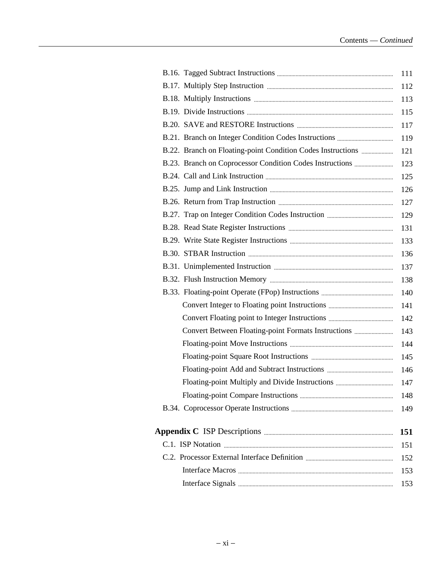| 111 |
|-----|
| 112 |
| 113 |
| 115 |
| 117 |
| 119 |
| 121 |
| 123 |
| 125 |
| 126 |
| 127 |
| 129 |
| 131 |
| 133 |
| 136 |
| 137 |
| 138 |
| 140 |
| 141 |
| 142 |
| 143 |
| 144 |
| 145 |
| 146 |
| 147 |
| 148 |
| 149 |
| 151 |
| 151 |
| 152 |
| 153 |
| 153 |
|     |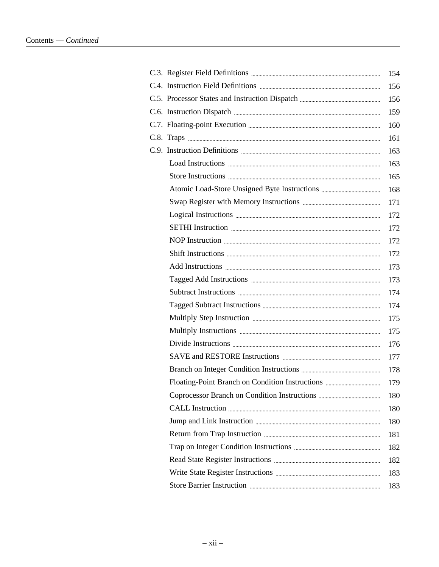|  | 154 |
|--|-----|
|  | 156 |
|  | 156 |
|  | 159 |
|  | 160 |
|  | 161 |
|  | 163 |
|  | 163 |
|  | 165 |
|  | 168 |
|  | 171 |
|  | 172 |
|  | 172 |
|  | 172 |
|  | 172 |
|  | 173 |
|  | 173 |
|  | 174 |
|  | 174 |
|  | 175 |
|  | 175 |
|  | 176 |
|  | 177 |
|  | 178 |
|  | 179 |
|  | 180 |
|  | 180 |
|  | 180 |
|  | 181 |
|  | 182 |
|  | 182 |
|  | 183 |
|  | 183 |
|  |     |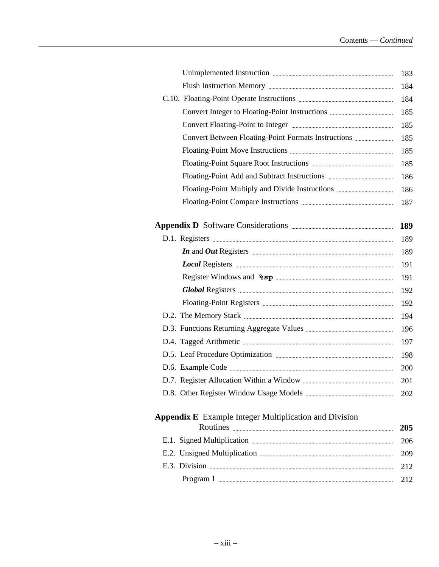| <b>Appendix E</b> Example Integer Multiplication and Division |  |
|---------------------------------------------------------------|--|
|                                                               |  |
|                                                               |  |
|                                                               |  |
|                                                               |  |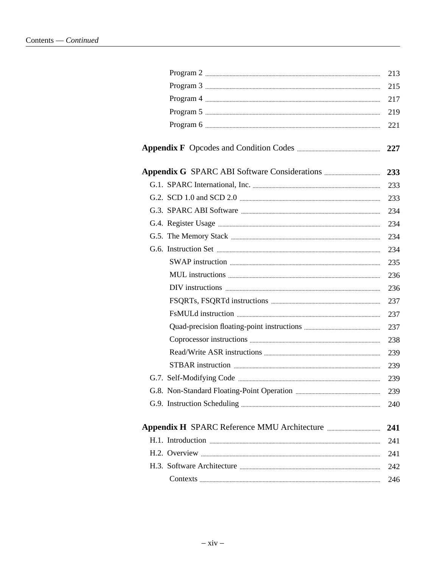|                                                                                                                                                                                                                                          | 215 |
|------------------------------------------------------------------------------------------------------------------------------------------------------------------------------------------------------------------------------------------|-----|
|                                                                                                                                                                                                                                          |     |
|                                                                                                                                                                                                                                          | 219 |
|                                                                                                                                                                                                                                          |     |
|                                                                                                                                                                                                                                          | 227 |
|                                                                                                                                                                                                                                          | 233 |
|                                                                                                                                                                                                                                          |     |
|                                                                                                                                                                                                                                          |     |
|                                                                                                                                                                                                                                          |     |
|                                                                                                                                                                                                                                          |     |
|                                                                                                                                                                                                                                          |     |
|                                                                                                                                                                                                                                          |     |
|                                                                                                                                                                                                                                          |     |
|                                                                                                                                                                                                                                          |     |
|                                                                                                                                                                                                                                          |     |
|                                                                                                                                                                                                                                          |     |
|                                                                                                                                                                                                                                          |     |
|                                                                                                                                                                                                                                          |     |
|                                                                                                                                                                                                                                          |     |
|                                                                                                                                                                                                                                          |     |
|                                                                                                                                                                                                                                          |     |
|                                                                                                                                                                                                                                          |     |
|                                                                                                                                                                                                                                          | 239 |
|                                                                                                                                                                                                                                          | 240 |
| <b>Appendix H</b> SPARC Reference MMU Architecture <b>Election</b> Controllering Control Control Control Control Control Control Control Control Control Control Control Control Control Control Control Control Control Control Control | 241 |
|                                                                                                                                                                                                                                          | 241 |
|                                                                                                                                                                                                                                          | 241 |
|                                                                                                                                                                                                                                          | 242 |
|                                                                                                                                                                                                                                          | 246 |
|                                                                                                                                                                                                                                          |     |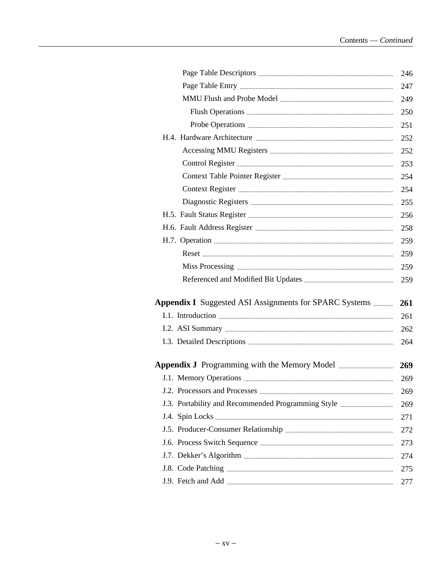| 246 |
|-----|
| 247 |
| 249 |
| 250 |
| 251 |
| 252 |
| 252 |
| 253 |
| 254 |
| 254 |
| 255 |
| 256 |
| 258 |
| 259 |
| 259 |
| 259 |
| 259 |
| 261 |
| 261 |
| 262 |
| 264 |
| 269 |
| 269 |
| 269 |
| 269 |
| 271 |
| 272 |
| 273 |
| 274 |
| 275 |
| 277 |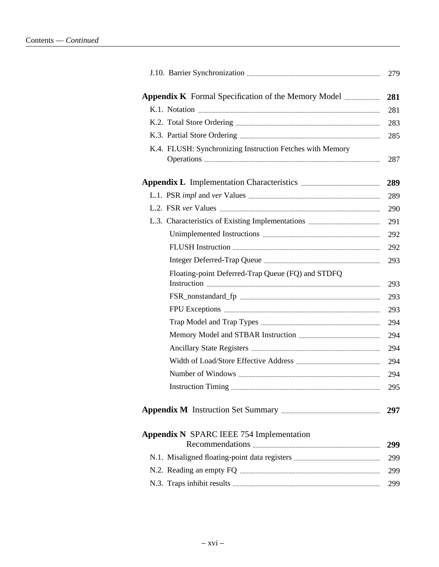|                                                                                                                                                                                                                                                                                                                                                                                                                                                                                        | 279 |
|----------------------------------------------------------------------------------------------------------------------------------------------------------------------------------------------------------------------------------------------------------------------------------------------------------------------------------------------------------------------------------------------------------------------------------------------------------------------------------------|-----|
|                                                                                                                                                                                                                                                                                                                                                                                                                                                                                        | 281 |
|                                                                                                                                                                                                                                                                                                                                                                                                                                                                                        | 281 |
|                                                                                                                                                                                                                                                                                                                                                                                                                                                                                        | 283 |
|                                                                                                                                                                                                                                                                                                                                                                                                                                                                                        | 285 |
| K.4. FLUSH: Synchronizing Instruction Fetches with Memory                                                                                                                                                                                                                                                                                                                                                                                                                              | 287 |
|                                                                                                                                                                                                                                                                                                                                                                                                                                                                                        | 289 |
|                                                                                                                                                                                                                                                                                                                                                                                                                                                                                        | 289 |
|                                                                                                                                                                                                                                                                                                                                                                                                                                                                                        | 290 |
|                                                                                                                                                                                                                                                                                                                                                                                                                                                                                        | 291 |
|                                                                                                                                                                                                                                                                                                                                                                                                                                                                                        | 292 |
|                                                                                                                                                                                                                                                                                                                                                                                                                                                                                        | 292 |
|                                                                                                                                                                                                                                                                                                                                                                                                                                                                                        | 293 |
| Floating-point Deferred-Trap Queue (FQ) and STDFQ<br>${\bf Instruction  \  \, \ldots \  \, \ldots \  \, \ldots \  \, \ldots \  \, \ldots \  \, \ldots \  \, \ldots \  \, \ldots \  \, \ldots \  \, \ldots \  \, \ldots \  \, \ldots \  \, \ldots \  \, \ldots \  \, \ldots \  \, \ldots \  \, \ldots \  \, \ldots \  \, \ldots \  \, \ldots \  \, \ldots \  \, \ldots \  \, \ldots \  \, \ldots \  \, \ldots \  \, \ldots \  \, \ldots \  \, \ldots \  \, \ldots \  \, \ldots \  \, \$ | 293 |
|                                                                                                                                                                                                                                                                                                                                                                                                                                                                                        | 293 |
|                                                                                                                                                                                                                                                                                                                                                                                                                                                                                        | 293 |
|                                                                                                                                                                                                                                                                                                                                                                                                                                                                                        | 294 |
|                                                                                                                                                                                                                                                                                                                                                                                                                                                                                        | 294 |
|                                                                                                                                                                                                                                                                                                                                                                                                                                                                                        | 294 |
|                                                                                                                                                                                                                                                                                                                                                                                                                                                                                        | 294 |
|                                                                                                                                                                                                                                                                                                                                                                                                                                                                                        | 294 |
|                                                                                                                                                                                                                                                                                                                                                                                                                                                                                        | 295 |
|                                                                                                                                                                                                                                                                                                                                                                                                                                                                                        | 297 |
| Appendix N SPARC IEEE 754 Implementation                                                                                                                                                                                                                                                                                                                                                                                                                                               | 299 |
|                                                                                                                                                                                                                                                                                                                                                                                                                                                                                        | 299 |
|                                                                                                                                                                                                                                                                                                                                                                                                                                                                                        | 299 |
|                                                                                                                                                                                                                                                                                                                                                                                                                                                                                        | 299 |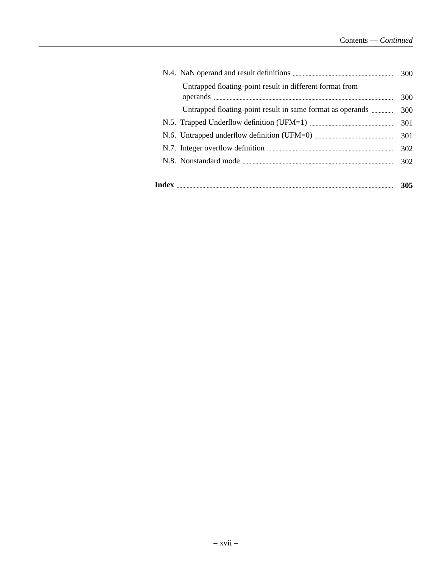|                                                          | 300 |
|----------------------------------------------------------|-----|
| Untrapped floating-point result in different format from | 300 |
|                                                          | 300 |
|                                                          | 301 |
|                                                          | 301 |
|                                                          | 302 |
|                                                          | 302 |
|                                                          |     |
|                                                          | 305 |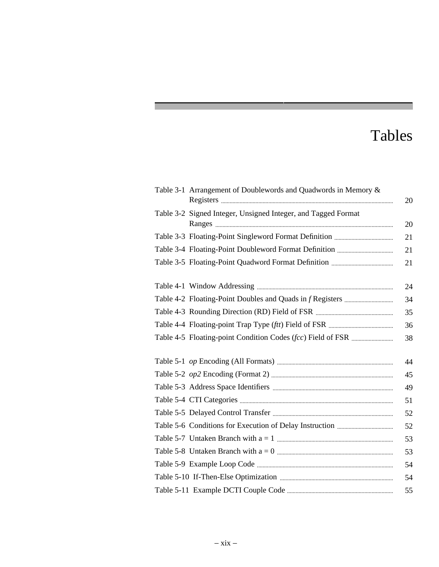## Tables

| Table 3-1 Arrangement of Doublewords and Quadwords in Memory & |
|----------------------------------------------------------------|
| Table 3-2 Signed Integer, Unsigned Integer, and Tagged Format  |
|                                                                |
|                                                                |
|                                                                |
|                                                                |
|                                                                |
|                                                                |
|                                                                |
|                                                                |
|                                                                |
|                                                                |
|                                                                |
|                                                                |
|                                                                |
|                                                                |
|                                                                |
|                                                                |
|                                                                |
|                                                                |
|                                                                |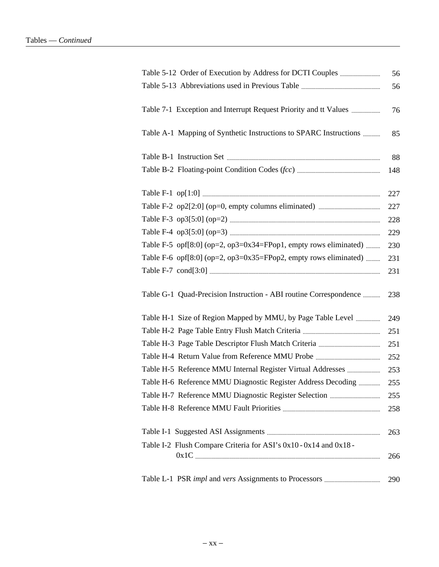| Table A-1 Mapping of Synthetic Instructions to SPARC Instructions                |
|----------------------------------------------------------------------------------|
|                                                                                  |
| 148                                                                              |
| 227                                                                              |
| 227                                                                              |
| 228                                                                              |
| 229                                                                              |
| Table F-5 opf[8:0] (op=2, op3=0x34=FPop1, empty rows eliminated) $\ldots$<br>230 |
| Table F-6 opf[8:0] (op=2, op3=0x35=FPop2, empty rows eliminated)<br>231          |
| 231                                                                              |
| Table G-1 Quad-Precision Instruction - ABI routine Correspondence<br>238         |
| 249                                                                              |
| 251                                                                              |
| 251                                                                              |
| 252                                                                              |
| 253                                                                              |
| Table H-6 Reference MMU Diagnostic Register Address Decoding<br>255              |
| 255                                                                              |
| 258                                                                              |
| 263                                                                              |
| Table I-2 Flush Compare Criteria for ASI's 0x10 - 0x14 and 0x18 -<br>266         |
| 290                                                                              |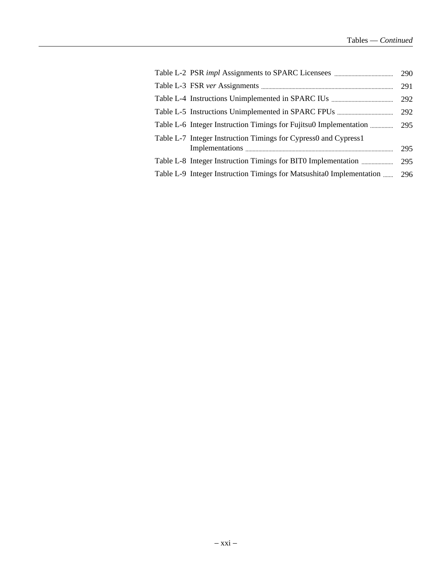|                                                                      | 290 |
|----------------------------------------------------------------------|-----|
|                                                                      | 291 |
|                                                                      | 292 |
|                                                                      | 292 |
| Table L-6 Integer Instruction Timings for Fujitsu0 Implementation    | 295 |
| Table L-7 Integer Instruction Timings for Cypress0 and Cypress1      |     |
|                                                                      | 295 |
|                                                                      | 295 |
| Table L-9 Integer Instruction Timings for Matsushita0 Implementation | 296 |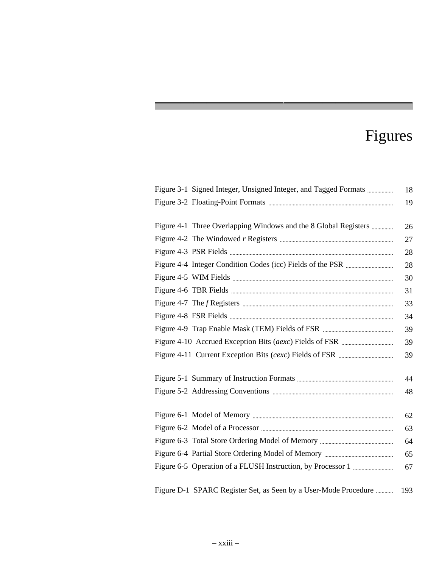## Figures

|                                                                 | 18  |
|-----------------------------------------------------------------|-----|
|                                                                 | 19  |
|                                                                 |     |
|                                                                 | 26  |
|                                                                 | 27  |
|                                                                 | 28  |
|                                                                 | 28  |
|                                                                 | 30  |
|                                                                 | 31  |
|                                                                 | 33  |
|                                                                 | 34  |
|                                                                 | 39  |
|                                                                 | 39  |
|                                                                 | 39  |
|                                                                 | 44  |
|                                                                 | 48  |
|                                                                 | 62  |
|                                                                 | 63  |
|                                                                 | 64  |
|                                                                 | 65  |
|                                                                 | 67  |
| Figure D-1 SPARC Register Set, as Seen by a User-Mode Procedure | 193 |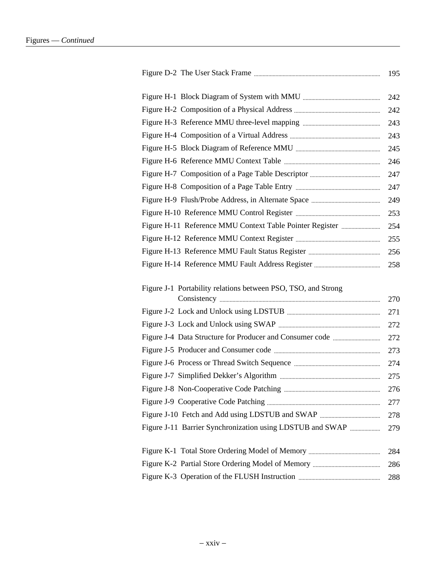|                                                               | 195 |
|---------------------------------------------------------------|-----|
|                                                               | 242 |
|                                                               | 242 |
|                                                               | 243 |
|                                                               | 243 |
|                                                               | 245 |
|                                                               | 246 |
|                                                               | 247 |
|                                                               | 247 |
|                                                               | 249 |
|                                                               | 253 |
|                                                               | 254 |
|                                                               | 255 |
|                                                               | 256 |
|                                                               | 258 |
| Figure J-1 Portability relations between PSO, TSO, and Strong | 270 |
|                                                               | 271 |
|                                                               | 272 |
|                                                               | 272 |
|                                                               | 273 |
|                                                               | 274 |
|                                                               | 275 |
| Figure J-8 Non-Cooperative Code Patching                      | 276 |
|                                                               | 277 |
|                                                               | 278 |
|                                                               | 279 |
|                                                               | 284 |
|                                                               | 286 |
|                                                               | 288 |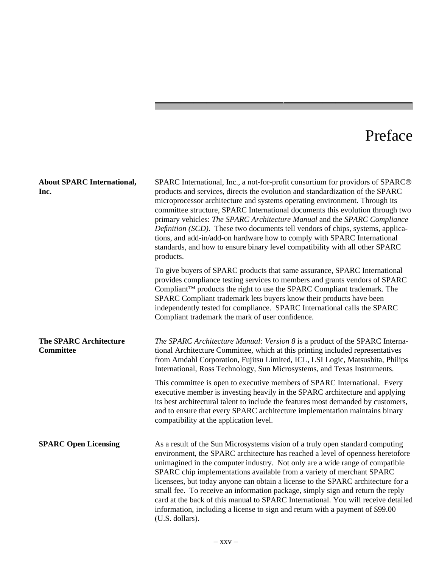## Preface

| <b>About SPARC International,</b><br>Inc.         | SPARC International, Inc., a not-for-profit consortium for providors of SPARC®<br>products and services, directs the evolution and standardization of the SPARC<br>microprocessor architecture and systems operating environment. Through its<br>committee structure, SPARC International documents this evolution through two<br>primary vehicles: The SPARC Architecture Manual and the SPARC Compliance<br>Definition (SCD). These two documents tell vendors of chips, systems, applica-<br>tions, and add-in/add-on hardware how to comply with SPARC International<br>standards, and how to ensure binary level compatibility with all other SPARC<br>products.                   |
|---------------------------------------------------|-----------------------------------------------------------------------------------------------------------------------------------------------------------------------------------------------------------------------------------------------------------------------------------------------------------------------------------------------------------------------------------------------------------------------------------------------------------------------------------------------------------------------------------------------------------------------------------------------------------------------------------------------------------------------------------------|
|                                                   | To give buyers of SPARC products that same assurance, SPARC International<br>provides compliance testing services to members and grants vendors of SPARC<br>Compliant™ products the right to use the SPARC Compliant trademark. The<br>SPARC Compliant trademark lets buyers know their products have been<br>independently tested for compliance. SPARC International calls the SPARC<br>Compliant trademark the mark of user confidence.                                                                                                                                                                                                                                              |
| <b>The SPARC Architecture</b><br><b>Committee</b> | The SPARC Architecture Manual: Version 8 is a product of the SPARC Interna-<br>tional Architecture Committee, which at this printing included representatives<br>from Amdahl Corporation, Fujitsu Limited, ICL, LSI Logic, Matsushita, Philips<br>International, Ross Technology, Sun Microsystems, and Texas Instruments.                                                                                                                                                                                                                                                                                                                                                              |
|                                                   | This committee is open to executive members of SPARC International. Every<br>executive member is investing heavily in the SPARC architecture and applying<br>its best architectural talent to include the features most demanded by customers,<br>and to ensure that every SPARC architecture implementation maintains binary<br>compatibility at the application level.                                                                                                                                                                                                                                                                                                                |
| <b>SPARC Open Licensing</b>                       | As a result of the Sun Microsystems vision of a truly open standard computing<br>environment, the SPARC architecture has reached a level of openness heretofore<br>unimagined in the computer industry. Not only are a wide range of compatible<br>SPARC chip implementations available from a variety of merchant SPARC<br>licensees, but today anyone can obtain a license to the SPARC architecture for a<br>small fee. To receive an information package, simply sign and return the reply<br>card at the back of this manual to SPARC International. You will receive detailed<br>information, including a license to sign and return with a payment of \$99.00<br>(U.S. dollars). |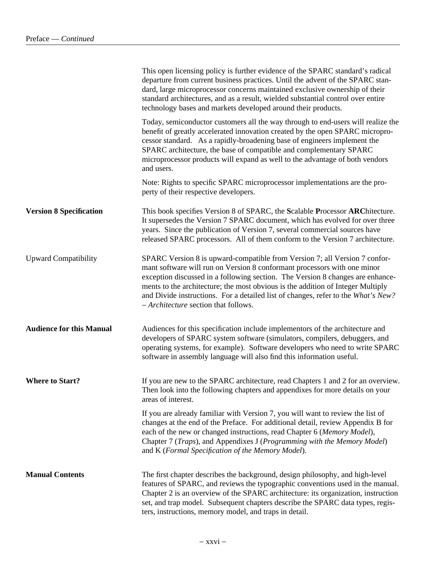|                                 | This open licensing policy is further evidence of the SPARC standard's radical<br>departure from current business practices. Until the advent of the SPARC stan-<br>dard, large microprocessor concerns maintained exclusive ownership of their<br>standard architectures, and as a result, wielded substantial control over entire<br>technology bases and markets developed around their products.                                                     |
|---------------------------------|----------------------------------------------------------------------------------------------------------------------------------------------------------------------------------------------------------------------------------------------------------------------------------------------------------------------------------------------------------------------------------------------------------------------------------------------------------|
|                                 | Today, semiconductor customers all the way through to end-users will realize the<br>benefit of greatly accelerated innovation created by the open SPARC micropro-<br>cessor standard. As a rapidly-broadening base of engineers implement the<br>SPARC architecture, the base of compatible and complementary SPARC<br>microprocessor products will expand as well to the advantage of both vendors<br>and users.                                        |
|                                 | Note: Rights to specific SPARC microprocessor implementations are the pro-<br>perty of their respective developers.                                                                                                                                                                                                                                                                                                                                      |
| <b>Version 8 Specification</b>  | This book specifies Version 8 of SPARC, the Scalable Processor ARChitecture.<br>It supersedes the Version 7 SPARC document, which has evolved for over three<br>years. Since the publication of Version 7, several commercial sources have<br>released SPARC processors. All of them conform to the Version 7 architecture.                                                                                                                              |
| <b>Upward Compatibility</b>     | SPARC Version 8 is upward-compatible from Version 7; all Version 7 confor-<br>mant software will run on Version 8 conformant processors with one minor<br>exception discussed in a following section. The Version 8 changes are enhance-<br>ments to the architecture; the most obvious is the addition of Integer Multiply<br>and Divide instructions. For a detailed list of changes, refer to the What's New?<br>- Architecture section that follows. |
| <b>Audience for this Manual</b> | Audiences for this specification include implementors of the architecture and<br>developers of SPARC system software (simulators, compilers, debuggers, and<br>operating systems, for example). Software developers who need to write SPARC<br>software in assembly language will also find this information useful.                                                                                                                                     |
| <b>Where to Start?</b>          | If you are new to the SPARC architecture, read Chapters 1 and 2 for an overview.<br>Then look into the following chapters and appendixes for more details on your<br>areas of interest.                                                                                                                                                                                                                                                                  |
|                                 | If you are already familiar with Version 7, you will want to review the list of<br>changes at the end of the Preface. For additional detail, review Appendix B for<br>each of the new or changed instructions, read Chapter 6 (Memory Model),<br>Chapter 7 (Traps), and Appendixes J (Programming with the Memory Model)<br>and K (Formal Specification of the Memory Model).                                                                            |
| <b>Manual Contents</b>          | The first chapter describes the background, design philosophy, and high-level<br>features of SPARC, and reviews the typographic conventions used in the manual.<br>Chapter 2 is an overview of the SPARC architecture: its organization, instruction<br>set, and trap model. Subsequent chapters describe the SPARC data types, regis-<br>ters, instructions, memory model, and traps in detail.                                                         |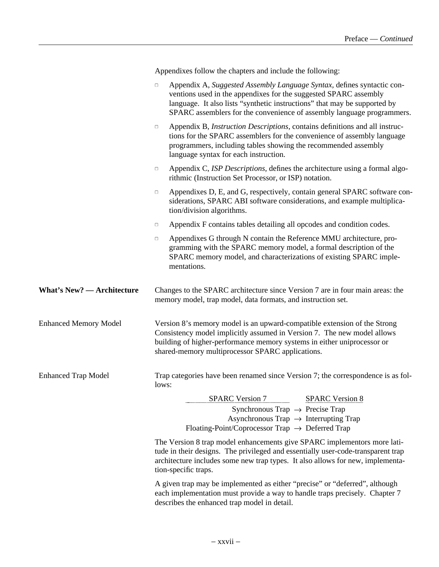Appendixes follow the chapters and include the following:

|                              | $\Box$ | Appendix A, Suggested Assembly Language Syntax, defines syntactic con-<br>ventions used in the appendixes for the suggested SPARC assembly<br>language. It also lists "synthetic instructions" that may be supported by<br>SPARC assemblers for the convenience of assembly language programmers. |
|------------------------------|--------|---------------------------------------------------------------------------------------------------------------------------------------------------------------------------------------------------------------------------------------------------------------------------------------------------|
|                              | $\Box$ | Appendix B, <i>Instruction Descriptions</i> , contains definitions and all instruc-<br>tions for the SPARC assemblers for the convenience of assembly language<br>programmers, including tables showing the recommended assembly<br>language syntax for each instruction.                         |
|                              | $\Box$ | Appendix C, ISP Descriptions, defines the architecture using a formal algo-<br>rithmic (Instruction Set Processor, or ISP) notation.                                                                                                                                                              |
|                              | $\Box$ | Appendixes D, E, and G, respectively, contain general SPARC software con-<br>siderations, SPARC ABI software considerations, and example multiplica-<br>tion/division algorithms.                                                                                                                 |
|                              | $\Box$ | Appendix F contains tables detailing all opcodes and condition codes.                                                                                                                                                                                                                             |
|                              | $\Box$ | Appendixes G through N contain the Reference MMU architecture, pro-<br>gramming with the SPARC memory model, a formal description of the<br>SPARC memory model, and characterizations of existing SPARC imple-<br>mentations.                                                                     |
| What's New? — Architecture   |        | Changes to the SPARC architecture since Version 7 are in four main areas: the<br>memory model, trap model, data formats, and instruction set.                                                                                                                                                     |
| <b>Enhanced Memory Model</b> |        | Version 8's memory model is an upward-compatible extension of the Strong<br>Consistency model implicitly assumed in Version 7. The new model allows<br>building of higher-performance memory systems in either uniprocessor or<br>shared-memory multiprocessor SPARC applications.                |
| <b>Enhanced Trap Model</b>   | lows:  | Trap categories have been renamed since Version 7; the correspondence is as fol-                                                                                                                                                                                                                  |
|                              |        | <b>SPARC Version 8</b><br><b>SPARC Version 7</b>                                                                                                                                                                                                                                                  |
|                              |        | Synchronous Trap $\rightarrow$ Precise Trap<br>Asynchronous Trap $\rightarrow$ Interrupting Trap<br>Floating-Point/Coprocessor Trap $\rightarrow$ Deferred Trap                                                                                                                                   |
|                              |        | The Version 8 trap model enhancements give SPARC implementors more lati-<br>tude in their designs. The privileged and essentially user-code-transparent trap<br>architecture includes some new trap types. It also allows for new, implementa-<br>tion-specific traps.                            |
|                              |        | A given trap may be implemented as either "precise" or "deferred", although<br>each implementation must provide a way to handle traps precisely. Chapter 7<br>describes the enhanced trap model in detail.                                                                                        |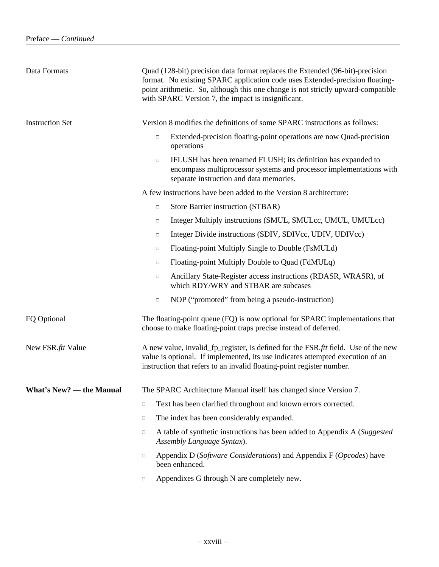| Data Formats                    | Quad (128-bit) precision data format replaces the Extended (96-bit)-precision<br>format. No existing SPARC application code uses Extended-precision floating-<br>point arithmetic. So, although this one change is not strictly upward-compatible<br>with SPARC Version 7, the impact is insignificant. |
|---------------------------------|---------------------------------------------------------------------------------------------------------------------------------------------------------------------------------------------------------------------------------------------------------------------------------------------------------|
| <b>Instruction Set</b>          | Version 8 modifies the definitions of some SPARC instructions as follows:                                                                                                                                                                                                                               |
|                                 | Extended-precision floating-point operations are now Quad-precision<br>$\hfill\square$<br>operations                                                                                                                                                                                                    |
|                                 | IFLUSH has been renamed FLUSH; its definition has expanded to<br>$\Box$<br>encompass multiprocessor systems and processor implementations with<br>separate instruction and data memories.                                                                                                               |
|                                 | A few instructions have been added to the Version 8 architecture:                                                                                                                                                                                                                                       |
|                                 | Store Barrier instruction (STBAR)<br>$\Box$                                                                                                                                                                                                                                                             |
|                                 | Integer Multiply instructions (SMUL, SMULcc, UMUL, UMULcc)<br>$\Box$                                                                                                                                                                                                                                    |
|                                 | Integer Divide instructions (SDIV, SDIVcc, UDIV, UDIVcc)<br>$\Box$                                                                                                                                                                                                                                      |
|                                 | Floating-point Multiply Single to Double (FsMULd)<br>$\Box$                                                                                                                                                                                                                                             |
|                                 | Floating-point Multiply Double to Quad (FdMULq)<br>$\Box$                                                                                                                                                                                                                                               |
|                                 | Ancillary State-Register access instructions (RDASR, WRASR), of<br>$\Box$<br>which RDY/WRY and STBAR are subcases                                                                                                                                                                                       |
|                                 | NOP ("promoted" from being a pseudo-instruction)<br>$\Box$                                                                                                                                                                                                                                              |
| FQ Optional                     | The floating-point queue (FQ) is now optional for SPARC implementations that<br>choose to make floating-point traps precise instead of deferred.                                                                                                                                                        |
| New FSR.ftt Value               | A new value, invalid_fp_register, is defined for the FSR.ftt field. Use of the new<br>value is optional. If implemented, its use indicates attempted execution of an<br>instruction that refers to an invalid floating-point register number.                                                           |
| <b>What's New?</b> — the Manual | The SPARC Architecture Manual itself has changed since Version 7.                                                                                                                                                                                                                                       |
|                                 | Text has been clarified throughout and known errors corrected.<br>$\Box$                                                                                                                                                                                                                                |
|                                 | The index has been considerably expanded.<br>$\Box$                                                                                                                                                                                                                                                     |
|                                 | A table of synthetic instructions has been added to Appendix A (Suggested<br>$\Box$<br>Assembly Language Syntax).                                                                                                                                                                                       |
|                                 | Appendix D (Software Considerations) and Appendix F (Opcodes) have<br>$\Box$<br>been enhanced.                                                                                                                                                                                                          |
|                                 | Appendixes G through N are completely new.<br>$\Box$                                                                                                                                                                                                                                                    |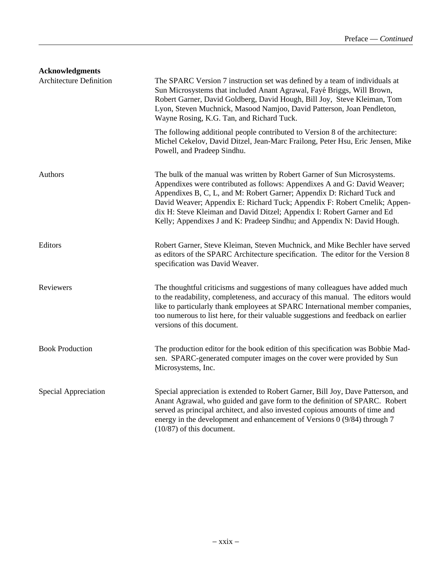| <b>Acknowledgments</b>         |                                                                                                                                                                                                                                                                                                                                                                                                                                                                    |
|--------------------------------|--------------------------------------------------------------------------------------------------------------------------------------------------------------------------------------------------------------------------------------------------------------------------------------------------------------------------------------------------------------------------------------------------------------------------------------------------------------------|
| <b>Architecture Definition</b> | The SPARC Version 7 instruction set was defined by a team of individuals at<br>Sun Microsystems that included Anant Agrawal, Fayé Briggs, Will Brown,<br>Robert Garner, David Goldberg, David Hough, Bill Joy, Steve Kleiman, Tom<br>Lyon, Steven Muchnick, Masood Namjoo, David Patterson, Joan Pendleton,<br>Wayne Rosing, K.G. Tan, and Richard Tuck.                                                                                                           |
|                                | The following additional people contributed to Version 8 of the architecture:<br>Michel Cekelov, David Ditzel, Jean-Marc Frailong, Peter Hsu, Eric Jensen, Mike<br>Powell, and Pradeep Sindhu.                                                                                                                                                                                                                                                                     |
| Authors                        | The bulk of the manual was written by Robert Garner of Sun Microsystems.<br>Appendixes were contributed as follows: Appendixes A and G: David Weaver;<br>Appendixes B, C, L, and M: Robert Garner; Appendix D: Richard Tuck and<br>David Weaver; Appendix E: Richard Tuck; Appendix F: Robert Cmelik; Appen-<br>dix H: Steve Kleiman and David Ditzel; Appendix I: Robert Garner and Ed<br>Kelly; Appendixes J and K: Pradeep Sindhu; and Appendix N: David Hough. |
| Editors                        | Robert Garner, Steve Kleiman, Steven Muchnick, and Mike Bechler have served<br>as editors of the SPARC Architecture specification. The editor for the Version 8<br>specification was David Weaver.                                                                                                                                                                                                                                                                 |
| Reviewers                      | The thoughtful criticisms and suggestions of many colleagues have added much<br>to the readability, completeness, and accuracy of this manual. The editors would<br>like to particularly thank employees at SPARC International member companies,<br>too numerous to list here, for their valuable suggestions and feedback on earlier<br>versions of this document.                                                                                               |
| <b>Book Production</b>         | The production editor for the book edition of this specification was Bobbie Mad-<br>sen. SPARC-generated computer images on the cover were provided by Sun<br>Microsystems, Inc.                                                                                                                                                                                                                                                                                   |
| Special Appreciation           | Special appreciation is extended to Robert Garner, Bill Joy, Dave Patterson, and<br>Anant Agrawal, who guided and gave form to the definition of SPARC. Robert<br>served as principal architect, and also invested copious amounts of time and<br>energy in the development and enhancement of Versions $0$ (9/84) through 7<br>$(10/87)$ of this document.                                                                                                        |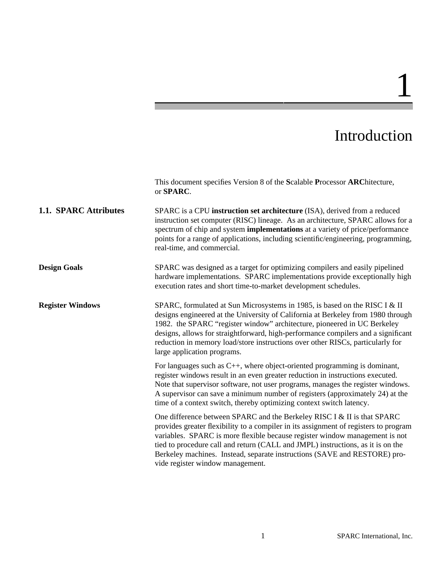## Introduction

|                         | This document specifies Version 8 of the Scalable Processor ARChitecture,<br>or SPARC.                                                                                                                                                                                                                                                                                                                                                             |
|-------------------------|----------------------------------------------------------------------------------------------------------------------------------------------------------------------------------------------------------------------------------------------------------------------------------------------------------------------------------------------------------------------------------------------------------------------------------------------------|
| 1.1. SPARC Attributes   | SPARC is a CPU instruction set architecture (ISA), derived from a reduced<br>instruction set computer (RISC) lineage. As an architecture, SPARC allows for a<br>spectrum of chip and system <b>implementations</b> at a variety of price/performance<br>points for a range of applications, including scientific/engineering, programming,<br>real-time, and commercial.                                                                           |
| <b>Design Goals</b>     | SPARC was designed as a target for optimizing compilers and easily pipelined<br>hardware implementations. SPARC implementations provide exceptionally high<br>execution rates and short time-to-market development schedules.                                                                                                                                                                                                                      |
| <b>Register Windows</b> | SPARC, formulated at Sun Microsystems in 1985, is based on the RISC I & II<br>designs engineered at the University of California at Berkeley from 1980 through<br>1982. the SPARC "register window" architecture, pioneered in UC Berkeley<br>designs, allows for straightforward, high-performance compilers and a significant<br>reduction in memory load/store instructions over other RISCs, particularly for<br>large application programs.   |
|                         | For languages such as $C_{++}$ , where object-oriented programming is dominant,<br>register windows result in an even greater reduction in instructions executed.<br>Note that supervisor software, not user programs, manages the register windows.<br>A supervisor can save a minimum number of registers (approximately 24) at the<br>time of a context switch, thereby optimizing context switch latency.                                      |
|                         | One difference between SPARC and the Berkeley RISC I & II is that SPARC<br>provides greater flexibility to a compiler in its assignment of registers to program<br>variables. SPARC is more flexible because register window management is not<br>tied to procedure call and return (CALL and JMPL) instructions, as it is on the<br>Berkeley machines. Instead, separate instructions (SAVE and RESTORE) pro-<br>vide register window management. |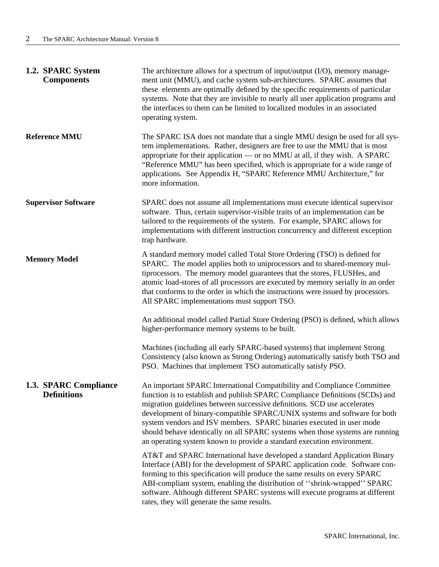| 1.2. SPARC System<br><b>Components</b>      | The architecture allows for a spectrum of input/output $(I/O)$ , memory manage-<br>ment unit (MMU), and cache system sub-architectures. SPARC assumes that<br>these elements are optimally defined by the specific requirements of particular<br>systems. Note that they are invisible to nearly all user application programs and<br>the interfaces to them can be limited to localized modules in an associated<br>operating system.                                                                                                              |
|---------------------------------------------|-----------------------------------------------------------------------------------------------------------------------------------------------------------------------------------------------------------------------------------------------------------------------------------------------------------------------------------------------------------------------------------------------------------------------------------------------------------------------------------------------------------------------------------------------------|
| <b>Reference MMU</b>                        | The SPARC ISA does not mandate that a single MMU design be used for all sys-<br>tem implementations. Rather, designers are free to use the MMU that is most<br>appropriate for their application — or no MMU at all, if they wish. A SPARC<br>"Reference MMU" has been specified, which is appropriate for a wide range of<br>applications. See Appendix H, "SPARC Reference MMU Architecture," for<br>more information.                                                                                                                            |
| <b>Supervisor Software</b>                  | SPARC does not assume all implementations must execute identical supervisor<br>software. Thus, certain supervisor-visible traits of an implementation can be<br>tailored to the requirements of the system. For example, SPARC allows for<br>implementations with different instruction concurrency and different exception<br>trap hardware.                                                                                                                                                                                                       |
| <b>Memory Model</b>                         | A standard memory model called Total Store Ordering (TSO) is defined for<br>SPARC. The model applies both to uniprocessors and to shared-memory mul-<br>tiprocessors. The memory model guarantees that the stores, FLUSHes, and<br>atomic load-stores of all processors are executed by memory serially in an order<br>that conforms to the order in which the instructions were issued by processors.<br>All SPARC implementations must support TSO.                                                                                               |
|                                             | An additional model called Partial Store Ordering (PSO) is defined, which allows<br>higher-performance memory systems to be built.                                                                                                                                                                                                                                                                                                                                                                                                                  |
|                                             | Machines (including all early SPARC-based systems) that implement Strong<br>Consistency (also known as Strong Ordering) automatically satisfy both TSO and<br>PSO. Machines that implement TSO automatically satisfy PSO.                                                                                                                                                                                                                                                                                                                           |
| 1.3. SPARC Compliance<br><b>Definitions</b> | An important SPARC International Compatibility and Compliance Committee<br>function is to establish and publish SPARC Compliance Definitions (SCDs) and<br>migration guidelines between successive definitions. SCD use accelerates<br>development of binary-compatible SPARC/UNIX systems and software for both<br>system vendors and ISV members. SPARC binaries executed in user mode<br>should behave identically on all SPARC systems when those systems are running<br>an operating system known to provide a standard execution environment. |
|                                             | AT&T and SPARC International have developed a standard Application Binary<br>Interface (ABI) for the development of SPARC application code. Software con-<br>forming to this specification will produce the same results on every SPARC<br>ABI-compliant system, enabling the distribution of "shrink-wrapped" SPARC<br>software. Although different SPARC systems will execute programs at different<br>rates, they will generate the same results.                                                                                                |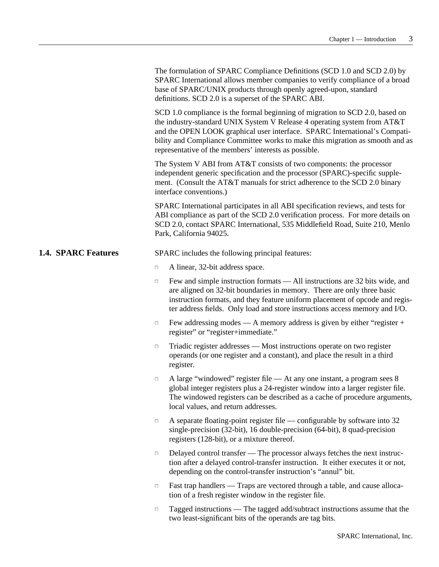|                            | The formulation of SPARC Compliance Definitions (SCD 1.0 and SCD 2.0) by<br>SPARC International allows member companies to verify compliance of a broad<br>base of SPARC/UNIX products through openly agreed-upon, standard<br>definitions. SCD 2.0 is a superset of the SPARC ABI.                                                                                              |
|----------------------------|----------------------------------------------------------------------------------------------------------------------------------------------------------------------------------------------------------------------------------------------------------------------------------------------------------------------------------------------------------------------------------|
|                            | SCD 1.0 compliance is the formal beginning of migration to SCD 2.0, based on<br>the industry-standard UNIX System V Release 4 operating system from AT&T<br>and the OPEN LOOK graphical user interface. SPARC International's Compati-<br>bility and Compliance Committee works to make this migration as smooth and as<br>representative of the members' interests as possible. |
|                            | The System V ABI from AT&T consists of two components: the processor<br>independent generic specification and the processor (SPARC)-specific supple-<br>ment. (Consult the AT&T manuals for strict adherence to the SCD 2.0 binary<br>interface conventions.)                                                                                                                    |
|                            | SPARC International participates in all ABI specification reviews, and tests for<br>ABI compliance as part of the SCD 2.0 verification process. For more details on<br>SCD 2.0, contact SPARC International, 535 Middlefield Road, Suite 210, Menlo<br>Park, California 94025.                                                                                                   |
| <b>1.4. SPARC Features</b> | SPARC includes the following principal features:                                                                                                                                                                                                                                                                                                                                 |
|                            | A linear, 32-bit address space.<br>$\hfill \square$                                                                                                                                                                                                                                                                                                                              |
|                            | Few and simple instruction formats — All instructions are 32 bits wide, and<br>$\Box$<br>are aligned on 32-bit boundaries in memory. There are only three basic<br>instruction formats, and they feature uniform placement of opcode and regis-<br>ter address fields. Only load and store instructions access memory and I/O.                                                   |
|                            | Few addressing modes — A memory address is given by either "register +<br>$\Box$<br>register" or "register+immediate."                                                                                                                                                                                                                                                           |
|                            | Triadic register addresses — Most instructions operate on two register<br>$\Box$<br>operands (or one register and a constant), and place the result in a third<br>register.                                                                                                                                                                                                      |
|                            | A large "windowed" register file — At any one instant, a program sees 8<br>$\Box$<br>global integer registers plus a 24-register window into a larger register file.<br>The windowed registers can be described as a cache of procedure arguments,<br>local values, and return addresses.                                                                                        |
|                            | A separate floating-point register file — configurable by software into 32<br>$\Box$<br>single-precision (32-bit), 16 double-precision (64-bit), 8 quad-precision<br>registers (128-bit), or a mixture thereof.                                                                                                                                                                  |
|                            | Delayed control transfer — The processor always fetches the next instruc-<br>$\Box$<br>tion after a delayed control-transfer instruction. It either executes it or not,<br>depending on the control-transfer instruction's "annul" bit.                                                                                                                                          |
|                            | Fast trap handlers — Traps are vectored through a table, and cause alloca-<br>$\Box$<br>tion of a fresh register window in the register file.                                                                                                                                                                                                                                    |
|                            | Tagged instructions — The tagged add/subtract instructions assume that the<br>$\Box$<br>two least-significant bits of the operands are tag bits.                                                                                                                                                                                                                                 |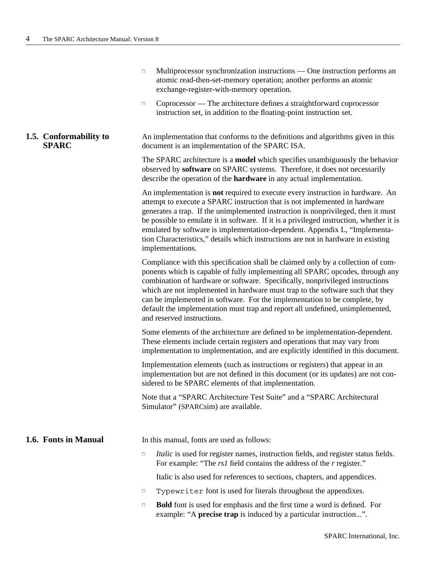|                                        | Multiprocessor synchronization instructions — One instruction performs an<br>$\Box$<br>atomic read-then-set-memory operation; another performs an atomic<br>exchange-register-with-memory operation.                                                                                                                                                                                                                                                                                                                                       |
|----------------------------------------|--------------------------------------------------------------------------------------------------------------------------------------------------------------------------------------------------------------------------------------------------------------------------------------------------------------------------------------------------------------------------------------------------------------------------------------------------------------------------------------------------------------------------------------------|
|                                        | Coprocessor — The architecture defines a straightforward coprocessor<br>$\hfill\square$<br>instruction set, in addition to the floating-point instruction set.                                                                                                                                                                                                                                                                                                                                                                             |
| 1.5. Conformability to<br><b>SPARC</b> | An implementation that conforms to the definitions and algorithms given in this<br>document is an implementation of the SPARC ISA.                                                                                                                                                                                                                                                                                                                                                                                                         |
|                                        | The SPARC architecture is a model which specifies unambiguously the behavior<br>observed by software on SPARC systems. Therefore, it does not necessarily<br>describe the operation of the <b>hardware</b> in any actual implementation.                                                                                                                                                                                                                                                                                                   |
|                                        | An implementation is <b>not</b> required to execute every instruction in hardware. An<br>attempt to execute a SPARC instruction that is not implemented in hardware<br>generates a trap. If the unimplemented instruction is nonprivileged, then it must<br>be possible to emulate it in software. If it is a privileged instruction, whether it is<br>emulated by software is implementation-dependent. Appendix L, "Implementa-<br>tion Characteristics," details which instructions are not in hardware in existing<br>implementations. |
|                                        | Compliance with this specification shall be claimed only by a collection of com-<br>ponents which is capable of fully implementing all SPARC opcodes, through any<br>combination of hardware or software. Specifically, nonprivileged instructions<br>which are not implemented in hardware must trap to the software such that they<br>can be implemented in software. For the implementation to be complete, by<br>default the implementation must trap and report all undefined, unimplemented,<br>and reserved instructions.           |
|                                        | Some elements of the architecture are defined to be implementation-dependent.<br>These elements include certain registers and operations that may vary from<br>implementation to implementation, and are explicitly identified in this document.                                                                                                                                                                                                                                                                                           |
|                                        | Implementation elements (such as instructions or registers) that appear in an<br>implementation but are not defined in this document (or its updates) are not con-<br>sidered to be SPARC elements of that implementation.                                                                                                                                                                                                                                                                                                                 |
|                                        | Note that a "SPARC Architecture Test Suite" and a "SPARC Architectural<br>Simulator" (SPARCsim) are available.                                                                                                                                                                                                                                                                                                                                                                                                                             |
| 1.6. Fonts in Manual                   | In this manual, fonts are used as follows:                                                                                                                                                                                                                                                                                                                                                                                                                                                                                                 |
|                                        | <i>Italic</i> is used for register names, instruction fields, and register status fields.<br>$\Box$<br>For example: "The <i>rs1</i> field contains the address of the <i>r</i> register."                                                                                                                                                                                                                                                                                                                                                  |
|                                        | Italic is also used for references to sections, chapters, and appendices.                                                                                                                                                                                                                                                                                                                                                                                                                                                                  |
|                                        | Typewriter font is used for literals throughout the appendixes.<br>□                                                                                                                                                                                                                                                                                                                                                                                                                                                                       |
|                                        | <b>Bold</b> font is used for emphasis and the first time a word is defined. For<br>$\Box$<br>example: "A precise trap is induced by a particular instruction".                                                                                                                                                                                                                                                                                                                                                                             |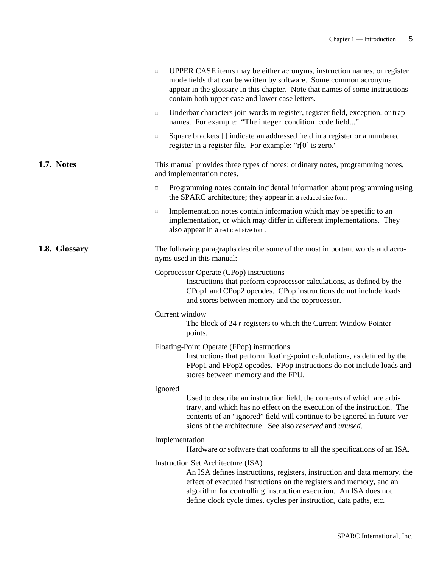|               | UPPER CASE items may be either acronyms, instruction names, or register<br>$\Box$<br>mode fields that can be written by software. Some common acronyms<br>appear in the glossary in this chapter. Note that names of some instructions<br>contain both upper case and lower case letters.                                       |
|---------------|---------------------------------------------------------------------------------------------------------------------------------------------------------------------------------------------------------------------------------------------------------------------------------------------------------------------------------|
|               | Underbar characters join words in register, register field, exception, or trap<br>$\Box$<br>names. For example: "The integer_condition_code field"                                                                                                                                                                              |
|               | Square brackets [] indicate an addressed field in a register or a numbered<br>$\Box$<br>register in a register file. For example: "r[0] is zero."                                                                                                                                                                               |
| 1.7. Notes    | This manual provides three types of notes: ordinary notes, programming notes,<br>and implementation notes.                                                                                                                                                                                                                      |
|               | Programming notes contain incidental information about programming using<br>$\Box$<br>the SPARC architecture; they appear in a reduced size font.                                                                                                                                                                               |
|               | Implementation notes contain information which may be specific to an<br>$\Box$<br>implementation, or which may differ in different implementations. They<br>also appear in a reduced size font.                                                                                                                                 |
| 1.8. Glossary | The following paragraphs describe some of the most important words and acro-<br>nyms used in this manual:                                                                                                                                                                                                                       |
|               | Coprocessor Operate (CPop) instructions<br>Instructions that perform coprocessor calculations, as defined by the<br>CPop1 and CPop2 opcodes. CPop instructions do not include loads<br>and stores between memory and the coprocessor.                                                                                           |
|               | Current window<br>The block of 24 $r$ registers to which the Current Window Pointer<br>points.                                                                                                                                                                                                                                  |
|               | Floating-Point Operate (FPop) instructions<br>Instructions that perform floating-point calculations, as defined by the<br>FPop1 and FPop2 opcodes. FPop instructions do not include loads and<br>stores between memory and the FPU.                                                                                             |
|               | Ignored<br>Used to describe an instruction field, the contents of which are arbi-<br>trary, and which has no effect on the execution of the instruction. The<br>contents of an "ignored" field will continue to be ignored in future ver-<br>sions of the architecture. See also reserved and unused.                           |
|               | Implementation<br>Hardware or software that conforms to all the specifications of an ISA.                                                                                                                                                                                                                                       |
|               | Instruction Set Architecture (ISA)<br>An ISA defines instructions, registers, instruction and data memory, the<br>effect of executed instructions on the registers and memory, and an<br>algorithm for controlling instruction execution. An ISA does not<br>define clock cycle times, cycles per instruction, data paths, etc. |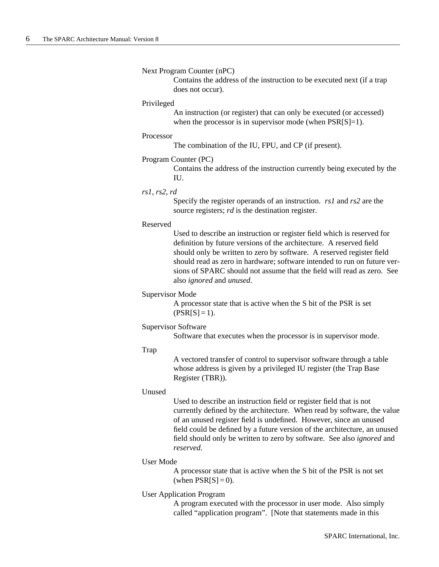Next Program Counter (nPC)

Contains the address of the instruction to be executed next (if a trap does not occur).

#### Privileged

An instruction (or register) that can only be executed (or accessed) when the processor is in supervisor mode (when  $PSR[S]=1$ ).

#### Processor

The combination of the IU, FPU, and CP (if present).

#### Program Counter (PC)

Contains the address of the instruction currently being executed by the IU.

#### *rs1*, *rs2*, *rd*

Specify the register operands of an instruction. *rs1* and *rs2* are the source registers; *rd* is the destination register.

#### Reserved

Used to describe an instruction or register field which is reserved for definition by future versions of the architecture. A reserved field should only be written to zero by software. A reserved register field should read as zero in hardware; software intended to run on future versions of SPARC should not assume that the field will read as zero. See also *ignored* and *unused*.

#### Supervisor Mode

A processor state that is active when the S bit of the PSR is set  $(PSR[S] = 1).$ 

#### Supervisor Software

Software that executes when the processor is in supervisor mode.

#### Trap

A vectored transfer of control to supervisor software through a table whose address is given by a privileged IU register (the Trap Base Register (TBR)).

#### Unused

Used to describe an instruction field or register field that is not currently defined by the architecture. When read by software, the value of an unused register field is undefined. However, since an unused field could be defined by a future version of the architecture, an unused field should only be written to zero by software. See also *ignored* and *reserved*.

#### User Mode

A processor state that is active when the S bit of the PSR is not set (when  $PSR[S] = 0$ ).

#### User Application Program

A program executed with the processor in user mode. Also simply called "application program". [Note that statements made in this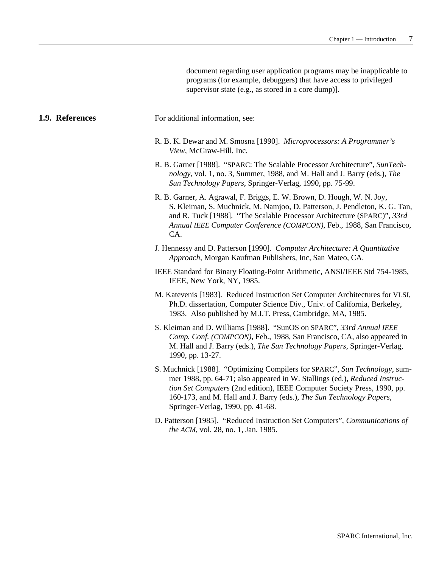document regarding user application programs may be inapplicable to programs (for example, debuggers) that have access to privileged supervisor state (e.g., as stored in a core dump)].

#### **1.9. References** For additional information, see: R. B. K. Dewar and M. Smosna [1990]. *Microprocessors: A Programmer's View*, McGraw-Hill, Inc. R. B. Garner [1988]. "SPARC: The Scalable Processor Architecture", *SunTechnology*, vol. 1, no. 3, Summer, 1988, and M. Hall and J. Barry (eds.), *The Sun Technology Papers*, Springer-Verlag, 1990, pp. 75-99. R. B. Garner, A. Agrawal, F. Briggs, E. W. Brown, D. Hough, W. N. Joy, S. Kleiman, S. Muchnick, M. Namjoo, D. Patterson, J. Pendleton, K. G. Tan, and R. Tuck [1988]. "The Scalable Processor Architecture (SPARC)", *33rd Annual IEEE Computer Conference (COMPCON)*, Feb., 1988, San Francisco, CA. J. Hennessy and D. Patterson [1990]. *Computer Architecture: A Quantitative Approach*, Morgan Kaufman Publishers, Inc, San Mateo, CA. IEEE Standard for Binary Floating-Point Arithmetic, ANSI/IEEE Std 754-1985, IEEE, New York, NY, 1985. M. Katevenis [1983]. Reduced Instruction Set Computer Architectures for VLSI, Ph.D. dissertation, Computer Science Div., Univ. of California, Berkeley, 1983. Also published by M.I.T. Press, Cambridge, MA, 1985. S. Kleiman and D. Williams [1988]. "SunOS on SPARC", *33rd Annual IEEE Comp. Conf. (COMPCON)*, Feb., 1988, San Francisco, CA, also appeared in M. Hall and J. Barry (eds.), *The Sun Technology Papers*, Springer-Verlag, 1990, pp. 13-27. S. Muchnick [1988]. "Optimizing Compilers for SPARC", *Sun Technology*, summer 1988, pp. 64-71; also appeared in W. Stallings (ed.), *Reduced Instruction Set Computers* (2nd edition), IEEE Computer Society Press, 1990, pp. 160-173, and M. Hall and J. Barry (eds.), *The Sun Technology Papers*, Springer-Verlag, 1990, pp. 41-68. D. Patterson [1985]. "Reduced Instruction Set Computers", *Communications of the ACM*, vol. 28, no. 1, Jan. 1985.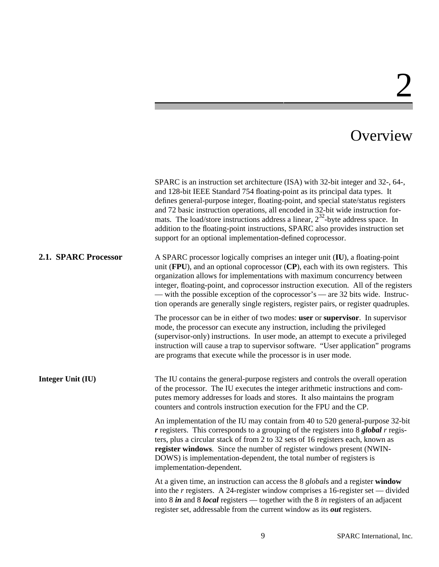# 2

## **Overview**

|                      | SPARC is an instruction set architecture (ISA) with 32-bit integer and 32-, 64-,<br>and 128-bit IEEE Standard 754 floating-point as its principal data types. It<br>defines general-purpose integer, floating-point, and special state/status registers<br>and 72 basic instruction operations, all encoded in 32-bit wide instruction for-<br>mats. The load/store instructions address a linear, $2^{32}$ -byte address space. In<br>addition to the floating-point instructions, SPARC also provides instruction set<br>support for an optional implementation-defined coprocessor. |
|----------------------|----------------------------------------------------------------------------------------------------------------------------------------------------------------------------------------------------------------------------------------------------------------------------------------------------------------------------------------------------------------------------------------------------------------------------------------------------------------------------------------------------------------------------------------------------------------------------------------|
| 2.1. SPARC Processor | A SPARC processor logically comprises an integer unit (IU), a floating-point<br>unit (FPU), and an optional coprocessor $(CP)$ , each with its own registers. This<br>organization allows for implementations with maximum concurrency between<br>integer, floating-point, and coprocessor instruction execution. All of the registers<br>— with the possible exception of the coprocessor's — are 32 bits wide. Instruc-<br>tion operands are generally single registers, register pairs, or register quadruples.                                                                     |
|                      | The processor can be in either of two modes: user or supervisor. In supervisor<br>mode, the processor can execute any instruction, including the privileged<br>(supervisor-only) instructions. In user mode, an attempt to execute a privileged<br>instruction will cause a trap to supervisor software. "User application" programs<br>are programs that execute while the processor is in user mode.                                                                                                                                                                                 |
| Integer Unit (IU)    | The IU contains the general-purpose registers and controls the overall operation<br>of the processor. The IU executes the integer arithmetic instructions and com-<br>putes memory addresses for loads and stores. It also maintains the program<br>counters and controls instruction execution for the FPU and the CP.                                                                                                                                                                                                                                                                |
|                      | An implementation of the IU may contain from 40 to 520 general-purpose 32-bit<br><i>r</i> registers. This corresponds to a grouping of the registers into 8 <i>global</i> r regis-<br>ters, plus a circular stack of from 2 to 32 sets of 16 registers each, known as<br>register windows. Since the number of register windows present (NWIN-<br>DOWS) is implementation-dependent, the total number of registers is<br>implementation-dependent.                                                                                                                                     |
|                      | At a given time, an instruction can access the 8 globals and a register window<br>into the $r$ registers. A 24-register window comprises a 16-register set — divided<br>into 8 in and 8 <i>local</i> registers — together with the 8 in registers of an adjacent<br>register set, addressable from the current window as its <i>out</i> registers.                                                                                                                                                                                                                                     |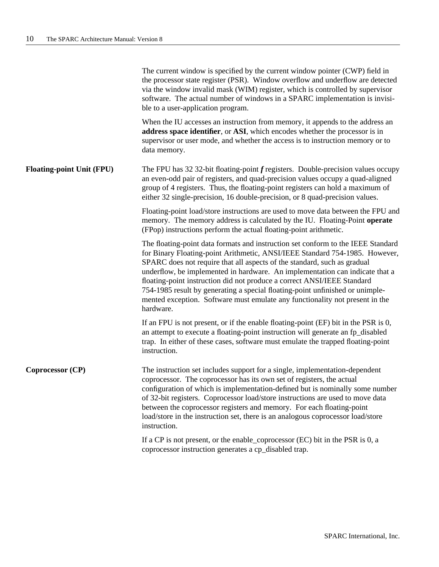|                                  | The current window is specified by the current window pointer (CWP) field in<br>the processor state register (PSR). Window overflow and underflow are detected<br>via the window invalid mask (WIM) register, which is controlled by supervisor<br>software. The actual number of windows in a SPARC implementation is invisi-<br>ble to a user-application program.                                                                                                                                                                                                                 |
|----------------------------------|--------------------------------------------------------------------------------------------------------------------------------------------------------------------------------------------------------------------------------------------------------------------------------------------------------------------------------------------------------------------------------------------------------------------------------------------------------------------------------------------------------------------------------------------------------------------------------------|
|                                  | When the IU accesses an instruction from memory, it appends to the address an<br>address space identifier, or ASI, which encodes whether the processor is in<br>supervisor or user mode, and whether the access is to instruction memory or to<br>data memory.                                                                                                                                                                                                                                                                                                                       |
| <b>Floating-point Unit (FPU)</b> | The FPU has 32 32-bit floating-point $f$ registers. Double-precision values occupy<br>an even-odd pair of registers, and quad-precision values occupy a quad-aligned<br>group of 4 registers. Thus, the floating-point registers can hold a maximum of<br>either 32 single-precision, 16 double-precision, or 8 quad-precision values.                                                                                                                                                                                                                                               |
|                                  | Floating-point load/store instructions are used to move data between the FPU and<br>memory. The memory address is calculated by the IU. Floating-Point operate<br>(FPop) instructions perform the actual floating-point arithmetic.                                                                                                                                                                                                                                                                                                                                                  |
|                                  | The floating-point data formats and instruction set conform to the IEEE Standard<br>for Binary Floating-point Arithmetic, ANSI/IEEE Standard 754-1985. However,<br>SPARC does not require that all aspects of the standard, such as gradual<br>underflow, be implemented in hardware. An implementation can indicate that a<br>floating-point instruction did not produce a correct ANSI/IEEE Standard<br>754-1985 result by generating a special floating-point unfinished or unimple-<br>mented exception. Software must emulate any functionality not present in the<br>hardware. |
|                                  | If an FPU is not present, or if the enable floating-point (EF) bit in the PSR is 0,<br>an attempt to execute a floating-point instruction will generate an fp_disabled<br>trap. In either of these cases, software must emulate the trapped floating-point<br>instruction.                                                                                                                                                                                                                                                                                                           |
| Coprocessor (CP)                 | The instruction set includes support for a single, implementation-dependent<br>coprocessor. The coprocessor has its own set of registers, the actual<br>configuration of which is implementation-defined but is nominally some number<br>of 32-bit registers. Coprocessor load/store instructions are used to move data<br>between the coprocessor registers and memory. For each floating-point<br>load/store in the instruction set, there is an analogous coprocessor load/store<br>instruction.                                                                                  |
|                                  | If a CP is not present, or the enable_coprocessor (EC) bit in the PSR is 0, a<br>coprocessor instruction generates a cp_disabled trap.                                                                                                                                                                                                                                                                                                                                                                                                                                               |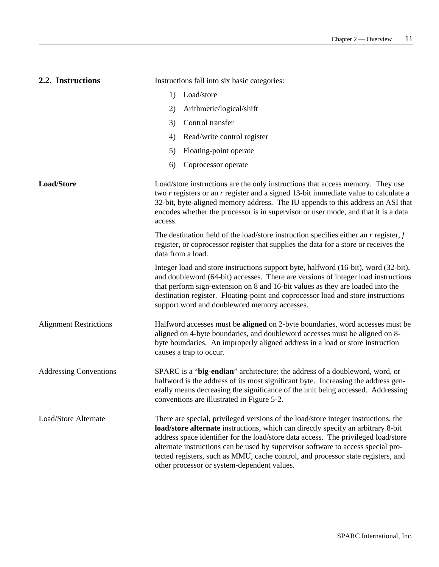| 2.2. Instructions             | Instructions fall into six basic categories:                                                                                                                                                                                                                                                                                                                                                                                                                                        |  |  |
|-------------------------------|-------------------------------------------------------------------------------------------------------------------------------------------------------------------------------------------------------------------------------------------------------------------------------------------------------------------------------------------------------------------------------------------------------------------------------------------------------------------------------------|--|--|
|                               | Load/store<br>1)                                                                                                                                                                                                                                                                                                                                                                                                                                                                    |  |  |
|                               | Arithmetic/logical/shift<br>2)                                                                                                                                                                                                                                                                                                                                                                                                                                                      |  |  |
|                               | Control transfer<br>3)                                                                                                                                                                                                                                                                                                                                                                                                                                                              |  |  |
|                               | Read/write control register<br>4)                                                                                                                                                                                                                                                                                                                                                                                                                                                   |  |  |
|                               | Floating-point operate<br>5)                                                                                                                                                                                                                                                                                                                                                                                                                                                        |  |  |
|                               | 6)<br>Coprocessor operate                                                                                                                                                                                                                                                                                                                                                                                                                                                           |  |  |
| Load/Store                    | Load/store instructions are the only instructions that access memory. They use<br>two r registers or an r register and a signed 13-bit immediate value to calculate a<br>32-bit, byte-aligned memory address. The IU appends to this address an ASI that<br>encodes whether the processor is in supervisor or user mode, and that it is a data<br>access.                                                                                                                           |  |  |
|                               | The destination field of the load/store instruction specifies either an $r$ register, $f$<br>register, or coprocessor register that supplies the data for a store or receives the<br>data from a load.                                                                                                                                                                                                                                                                              |  |  |
|                               | Integer load and store instructions support byte, halfword (16-bit), word (32-bit),<br>and doubleword (64-bit) accesses. There are versions of integer load instructions<br>that perform sign-extension on 8 and 16-bit values as they are loaded into the<br>destination register. Floating-point and coprocessor load and store instructions<br>support word and doubleword memory accesses.                                                                                      |  |  |
| <b>Alignment Restrictions</b> | Halfword accesses must be aligned on 2-byte boundaries, word accesses must be<br>aligned on 4-byte boundaries, and doubleword accesses must be aligned on 8-<br>byte boundaries. An improperly aligned address in a load or store instruction<br>causes a trap to occur.                                                                                                                                                                                                            |  |  |
| <b>Addressing Conventions</b> | SPARC is a "big-endian" architecture: the address of a doubleword, word, or<br>halfword is the address of its most significant byte. Increasing the address gen-<br>erally means decreasing the significance of the unit being accessed. Addressing<br>conventions are illustrated in Figure 5-2.                                                                                                                                                                                   |  |  |
| Load/Store Alternate          | There are special, privileged versions of the load/store integer instructions, the<br>load/store alternate instructions, which can directly specify an arbitrary 8-bit<br>address space identifier for the load/store data access. The privileged load/store<br>alternate instructions can be used by supervisor software to access special pro-<br>tected registers, such as MMU, cache control, and processor state registers, and<br>other processor or system-dependent values. |  |  |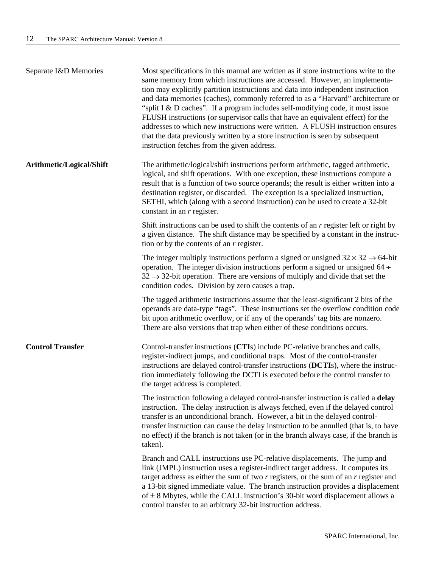| Separate I&D Memories    | Most specifications in this manual are written as if store instructions write to the<br>same memory from which instructions are accessed. However, an implementa-<br>tion may explicitly partition instructions and data into independent instruction<br>and data memories (caches), commonly referred to as a "Harvard" architecture or<br>"split I & D caches". If a program includes self-modifying code, it must issue<br>FLUSH instructions (or supervisor calls that have an equivalent effect) for the<br>addresses to which new instructions were written. A FLUSH instruction ensures<br>that the data previously written by a store instruction is seen by subsequent<br>instruction fetches from the given address. |
|--------------------------|--------------------------------------------------------------------------------------------------------------------------------------------------------------------------------------------------------------------------------------------------------------------------------------------------------------------------------------------------------------------------------------------------------------------------------------------------------------------------------------------------------------------------------------------------------------------------------------------------------------------------------------------------------------------------------------------------------------------------------|
| Arithmetic/Logical/Shift | The arithmetic/logical/shift instructions perform arithmetic, tagged arithmetic,<br>logical, and shift operations. With one exception, these instructions compute a<br>result that is a function of two source operands; the result is either written into a<br>destination register, or discarded. The exception is a specialized instruction,<br>SETHI, which (along with a second instruction) can be used to create a 32-bit<br>constant in an $r$ register.                                                                                                                                                                                                                                                               |
|                          | Shift instructions can be used to shift the contents of an $r$ register left or right by<br>a given distance. The shift distance may be specified by a constant in the instruc-<br>tion or by the contents of an r register.                                                                                                                                                                                                                                                                                                                                                                                                                                                                                                   |
|                          | The integer multiply instructions perform a signed or unsigned $32 \times 32 \rightarrow 64$ -bit<br>operation. The integer division instructions perform a signed or unsigned $64 \div$<br>$32 \rightarrow 32$ -bit operation. There are versions of multiply and divide that set the<br>condition codes. Division by zero causes a trap.                                                                                                                                                                                                                                                                                                                                                                                     |
|                          | The tagged arithmetic instructions assume that the least-significant 2 bits of the<br>operands are data-type "tags". These instructions set the overflow condition code<br>bit upon arithmetic overflow, or if any of the operands' tag bits are nonzero.<br>There are also versions that trap when either of these conditions occurs.                                                                                                                                                                                                                                                                                                                                                                                         |
| <b>Control Transfer</b>  | Control-transfer instructions (CTIs) include PC-relative branches and calls,<br>register-indirect jumps, and conditional traps. Most of the control-transfer<br>instructions are delayed control-transfer instructions (DCTIs), where the instruc-<br>tion immediately following the DCTI is executed before the control transfer to<br>the target address is completed.                                                                                                                                                                                                                                                                                                                                                       |
|                          | The instruction following a delayed control-transfer instruction is called a delay<br>instruction. The delay instruction is always fetched, even if the delayed control<br>transfer is an unconditional branch. However, a bit in the delayed control-<br>transfer instruction can cause the delay instruction to be annulled (that is, to have<br>no effect) if the branch is not taken (or in the branch always case, if the branch is<br>taken).                                                                                                                                                                                                                                                                            |
|                          | Branch and CALL instructions use PC-relative displacements. The jump and<br>link (JMPL) instruction uses a register-indirect target address. It computes its<br>target address as either the sum of two $r$ registers, or the sum of an $r$ register and<br>a 13-bit signed immediate value. The branch instruction provides a displacement<br>of $\pm$ 8 Mbytes, while the CALL instruction's 30-bit word displacement allows a<br>control transfer to an arbitrary 32-bit instruction address.                                                                                                                                                                                                                               |
|                          |                                                                                                                                                                                                                                                                                                                                                                                                                                                                                                                                                                                                                                                                                                                                |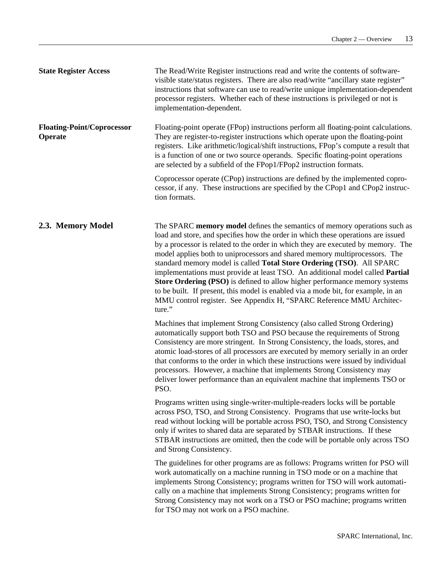| <b>State Register Access</b>                 | The Read/Write Register instructions read and write the contents of software-<br>visible state/status registers. There are also read/write "ancillary state register"<br>instructions that software can use to read/write unique implementation-dependent<br>processor registers. Whether each of these instructions is privileged or not is<br>implementation-dependent.                                                                                                                                                                                                                                                                                                                                                                      |
|----------------------------------------------|------------------------------------------------------------------------------------------------------------------------------------------------------------------------------------------------------------------------------------------------------------------------------------------------------------------------------------------------------------------------------------------------------------------------------------------------------------------------------------------------------------------------------------------------------------------------------------------------------------------------------------------------------------------------------------------------------------------------------------------------|
| <b>Floating-Point/Coprocessor</b><br>Operate | Floating-point operate (FPop) instructions perform all floating-point calculations.<br>They are register-to-register instructions which operate upon the floating-point<br>registers. Like arithmetic/logical/shift instructions, FPop's compute a result that<br>is a function of one or two source operands. Specific floating-point operations<br>are selected by a subfield of the FPop1/FPop2 instruction formats.                                                                                                                                                                                                                                                                                                                        |
|                                              | Coprocessor operate (CPop) instructions are defined by the implemented copro-<br>cessor, if any. These instructions are specified by the CPop1 and CPop2 instruc-<br>tion formats.                                                                                                                                                                                                                                                                                                                                                                                                                                                                                                                                                             |
| 2.3. Memory Model                            | The SPARC memory model defines the semantics of memory operations such as<br>load and store, and specifies how the order in which these operations are issued<br>by a processor is related to the order in which they are executed by memory. The<br>model applies both to uniprocessors and shared memory multiprocessors. The<br>standard memory model is called Total Store Ordering (TSO). All SPARC<br>implementations must provide at least TSO. An additional model called Partial<br>Store Ordering (PSO) is defined to allow higher performance memory systems<br>to be built. If present, this model is enabled via a mode bit, for example, in an<br>MMU control register. See Appendix H, "SPARC Reference MMU Architec-<br>ture." |
|                                              | Machines that implement Strong Consistency (also called Strong Ordering)<br>automatically support both TSO and PSO because the requirements of Strong<br>Consistency are more stringent. In Strong Consistency, the loads, stores, and<br>atomic load-stores of all processors are executed by memory serially in an order<br>that conforms to the order in which these instructions were issued by individual<br>processors. However, a machine that implements Strong Consistency may<br>deliver lower performance than an equivalent machine that implements TSO or<br>PSO.                                                                                                                                                                 |
|                                              | Programs written using single-writer-multiple-readers locks will be portable<br>across PSO, TSO, and Strong Consistency. Programs that use write-locks but<br>read without locking will be portable across PSO, TSO, and Strong Consistency<br>only if writes to shared data are separated by STBAR instructions. If these<br>STBAR instructions are omitted, then the code will be portable only across TSO<br>and Strong Consistency.                                                                                                                                                                                                                                                                                                        |
|                                              | The guidelines for other programs are as follows: Programs written for PSO will<br>work automatically on a machine running in TSO mode or on a machine that<br>implements Strong Consistency; programs written for TSO will work automati-<br>cally on a machine that implements Strong Consistency; programs written for<br>Strong Consistency may not work on a TSO or PSO machine; programs written<br>for TSO may not work on a PSO machine.                                                                                                                                                                                                                                                                                               |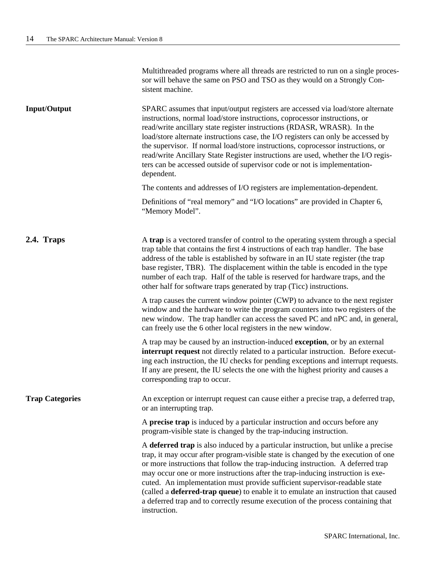|                        | Multithreaded programs where all threads are restricted to run on a single proces-<br>sor will behave the same on PSO and TSO as they would on a Strongly Con-<br>sistent machine.                                                                                                                                                                                                                                                                                                                                                                                                                                 |
|------------------------|--------------------------------------------------------------------------------------------------------------------------------------------------------------------------------------------------------------------------------------------------------------------------------------------------------------------------------------------------------------------------------------------------------------------------------------------------------------------------------------------------------------------------------------------------------------------------------------------------------------------|
| <b>Input/Output</b>    | SPARC assumes that input/output registers are accessed via load/store alternate<br>instructions, normal load/store instructions, coprocessor instructions, or<br>read/write ancillary state register instructions (RDASR, WRASR). In the<br>load/store alternate instructions case, the I/O registers can only be accessed by<br>the supervisor. If normal load/store instructions, coprocessor instructions, or<br>read/write Ancillary State Register instructions are used, whether the I/O regis-<br>ters can be accessed outside of supervisor code or not is implementation-<br>dependent.                   |
|                        | The contents and addresses of I/O registers are implementation-dependent.                                                                                                                                                                                                                                                                                                                                                                                                                                                                                                                                          |
|                        | Definitions of "real memory" and "I/O locations" are provided in Chapter 6,<br>"Memory Model".                                                                                                                                                                                                                                                                                                                                                                                                                                                                                                                     |
| 2.4. Traps             | A trap is a vectored transfer of control to the operating system through a special<br>trap table that contains the first 4 instructions of each trap handler. The base<br>address of the table is established by software in an IU state register (the trap<br>base register, TBR). The displacement within the table is encoded in the type<br>number of each trap. Half of the table is reserved for hardware traps, and the<br>other half for software traps generated by trap (Ticc) instructions.                                                                                                             |
|                        | A trap causes the current window pointer (CWP) to advance to the next register<br>window and the hardware to write the program counters into two registers of the<br>new window. The trap handler can access the saved PC and nPC and, in general,<br>can freely use the 6 other local registers in the new window.                                                                                                                                                                                                                                                                                                |
|                        | A trap may be caused by an instruction-induced exception, or by an external<br>interrupt request not directly related to a particular instruction. Before execut-<br>ing each instruction, the IU checks for pending exceptions and interrupt requests.<br>If any are present, the IU selects the one with the highest priority and causes a<br>corresponding trap to occur.                                                                                                                                                                                                                                       |
| <b>Trap Categories</b> | An exception or interrupt request can cause either a precise trap, a deferred trap,<br>or an interrupting trap.                                                                                                                                                                                                                                                                                                                                                                                                                                                                                                    |
|                        | A precise trap is induced by a particular instruction and occurs before any<br>program-visible state is changed by the trap-inducing instruction.                                                                                                                                                                                                                                                                                                                                                                                                                                                                  |
|                        | A deferred trap is also induced by a particular instruction, but unlike a precise<br>trap, it may occur after program-visible state is changed by the execution of one<br>or more instructions that follow the trap-inducing instruction. A deferred trap<br>may occur one or more instructions after the trap-inducing instruction is exe-<br>cuted. An implementation must provide sufficient supervisor-readable state<br>(called a deferred-trap queue) to enable it to emulate an instruction that caused<br>a deferred trap and to correctly resume execution of the process containing that<br>instruction. |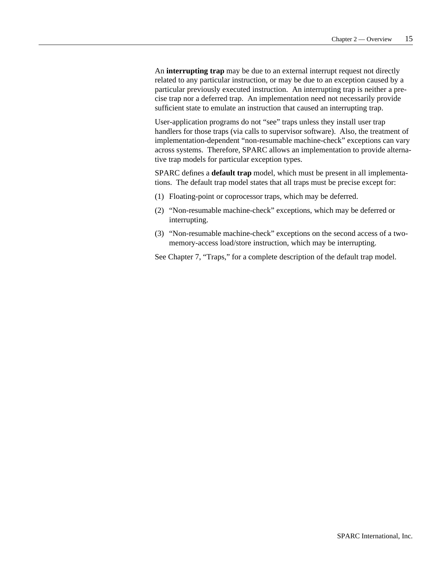An **interrupting trap** may be due to an external interrupt request not directly related to any particular instruction, or may be due to an exception caused by a particular previously executed instruction. An interrupting trap is neither a precise trap nor a deferred trap. An implementation need not necessarily provide sufficient state to emulate an instruction that caused an interrupting trap.

User-application programs do not "see" traps unless they install user trap handlers for those traps (via calls to supervisor software). Also, the treatment of implementation-dependent "non-resumable machine-check" exceptions can vary across systems. Therefore, SPARC allows an implementation to provide alternative trap models for particular exception types.

SPARC defines a **default trap** model, which must be present in all implementations. The default trap model states that all traps must be precise except for:

- (1) Floating-point or coprocessor traps, which may be deferred.
- (2) "Non-resumable machine-check" exceptions, which may be deferred or interrupting.
- (3) "Non-resumable machine-check" exceptions on the second access of a twomemory-access load/store instruction, which may be interrupting.

See Chapter 7, "Traps," for a complete description of the default trap model.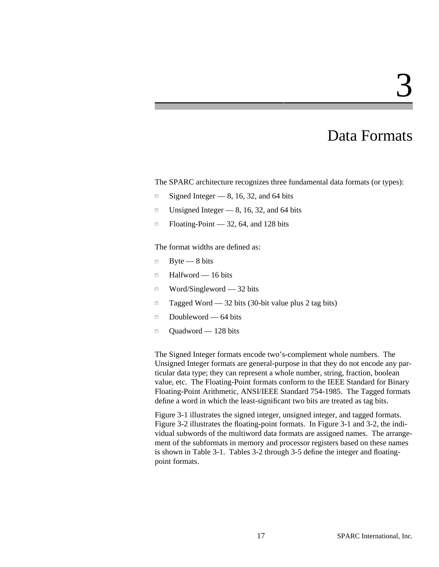## Data Formats

The SPARC architecture recognizes three fundamental data formats (or types):

- $\Box$  Signed Integer 8, 16, 32, and 64 bits
- $\Box$  Unsigned Integer 8, 16, 32, and 64 bits
- $\Box$  Floating-Point 32, 64, and 128 bits

The format widths are defined as:

- $\Box$  Byte 8 bits
- $\Box$  Halfword 16 bits
- $\Box$  Word/Singleword 32 bits
- $\Box$  Tagged Word 32 bits (30-bit value plus 2 tag bits)
- $\Box$  Doubleword 64 bits
- $\Box$  Quadword 128 bits

The Signed Integer formats encode two's-complement whole numbers. The Unsigned Integer formats are general-purpose in that they do not encode any particular data type; they can represent a whole number, string, fraction, boolean value, etc. The Floating-Point formats conform to the IEEE Standard for Binary Floating-Point Arithmetic, ANSI/IEEE Standard 754-1985. The Tagged formats define a word in which the least-significant two bits are treated as tag bits.

Figure 3-1 illustrates the signed integer, unsigned integer, and tagged formats. Figure 3-2 illustrates the floating-point formats. In Figure 3-1 and 3-2, the individual subwords of the multiword data formats are assigned names. The arrangement of the subformats in memory and processor registers based on these names is shown in Table 3-1. Tables 3-2 through 3-5 define the integer and floatingpoint formats.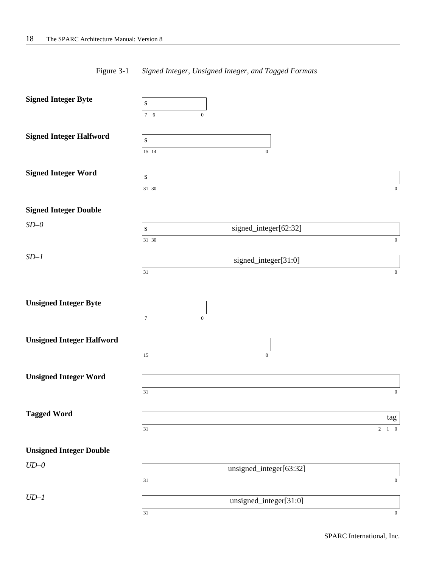## Figure 3-1 *Signed Integer, Unsigned Integer, and Tagged Formats*

| <b>Signed Integer Byte</b>       | ${\bf S}$<br>$7\quad 6$<br>$\boldsymbol{0}$ |                          |
|----------------------------------|---------------------------------------------|--------------------------|
| <b>Signed Integer Halfword</b>   | ${\bf S}$<br>15 14<br>$\boldsymbol{0}$      |                          |
| <b>Signed Integer Word</b>       | ${\bf S}$<br>31 30                          | $\boldsymbol{0}$         |
| <b>Signed Integer Double</b>     |                                             |                          |
| $SD-0$                           | signed_integer[62:32]<br>${\bf S}$<br>31 30 | $\mathbf{0}$             |
| $SD-1$                           | signed_integer[31:0]<br>$31\,$              | $\boldsymbol{0}$         |
| <b>Unsigned Integer Byte</b>     | $\boldsymbol{7}$<br>$\boldsymbol{0}$        |                          |
| <b>Unsigned Integer Halfword</b> | 15<br>$\boldsymbol{0}$                      |                          |
| <b>Unsigned Integer Word</b>     | $31\,$                                      | $\boldsymbol{0}$         |
| <b>Tagged Word</b>               | 31                                          | tag<br>$2\quad 1\quad 0$ |
| <b>Unsigned Integer Double</b>   |                                             |                          |
| $UD-0$                           | unsigned_integer[63:32]<br>$31\,$           | $\boldsymbol{0}$         |
| $UD-1$                           | unsigned_integer[31:0]                      |                          |
|                                  | $31\,$                                      | $\boldsymbol{0}$         |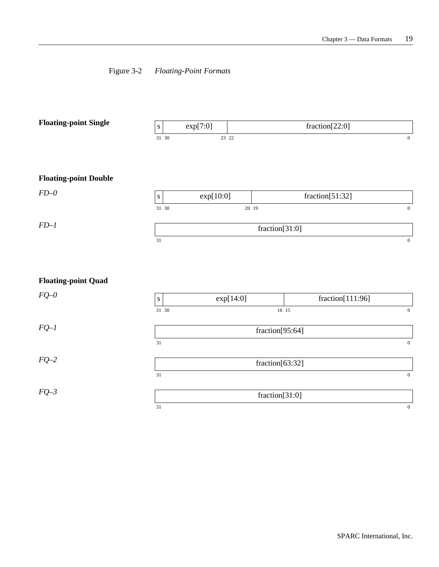## Figure 3-2 *Floating-Point Formats*

| <b>Floating-point Single</b> | ${\bf S}$       | exp[7:0]  |                | fraction[22:0]   |                  |
|------------------------------|-----------------|-----------|----------------|------------------|------------------|
|                              | 31 30           | 23 22     |                |                  | $\mathbf{0}$     |
|                              |                 |           |                |                  |                  |
| <b>Floating-point Double</b> |                 |           |                |                  |                  |
| ${\it FD}\!\!-\!\!0$         | ${\bf S}$       | exp[10:0] |                | fraction[51:32]  |                  |
|                              | 31 30           |           | 20 19          |                  | $\mathbf{0}$     |
| ${\it FD}\text{--}1$         |                 |           | fraction[31:0] |                  |                  |
|                              | $31\,$          |           |                |                  | $\mathbf{0}$     |
|                              |                 |           |                |                  |                  |
|                              |                 |           |                |                  |                  |
| <b>Floating-point Quad</b>   |                 |           |                |                  |                  |
| $FQ\!\!-\!\!0$               | ${\bf S}$       | exp[14:0] |                | fraction[111:96] |                  |
|                              | 31 30           |           |                | 16 15            | $\mathbf{0}$     |
| ${\cal FQ-1}$                | fraction[95:64] |           |                |                  |                  |
|                              | $31\,$          |           |                |                  | $\mathbf{0}$     |
| ${\cal F}Q\text{--}2$        | fraction[63:32] |           |                |                  |                  |
|                              | $31\,$          |           |                |                  | $\boldsymbol{0}$ |
|                              |                 |           |                |                  |                  |
| $FQ - 3$                     |                 |           | fraction[31:0] |                  |                  |
|                              | 31              |           |                |                  | $\boldsymbol{0}$ |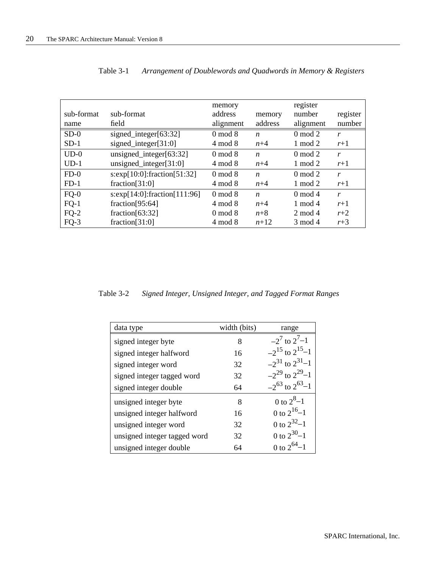|            |                               | memory     |                  | register   |              |
|------------|-------------------------------|------------|------------------|------------|--------------|
| sub-format | sub-format                    | address    | memory           | number     | register     |
| name       | field                         | alignment  | address          | alignment  | number       |
| $SD-0$     | signed_integer[63:32]         | $0 \mod 8$ | $\boldsymbol{n}$ | $0 \mod 2$ | r            |
| $SD-1$     | signed_integer[31:0]          | 4 mod 8    | $n+4$            | $1 \mod 2$ | $r+1$        |
| $UD-0$     | unsigned_integer[ $63:32$ ]   | $0 \mod 8$ | n                | $0 \mod 2$ | $\mathbf{r}$ |
| $UD-1$     | unsigned_integer $[31:0]$     | 4 mod 8    | $n+4$            | $1 \mod 2$ | $r+1$        |
| $FD-0$     | s:exp[10:0]:frac[51:32]       | $0 \mod 8$ | n                | $0 \mod 2$ | r            |
| $FD-1$     | fraction $[31:0]$             | $4 \mod 8$ | $n+4$            | $1 \mod 2$ | $r+1$        |
| $FQ-0$     | s:exp[14:0]: fraction[111:96] | $0 \mod 8$ | $\boldsymbol{n}$ | $0 \mod 4$ | r            |
| $FQ-1$     | fraction $[95:64]$            | $4 \mod 8$ | $n+4$            | $1 \mod 4$ | $r+1$        |
| $FQ-2$     | fraction $[63:32]$            | $0 \mod 8$ | $n+8$            | $2 \mod 4$ | $r+2$        |
| $FQ-3$     | fraction $[31:0]$             | $4 \mod 8$ | $n+12$           | 3 mod 4    | $r+3$        |

Table 3-1 *Arrangement of Doublewords and Quadwords in Memory & Registers*

Table 3-2 *Signed Integer, Unsigned Integer, and Tagged Format Ranges*

| data type                    | width (bits) | range                    |
|------------------------------|--------------|--------------------------|
| signed integer byte          | 8            | $-2^7$ to $2^7$ -1       |
| signed integer halfword      | 16           | $-2^{15}$ to $2^{15}-1$  |
| signed integer word          | 32           | $-2^{31}$ to $2^{31}$ -1 |
| signed integer tagged word   | 32           | $-2^{29}$ to $2^{29}$ -1 |
| signed integer double        | 64           | $-2^{63}$ to $2^{63}-1$  |
| unsigned integer byte        | 8            | 0 to $2^8-1$             |
| unsigned integer halfword    | 16           | 0 to $2^{16}$ –1         |
| unsigned integer word        | 32           | 0 to $2^{32}$ –1         |
| unsigned integer tagged word | 32           | 0 to $2^{30} - 1$        |
| unsigned integer double      | 64           | 0 to $2^{64} - 1$        |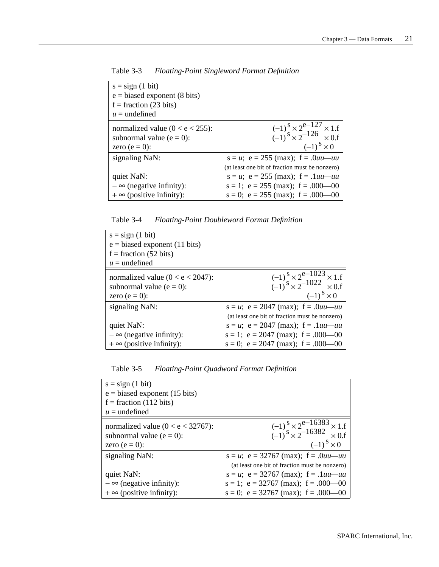| $s = sign(1 bit)$                  |                                                                                 |
|------------------------------------|---------------------------------------------------------------------------------|
| $e = biased exponent (8 bits)$     |                                                                                 |
| $f = fraction (23 bits)$           |                                                                                 |
| $u =$ undefined                    |                                                                                 |
| normalized value $(0 < e < 255)$ : | $(-1)^{8} \times 2^{e-127} \times 1.5$<br>$(-1)^{8} \times 2^{-126} \times 0.5$ |
| subnormal value ( $e = 0$ ):       |                                                                                 |
| zero ( $e = 0$ ):                  | $(-1)^{S} \times 0$                                                             |
| signaling NaN:                     | $s = u$ ; $e = 255$ (max); $f = .0uu$ —uu                                       |
|                                    | (at least one bit of fraction must be nonzero)                                  |
| quiet NaN:                         | $s = u$ ; $e = 255$ (max); $f = .1uu$ —uu                                       |
| $-\infty$ (negative infinity):     | $s = 1$ ; $e = 255$ (max); $f = .000 - .00$                                     |
| $+ \infty$ (positive infinity):    | $s = 0$ ; $e = 255$ (max); $f = .000 - .00$                                     |

Table 3-3 *Floating-Point Singleword Format Definition*

Table 3-4 *Floating-Point Doubleword Format Definition*

| $s = sign(1 bit)$                   |                                                                                   |
|-------------------------------------|-----------------------------------------------------------------------------------|
| $e = biased exponent (11 bits)$     |                                                                                   |
| $f = fraction (52 bits)$            |                                                                                   |
| $u =$ undefined                     |                                                                                   |
| normalized value $(0 < e < 2047)$ : | $(-1)^{s} \times 2^{e-1023} \times 1.f$<br>$(-1)^{s} \times 2^{-1022} \times 0.f$ |
| subnormal value ( $e = 0$ ):        |                                                                                   |
| zero ( $e = 0$ ):                   | $(-1)^{S} \times 0$                                                               |
| signaling NaN:                      | $s = u$ ; $e = 2047$ (max); $f = 0uu$ —uu                                         |
|                                     | (at least one bit of fraction must be nonzero)                                    |
| quiet NaN:                          | $s = u$ ; $e = 2047$ (max); $f = .1uu$ —uu                                        |
| $-\infty$ (negative infinity):      | $s = 1$ ; $e = 2047$ (max); $f = .000 - .00$                                      |
| $+ \infty$ (positive infinity):     | $s = 0$ ; $e = 2047$ (max); $f = .000 - .00$                                      |

Table 3-5 *Floating-Point Quadword Format Definition*

| $s = sign(1 bit)$                    |                                                                                     |
|--------------------------------------|-------------------------------------------------------------------------------------|
| $e = biased exponent (15 bits)$      |                                                                                     |
| $f = fraction (112 bits)$            |                                                                                     |
| $u =$ undefined                      |                                                                                     |
| normalized value $(0 < e < 32767)$ : | $(-1)^{8} \times 2^{e-16383} \times 1.f$<br>$(-1)^{8} \times 2^{-16382} \times 0.f$ |
| subnormal value ( $e = 0$ ):         |                                                                                     |
| zero ( $e = 0$ ):                    | $(-1)^{S} \times 0$                                                                 |
| signaling NaN:                       | $s = u$ ; $e = 32767$ (max); $f = .0uu$ —uu                                         |
|                                      | (at least one bit of fraction must be nonzero)                                      |
| quiet NaN:                           | $s = u$ ; $e = 32767$ (max); $f = .1uu$ ----                                        |
| $-\infty$ (negative infinity):       | $s = 1$ ; $e = 32767$ (max); $f = .000 - .00$                                       |
| $+ \infty$ (positive infinity):      | $s = 0$ ; $e = 32767$ (max); $f = .000 - .00$                                       |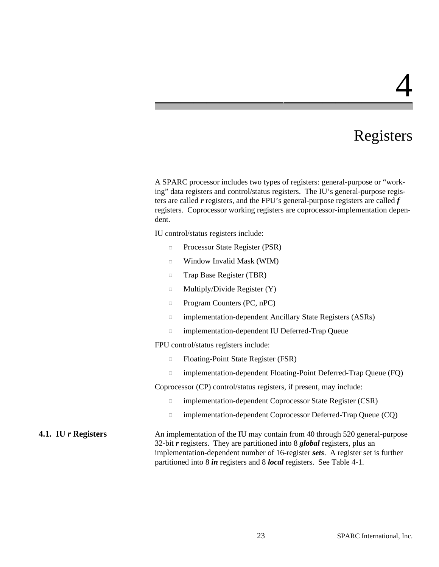# 4

# Registers

A SPARC processor includes two types of registers: general-purpose or "working" data registers and control/status registers. The IU's general-purpose registers are called *r* registers, and the FPU's general-purpose registers are called *f* registers. Coprocessor working registers are coprocessor-implementation dependent.

IU control/status registers include:

- Processor State Register (PSR)
- $\Box$  Window Invalid Mask (WIM)
- □ Trap Base Register (TBR)
- $\Box$  Multiply/Divide Register (Y)
- □ Program Counters (PC, nPC)
- implementation-dependent Ancillary State Registers (ASRs)
- implementation-dependent IU Deferred-Trap Queue

FPU control/status registers include:

- □ Floating-Point State Register (FSR)
- implementation-dependent Floating-Point Deferred-Trap Queue (FQ)

Coprocessor (CP) control/status registers, if present, may include:

- implementation-dependent Coprocessor State Register (CSR)
- implementation-dependent Coprocessor Deferred-Trap Queue (CQ)

**4.1. IU** *r* **Registers** An implementation of the IU may contain from 40 through 520 general-purpose 32-bit *r* registers. They are partitioned into 8 *global* registers, plus an implementation-dependent number of 16-register *sets*. A register set is further partitioned into 8 *in* registers and 8 *local* registers. See Table 4-1.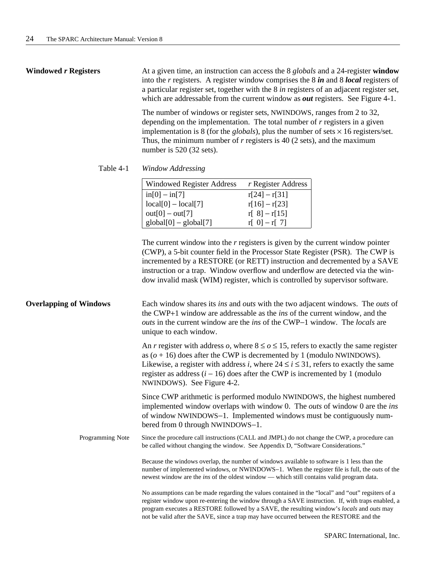#### **Windowed** *r* **Registers** At a given time, an instruction can access the 8 *globals* and a 24-register **window** into the *r* registers. A register window comprises the 8 *in* and 8 *local* registers of a particular register set, together with the 8 *in* registers of an adjacent register set, which are addressable from the current window as *out* registers. See Figure 4-1.

The number of windows or register sets, NWINDOWS, ranges from 2 to 32, depending on the implementation. The total number of *r* registers in a given implementation is 8 (for the *globals*), plus the number of sets  $\times$  16 registers/set. Thus, the minimum number of *r* registers is 40 (2 sets), and the maximum number is 520 (32 sets).

#### Table 4-1 *Window Addressing*

| <b>Windowed Register Address</b>    | r Register Address |
|-------------------------------------|--------------------|
| $\text{in}[0] - \text{in}[7]$       | $r[24] - r[31]$    |
| $\text{local}[0] - \text{local}[7]$ | $r[16]-r[23]$      |
| $out[0] - out[7]$                   | $r[8]-r[15]$       |
| $global[0] - global[7]$             | $r[0]-r[7]$        |

The current window into the *r* registers is given by the current window pointer (CWP), a 5-bit counter field in the Processor State Register (PSR). The CWP is incremented by a RESTORE (or RETT) instruction and decremented by a SAVE instruction or a trap. Window overflow and underflow are detected via the window invalid mask (WIM) register, which is controlled by supervisor software.

### **Overlapping of Windows** Each window shares its *ins* and *outs* with the two adjacent windows. The *outs* of the CWP+1 window are addressable as the *ins* of the current window, and the *outs* in the current window are the *ins* of the CWP−1 window. The *locals* are unique to each window.

An *r* register with address *o*, where  $8 \leq o \leq 15$ , refers to exactly the same register as  $(\rho + 16)$  does after the CWP is decremented by 1 (modulo NWINDOWS). Likewise, a register with address *i*, where  $24 \le i \le 31$ , refers to exactly the same register as address  $(i - 16)$  does after the CWP is incremented by 1 (modulo NWINDOWS). See Figure 4-2.

Since CWP arithmetic is performed modulo NWINDOWS, the highest numbered implemented window overlaps with window 0. The *outs* of window 0 are the *ins* of window NWINDOWS−1. Implemented windows must be contiguously numbered from 0 through NWINDOWS−1.

Programming Note Since the procedure call instructions (CALL and JMPL) do not change the CWP, a procedure can be called without changing the window. See Appendix D, "Software Considerations."

> Because the windows overlap, the number of windows available to software is 1 less than the number of implemented windows, or NWINDOWS−1. When the register file is full, the *outs* of the newest window are the *ins* of the oldest window — which still contains valid program data.

No assumptions can be made regarding the values contained in the "local" and "out" regsiters of a register window upon re-entering the window through a SAVE instruction. If, with traps enabled, a program executes a RESTORE followed by a SAVE, the resulting window's *locals* and *outs* may not be valid after the SAVE, since a trap may have occurred between the RESTORE and the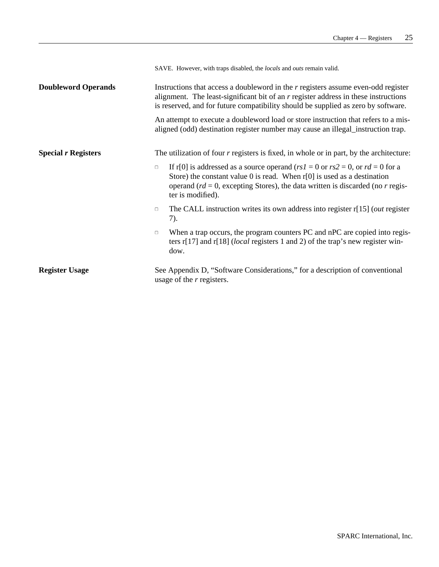|                            | SAVE. However, with traps disabled, the locals and outs remain valid.                                                                                                                                                                                                                                          |  |  |  |
|----------------------------|----------------------------------------------------------------------------------------------------------------------------------------------------------------------------------------------------------------------------------------------------------------------------------------------------------------|--|--|--|
| <b>Doubleword Operands</b> | Instructions that access a doubleword in the r registers assume even-odd register<br>alignment. The least-significant bit of an $r$ register address in these instructions<br>is reserved, and for future compatibility should be supplied as zero by software.                                                |  |  |  |
|                            | An attempt to execute a doubleword load or store instruction that refers to a mis-<br>aligned (odd) destination register number may cause an illegal_instruction trap.                                                                                                                                         |  |  |  |
| Special $r$ Registers      | The utilization of four r registers is fixed, in whole or in part, by the architecture:                                                                                                                                                                                                                        |  |  |  |
|                            | If r[0] is addressed as a source operand $(rs1 = 0 \text{ or } rs2 = 0, \text{ or } rd = 0 \text{ for a})$<br>$\Box$<br>Store) the constant value $0$ is read. When $r[0]$ is used as a destination<br>operand ( $rd = 0$ , excepting Stores), the data written is discarded (no r regis-<br>ter is modified). |  |  |  |
|                            | The CALL instruction writes its own address into register $r[15]$ ( <i>out</i> register<br>$\Box$<br>7).                                                                                                                                                                                                       |  |  |  |
|                            | When a trap occurs, the program counters PC and nPC are copied into regis-<br>$\Box$<br>ters $r[17]$ and $r[18]$ ( <i>local</i> registers 1 and 2) of the trap's new register win-<br>dow.                                                                                                                     |  |  |  |
| <b>Register Usage</b>      | See Appendix D, "Software Considerations," for a description of conventional<br>usage of the <i>r</i> registers.                                                                                                                                                                                               |  |  |  |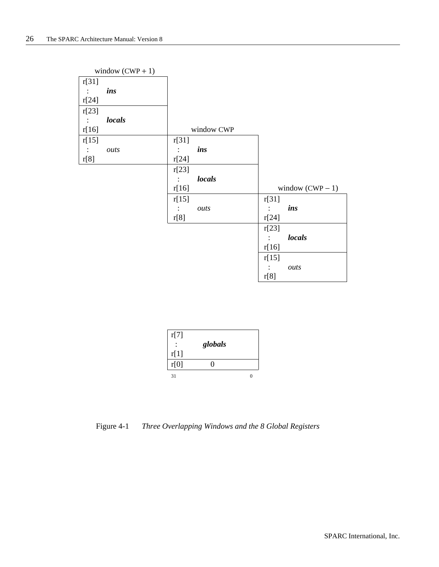| window $(CWP + 1)$             |                          |                          |
|--------------------------------|--------------------------|--------------------------|
| r[31]                          |                          |                          |
| ins                            |                          |                          |
| r[24]                          |                          |                          |
| r[23]                          |                          |                          |
| locals<br>$\ddot{\phantom{a}}$ |                          |                          |
| r[16]                          | window CWP               |                          |
| r[15]                          | r[31]                    |                          |
| outs<br>$\ddot{\cdot}$         | ins<br>$\ddot{\cdot}$    |                          |
| r[8]                           | r[24]                    |                          |
|                                | r[23]                    |                          |
|                                | locals<br>$\ddot{\cdot}$ |                          |
|                                | r[16]                    | window $(CWP - 1)$       |
|                                | r[15]                    | r[31]                    |
|                                | outs<br>$\ddot{\cdot}$   | ins<br>$\ddot{\cdot}$    |
|                                | r[8]                     | r[24]                    |
|                                |                          | r[23]                    |
|                                |                          | locals<br>$\ddot{\cdot}$ |
|                                |                          | r[16]                    |
|                                |                          | r[15]                    |
|                                |                          | outs                     |
|                                |                          | r[8]                     |

| r[7]<br>r[1] | globals           |  |
|--------------|-------------------|--|
| r[0]         | $\mathbf{\Omega}$ |  |
| 31           |                   |  |

Figure 4-1 *Three Overlapping Windows and the 8 Global Registers*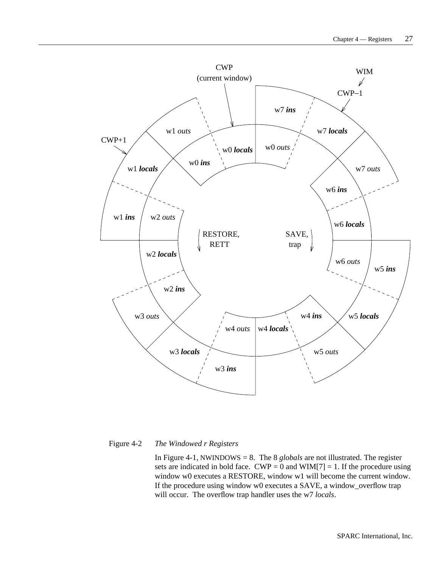

#### Figure 4-2 *The Windowed r Registers*

In Figure 4-1, NWINDOWS = 8. The 8 *globals* are not illustrated. The register sets are indicated in bold face. CWP = 0 and WIM[7] = 1. If the procedure using window w0 executes a RESTORE, window w1 will become the current window. If the procedure using window w0 executes a SAVE, a window\_overflow trap will occur. The overflow trap handler uses the w7 *locals*.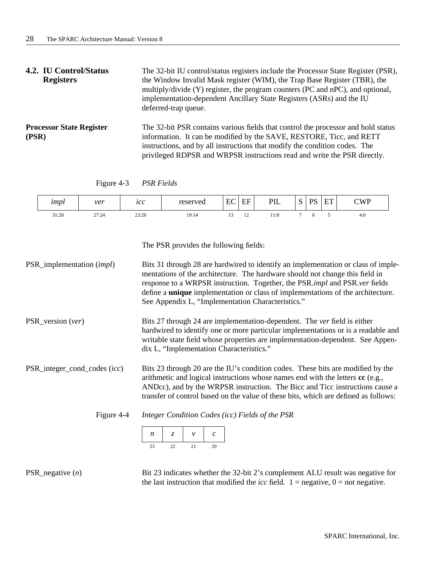| 4.2. IU Control/Status          | The 32-bit IU control/status registers include the Processor State Register (PSR), |
|---------------------------------|------------------------------------------------------------------------------------|
| <b>Registers</b>                | the Window Invalid Mask register (WIM), the Trap Base Register (TBR), the          |
|                                 | multiply/divide (Y) register, the program counters (PC and nPC), and optional,     |
|                                 | implementation-dependent Ancillary State Registers (ASRs) and the IU               |
|                                 | deferred-trap queue.                                                               |
| <b>Processor State Register</b> | The 32-bit PSR contains various fields that control the processor and hold status  |
| (PSR)                           | information. It can be modified by the SAVE, RESTORE, Ticc, and RETT               |
|                                 | instructions, and by all instructions that modify the condition codes. The         |
|                                 | privileged RDPSR and WRPSR instructions read and write the PSR directly.           |

Figure 4-3 *PSR Fields*

| impl  | ver            | ıcc   | reserved | $\Gamma$<br>н١.<br>∽ | $\Gamma$<br>нн<br>≖ | PIL<br>- -- | $\sim$<br>ັ | DC<br>້<br>- | T/T<br>-<br><u>. </u> | CWF |
|-------|----------------|-------|----------|----------------------|---------------------|-------------|-------------|--------------|-----------------------|-----|
| 31:28 | 27.24<br>21.27 | 23:20 | 19:14    |                      | $\overline{ }$      | 11:8        |             |              |                       | 4:0 |

The PSR provides the following fields:

PSR\_implementation (*impl*) Bits 31 through 28 are hardwired to identify an implementation or class of implementations of the architecture. The hardware should not change this field in response to a WRPSR instruction. Together, the PSR.*impl* and PSR.*ver* fields define a **unique** implementation or class of implementations of the architecture. See Appendix L, "Implementation Characteristics."

PSR\_version (*ver*) Bits 27 through 24 are implementation-dependent. The *ver* field is either hardwired to identify one or more particular implementations or is a readable and writable state field whose properties are implementation-dependent. See Appendix L, "Implementation Characteristics."

PSR\_integer\_cond\_codes (*icc*) Bits 23 through 20 are the IU's condition codes. These bits are modified by the arithmetic and logical instructions whose names end with the letters **cc** (e.g., ANDcc), and by the WRPSR instruction. The Bicc and Ticc instructions cause a transfer of control based on the value of these bits, which are defined as follows:

Figure 4-4 *Integer Condition Codes (icc) Fields of the PSR*

PSR\_negative (*n*) Bit 23 indicates whether the 32-bit 2's complement ALU result was negative for the last instruction that modified the *icc* field.  $1 =$  negative,  $0 =$  not negative.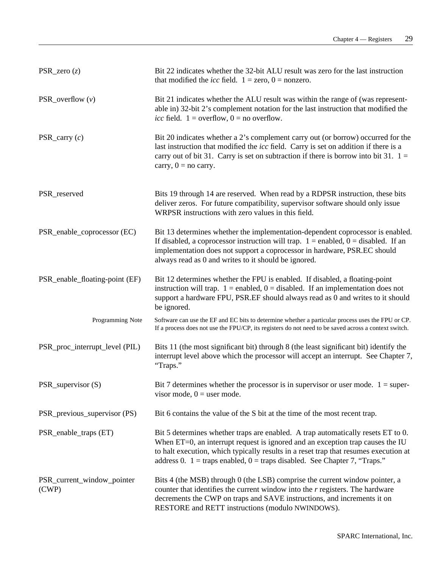| PSR_zero $(z)$                      | Bit 22 indicates whether the 32-bit ALU result was zero for the last instruction<br>that modified the <i>icc</i> field. $1 =$ zero, $0 =$ nonzero.                                                                                                                                                                                             |
|-------------------------------------|------------------------------------------------------------------------------------------------------------------------------------------------------------------------------------------------------------------------------------------------------------------------------------------------------------------------------------------------|
| PSR_overflow $(v)$                  | Bit 21 indicates whether the ALU result was within the range of (was represent-<br>able in) 32-bit 2's complement notation for the last instruction that modified the<br><i>icc</i> field. $1 =$ overflow, $0 =$ no overflow.                                                                                                                  |
| PSR_carry $(c)$                     | Bit 20 indicates whether a 2's complement carry out (or borrow) occurred for the<br>last instruction that modified the icc field. Carry is set on addition if there is a<br>carry out of bit 31. Carry is set on subtraction if there is borrow into bit 31. $1 =$<br>carry, $0 =$ no carry.                                                   |
| PSR_reserved                        | Bits 19 through 14 are reserved. When read by a RDPSR instruction, these bits<br>deliver zeros. For future compatibility, supervisor software should only issue<br>WRPSR instructions with zero values in this field.                                                                                                                          |
| PSR_enable_coprocessor (EC)         | Bit 13 determines whether the implementation-dependent coprocessor is enabled.<br>If disabled, a coprocessor instruction will trap. $1 =$ enabled, $0 =$ disabled. If an<br>implementation does not support a coprocessor in hardware, PSR.EC should<br>always read as 0 and writes to it should be ignored.                                   |
| PSR_enable_floating-point (EF)      | Bit 12 determines whether the FPU is enabled. If disabled, a floating-point<br>instruction will trap. $1 =$ enabled, $0 =$ disabled. If an implementation does not<br>support a hardware FPU, PSR.EF should always read as 0 and writes to it should<br>be ignored.                                                                            |
| Programming Note                    | Software can use the EF and EC bits to determine whether a particular process uses the FPU or CP.<br>If a process does not use the FPU/CP, its registers do not need to be saved across a context switch.                                                                                                                                      |
| PSR_proc_interrupt_level (PIL)      | Bits 11 (the most significant bit) through 8 (the least significant bit) identify the<br>interrupt level above which the processor will accept an interrupt. See Chapter 7,<br>"Traps."                                                                                                                                                        |
| $PSR$ _supervisor $(S)$             | Bit 7 determines whether the processor is in supervisor or user mode. $1 = super$ -<br>visor mode, $0 =$ user mode.                                                                                                                                                                                                                            |
| PSR_previous_supervisor (PS)        | Bit 6 contains the value of the S bit at the time of the most recent trap.                                                                                                                                                                                                                                                                     |
| PSR_enable_traps (ET)               | Bit 5 determines whether traps are enabled. A trap automatically resets ET to 0.<br>When $ET=0$ , an interrupt request is ignored and an exception trap causes the IU<br>to halt execution, which typically results in a reset trap that resumes execution at<br>address 0. $1 =$ traps enabled, $0 =$ traps disabled. See Chapter 7, "Traps." |
| PSR_current_window_pointer<br>(CWP) | Bits 4 (the MSB) through 0 (the LSB) comprise the current window pointer, a<br>counter that identifies the current window into the $r$ registers. The hardware<br>decrements the CWP on traps and SAVE instructions, and increments it on<br>RESTORE and RETT instructions (modulo NWINDOWS).                                                  |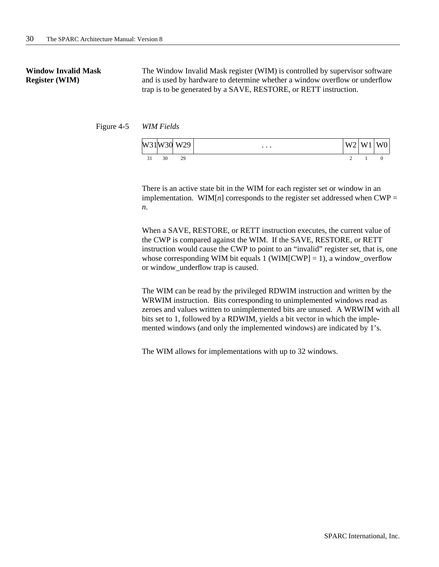#### **Window Invalid Mask Register (WIM)**

The Window Invalid Mask register (WIM) is controlled by supervisor software and is used by hardware to determine whether a window overflow or underflow trap is to be generated by a SAVE, RESTORE, or RETT instruction.

Figure 4-5 *WIM Fields*



There is an active state bit in the WIM for each register set or window in an implementation. WIM[ $n$ ] corresponds to the register set addressed when CWP = *n*.

When a SAVE, RESTORE, or RETT instruction executes, the current value of the CWP is compared against the WIM. If the SAVE, RESTORE, or RETT instruction would cause the CWP to point to an "invalid" register set, that is, one whose corresponding WIM bit equals 1 (WIM[CWP] = 1), a window\_overflow or window\_underflow trap is caused.

The WIM can be read by the privileged RDWIM instruction and written by the WRWIM instruction. Bits corresponding to unimplemented windows read as zeroes and values written to unimplemented bits are unused. A WRWIM with all bits set to 1, followed by a RDWIM, yields a bit vector in which the implemented windows (and only the implemented windows) are indicated by 1's.

The WIM allows for implementations with up to 32 windows.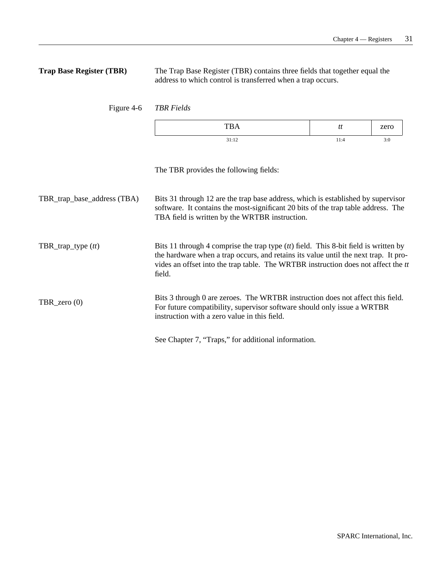| <b>Trap Base Register (TBR)</b> | The Trap Base Register (TBR) contains three fields that together equal the<br>address to which control is transferred when a trap occurs.                                                                                                                                   |      |      |
|---------------------------------|-----------------------------------------------------------------------------------------------------------------------------------------------------------------------------------------------------------------------------------------------------------------------------|------|------|
| Figure 4-6                      | <b>TBR</b> Fields                                                                                                                                                                                                                                                           |      |      |
|                                 | <b>TBA</b>                                                                                                                                                                                                                                                                  | tt   | zero |
|                                 | 31:12                                                                                                                                                                                                                                                                       | 11:4 | 3:0  |
|                                 | The TBR provides the following fields:                                                                                                                                                                                                                                      |      |      |
| TBR_trap_base_address (TBA)     | Bits 31 through 12 are the trap base address, which is established by supervisor<br>software. It contains the most-significant 20 bits of the trap table address. The<br>TBA field is written by the WRTBR instruction.                                                     |      |      |
| TBR_trap_type $(tt)$            | Bits 11 through 4 comprise the trap type $(tt)$ field. This 8-bit field is written by<br>the hardware when a trap occurs, and retains its value until the next trap. It pro-<br>vides an offset into the trap table. The WRTBR instruction does not affect the th<br>field. |      |      |
| TBR_zero $(0)$                  | Bits 3 through 0 are zeroes. The WRTBR instruction does not affect this field.<br>For future compatibility, supervisor software should only issue a WRTBR<br>instruction with a zero value in this field.                                                                   |      |      |
|                                 | See Chapter 7, "Traps," for additional information.                                                                                                                                                                                                                         |      |      |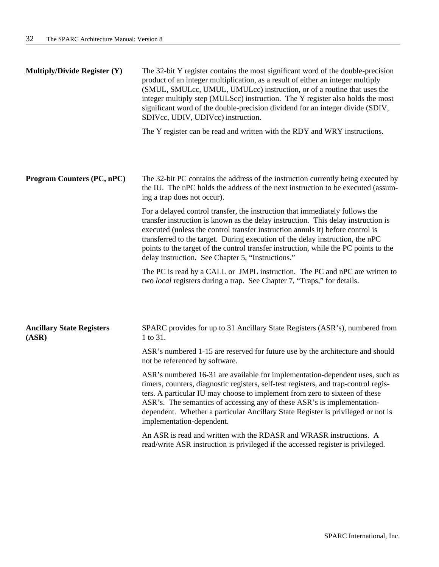| Multiply/Divide Register $(Y)$            | The 32-bit Y register contains the most significant word of the double-precision<br>product of an integer multiplication, as a result of either an integer multiply<br>(SMUL, SMULcc, UMUL, UMULcc) instruction, or of a routine that uses the<br>integer multiply step (MULScc) instruction. The Y register also holds the most<br>significant word of the double-precision dividend for an integer divide (SDIV,<br>SDIVcc, UDIV, UDIVcc) instruction.                          |
|-------------------------------------------|-----------------------------------------------------------------------------------------------------------------------------------------------------------------------------------------------------------------------------------------------------------------------------------------------------------------------------------------------------------------------------------------------------------------------------------------------------------------------------------|
|                                           | The Y register can be read and written with the RDY and WRY instructions.                                                                                                                                                                                                                                                                                                                                                                                                         |
| Program Counters (PC, nPC)                | The 32-bit PC contains the address of the instruction currently being executed by<br>the IU. The nPC holds the address of the next instruction to be executed (assum-<br>ing a trap does not occur).                                                                                                                                                                                                                                                                              |
|                                           | For a delayed control transfer, the instruction that immediately follows the<br>transfer instruction is known as the delay instruction. This delay instruction is<br>executed (unless the control transfer instruction annuls it) before control is<br>transferred to the target. During execution of the delay instruction, the nPC<br>points to the target of the control transfer instruction, while the PC points to the<br>delay instruction. See Chapter 5, "Instructions." |
|                                           | The PC is read by a CALL or JMPL instruction. The PC and nPC are written to<br>two local registers during a trap. See Chapter 7, "Traps," for details.                                                                                                                                                                                                                                                                                                                            |
|                                           |                                                                                                                                                                                                                                                                                                                                                                                                                                                                                   |
| <b>Ancillary State Registers</b><br>(ASR) | SPARC provides for up to 31 Ancillary State Registers (ASR's), numbered from<br>1 to 31.                                                                                                                                                                                                                                                                                                                                                                                          |
|                                           | ASR's numbered 1-15 are reserved for future use by the architecture and should<br>not be referenced by software.                                                                                                                                                                                                                                                                                                                                                                  |
|                                           | ASR's numbered 16-31 are available for implementation-dependent uses, such as<br>timers, counters, diagnostic registers, self-test registers, and trap-control regis-<br>ters. A particular IU may choose to implement from zero to sixteen of these<br>ASR's. The semantics of accessing any of these ASR's is implementation-<br>dependent. Whether a particular Ancillary State Register is privileged or not is<br>implementation-dependent.                                  |
|                                           | An ASR is read and written with the RDASR and WRASR instructions. A<br>read/write ASR instruction is privileged if the accessed register is privileged.                                                                                                                                                                                                                                                                                                                           |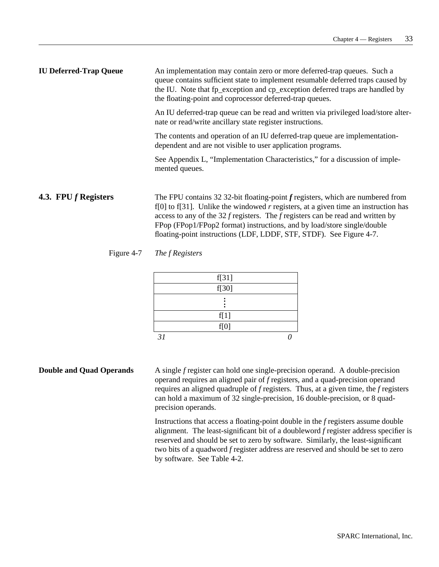**IU Deferred-Trap Queue** An implementation may contain zero or more deferred-trap queues. Such a queue contains sufficient state to implement resumable deferred traps caused by the IU. Note that fp\_exception and cp\_exception deferred traps are handled by the floating-point and coprocessor deferred-trap queues.

> An IU deferred-trap queue can be read and written via privileged load/store alternate or read/write ancillary state register instructions.

The contents and operation of an IU deferred-trap queue are implementationdependent and are not visible to user application programs.

See Appendix L, "Implementation Characteristics," for a discussion of implemented queues.

**4.3. FPU** *f* **Registers** The FPU contains 32 32-bit floating-point *f* registers, which are numbered from f[0] to f[31]. Unlike the windowed *r* registers, at a given time an instruction has access to any of the 32 *f* registers. The *f* registers can be read and written by FPop (FPop1/FPop2 format) instructions, and by load/store single/double floating-point instructions (LDF, LDDF, STF, STDF). See Figure 4-7.

#### Figure 4-7 *The f Registers*

| f[31] |  |
|-------|--|
| f[30] |  |
|       |  |
| f[1]  |  |
| f[0]  |  |
| $-31$ |  |

**Double and Quad Operands** A single *f* register can hold one single-precision operand. A double-precision operand requires an aligned pair of *f* registers, and a quad-precision operand requires an aligned quadruple of *f* registers. Thus, at a given time, the *f* registers can hold a maximum of 32 single-precision, 16 double-precision, or 8 quadprecision operands.

> Instructions that access a floating-point double in the *f* registers assume double alignment. The least-significant bit of a doubleword *f* register address specifier is reserved and should be set to zero by software. Similarly, the least-significant two bits of a quadword *f* register address are reserved and should be set to zero by software. See Table 4-2.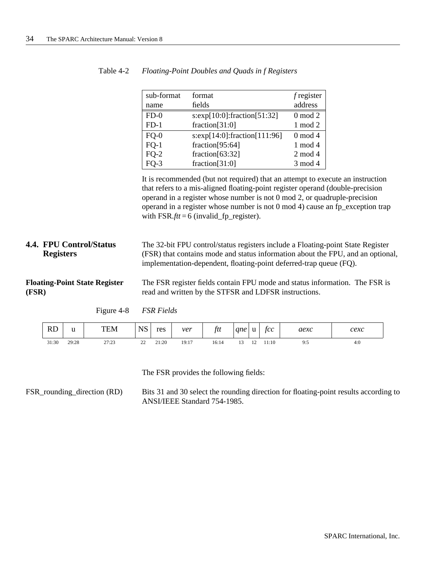| sub-format | format                        | $f$ register |
|------------|-------------------------------|--------------|
| name       | fields                        | address      |
| $FD-0$     | s:exp[10:0]:frac[51:32]       | $0 \mod 2$   |
| $FD-1$     | fraction $[31:0]$             | $1 \mod 2$   |
| $FO-0$     | s:exp[14:0]: fraction[111:96] | $0 \mod 4$   |
| $FQ-1$     | fraction[95:64]               | $1 \mod 4$   |
| $FQ-2$     | fraction $[63:32]$            | $2 \mod 4$   |
| $FO-3$     | fraction $[31:0]$             | 3 mod 4      |

It is recommended (but not required) that an attempt to execute an instruction that refers to a mis-aligned floating-point register operand (double-precision operand in a register whose number is not 0 mod 2, or quadruple-precision operand in a register whose number is not 0 mod 4) cause an fp\_exception trap with  $FSR.ftt = 6$  (invalid\_fp\_register).

| <b>4.4. FPU Control/Status</b> | The 32-bit FPU control/status registers include a Floating-point State Register |
|--------------------------------|---------------------------------------------------------------------------------|
| <b>Registers</b>               | (FSR) that contains mode and status information about the FPU, and an optional, |
|                                | implementation-dependent, floating-point deferred-trap queue (FQ).              |
|                                |                                                                                 |

**Floating-Point State Register (FSR)**

The FSR register fields contain FPU mode and status information. The FSR is read and written by the STFSR and LDFSR instructions.

Figure 4-8 *FSR Fields*

| <b>RD</b> | u     | TEM              | NS.<br><b>IND</b> | res   | ver   | fti   | <i>ane</i> | u | fcc   | aexc | cexc |
|-----------|-------|------------------|-------------------|-------|-------|-------|------------|---|-------|------|------|
| 31:30     | 29:28 | 27.23<br>رے ، رے | າາ<br>∠∠          | 21:20 | 19:17 | 16:14 |            | ∸ | 11:10 | 9:5  | 4:0  |

The FSR provides the following fields:

FSR\_rounding\_direction (RD) Bits 31 and 30 select the rounding direction for floating-point results according to ANSI/IEEE Standard 754-1985.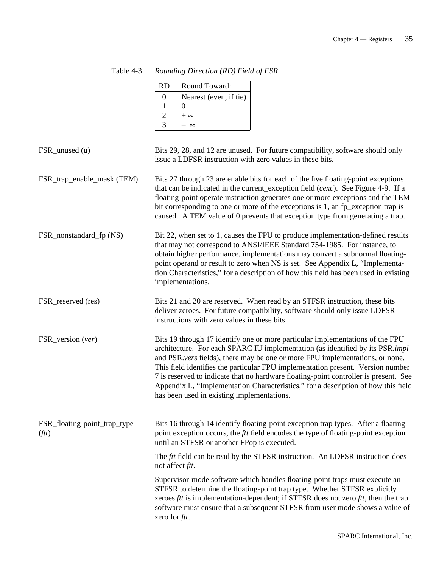|                                       | <b>RD</b><br>Round Toward:<br>$\boldsymbol{0}$<br>Nearest (even, if tie)<br>$\mathbf{1}$<br>$\boldsymbol{0}$<br>$\overline{c}$<br>$+ \infty$<br>3<br>$ \infty$                                                                                                                                                                                                                                                                                                                                                                                               |
|---------------------------------------|--------------------------------------------------------------------------------------------------------------------------------------------------------------------------------------------------------------------------------------------------------------------------------------------------------------------------------------------------------------------------------------------------------------------------------------------------------------------------------------------------------------------------------------------------------------|
| FSR_unused (u)                        | Bits 29, 28, and 12 are unused. For future compatibility, software should only<br>issue a LDFSR instruction with zero values in these bits.                                                                                                                                                                                                                                                                                                                                                                                                                  |
| FSR_trap_enable_mask (TEM)            | Bits 27 through 23 are enable bits for each of the five floating-point exceptions<br>that can be indicated in the current_exception field (cexc). See Figure 4-9. If a<br>floating-point operate instruction generates one or more exceptions and the TEM<br>bit corresponding to one or more of the exceptions is 1, an fp_exception trap is<br>caused. A TEM value of 0 prevents that exception type from generating a trap.                                                                                                                               |
| FSR_nonstandard_fp (NS)               | Bit 22, when set to 1, causes the FPU to produce implementation-defined results<br>that may not correspond to ANSI/IEEE Standard 754-1985. For instance, to<br>obtain higher performance, implementations may convert a subnormal floating-<br>point operand or result to zero when NS is set. See Appendix L, "Implementa-<br>tion Characteristics," for a description of how this field has been used in existing<br>implementations.                                                                                                                      |
| FSR_reserved (res)                    | Bits 21 and 20 are reserved. When read by an STFSR instruction, these bits<br>deliver zeroes. For future compatibility, software should only issue LDFSR<br>instructions with zero values in these bits.                                                                                                                                                                                                                                                                                                                                                     |
| FSR_version (ver)                     | Bits 19 through 17 identify one or more particular implementations of the FPU<br>architecture. For each SPARC IU implementation (as identified by its PSR.impl<br>and PSR.vers fields), there may be one or more FPU implementations, or none.<br>This field identifies the particular FPU implementation present. Version number<br>7 is reserved to indicate that no hardware floating-point controller is present. See<br>Appendix L, "Implementation Characteristics," for a description of how this field<br>has been used in existing implementations. |
| FSR_floating-point_trap_type<br>(ftt) | Bits 16 through 14 identify floating-point exception trap types. After a floating-<br>point exception occurs, the <i>ftt</i> field encodes the type of floating-point exception<br>until an STFSR or another FPop is executed.                                                                                                                                                                                                                                                                                                                               |
|                                       | The <i>ftt</i> field can be read by the STFSR instruction. An LDFSR instruction does<br>not affect ftt.                                                                                                                                                                                                                                                                                                                                                                                                                                                      |
|                                       | Supervisor-mode software which handles floating-point traps must execute an<br>STFSR to determine the floating-point trap type. Whether STFSR explicitly<br>zeroes ftt is implementation-dependent; if STFSR does not zero ftt, then the trap<br>software must ensure that a subsequent STFSR from user mode shows a value of<br>zero for ftt.                                                                                                                                                                                                               |

Table 4-3 *Rounding Direction (RD) Field of FSR*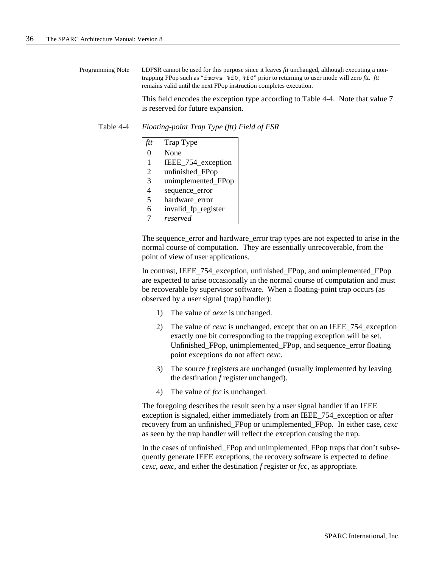Programming Note LDFSR cannot be used for this purpose since it leaves *ftt* unchanged, although executing a nontrapping FPop such as "fmovs %f0,%f0" prior to returning to user mode will zero *ftt*. *ftt* remains valid until the next FPop instruction completes execution.

> This field encodes the exception type according to Table 4-4. Note that value 7 is reserved for future expansion.

Table 4-4 *Floating-point Trap Type (ftt) Field of FSR*

|                | Trap Type           |
|----------------|---------------------|
|                | None                |
| 1              | IEEE_754_exception  |
| $\overline{2}$ | unfinished_FPop     |
| 3              | unimplemented_FPop  |
| 4              | sequence_error      |
| 5              | hardware_error      |
| 6              | invalid_fp_register |
|                | reserved            |
|                |                     |

The sequence\_error and hardware\_error trap types are not expected to arise in the normal course of computation. They are essentially unrecoverable, from the point of view of user applications.

In contrast, IEEE\_754\_exception, unfinished\_FPop, and unimplemented\_FPop are expected to arise occasionally in the normal course of computation and must be recoverable by supervisor software. When a floating-point trap occurs (as observed by a user signal (trap) handler):

- 1) The value of *aexc* is unchanged.
- 2) The value of *cexc* is unchanged, except that on an IEEE\_754\_exception exactly one bit corresponding to the trapping exception will be set. Unfinished\_FPop, unimplemented\_FPop, and sequence\_error floating point exceptions do not affect *cexc*.
- 3) The source *f* registers are unchanged (usually implemented by leaving the destination *f* register unchanged).
- 4) The value of *fcc* is unchanged.

The foregoing describes the result seen by a user signal handler if an IEEE exception is signaled, either immediately from an IEEE 754 exception or after recovery from an unfinished\_FPop or unimplemented\_FPop. In either case, *cexc* as seen by the trap handler will reflect the exception causing the trap.

In the cases of unfinished\_FPop and unimplemented\_FPop traps that don't subsequently generate IEEE exceptions, the recovery software is expected to define *cexc*, *aexc*, and either the destination *f* register or *fcc*, as appropriate.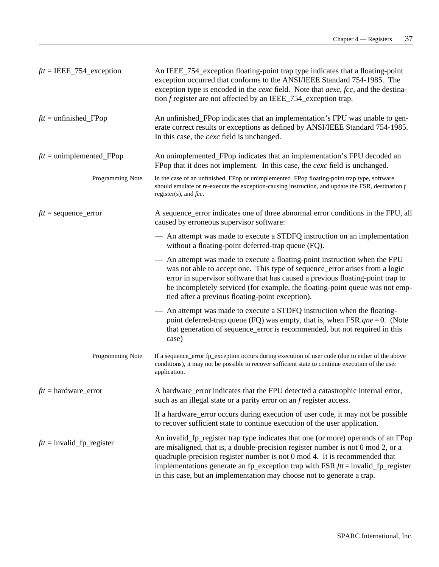| $ftt = IEEE_754$ exception     | An IEEE_754_exception floating-point trap type indicates that a floating-point<br>exception occurred that conforms to the ANSI/IEEE Standard 754-1985. The<br>exception type is encoded in the <i>cexc</i> field. Note that <i>aexc</i> , <i>fcc</i> , and the destina-<br>tion f register are not affected by an IEEE_754_exception trap.                                                                                       |
|--------------------------------|----------------------------------------------------------------------------------------------------------------------------------------------------------------------------------------------------------------------------------------------------------------------------------------------------------------------------------------------------------------------------------------------------------------------------------|
| $ftt =$ unfinished_FPop        | An unfinished_FPop indicates that an implementation's FPU was unable to gen-<br>erate correct results or exceptions as defined by ANSI/IEEE Standard 754-1985.<br>In this case, the <i>cexc</i> field is unchanged.                                                                                                                                                                                                              |
| $ftt =$ unimplemented_FPop     | An unimplemented_FPop indicates that an implementation's FPU decoded an<br>FPop that it does not implement. In this case, the <i>cexc</i> field is unchanged.                                                                                                                                                                                                                                                                    |
| Programming Note               | In the case of an unfinished_FPop or unimplemented_FPop floating-point trap type, software<br>should emulate or re-execute the exception-causing instruction, and update the FSR, destination $f$<br>register(s), and <i>fcc</i> .                                                                                                                                                                                               |
| $ftt = sequence_error$         | A sequence_error indicates one of three abnormal error conditions in the FPU, all<br>caused by erroneous supervisor software:                                                                                                                                                                                                                                                                                                    |
|                                | - An attempt was made to execute a STDFQ instruction on an implementation<br>without a floating-point deferred-trap queue (FQ).                                                                                                                                                                                                                                                                                                  |
|                                | — An attempt was made to execute a floating-point instruction when the FPU<br>was not able to accept one. This type of sequence_error arises from a logic<br>error in supervisor software that has caused a previous floating-point trap to<br>be incompletely serviced (for example, the floating-point queue was not emp-<br>tied after a previous floating-point exception).                                                  |
|                                | - An attempt was made to execute a STDFQ instruction when the floating-<br>point deferred-trap queue (FQ) was empty, that is, when $FSR$ . <i>qne</i> = 0. (Note<br>that generation of sequence_error is recommended, but not required in this<br>case)                                                                                                                                                                          |
| Programming Note               | If a sequence_error fp_exception occurs during execution of user code (due to either of the above<br>conditions), it may not be possible to recover sufficient state to continue execution of the user<br>application.                                                                                                                                                                                                           |
| $ftt = \text{hardware\_error}$ | A hardware_error indicates that the FPU detected a catastrophic internal error,<br>such as an illegal state or a parity error on an f register access.                                                                                                                                                                                                                                                                           |
|                                | If a hardware_error occurs during execution of user code, it may not be possible<br>to recover sufficient state to continue execution of the user application.                                                                                                                                                                                                                                                                   |
| $ftt = invalid\_fp\_register$  | An invalid_fp_register trap type indicates that one (or more) operands of an FPop<br>are misaligned, that is, a double-precision register number is not 0 mod 2, or a<br>quadruple-precision register number is not 0 mod 4. It is recommended that<br>implementations generate an fp_exception trap with $FSR$ . $ftt = \text{invalid\_fp\_register}$<br>in this case, but an implementation may choose not to generate a trap. |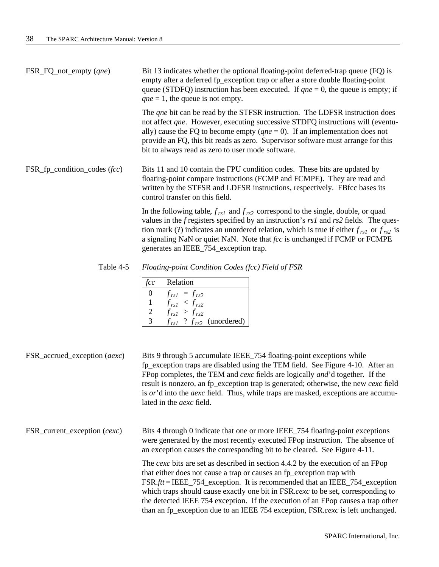| FSR_FQ_not_empty (qne)                          | Bit 13 indicates whether the optional floating-point deferred-trap queue (FQ) is<br>empty after a deferred fp_exception trap or after a store double floating-point<br>queue (STDFQ) instruction has been executed. If $qne = 0$ , the queue is empty; if<br>$qne = 1$ , the queue is not empty.                                                                                                                                                                                                          |  |  |
|-------------------------------------------------|-----------------------------------------------------------------------------------------------------------------------------------------------------------------------------------------------------------------------------------------------------------------------------------------------------------------------------------------------------------------------------------------------------------------------------------------------------------------------------------------------------------|--|--|
|                                                 | The <i>qne</i> bit can be read by the STFSR instruction. The LDFSR instruction does<br>not affect qne. However, executing successive STDFQ instructions will (eventu-<br>ally) cause the FQ to become empty ( $qne = 0$ ). If an implementation does not<br>provide an FQ, this bit reads as zero. Supervisor software must arrange for this<br>bit to always read as zero to user mode software.                                                                                                         |  |  |
| $FSR_fp_{\text{condition} \text{-} codes (fcc)$ | Bits 11 and 10 contain the FPU condition codes. These bits are updated by<br>floating-point compare instructions (FCMP and FCMPE). They are read and<br>written by the STFSR and LDFSR instructions, respectively. FBfcc bases its<br>control transfer on this field.                                                                                                                                                                                                                                     |  |  |
|                                                 | In the following table, $f_{rs1}$ and $f_{rs2}$ correspond to the single, double, or quad<br>values in the $f$ registers specified by an instruction's $rs1$ and $rs2$ fields. The ques-<br>tion mark (?) indicates an unordered relation, which is true if either $f_{rs1}$ or $f_{rs2}$ is<br>a signaling NaN or quiet NaN. Note that fcc is unchanged if FCMP or FCMPE<br>generates an IEEE_754_exception trap.                                                                                        |  |  |
| Table 4-5                                       | Floating-point Condition Codes (fcc) Field of FSR                                                                                                                                                                                                                                                                                                                                                                                                                                                         |  |  |
|                                                 | Relation<br>fcc<br>0 $f_{rs1} = f_{rs2}$<br>1 $f_{rs1} < f_{rs2}$<br>2 $f_{rs1} > f_{rs2}$<br>3 $f_{rs1}$ ? $f_{rs2}$ (unordered)                                                                                                                                                                                                                                                                                                                                                                         |  |  |
| FSR_accrued_exception (aexc)                    | Bits 9 through 5 accumulate IEEE_754 floating-point exceptions while<br>fp_exception traps are disabled using the TEM field. See Figure 4-10. After an<br>FPop completes, the TEM and <i>cexc</i> fields are logically <i>and</i> 'd together. If the<br>result is nonzero, an fp_exception trap is generated; otherwise, the new cexc field<br>is or'd into the <i>aexc</i> field. Thus, while traps are masked, exceptions are accumu-<br>lated in the <i>aexc</i> field.                               |  |  |
| FSR_current_exception (cexc)                    | Bits 4 through 0 indicate that one or more IEEE_754 floating-point exceptions<br>were generated by the most recently executed FPop instruction. The absence of<br>an exception causes the corresponding bit to be cleared. See Figure 4-11.                                                                                                                                                                                                                                                               |  |  |
|                                                 | The <i>cexc</i> bits are set as described in section 4.4.2 by the execution of an FPop<br>that either does not cause a trap or causes an fp_exception trap with<br>$FSR.ftt = IEEE_754$ exception. It is recommended that an IEEE_754 exception<br>which traps should cause exactly one bit in FSR.cexc to be set, corresponding to<br>the detected IEEE 754 exception. If the execution of an FPop causes a trap other<br>than an fp_exception due to an IEEE 754 exception, FSR.cexc is left unchanged. |  |  |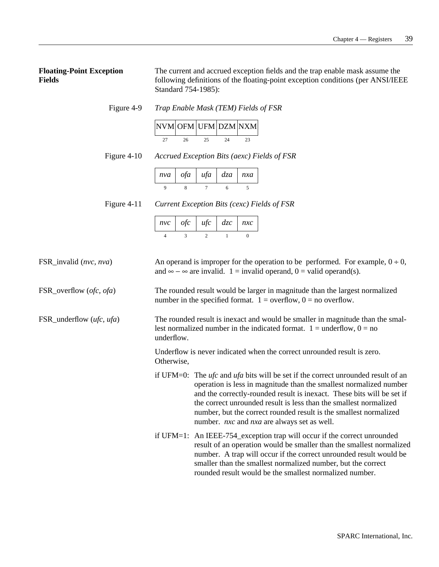**Floating-Point Exception Fields** The current and accrued exception fields and the trap enable mask assume the following definitions of the floating-point exception conditions (per ANSI/IEEE Standard 754-1985):

| Figure 4-9 | Trap Enable Mask (TEM) Fields of FSR |  |
|------------|--------------------------------------|--|
|            |                                      |  |

| NVM OFM UFM DZM NXM |    |     |    |  |
|---------------------|----|-----|----|--|
|                     | 26 | 25. | 24 |  |

Figure 4-10 *Accrued Exception Bits (aexc) Fields of FSR*

| nva | ofa   ufa   dza   nxa |  |
|-----|-----------------------|--|
|     |                       |  |

| $nvc$   $ofc$ | $ $ ufc $ $ dzc $ $ nxc |  |
|---------------|-------------------------|--|
|               |                         |  |

| $FSR\_invalid$ ( <i>nvc</i> , <i>nva</i> ) | An operand is improper for the operation to be performed. For example, $0 \div 0$ ,<br>and $\infty$ – $\infty$ are invalid. 1 = invalid operand, 0 = valid operand(s).                                                                                                                                                                                                                                                                                |  |  |
|--------------------------------------------|-------------------------------------------------------------------------------------------------------------------------------------------------------------------------------------------------------------------------------------------------------------------------------------------------------------------------------------------------------------------------------------------------------------------------------------------------------|--|--|
| FSR_overflow ( <i>ofc</i> , <i>ofa</i> )   | The rounded result would be larger in magnitude than the largest normalized<br>number in the specified format. $1 =$ overflow, $0 =$ no overflow.                                                                                                                                                                                                                                                                                                     |  |  |
| FSR_underflow (ufc, ufa)                   | The rounded result is inexact and would be smaller in magnitude than the smal-<br>lest normalized number in the indicated format. $1 =$ underflow, $0 =$ no<br>underflow.                                                                                                                                                                                                                                                                             |  |  |
|                                            | Underflow is never indicated when the correct unrounded result is zero.<br>Otherwise,                                                                                                                                                                                                                                                                                                                                                                 |  |  |
|                                            | if UFM=0: The <i>ufc</i> and <i>ufa</i> bits will be set if the correct unrounded result of an<br>operation is less in magnitude than the smallest normalized number<br>and the correctly-rounded result is inexact. These bits will be set if<br>the correct unrounded result is less than the smallest normalized<br>number, but the correct rounded result is the smallest normalized<br>number. <i>nxc</i> and <i>nxa</i> are always set as well. |  |  |
|                                            | if UFM=1: An IEEE-754_exception trap will occur if the correct unrounded<br>result of an operation would be smaller than the smallest normalized<br>number. A trap will occur if the correct unrounded result would be<br>smaller than the smallest normalized number, but the correct<br>rounded result would be the smallest normalized number.                                                                                                     |  |  |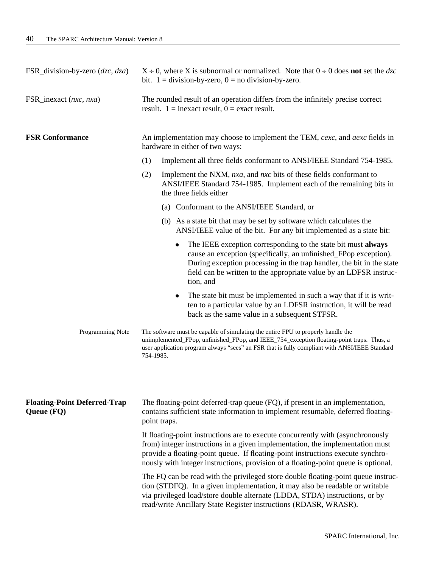| FSR_division-by-zero $(dzc, dza)$                 | $X \div 0$ , where X is subnormal or normalized. Note that $0 \div 0$ does <b>not</b> set the dzc<br>bit. $1 =$ division-by-zero, $0 =$ no division-by-zero.                                                                                                                                                                              |  |  |  |  |
|---------------------------------------------------|-------------------------------------------------------------------------------------------------------------------------------------------------------------------------------------------------------------------------------------------------------------------------------------------------------------------------------------------|--|--|--|--|
| FSR_inexact (nxc, nxa)                            | The rounded result of an operation differs from the infinitely precise correct<br>result. 1 = inexact result, $0 =$ exact result.                                                                                                                                                                                                         |  |  |  |  |
| <b>FSR Conformance</b>                            | An implementation may choose to implement the TEM, cexc, and aexc fields in<br>hardware in either of two ways:                                                                                                                                                                                                                            |  |  |  |  |
|                                                   | (1)<br>Implement all three fields conformant to ANSI/IEEE Standard 754-1985.                                                                                                                                                                                                                                                              |  |  |  |  |
|                                                   | (2)<br>Implement the NXM, nxa, and nxc bits of these fields conformant to<br>ANSI/IEEE Standard 754-1985. Implement each of the remaining bits in<br>the three fields either                                                                                                                                                              |  |  |  |  |
|                                                   | (a) Conformant to the ANSI/IEEE Standard, or                                                                                                                                                                                                                                                                                              |  |  |  |  |
|                                                   | (b) As a state bit that may be set by software which calculates the<br>ANSI/IEEE value of the bit. For any bit implemented as a state bit:                                                                                                                                                                                                |  |  |  |  |
|                                                   | The IEEE exception corresponding to the state bit must always<br>$\bullet$<br>cause an exception (specifically, an unfinished_FPop exception).<br>During exception processing in the trap handler, the bit in the state<br>field can be written to the appropriate value by an LDFSR instruc-<br>tion, and                                |  |  |  |  |
|                                                   | The state bit must be implemented in such a way that if it is writ-<br>$\bullet$<br>ten to a particular value by an LDFSR instruction, it will be read<br>back as the same value in a subsequent STFSR.                                                                                                                                   |  |  |  |  |
| Programming Note                                  | The software must be capable of simulating the entire FPU to properly handle the<br>unimplemented_FPop, unfinished_FPop, and IEEE_754_exception floating-point traps. Thus, a<br>user application program always "sees" an FSR that is fully compliant with ANSI/IEEE Standard<br>754-1985.                                               |  |  |  |  |
| <b>Floating-Point Deferred-Trap</b><br>Queue (FQ) | The floating-point deferred-trap queue (FQ), if present in an implementation,<br>contains sufficient state information to implement resumable, deferred floating-<br>point traps.                                                                                                                                                         |  |  |  |  |
|                                                   | If floating-point instructions are to execute concurrently with (asynchronously<br>from) integer instructions in a given implementation, the implementation must<br>provide a floating-point queue. If floating-point instructions execute synchro-<br>nously with integer instructions, provision of a floating-point queue is optional. |  |  |  |  |
|                                                   | The FQ can be read with the privileged store double floating-point queue instruc-<br>tion (STDFQ). In a given implementation, it may also be readable or writable<br>via privileged load/store double alternate (LDDA, STDA) instructions, or by<br>read/write Ancillary State Register instructions (RDASR, WRASR).                      |  |  |  |  |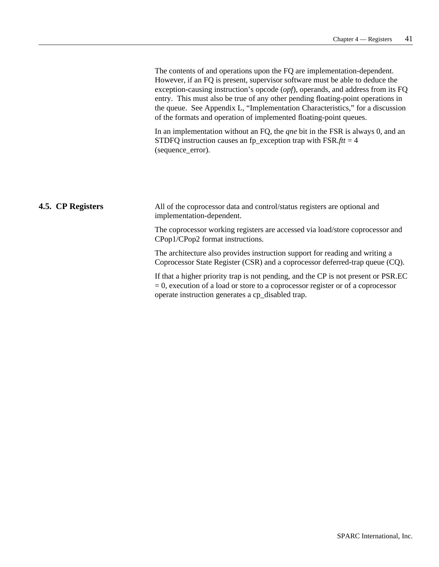|                   | The contents of and operations upon the FQ are implementation-dependent.<br>However, if an FQ is present, supervisor software must be able to deduce the<br>exception-causing instruction's opcode $(opf)$ , operands, and address from its $FQ$<br>entry. This must also be true of any other pending floating-point operations in<br>the queue. See Appendix L, "Implementation Characteristics," for a discussion<br>of the formats and operation of implemented floating-point queues. |
|-------------------|--------------------------------------------------------------------------------------------------------------------------------------------------------------------------------------------------------------------------------------------------------------------------------------------------------------------------------------------------------------------------------------------------------------------------------------------------------------------------------------------|
|                   | In an implementation without an FQ, the <i>qne</i> bit in the FSR is always 0, and an<br>STDFQ instruction causes an fp_exception trap with $FSR$ . $ftt = 4$<br>(sequence_error).                                                                                                                                                                                                                                                                                                         |
|                   |                                                                                                                                                                                                                                                                                                                                                                                                                                                                                            |
| 4.5. CP Registers | All of the coprocessor data and control/status registers are optional and<br>implementation-dependent.                                                                                                                                                                                                                                                                                                                                                                                     |
|                   | The coprocessor working registers are accessed via load/store coprocessor and<br>CPop1/CPop2 format instructions.                                                                                                                                                                                                                                                                                                                                                                          |
|                   | The architecture also provides instruction support for reading and writing a<br>Coprocessor State Register (CSR) and a coprocessor deferred-trap queue (CQ).                                                                                                                                                                                                                                                                                                                               |
|                   | If that a higher priority trap is not pending, and the CP is not present or PSR.EC<br>$= 0$ , execution of a load or store to a coprocessor register or of a coprocessor<br>operate instruction generates a cp_disabled trap.                                                                                                                                                                                                                                                              |
|                   |                                                                                                                                                                                                                                                                                                                                                                                                                                                                                            |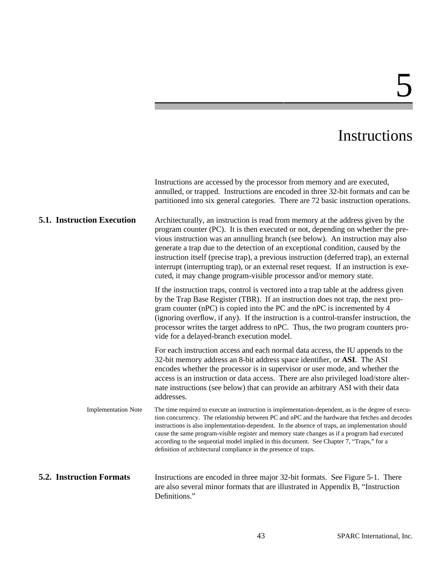# Instructions

|                                   | Instructions are accessed by the processor from memory and are executed,<br>annulled, or trapped. Instructions are encoded in three 32-bit formats and can be<br>partitioned into six general categories. There are 72 basic instruction operations.                                                                                                                                                                                                                                                                                                                                               |
|-----------------------------------|----------------------------------------------------------------------------------------------------------------------------------------------------------------------------------------------------------------------------------------------------------------------------------------------------------------------------------------------------------------------------------------------------------------------------------------------------------------------------------------------------------------------------------------------------------------------------------------------------|
| <b>5.1. Instruction Execution</b> | Architecturally, an instruction is read from memory at the address given by the<br>program counter (PC). It is then executed or not, depending on whether the pre-<br>vious instruction was an annulling branch (see below). An instruction may also<br>generate a trap due to the detection of an exceptional condition, caused by the<br>instruction itself (precise trap), a previous instruction (deferred trap), an external<br>interrupt (interrupting trap), or an external reset request. If an instruction is exe-<br>cuted, it may change program-visible processor and/or memory state. |
|                                   | If the instruction traps, control is vectored into a trap table at the address given<br>by the Trap Base Register (TBR). If an instruction does not trap, the next pro-<br>gram counter (nPC) is copied into the PC and the nPC is incremented by 4<br>(ignoring overflow, if any). If the instruction is a control-transfer instruction, the<br>processor writes the target address to nPC. Thus, the two program counters pro-<br>vide for a delayed-branch execution model.                                                                                                                     |
|                                   | For each instruction access and each normal data access, the IU appends to the<br>32-bit memory address an 8-bit address space identifier, or <b>ASI</b> . The ASI<br>encodes whether the processor is in supervisor or user mode, and whether the<br>access is an instruction or data access. There are also privileged load/store alter-<br>nate instructions (see below) that can provide an arbitrary ASI with their data<br>addresses.                                                                                                                                                        |
| Implementation Note               | The time required to execute an instruction is implementation-dependent, as is the degree of execu-<br>tion concurrency. The relationship between PC and nPC and the hardware that fetches and decodes<br>instructions is also implementation-dependent. In the absence of traps, an implementation should<br>cause the same program-visible register and memory state changes as if a program had executed<br>according to the sequential model implied in this document. See Chapter 7, "Traps," for a<br>definition of architectural compliance in the presence of traps.                       |
| <b>5.2. Instruction Formats</b>   | Instructions are encoded in three major 32-bit formats. See Figure 5-1. There<br>are also several minor formats that are illustrated in Appendix B, "Instruction<br>Definitions."                                                                                                                                                                                                                                                                                                                                                                                                                  |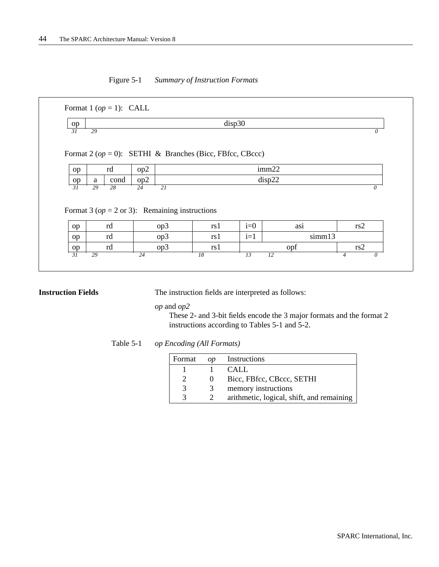| $\frac{op}{31}$ |                 | disp30 |           |                                                   |                                                              |       |       |                   |     |          |
|-----------------|-----------------|--------|-----------|---------------------------------------------------|--------------------------------------------------------------|-------|-------|-------------------|-----|----------|
|                 | $\overline{29}$ |        |           |                                                   |                                                              |       |       |                   |     | $\theta$ |
|                 |                 |        |           |                                                   |                                                              |       |       |                   |     |          |
|                 |                 |        |           |                                                   |                                                              |       |       |                   |     |          |
|                 |                 |        |           |                                                   | Format 2 ( $op = 0$ ): SETHI & Branches (Bicc, FBfcc, CBccc) |       |       |                   |     |          |
|                 |                 | rd     |           |                                                   |                                                              |       | imm22 |                   |     |          |
| op              |                 |        | op2       |                                                   |                                                              |       |       |                   |     |          |
| op              | a               |        |           |                                                   | disp22                                                       |       |       |                   |     |          |
|                 |                 | cond   |           |                                                   |                                                              |       |       |                   |     |          |
| $\overline{31}$ | 29              | 28     | op2<br>24 | $\overline{21}$                                   |                                                              |       |       |                   |     | $\theta$ |
|                 |                 |        |           |                                                   |                                                              |       |       |                   |     |          |
|                 |                 |        |           |                                                   |                                                              |       |       |                   |     |          |
|                 |                 |        |           | Format 3 ( $op = 2$ or 3): Remaining instructions |                                                              |       |       |                   |     |          |
|                 |                 |        |           |                                                   |                                                              |       |       |                   |     |          |
| op              | rd              |        |           | op3                                               | rs 1                                                         | $i=0$ | asi   |                   | rs2 |          |
|                 |                 |        |           |                                                   |                                                              |       |       |                   |     |          |
| op<br>op        | rd<br>rd        |        |           | op3<br>op3                                        | rs 1<br>rs 1                                                 | $i=1$ | opf   | sim <sub>13</sub> | rs2 |          |

#### Figure 5-1 *Summary of Instruction Formats*

**Instruction Fields** The instruction fields are interpreted as follows:

*op* and *op2*

These 2- and 3-bit fields encode the 3 major formats and the format 2 instructions according to Tables 5-1 and 5-2.

#### Table 5-1 *op Encoding (All Formats)*

| Format | $\omega$ | Instructions                              |
|--------|----------|-------------------------------------------|
|        |          | CALL.                                     |
|        |          | Bicc, FBfcc, CBccc, SETHI                 |
| 3      |          | memory instructions                       |
|        |          | arithmetic, logical, shift, and remaining |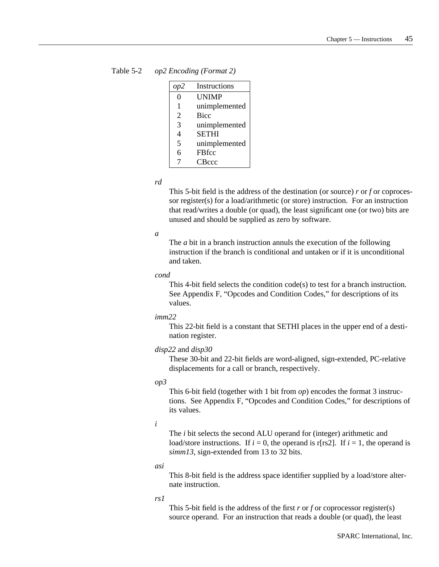| op2            | Instructions  |
|----------------|---------------|
| $\Omega$       | UNIMP         |
| 1              | unimplemented |
| 2              | <b>Bicc</b>   |
| 3              | unimplemented |
| $\overline{4}$ | <b>SETHI</b>  |
| 5              | unimplemented |
| 6              | FBfcc         |
|                | CBccc         |

Table 5-2 *op2 Encoding (Format 2)*

*rd*

This 5-bit field is the address of the destination (or source) *r* or *f* or coprocessor register(s) for a load/arithmetic (or store) instruction. For an instruction that read/writes a double (or quad), the least significant one (or two) bits are unused and should be supplied as zero by software.

*a*

The *a* bit in a branch instruction annuls the execution of the following instruction if the branch is conditional and untaken or if it is unconditional and taken.

*cond*

This 4-bit field selects the condition code(s) to test for a branch instruction. See Appendix F, "Opcodes and Condition Codes," for descriptions of its values.

*imm22*

This 22-bit field is a constant that SETHI places in the upper end of a destination register.

*disp22* and *disp30*

These 30-bit and 22-bit fields are word-aligned, sign-extended, PC-relative displacements for a call or branch, respectively.

*op3*

This 6-bit field (together with 1 bit from *op*) encodes the format 3 instructions. See Appendix F, "Opcodes and Condition Codes," for descriptions of its values.

*i*

The *i* bit selects the second ALU operand for (integer) arithmetic and load/store instructions. If  $i = 0$ , the operand is r[rs2]. If  $i = 1$ , the operand is *simm13*, sign-extended from 13 to 32 bits.

*asi*

This 8-bit field is the address space identifier supplied by a load/store alternate instruction.

*rs1*

This 5-bit field is the address of the first *r* or *f* or coprocessor register(s) source operand. For an instruction that reads a double (or quad), the least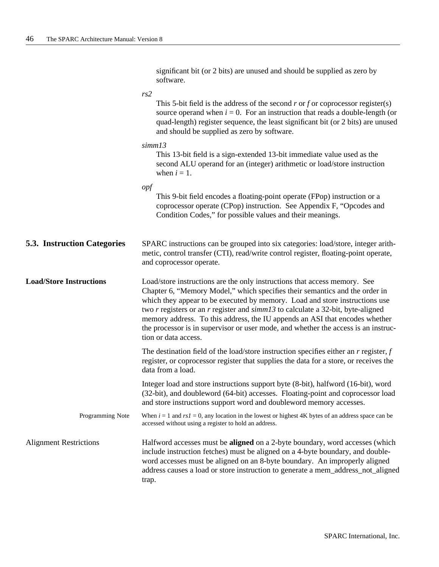|                                    | significant bit (or 2 bits) are unused and should be supplied as zero by<br>software.                                                                                                                                                                                                                                                                                                                                                                                                                                                |  |  |  |  |
|------------------------------------|--------------------------------------------------------------------------------------------------------------------------------------------------------------------------------------------------------------------------------------------------------------------------------------------------------------------------------------------------------------------------------------------------------------------------------------------------------------------------------------------------------------------------------------|--|--|--|--|
|                                    | rs2<br>This 5-bit field is the address of the second $r$ or $f$ or coprocessor register(s)<br>source operand when $i = 0$ . For an instruction that reads a double-length (or<br>quad-length) register sequence, the least significant bit (or 2 bits) are unused<br>and should be supplied as zero by software.                                                                                                                                                                                                                     |  |  |  |  |
|                                    | simm13<br>This 13-bit field is a sign-extended 13-bit immediate value used as the<br>second ALU operand for an (integer) arithmetic or load/store instruction<br>when $i = 1$ .                                                                                                                                                                                                                                                                                                                                                      |  |  |  |  |
|                                    | opf<br>This 9-bit field encodes a floating-point operate (FPop) instruction or a<br>coprocessor operate (CPop) instruction. See Appendix F, "Opcodes and<br>Condition Codes," for possible values and their meanings.                                                                                                                                                                                                                                                                                                                |  |  |  |  |
| <b>5.3. Instruction Categories</b> | SPARC instructions can be grouped into six categories: load/store, integer arith-<br>metic, control transfer (CTI), read/write control register, floating-point operate,<br>and coprocessor operate.                                                                                                                                                                                                                                                                                                                                 |  |  |  |  |
| <b>Load/Store Instructions</b>     | Load/store instructions are the only instructions that access memory. See<br>Chapter 6, "Memory Model," which specifies their semantics and the order in<br>which they appear to be executed by memory. Load and store instructions use<br>two $r$ registers or an $r$ register and $\text{simm13}$ to calculate a 32-bit, byte-aligned<br>memory address. To this address, the IU appends an ASI that encodes whether<br>the processor is in supervisor or user mode, and whether the access is an instruc-<br>tion or data access. |  |  |  |  |
|                                    | The destination field of the load/store instruction specifies either an $r$ register, $f$<br>register, or coprocessor register that supplies the data for a store, or receives the<br>data from a load.                                                                                                                                                                                                                                                                                                                              |  |  |  |  |
|                                    | Integer load and store instructions support byte (8-bit), halfword (16-bit), word<br>(32-bit), and doubleword (64-bit) accesses. Floating-point and coprocessor load<br>and store instructions support word and doubleword memory accesses.                                                                                                                                                                                                                                                                                          |  |  |  |  |
| Programming Note                   | When $i = 1$ and $rsI = 0$ , any location in the lowest or highest 4K bytes of an address space can be<br>accessed without using a register to hold an address.                                                                                                                                                                                                                                                                                                                                                                      |  |  |  |  |
| <b>Alignment Restrictions</b>      | Halfword accesses must be aligned on a 2-byte boundary, word accesses (which<br>include instruction fetches) must be aligned on a 4-byte boundary, and double-<br>word accesses must be aligned on an 8-byte boundary. An improperly aligned<br>address causes a load or store instruction to generate a mem_address_not_aligned<br>trap.                                                                                                                                                                                            |  |  |  |  |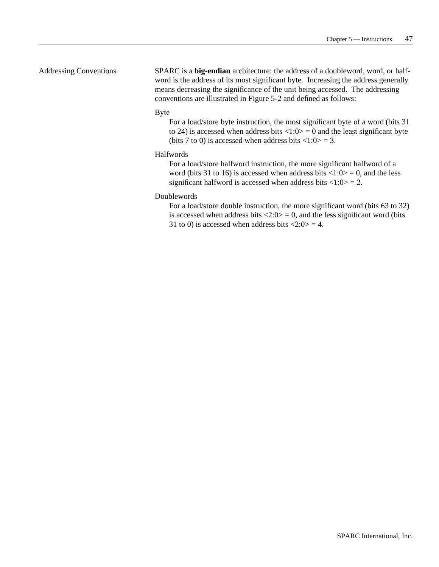Addressing Conventions SPARC is a **big-endian** architecture: the address of a doubleword, word, or halfword is the address of its most significant byte. Increasing the address generally means decreasing the significance of the unit being accessed. The addressing conventions are illustrated in Figure 5-2 and defined as follows:

#### Byte

For a load/store byte instruction, the most significant byte of a word (bits 31 to 24) is accessed when address bits  $\langle 1:0 \rangle = 0$  and the least significant byte (bits 7 to 0) is accessed when address bits  $\langle 1:0 \rangle = 3$ .

#### Halfwords

For a load/store halfword instruction, the more significant halfword of a word (bits 31 to 16) is accessed when address bits  $\langle 1:0 \rangle = 0$ , and the less significant halfword is accessed when address bits  $\langle 1:0 \rangle = 2$ .

#### Doublewords

For a load/store double instruction, the more significant word (bits 63 to 32) is accessed when address bits  $\langle 2:0 \rangle = 0$ , and the less significant word (bits 31 to 0) is accessed when address bits  $\langle 2:0 \rangle = 4$ .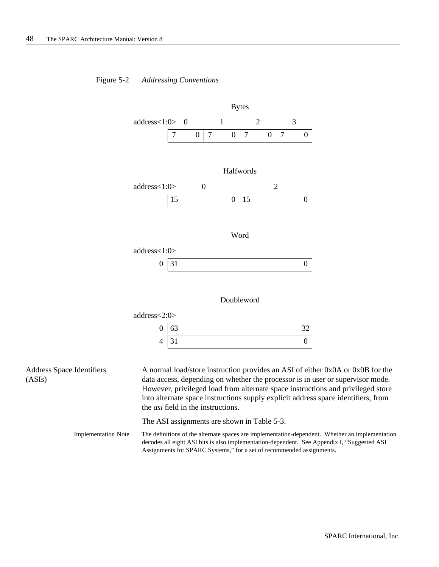(ASIs)



#### Figure 5-2 *Addressing Conventions*

The ASI assignments are shown in Table 5-3.

Implementation Note The definitions of the alternate spaces are implementation-dependent. Whether an implementation decodes all eight ASI bits is also implementation-dependent. See Appendix I, "Suggested ASI Assignments for SPARC Systems," for a set of recommended assignments.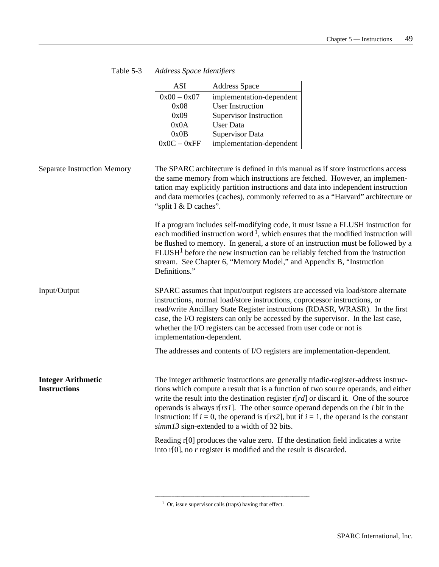|                                                  | <b>ASI</b>                                                                                                                                                                                                                                                                                                                                                                                                                                                                                                                                                                                                                                  | <b>Address Space</b>                                                                                                                             |                                                                                                                                                                                                                                                                                                                                                                                                                                                                    |  |  |
|--------------------------------------------------|---------------------------------------------------------------------------------------------------------------------------------------------------------------------------------------------------------------------------------------------------------------------------------------------------------------------------------------------------------------------------------------------------------------------------------------------------------------------------------------------------------------------------------------------------------------------------------------------------------------------------------------------|--------------------------------------------------------------------------------------------------------------------------------------------------|--------------------------------------------------------------------------------------------------------------------------------------------------------------------------------------------------------------------------------------------------------------------------------------------------------------------------------------------------------------------------------------------------------------------------------------------------------------------|--|--|
|                                                  | $0x00 - 0x07$                                                                                                                                                                                                                                                                                                                                                                                                                                                                                                                                                                                                                               | implementation-dependent                                                                                                                         |                                                                                                                                                                                                                                                                                                                                                                                                                                                                    |  |  |
|                                                  | 0x08                                                                                                                                                                                                                                                                                                                                                                                                                                                                                                                                                                                                                                        | <b>User Instruction</b>                                                                                                                          |                                                                                                                                                                                                                                                                                                                                                                                                                                                                    |  |  |
|                                                  | 0x09                                                                                                                                                                                                                                                                                                                                                                                                                                                                                                                                                                                                                                        | Supervisor Instruction                                                                                                                           |                                                                                                                                                                                                                                                                                                                                                                                                                                                                    |  |  |
|                                                  | 0x0A                                                                                                                                                                                                                                                                                                                                                                                                                                                                                                                                                                                                                                        | <b>User Data</b>                                                                                                                                 |                                                                                                                                                                                                                                                                                                                                                                                                                                                                    |  |  |
|                                                  | 0x0B                                                                                                                                                                                                                                                                                                                                                                                                                                                                                                                                                                                                                                        | Supervisor Data                                                                                                                                  |                                                                                                                                                                                                                                                                                                                                                                                                                                                                    |  |  |
|                                                  | $0x0C - 0xFF$                                                                                                                                                                                                                                                                                                                                                                                                                                                                                                                                                                                                                               | implementation-dependent                                                                                                                         |                                                                                                                                                                                                                                                                                                                                                                                                                                                                    |  |  |
|                                                  |                                                                                                                                                                                                                                                                                                                                                                                                                                                                                                                                                                                                                                             |                                                                                                                                                  |                                                                                                                                                                                                                                                                                                                                                                                                                                                                    |  |  |
| <b>Separate Instruction Memory</b>               | The SPARC architecture is defined in this manual as if store instructions access<br>the same memory from which instructions are fetched. However, an implemen-<br>tation may explicitly partition instructions and data into independent instruction<br>and data memories (caches), commonly referred to as a "Harvard" architecture or<br>"split I & D caches".<br>If a program includes self-modifying code, it must issue a FLUSH instruction for<br>each modified instruction word <sup>1</sup> , which ensures that the modified instruction will<br>be flushed to memory. In general, a store of an instruction must be followed by a |                                                                                                                                                  |                                                                                                                                                                                                                                                                                                                                                                                                                                                                    |  |  |
|                                                  | Definitions."                                                                                                                                                                                                                                                                                                                                                                                                                                                                                                                                                                                                                               | stream. See Chapter 6, "Memory Model," and Appendix B, "Instruction                                                                              | $FLUSH1$ before the new instruction can be reliably fetched from the instruction                                                                                                                                                                                                                                                                                                                                                                                   |  |  |
| Input/Output                                     | implementation-dependent.                                                                                                                                                                                                                                                                                                                                                                                                                                                                                                                                                                                                                   | instructions, normal load/store instructions, coprocessor instructions, or<br>whether the I/O registers can be accessed from user code or not is | SPARC assumes that input/output registers are accessed via load/store alternate<br>read/write Ancillary State Register instructions (RDASR, WRASR). In the first<br>case, the I/O registers can only be accessed by the supervisor. In the last case,                                                                                                                                                                                                              |  |  |
|                                                  |                                                                                                                                                                                                                                                                                                                                                                                                                                                                                                                                                                                                                                             | The addresses and contents of I/O registers are implementation-dependent.                                                                        |                                                                                                                                                                                                                                                                                                                                                                                                                                                                    |  |  |
| <b>Integer Arithmetic</b><br><b>Instructions</b> |                                                                                                                                                                                                                                                                                                                                                                                                                                                                                                                                                                                                                                             | simm13 sign-extended to a width of 32 bits.                                                                                                      | The integer arithmetic instructions are generally triadic-register-address instruc-<br>tions which compute a result that is a function of two source operands, and either<br>write the result into the destination register $r[rd]$ or discard it. One of the source<br>operands is always $r[rs1]$ . The other source operand depends on the <i>i</i> bit in the<br>instruction: if $i = 0$ , the operand is r[rs2], but if $i = 1$ , the operand is the constant |  |  |
|                                                  |                                                                                                                                                                                                                                                                                                                                                                                                                                                                                                                                                                                                                                             | into $r[0]$ , no $r$ register is modified and the result is discarded.                                                                           | Reading r[0] produces the value zero. If the destination field indicates a write                                                                                                                                                                                                                                                                                                                                                                                   |  |  |

Table 5-3 *Address Space Identifiers*

<sup>&</sup>lt;sup>1</sup> Or, issue supervisor calls (traps) having that effect.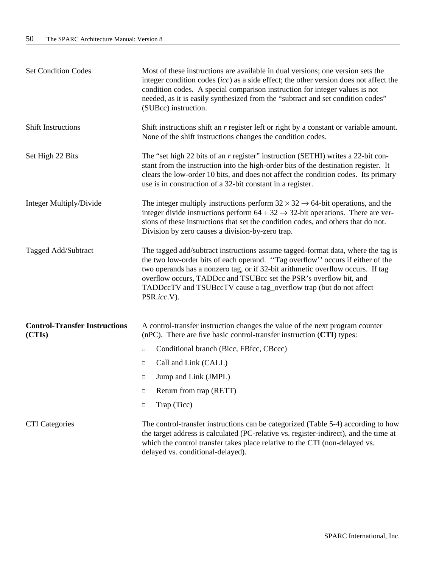| <b>Set Condition Codes</b>                     | Most of these instructions are available in dual versions; one version sets the<br>integer condition codes $(icc)$ as a side effect; the other version does not affect the<br>condition codes. A special comparison instruction for integer values is not<br>needed, as it is easily synthesized from the "subtract and set condition codes"<br>(SUBcc) instruction.                                             |
|------------------------------------------------|------------------------------------------------------------------------------------------------------------------------------------------------------------------------------------------------------------------------------------------------------------------------------------------------------------------------------------------------------------------------------------------------------------------|
| <b>Shift Instructions</b>                      | Shift instructions shift an r register left or right by a constant or variable amount.<br>None of the shift instructions changes the condition codes.                                                                                                                                                                                                                                                            |
| Set High 22 Bits                               | The "set high 22 bits of an r register" instruction (SETHI) writes a 22-bit con-<br>stant from the instruction into the high-order bits of the destination register. It<br>clears the low-order 10 bits, and does not affect the condition codes. Its primary<br>use is in construction of a 32-bit constant in a register.                                                                                      |
| Integer Multiply/Divide                        | The integer multiply instructions perform $32 \times 32 \rightarrow 64$ -bit operations, and the<br>integer divide instructions perform $64 \div 32 \rightarrow 32$ -bit operations. There are ver-<br>sions of these instructions that set the condition codes, and others that do not.<br>Division by zero causes a division-by-zero trap.                                                                     |
| Tagged Add/Subtract                            | The tagged add/subtract instructions assume tagged-format data, where the tag is<br>the two low-order bits of each operand. "Tag overflow" occurs if either of the<br>two operands has a nonzero tag, or if 32-bit arithmetic overflow occurs. If tag<br>overflow occurs, TADDcc and TSUBcc set the PSR's overflow bit, and<br>TADDccTV and TSUBccTV cause a tag_overflow trap (but do not affect<br>PSR.icc.V). |
| <b>Control-Transfer Instructions</b><br>(CTIs) | A control-transfer instruction changes the value of the next program counter<br>$(nPC)$ . There are five basic control-transfer instruction $(CTI)$ types:                                                                                                                                                                                                                                                       |
|                                                | Conditional branch (Bicc, FBfcc, CBccc)<br>$\Box$                                                                                                                                                                                                                                                                                                                                                                |
|                                                | Call and Link (CALL)<br>$\Box$                                                                                                                                                                                                                                                                                                                                                                                   |
|                                                | Jump and Link (JMPL)<br>$\Box$                                                                                                                                                                                                                                                                                                                                                                                   |
|                                                | Return from trap (RETT)<br>$\Box$                                                                                                                                                                                                                                                                                                                                                                                |
|                                                | Trap (Ticc)<br>$\Box$                                                                                                                                                                                                                                                                                                                                                                                            |
| <b>CTI</b> Categories                          | The control-transfer instructions can be categorized (Table 5-4) according to how<br>the target address is calculated (PC-relative vs. register-indirect), and the time at<br>which the control transfer takes place relative to the CTI (non-delayed vs.<br>delayed vs. conditional-delayed).                                                                                                                   |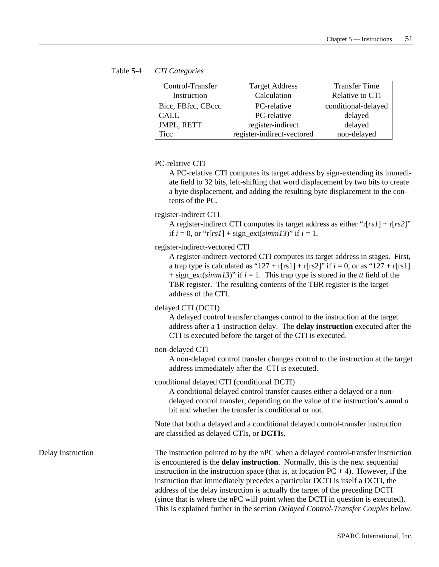| Table 5-4 | <b>CTI</b> Categories |
|-----------|-----------------------|
|-----------|-----------------------|

| Control-Transfer   | <b>Target Address</b>      | <b>Transfer Time</b> |
|--------------------|----------------------------|----------------------|
| Instruction        | Calculation                | Relative to CTI      |
| Bicc, FBfcc, CBccc | PC-relative                | conditional-delayed  |
| <b>CALL</b>        | PC-relative                | delayed              |
| JMPL, RETT         | register-indirect          | delayed              |
| <b>Ticc</b>        | register-indirect-vectored | non-delayed          |

#### PC-relative CTI

A PC-relative CTI computes its target address by sign-extending its immediate field to 32 bits, left-shifting that word displacement by two bits to create a byte displacement, and adding the resulting byte displacement to the contents of the PC.

#### register-indirect CTI

A register-indirect CTI computes its target address as either "r[*rs1*] + r[*rs2*]" if  $i = 0$ , or " $r[rsI] + sign\_ext(simm13)$ " if  $i = 1$ .

#### register-indirect-vectored CTI

A register-indirect-vectored CTI computes its target address in stages. First, a trap type is calculated as " $127 + r[rs1] + r[rs2]$ " if  $i = 0$ , or as " $127 + r[rs1]$  $+$  sign\_ext(*simm13*)" if  $i = 1$ . This trap type is stored in the *tt* field of the TBR register. The resulting contents of the TBR register is the target address of the CTI.

#### delayed CTI (DCTI)

A delayed control transfer changes control to the instruction at the target address after a 1-instruction delay. The **delay instruction** executed after the CTI is executed before the target of the CTI is executed.

#### non-delayed CTI

A non-delayed control transfer changes control to the instruction at the target address immediately after the CTI is executed.

#### conditional delayed CTI (conditional DCTI)

A conditional delayed control transfer causes either a delayed or a nondelayed control transfer, depending on the value of the instruction's annul *a* bit and whether the transfer is conditional or not.

Note that both a delayed and a conditional delayed control-transfer instruction are classified as delayed CTIs, or **DCTI**s.

Delay Instruction The instruction pointed to by the nPC when a delayed control-transfer instruction is encountered is the **delay instruction**. Normally, this is the next sequential instruction in the instruction space (that is, at location  $PC + 4$ ). However, if the instruction that immediately precedes a particular DCTI is itself a DCTI, the address of the delay instruction is actually the target of the preceding DCTI (since that is where the nPC will point when the DCTI in question is executed). This is explained further in the section *Delayed Control-Transfer Couples* below.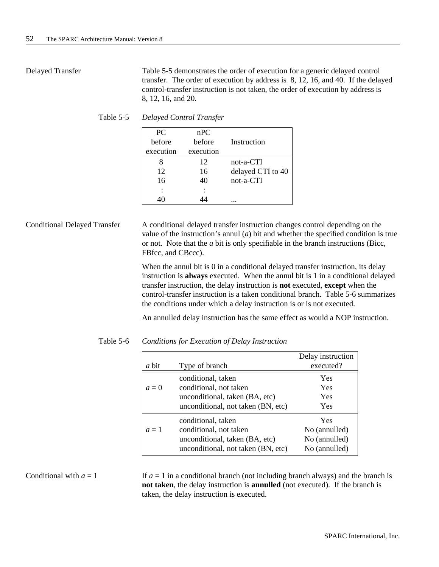## Delayed Transfer Table 5-5 demonstrates the order of execution for a generic delayed control transfer. The order of execution by address is 8, 12, 16, and 40. If the delayed control-transfer instruction is not taken, the order of execution by address is 8, 12, 16, and 20.

Table 5-5 *Delayed Control Transfer*

| <b>PC</b> | nPC       |                   |
|-----------|-----------|-------------------|
| before    | hefore    | Instruction       |
| execution | execution |                   |
| 8         | 12        | not-a-CTI         |
| 12        | 16        | delayed CTI to 40 |
| 16        | 40        | not-a-CTI         |
|           |           |                   |
|           |           |                   |

Conditional Delayed Transfer A conditional delayed transfer instruction changes control depending on the value of the instruction's annul (*a*) bit and whether the specified condition is true or not. Note that the *a* bit is only specifiable in the branch instructions (Bicc, FBfcc, and CBccc).

> When the annul bit is 0 in a conditional delayed transfer instruction, its delay instruction is **always** executed. When the annul bit is 1 in a conditional delayed transfer instruction, the delay instruction is **not** executed, **except** when the control-transfer instruction is a taken conditional branch. Table 5-6 summarizes the conditions under which a delay instruction is or is not executed.

An annulled delay instruction has the same effect as would a NOP instruction.

| a bit | Type of branch                                                                                                       | Delay instruction<br>executed?                         |
|-------|----------------------------------------------------------------------------------------------------------------------|--------------------------------------------------------|
| $a=0$ | conditional, taken<br>conditional, not taken<br>unconditional, taken (BA, etc)<br>unconditional, not taken (BN, etc) | Yes<br>Yes<br>Yes<br>Yes                               |
| $a=1$ | conditional, taken<br>conditional, not taken<br>unconditional, taken (BA, etc)<br>unconditional, not taken (BN, etc) | Yes<br>No (annulled)<br>No (annulled)<br>No (annulled) |

#### Table 5-6 *Conditions for Execution of Delay Instruction*

Conditional with  $a = 1$  If  $a = 1$  in a conditional branch (not including branch always) and the branch is **not taken**, the delay instruction is **annulled** (not executed). If the branch is taken, the delay instruction is executed.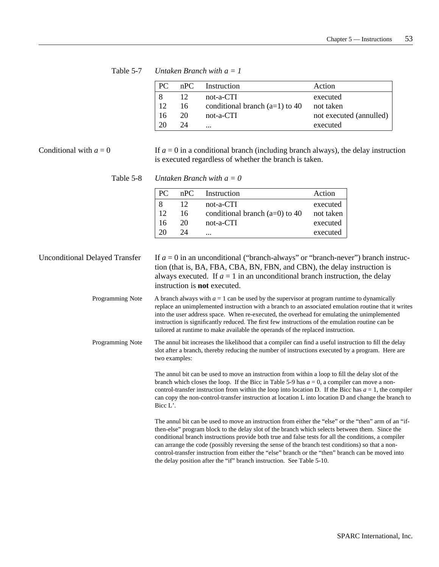| PC. |    | nPC Instruction                  | Action                  |
|-----|----|----------------------------------|-------------------------|
|     | 12 | not-a-CTI                        | executed                |
| -12 | 16 | conditional branch $(a=1)$ to 40 | not taken               |
| 16  | 20 | not-a-CTI                        | not executed (annulled) |
|     |    |                                  | executed                |

#### Table 5-7 *Untaken Branch with a = 1*

Conditional with  $a = 0$  If  $a = 0$  in a conditional branch (including branch always), the delay instruction is executed regardless of whether the branch is taken.

#### Table 5-8 *Untaken Branch with a = 0*

| PC. | nPC | Instruction                      | Action    |
|-----|-----|----------------------------------|-----------|
| 8   | 12  | not-a-CTI                        | executed  |
| 12  | 16  | conditional branch $(a=0)$ to 40 | not taken |
| 16  | 20  | not-a-CTI                        | executed  |
| 20  | 24  |                                  | executed  |

Unconditional Delayed Transfer If  $a = 0$  in an unconditional ("branch-always" or "branch-never") branch instruction (that is, BA, FBA, CBA, BN, FBN, and CBN), the delay instruction is always executed. If  $a = 1$  in an unconditional branch instruction, the delay instruction is **not** executed. Programming Note A branch always with  $a = 1$  can be used by the supervisor at program runtime to dynamically

replace an unimplemented instruction with a branch to an associated emulation routine that it writes into the user address space. When re-executed, the overhead for emulating the unimplemented instruction is significantly reduced. The first few instructions of the emulation routine can be tailored at runtime to make available the operands of the replaced instruction.

Programming Note The annul bit increases the likelihood that a compiler can find a useful instruction to fill the delay slot after a branch, thereby reducing the number of instructions executed by a program. Here are two examples:

> The annul bit can be used to move an instruction from within a loop to fill the delay slot of the branch which closes the loop. If the Bicc in Table 5-9 has  $a = 0$ , a compiler can move a noncontrol-transfer instruction from within the loop into location D. If the Bicc has  $a = 1$ , the compiler can copy the non-control-transfer instruction at location L into location D and change the branch to Bicc L'.

The annul bit can be used to move an instruction from either the "else" or the "then" arm of an "ifthen-else" program block to the delay slot of the branch which selects between them. Since the conditional branch instructions provide both true and false tests for all the conditions, a compiler can arrange the code (possibly reversing the sense of the branch test conditions) so that a noncontrol-transfer instruction from either the "else" branch or the "then" branch can be moved into the delay position after the "if" branch instruction. See Table 5-10.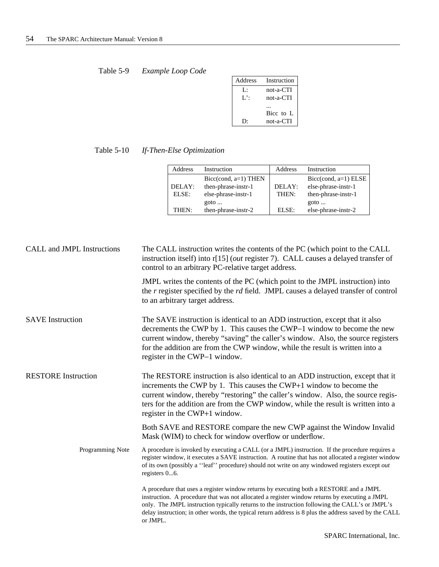| <b>Address</b> | Instruction |
|----------------|-------------|
| Ŀ              | not-a-CTI   |
| T⊉∙            | not-a-CTI   |
|                |             |
|                | Bicc to L   |
| $\mathbf{D}^*$ | not-a-CTI   |

## Table 5-10 *If-Then-Else Optimization*

| <b>Address</b> | Instruction             | <b>Address</b> | Instruction             |
|----------------|-------------------------|----------------|-------------------------|
|                | $Bicc (cond, a=1)$ THEN |                | $Bicc (cond, a=1) ELSE$ |
| DELAY:         | then-phrase-instr-1     | DELAY:         | else-phrase-instr-1     |
| ELSE:          | else-phrase-instr-1     | THEN:          | then-phrase-instr-1     |
|                | goto                    |                | $goto$                  |
| <b>THEN:</b>   | then-phrase-instr-2     | ELSE:          | else-phrase-instr-2     |

| <b>CALL and JMPL Instructions</b> | The CALL instruction writes the contents of the PC (which point to the CALL<br>instruction itself) into r[15] ( <i>out</i> register 7). CALL causes a delayed transfer of<br>control to an arbitrary PC-relative target address.                                                                                                                                                                               |
|-----------------------------------|----------------------------------------------------------------------------------------------------------------------------------------------------------------------------------------------------------------------------------------------------------------------------------------------------------------------------------------------------------------------------------------------------------------|
|                                   | JMPL writes the contents of the PC (which point to the JMPL instruction) into<br>the r register specified by the rd field. JMPL causes a delayed transfer of control<br>to an arbitrary target address.                                                                                                                                                                                                        |
| <b>SAVE</b> Instruction           | The SAVE instruction is identical to an ADD instruction, except that it also<br>decrements the CWP by 1. This causes the CWP-1 window to become the new<br>current window, thereby "saving" the caller's window. Also, the source registers<br>for the addition are from the CWP window, while the result is written into a<br>register in the CWP-1 window.                                                   |
| <b>RESTORE</b> Instruction        | The RESTORE instruction is also identical to an ADD instruction, except that it<br>increments the CWP by 1. This causes the CWP+1 window to become the<br>current window, thereby "restoring" the caller's window. Also, the source regis-<br>ters for the addition are from the CWP window, while the result is written into a<br>register in the CWP+1 window.                                               |
|                                   | Both SAVE and RESTORE compare the new CWP against the Window Invalid<br>Mask (WIM) to check for window overflow or underflow.                                                                                                                                                                                                                                                                                  |
| Programming Note                  | A procedure is invoked by executing a CALL (or a JMPL) instruction. If the procedure requires a<br>register window, it executes a SAVE instruction. A routine that has not allocated a register window<br>of its own (possibly a "leaf" procedure) should not write on any windowed registers except out<br>registers 06.                                                                                      |
|                                   | A procedure that uses a register window returns by executing both a RESTORE and a JMPL<br>instruction. A procedure that was not allocated a register window returns by executing a JMPL<br>only. The JMPL instruction typically returns to the instruction following the CALL's or JMPL's<br>delay instruction; in other words, the typical return address is 8 plus the address saved by the CALL<br>or JMPL. |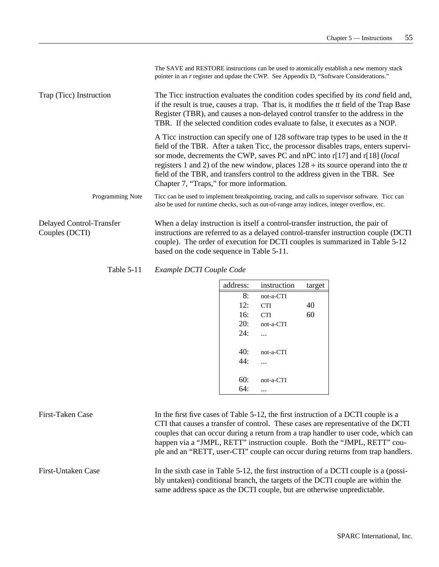|                                            | The SAVE and RESTORE instructions can be used to atomically establish a new memory stack<br>pointer in an r register and update the CWP. See Appendix D, "Software Considerations."                                                                                                                                                                                                                                                                                         |
|--------------------------------------------|-----------------------------------------------------------------------------------------------------------------------------------------------------------------------------------------------------------------------------------------------------------------------------------------------------------------------------------------------------------------------------------------------------------------------------------------------------------------------------|
| Trap (Ticc) Instruction                    | The Ticc instruction evaluates the condition codes specified by its <i>cond</i> field and,<br>if the result is true, causes a trap. That is, it modifies the <i>tt</i> field of the Trap Base<br>Register (TBR), and causes a non-delayed control transfer to the address in the<br>TBR. If the selected condition codes evaluate to false, it executes as a NOP.                                                                                                           |
|                                            | A Ticc instruction can specify one of 128 software trap types to be used in the tt<br>field of the TBR. After a taken Ticc, the processor disables traps, enters supervi-<br>sor mode, decrements the CWP, saves PC and nPC into r[17] and r[18] (local<br>registers 1 and 2) of the new window, places $128 +$ its source operand into the tt<br>field of the TBR, and transfers control to the address given in the TBR. See<br>Chapter 7, "Traps," for more information. |
| Programming Note                           | Ticc can be used to implement breakpointing, tracing, and calls to supervisor software. Ticc can<br>also be used for runtime checks, such as out-of-range array indices, integer overflow, etc.                                                                                                                                                                                                                                                                             |
| Delayed Control-Transfer<br>Couples (DCTI) | When a delay instruction is itself a control-transfer instruction, the pair of<br>instructions are referred to as a delayed control-transfer instruction couple (DCTI)<br>couple). The order of execution for DCTI couples is summarized in Table 5-12<br>based on the code sequence in Table 5-11.                                                                                                                                                                         |

Table 5-11 *Example DCTI Couple Code*

| address: | instruction | target |
|----------|-------------|--------|
| 8:       | not-a-CTI   |        |
| 12:      | <b>CTI</b>  | 40     |
| 16:      | <b>CTI</b>  | 60     |
| 20:      | not-a-CTI   |        |
| 24:      |             |        |
|          |             |        |
| 40:      | not-a-CTI   |        |
| 44:      |             |        |
|          |             |        |
| 60:      | not-a-CTI   |        |
| 64۰      |             |        |

same address space as the DCTI couple, but are otherwise unpredictable.

First-Taken Case In the first five cases of Table 5-12, the first instruction of a DCTI couple is a CTI that causes a transfer of control. These cases are representative of the DCTI couples that can occur during a return from a trap handler to user code, which can happen via a "JMPL, RETT" instruction couple. Both the "JMPL, RETT" couple and an "RETT, user-CTI" couple can occur during returns from trap handlers. First-Untaken Case In the sixth case in Table 5-12, the first instruction of a DCTI couple is a (possibly untaken) conditional branch, the targets of the DCTI couple are within the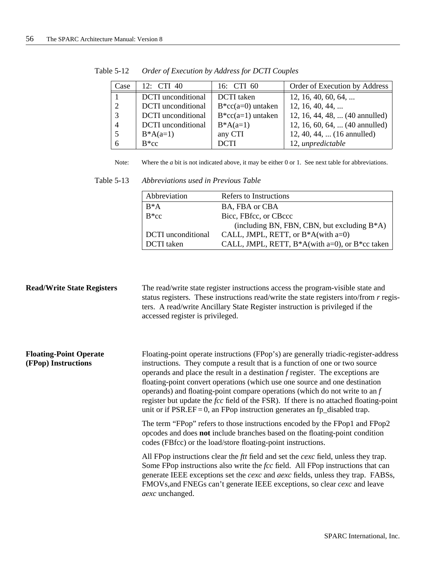| Case           | 12: CTI $40$              | 16: CTI 60          | Order of Execution by Address           |
|----------------|---------------------------|---------------------|-----------------------------------------|
|                | <b>DCTI</b> unconditional | <b>DCTI</b> taken   | $12, 16, 40, 60, 64, \ldots$            |
| 2              | <b>DCTI</b> unconditional | $B*cc(a=0)$ untaken | $12, 16, 40, 44, \ldots$                |
| 3              | <b>DCTI</b> unconditional | $B*cc(a=1)$ untaken | 12, 16, 44, 48,  (40 annulled)          |
| $\overline{4}$ | <b>DCTI</b> unconditional | $B*A(a=1)$          | 12, 16, 60, 64, $(40 \text{ annulled})$ |
|                | $B*A(a=1)$                | any CTI             | 12, 40, 44, $(16 \tannelled)$           |
| 6              | $R*cc$                    | <b>DCTI</b>         | 12, unpredictable                       |

Table 5-12 *Order of Execution by Address for DCTI Couples*

Note: Where the *a* bit is not indicated above, it may be either 0 or 1. See next table for abbreviations.

Table 5-13 *Abbreviations used in Previous Table*

| Abbreviation       | Refers to Instructions                                |
|--------------------|-------------------------------------------------------|
| $B^*A$             | BA, FBA or CBA                                        |
| $B*cc$             | Bicc, FBfcc, or CBccc                                 |
|                    | (including BN, FBN, CBN, but excluding $B^*A$ )       |
| DCTI unconditional | CALL, JMPL, RETT, or $B^*A$ (with a=0)                |
| <b>DCTI</b> taken  | CALL, JMPL, RETT, $B^*A$ (with a=0), or $B^*cc$ taken |

**Read/Write State Registers** The read/write state register instructions access the program-visible state and status registers. These instructions read/write the state registers into/from *r* registers. A read/write Ancillary State Register instruction is privileged if the accessed register is privileged.

**Floating-Point Operate (FPop) Instructions** Floating-point operate instructions (FPop's) are generally triadic-register-address instructions. They compute a result that is a function of one or two source operands and place the result in a destination *f* register. The exceptions are floating-point convert operations (which use one source and one destination operands) and floating-point compare operations (which do not write to an *f* register but update the *fcc* field of the FSR). If there is no attached floating-point unit or if  $PSR.EF = 0$ , an FPop instruction generates an fp\_disabled trap.

> The term "FPop" refers to those instructions encoded by the FPop1 and FPop2 opcodes and does **not** include branches based on the floating-point condition codes (FBfcc) or the load/store floating-point instructions.

All FPop instructions clear the *ftt* field and set the *cexc* field, unless they trap. Some FPop instructions also write the *fcc* field. All FPop instructions that can generate IEEE exceptions set the *cexc* and *aexc* fields, unless they trap. FABSs, FMOVs,and FNEGs can't generate IEEE exceptions, so clear *cexc* and leave *aexc* unchanged.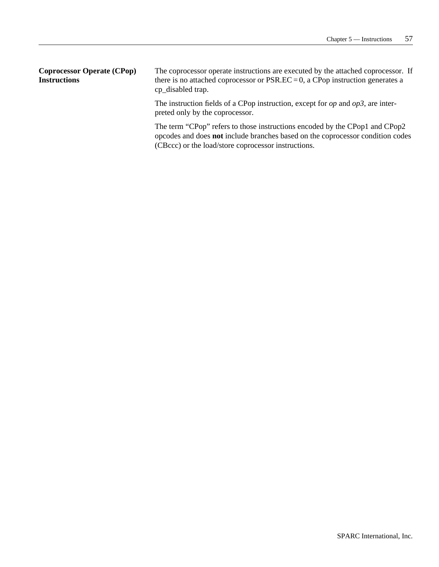**Coprocessor Operate (CPop) Instructions**

The coprocessor operate instructions are executed by the attached coprocessor. If there is no attached coprocessor or  $PSR.EC = 0$ , a CPop instruction generates a cp\_disabled trap.

The instruction fields of a CPop instruction, except for *op* and *op3*, are interpreted only by the coprocessor.

The term "CPop" refers to those instructions encoded by the CPop1 and CPop2 opcodes and does **not** include branches based on the coprocessor condition codes (CBccc) or the load/store coprocessor instructions.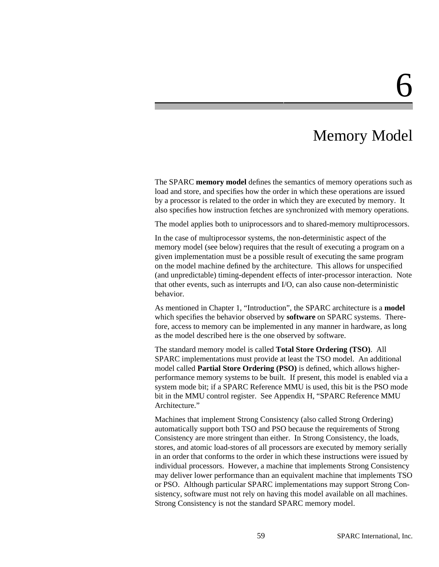# $\overline{6}$

# Memory Model

The SPARC **memory model** defines the semantics of memory operations such as load and store, and specifies how the order in which these operations are issued by a processor is related to the order in which they are executed by memory. It also specifies how instruction fetches are synchronized with memory operations.

The model applies both to uniprocessors and to shared-memory multiprocessors.

In the case of multiprocessor systems, the non-deterministic aspect of the memory model (see below) requires that the result of executing a program on a given implementation must be a possible result of executing the same program on the model machine defined by the architecture. This allows for unspecified (and unpredictable) timing-dependent effects of inter-processor interaction. Note that other events, such as interrupts and I/O, can also cause non-deterministic behavior.

As mentioned in Chapter 1, "Introduction", the SPARC architecture is a **model** which specifies the behavior observed by **software** on SPARC systems. Therefore, access to memory can be implemented in any manner in hardware, as long as the model described here is the one observed by software.

The standard memory model is called **Total Store Ordering (TSO)**. All SPARC implementations must provide at least the TSO model. An additional model called **Partial Store Ordering (PSO)** is defined, which allows higherperformance memory systems to be built. If present, this model is enabled via a system mode bit; if a SPARC Reference MMU is used, this bit is the PSO mode bit in the MMU control register. See Appendix H, "SPARC Reference MMU Architecture."

Machines that implement Strong Consistency (also called Strong Ordering) automatically support both TSO and PSO because the requirements of Strong Consistency are more stringent than either. In Strong Consistency, the loads, stores, and atomic load-stores of all processors are executed by memory serially in an order that conforms to the order in which these instructions were issued by individual processors. However, a machine that implements Strong Consistency may deliver lower performance than an equivalent machine that implements TSO or PSO. Although particular SPARC implementations may support Strong Consistency, software must not rely on having this model available on all machines. Strong Consistency is not the standard SPARC memory model.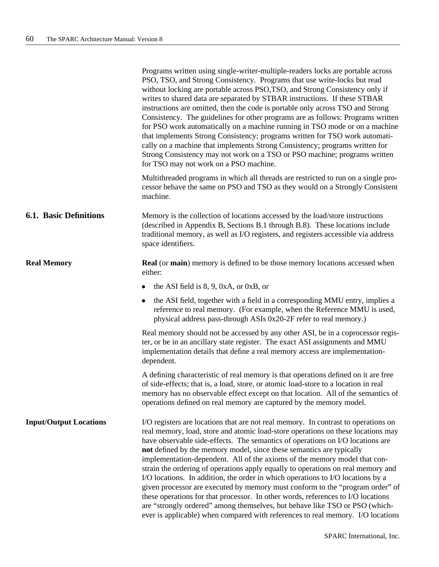|                               | Programs written using single-writer-multiple-readers locks are portable across<br>PSO, TSO, and Strong Consistency. Programs that use write-locks but read<br>without locking are portable across PSO,TSO, and Strong Consistency only if<br>writes to shared data are separated by STBAR instructions. If these STBAR<br>instructions are omitted, then the code is portable only across TSO and Strong<br>Consistency. The guidelines for other programs are as follows: Programs written<br>for PSO work automatically on a machine running in TSO mode or on a machine<br>that implements Strong Consistency; programs written for TSO work automati-<br>cally on a machine that implements Strong Consistency; programs written for<br>Strong Consistency may not work on a TSO or PSO machine; programs written<br>for TSO may not work on a PSO machine.                                                            |
|-------------------------------|-----------------------------------------------------------------------------------------------------------------------------------------------------------------------------------------------------------------------------------------------------------------------------------------------------------------------------------------------------------------------------------------------------------------------------------------------------------------------------------------------------------------------------------------------------------------------------------------------------------------------------------------------------------------------------------------------------------------------------------------------------------------------------------------------------------------------------------------------------------------------------------------------------------------------------|
|                               | Multithreaded programs in which all threads are restricted to run on a single pro-<br>cessor behave the same on PSO and TSO as they would on a Strongly Consistent<br>machine.                                                                                                                                                                                                                                                                                                                                                                                                                                                                                                                                                                                                                                                                                                                                              |
| <b>6.1. Basic Definitions</b> | Memory is the collection of locations accessed by the load/store instructions<br>(described in Appendix B, Sections B.1 through B.8). These locations include<br>traditional memory, as well as I/O registers, and registers accessible via address<br>space identifiers.                                                                                                                                                                                                                                                                                                                                                                                                                                                                                                                                                                                                                                                   |
| <b>Real Memory</b>            | <b>Real</b> (or <b>main</b> ) memory is defined to be those memory locations accessed when<br>either:                                                                                                                                                                                                                                                                                                                                                                                                                                                                                                                                                                                                                                                                                                                                                                                                                       |
|                               | the ASI field is $8, 9, 0xA$ , or $0xB$ , or                                                                                                                                                                                                                                                                                                                                                                                                                                                                                                                                                                                                                                                                                                                                                                                                                                                                                |
|                               | the ASI field, together with a field in a corresponding MMU entry, implies a<br>reference to real memory. (For example, when the Reference MMU is used,<br>physical address pass-through ASIs 0x20-2F refer to real memory.)                                                                                                                                                                                                                                                                                                                                                                                                                                                                                                                                                                                                                                                                                                |
|                               | Real memory should not be accessed by any other ASI, be in a coprocessor regis-<br>ter, or be in an ancillary state register. The exact ASI assignments and MMU<br>implementation details that define a real memory access are implementation-<br>dependent.                                                                                                                                                                                                                                                                                                                                                                                                                                                                                                                                                                                                                                                                |
|                               | A defining characteristic of real memory is that operations defined on it are free<br>of side-effects; that is, a load, store, or atomic load-store to a location in real<br>memory has no observable effect except on that location. All of the semantics of<br>operations defined on real memory are captured by the memory model.                                                                                                                                                                                                                                                                                                                                                                                                                                                                                                                                                                                        |
| <b>Input/Output Locations</b> | I/O registers are locations that are not real memory. In contrast to operations on<br>real memory, load, store and atomic load-store operations on these locations may<br>have observable side-effects. The semantics of operations on I/O locations are<br>not defined by the memory model, since these semantics are typically<br>implementation-dependent. All of the axioms of the memory model that con-<br>strain the ordering of operations apply equally to operations on real memory and<br>I/O locations. In addition, the order in which operations to I/O locations by a<br>given processor are executed by memory must conform to the "program order" of<br>these operations for that processor. In other words, references to I/O locations<br>are "strongly ordered" among themselves, but behave like TSO or PSO (which-<br>ever is applicable) when compared with references to real memory. I/O locations |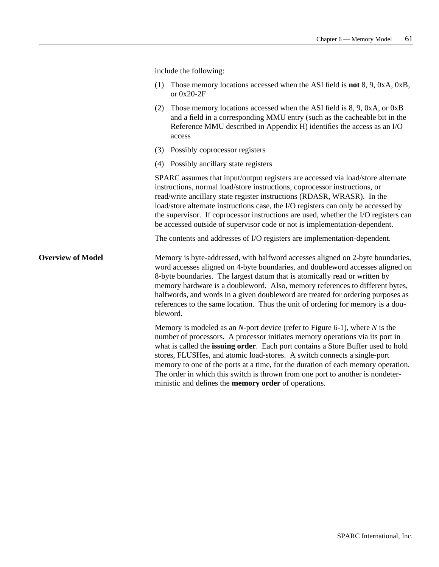include the following:

- (1) Those memory locations accessed when the ASI field is **not** 8, 9, 0xA, 0xB, or 0x20-2F
- (2) Those memory locations accessed when the ASI field is 8, 9, 0xA, or 0xB and a field in a corresponding MMU entry (such as the cacheable bit in the Reference MMU described in Appendix H) identifies the access as an I/O access
- (3) Possibly coprocessor registers
- (4) Possibly ancillary state registers

SPARC assumes that input/output registers are accessed via load/store alternate instructions, normal load/store instructions, coprocessor instructions, or read/write ancillary state register instructions (RDASR, WRASR). In the load/store alternate instructions case, the I/O registers can only be accessed by the supervisor. If coprocessor instructions are used, whether the I/O registers can be accessed outside of supervisor code or not is implementation-dependent.

The contents and addresses of I/O registers are implementation-dependent.

**Overview of Model** Memory is byte-addressed, with halfword accesses aligned on 2-byte boundaries, word accesses aligned on 4-byte boundaries, and doubleword accesses aligned on 8-byte boundaries. The largest datum that is atomically read or written by memory hardware is a doubleword. Also, memory references to different bytes, halfwords, and words in a given doubleword are treated for ordering purposes as references to the same location. Thus the unit of ordering for memory is a doubleword.

> Memory is modeled as an *N*-port device (refer to Figure 6-1), where *N* is the number of processors. A processor initiates memory operations via its port in what is called the **issuing order**. Each port contains a Store Buffer used to hold stores, FLUSHes, and atomic load-stores. A switch connects a single-port memory to one of the ports at a time, for the duration of each memory operation. The order in which this switch is thrown from one port to another is nondeterministic and defines the **memory order** of operations.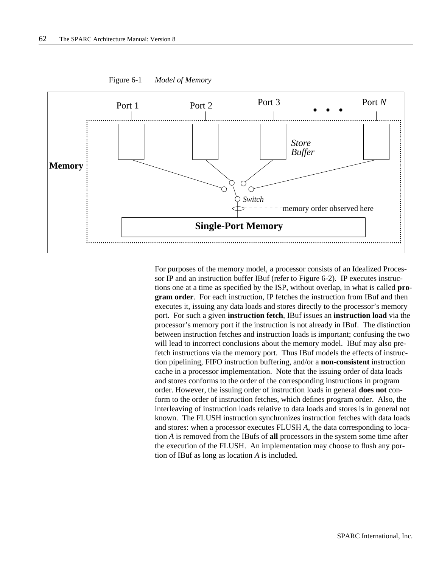



For purposes of the memory model, a processor consists of an Idealized Processor IP and an instruction buffer IBuf (refer to Figure 6-2). IP executes instructions one at a time as specified by the ISP, without overlap, in what is called **program order**. For each instruction, IP fetches the instruction from IBuf and then executes it, issuing any data loads and stores directly to the processor's memory port. For such a given **instruction fetch**, IBuf issues an **instruction load** via the processor's memory port if the instruction is not already in IBuf. The distinction between instruction fetches and instruction loads is important; confusing the two will lead to incorrect conclusions about the memory model. IBuf may also prefetch instructions via the memory port. Thus IBuf models the effects of instruction pipelining, FIFO instruction buffering, and/or a **non-consistent** instruction cache in a processor implementation. Note that the issuing order of data loads and stores conforms to the order of the corresponding instructions in program order. However, the issuing order of instruction loads in general **does not** conform to the order of instruction fetches, which defines program order. Also, the interleaving of instruction loads relative to data loads and stores is in general not known. The FLUSH instruction synchronizes instruction fetches with data loads and stores: when a processor executes FLUSH *A*, the data corresponding to location *A* is removed from the IBufs of **all** processors in the system some time after the execution of the FLUSH. An implementation may choose to flush any portion of IBuf as long as location *A* is included.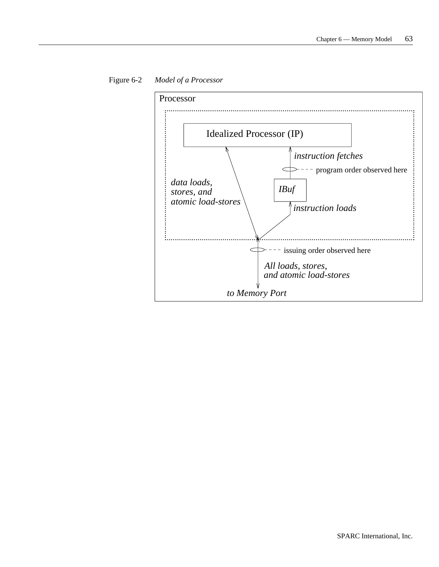

Figure 6-2 *Model of a Processor*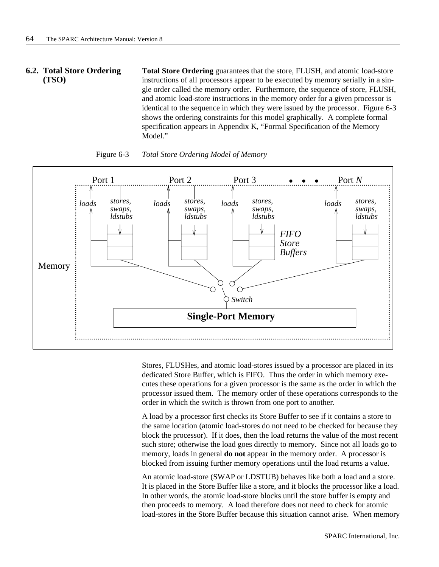#### **6.2. Total Store Ordering (TSO) Total Store Ordering** guarantees that the store, FLUSH, and atomic load-store instructions of all processors appear to be executed by memory serially in a single order called the memory order. Furthermore, the sequence of store, FLUSH, and atomic load-store instructions in the memory order for a given processor is identical to the sequence in which they were issued by the processor. Figure 6-3 shows the ordering constraints for this model graphically. A complete formal specification appears in Appendix K, "Formal Specification of the Memory Model."



Figure 6-3 *Total Store Ordering Model of Memory*

Stores, FLUSHes, and atomic load-stores issued by a processor are placed in its dedicated Store Buffer, which is FIFO. Thus the order in which memory executes these operations for a given processor is the same as the order in which the processor issued them. The memory order of these operations corresponds to the order in which the switch is thrown from one port to another.

A load by a processor first checks its Store Buffer to see if it contains a store to the same location (atomic load-stores do not need to be checked for because they block the processor). If it does, then the load returns the value of the most recent such store; otherwise the load goes directly to memory. Since not all loads go to memory, loads in general **do not** appear in the memory order. A processor is blocked from issuing further memory operations until the load returns a value.

An atomic load-store (SWAP or LDSTUB) behaves like both a load and a store. It is placed in the Store Buffer like a store, and it blocks the processor like a load. In other words, the atomic load-store blocks until the store buffer is empty and then proceeds to memory. A load therefore does not need to check for atomic load-stores in the Store Buffer because this situation cannot arise. When memory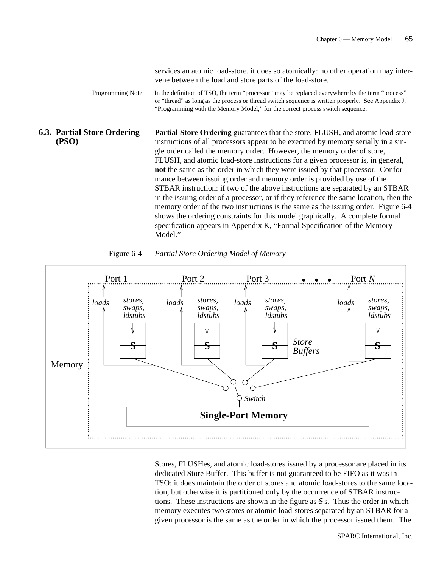services an atomic load-store, it does so atomically: no other operation may intervene between the load and store parts of the load-store.

Programming Note In the definition of TSO, the term "processor" may be replaced everywhere by the term "process" or "thread" as long as the process or thread switch sequence is written properly. See Appendix J, "Programming with the Memory Model," for the correct process switch sequence.

**6.3. Partial Store Ordering (PSO) Partial Store Ordering** guarantees that the store, FLUSH, and atomic load-store instructions of all processors appear to be executed by memory serially in a single order called the memory order. However, the memory order of store, FLUSH, and atomic load-store instructions for a given processor is, in general, **not** the same as the order in which they were issued by that processor. Conformance between issuing order and memory order is provided by use of the STBAR instruction: if two of the above instructions are separated by an STBAR in the issuing order of a processor, or if they reference the same location, then the memory order of the two instructions is the same as the issuing order. Figure 6-4 shows the ordering constraints for this model graphically. A complete formal specification appears in Appendix K, "Formal Specification of the Memory Model."



Figure 6-4 *Partial Store Ordering Model of Memory*

Stores, FLUSHes, and atomic load-stores issued by a processor are placed in its dedicated Store Buffer. This buffer is not guaranteed to be FIFO as it was in TSO; it does maintain the order of stores and atomic load-stores to the same location, but otherwise it is partitioned only by the occurrence of STBAR instructions. These instructions are shown in the figure as *S–* s. Thus the order in which memory executes two stores or atomic load-stores separated by an STBAR for a given processor is the same as the order in which the processor issued them. The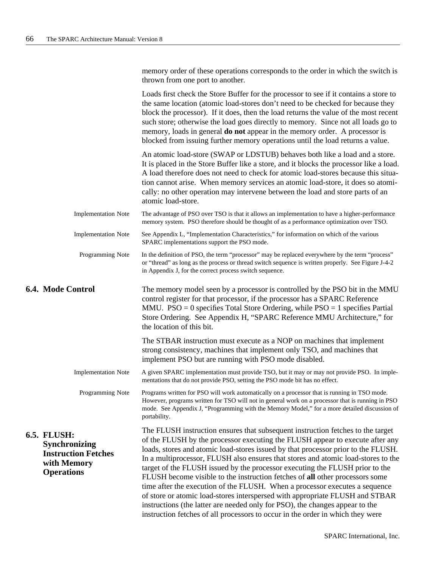memory order of these operations corresponds to the order in which the switch is thrown from one port to another.

Loads first check the Store Buffer for the processor to see if it contains a store to the same location (atomic load-stores don't need to be checked for because they block the processor). If it does, then the load returns the value of the most recent such store; otherwise the load goes directly to memory. Since not all loads go to memory, loads in general **do not** appear in the memory order. A processor is blocked from issuing further memory operations until the load returns a value.

An atomic load-store (SWAP or LDSTUB) behaves both like a load and a store. It is placed in the Store Buffer like a store, and it blocks the processor like a load. A load therefore does not need to check for atomic load-stores because this situation cannot arise. When memory services an atomic load-store, it does so atomically: no other operation may intervene between the load and store parts of an atomic load-store.

Implementation Note The advantage of PSO over TSO is that it allows an implementation to have a higher-performance memory system. PSO therefore should be thought of as a performance optimization over TSO.

Implementation Note See Appendix L, "Implementation Characteristics," for information on which of the various SPARC implementations support the PSO mode.

Programming Note In the definition of PSO, the term "processor" may be replaced everywhere by the term "process" or "thread" as long as the process or thread switch sequence is written properly. See Figure J-4-2 in Appendix J, for the correct process switch sequence.

**6.4. Mode Control** The memory model seen by a processor is controlled by the PSO bit in the MMU control register for that processor, if the processor has a SPARC Reference MMU.  $PSO = 0$  specifies Total Store Ordering, while  $PSO = 1$  specifies Partial Store Ordering. See Appendix H, "SPARC Reference MMU Architecture," for the location of this bit.

> The STBAR instruction must execute as a NOP on machines that implement strong consistency, machines that implement only TSO, and machines that implement PSO but are running with PSO mode disabled.

Implementation Note A given SPARC implementation must provide TSO, but it may or may not provide PSO. In implementations that do not provide PSO, setting the PSO mode bit has no effect.

Programming Note Programs written for PSO will work automatically on a processor that is running in TSO mode. However, programs written for TSO will not in general work on a processor that is running in PSO mode. See Appendix J, "Programming with the Memory Model," for a more detailed discussion of portability.

**6.5. FLUSH: Synchronizing Instruction Fetches with Memory Operations**

The FLUSH instruction ensures that subsequent instruction fetches to the target of the FLUSH by the processor executing the FLUSH appear to execute after any loads, stores and atomic load-stores issued by that processor prior to the FLUSH. In a multiprocessor, FLUSH also ensures that stores and atomic load-stores to the target of the FLUSH issued by the processor executing the FLUSH prior to the FLUSH become visible to the instruction fetches of **all** other processors some time after the execution of the FLUSH. When a processor executes a sequence of store or atomic load-stores interspersed with appropriate FLUSH and STBAR instructions (the latter are needed only for PSO), the changes appear to the instruction fetches of all processors to occur in the order in which they were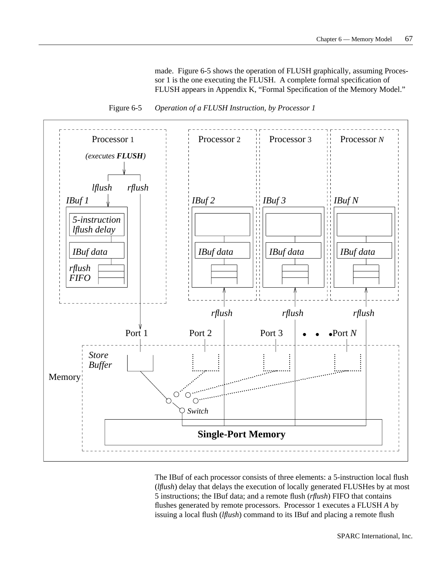made. Figure 6-5 shows the operation of FLUSH graphically, assuming Processor 1 is the one executing the FLUSH. A complete formal specification of FLUSH appears in Appendix K, "Formal Specification of the Memory Model."



Figure 6-5 *Operation of a FLUSH Instruction, by Processor 1*

The IBuf of each processor consists of three elements: a 5-instruction local flush (*lflush*) delay that delays the execution of locally generated FLUSHes by at most 5 instructions; the IBuf data; and a remote flush (*rflush*) FIFO that contains flushes generated by remote processors. Processor 1 executes a FLUSH *A* by issuing a local flush (*lflush*) command to its IBuf and placing a remote flush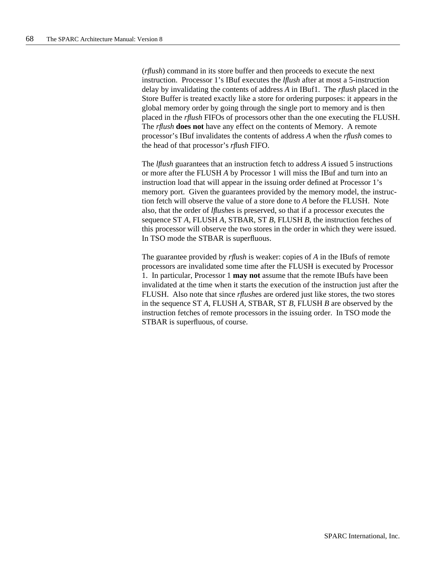(*rflush*) command in its store buffer and then proceeds to execute the next instruction. Processor 1's IBuf executes the *lflush* after at most a 5-instruction delay by invalidating the contents of address *A* in IBuf1. The *rflush* placed in the Store Buffer is treated exactly like a store for ordering purposes: it appears in the global memory order by going through the single port to memory and is then placed in the *rflush* FIFOs of processors other than the one executing the FLUSH. The *rflush* **does not** have any effect on the contents of Memory. A remote processor's IBuf invalidates the contents of address *A* when the *rflush* comes to the head of that processor's *rflush* FIFO.

The *lflush* guarantees that an instruction fetch to address *A* issued 5 instructions or more after the FLUSH *A* by Processor 1 will miss the IBuf and turn into an instruction load that will appear in the issuing order defined at Processor 1's memory port. Given the guarantees provided by the memory model, the instruction fetch will observe the value of a store done to *A* before the FLUSH. Note also, that the order of *lflush*es is preserved, so that if a processor executes the sequence ST *A*, FLUSH *A*, STBAR, ST *B*, FLUSH *B*, the instruction fetches of this processor will observe the two stores in the order in which they were issued. In TSO mode the STBAR is superfluous.

The guarantee provided by *rflush* is weaker: copies of *A* in the IBufs of remote processors are invalidated some time after the FLUSH is executed by Processor 1. In particular, Processor 1 **may not** assume that the remote IBufs have been invalidated at the time when it starts the execution of the instruction just after the FLUSH. Also note that since *rflush*es are ordered just like stores, the two stores in the sequence ST *A*, FLUSH *A*, STBAR, ST *B*, FLUSH *B* are observed by the instruction fetches of remote processors in the issuing order. In TSO mode the STBAR is superfluous, of course.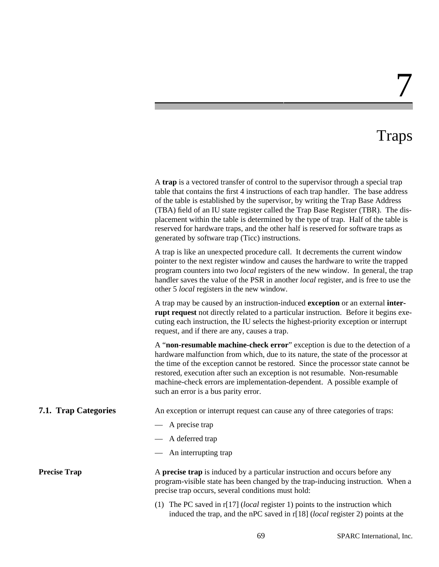# Traps

|                      | A trap is a vectored transfer of control to the supervisor through a special trap<br>table that contains the first 4 instructions of each trap handler. The base address<br>of the table is established by the supervisor, by writing the Trap Base Address<br>(TBA) field of an IU state register called the Trap Base Register (TBR). The dis-<br>placement within the table is determined by the type of trap. Half of the table is<br>reserved for hardware traps, and the other half is reserved for software traps as<br>generated by software trap (Ticc) instructions. |
|----------------------|--------------------------------------------------------------------------------------------------------------------------------------------------------------------------------------------------------------------------------------------------------------------------------------------------------------------------------------------------------------------------------------------------------------------------------------------------------------------------------------------------------------------------------------------------------------------------------|
|                      | A trap is like an unexpected procedure call. It decrements the current window<br>pointer to the next register window and causes the hardware to write the trapped<br>program counters into two local registers of the new window. In general, the trap<br>handler saves the value of the PSR in another local register, and is free to use the<br>other 5 <i>local</i> registers in the new window.                                                                                                                                                                            |
|                      | A trap may be caused by an instruction-induced exception or an external inter-<br>rupt request not directly related to a particular instruction. Before it begins exe-<br>cuting each instruction, the IU selects the highest-priority exception or interrupt<br>request, and if there are any, causes a trap.                                                                                                                                                                                                                                                                 |
|                      | A "non-resumable machine-check error" exception is due to the detection of a<br>hardware malfunction from which, due to its nature, the state of the processor at<br>the time of the exception cannot be restored. Since the processor state cannot be<br>restored, execution after such an exception is not resumable. Non-resumable<br>machine-check errors are implementation-dependent. A possible example of<br>such an error is a bus parity error.                                                                                                                      |
| 7.1. Trap Categories | An exception or interrupt request can cause any of three categories of traps:                                                                                                                                                                                                                                                                                                                                                                                                                                                                                                  |
|                      | — A precise trap                                                                                                                                                                                                                                                                                                                                                                                                                                                                                                                                                               |
|                      | - A deferred trap                                                                                                                                                                                                                                                                                                                                                                                                                                                                                                                                                              |
|                      | — An interrupting trap                                                                                                                                                                                                                                                                                                                                                                                                                                                                                                                                                         |
| <b>Precise Trap</b>  | A precise trap is induced by a particular instruction and occurs before any<br>program-visible state has been changed by the trap-inducing instruction. When a<br>precise trap occurs, several conditions must hold:                                                                                                                                                                                                                                                                                                                                                           |
|                      | (1) The PC saved in $r[17]$ (local register 1) points to the instruction which<br>induced the trap, and the nPC saved in r[18] (local register 2) points at the                                                                                                                                                                                                                                                                                                                                                                                                                |

7

69 SPARC International, Inc.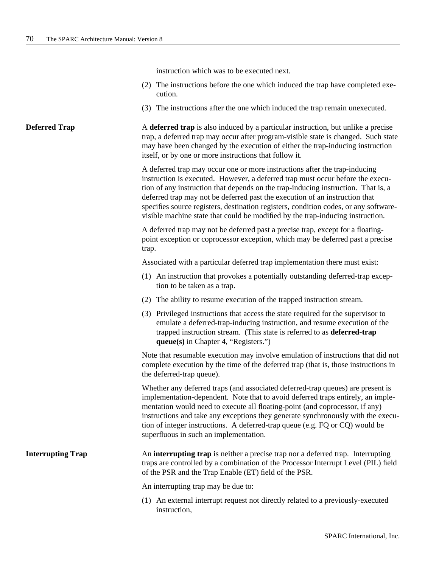instruction which was to be executed next.

- (2) The instructions before the one which induced the trap have completed execution.
- (3) The instructions after the one which induced the trap remain unexecuted.

## **Deferred Trap** A **deferred trap** is also induced by a particular instruction, but unlike a precise trap, a deferred trap may occur after program-visible state is changed. Such state may have been changed by the execution of either the trap-inducing instruction itself, or by one or more instructions that follow it.

A deferred trap may occur one or more instructions after the trap-inducing instruction is executed. However, a deferred trap must occur before the execution of any instruction that depends on the trap-inducing instruction. That is, a deferred trap may not be deferred past the execution of an instruction that specifies source registers, destination registers, condition codes, or any softwarevisible machine state that could be modified by the trap-inducing instruction.

A deferred trap may not be deferred past a precise trap, except for a floatingpoint exception or coprocessor exception, which may be deferred past a precise trap.

Associated with a particular deferred trap implementation there must exist:

- (1) An instruction that provokes a potentially outstanding deferred-trap exception to be taken as a trap.
- (2) The ability to resume execution of the trapped instruction stream.
- (3) Privileged instructions that access the state required for the supervisor to emulate a deferred-trap-inducing instruction, and resume execution of the trapped instruction stream. (This state is referred to as **deferred-trap queue(s)** in Chapter 4, "Registers.")

Note that resumable execution may involve emulation of instructions that did not complete execution by the time of the deferred trap (that is, those instructions in the deferred-trap queue).

Whether any deferred traps (and associated deferred-trap queues) are present is implementation-dependent. Note that to avoid deferred traps entirely, an implementation would need to execute all floating-point (and coprocessor, if any) instructions and take any exceptions they generate synchronously with the execution of integer instructions. A deferred-trap queue (e.g. FQ or CQ) would be superfluous in such an implementation.

## **Interrupting Trap** An **interrupting trap** is neither a precise trap nor a deferred trap. Interrupting traps are controlled by a combination of the Processor Interrupt Level (PIL) field of the PSR and the Trap Enable (ET) field of the PSR.

An interrupting trap may be due to:

(1) An external interrupt request not directly related to a previously-executed instruction,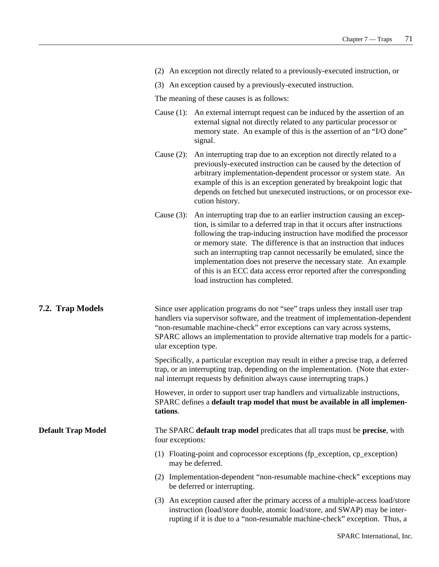|  |  | (2) An exception not directly related to a previously-executed instruction, or |  |  |  |
|--|--|--------------------------------------------------------------------------------|--|--|--|
|--|--|--------------------------------------------------------------------------------|--|--|--|

(3) An exception caused by a previously-executed instruction.

The meaning of these causes is as follows:

- Cause (1): An external interrupt request can be induced by the assertion of an external signal not directly related to any particular processor or memory state. An example of this is the assertion of an "I/O done" signal.
- Cause (2): An interrupting trap due to an exception not directly related to a previously-executed instruction can be caused by the detection of arbitrary implementation-dependent processor or system state. An example of this is an exception generated by breakpoint logic that depends on fetched but unexecuted instructions, or on processor execution history.
- Cause (3): An interrupting trap due to an earlier instruction causing an exception, is similar to a deferred trap in that it occurs after instructions following the trap-inducing instruction have modified the processor or memory state. The difference is that an instruction that induces such an interrupting trap cannot necessarily be emulated, since the implementation does not preserve the necessary state. An example of this is an ECC data access error reported after the corresponding load instruction has completed.

| 7.2. Trap Models          | Since user application programs do not "see" traps unless they install user trap<br>handlers via supervisor software, and the treatment of implementation-dependent<br>"non-resumable machine-check" error exceptions can vary across systems,<br>SPARC allows an implementation to provide alternative trap models for a partic-<br>ular exception type. |
|---------------------------|-----------------------------------------------------------------------------------------------------------------------------------------------------------------------------------------------------------------------------------------------------------------------------------------------------------------------------------------------------------|
|                           | Specifically, a particular exception may result in either a precise trap, a deferred<br>trap, or an interrupting trap, depending on the implementation. (Note that exter-<br>nal interrupt requests by definition always cause interrupting traps.)                                                                                                       |
|                           | However, in order to support user trap handlers and virtualizable instructions,<br>SPARC defines a default trap model that must be available in all implemen-<br>tations.                                                                                                                                                                                 |
| <b>Default Trap Model</b> | The SPARC default trap model predicates that all traps must be precise, with<br>four exceptions:                                                                                                                                                                                                                                                          |
|                           | (1) Floating-point and coprocessor exceptions (fp_exception, cp_exception)<br>may be deferred.                                                                                                                                                                                                                                                            |
|                           |                                                                                                                                                                                                                                                                                                                                                           |
|                           | (2) Implementation-dependent "non-resumable machine-check" exceptions may<br>be deferred or interrupting.                                                                                                                                                                                                                                                 |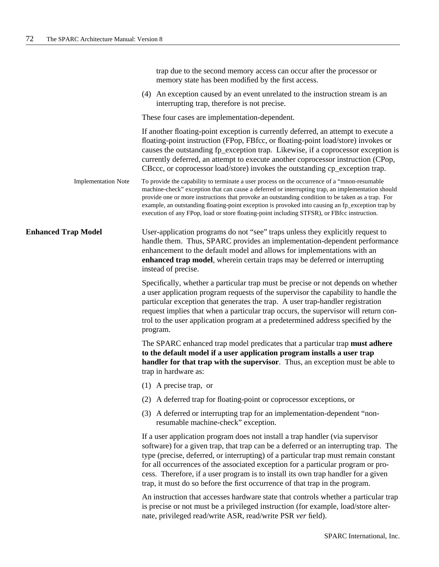trap due to the second memory access can occur after the processor or memory state has been modified by the first access. (4) An exception caused by an event unrelated to the instruction stream is an interrupting trap, therefore is not precise. These four cases are implementation-dependent. If another floating-point exception is currently deferred, an attempt to execute a floating-point instruction (FPop, FBfcc, or floating-point load/store) invokes or causes the outstanding fp\_exception trap. Likewise, if a coprocessor exception is currently deferred, an attempt to execute another coprocessor instruction (CPop, CBccc, or coprocessor load/store) invokes the outstanding cp\_exception trap. Implementation Note To provide the capability to terminate a user process on the occurrence of a "mnon-resumable machine-check" exception that can cause a deferred or interrupting trap, an implementation should provide one or more instructions that provoke an outstanding condition to be taken as a trap. For example, an outstanding floating-point exception is provoked into causing an fp\_exception trap by execution of any FPop, load or store floating-point including STFSR), or FBfcc instruction. **Enhanced Trap Model** User-application programs do not "see" traps unless they explicitly request to handle them. Thus, SPARC provides an implementation-dependent performance enhancement to the default model and allows for implementations with an **enhanced trap model**, wherein certain traps may be deferred or interrupting instead of precise. Specifically, whether a particular trap must be precise or not depends on whether a user application program requests of the supervisor the capability to handle the particular exception that generates the trap. A user trap-handler registration request implies that when a particular trap occurs, the supervisor will return control to the user application program at a predetermined address specified by the program. The SPARC enhanced trap model predicates that a particular trap **must adhere to the default model if a user application program installs a user trap handler for that trap with the supervisor**. Thus, an exception must be able to trap in hardware as: (1) A precise trap, or (2) A deferred trap for floating-point or coprocessor exceptions, or (3) A deferred or interrupting trap for an implementation-dependent "nonresumable machine-check" exception. If a user application program does not install a trap handler (via supervisor software) for a given trap, that trap can be a deferred or an interrupting trap. The type (precise, deferred, or interrupting) of a particular trap must remain constant for all occurrences of the associated exception for a particular program or process. Therefore, if a user program is to install its own trap handler for a given trap, it must do so before the first occurrence of that trap in the program. An instruction that accesses hardware state that controls whether a particular trap is precise or not must be a privileged instruction (for example, load/store alternate, privileged read/write ASR, read/write PSR *ver* field).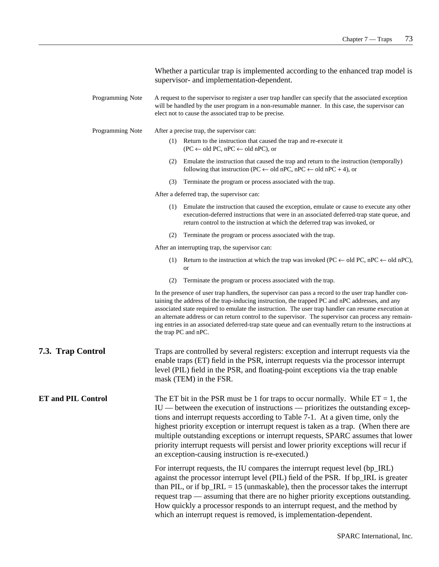|                           | Whether a particular trap is implemented according to the enhanced trap model is<br>supervisor- and implementation-dependent.                                                                                                                                                                                                                                                                                                                                                                                                                                                   |  |  |
|---------------------------|---------------------------------------------------------------------------------------------------------------------------------------------------------------------------------------------------------------------------------------------------------------------------------------------------------------------------------------------------------------------------------------------------------------------------------------------------------------------------------------------------------------------------------------------------------------------------------|--|--|
| Programming Note          | A request to the supervisor to register a user trap handler can specify that the associated exception<br>will be handled by the user program in a non-resumable manner. In this case, the supervisor can<br>elect not to cause the associated trap to be precise.                                                                                                                                                                                                                                                                                                               |  |  |
| Programming Note          | After a precise trap, the supervisor can:                                                                                                                                                                                                                                                                                                                                                                                                                                                                                                                                       |  |  |
|                           | (1) Return to the instruction that caused the trap and re-execute it<br>$(PC \leftarrow old PC, nPC \leftarrow old nPC)$ , or                                                                                                                                                                                                                                                                                                                                                                                                                                                   |  |  |
|                           | (2) Emulate the instruction that caused the trap and return to the instruction (temporally)<br>following that instruction (PC $\leftarrow$ old nPC, nPC $\leftarrow$ old nPC + 4), or                                                                                                                                                                                                                                                                                                                                                                                           |  |  |
|                           | Terminate the program or process associated with the trap.<br>(3)                                                                                                                                                                                                                                                                                                                                                                                                                                                                                                               |  |  |
|                           | After a deferred trap, the supervisor can:                                                                                                                                                                                                                                                                                                                                                                                                                                                                                                                                      |  |  |
|                           | (1) Emulate the instruction that caused the exception, emulate or cause to execute any other<br>execution-deferred instructions that were in an associated deferred-trap state queue, and<br>return control to the instruction at which the deferred trap was invoked, or                                                                                                                                                                                                                                                                                                       |  |  |
|                           | Terminate the program or process associated with the trap.<br>(2)                                                                                                                                                                                                                                                                                                                                                                                                                                                                                                               |  |  |
|                           | After an interrupting trap, the supervisor can:                                                                                                                                                                                                                                                                                                                                                                                                                                                                                                                                 |  |  |
|                           | Return to the instruction at which the trap was invoked (PC $\leftarrow$ old PC, nPC $\leftarrow$ old nPC),<br>(1)<br>or                                                                                                                                                                                                                                                                                                                                                                                                                                                        |  |  |
|                           | Terminate the program or process associated with the trap.<br>(2)                                                                                                                                                                                                                                                                                                                                                                                                                                                                                                               |  |  |
|                           | In the presence of user trap handlers, the supervisor can pass a record to the user trap handler con-<br>taining the address of the trap-inducing instruction, the trapped PC and nPC addresses, and any<br>associated state required to emulate the instruction. The user trap handler can resume execution at<br>an alternate address or can return control to the supervisor. The supervisor can process any remain-<br>ing entries in an associated deferred-trap state queue and can eventually return to the instructions at<br>the trap PC and nPC.                      |  |  |
| 7.3. Trap Control         | Traps are controlled by several registers: exception and interrupt requests via the<br>enable traps (ET) field in the PSR, interrupt requests via the processor interrupt<br>level (PIL) field in the PSR, and floating-point exceptions via the trap enable<br>mask (TEM) in the FSR.                                                                                                                                                                                                                                                                                          |  |  |
| <b>ET and PIL Control</b> | The ET bit in the PSR must be 1 for traps to occur normally. While $ET = 1$ , the<br>$IU$ — between the execution of instructions — prioritizes the outstanding excep-<br>tions and interrupt requests according to Table 7-1. At a given time, only the<br>highest priority exception or interrupt request is taken as a trap. (When there are<br>multiple outstanding exceptions or interrupt requests, SPARC assumes that lower<br>priority interrupt requests will persist and lower priority exceptions will recur if<br>an exception-causing instruction is re-executed.) |  |  |
|                           | For interrupt requests, the IU compares the interrupt request level (bp_IRL)<br>against the processor interrupt level (PIL) field of the PSR. If bp_IRL is greater<br>than PIL, or if bp_IRL = 15 (unmaskable), then the processor takes the interrupt<br>request trap — assuming that there are no higher priority exceptions outstanding.<br>How quickly a processor responds to an interrupt request, and the method by<br>which an interrupt request is removed, is implementation-dependent.                                                                               |  |  |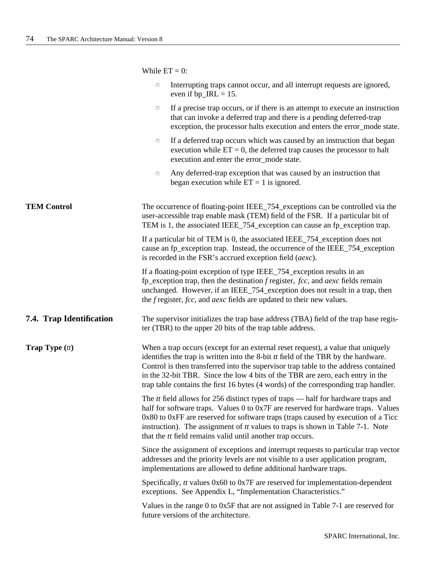While  $ET = 0$ :

|                          | Interrupting traps cannot occur, and all interrupt requests are ignored,<br>$\Box$<br>even if bp_IRL = $15$ .                                                                                                                                                                                                                                                                                                                            |
|--------------------------|------------------------------------------------------------------------------------------------------------------------------------------------------------------------------------------------------------------------------------------------------------------------------------------------------------------------------------------------------------------------------------------------------------------------------------------|
|                          | If a precise trap occurs, or if there is an attempt to execute an instruction<br>$\hfill \square$<br>that can invoke a deferred trap and there is a pending deferred-trap<br>exception, the processor halts execution and enters the error_mode state.                                                                                                                                                                                   |
|                          | If a deferred trap occurs which was caused by an instruction that began<br>$\Box$<br>execution while $ET = 0$ , the deferred trap causes the processor to halt<br>execution and enter the error mode state.                                                                                                                                                                                                                              |
|                          | Any deferred-trap exception that was caused by an instruction that<br>Ο<br>began execution while $ET = 1$ is ignored.                                                                                                                                                                                                                                                                                                                    |
| <b>TEM Control</b>       | The occurrence of floating-point IEEE_754_exceptions can be controlled via the<br>user-accessible trap enable mask (TEM) field of the FSR. If a particular bit of<br>TEM is 1, the associated IEEE_754_exception can cause an fp_exception trap.                                                                                                                                                                                         |
|                          | If a particular bit of TEM is 0, the associated IEEE_754_exception does not<br>cause an fp_exception trap. Instead, the occurrence of the IEEE_754_exception<br>is recorded in the FSR's accrued exception field (aexc).                                                                                                                                                                                                                 |
|                          | If a floating-point exception of type IEEE_754_exception results in an<br>fp_exception trap, then the destination $f$ register, $fcc$ , and $aexc$ fields remain<br>unchanged. However, if an IEEE_754_exception does not result in a trap, then<br>the f register, fcc, and aexc fields are updated to their new values.                                                                                                                |
| 7.4. Trap Identification | The supervisor initializes the trap base address (TBA) field of the trap base regis-<br>ter (TBR) to the upper 20 bits of the trap table address.                                                                                                                                                                                                                                                                                        |
| <b>Trap Type</b> (tt)    | When a trap occurs (except for an external reset request), a value that uniquely<br>identifies the trap is written into the 8-bit $tt$ field of the TBR by the hardware.<br>Control is then transferred into the supervisor trap table to the address contained<br>in the 32-bit TBR. Since the low 4 bits of the TBR are zero, each entry in the<br>trap table contains the first 16 bytes (4 words) of the corresponding trap handler. |
|                          | The <i>tt</i> field allows for 256 distinct types of traps $-$ half for hardware traps and<br>half for software traps. Values 0 to 0x7F are reserved for hardware traps. Values<br>0x80 to 0xFF are reserved for software traps (traps caused by execution of a Ticc<br>instruction). The assignment of $tt$ values to traps is shown in Table 7-1. Note<br>that the <i>tt</i> field remains valid until another trap occurs.            |
|                          | Since the assignment of exceptions and interrupt requests to particular trap vector<br>addresses and the priority levels are not visible to a user application program,<br>implementations are allowed to define additional hardware traps.                                                                                                                                                                                              |
|                          | Specifically, <i>tt</i> values 0x60 to 0x7F are reserved for implementation-dependent<br>exceptions. See Appendix L, "Implementation Characteristics."                                                                                                                                                                                                                                                                                   |
|                          | Values in the range 0 to 0x5F that are not assigned in Table 7-1 are reserved for<br>future versions of the architecture.                                                                                                                                                                                                                                                                                                                |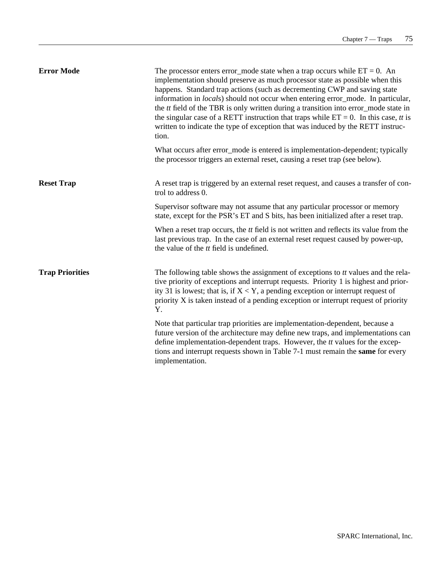| <b>Error Mode</b>      | The processor enters error_mode state when a trap occurs while $ET = 0$ . An<br>implementation should preserve as much processor state as possible when this<br>happens. Standard trap actions (such as decrementing CWP and saving state<br>information in <i>locals</i> ) should not occur when entering error_mode. In particular,<br>the $tt$ field of the TBR is only written during a transition into error_mode state in<br>the singular case of a RETT instruction that traps while $ET = 0$ . In this case, tt is<br>written to indicate the type of exception that was induced by the RETT instruc-<br>tion. |
|------------------------|------------------------------------------------------------------------------------------------------------------------------------------------------------------------------------------------------------------------------------------------------------------------------------------------------------------------------------------------------------------------------------------------------------------------------------------------------------------------------------------------------------------------------------------------------------------------------------------------------------------------|
|                        | What occurs after error_mode is entered is implementation-dependent; typically<br>the processor triggers an external reset, causing a reset trap (see below).                                                                                                                                                                                                                                                                                                                                                                                                                                                          |
| <b>Reset Trap</b>      | A reset trap is triggered by an external reset request, and causes a transfer of con-<br>trol to address 0.                                                                                                                                                                                                                                                                                                                                                                                                                                                                                                            |
|                        | Supervisor software may not assume that any particular processor or memory<br>state, except for the PSR's ET and S bits, has been initialized after a reset trap.                                                                                                                                                                                                                                                                                                                                                                                                                                                      |
|                        | When a reset trap occurs, the <i>tt</i> field is not written and reflects its value from the<br>last previous trap. In the case of an external reset request caused by power-up,<br>the value of the <i>tt</i> field is undefined.                                                                                                                                                                                                                                                                                                                                                                                     |
| <b>Trap Priorities</b> | The following table shows the assignment of exceptions to <i>tt</i> values and the rela-<br>tive priority of exceptions and interrupt requests. Priority 1 is highest and prior-<br>ity 31 is lowest; that is, if $X < Y$ , a pending exception or interrupt request of<br>priority X is taken instead of a pending exception or interrupt request of priority<br>Y.                                                                                                                                                                                                                                                   |
|                        | Note that particular trap priorities are implementation-dependent, because a<br>future version of the architecture may define new traps, and implementations can<br>define implementation-dependent traps. However, the <i>tt</i> values for the excep-<br>tions and interrupt requests shown in Table 7-1 must remain the same for every<br>implementation.                                                                                                                                                                                                                                                           |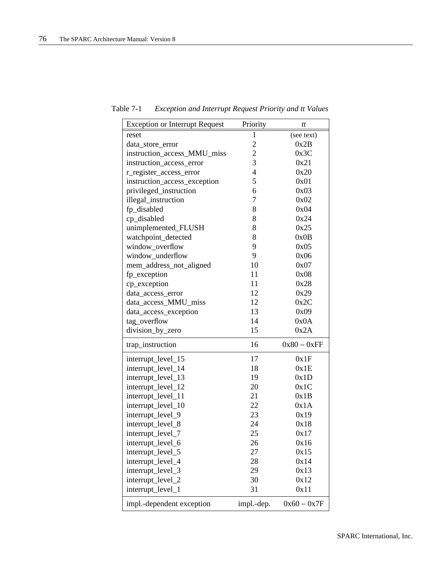| <b>Exception or Interrupt Request</b> | Priority       | $t\bar{t}$    |
|---------------------------------------|----------------|---------------|
| reset                                 | 1              | (see text)    |
| data_store_error                      | $\overline{c}$ | 0x2B          |
| instruction_access_MMU_miss           | $\overline{c}$ | 0x3C          |
| instruction_access_error              | 3              | 0x21          |
| r_register_access_error               | $\overline{4}$ | 0x20          |
| instruction_access_exception          | 5              | 0x01          |
| privileged_instruction                | 6              | 0x03          |
| illegal_instruction                   | 7              | 0x02          |
| fp_disabled                           | 8              | 0x04          |
| cp_disabled                           | 8              | 0x24          |
| unimplemented_FLUSH                   | 8              | 0x25          |
| watchpoint_detected                   | 8              | 0x0B          |
| window_overflow                       | 9              | 0x05          |
| window_underflow                      | 9              | 0x06          |
| mem_address_not_aligned               | 10             | 0x07          |
| fp_exception                          | 11             | 0x08          |
| cp_exception                          | 11             | 0x28          |
| data_access_error                     | 12             | 0x29          |
| data_access_MMU_miss                  | 12             | 0x2C          |
| data_access_exception                 | 13             | 0x09          |
| tag_overflow                          | 14             | 0x0A          |
| division_by_zero                      | 15             | 0x2A          |
| trap_instruction                      | 16             | $0x80 - 0xFF$ |
| interrupt_level_15                    | 17             | 0x1F          |
| interrupt_level_14                    | 18             | 0x1E          |
| interrupt_level_13                    | 19             | 0x1D          |
| interrupt_level_12                    | 20             | 0x1C          |
| interrupt_level_11                    | 21             | 0x1B          |
| interrupt_level_10                    | 22             | 0x1A          |
| interrupt_level_9                     | 23             | 0x19          |
| interrupt_level_8                     | 24             | 0x18          |
| interrupt_level_7                     | 25             | 0x17          |
| interrupt_level_6                     | 26             | 0x16          |
| interrupt_level_5                     | 27             | 0x15          |
| interrupt_level_4                     | 28             | 0x14          |
| interrupt_level_3                     | 29             | 0x13          |
| interrupt_level_2                     | 30             | 0x12          |
| interrupt_level_1                     | 31             | 0x11          |
| impl.-dependent exception             | impl.-dep.     | $0x60 - 0x7F$ |

Table 7-1 *Exception and Interrupt Request Priority and tt Values*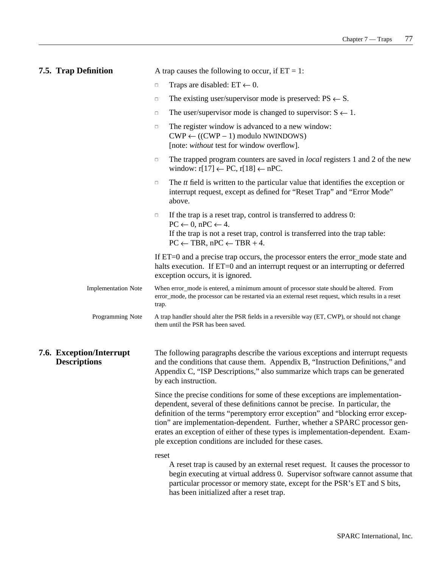| <b>7.5. Trap Definition</b>                     | A trap causes the following to occur, if $ET = 1$ :                                                                                                                                                                                                                                                                                                                                                                                                                           |
|-------------------------------------------------|-------------------------------------------------------------------------------------------------------------------------------------------------------------------------------------------------------------------------------------------------------------------------------------------------------------------------------------------------------------------------------------------------------------------------------------------------------------------------------|
|                                                 | Traps are disabled: $ET \leftarrow 0$ .<br>$\Box$                                                                                                                                                                                                                                                                                                                                                                                                                             |
|                                                 | The existing user/supervisor mode is preserved: $PS \leftarrow S$ .<br>$\Box$                                                                                                                                                                                                                                                                                                                                                                                                 |
|                                                 | The user/supervisor mode is changed to supervisor: $S \leftarrow 1$ .<br>$\Box$                                                                                                                                                                                                                                                                                                                                                                                               |
|                                                 | The register window is advanced to a new window:<br>$\Box$<br>$CWP \leftarrow ((CWP - 1) \text{ modulo NWINDOWS})$<br>[note: without test for window overflow].                                                                                                                                                                                                                                                                                                               |
|                                                 | The trapped program counters are saved in <i>local</i> registers 1 and 2 of the new<br>$\Box$<br>window: $r[17] \leftarrow PC$ , $r[18] \leftarrow nPC$ .                                                                                                                                                                                                                                                                                                                     |
|                                                 | The $tt$ field is written to the particular value that identifies the exception or<br>$\Box$<br>interrupt request, except as defined for "Reset Trap" and "Error Mode"<br>above.                                                                                                                                                                                                                                                                                              |
|                                                 | If the trap is a reset trap, control is transferred to address 0:<br>$\Box$<br>$PC \leftarrow 0$ , nPC $\leftarrow 4$ .<br>If the trap is not a reset trap, control is transferred into the trap table:<br>$PC \leftarrow TBR$ , nPC $\leftarrow TBR + 4$ .                                                                                                                                                                                                                   |
|                                                 | If ET=0 and a precise trap occurs, the processor enters the error_mode state and<br>halts execution. If ET=0 and an interrupt request or an interrupting or deferred<br>exception occurs, it is ignored.                                                                                                                                                                                                                                                                      |
| <b>Implementation Note</b>                      | When error_mode is entered, a minimum amount of processor state should be altered. From<br>error_mode, the processor can be restarted via an external reset request, which results in a reset<br>trap.                                                                                                                                                                                                                                                                        |
| Programming Note                                | A trap handler should alter the PSR fields in a reversible way (ET, CWP), or should not change<br>them until the PSR has been saved.                                                                                                                                                                                                                                                                                                                                          |
| 7.6. Exception/Interrupt<br><b>Descriptions</b> | The following paragraphs describe the various exceptions and interrupt requests<br>and the conditions that cause them. Appendix B, "Instruction Definitions," and<br>Appendix C, "ISP Descriptions," also summarize which traps can be generated<br>by each instruction.                                                                                                                                                                                                      |
|                                                 | Since the precise conditions for some of these exceptions are implementation-<br>dependent, several of these definitions cannot be precise. In particular, the<br>definition of the terms "peremptory error exception" and "blocking error excep-<br>tion" are implementation-dependent. Further, whether a SPARC processor gen-<br>erates an exception of either of these types is implementation-dependent. Exam-<br>ple exception conditions are included for these cases. |
|                                                 | reset<br>A reset trap is caused by an external reset request. It causes the processor to<br>begin executing at virtual address 0. Supervisor software cannot assume that<br>particular processor or memory state, except for the PSR's ET and S bits,                                                                                                                                                                                                                         |

has been initialized after a reset trap.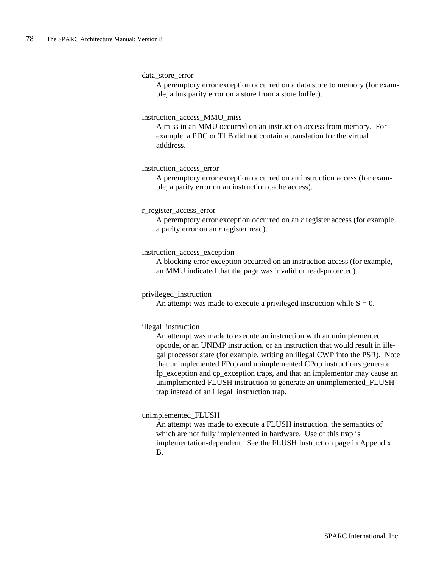#### data store error

A peremptory error exception occurred on a data store to memory (for example, a bus parity error on a store from a store buffer).

#### instruction\_access\_MMU\_miss

A miss in an MMU occurred on an instruction access from memory. For example, a PDC or TLB did not contain a translation for the virtual adddress.

#### instruction\_access\_error

A peremptory error exception occurred on an instruction access (for example, a parity error on an instruction cache access).

#### r\_register\_access\_error

A peremptory error exception occurred on an *r* register access (for example, a parity error on an *r* register read).

#### instruction\_access\_exception

A blocking error exception occurred on an instruction access (for example, an MMU indicated that the page was invalid or read-protected).

#### privileged\_instruction

An attempt was made to execute a privileged instruction while  $S = 0$ .

#### illegal\_instruction

An attempt was made to execute an instruction with an unimplemented opcode, or an UNIMP instruction, or an instruction that would result in illegal processor state (for example, writing an illegal CWP into the PSR). Note that unimplemented FPop and unimplemented CPop instructions generate fp\_exception and cp\_exception traps, and that an implementor may cause an unimplemented FLUSH instruction to generate an unimplemented\_FLUSH trap instead of an illegal\_instruction trap.

#### unimplemented\_FLUSH

An attempt was made to execute a FLUSH instruction, the semantics of which are not fully implemented in hardware. Use of this trap is implementation-dependent. See the FLUSH Instruction page in Appendix B.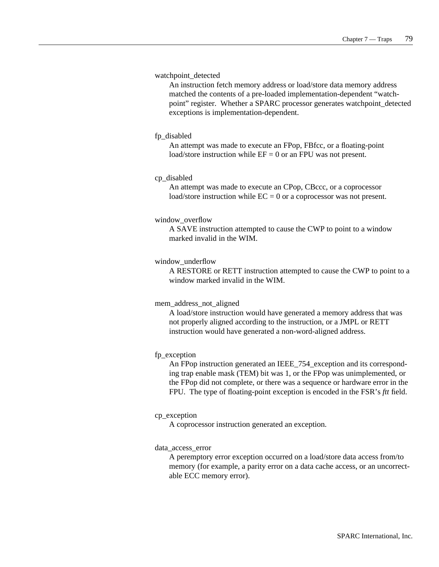#### watchpoint\_detected

An instruction fetch memory address or load/store data memory address matched the contents of a pre-loaded implementation-dependent "watchpoint" register. Whether a SPARC processor generates watchpoint\_detected exceptions is implementation-dependent.

#### fp\_disabled

An attempt was made to execute an FPop, FBfcc, or a floating-point load/store instruction while  $EF = 0$  or an FPU was not present.

#### cp\_disabled

An attempt was made to execute an CPop, CBccc, or a coprocessor load/store instruction while  $EC = 0$  or a coprocessor was not present.

#### window\_overflow

A SAVE instruction attempted to cause the CWP to point to a window marked invalid in the WIM.

#### window underflow

A RESTORE or RETT instruction attempted to cause the CWP to point to a window marked invalid in the WIM.

#### mem\_address\_not\_aligned

A load/store instruction would have generated a memory address that was not properly aligned according to the instruction, or a JMPL or RETT instruction would have generated a non-word-aligned address.

#### fp\_exception

An FPop instruction generated an IEEE\_754\_exception and its corresponding trap enable mask (TEM) bit was 1, or the FPop was unimplemented, or the FPop did not complete, or there was a sequence or hardware error in the FPU. The type of floating-point exception is encoded in the FSR's *ftt* field.

#### cp\_exception

A coprocessor instruction generated an exception.

#### data\_access\_error

A peremptory error exception occurred on a load/store data access from/to memory (for example, a parity error on a data cache access, or an uncorrectable ECC memory error).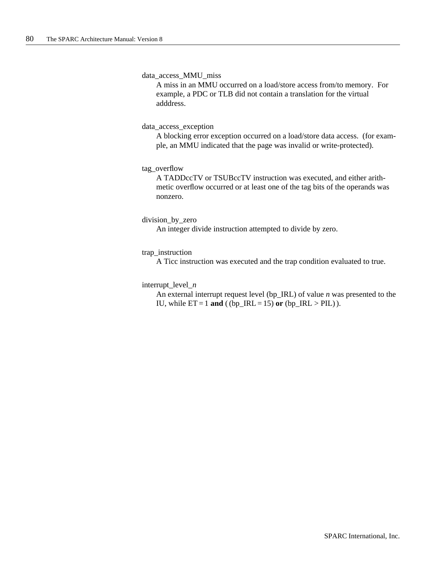#### data\_access\_MMU\_miss

A miss in an MMU occurred on a load/store access from/to memory. For example, a PDC or TLB did not contain a translation for the virtual adddress.

#### data\_access\_exception

A blocking error exception occurred on a load/store data access. (for example, an MMU indicated that the page was invalid or write-protected).

#### tag\_overflow

A TADDccTV or TSUBccTV instruction was executed, and either arithmetic overflow occurred or at least one of the tag bits of the operands was nonzero.

#### division\_by\_zero

An integer divide instruction attempted to divide by zero.

#### trap\_instruction

A Ticc instruction was executed and the trap condition evaluated to true.

#### interrupt level *n*

An external interrupt request level (bp\_IRL) of value *n* was presented to the IU, while  $ET = 1$  and ((bp\_IRL = 15) or (bp\_IRL > PIL)).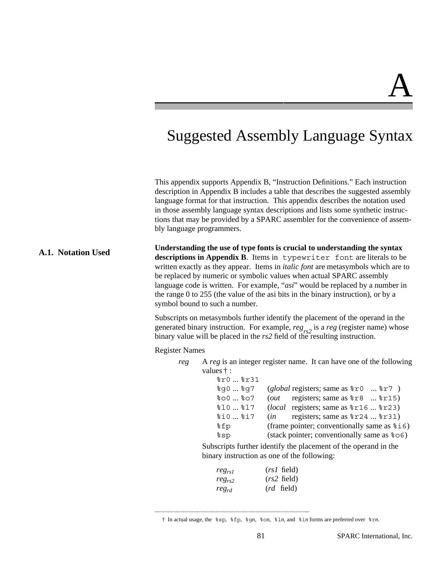A

# Suggested Assembly Language Syntax

This appendix supports Appendix B, "Instruction Definitions." Each instruction description in Appendix B includes a table that describes the suggested assembly language format for that instruction. This appendix describes the notation used in those assembly language syntax descriptions and lists some synthetic instructions that may be provided by a SPARC assembler for the convenience of assembly language programmers.

**A.1. Notation Used Understanding the use of type fonts is crucial to understanding the syntax descriptions in Appendix B**. Items in typewriter font are literals to be written exactly as they appear. Items in *italic font* are metasymbols which are to be replaced by numeric or symbolic values when actual SPARC assembly language code is written. For example, "*asi*" would be replaced by a number in the range 0 to 255 (the value of the asi bits in the binary instruction), or by a symbol bound to such a number.

> Subscripts on metasymbols further identify the placement of the operand in the generated binary instruction. For example,  $reg_{rc2}$  is a  $reg$  (register name) whose binary value will be placed in the  $rs2$  field of the resulting instruction.

Register Names

*reg* A *reg* is an integer register name. It can have one of the following values † :

| 8r08r31       |                                                          |
|---------------|----------------------------------------------------------|
| $\S q0$ $gq7$ | $(global$ registers; same as $r0$ $r7$ )                 |
| 800807        | registers; same as $r8$ $r15$ )<br>$\omega$              |
| $\$10\$17$    | $(local$ registers; same as $r16$ $r23)$                 |
| $%10$ $%17$   | registers; same as $z24$ $z231$<br>(in                   |
| %fp           | (frame pointer; conventionally same as $\text{\$i}$ 6)   |
| 8sp           | (stack pointer; conventionally same as $\textdegree$ 06) |

Subscripts further identify the placement of the operand in the binary instruction as one of the following:

| reg <sub>rs1</sub> | $(rsI$ field)                   |
|--------------------|---------------------------------|
| reg <sub>rs2</sub> | $(rs2 \text{ field})$           |
| reg <sub>rd</sub>  | $\left(\text{rd}\right)$ field) |

<sup>†</sup> In actual usage, the %sp, %fp, %g*n*, %o*n*, %l*n*, and %i*n* forms are preferred over %r*n*.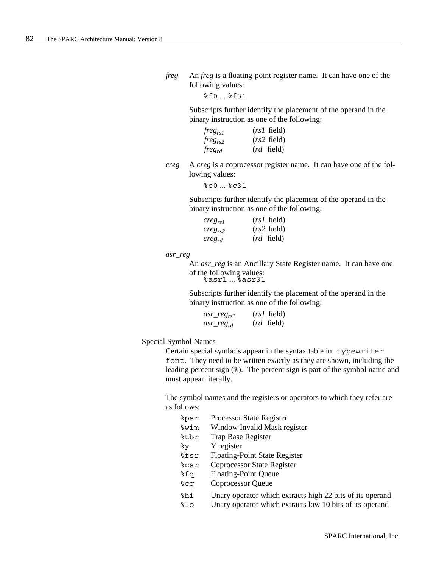*freg* An *freg* is a floating-point register name. It can have one of the following values:

%f0 ... %f31

Subscripts further identify the placement of the operand in the binary instruction as one of the following:

| $freq_{rs1}$ | $(rs1$ field)                   |
|--------------|---------------------------------|
| $freq_{rs2}$ | $(rs2 \text{ field})$           |
| $freq_{rd}$  | $\left(\text{rd}\right)$ field) |

*creg* A *creg* is a coprocessor register name. It can have one of the following values:

%c0 ... %c31

Subscripts further identify the placement of the operand in the binary instruction as one of the following:

| $creg_{rs1}$ | $(rsI$ field)                   |
|--------------|---------------------------------|
| $creg_{rs2}$ | $(rs2 \text{ field})$           |
| $creg_{rd}$  | $\left(\text{rd}\right)$ field) |

*asr\_reg*

An *asr\_reg* is an Ancillary State Register name. It can have one of the following values: %asr1 ... %asr31

Subscripts further identify the placement of the operand in the binary instruction as one of the following:

| $asr\_reg_{rs1}$ | $(rsI$ field)                   |
|------------------|---------------------------------|
| $asr\_reg_{rd}$  | $\left(\text{rd}\right)$ field) |

Special Symbol Names

Certain special symbols appear in the syntax table in typewriter font. They need to be written exactly as they are shown, including the leading percent sign (%). The percent sign is part of the symbol name and must appear literally.

The symbol names and the registers or operators to which they refer are as follows:

| %psr | Processor State Register                                  |
|------|-----------------------------------------------------------|
| %wim | Window Invalid Mask register                              |
| %tbr | Trap Base Register                                        |
| %γ   | Y register                                                |
| %fsr | <b>Floating-Point State Register</b>                      |
| scsr | <b>Coprocessor State Register</b>                         |
| %fq  | <b>Floating-Point Queue</b>                               |
| १ Ca | <b>Coprocessor Queue</b>                                  |
| %hi  | Unary operator which extracts high 22 bits of its operand |
| %lo  | Unary operator which extracts low 10 bits of its operand  |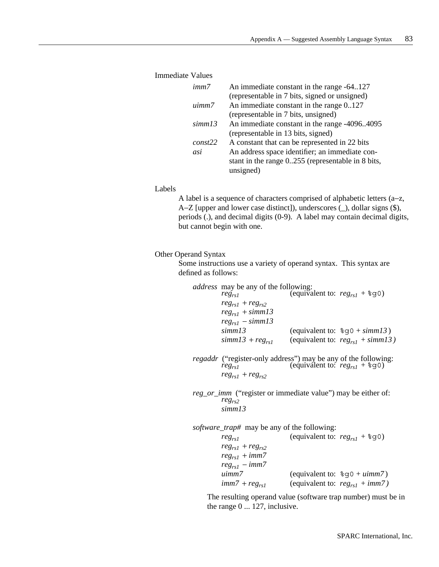| <b>Immediate Values</b> |                                                   |
|-------------------------|---------------------------------------------------|
| imm7                    | An immediate constant in the range -64127         |
|                         | (representable in 7 bits, signed or unsigned)     |
| uimm7                   | An immediate constant in the range 0127           |
|                         | (representable in 7 bits, unsigned)               |
| simm13                  | An immediate constant in the range -4096.4095     |
|                         | (representable in 13 bits, signed)                |
| const22                 | A constant that can be represented in 22 bits     |
| asi                     | An address space identifier; an immediate con-    |
|                         | stant in the range 0255 (representable in 8 bits, |
|                         | unsigned)                                         |

#### Labels

A label is a sequence of characters comprised of alphabetic letters (a−z, A−Z [upper and lower case distinct]), underscores (\_), dollar signs (\$), periods (.), and decimal digits (0-9). A label may contain decimal digits, but cannot begin with one.

#### Other Operand Syntax

Some instructions use a variety of operand syntax. This syntax are defined as follows:

*address* may be any of the following:<br>reg<sub>rs1</sub> (equiva *(equivalent to:*  $reg_{rs1}$  *+ \formalformsq \equivalent to: reg<sub>rs1</sub> + \formalformsq \equivalent to: reg<sub>rs1</sub> + \formalformsq \equivalent to: reg<sub>rs1</sub> + \formsq \equipmaned \equivalent to: reg<sub>rs1</sub> + \formsq \equipmaned \equ*  $reg_{rs1} + reg_{rs2}$  $reg_{rs1}$  +  $sim13$ *reg<sub>rs1</sub>* − *simm13*<br>*simm13* (equivalent to:  $\text{\$g0} + \text{simm13}$ )  $sim13 + reg_{rs1}$  (equivalent to:  $reg_{rs1} + simm13$ ) *regaddr* ("register-only address") may be any of the following:

 $\text{reg}_{rs1}$  (equivalent to:  $\text{reg}_{rs1}$  +  $\text{sg0}$ )  $reg_{rs1} + reg_{rs2}$ 

*reg\_or\_imm* ("register or immediate value") may be either of: *regrs2 simm13*

*software\_trap#* may be any of the following:

*reg<sub>rs1</sub>* (equivalent to:  $reg_{rs1}$  +  $sg0$ )  $reg_{rs1} + reg_{rs2}$  $reg_{rs1} + imm7$ *regrs1* − *imm7 uimm7* (equivalent to: %g0 + *uimm7* )  $\lim_{T \to \infty} \frac{1}{f} + \lim_{T \to \infty} \frac{1}{f}$  (equivalent to:  $\lim_{T \to \infty} \frac{1}{f} + \lim_{T \to \infty} \frac{1}{T}$ )

The resulting operand value (software trap number) must be in the range 0 ... 127, inclusive.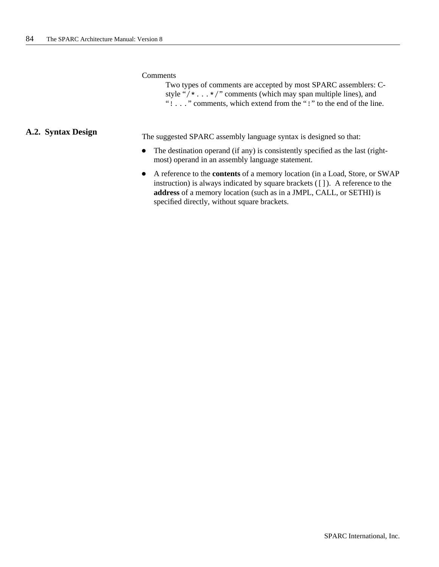#### Comments

Two types of comments are accepted by most SPARC assemblers: Cstyle "/\*...\*/" comments (which may span multiple lines), and "! . . . " comments, which extend from the "!" to the end of the line.

## **A.2. Syntax Design** The suggested SPARC assembly language syntax is designed so that:

- The destination operand (if any) is consistently specified as the last (rightmost) operand in an assembly language statement.
- $\bullet$  A reference to the **contents** of a memory location (in a Load, Store, or SWAP instruction) is always indicated by square brackets ( [ ] ). A reference to the **address** of a memory location (such as in a JMPL, CALL, or SETHI) is specified directly, without square brackets.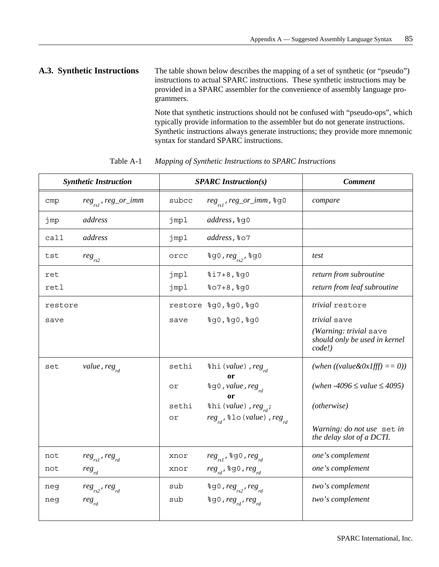**A.3. Synthetic Instructions** The table shown below describes the mapping of a set of synthetic (or "pseudo") instructions to actual SPARC instructions. These synthetic instructions may be provided in a SPARC assembler for the convenience of assembly language programmers.

> Note that synthetic instructions should not be confused with "pseudo-ops", which typically provide information to the assembler but do not generate instructions. Synthetic instructions always generate instructions; they provide more mnemonic syntax for standard SPARC instructions.

|             | <b>Synthetic Instruction</b>    |                    | <b>SPARC</b> Instruction(s)                                                                                               | <b>Comment</b>                                                                    |
|-------------|---------------------------------|--------------------|---------------------------------------------------------------------------------------------------------------------------|-----------------------------------------------------------------------------------|
| cmp         | $reg_{rs1}$ , reg_or_imm        | subcc              | $reg_{rel}$ , reg_or_imm, $\S 90$                                                                                         | compare                                                                           |
| jmp         | address                         | jmpl               | address, %90                                                                                                              |                                                                                   |
| call        | address                         | jmpl               | address, %07                                                                                                              |                                                                                   |
| tst         | $reg_{rs2}$                     | orcc               | $sg0, reg_{rs2}, sg0$                                                                                                     | test                                                                              |
| ret<br>retl |                                 | $j$ mpl<br>$j$ mpl | $817 + 8,$ $90$<br>$807 + 8,890$                                                                                          | return from subroutine<br>return from leaf subroutine                             |
| restore     |                                 |                    | restore %g0, %g0, %g0                                                                                                     | trivial restore                                                                   |
| save        |                                 | save               | 890, 890, 890                                                                                                             | trivial save<br>(Warning: trivial save<br>should only be used in kernel<br>code!) |
| set         | value, reg <sub>rd</sub>        | sethi              | $\texttt{?bii}$ (value), reg<br>or                                                                                        | (when $((value & 0x1fff) == 0)$ )                                                 |
|             |                                 | or                 | $sg0$ , value, reg <sub>rd</sub><br>or                                                                                    | (when $-4096 \le$ value $\le$ 4095)                                               |
|             |                                 | sethi<br>or        | $\text{?h}\text{i}$ ( <i>value</i> ), <i>reg</i> <sub>rd</sub> ;<br>$reg_{rd}$ , $\text{1o}(\textit{value})$ , $reg_{rd}$ | (otherwise)                                                                       |
|             |                                 |                    |                                                                                                                           | Warning: do not use set in<br>the delay slot of a DCTI.                           |
| not         | $reg_{rs1}$ , reg <sub>rd</sub> | xnor               | $reg_{rel}$ , %g0, $reg_{rel}$                                                                                            | one's complement                                                                  |
| not         | $reg_{rd}$                      | xnor               | $reg_{rd}$ , %g0, $reg_{rd}$                                                                                              | one's complement                                                                  |
| neg         | $reg_{rs2}$ , reg <sub>rd</sub> | sub                | $sg0$ , reg <sub>rs2</sub> , reg <sub>rd</sub>                                                                            | two's complement                                                                  |
| neg         | $reg_{rd}$                      | sub                | $sg0$ , $reg_{rd}$ , $reg_{rd}$                                                                                           | two's complement                                                                  |
|             |                                 |                    |                                                                                                                           |                                                                                   |

Table A-1 *Mapping of Synthetic Instructions to SPARC Instructions*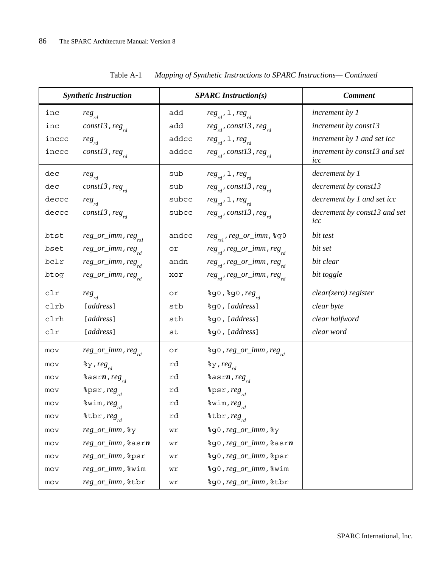|       | <b>Synthetic Instruction</b>         |       | <b>SPARC</b> Instruction(s)                       | <b>Comment</b>                      |
|-------|--------------------------------------|-------|---------------------------------------------------|-------------------------------------|
| inc   | $reg_{rd}$                           | add   | $reg_{rd}$ , 1, $reg_{rd}$                        | increment by 1                      |
| inc   | const13, $reg_{rd}$                  | add   | reg <sub>rd</sub> , const13, reg <sub>rd</sub>    | increment by const13                |
| inccc | $reg_{rd}$                           | addcc | $reg_{rd}$ , 1, $reg_{rd}$                        | increment by 1 and set icc          |
| inccc | const13, $reg_{rd}$                  | addcc | reg <sub>rd</sub> , const13, reg <sub>rd</sub>    | increment by const13 and set<br>icc |
| dec   | $reg_{rd}$                           | sub   | $reg_{rd}$ , 1, $reg_{rd}$                        | decrement by 1                      |
| dec   | const13, $reg_{rd}$                  | sub   | reg <sub>rd</sub> , const13, reg <sub>rd</sub>    | decrement by const13                |
| deccc | $reg_{rd}$                           | subcc | $reg_{_{rd}}, 1$ , $reg_{_{rd}}$                  | decrement by 1 and set icc          |
| deccc | const13, $reg_{rd}$                  | subcc | reg <sub>rd</sub> , const13, reg <sub>rd</sub>    | decrement by const13 and set<br>icc |
| btst  | $reg\_or\_imm$ , reg <sub>rs1</sub>  | andcc | $reg_{rel}$ , reg_or_imm, $\S 90$                 | bit test                            |
| bset  | $reg\_or\_imm$ , reg <sub>rd</sub>   | or    | $reg_{rd}$ , reg_or_imm, reg <sub>rd</sub>        | bit set                             |
| bclr  | $reg\_or\_imm$ , reg <sub>rd</sub>   | andn  | reg <sub>rd</sub> , reg_or_imm, reg <sub>rd</sub> | bit clear                           |
| btog  | $reg\_or\_imm$ , reg <sub>rd</sub>   | xor   | reg <sub>rd</sub> , reg_or_imm, reg <sub>rd</sub> | bit toggle                          |
| clr   | $reg_{rd}$                           | or    | $sg0, sg0, reg_{rd}$                              | clear(zero) register                |
| clrb  | [address]                            | stb   | %g0, [address]                                    | clear byte                          |
| clrh  | [address]                            | sth   | %g0, [address]                                    | clear halfword                      |
| clr   | [address]                            | st    | %g0, [address]                                    | clear word                          |
| mov   | $reg\_or\_imm$ , reg <sub>rd</sub>   | Оr    | $\texttt{\$g0}$ , reg_or_imm, reg <sub>rd</sub>   |                                     |
| mov   | $\gamma$ , reg <sub>rd</sub>         | rd    | $\frac{1}{2}$ y, reg <sub>rd</sub>                |                                     |
| mov   | $\frac{2}{3}$ asrn, reg $_{rd}$      | rd    | $\frac{2}{3}$ asrn, reg $_{rd}$                   |                                     |
| mov   | $\epsilon_{\text{psr},\textit{reg}}$ | rd    | $$psr, reg_{rd}$                                  |                                     |
| mov   | %wim, $reg_{rd}$                     | rd    | %wim, $reg_{rd}$                                  |                                     |
| mov   | $%$ tbr, $reg_{rd}$                  | rd    | $%$ tbr, $reg_{rd}$                               |                                     |
| mov   | $reg\_or\_imm$ , $\gamma$            | Wr    | %90, reg_or_imm, %y                               |                                     |
| mov   | reg_or_imm,%asrn                     | Wr    | %g0, reg_or_imm, %asrn                            |                                     |
| mov   | reg_or_imm,%psr                      | Wr    | %g0, reg_or_imm, %psr                             |                                     |
| mov   | reg_or_imm,%wim                      | Wr    | %g0, <i>reg_or_imm</i> ,%wim                      |                                     |
| mov   | reg_or_imm, %tbr                     | Wr    | %g0, reg_or_imm, %tbr                             |                                     |

Table A-1 *Mapping of Synthetic Instructions to SPARC Instructions— Continued*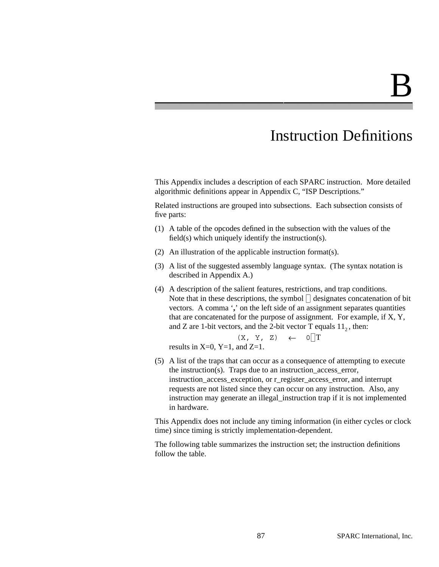# Instruction Definitions

This Appendix includes a description of each SPARC instruction. More detailed algorithmic definitions appear in Appendix C, "ISP Descriptions."

Related instructions are grouped into subsections. Each subsection consists of five parts:

- (1) A table of the opcodes defined in the subsection with the values of the field(s) which uniquely identify the instruction(s).
- (2) An illustration of the applicable instruction format(s).
- (3) A list of the suggested assembly language syntax. (The syntax notation is described in Appendix A.)
- (4) A description of the salient features, restrictions, and trap conditions. Note that in these descriptions, the symbol  $\Box$  designates concatenation of bit vectors. A comma '**,**' on the left side of an assignment separates quantities that are concatenated for the purpose of assignment. For example, if  $X, Y$ , and Z are 1-bit vectors, and the 2-bit vector T equals  $11<sub>2</sub>$ , then:

 $(X, Y, Z) \leftarrow 0$  T results in  $X=0$ ,  $Y=1$ , and  $Z=1$ .

(5) A list of the traps that can occur as a consequence of attempting to execute the instruction(s). Traps due to an instruction\_access\_error, instruction access exception, or r\_register\_access\_error, and interrupt requests are not listed since they can occur on any instruction. Also, any instruction may generate an illegal\_instruction trap if it is not implemented in hardware.

This Appendix does not include any timing information (in either cycles or clock time) since timing is strictly implementation-dependent.

The following table summarizes the instruction set; the instruction definitions follow the table.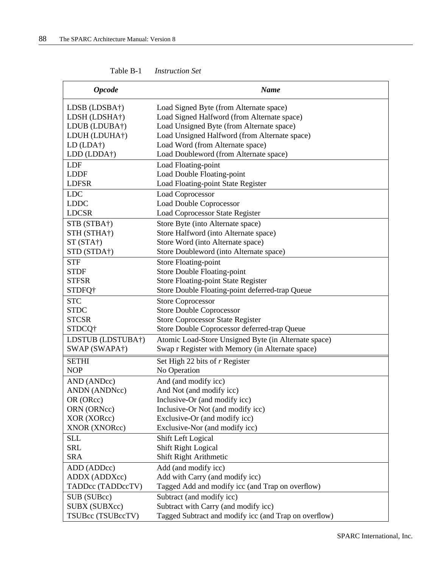| <b>Opcode</b>            | <b>Name</b>                                           |
|--------------------------|-------------------------------------------------------|
| LDSB (LDSBA†)            | Load Signed Byte (from Alternate space)               |
| LDSH (LDSHA†)            | Load Signed Halfword (from Alternate space)           |
| LDUB (LDUBA†)            | Load Unsigned Byte (from Alternate space)             |
| LDUH (LDUHA†)            | Load Unsigned Halfword (from Alternate space)         |
| $LD$ ( $LDA\dagger$ )    | Load Word (from Alternate space)                      |
| LDD (LDDA <sup>†</sup> ) | Load Doubleword (from Alternate space)                |
| <b>LDF</b>               | Load Floating-point                                   |
| <b>LDDF</b>              | Load Double Floating-point                            |
| <b>LDFSR</b>             | Load Floating-point State Register                    |
| <b>LDC</b>               | <b>Load Coprocessor</b>                               |
| <b>LDDC</b>              | <b>Load Double Coprocessor</b>                        |
| <b>LDCSR</b>             | <b>Load Coprocessor State Register</b>                |
| STB (STBA†)              | Store Byte (into Alternate space)                     |
| STH (STHA†)              | Store Halfword (into Alternate space)                 |
| ST (STA <sup>†</sup> )   | Store Word (into Alternate space)                     |
| STD (STDA†)              | Store Doubleword (into Alternate space)               |
| <b>STF</b>               | <b>Store Floating-point</b>                           |
| <b>STDF</b>              | <b>Store Double Floating-point</b>                    |
| <b>STFSR</b>             | <b>Store Floating-point State Register</b>            |
| STDFQ <sup>†</sup>       | Store Double Floating-point deferred-trap Queue       |
| <b>STC</b>               | <b>Store Coprocessor</b>                              |
| <b>STDC</b>              | <b>Store Double Coprocessor</b>                       |
| <b>STCSR</b>             | <b>Store Coprocessor State Register</b>               |
| STDCQ <sup>+</sup>       | Store Double Coprocessor deferred-trap Queue          |
| LDSTUB (LDSTUBA†)        | Atomic Load-Store Unsigned Byte (in Alternate space)  |
| SWAP (SWAPA†)            | Swap r Register with Memory (in Alternate space)      |
| <b>SETHI</b>             | Set High 22 bits of $r$ Register                      |
| <b>NOP</b>               | No Operation                                          |
| AND (ANDcc)              | And (and modify icc)                                  |
| ANDN (ANDNcc)            | And Not (and modify icc)                              |
| OR (ORcc)                | Inclusive-Or (and modify icc)                         |
| ORN (ORNcc)              | Inclusive-Or Not (and modify icc)                     |
| XOR (XORcc)              | Exclusive-Or (and modify icc)                         |
| XNOR (XNORcc)            | Exclusive-Nor (and modify icc)                        |
| <b>SLL</b>               | Shift Left Logical                                    |
| <b>SRL</b>               | Shift Right Logical                                   |
| <b>SRA</b>               | Shift Right Arithmetic                                |
| ADD (ADDcc)              | Add (and modify icc)                                  |
| ADDX (ADDXcc)            | Add with Carry (and modify icc)                       |
| TADDcc (TADDccTV)        | Tagged Add and modify icc (and Trap on overflow)      |
| SUB (SUBcc)              | Subtract (and modify icc)                             |
| SUBX (SUBXcc)            | Subtract with Carry (and modify icc)                  |
| TSUBcc (TSUBccTV)        | Tagged Subtract and modify icc (and Trap on overflow) |

## Table B-1 *Instruction Set*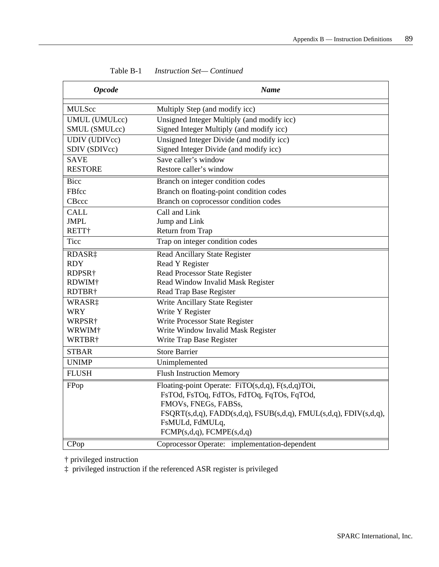| <b>Opcode</b>        | Name                                                                             |
|----------------------|----------------------------------------------------------------------------------|
| <b>MULScc</b>        | Multiply Step (and modify icc)                                                   |
| UMUL (UMULcc)        | Unsigned Integer Multiply (and modify icc)                                       |
| SMUL (SMULcc)        | Signed Integer Multiply (and modify icc)                                         |
| <b>UDIV</b> (UDIVcc) | Unsigned Integer Divide (and modify icc)                                         |
| SDIV (SDIVcc)        | Signed Integer Divide (and modify icc)                                           |
| <b>SAVE</b>          | Save caller's window                                                             |
| <b>RESTORE</b>       | Restore caller's window                                                          |
| <b>Bicc</b>          | Branch on integer condition codes                                                |
| FBfcc                | Branch on floating-point condition codes                                         |
| CBccc                | Branch on coprocessor condition codes                                            |
| <b>CALL</b>          | Call and Link                                                                    |
| <b>JMPL</b>          | Jump and Link                                                                    |
| RETT†                | Return from Trap                                                                 |
| <b>Ticc</b>          | Trap on integer condition codes                                                  |
| RDASR <sup>+</sup>   | <b>Read Ancillary State Register</b>                                             |
| <b>RDY</b>           | Read Y Register                                                                  |
| RDPSR <sup>+</sup>   | <b>Read Processor State Register</b>                                             |
| RDWIM <sup>+</sup>   | Read Window Invalid Mask Register                                                |
| RDTBR†               | Read Trap Base Register                                                          |
| WRASR <sup>+</sup>   | Write Ancillary State Register                                                   |
| <b>WRY</b>           | Write Y Register                                                                 |
| WRPSR <sup>+</sup>   | Write Processor State Register                                                   |
| WRWIM <sup>+</sup>   | Write Window Invalid Mask Register                                               |
| WRTBR†               | Write Trap Base Register                                                         |
| <b>STBAR</b>         | <b>Store Barrier</b>                                                             |
| <b>UNIMP</b>         | Unimplemented                                                                    |
| <b>FLUSH</b>         | <b>Flush Instruction Memory</b>                                                  |
| FPop                 | Floating-point Operate: FiTO(s,d,q), F(s,d,q)TOi,                                |
|                      | FsTOd, FsTOq, FdTOs, FdTOq, FqTOs, FqTOd,                                        |
|                      | FMOVs, FNEGs, FABSs,                                                             |
|                      | $FSQRT(s,d,q)$ , $FADD(s,d,q)$ , $FSUB(s,d,q)$ , $FMUL(s,d,q)$ , $FDIV(s,d,q)$ , |
|                      | FsMULd, FdMULq,                                                                  |
|                      | $FCMP(s,d,q)$ , $FCMPE(s,d,q)$                                                   |
| CPop                 | Coprocessor Operate: implementation-dependent                                    |

Table B-1 *Instruction Set— Continued*

† privileged instruction

‡ privileged instruction if the referenced ASR register is privileged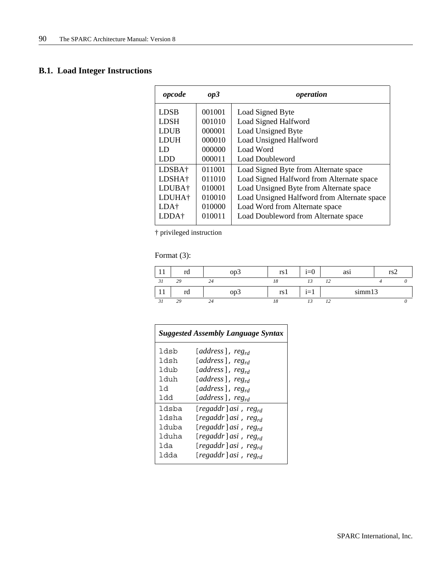# **B.1. Load Integer Instructions**

| opcode             | op3    | operation                                   |
|--------------------|--------|---------------------------------------------|
| <b>LDSB</b>        | 001001 | Load Signed Byte                            |
| <b>LDSH</b>        | 001010 | Load Signed Halfword                        |
| LDUB               | 000001 | Load Unsigned Byte                          |
| <b>LDUH</b>        | 000010 | Load Unsigned Halfword                      |
| LD                 | 000000 | Load Word                                   |
| <b>LDD</b>         | 000011 | Load Doubleword                             |
| LDSBA <sup>+</sup> | 011001 | Load Signed Byte from Alternate space       |
| LDSHA <sup>+</sup> | 011010 | Load Signed Halfword from Alternate space   |
| LDUBA <sup>†</sup> | 010001 | Load Unsigned Byte from Alternate space     |
| LDUHA <sup>†</sup> | 010010 | Load Unsigned Halfword from Alternate space |
| LDA <sup>†</sup>   | 010000 | Load Word from Alternate space              |
| LDDA†              | 010011 | Load Doubleword from Alternate space        |

† privileged instruction

## Format (3):

| 1 T | rd | op3 | rs 1 | $\sqrt{2}$<br>1=U      |    | ası    | rs2 |  |
|-----|----|-----|------|------------------------|----|--------|-----|--|
| -51 | 29 | 24  | 18   | 1 J                    | 12 |        |     |  |
|     | rd | op3 | rs 1 | $1 -$<br>$\rightarrow$ |    | simm13 |     |  |
| IJ  | 29 | 24  | 18   |                        | 12 |        |     |  |

| <b>Suggested Assembly Language Syntax</b> |                                  |  |
|-------------------------------------------|----------------------------------|--|
| ldsb                                      | [address], $reg_{rd}$            |  |
| ldsh                                      | [address], $reg_{rd}$            |  |
| ldub                                      | [address], $reg_{rd}$            |  |
| lduh                                      | [address], $reg_{rd}$            |  |
| ld                                        | [address], reg <sub>rd</sub>     |  |
| ldd                                       | [address], reg <sub>rd</sub>     |  |
| ldsba                                     | [regaddr] asi, reg <sub>rd</sub> |  |
| ldsha                                     | [regaddr] asi, reg <sub>rd</sub> |  |
| lduba                                     | [regaddr] asi, reg <sub>rd</sub> |  |
| lduha                                     | [regaddr] asi, reg <sub>rd</sub> |  |
| lda                                       | [regaddr] asi, reg <sub>rd</sub> |  |
| ldda                                      | [regaddr] asi, reg <sub>rd</sub> |  |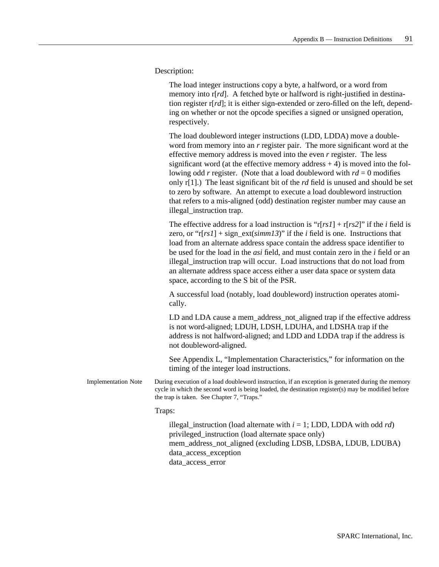Description:

The load integer instructions copy a byte, a halfword, or a word from memory into r[*rd*]. A fetched byte or halfword is right-justified in destination register r[*rd*]; it is either sign-extended or zero-filled on the left, depending on whether or not the opcode specifies a signed or unsigned operation, respectively.

The load doubleword integer instructions (LDD, LDDA) move a doubleword from memory into an *r* register pair. The more significant word at the effective memory address is moved into the even *r* register. The less significant word (at the effective memory address  $+4$ ) is moved into the following odd *r* register. (Note that a load doubleword with  $rd = 0$  modifies only r[1].) The least significant bit of the *rd* field is unused and should be set to zero by software. An attempt to execute a load doubleword instruction that refers to a mis-aligned (odd) destination register number may cause an illegal\_instruction trap.

The effective address for a load instruction is " $r[rs1] + r[rs2]$ " if the *i* field is zero, or " $r[rs1]$  + sign\_ext( $simm13$ )" if the *i* field is one. Instructions that load from an alternate address space contain the address space identifier to be used for the load in the *asi* field, and must contain zero in the *i* field or an illegal\_instruction trap will occur. Load instructions that do not load from an alternate address space access either a user data space or system data space, according to the S bit of the PSR.

A successful load (notably, load doubleword) instruction operates atomically.

LD and LDA cause a mem\_address\_not\_aligned trap if the effective address is not word-aligned; LDUH, LDSH, LDUHA, and LDSHA trap if the address is not halfword-aligned; and LDD and LDDA trap if the address is not doubleword-aligned.

See Appendix L, "Implementation Characteristics," for information on the timing of the integer load instructions.

Implementation Note During execution of a load doubleword instruction, if an exception is generated during the memory cycle in which the second word is being loaded, the destination register(s) may be modified before the trap is taken. See Chapter 7, "Traps."

#### Traps:

illegal\_instruction (load alternate with *i* = 1; LDD, LDDA with odd *rd*) privileged\_instruction (load alternate space only) mem\_address\_not\_aligned (excluding LDSB, LDSBA, LDUB, LDUBA) data\_access\_exception data\_access\_error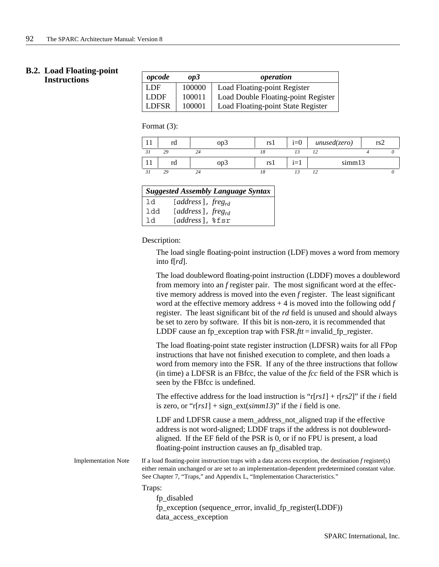#### **B.2. Load Floating-point Instructions** *opcode op3 operation*

| opcode       | op3    | operation                           |
|--------------|--------|-------------------------------------|
| LDF          | 100000 | Load Floating-point Register        |
| <b>LDDF</b>  | 100011 | Load Double Floating-point Register |
| <b>LDFSR</b> | 100001 | Load Floating-point State Register  |

Format (3):

| 1 J | ra | ods | rs 1 | $1=1$ | unused(zero)   |  |
|-----|----|-----|------|-------|----------------|--|
|     | 29 | 24  |      |       |                |  |
| 1 T | ra | ods | rs 1 | $1 =$ | simm13         |  |
|     | 20 | 24  |      |       | 1 <sub>2</sub> |  |

## *Suggested Assembly Language Syntax*

| ld  | [address], freg <sub>rd</sub> |
|-----|-------------------------------|
| ldd | [address], $freq_{rd}$        |
| 1d  | [address], $\Sigma$           |

Description:

The load single floating-point instruction (LDF) moves a word from memory into f[*rd*].

The load doubleword floating-point instruction (LDDF) moves a doubleword from memory into an *f* register pair. The most significant word at the effective memory address is moved into the even *f* register. The least significant word at the effective memory address  $+4$  is moved into the following odd *f* register. The least significant bit of the *rd* field is unused and should always be set to zero by software. If this bit is non-zero, it is recommended that LDDF cause an fp\_exception trap with FSR.*ftt* = invalid\_fp\_register.

The load floating-point state register instruction (LDFSR) waits for all FPop instructions that have not finished execution to complete, and then loads a word from memory into the FSR. If any of the three instructions that follow (in time) a LDFSR is an FBfcc, the value of the *fcc* field of the FSR which is seen by the FBfcc is undefined.

The effective address for the load instruction is " $r[rs1] + r[rs2]$ " if the *i* field is zero, or " $r[rs1]$  + sign\_ext( $simm13$ )" if the *i* field is one.

LDF and LDFSR cause a mem\_address\_not\_aligned trap if the effective address is not word-aligned; LDDF traps if the address is not doublewordaligned. If the EF field of the PSR is 0, or if no FPU is present, a load floating-point instruction causes an fp\_disabled trap.

Implementation Note If a load floating-point instruction traps with a data access exception, the destination *f* register(s) either remain unchanged or are set to an implementation-dependent predetermined constant value. See Chapter 7, "Traps," and Appendix L, "Implementation Characteristics."

Traps:

fp\_disabled fp\_exception (sequence\_error, invalid\_fp\_register(LDDF)) data access exception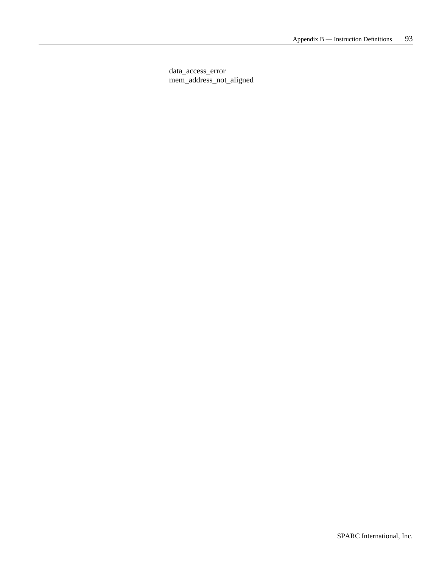data\_access\_error mem\_address\_not\_aligned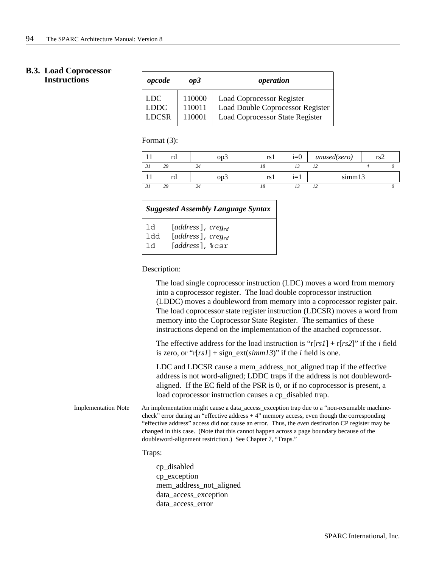### **B.3. Load Coprocessor Instructions** *opcode op3 operation*

| opcode       | op3    | operation                              |
|--------------|--------|----------------------------------------|
| <b>LDC</b>   | 110000 | <b>Load Coprocessor Register</b>       |
| <b>LDDC</b>  | 110011 | Load Double Coprocessor Register       |
| <b>LDCSR</b> | 110001 | <b>Load Coprocessor State Register</b> |

### Format (3):

|     | rd | OD3 | rs 1 | $\Omega$<br>1=U | unused(zero) |  |
|-----|----|-----|------|-----------------|--------------|--|
|     | 20 | 24  |      |                 |              |  |
| . . | ra | OD3 | rs 1 | $1 = 1$         | simm13       |  |
|     | 20 | 24  |      |                 | 12           |  |

| <b>Suggested Assembly Language Syntax</b> |  |
|-------------------------------------------|--|
|                                           |  |

| ld  | [address], $creg_{rd}$ |
|-----|------------------------|
| ldd | [address], $creg_{rd}$ |

|    |                 | ---- |
|----|-----------------|------|
| ld | [address], %csr |      |

Description:

The load single coprocessor instruction (LDC) moves a word from memory into a coprocessor register. The load double coprocessor instruction (LDDC) moves a doubleword from memory into a coprocessor register pair. The load coprocessor state register instruction (LDCSR) moves a word from memory into the Coprocessor State Register. The semantics of these instructions depend on the implementation of the attached coprocessor.

The effective address for the load instruction is "r[*rs1*] + r[*rs2*]" if the *i* field is zero, or " $r[rs]$  + sign\_ext( $\text{sim} n13$ )" if the *i* field is one.

LDC and LDCSR cause a mem\_address\_not\_aligned trap if the effective address is not word-aligned; LDDC traps if the address is not doublewordaligned. If the EC field of the PSR is 0, or if no coprocessor is present, a load coprocessor instruction causes a cp\_disabled trap.

Implementation Note An implementation might cause a data\_access\_exception trap due to a "non-resumable machinecheck" error during an "effective address  $+4$ " memory access, even though the corresponding "effective address" access did not cause an error. Thus, the *even* destination CP register may be changed in this case. (Note that this cannot happen across a page boundary because of the doubleword-alignment restriction.) See Chapter 7, "Traps."

#### Traps:

cp\_disabled cp\_exception mem\_address\_not\_aligned data\_access\_exception data\_access\_error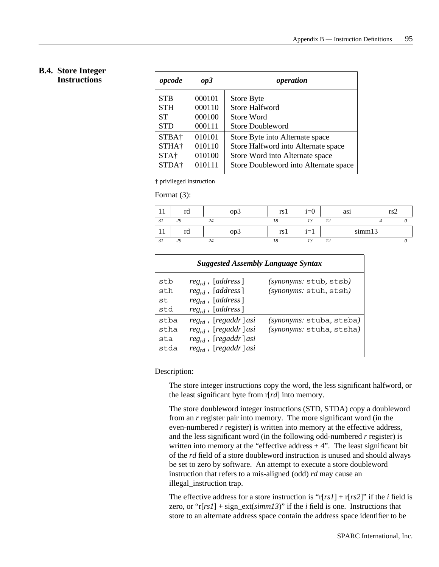#### **B.4. Store Integer Instructions**

| opcode            | op3              | operation                             |
|-------------------|------------------|---------------------------------------|
| <b>STB</b>        | 000101           | Store Byte                            |
| <b>STH</b>        | 000110           | <b>Store Halfword</b>                 |
| SТ<br>STD         | 000100<br>000111 | Store Word<br><b>Store Doubleword</b> |
|                   |                  |                                       |
| STBA <sup>+</sup> | 010101           | Store Byte into Alternate space       |
| STHA <sup>+</sup> | 010110           | Store Halfword into Alternate space   |
| STA <sup>+</sup>  | 010100           | Store Word into Alternate space       |
| STDA <sup>+</sup> | 010111           | Store Doubleword into Alternate space |

† privileged instruction

Format (3):

|                 | rd | op3 | rs 1 | $\sim$<br>_<br>ι—ι. |                | ası    | rc. | - 52 |
|-----------------|----|-----|------|---------------------|----------------|--------|-----|------|
| 31              | 29 | 24  | 18   | 13                  | 12             |        |     |      |
|                 | rd | op3 | rs 1 | $1 = 1$             |                | simm13 |     |      |
| $\overline{21}$ | 29 | 24  | 18   | 1 J                 | 1 <sub>2</sub> |        |     |      |

| <b>Suggested Assembly Language Syntax</b> |                                                                                                                      |                                                      |  |  |  |  |
|-------------------------------------------|----------------------------------------------------------------------------------------------------------------------|------------------------------------------------------|--|--|--|--|
| stb<br>sth<br>st<br>std                   | $reg_{rd}$ , [address]<br>$reg_{rd}$ , [address]<br>$reg_{rd}$ , [address]<br>$reg_{rd}$ , [address]                 | (synonyms: stub, stsb)<br>(synonyms: stuh, stsh)     |  |  |  |  |
| stba<br>stha<br>sta<br>stda               | $reg_{rd}$ , [regaddr] asi<br>$reg_{rd}$ , [regaddr] asi<br>$reg_{rd}$ , [regaddr] asi<br>$reg_{rd}$ , [regaddr] asi | (synonyms: stuba, stsba)<br>(synonyms: stuha, stsha) |  |  |  |  |

Description:

The store integer instructions copy the word, the less significant halfword, or the least significant byte from r[*rd*] into memory.

The store doubleword integer instructions (STD, STDA) copy a doubleword from an *r* register pair into memory. The more significant word (in the even-numbered *r* register) is written into memory at the effective address, and the less significant word (in the following odd-numbered *r* register) is written into memory at the "effective address  $+4$ ". The least significant bit of the *rd* field of a store doubleword instruction is unused and should always be set to zero by software. An attempt to execute a store doubleword instruction that refers to a mis-aligned (odd) *rd* may cause an illegal\_instruction trap.

The effective address for a store instruction is " $r[rs1] + r[rs2]$ " if the *i* field is zero, or "r[*rs1*] + sign\_ext(*simm13*)" if the *i* field is one. Instructions that store to an alternate address space contain the address space identifier to be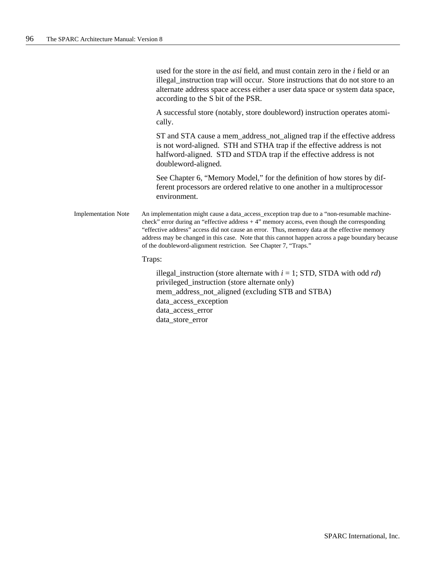used for the store in the *asi* field, and must contain zero in the *i* field or an illegal instruction trap will occur. Store instructions that do not store to an alternate address space access either a user data space or system data space, according to the S bit of the PSR.

A successful store (notably, store doubleword) instruction operates atomically.

ST and STA cause a mem\_address\_not\_aligned trap if the effective address is not word-aligned. STH and STHA trap if the effective address is not halfword-aligned. STD and STDA trap if the effective address is not doubleword-aligned.

See Chapter 6, "Memory Model," for the definition of how stores by different processors are ordered relative to one another in a multiprocessor environment.

Implementation Note An implementation might cause a data\_access\_exception trap due to a "non-resumable machinecheck" error during an "effective address + 4" memory access, even though the corresponding "effective address" access did not cause an error. Thus, memory data at the effective memory address may be changed in this case. Note that this cannot happen across a page boundary because of the doubleword-alignment restriction. See Chapter 7, "Traps."

Traps:

illegal\_instruction (store alternate with  $i = 1$ ; STD, STDA with odd *rd*) privileged\_instruction (store alternate only) mem\_address\_not\_aligned (excluding STB and STBA) data\_access\_exception data\_access\_error data\_store\_error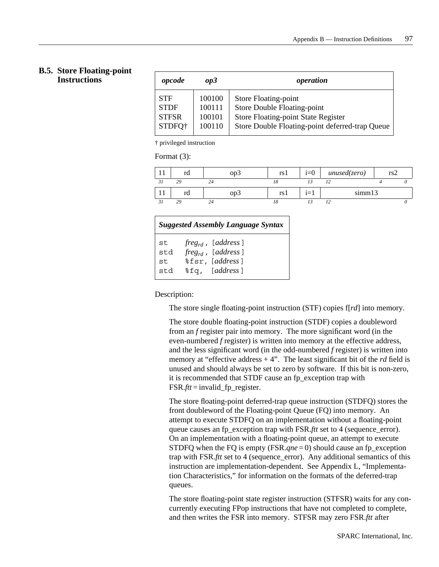## **B.5. Store Floating-point Instructions** *opcode op3 operation*

| opcode             | op3    | operation                                       |
|--------------------|--------|-------------------------------------------------|
| <b>STF</b>         | 100100 | Store Floating-point                            |
| <b>STDF</b>        | 100111 | Store Double Floating-point                     |
| <b>STFSR</b>       | 100101 | <b>Store Floating-point State Register</b>      |
| STDFO <sup>+</sup> | 100110 | Store Double Floating-point deferred-trap Queue |

† privileged instruction

#### Format (3):

|     | rd | op <sub>3</sub> | rs l | $\sqrt{2}$<br>$= 0$      | unused(zero)       |  |
|-----|----|-----------------|------|--------------------------|--------------------|--|
|     | 29 | 24              | 10   |                          | 12                 |  |
| 1 T |    | OD3             | rs l | $\overline{\phantom{0}}$ | simm13             |  |
|     | 20 | 24              |      |                          | $\mathbf{1}$<br>12 |  |

| <b>Suggested Assembly Language Syntax</b> |                                |  |  |  |  |
|-------------------------------------------|--------------------------------|--|--|--|--|
| st                                        | freg <sub>rd</sub> , [address] |  |  |  |  |
| std                                       | freg <sub>rd</sub> , [address] |  |  |  |  |
| st                                        | %fsr, [address]                |  |  |  |  |
| std                                       | %fq, [address]                 |  |  |  |  |

Description:

The store single floating-point instruction (STF) copies f[*rd*] into memory.

The store double floating-point instruction (STDF) copies a doubleword from an *f* register pair into memory. The more significant word (in the even-numbered *f* register) is written into memory at the effective address, and the less significant word (in the odd-numbered *f* register) is written into memory at "effective address  $+4$ ". The least significant bit of the *rd* field is unused and should always be set to zero by software. If this bit is non-zero, it is recommended that STDF cause an fp\_exception trap with FSR. $ftt = \text{invald}$  fp register.

The store floating-point deferred-trap queue instruction (STDFQ) stores the front doubleword of the Floating-point Queue (FQ) into memory. An attempt to execute STDFQ on an implementation without a floating-point queue causes an fp\_exception trap with FSR.*ftt* set to 4 (sequence\_error). On an implementation with a floating-point queue, an attempt to execute STDFQ when the FQ is empty (FSR.*qne* = 0) should cause an fp\_exception trap with FSR.*ftt* set to 4 (sequence\_error). Any additional semantics of this instruction are implementation-dependent. See Appendix L, "Implementation Characteristics," for information on the formats of the deferred-trap queues.

The store floating-point state register instruction (STFSR) waits for any concurrently executing FPop instructions that have not completed to complete, and then writes the FSR into memory. STFSR may zero FSR.*ftt* after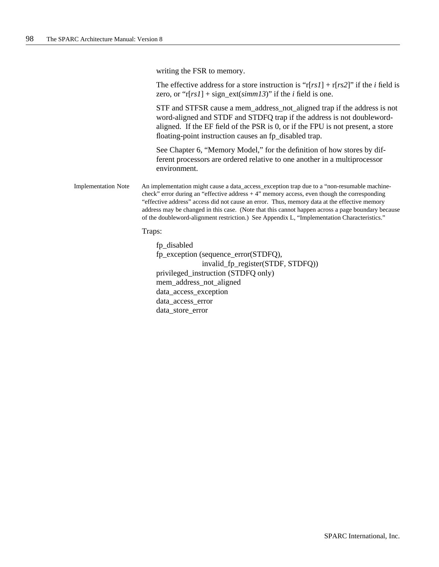writing the FSR to memory.

The effective address for a store instruction is " $r[rs1] + r[rs2]$ " if the *i* field is zero, or " $r[rs1]$  + sign\_ext( $simm13$ )" if the *i* field is one.

STF and STFSR cause a mem\_address\_not\_aligned trap if the address is not word-aligned and STDF and STDFQ trap if the address is not doublewordaligned. If the EF field of the PSR is 0, or if the FPU is not present, a store floating-point instruction causes an fp\_disabled trap.

See Chapter 6, "Memory Model," for the definition of how stores by different processors are ordered relative to one another in a multiprocessor environment.

Implementation Note An implementation might cause a data\_access\_exception trap due to a "non-resumable machinecheck" error during an "effective address + 4" memory access, even though the corresponding "effective address" access did not cause an error. Thus, memory data at the effective memory address may be changed in this case. (Note that this cannot happen across a page boundary because of the doubleword-alignment restriction.) See Appendix L, "Implementation Characteristics."

Traps:

fp\_disabled fp\_exception (sequence\_error(STDFQ), invalid\_fp\_register(STDF, STDFQ)) privileged\_instruction (STDFQ only) mem\_address\_not\_aligned data\_access\_exception data\_access\_error data\_store\_error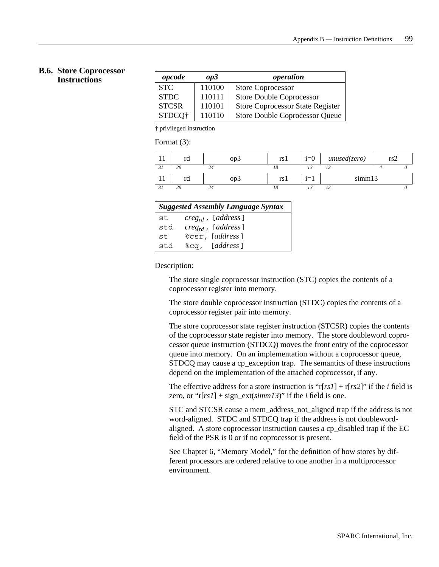## **B.6. Store Coprocessor Instructions**

| opcode             | op3    | operation                               |
|--------------------|--------|-----------------------------------------|
| <b>STC</b>         | 110100 | <b>Store Coprocessor</b>                |
| <b>STDC</b>        | 110111 | <b>Store Double Coprocessor</b>         |
| <b>STCSR</b>       | 110101 | <b>Store Coprocessor State Register</b> |
| STDCO <sup>+</sup> | 110110 | <b>Store Double Coprocessor Queue</b>   |

† privileged instruction

## Format (3):

|    | rd | OD3 | rs l | $l = l$ | unused(zero) | rs∠ |  |
|----|----|-----|------|---------|--------------|-----|--|
|    | 29 | 24  |      |         | 12           |     |  |
| ⊥⊥ | rd | OD3 | rs l | $i = i$ | simm13       |     |  |
|    | 29 | 24  |      |         |              |     |  |

## *Suggested Assembly Language Syntax*

| st   | $creg_{rd}$ , [address] |
|------|-------------------------|
| std  | $creg_{rd}$ , [address] |
| ' st | %csr, [address]         |
| std  | %ငq, [ <i>address</i> ] |

Description:

The store single coprocessor instruction (STC) copies the contents of a coprocessor register into memory.

The store double coprocessor instruction (STDC) copies the contents of a coprocessor register pair into memory.

The store coprocessor state register instruction (STCSR) copies the contents of the coprocessor state register into memory. The store doubleword coprocessor queue instruction (STDCQ) moves the front entry of the coprocessor queue into memory. On an implementation without a coprocessor queue, STDCQ may cause a cp\_exception trap. The semantics of these instructions depend on the implementation of the attached coprocessor, if any.

The effective address for a store instruction is " $r[rs1] + r[rs2]$ " if the *i* field is zero, or " $r[rs1]$  + sign\_ext( $simm13$ )" if the *i* field is one.

STC and STCSR cause a mem\_address\_not\_aligned trap if the address is not word-aligned. STDC and STDCQ trap if the address is not doublewordaligned. A store coprocessor instruction causes a cp\_disabled trap if the EC field of the PSR is 0 or if no coprocessor is present.

See Chapter 6, "Memory Model," for the definition of how stores by different processors are ordered relative to one another in a multiprocessor environment.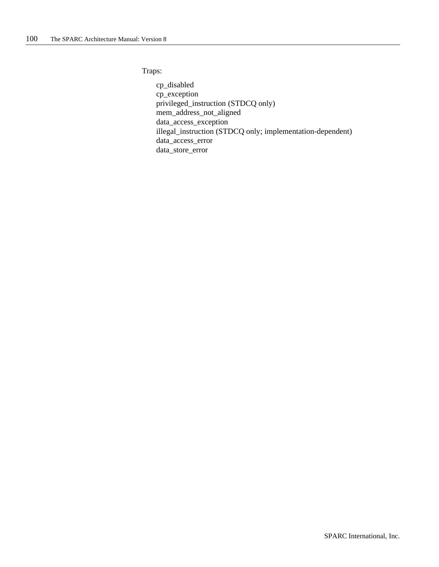Traps:

cp\_disabled cp\_exception privileged\_instruction (STDCQ only) mem\_address\_not\_aligned data\_access\_exception illegal\_instruction (STDCQ only; implementation-dependent) data\_access\_error data\_store\_error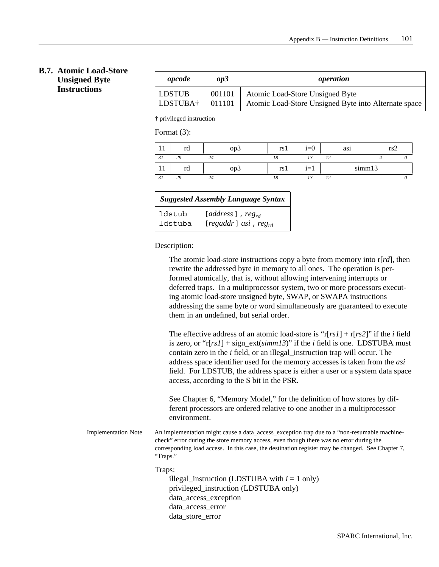## **B.7. Atomic Load-Store Unsigned Byte Instructions**

| opcode   | op3    | operation                                            |
|----------|--------|------------------------------------------------------|
| LDSTUB   | 001101 | Atomic Load-Store Unsigned Byte                      |
| LDSTUBA† | 011101 | Atomic Load-Store Unsigned Byte into Alternate space |

† privileged instruction

Format (3):

|    | rd | op3 | rs l | 1=u   | ası    | rs. |  |
|----|----|-----|------|-------|--------|-----|--|
| 31 | 29 | 24  | 18   | 13    | 12     |     |  |
|    | rd | op3 | rs l | $1 =$ | simm13 |     |  |
| 31 | 29 | 24  | 18   | 1 J   | 12     |     |  |

| <b>Suggested Assembly Language Syntax</b> |                                  |  |  |
|-------------------------------------------|----------------------------------|--|--|
| ldstub                                    | [address], $reg_{rd}$            |  |  |
| ldstuba                                   | [regaddr] asi, reg <sub>rd</sub> |  |  |

Description:

The atomic load-store instructions copy a byte from memory into r[*rd*], then rewrite the addressed byte in memory to all ones. The operation is performed atomically, that is, without allowing intervening interrupts or deferred traps. In a multiprocessor system, two or more processors executing atomic load-store unsigned byte, SWAP, or SWAPA instructions addressing the same byte or word simultaneously are guaranteed to execute them in an undefined, but serial order.

The effective address of an atomic load-store is "r[*rs1*] + r[*rs2*]" if the *i* field is zero, or " $r[rs1]$  + sign\_ext( $simm13$ )" if the *i* field is one. LDSTUBA must contain zero in the *i* field, or an illegal\_instruction trap will occur. The address space identifier used for the memory accesses is taken from the *asi* field. For LDSTUB, the address space is either a user or a system data space access, according to the S bit in the PSR.

See Chapter 6, "Memory Model," for the definition of how stores by different processors are ordered relative to one another in a multiprocessor environment.

Implementation Note An implementation might cause a data\_access\_exception trap due to a "non-resumable machinecheck" error during the store memory access, even though there was no error during the corresponding load access. In this case, the destination register may be changed. See Chapter 7, "Traps."

Traps:

illegal\_instruction (LDSTUBA with  $i = 1$  only) privileged\_instruction (LDSTUBA only) data\_access\_exception data\_access\_error data\_store\_error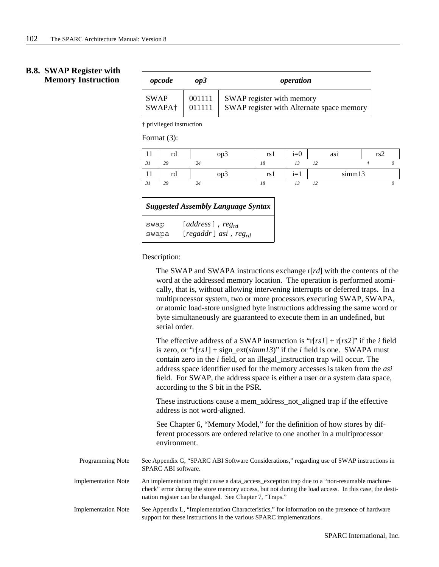# **B.8. SWAP Register with**

| энді кезімсі міш<br><b>Memory Instruction</b> | opcode             | op3    | operation                                 |
|-----------------------------------------------|--------------------|--------|-------------------------------------------|
|                                               | <b>SWAP</b>        | 001111 | SWAP register with memory                 |
|                                               | SWAPA <sup>+</sup> | 011111 | SWAP register with Alternate space memory |

† privileged instruction

Format (3):

| <b>TT</b>             | rd | op <sub>3</sub> | rs l | $\sqrt{ }$<br>!≕∪ |    | as1    | rc.<br>⊥∪∠ |
|-----------------------|----|-----------------|------|-------------------|----|--------|------------|
| 31                    | 29 | 24              | 18   | 13                | 12 |        |            |
| . .                   | rd | op3             | rs 1 | $1 = 1$           |    | simm13 |            |
| $\overline{21}$<br>IJ | 29 | 24              | 18   | 13                | 12 |        |            |

| <b>Suggested Assembly Language Syntax</b> |                                  |  |
|-------------------------------------------|----------------------------------|--|
| swap                                      | [address], reg <sub>rd</sub>     |  |
| swapa                                     | [regaddr] asi, reg <sub>rd</sub> |  |

Description:

|                            | The SWAP and SWAPA instructions exchange $r[rd]$ with the contents of the<br>word at the addressed memory location. The operation is performed atomi-<br>cally, that is, without allowing intervening interrupts or deferred traps. In a<br>multiprocessor system, two or more processors executing SWAP, SWAPA,<br>or atomic load-store unsigned byte instructions addressing the same word or<br>byte simultaneously are guaranteed to execute them in an undefined, but<br>serial order. |
|----------------------------|---------------------------------------------------------------------------------------------------------------------------------------------------------------------------------------------------------------------------------------------------------------------------------------------------------------------------------------------------------------------------------------------------------------------------------------------------------------------------------------------|
|                            | The effective address of a SWAP instruction is " $r[rs1] + r[rs2]$ " if the <i>i</i> field<br>is zero, or " $r[rs1]$ + sign_ext(simm13)" if the <i>i</i> field is one. SWAPA must<br>contain zero in the <i>i</i> field, or an illegal_instruction trap will occur. The<br>address space identifier used for the memory accesses is taken from the asi<br>field. For SWAP, the address space is either a user or a system data space,<br>according to the S bit in the PSR.                 |
|                            | These instructions cause a mem_address_not_aligned trap if the effective<br>address is not word-aligned.                                                                                                                                                                                                                                                                                                                                                                                    |
|                            | See Chapter 6, "Memory Model," for the definition of how stores by dif-<br>ferent processors are ordered relative to one another in a multiprocessor<br>environment.                                                                                                                                                                                                                                                                                                                        |
| Programming Note           | See Appendix G, "SPARC ABI Software Considerations," regarding use of SWAP instructions in<br>SPARC ABI software.                                                                                                                                                                                                                                                                                                                                                                           |
| <b>Implementation Note</b> | An implementation might cause a data_access_exception trap due to a "non-resumable machine-<br>check" error during the store memory access, but not during the load access. In this case, the desti-<br>nation register can be changed. See Chapter 7, "Traps."                                                                                                                                                                                                                             |
| <b>Implementation Note</b> | See Appendix L, "Implementation Characteristics," for information on the presence of hardware<br>support for these instructions in the various SPARC implementations.                                                                                                                                                                                                                                                                                                                       |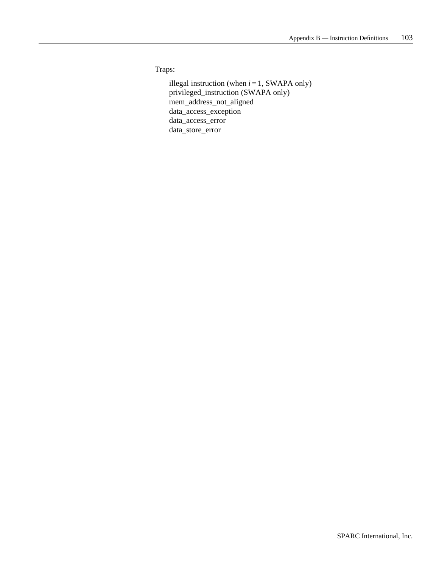Traps:

illegal instruction (when  $i = 1$ , SWAPA only) privileged\_instruction (SWAPA only) mem\_address\_not\_aligned data\_access\_exception data\_access\_error data\_store\_error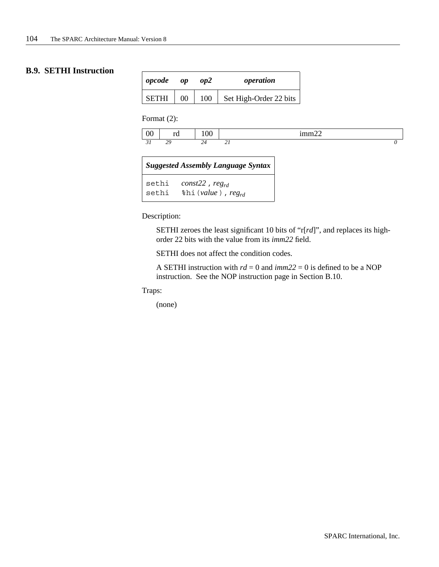# **B.9. SETHI Instruction**

| $\begin{array}{ccc}  opcode & op \end{array}$ | op <sub>2</sub> | operation                    |
|-----------------------------------------------|-----------------|------------------------------|
| $\vert$ SETHI $\vert$ 00                      |                 | 100   Set High-Order 22 bits |

Format (2):



| <b>Suggested Assembly Language Syntax</b> |                                         |  |  |
|-------------------------------------------|-----------------------------------------|--|--|
| sethi                                     | const22, reg <sub>rd</sub>              |  |  |
| sethi                                     | $\text{Shi}$ (value), reg <sub>rd</sub> |  |  |

Description:

SETHI zeroes the least significant 10 bits of "r[*rd*]", and replaces its highorder 22 bits with the value from its *imm22* field.

SETHI does not affect the condition codes.

A SETHI instruction with  $rd = 0$  and  $imm22 = 0$  is defined to be a NOP instruction. See the NOP instruction page in Section B.10.

Traps: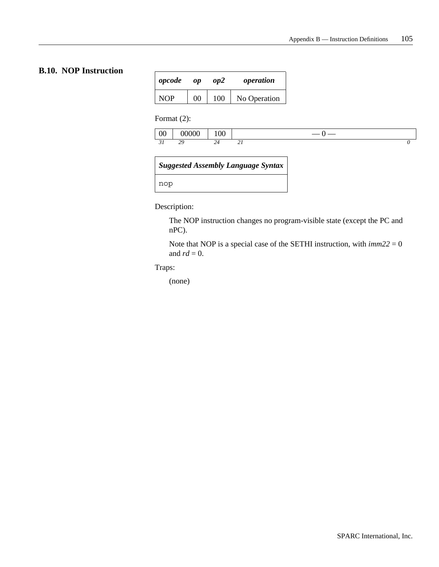# **B.10. NOP Instruction**

| opcode | 0D | op2 | operation    |
|--------|----|-----|--------------|
| NOP    | 00 | 100 | No Operation |

Format (2):





Description:

The NOP instruction changes no program-visible state (except the PC and nPC).

Note that NOP is a special case of the SETHI instruction, with  $\lim_{n \to \infty} 2 = 0$ and  $rd = 0$ .

Traps: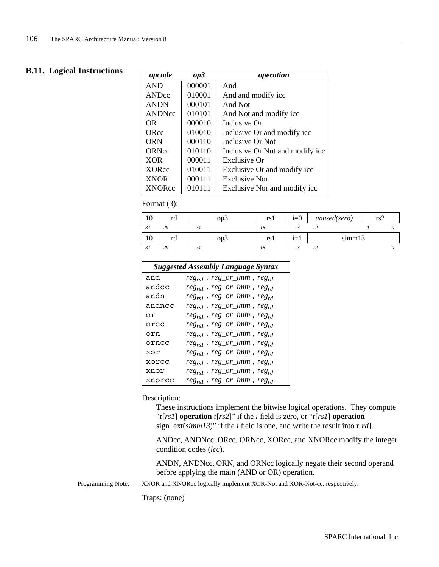# **B.11. Logical Instructions** *opcode op3 operation*

| opcode       | op3    | operation                        |
|--------------|--------|----------------------------------|
| <b>AND</b>   | 000001 | And                              |
| ANDcc        | 010001 | And and modify icc.              |
| <b>ANDN</b>  | 000101 | And Not                          |
| ANDNcc       | 010101 | And Not and modify icc           |
| OR.          | 000010 | Inclusive Or                     |
| <b>ORcc</b>  | 010010 | Inclusive Or and modify icc.     |
| <b>ORN</b>   | 000110 | Inclusive Or Not                 |
| ORNcc        | 010110 | Inclusive Or Not and modify icc. |
| <b>XOR</b>   | 000011 | Exclusive Or                     |
| <b>XORcc</b> | 010011 | Exclusive Or and modify icc.     |
| <b>XNOR</b>  | 000111 | Exclusive Nor                    |
| XNORcc       | 010111 | Exclusive Nor and modify icc     |

Format (3):

| 1 V | rd | OD3  | rs l | $i=0$ | unused(zero) | $rc$ , |  |
|-----|----|------|------|-------|--------------|--------|--|
| 31  | 29 | 24   | 10   |       |              |        |  |
| 1 V | rd | OD 3 | rs l | $1 =$ | simm13       |        |  |
|     | 29 | 24   |      |       |              |        |  |

|        | <b>Suggested Assembly Language Syntax</b>          |
|--------|----------------------------------------------------|
| and    | $reg_{rs1}$ , reg_or_imm, reg <sub>rd</sub>        |
| andcc  | $reg_{rs1}$ , reg_or_imm, reg <sub>rd</sub>        |
| andn   | $reg_{rs1}$ , reg_or_imm, reg <sub>rd</sub>        |
| andncc | reg <sub>rs1</sub> , reg_or_imm, reg <sub>rd</sub> |
| or     | $reg_{rs1}$ , reg_or_imm, reg <sub>rd</sub>        |
| orcc   | $reg_{rel}$ , reg_or_imm, reg <sub>rd</sub>        |
| orn    | $reg_{rs1}$ , reg_or_imm, reg <sub>rd</sub>        |
| orncc  | $reg_{rel}$ , reg_or_imm, reg <sub>rd</sub>        |
| xor    | $reg_{rs1}$ , reg_or_imm, reg <sub>rd</sub>        |
| xorcc  | $reg_{rs1}$ , reg_or_imm, reg <sub>rd</sub>        |
| xnor   | $reg_{rs1}$ , reg_or_imm, reg <sub>rd</sub>        |
| xnorcc | reg <sub>rs1</sub> , reg_or_imm, reg <sub>rd</sub> |

Description:

These instructions implement the bitwise logical operations. They compute "r[*rs1*] **operation** r[*rs2*]" if the *i* field is zero, or "r[*rs1*] **operation** sign\_ext(*simm13*)" if the *i* field is one, and write the result into r[*rd*].

ANDcc, ANDNcc, ORcc, ORNcc, XORcc, and XNORcc modify the integer condition codes (*icc*).

ANDN, ANDNcc, ORN, and ORNcc logically negate their second operand before applying the main (AND or OR) operation.

Programming Note: XNOR and XNORcc logically implement XOR-Not and XOR-Not-cc, respectively.

Traps: (none)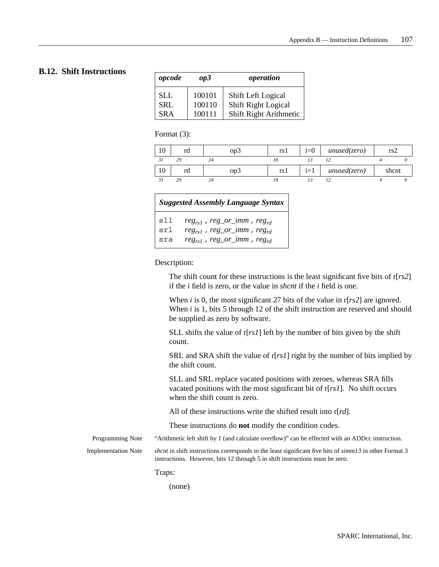# **B.12. Shift Instructions**

| opcode | op3    | operation                  |
|--------|--------|----------------------------|
| SLL    | 100101 | Shift Left Logical         |
| SRL    | 100110 | <b>Shift Right Logical</b> |
| SR A   | 100111 | Shift Right Arithmetic     |

Format (3):

| 10 | rd | OD3 | rs 1 | $=$   | unused(zero) | $rc$ , |
|----|----|-----|------|-------|--------------|--------|
|    | 29 | 24  |      |       |              |        |
|    |    |     |      |       |              |        |
| 10 | rd | OD3 | rs 1 | $1=1$ | unused(zero) | shent  |

| <b>Suggested Assembly Language Syntax</b> |                                                                                            |  |  |  |  |
|-------------------------------------------|--------------------------------------------------------------------------------------------|--|--|--|--|
| s11<br>srl                                | $reg_{rs1}$ , reg_or_imm, reg <sub>rd</sub><br>$reg_{rs1}$ , reg_or_imm, reg <sub>rd</sub> |  |  |  |  |
| sra                                       | $reg_{rs1}$ , reg_or_imm, reg <sub>rd</sub>                                                |  |  |  |  |

Description:

The shift count for these instructions is the least significant five bits of r[*rs2*] if the *i* field is zero, or the value in *shcnt* if the *i* field is one.

When *i* is 0, the most significant 27 bits of the value in r[*rs2*] are ignored. When *i* is 1, bits 5 through 12 of the shift instruction are reserved and should be supplied as zero by software.

SLL shifts the value of r[*rs1*] left by the number of bits given by the shift count.

SRL and SRA shift the value of r[*rs1*] right by the number of bits implied by the shift count.

SLL and SRL replace vacated positions with zeroes, whereas SRA fills vacated positions with the most significant bit of r[*rs1*]. No shift occurs when the shift count is zero.

All of these instructions write the shifted result into r[*rd*].

These instructions do **not** modify the condition codes.

Programming Note "Arithmetic left shift by 1 (and calculate overflow)" can be effected with an ADDcc instruction.

Implementation Note *shcnt* in shift instructions corresponds to the least significant five bits of *simm13* in other Format 3 instructions. However, bits 12 through 5 in shift instructions must be zero.

Traps: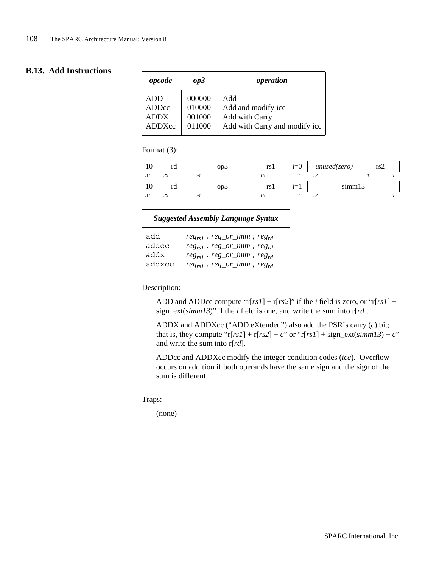## **B.13. Add Instructions**

| opcode      | op3    | operation                     |
|-------------|--------|-------------------------------|
| <b>ADD</b>  | 000000 | Add                           |
| ADDcc       | 010000 | Add and modify icc            |
| <b>ADDX</b> | 001000 | Add with Carry                |
| ADDXcc      | 011000 | Add with Carry and modify icc |

Format (3):

| 1Ψ | rd | OD 3 | rs l | ı≡∪ | unused(zero) | $rc$ , |
|----|----|------|------|-----|--------------|--------|
|    | 29 | 24   | 18   |     | 12           |        |
| 10 | rd | OD3  | rs 1 | 1=. | simm13       |        |
|    | 20 | 24   | 18   |     | 12           |        |

| <b>Suggested Assembly Language Syntax</b> |                                                                                                                                           |  |  |  |  |  |
|-------------------------------------------|-------------------------------------------------------------------------------------------------------------------------------------------|--|--|--|--|--|
| add<br>addcc<br>addx                      | $reg_{rs1}$ , reg_or_imm, reg <sub>rd</sub><br>$reg_{rs1}$ , reg_or_imm, reg <sub>rd</sub><br>$reg_{rs1}$ , reg_or_imm, reg <sub>rd</sub> |  |  |  |  |  |
| addxcc                                    | $reg_{rs1}$ , reg_or_imm, reg <sub>rd</sub>                                                                                               |  |  |  |  |  |

Description:

ADD and ADDcc compute "r[*rs1*] + r[*rs2*]" if the *i* field is zero, or "r[*rs1*] + sign\_ext(*simm13*)" if the *i* field is one, and write the sum into r[*rd*].

ADDX and ADDXcc ("ADD eXtended") also add the PSR's carry (*c*) bit; that is, they compute " $r[rs] + r[rs^2] + c$ " or " $r[rs] + sign\_ext(*simm13*) + c$ " and write the sum into r[*rd*].

ADDcc and ADDXcc modify the integer condition codes (*icc*). Overflow occurs on addition if both operands have the same sign and the sign of the sum is different.

Traps: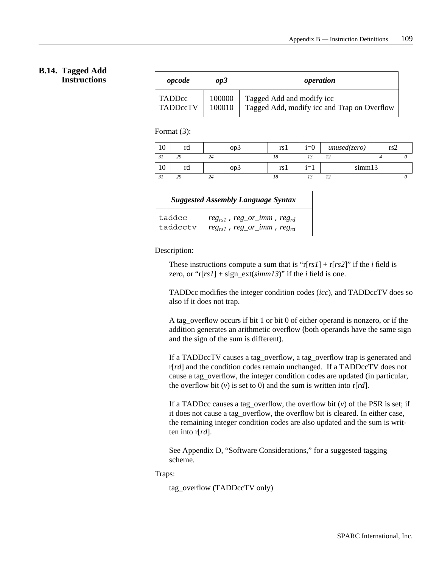### **B.14. Tagged Add Instructions** *opcode op3 operation*

| opcode        | op3    | operation                                   |
|---------------|--------|---------------------------------------------|
| <b>TADDcc</b> | 100000 | Tagged Add and modify icc.                  |
| TADDccTV      | 100010 | Tagged Add, modify icc and Trap on Overflow |

Format (3):

| 10 | rd | OD <sub>2</sub> | rs l | -ሰ<br>1=U | unused(zero)  | rs2 |  |
|----|----|-----------------|------|-----------|---------------|-----|--|
|    | 29 | 24              |      |           | 12            |     |  |
| 10 | rd | OD3             | rs l | 1= 1      | simm13        |     |  |
|    | 29 | 24              | 18   |           | $\frac{1}{2}$ |     |  |

| <b>Suggested Assembly Language Syntax</b> |                                             |  |  |  |  |
|-------------------------------------------|---------------------------------------------|--|--|--|--|
| taddcc                                    | $reg_{rs1}$ , reg_or_imm, reg <sub>rd</sub> |  |  |  |  |
| taddcctv                                  | $reg_{rs1}$ , reg_or_imm, reg <sub>rd</sub> |  |  |  |  |

Description:

These instructions compute a sum that is " $r[rs1] + r[rs2]$ " if the *i* field is zero, or " $r[rs1]$  + sign\_ext( $simn13$ )" if the *i* field is one.

TADDcc modifies the integer condition codes (*icc*), and TADDccTV does so also if it does not trap.

A tag\_overflow occurs if bit 1 or bit 0 of either operand is nonzero, or if the addition generates an arithmetic overflow (both operands have the same sign and the sign of the sum is different).

If a TADDccTV causes a tag\_overflow, a tag\_overflow trap is generated and r[*rd*] and the condition codes remain unchanged. If a TADDccTV does not cause a tag\_overflow, the integer condition codes are updated (in particular, the overflow bit  $(v)$  is set to 0) and the sum is written into r[*rd*].

If a TADDcc causes a tag overflow, the overflow bit  $(v)$  of the PSR is set; if it does not cause a tag\_overflow, the overflow bit is cleared. In either case, the remaining integer condition codes are also updated and the sum is written into r[*rd*].

See Appendix D, "Software Considerations," for a suggested tagging scheme.

Traps:

tag\_overflow (TADDccTV only)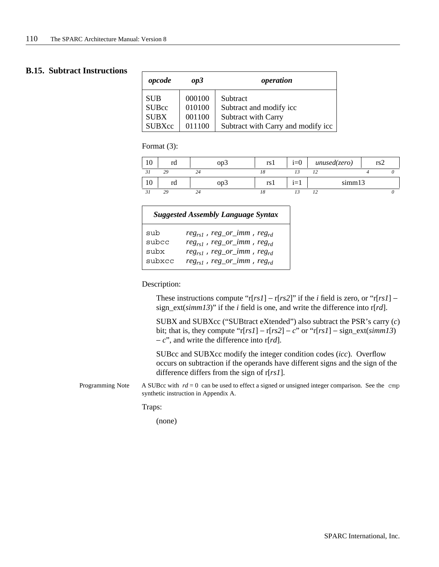# **B.15. Subtract Instructions**

| opcode        | op3    | operation                          |
|---------------|--------|------------------------------------|
| <b>SUB</b>    | 000100 | Subtract                           |
| <b>SUBcc</b>  | 010100 | Subtract and modify icc            |
| <b>SUBX</b>   | 001100 | <b>Subtract with Carry</b>         |
| <b>SUBXcc</b> | 011100 | Subtract with Carry and modify icc |

Format (3):

| 10 | ra | op3 | rs 1 | $\Omega$<br>เ≡∪ | unused(zero) | rs2 |  |
|----|----|-----|------|-----------------|--------------|-----|--|
|    | 29 | 24  | 18   |                 |              |     |  |
| 10 | ra | OD3 | rs 1 | $i=1$           | simm13       |     |  |
| 21 | 20 | 24  | 18   | $\mathbf{r}$    | 12           |     |  |

| <b>Suggested Assembly Language Syntax</b> |                                             |  |  |  |  |  |
|-------------------------------------------|---------------------------------------------|--|--|--|--|--|
| sub                                       | $reg_{rs1}$ , reg_or_imm, reg <sub>rd</sub> |  |  |  |  |  |
| subcc                                     | $reg_{rs1}$ , reg_or_imm, reg <sub>rd</sub> |  |  |  |  |  |
| subx                                      | $reg_{rs1}$ , reg_or_imm, reg <sub>rd</sub> |  |  |  |  |  |
| subxcc                                    | $reg_{rs1}$ , reg_or_imm, reg <sub>rd</sub> |  |  |  |  |  |

Description:

These instructions compute "r[*rs1*] − r[*rs2*]" if the *i* field is zero, or "r[*rs1*] − sign\_ext(*simm13*)" if the *i* field is one, and write the difference into r[*rd*].

SUBX and SUBXcc ("SUBtract eXtended") also subtract the PSR's carry (*c*) bit; that is, they compute " $r[rs] - r[rs^2] - c$ " or " $r[rs] - sign\_ext(*simm13*)$ − *c*", and write the difference into r[*rd*].

SUBcc and SUBXcc modify the integer condition codes (*icc*). Overflow occurs on subtraction if the operands have different signs and the sign of the difference differs from the sign of r[*rs1*].

Programming Note A SUBcc with  $rd = 0$  can be used to effect a signed or unsigned integer comparison. See the cmp synthetic instruction in Appendix A.

Traps: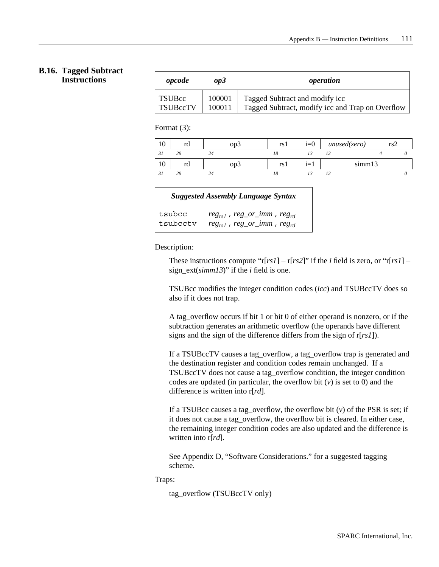### **B.16. Tagged Subtract Instructions**

| opcode          | op3    | operation                                        |
|-----------------|--------|--------------------------------------------------|
| <b>TSUBcc</b>   | 100001 | Tagged Subtract and modify icc.                  |
| <b>TSUBccTV</b> | 100011 | Tagged Subtract, modify icc and Trap on Overflow |

## Format (3):

| 10 | rd | op <sub>3</sub> | rs l | $\sim$<br>1≡\ | unused(zero) | rs2 |  |
|----|----|-----------------|------|---------------|--------------|-----|--|
|    | 29 | 24              | 10   |               | 12           |     |  |
| 10 | ra | OD3             | rs l | $=$           | simm13       |     |  |
|    | 20 | 24              | 10   |               | 12           |     |  |

| <b>Suggested Assembly Language Syntax</b> |                                             |  |  |  |  |
|-------------------------------------------|---------------------------------------------|--|--|--|--|
| tsubcc                                    | $reg_{rs1}$ , reg_or_imm, reg <sub>rd</sub> |  |  |  |  |
| tsubcctv                                  | $reg_{rs1}$ , reg_or_imm, reg <sub>rd</sub> |  |  |  |  |

#### Description:

These instructions compute "r[*rs1*] − r[*rs2*]" if the *i* field is zero, or "r[*rs1*] − sign\_ext(*simm13*)" if the *i* field is one.

TSUBcc modifies the integer condition codes (*icc*) and TSUBccTV does so also if it does not trap.

A tag\_overflow occurs if bit 1 or bit 0 of either operand is nonzero, or if the subtraction generates an arithmetic overflow (the operands have different signs and the sign of the difference differs from the sign of r[*rs1*]).

If a TSUBccTV causes a tag\_overflow, a tag\_overflow trap is generated and the destination register and condition codes remain unchanged. If a TSUBccTV does not cause a tag\_overflow condition, the integer condition codes are updated (in particular, the overflow bit (*v*) is set to 0) and the difference is written into r[*rd*].

If a TSUBcc causes a tag\_overflow, the overflow bit  $(v)$  of the PSR is set; if it does not cause a tag\_overflow, the overflow bit is cleared. In either case, the remaining integer condition codes are also updated and the difference is written into r[*rd*].

See Appendix D, "Software Considerations." for a suggested tagging scheme.

### Traps:

tag\_overflow (TSUBccTV only)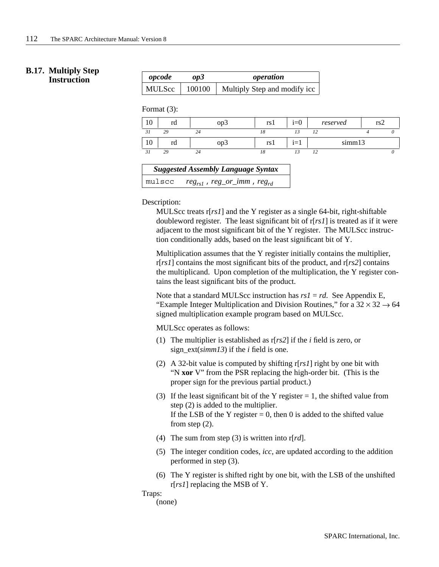#### **B.17. Multiply Step Instruction** *opcode op3 operation*

| opcode | op3    | operation                    |
|--------|--------|------------------------------|
| MULScc | 100100 | Multiply Step and modify icc |

Format (3):

| $\Omega$<br>1Ψ | ra | op <sub>3</sub> | rs 1 | 1=U     |                      | reserved |  |
|----------------|----|-----------------|------|---------|----------------------|----------|--|
| 31             | 29 | 24              | 18   |         | 12<br>$\overline{1}$ |          |  |
| ΙV             | ra | op3             | rs 1 | $1 = 1$ |                      | simm13   |  |
|                | 29 | 24              |      |         | 1 <sub>2</sub>       |          |  |

| <b>Suggested Assembly Language Syntax</b> |                                             |  |  |  |
|-------------------------------------------|---------------------------------------------|--|--|--|
| mulscc                                    | $reg_{rs1}$ , reg_or_imm, reg <sub>rd</sub> |  |  |  |

Description:

MULScc treats r[*rs1*] and the Y register as a single 64-bit, right-shiftable doubleword register. The least significant bit of r[*rs1*] is treated as if it were adjacent to the most significant bit of the Y register. The MULScc instruction conditionally adds, based on the least significant bit of Y.

Multiplication assumes that the Y register initially contains the multiplier, r[*rs1*] contains the most significant bits of the product, and r[*rs2*] contains the multiplicand. Upon completion of the multiplication, the Y register contains the least significant bits of the product.

Note that a standard MULScc instruction has  $rs1 = rd$ . See Appendix E, "Example Integer Multiplication and Division Routines," for a  $32 \times 32 \rightarrow 64$ signed multiplication example program based on MULScc.

MULScc operates as follows:

- (1) The multiplier is established as r[*rs2*] if the *i* field is zero, or sign\_ext(*simm13*) if the *i* field is one.
- (2) A 32-bit value is computed by shifting r[*rs1*] right by one bit with "N **xor** V" from the PSR replacing the high-order bit. (This is the proper sign for the previous partial product.)
- (3) If the least significant bit of the Y register  $= 1$ , the shifted value from step (2) is added to the multiplier. If the LSB of the Y register  $= 0$ , then 0 is added to the shifted value from step (2).
- (4) The sum from step (3) is written into r[*rd*].
- (5) The integer condition codes, *icc*, are updated according to the addition performed in step (3).
- (6) The Y register is shifted right by one bit, with the LSB of the unshifted r[*rs1*] replacing the MSB of Y.

Traps: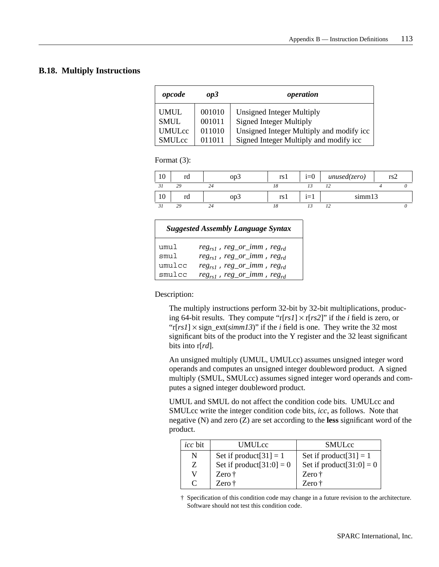## **B.18. Multiply Instructions**

| opcode        | op3    | operation                                |
|---------------|--------|------------------------------------------|
| UMUL          | 001010 | Unsigned Integer Multiply                |
| <b>SMUL</b>   | 001011 | <b>Signed Integer Multiply</b>           |
| <b>UMULcc</b> | 011010 | Unsigned Integer Multiply and modify icc |
| <b>SMULcc</b> | 011011 | Signed Integer Multiply and modify icc   |

Format (3):

| ΙV | rd | op <sub>3</sub> | rs l | $\Omega$<br>1=U | unused(zero) | rs∠ |  |
|----|----|-----------------|------|-----------------|--------------|-----|--|
|    | 29 | 24              | 18   |                 |              |     |  |
| ΙV | rd | op <sub>3</sub> | rs l | $1 =$           | simm13       |     |  |
|    | 29 | 24              | 18   |                 | 12           |     |  |

| <b>Suggested Assembly Language Syntax</b> |                                             |  |  |  |  |  |
|-------------------------------------------|---------------------------------------------|--|--|--|--|--|
| umul                                      | $reg_{rs1}$ , reg_or_imm, reg <sub>rd</sub> |  |  |  |  |  |
| smul                                      | $reg_{rs1}$ , reg_or_imm, reg <sub>rd</sub> |  |  |  |  |  |
| umulcc                                    | $reg_{rs1}$ , reg_or_imm, reg <sub>rd</sub> |  |  |  |  |  |
| smulcc                                    | $reg_{rs1}$ , reg_or_imm, reg <sub>rd</sub> |  |  |  |  |  |

Description:

The multiply instructions perform 32-bit by 32-bit multiplications, producing 64-bit results. They compute " $r[rs1] \times r[rs2]$ " if the *i* field is zero, or " $r[rsl] \times sign\_ext(*simm13*)$ " if the *i* field is one. They write the 32 most significant bits of the product into the Y register and the 32 least significant bits into r[*rd*].

An unsigned multiply (UMUL, UMULcc) assumes unsigned integer word operands and computes an unsigned integer doubleword product. A signed multiply (SMUL, SMULcc) assumes signed integer word operands and computes a signed integer doubleword product.

UMUL and SMUL do not affect the condition code bits. UMULcc and SMULcc write the integer condition code bits, *icc*, as follows. Note that negative (N) and zero (Z) are set according to the **less** significant word of the product.

| icc bit  | <b>UMULcc</b>             | <b>SMULcc</b>             |
|----------|---------------------------|---------------------------|
| N        | Set if product $[31] = 1$ | Set if product $[31] = 1$ |
| Z        | Set if product[31:0] = 0  | Set if product[31:0] = 0  |
| V        | Zero †                    | Zero †                    |
| $\Gamma$ | $Zero +$                  | Zero †                    |

† Specification of this condition code may change in a future revision to the architecture. Software should not test this condition code.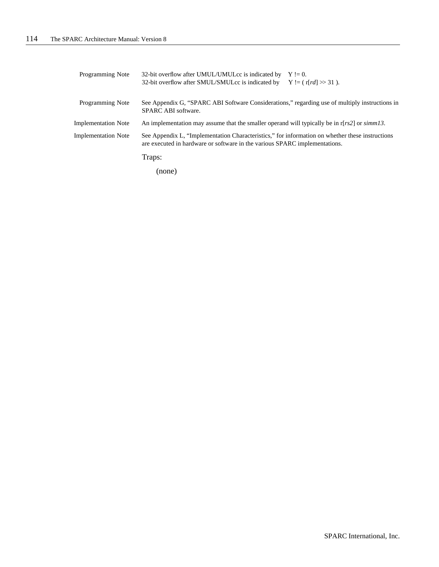| Programming Note           | 32-bit overflow after UMUL/UMULcc is indicated by<br>$Y = 0.$                                                                                                                 |
|----------------------------|-------------------------------------------------------------------------------------------------------------------------------------------------------------------------------|
|                            | 32-bit overflow after SMUL/SMULcc is indicated by<br>$Y = (r[rd] \gg 31)$ .                                                                                                   |
|                            |                                                                                                                                                                               |
| Programming Note           | See Appendix G, "SPARC ABI Software Considerations," regarding use of multiply instructions in<br>SPARC ABI software.                                                         |
| <b>Implementation Note</b> | An implementation may assume that the smaller operand will typically be in $r[s2]$ or $simm13$ .                                                                              |
| <b>Implementation Note</b> | See Appendix L, "Implementation Characteristics," for information on whether these instructions<br>are executed in hardware or software in the various SPARC implementations. |
|                            | Traps:                                                                                                                                                                        |
|                            | $\sim$ $\sim$                                                                                                                                                                 |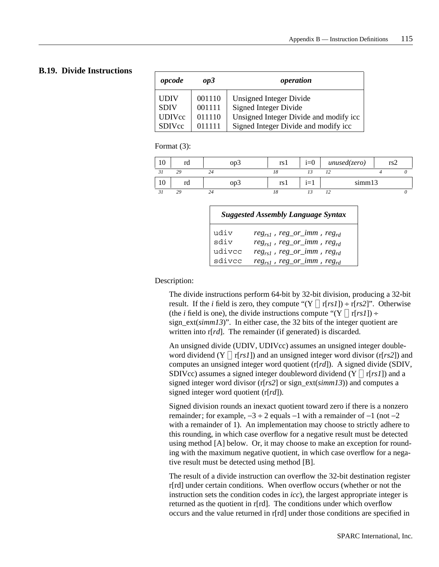# **B.19. Divide Instructions**

| opcode        | op3    | operation                               |
|---------------|--------|-----------------------------------------|
| <b>UDIV</b>   | 001110 | Unsigned Integer Divide                 |
| <b>SDIV</b>   | 001111 | <b>Signed Integer Divide</b>            |
| <b>UDIVcc</b> | 011110 | Unsigned Integer Divide and modify icc. |
| SDIVcc        | 011111 | Signed Integer Divide and modify icc    |

## Format (3):

| 10 | rd | op3 | rs 1 | $i=0$ | unused(zero) | rc , |  |
|----|----|-----|------|-------|--------------|------|--|
|    | 29 | 24  | 18   |       |              |      |  |
| ΙV | rd | op3 | rs 1 | ۱= ۱  | simm13       |      |  |
|    | 29 | 24  | 18   |       |              |      |  |

| <b>Suggested Assembly Language Syntax</b> |                                             |  |  |  |
|-------------------------------------------|---------------------------------------------|--|--|--|
| udiv                                      | $reg_{rs1}$ , reg_or_imm, reg <sub>rd</sub> |  |  |  |
| sdiv                                      | $reg_{rs1}$ , reg_or_imm, reg <sub>rd</sub> |  |  |  |
| udivcc                                    | $reg_{rs1}$ , reg_or_imm, reg <sub>rd</sub> |  |  |  |
| sdivcc                                    | $reg_{rs1}$ , reg_or_imm, reg <sub>rd</sub> |  |  |  |

Description:

The divide instructions perform 64-bit by 32-bit division, producing a 32-bit result. If the *i* field is zero, they compute " $(Y \cap r[s] \cap r[s]$ ". Otherwise (the *i* field is one), the divide instructions compute " $(Y \cap r[r s I])$  ÷ sign\_ext(*simm13*)". In either case, the 32 bits of the integer quotient are written into r[*rd*]. The remainder (if generated) is discarded.

An unsigned divide (UDIV, UDIVcc) assumes an unsigned integer doubleword dividend  $(Y \mid r[rs])$  and an unsigned integer word divisor  $(r[rs])$  and computes an unsigned integer word quotient (r[*rd*]). A signed divide (SDIV, SDIVcc) assumes a signed integer doubleword dividend  $(Y \mid r[rs1])$  and a signed integer word divisor (r[*rs2*] or sign\_ext(*simm13*)) and computes a signed integer word quotient (r[*rd*]).

Signed division rounds an inexact quotient toward zero if there is a nonzero remainder; for example,  $-3 \div 2$  equals  $-1$  with a remainder of  $-1$  (not  $-2$ with a remainder of 1). An implementation may choose to strictly adhere to this rounding, in which case overflow for a negative result must be detected using method [A] below. Or, it may choose to make an exception for rounding with the maximum negative quotient, in which case overflow for a negative result must be detected using method [B].

The result of a divide instruction can overflow the 32-bit destination register r[rd] under certain conditions. When overflow occurs (whether or not the instruction sets the condition codes in *icc*), the largest appropriate integer is returned as the quotient in r[rd]. The conditions under which overflow occurs and the value returned in r[rd] under those conditions are specified in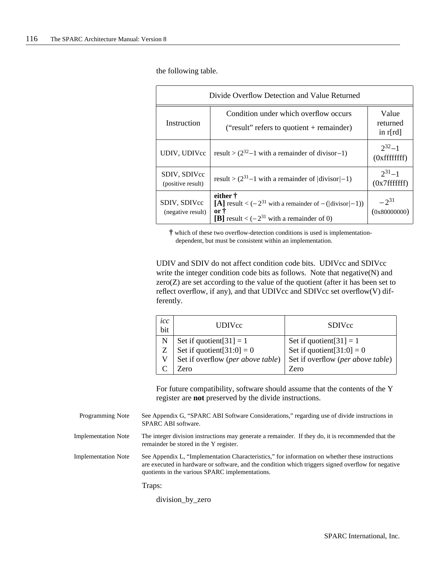the following table.

| Divide Overflow Detection and Value Returned |                                                                                                                                                                |                                 |  |  |
|----------------------------------------------|----------------------------------------------------------------------------------------------------------------------------------------------------------------|---------------------------------|--|--|
| Instruction                                  | Condition under which overflow occurs<br>("result" refers to quotient $+$ remainder)                                                                           | Value<br>returned<br>in $r[rd]$ |  |  |
| UDIV, UDIVcc                                 | result > $(2^{32}-1$ with a remainder of divisor-1)                                                                                                            | $2^{32}-1$<br>(0xffffffff)      |  |  |
| SDIV, SDIVcc<br>(positive result)            | result > $(2^{31}-1$ with a remainder of $ divisor $ -1)                                                                                                       | $2^{31} - 1$<br>(0x7ffffff)     |  |  |
| SDIV, SDIVcc<br>(negative result)            | either $\dagger$<br>[A] result $\lt (-2^{31}$ with a remainder of $-( divisor -1))$<br>or $\dagger$<br><b>[B]</b> result $\lt (-2^{31}$ with a remainder of 0) | $-2^{31}$<br>(0x80000000)       |  |  |

**†** which of these two overflow-detection conditions is used is implementationdependent, but must be consistent within an implementation.

UDIV and SDIV do not affect condition code bits. UDIVcc and SDIVcc write the integer condition code bits as follows. Note that negative(N) and  $zero(Z)$  are set according to the value of the quotient (after it has been set to reflect overflow, if any), and that UDIVcc and SDIVcc set overflow(V) differently.

| $_{lcc}$<br>bit | <b>UDIVcc</b>                     | <b>SDIVcc</b>                              |
|-----------------|-----------------------------------|--------------------------------------------|
| N               | Set if quotient $[31] = 1$        | Set if quotient $[31] = 1$                 |
|                 | Set if quotient $[31:0] = 0$      | Set if quotient[31:0] = 0                  |
|                 | Set if overflow (per above table) | Set if overflow ( <i>per above table</i> ) |
|                 | ⁄ero                              | Zero                                       |

For future compatibility, software should assume that the contents of the Y register are **not** preserved by the divide instructions.

Programming Note See Appendix G, "SPARC ABI Software Considerations," regarding use of divide instructions in SPARC ABI software.

Implementation Note The integer division instructions may generate a remainder. If they do, it is recommended that the remainder be stored in the Y register.

Implementation Note See Appendix L, "Implementation Characteristics," for information on whether these instructions are executed in hardware or software, and the condition which triggers signed overflow for negative quotients in the various SPARC implementations.

Traps:

division\_by\_zero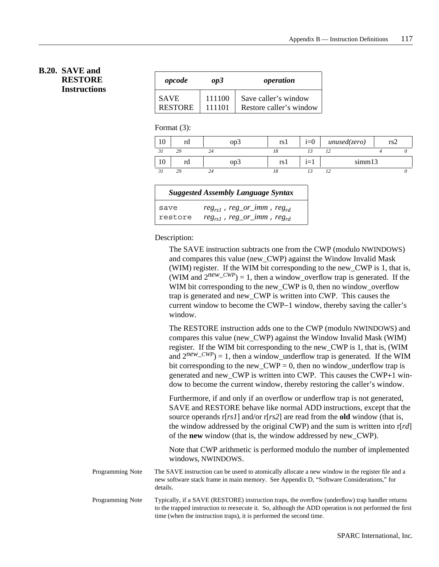## **B.20. SAVE and RESTORE Instructions**

| opcode         | op3    | operation               |
|----------------|--------|-------------------------|
| <b>SAVE</b>    | 111100 | Save caller's window    |
| <b>RESTORE</b> | 111101 | Restore caller's window |

#### Format (3):

| 10 | ra | op <sub>3</sub> | rs 1 | $i=0$   | unused(zero) | $rc'$ , |
|----|----|-----------------|------|---------|--------------|---------|
| 31 | 29 |                 | 10.  |         |              |         |
| 10 | rd | op <sub>3</sub> | rs 1 | $1 = 1$ | simm13       |         |
| 21 | 29 | 24              | 18.  |         |              |         |

| <b>Suggested Assembly Language Syntax</b> |                                             |  |  |
|-------------------------------------------|---------------------------------------------|--|--|
| save                                      | $reg_{rs1}$ , reg_or_imm, reg <sub>rd</sub> |  |  |
| restore                                   | $reg_{rs1}$ , reg_or_imm, reg <sub>rd</sub> |  |  |

Description:

The SAVE instruction subtracts one from the CWP (modulo NWINDOWS) and compares this value (new\_CWP) against the Window Invalid Mask (WIM) register. If the WIM bit corresponding to the new\_CWP is 1, that is, (WIM and  $2^{new\_CWP}$ ) = 1, then a window\_overflow trap is generated. If the WIM bit corresponding to the new\_CWP is 0, then no window\_overflow trap is generated and new\_CWP is written into CWP. This causes the current window to become the CWP−1 window, thereby saving the caller's window.

The RESTORE instruction adds one to the CWP (modulo NWINDOWS) and compares this value (new\_CWP) against the Window Invalid Mask (WIM) register. If the WIM bit corresponding to the new\_CWP is 1, that is, (WIM and  $2^{new\_CWP}$ ) = 1, then a window\_underflow trap is generated. If the WIM bit corresponding to the new\_CWP = 0, then no window\_underflow trap is generated and new\_CWP is written into CWP. This causes the CWP+1 window to become the current window, thereby restoring the caller's window.

Furthermore, if and only if an overflow or underflow trap is not generated, SAVE and RESTORE behave like normal ADD instructions, except that the source operands r[*rs1*] and/or r[*rs2*] are read from the **old** window (that is, the window addressed by the original CWP) and the sum is written into r[*rd*] of the **new** window (that is, the window addressed by new\_CWP).

Note that CWP arithmetic is performed modulo the number of implemented windows, NWINDOWS.

Programming Note The SAVE instruction can be useed to atomically allocate a new window in the register file and a new software stack frame in main memory. See Appendix D, "Software Considerations," for details.

Programming Note Typically, if a SAVE (RESTORE) instruction traps, the overflow (underflow) trap handler returns to the trapped instruction to reexecute it. So, although the ADD operation is not performed the first time (when the instruction traps), it is performed the second time.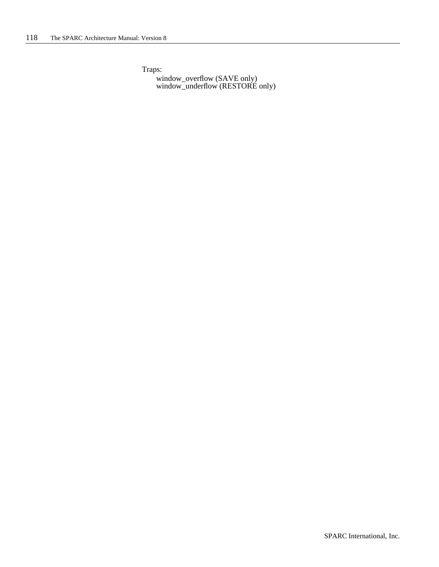Traps:

window\_overflow (SAVE only) window\_underflow (RESTORE only)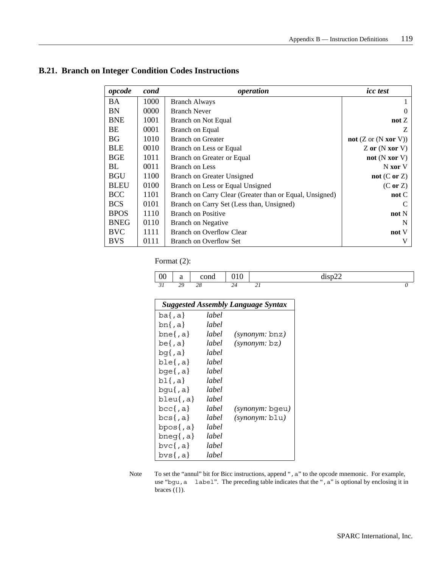| opcode      | cond | operation                                               | <i>icc</i> test                          |
|-------------|------|---------------------------------------------------------|------------------------------------------|
| <b>BA</b>   | 1000 | <b>Branch Always</b>                                    |                                          |
| <b>BN</b>   | 0000 | <b>Branch Never</b>                                     |                                          |
| <b>BNE</b>  | 1001 | Branch on Not Equal                                     | not Z                                    |
| BE          | 0001 | <b>Branch on Equal</b>                                  |                                          |
| BG          | 1010 | Branch on Greater                                       | not $(Z \text{ or } (N \text{ xor } V))$ |
| <b>BLE</b>  | 0010 | Branch on Less or Equal                                 | $Z$ or $(N xor V)$                       |
| <b>BGE</b>  | 1011 | Branch on Greater or Equal                              | not $(N xor V)$                          |
| BL          | 0011 | <b>Branch on Less</b>                                   | N xor V                                  |
| <b>BGU</b>  | 1100 | Branch on Greater Unsigned                              | not $(C$ or $Z)$                         |
| <b>BLEU</b> | 0100 | Branch on Less or Equal Unsigned                        | $(C \text{ or } Z)$                      |
| <b>BCC</b>  | 1101 | Branch on Carry Clear (Greater than or Equal, Unsigned) | not C                                    |
| <b>BCS</b>  | 0101 | Branch on Carry Set (Less than, Unsigned)               |                                          |
| <b>BPOS</b> | 1110 | <b>Branch on Positive</b>                               | not N                                    |
| <b>BNEG</b> | 0110 | <b>Branch on Negative</b>                               | N                                        |
| <b>BVC</b>  | 1111 | Branch on Overflow Clear                                | not V                                    |
| <b>BVS</b>  | 0111 | Branch on Overflow Set                                  | v                                        |

# **B.21. Branch on Integer Condition Codes Instructions**

Format (2):

| υυ | u             | nu                       |    | .<br>ul |  |
|----|---------------|--------------------------|----|---------|--|
|    | $\gamma$<br>- | $\Delta C$<br>$\angle$ O | -- |         |  |

|                     |       | <b>Suggested Assembly Language Syntax</b> |
|---------------------|-------|-------------------------------------------|
| $ba\{a\}$           | label |                                           |
| $bn{, a}$           | label |                                           |
| $bne{,a}$           | label | (synonym: bnz)                            |
| $be{, a}$           | label | (synonym: bz)                             |
| $bq\{$ , a $\}$     | label |                                           |
| $ble{,a}$           | label |                                           |
| $b q e \{$ , a $\}$ | label |                                           |
| $b1\{,a\}$          | label |                                           |
| $bgu\{$ , a}        | label |                                           |
| $blue{, a}$         | label |                                           |
| $bcc{, a}$          | label | (synonym: bqeu)                           |
| $bcs{, a}$          | label | (synonym: blu)                            |
| bpos $\{a\}$        | label |                                           |
| bneg $\{a\}$        | label |                                           |
| $bvc$ {, a }        | label |                                           |
| $bvs\{, a\}$        | label |                                           |

Note To set the "annul" bit for Bicc instructions, append ", a" to the opcode mnemonic. For example, use "bgu, a label". The preceding table indicates that the ", a" is optional by enclosing it in braces ({}).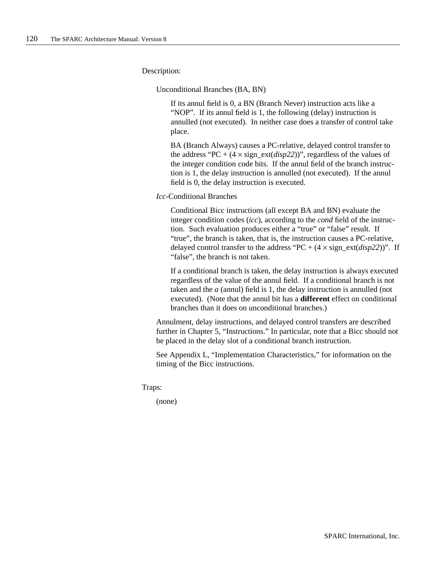Description:

Unconditional Branches (BA, BN)

If its annul field is 0, a BN (Branch Never) instruction acts like a "NOP". If its annul field is 1, the following (delay) instruction is annulled (not executed). In neither case does a transfer of control take place.

BA (Branch Always) causes a PC-relative, delayed control transfer to the address "PC +  $(4 \times sign\_ext(disp22))$ ", regardless of the values of the integer condition code bits. If the annul field of the branch instruction is 1, the delay instruction is annulled (not executed). If the annul field is 0, the delay instruction is executed.

*Icc*-Conditional Branches

Conditional Bicc instructions (all except BA and BN) evaluate the integer condition codes (*icc*), according to the *cond* field of the instruction. Such evaluation produces either a "true" or "false" result. If "true", the branch is taken, that is, the instruction causes a PC-relative, delayed control transfer to the address "PC +  $(4 \times sign\_ext(disp22))$ ". If "false", the branch is not taken.

If a conditional branch is taken, the delay instruction is always executed regardless of the value of the annul field. If a conditional branch is not taken and the *a* (annul) field is 1, the delay instruction is annulled (not executed). (Note that the annul bit has a **different** effect on conditional branches than it does on unconditional branches.)

Annulment, delay instructions, and delayed control transfers are described further in Chapter 5, "Instructions." In particular, note that a Bicc should not be placed in the delay slot of a conditional branch instruction.

See Appendix L, "Implementation Characteristics," for information on the timing of the Bicc instructions.

Traps: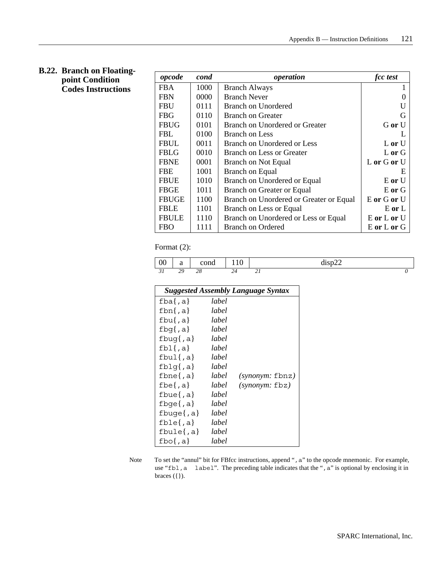## **B.22. Branch on Floatingpoint Condition Codes Instructions**

| opcode       | cond | operation                               | fcc test    |
|--------------|------|-----------------------------------------|-------------|
| <b>FBA</b>   | 1000 | <b>Branch Always</b>                    |             |
| <b>FBN</b>   | 0000 | <b>Branch Never</b>                     |             |
| <b>FBU</b>   | 0111 | <b>Branch on Unordered</b>              | U           |
| <b>FBG</b>   | 0110 | Branch on Greater                       | G           |
| <b>FBUG</b>  | 0101 | Branch on Unordered or Greater          | G or U      |
| <b>FBL</b>   | 0100 | <b>Branch on Less</b>                   |             |
| <b>FBUL</b>  | 0011 | Branch on Unordered or Less             | L or U      |
| <b>FBLG</b>  | 0010 | Branch on Less or Greater               | L or G      |
| <b>FBNE</b>  | 0001 | Branch on Not Equal                     | L or G or U |
| <b>FBE</b>   | 1001 | Branch on Equal                         | E           |
| <b>FBUE</b>  | 1010 | Branch on Unordered or Equal            | E or U      |
| <b>FBGE</b>  | 1011 | Branch on Greater or Equal              | E or G      |
| <b>FBUGE</b> | 1100 | Branch on Unordered or Greater or Equal | E or G or U |
| <b>FBLE</b>  | 1101 | Branch on Less or Equal                 | E or L      |
| <b>FBULE</b> | 1110 | Branch on Unordered or Less or Equal    | E or L or U |
| <b>FBO</b>   | 1111 | <b>Branch on Ordered</b>                | E or L or G |

Format (2):

| nr<br>vv | u           | 114                         |             |            | $\mathbf{u}$ |  |
|----------|-------------|-----------------------------|-------------|------------|--------------|--|
|          | $\sim$<br>- | $\sim$ $\sim$<br>$\angle$ 0 | - -<br>$ -$ | --<br>$ -$ |              |  |

|                 |       | <b>Suggested Assembly Language Syntax</b> |
|-----------------|-------|-------------------------------------------|
| $fba\{,a\}$     | label |                                           |
| $fbn{, a}$      | label |                                           |
| $fbu\{,a\}$     | label |                                           |
| $fbq\{,a\}$     | label |                                           |
| $f$ buq $\{a\}$ | label |                                           |
| $fbl, a\}$      | label |                                           |
| $fbul\{, a\}$   | label |                                           |
| $fblg[$ , a}    | label |                                           |
| $f$ bne $\{a\}$ | label | (synonym: fbnz)                           |
| $fbe{,a}$       | label | (synonym: fbz)                            |
| $f$ bue $\{a\}$ | label |                                           |
| $fbgef, a\}$    | label |                                           |
| $fbuge{, a}$    | label |                                           |
| $fble{,a}$      | label |                                           |
| $fbulel, a\}$   | label |                                           |
| $fbo{,a}$       | label |                                           |

Note To set the "annul" bit for FBfcc instructions, append ", a" to the opcode mnemonic. For example, use "fbl,a label". The preceding table indicates that the ", a" is optional by enclosing it in braces ({}).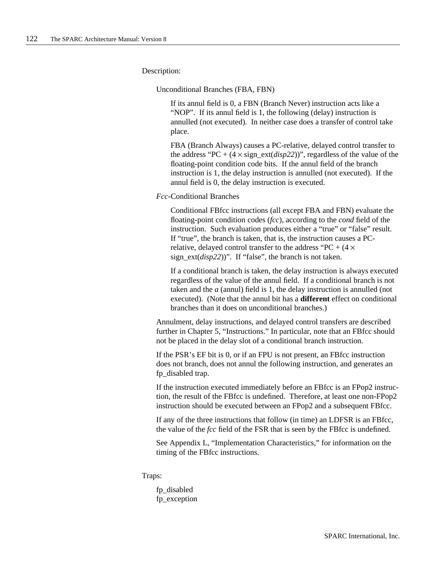Description:

Unconditional Branches (FBA, FBN)

If its annul field is 0, a FBN (Branch Never) instruction acts like a "NOP". If its annul field is 1, the following (delay) instruction is annulled (not executed). In neither case does a transfer of control take place.

FBA (Branch Always) causes a PC-relative, delayed control transfer to the address "PC +  $(4 \times sign\_ext(disp22))$ ", regardless of the value of the floating-point condition code bits. If the annul field of the branch instruction is 1, the delay instruction is annulled (not executed). If the annul field is 0, the delay instruction is executed.

*Fcc*-Conditional Branches

Conditional FBfcc instructions (all except FBA and FBN) evaluate the floating-point condition codes (*fcc*), according to the *cond* field of the instruction. Such evaluation produces either a "true" or "false" result. If "true", the branch is taken, that is, the instruction causes a PCrelative, delayed control transfer to the address "PC  $+$  (4  $\times$ sign\_ext(*disp22*))". If "false", the branch is not taken.

If a conditional branch is taken, the delay instruction is always executed regardless of the value of the annul field. If a conditional branch is not taken and the *a* (annul) field is 1, the delay instruction is annulled (not executed). (Note that the annul bit has a **different** effect on conditional branches than it does on unconditional branches.)

Annulment, delay instructions, and delayed control transfers are described further in Chapter 5, "Instructions." In particular, note that an FBfcc should not be placed in the delay slot of a conditional branch instruction.

If the PSR's EF bit is 0, or if an FPU is not present, an FBfcc instruction does not branch, does not annul the following instruction, and generates an fp\_disabled trap.

If the instruction executed immediately before an FBfcc is an FPop2 instruction, the result of the FBfcc is undefined. Therefore, at least one non-FPop2 instruction should be executed between an FPop2 and a subsequent FBfcc.

If any of the three instructions that follow (in time) an LDFSR is an FBfcc, the value of the *fcc* field of the FSR that is seen by the FBfcc is undefined.

See Appendix L, "Implementation Characteristics," for information on the timing of the FBfcc instructions.

Traps:

fp\_disabled fp\_exception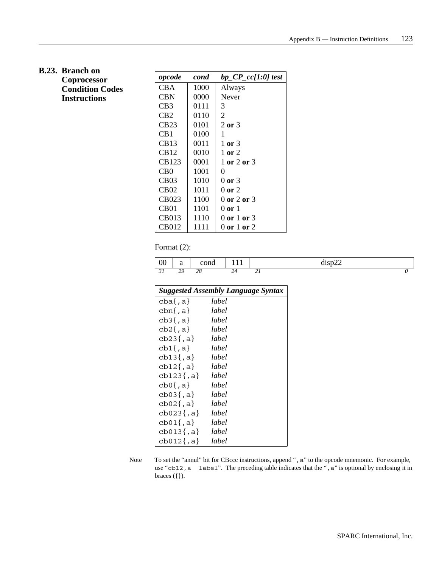# **B.23. Branch on Coprocessor Condition Codes**

**Instructions**

| cond | $bp\_CP\_cc[1:0]$ test |
|------|------------------------|
| 1000 | Always                 |
| 0000 | Never                  |
| 0111 | 3                      |
| 0110 | 2                      |
| 0101 | 2 or 3                 |
| 0100 | 1                      |
| 0011 | $1$ or $3$             |
| 0010 | $1$ or $2$             |
| 0001 | 1 or 2 or 3            |
| 1001 | 0                      |
| 1010 | $0$ or $3$             |
| 1011 | $0$ or $2$             |
| 1100 | $0$ or $2$ or $3$      |
| 1101 | $0$ or $1$             |
| 1110 | $0$ or $1$ or $3$      |
| 1111 | 0 or 1 or 2            |
|      |                        |

# Format (2):

| 00 | a        | w                    | --- | $\sim$<br>$\cdot$ |  |
|----|----------|----------------------|-----|-------------------|--|
| ◡  | ാറ<br>,, | οc<br>$\angle \circ$ |     | --<br>$ -$        |  |

|                | <b>Suggested Assembly Language Syntax</b> |
|----------------|-------------------------------------------|
| $cba$ , $a$ }  | label                                     |
| $cbn$ , a}     | label                                     |
| $cb3$ , a}     | label                                     |
| $cb2$ , a}     | label                                     |
| $cb23$ , a}    | label                                     |
| $cb1$ , a }    | label                                     |
| $cb13$ , a}    | label                                     |
| $cb12$ , a}    | label                                     |
| $cb123$ , a}   | label                                     |
| $cb0$ , a}     | label                                     |
| $cb03$ , a}    | label                                     |
| $cb02$ {, a }  | label                                     |
| $cb023$ , a}   | label                                     |
| $cb01$ , a}    | label                                     |
| $cb013$ , a}   | label                                     |
| $cb012$ {, a } | label                                     |

Note To set the "annul" bit for CBccc instructions, append ", a" to the opcode mnemonic. For example, use "cb12, a label". The preceding table indicates that the ", a" is optional by enclosing it in braces ({}).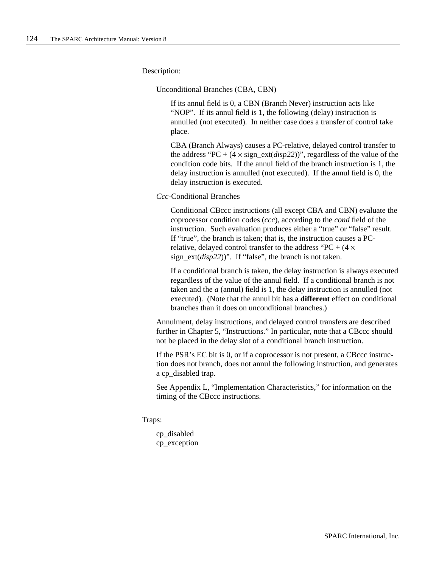Description:

Unconditional Branches (CBA, CBN)

If its annul field is 0, a CBN (Branch Never) instruction acts like "NOP". If its annul field is 1, the following (delay) instruction is annulled (not executed). In neither case does a transfer of control take place.

CBA (Branch Always) causes a PC-relative, delayed control transfer to the address "PC +  $(4 \times sign\_ext(disp22))$ ", regardless of the value of the condition code bits. If the annul field of the branch instruction is 1, the delay instruction is annulled (not executed). If the annul field is 0, the delay instruction is executed.

*Ccc*-Conditional Branches

Conditional CBccc instructions (all except CBA and CBN) evaluate the coprocessor condition codes (*ccc*), according to the *cond* field of the instruction. Such evaluation produces either a "true" or "false" result. If "true", the branch is taken; that is, the instruction causes a PCrelative, delayed control transfer to the address "PC  $+$  (4  $\times$ sign\_ext(*disp22*))". If "false", the branch is not taken.

If a conditional branch is taken, the delay instruction is always executed regardless of the value of the annul field. If a conditional branch is not taken and the *a* (annul) field is 1, the delay instruction is annulled (not executed). (Note that the annul bit has a **different** effect on conditional branches than it does on unconditional branches.)

Annulment, delay instructions, and delayed control transfers are described further in Chapter 5, "Instructions." In particular, note that a CBccc should not be placed in the delay slot of a conditional branch instruction.

If the PSR's EC bit is 0, or if a coprocessor is not present, a CBccc instruction does not branch, does not annul the following instruction, and generates a cp\_disabled trap.

See Appendix L, "Implementation Characteristics," for information on the timing of the CBccc instructions.

Traps:

cp\_disabled cp\_exception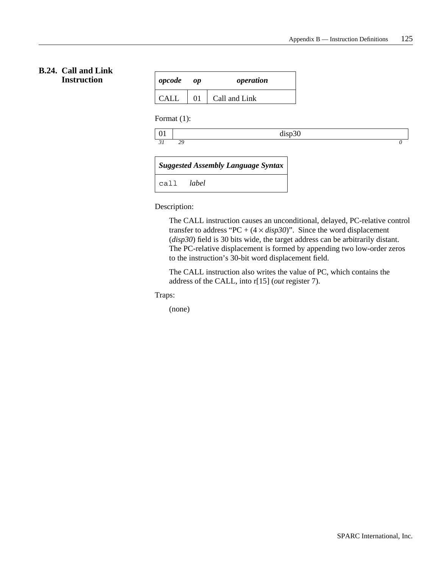# **B.24. Call and Link Instruction**

| $\vert$ opcode | op | operation                        |
|----------------|----|----------------------------------|
| $\vert$ CALL   |    | $\vert$ 01 $\vert$ Call and Link |

Format (1):

| $^{\circ}$<br>v. | $\bullet$<br>$\cdots$ |  |
|------------------|-----------------------|--|
| $\sim$ $\sim$    |                       |  |

| <b>Suggested Assembly Language Syntax</b> |  |  |
|-------------------------------------------|--|--|
| call <i>label</i>                         |  |  |

Description:

The CALL instruction causes an unconditional, delayed, PC-relative control transfer to address "PC +  $(4 \times disp30)$ ". Since the word displacement (*disp30*) field is 30 bits wide, the target address can be arbitrarily distant. The PC-relative displacement is formed by appending two low-order zeros to the instruction's 30-bit word displacement field.

The CALL instruction also writes the value of PC, which contains the address of the CALL, into r[15] (*out* register 7).

Traps:

(none)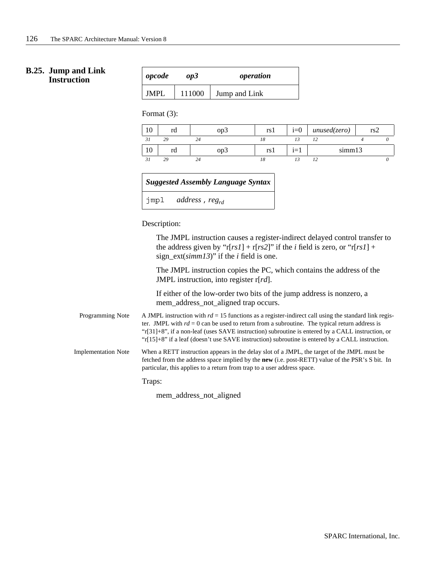# **B.25. Jump and Link Instruction** *opcode op3 operation*

| opcode      | op3    | operation     |
|-------------|--------|---------------|
| <b>JMPL</b> | 111000 | Jump and Link |

Format (3):

| $\sqrt{2}$<br>1Ψ | rd | op3 | rs 1 | $i=0$ | unused(zero) | rs2 |  |
|------------------|----|-----|------|-------|--------------|-----|--|
|                  | 29 | 24  | 18   | ن 1   |              |     |  |
| 1Ψ               | rd | op3 | rs 1 | 1= 1  | simm13       |     |  |
|                  | 29 | 24  | 18   |       |              |     |  |

| <b>Suggested Assembly Language Syntax</b> |                                                      |  |  |
|-------------------------------------------|------------------------------------------------------|--|--|
|                                           | $\frac{1}{1}$ mpl <i>address</i> , reg <sub>rd</sub> |  |  |

Description:

The JMPL instruction causes a register-indirect delayed control transfer to the address given by "r[*rs1*] + r[*rs2*]" if the *i* field is zero, or "r[*rs1*] + sign\_ext(*simm13*)" if the *i* field is one.

The JMPL instruction copies the PC, which contains the address of the JMPL instruction, into register r[*rd*].

If either of the low-order two bits of the jump address is nonzero, a mem\_address\_not\_aligned trap occurs.

Programming Note A JMPL instruction with  $rd = 15$  functions as a register-indirect call using the standard link register. JMPL with  $rd = 0$  can be used to return from a subroutine. The typical return address is "r[31]+8", if a non-leaf (uses SAVE instruction) subroutine is entered by a CALL instruction, or "r[15]+8" if a leaf (doesn't use SAVE instruction) subroutine is entered by a CALL instruction.

Implementation Note When a RETT instruction appears in the delay slot of a JMPL, the target of the JMPL must be fetched from the address space implied by the **new** (i.e. post-RETT) value of the PSR's S bit. In particular, this applies to a return from trap to a user address space.

Traps:

mem\_address\_not\_aligned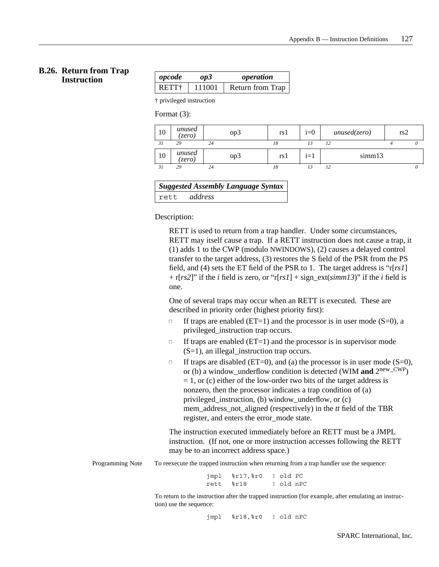#### **B.26. Return from Trap Instruction** *opcode op3 operation*

| opcode | op3    | operation        |
|--------|--------|------------------|
| RETT+  | 111001 | Return from Trap |

† privileged instruction

Format (3):

| 10 | unused<br>zero. | op3 | rs 1 | $i=0$   | unused(zero) | rc' |
|----|-----------------|-----|------|---------|--------------|-----|
|    | 29              | 24  | 18   |         | 12           |     |
| 10 | unused<br>zero. | op3 | rs l | $1 = 1$ | simm13       |     |
| 21 | 29              | 24  | 18   | 12      | 12           |     |

| <b>Suggested Assembly Language Syntax</b> |         |  |
|-------------------------------------------|---------|--|
| rett                                      | address |  |

Description:

RETT is used to return from a trap handler. Under some circumstances, RETT may itself cause a trap. If a RETT instruction does not cause a trap, it (1) adds 1 to the CWP (modulo NWINDOWS), (2) causes a delayed control transfer to the target address, (3) restores the S field of the PSR from the PS field, and (4) sets the ET field of the PSR to 1. The target address is "r[*rs1*]  $+ r[rs2]$ " if the *i* field is zero, or " $r[rs1] + sign\_ext(*simm13*)$ " if the *i* field is one.

One of several traps may occur when an RETT is executed. These are described in priority order (highest priority first):

- If traps are enabled (ET=1) and the processor is in user mode (S=0), a privileged\_instruction trap occurs.
- $\Box$  If traps are enabled (ET=1) and the processor is in supervisor mode (S=1), an illegal\_instruction trap occurs.
- If traps are disabled (ET=0), and (a) the processor is in user mode (S=0), or (b) a window\_underflow condition is detected (WIM **and** 2new\_CWP)  $= 1$ , or (c) either of the low-order two bits of the target address is nonzero, then the processor indicates a trap condition of (a) privileged\_instruction, (b) window\_underflow, or (c) mem\_address\_not\_aligned (respectively) in the *tt* field of the TBR register, and enters the error\_mode state.

The instruction executed immediately before an RETT must be a JMPL instruction. (If not, one or more instruction accesses following the RETT may be to an incorrect address space.)

Programming Note To reexecute the trapped instruction when returning from a trap handler use the sequence:

jmpl %r17,%r0 ! old PC rett %r18 ! old nPC

To return to the instruction after the trapped instruction (for example, after emulating an instruction) use the sequence:

jmpl %r18,%r0 ! old nPC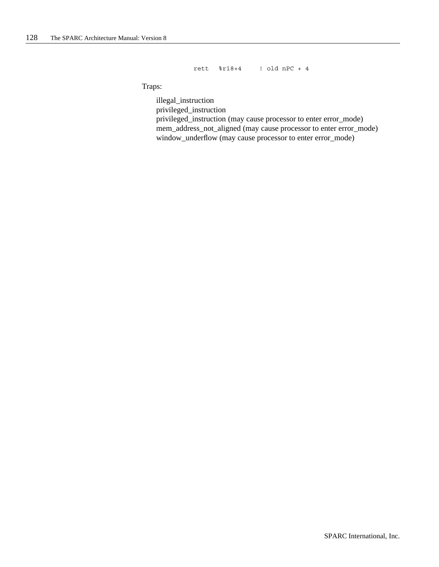rett %r18+4 ! old nPC + 4

Traps:

illegal\_instruction privileged\_instruction privileged\_instruction (may cause processor to enter error\_mode) mem\_address\_not\_aligned (may cause processor to enter error\_mode) window\_underflow (may cause processor to enter error\_mode)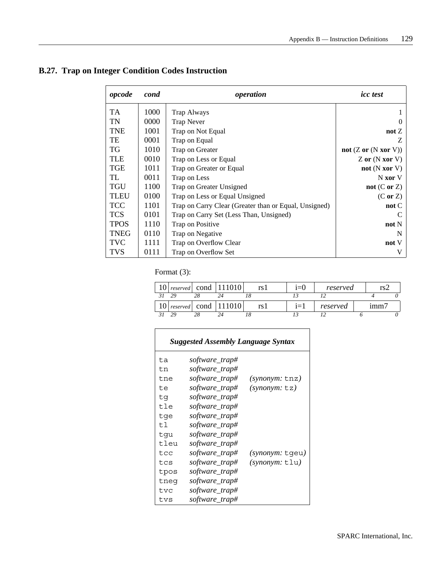| opcode      | cond | operation                                             | <i>icc</i> test                          |
|-------------|------|-------------------------------------------------------|------------------------------------------|
| TA.         | 1000 | Trap Always                                           |                                          |
| TN          | 0000 | <b>Trap Never</b>                                     | $\Omega$                                 |
| <b>TNE</b>  | 1001 | Trap on Not Equal                                     | not Z                                    |
| TE          | 0001 | Trap on Equal                                         | Z                                        |
| TG          | 1010 | Trap on Greater                                       | not $(Z \text{ or } (N \text{ xor } V))$ |
| TLE         | 0010 | Trap on Less or Equal                                 | $Z$ or $(N \nvert N)$                    |
| <b>TGE</b>  | 1011 | Trap on Greater or Equal                              | not $(N xor V)$                          |
| TL.         | 0011 | Trap on Less                                          | N xor V                                  |
| TGU         | 1100 | Trap on Greater Unsigned                              | not $(C$ or $Z$ )                        |
| <b>TLEU</b> | 0100 | Trap on Less or Equal Unsigned                        | $(C \text{ or } Z)$                      |
| <b>TCC</b>  | 1101 | Trap on Carry Clear (Greater than or Equal, Unsigned) | $\operatorname{not} C$                   |
| <b>TCS</b>  | 0101 | Trap on Carry Set (Less Than, Unsigned)               | C                                        |
| <b>TPOS</b> | 1110 | Trap on Positive                                      | not N                                    |
| <b>TNEG</b> | 0110 | Trap on Negative                                      | N                                        |
| <b>TVC</b>  | 1111 | Trap on Overflow Clear                                | not V                                    |
| <b>TVS</b>  | 0111 | Trap on Overflow Set                                  | V                                        |

# **B.27. Trap on Integer Condition Codes Instruction**

Format (3):

 $\sqrt{ }$ 

|    | $10$ reserved cond   111010 | rc. | $1=1$   | reserved |                                 |  |
|----|-----------------------------|-----|---------|----------|---------------------------------|--|
| 20 |                             |     |         |          |                                 |  |
|    | $10$ reserved cond   111010 | rc. | $1 = 1$ | reserved | $\frac{1}{2}$ 1mm $\frac{1}{2}$ |  |
|    |                             |     |         |          |                                 |  |

٦

| <b>Suggested Assembly Language Syntax</b> |                |                       |  |  |  |  |
|-------------------------------------------|----------------|-----------------------|--|--|--|--|
| ta                                        | software_trap# |                       |  |  |  |  |
| tn                                        | software_trap# |                       |  |  |  |  |
| tne                                       | software_trap# | <i>(synonym:</i> tnz) |  |  |  |  |
| te                                        | software_trap# | (synonym: tz)         |  |  |  |  |
| tq                                        | software_trap# |                       |  |  |  |  |
| tle                                       | software_trap# |                       |  |  |  |  |
| tge                                       | software_trap# |                       |  |  |  |  |
| tl.                                       | software_trap# |                       |  |  |  |  |
| tqu                                       | software_trap# |                       |  |  |  |  |
| tleu                                      | software_trap# |                       |  |  |  |  |
| tcc                                       | software_trap# | (synonym: tgeu)       |  |  |  |  |
| tcs                                       | software_trap# | (synonym: tlu)        |  |  |  |  |
| tpos                                      | software_trap# |                       |  |  |  |  |
| tneg                                      | software_trap# |                       |  |  |  |  |
| tvc                                       | software_trap# |                       |  |  |  |  |
| tvs                                       | software_trap# |                       |  |  |  |  |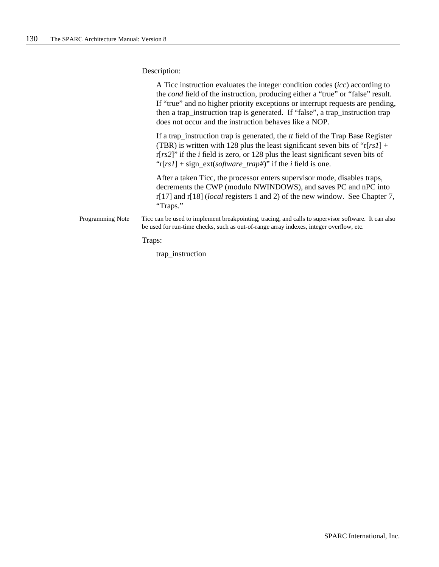Description:

|                  | A Ticc instruction evaluates the integer condition codes (icc) according to<br>the <i>cond</i> field of the instruction, producing either a "true" or "false" result.<br>If "true" and no higher priority exceptions or interrupt requests are pending,<br>then a trap_instruction trap is generated. If "false", a trap_instruction trap<br>does not occur and the instruction behaves like a NOP. |
|------------------|-----------------------------------------------------------------------------------------------------------------------------------------------------------------------------------------------------------------------------------------------------------------------------------------------------------------------------------------------------------------------------------------------------|
|                  | If a trap_instruction trap is generated, the <i>tt</i> field of the Trap Base Register<br>(TBR) is written with 128 plus the least significant seven bits of " $r[rs1]$ +<br>$r[rs2]$ " if the <i>i</i> field is zero, or 128 plus the least significant seven bits of<br>" $r[rs1]$ + sign_ext(software_trap#)" if the <i>i</i> field is one.                                                      |
|                  | After a taken Ticc, the processor enters supervisor mode, disables traps,<br>decrements the CWP (modulo NWINDOWS), and saves PC and nPC into<br>$r[17]$ and $r[18]$ ( <i>local</i> registers 1 and 2) of the new window. See Chapter 7,<br>"Traps."                                                                                                                                                 |
| Programming Note | Tice can be used to implement breakpointing, tracing, and calls to supervisor software. It can also<br>be used for run-time checks, such as out-of-range array indexes, integer overflow, etc.                                                                                                                                                                                                      |
|                  | Traps:                                                                                                                                                                                                                                                                                                                                                                                              |
|                  | trap_instruction                                                                                                                                                                                                                                                                                                                                                                                    |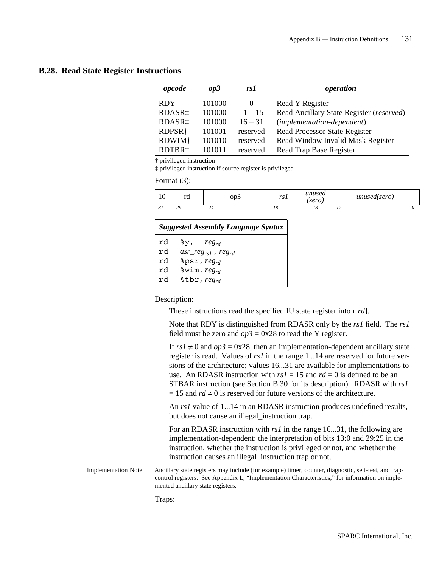# **B.28. Read State Register Instructions**

| opcode             | op3    | rs I      | operation                                |
|--------------------|--------|-----------|------------------------------------------|
| <b>RDY</b>         | 101000 | $\Omega$  | Read Y Register                          |
| RDASR <sup>+</sup> | 101000 | $1 - 15$  | Read Ancillary State Register (reserved) |
| RDASR <sup>t</sup> | 101000 | $16 - 31$ | (implementation-dependent)               |
| RDPSR <sup>+</sup> | 101001 | reserved  | <b>Read Processor State Register</b>     |
| RDWIM <sup>+</sup> | 101010 | reserved  | Read Window Invalid Mask Register        |
| RDTBR <sup>+</sup> | 101011 | reserved  | Read Trap Base Register                  |

† privileged instruction

‡ privileged instruction if source register is privileged

#### Format (3):

| $\sim$<br>1 V | r c<br>ιu | OD 3 | P <sub>0</sub><br>,,, | unused<br>zero |                          | unused(zero) |  |
|---------------|-----------|------|-----------------------|----------------|--------------------------|--------------|--|
| ◡             | nΩ<br>٠.  | 24   | 10                    | . .            | $\overline{\phantom{a}}$ |              |  |

| <b>Suggested Assembly Language Syntax</b> |                                      |  |  |  |  |
|-------------------------------------------|--------------------------------------|--|--|--|--|
| rd                                        | $\gamma$ , reg <sub>rd</sub>         |  |  |  |  |
| rd                                        | $asr\_reg_{rs1}$ , reg <sub>rd</sub> |  |  |  |  |
| rd                                        | $$psr, reg_{rd}$                     |  |  |  |  |
| rd                                        | $%$ wim, $reg_{rd}$                  |  |  |  |  |
| rd                                        | $%$ tbr, reg <sub>rd</sub>           |  |  |  |  |

Description:

These instructions read the specified IU state register into r[*rd*].

Note that RDY is distinguished from RDASR only by the *rs1* field. The *rs1* field must be zero and  $op3 = 0x28$  to read the Y register.

If  $rs1 \neq 0$  and  $op3 = 0x28$ , then an implementation-dependent ancillary state register is read. Values of *rs1* in the range 1...14 are reserved for future versions of the architecture; values 16...31 are available for implementations to use. An RDASR instruction with  $rs1 = 15$  and  $rd = 0$  is defined to be an STBAR instruction (see Section B.30 for its description). RDASR with *rs1*  $= 15$  and  $rd \neq 0$  is reserved for future versions of the architecture.

An *rs1* value of 1...14 in an RDASR instruction produces undefined results, but does not cause an illegal\_instruction trap.

For an RDASR instruction with *rs1* in the range 16...31, the following are implementation-dependent: the interpretation of bits 13:0 and 29:25 in the instruction, whether the instruction is privileged or not, and whether the instruction causes an illegal\_instruction trap or not.

Implementation Note Ancillary state registers may include (for example) timer, counter, diagnostic, self-test, and trapcontrol registers. See Appendix L, "Implementation Characteristics," for information on implemented ancillary state registers.

Traps: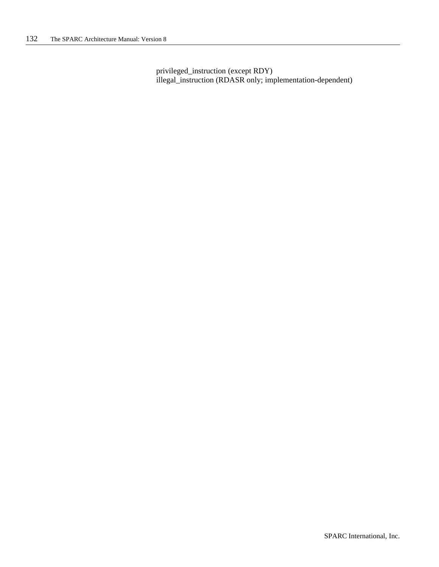privileged\_instruction (except RDY) illegal\_instruction (RDASR only; implementation-dependent)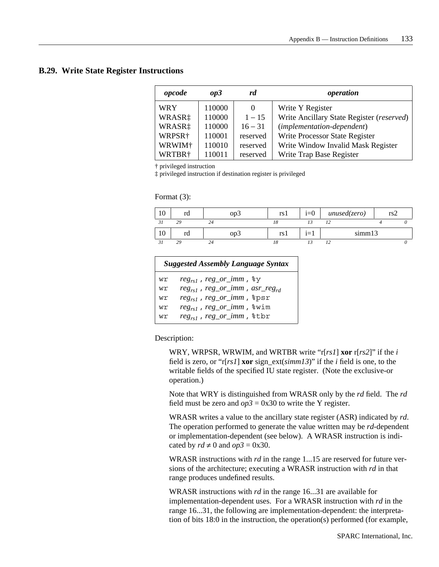# **B.29. Write State Register Instructions**

| opcode             | op3    | rd        | operation                                 |
|--------------------|--------|-----------|-------------------------------------------|
| <b>WRY</b>         | 110000 | $\Omega$  | Write Y Register                          |
| WRASR <sup>+</sup> | 110000 | $1 - 15$  | Write Ancillary State Register (reserved) |
| WRASRİ             | 110000 | $16 - 31$ | (implementation-dependent)                |
| WRPSR <sup>+</sup> | 110001 | reserved  | Write Processor State Register            |
| WRWIM <sup>+</sup> | 110010 | reserved  | Write Window Invalid Mask Register        |
| WRTBR <sup>+</sup> | 110011 | reserved  | Write Trap Base Register                  |

† privileged instruction

‡ privileged instruction if destination register is privileged

Format (3):

| 1 U | ra | OD 3 | rs 1 | $i=0$ | unused(zero) | $TC$ . |
|-----|----|------|------|-------|--------------|--------|
|     | 20 | 24   | 10   |       | 17           |        |
| 1 U | ra | OD3  | rs l | 1= J  | simm13       |        |
|     | 20 | 24   | 18   |       | 12           |        |

| <b>Suggested Assembly Language Syntax</b> |                                                 |  |  |  |  |  |
|-------------------------------------------|-------------------------------------------------|--|--|--|--|--|
| Wr                                        | $reg_{rs1}$ , reg_or_imm, $\gamma$              |  |  |  |  |  |
| Wr                                        | $reg_{rs1}$ , reg_or_imm, asr_reg <sub>rd</sub> |  |  |  |  |  |
| Wr                                        | $reg_{rs1}$ , reg_or_imm, $s$ psr               |  |  |  |  |  |
| wr                                        | reg <sub>rs1</sub> , reg_or_imm, %wim           |  |  |  |  |  |
| wr                                        | $reg_{rs1}$ , reg_or_imm, $%$ tbr               |  |  |  |  |  |

Description:

WRY, WRPSR, WRWIM, and WRTBR write "r[*rs1*] **xor** r[*rs2*]" if the *i* field is zero, or "r[*rs1*] **xor** sign\_ext(*simm13*)" if the *i* field is one, to the writable fields of the specified IU state register. (Note the exclusive-or operation.)

Note that WRY is distinguished from WRASR only by the *rd* field. The *rd* field must be zero and  $op3 = 0x30$  to write the Y register.

WRASR writes a value to the ancillary state register (ASR) indicated by *rd*. The operation performed to generate the value written may be *rd*-dependent or implementation-dependent (see below). A WRASR instruction is indicated by  $rd \neq 0$  and  $op3 = 0x30$ .

WRASR instructions with *rd* in the range 1...15 are reserved for future versions of the architecture; executing a WRASR instruction with *rd* in that range produces undefined results.

WRASR instructions with *rd* in the range 16...31 are available for implementation-dependent uses. For a WRASR instruction with *rd* in the range 16...31, the following are implementation-dependent: the interpretation of bits 18:0 in the instruction, the operation(s) performed (for example,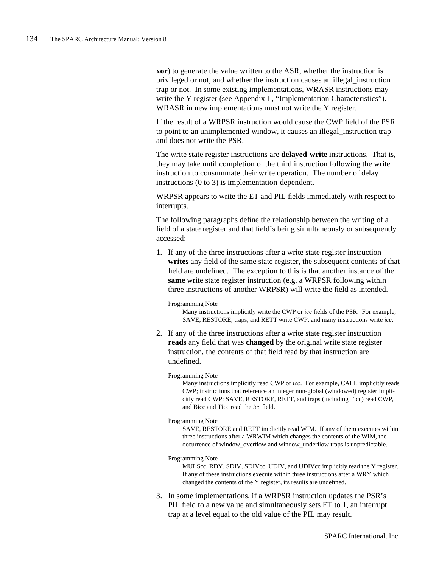**xor**) to generate the value written to the ASR, whether the instruction is privileged or not, and whether the instruction causes an illegal\_instruction trap or not. In some existing implementations, WRASR instructions may write the Y register (see Appendix L, "Implementation Characteristics"). WRASR in new implementations must not write the Y register.

If the result of a WRPSR instruction would cause the CWP field of the PSR to point to an unimplemented window, it causes an illegal\_instruction trap and does not write the PSR.

The write state register instructions are **delayed-write** instructions. That is, they may take until completion of the third instruction following the write instruction to consummate their write operation. The number of delay instructions (0 to 3) is implementation-dependent.

WRPSR appears to write the ET and PIL fields immediately with respect to interrupts.

The following paragraphs define the relationship between the writing of a field of a state register and that field's being simultaneously or subsequently accessed:

1. If any of the three instructions after a write state register instruction **writes** any field of the same state register, the subsequent contents of that field are undefined. The exception to this is that another instance of the **same** write state register instruction (e.g. a WRPSR following within three instructions of another WRPSR) will write the field as intended.

Programming Note

Many instructions implicitly write the CWP or *icc* fields of the PSR. For example, SAVE, RESTORE, traps, and RETT write CWP, and many instructions write *icc*.

2. If any of the three instructions after a write state register instruction **reads** any field that was **changed** by the original write state register instruction, the contents of that field read by that instruction are undefined.

#### Programming Note

Many instructions implicitly read CWP or *icc*. For example, CALL implicitly reads CWP; instructions that reference an integer non-global (windowed) register implicitly read CWP; SAVE, RESTORE, RETT, and traps (including Ticc) read CWP, and Bicc and Ticc read the *icc* field.

Programming Note

SAVE, RESTORE and RETT implicitly read WIM. If any of them executes within three instructions after a WRWIM which changes the contents of the WIM, the occurrence of window\_overflow and window\_underflow traps is unpredictable.

Programming Note

MULScc, RDY, SDIV, SDIVcc, UDIV, and UDIVcc implicitly read the Y register. If any of these instructions execute within three instructions after a WRY which changed the contents of the Y register, its results are undefined.

3. In some implementations, if a WRPSR instruction updates the PSR's PIL field to a new value and simultaneously sets ET to 1, an interrupt trap at a level equal to the old value of the PIL may result.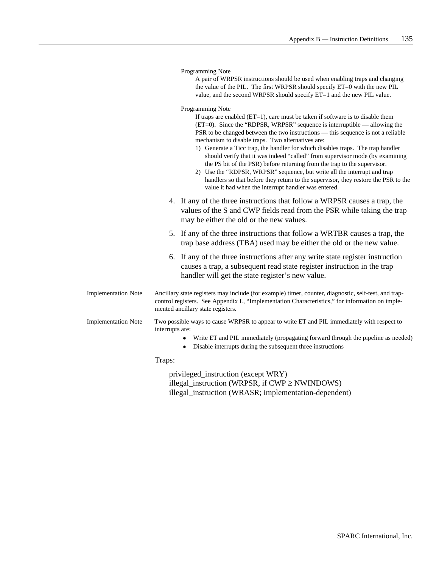|                            | Programming Note<br>A pair of WRPSR instructions should be used when enabling traps and changing<br>the value of the PIL. The first WRPSR should specify ET=0 with the new PIL<br>value, and the second WRPSR should specify ET=1 and the new PIL value.                                                                                                                                                                                                                                                                                                                                                                                                                                                                                                                                             |
|----------------------------|------------------------------------------------------------------------------------------------------------------------------------------------------------------------------------------------------------------------------------------------------------------------------------------------------------------------------------------------------------------------------------------------------------------------------------------------------------------------------------------------------------------------------------------------------------------------------------------------------------------------------------------------------------------------------------------------------------------------------------------------------------------------------------------------------|
|                            | Programming Note<br>If traps are enabled (ET=1), care must be taken if software is to disable them<br>$(ET=0)$ . Since the "RDPSR, WRPSR" sequence is interruptible — allowing the<br>PSR to be changed between the two instructions — this sequence is not a reliable<br>mechanism to disable traps. Two alternatives are:<br>1) Generate a Ticc trap, the handler for which disables traps. The trap handler<br>should verify that it was indeed "called" from supervisor mode (by examining<br>the PS bit of the PSR) before returning from the trap to the supervisor.<br>2) Use the "RDPSR, WRPSR" sequence, but write all the interrupt and trap<br>handlers so that before they return to the supervisor, they restore the PSR to the<br>value it had when the interrupt handler was entered. |
|                            | 4. If any of the three instructions that follow a WRPSR causes a trap, the<br>values of the S and CWP fields read from the PSR while taking the trap<br>may be either the old or the new values.                                                                                                                                                                                                                                                                                                                                                                                                                                                                                                                                                                                                     |
|                            | 5. If any of the three instructions that follow a WRTBR causes a trap, the<br>trap base address (TBA) used may be either the old or the new value.                                                                                                                                                                                                                                                                                                                                                                                                                                                                                                                                                                                                                                                   |
|                            | 6. If any of the three instructions after any write state register instruction<br>causes a trap, a subsequent read state register instruction in the trap<br>handler will get the state register's new value.                                                                                                                                                                                                                                                                                                                                                                                                                                                                                                                                                                                        |
| <b>Implementation Note</b> | Ancillary state registers may include (for example) timer, counter, diagnostic, self-test, and trap-<br>control registers. See Appendix L, "Implementation Characteristics," for information on imple-<br>mented ancillary state registers.                                                                                                                                                                                                                                                                                                                                                                                                                                                                                                                                                          |
| <b>Implementation Note</b> | Two possible ways to cause WRPSR to appear to write ET and PIL immediately with respect to<br>interrupts are:<br>• Write ET and PIL immediately (propagating forward through the pipeline as needed)<br>• Disable interrupts during the subsequent three instructions                                                                                                                                                                                                                                                                                                                                                                                                                                                                                                                                |
|                            | Traps:                                                                                                                                                                                                                                                                                                                                                                                                                                                                                                                                                                                                                                                                                                                                                                                               |
|                            | privileged_instruction (except WRY)                                                                                                                                                                                                                                                                                                                                                                                                                                                                                                                                                                                                                                                                                                                                                                  |

illegal\_instruction (WRPSR, if CWP ≥ NWINDOWS) illegal\_instruction (WRASR; implementation-dependent)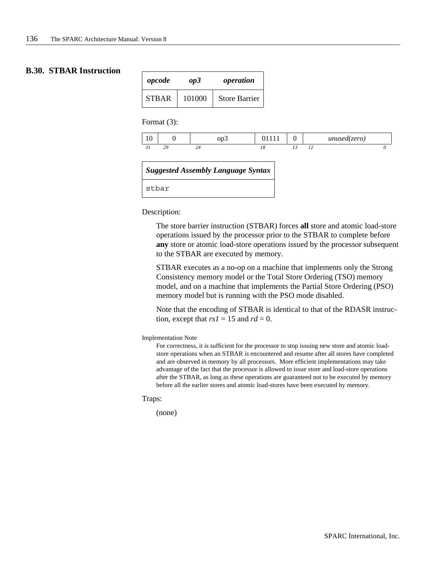# **B.30. STBAR Instruction**

| opcode       | op3    | operation            |
|--------------|--------|----------------------|
| <b>STBAR</b> | 101000 | <b>Store Barrier</b> |

Format (3):



| <b>Suggested Assembly Language Syntax</b> |  |
|-------------------------------------------|--|
| stbar                                     |  |

Description:

The store barrier instruction (STBAR) forces **all** store and atomic load-store operations issued by the processor prior to the STBAR to complete before **any** store or atomic load-store operations issued by the processor subsequent to the STBAR are executed by memory.

STBAR executes as a no-op on a machine that implements only the Strong Consistency memory model or the Total Store Ordering (TSO) memory model, and on a machine that implements the Partial Store Ordering (PSO) memory model but is running with the PSO mode disabled.

Note that the encoding of STBAR is identical to that of the RDASR instruction, except that  $rs1 = 15$  and  $rd = 0$ .

#### Implementation Note

For correctness, it is sufficient for the processor to stop issuing new store and atomic loadstore operations when an STBAR is encountered and resume after all stores have completed and are observed in memory by all processors. More efficient implementations may take advantage of the fact that the processor is allowed to issue store and load-store operations after the STBAR, as long as these operations are guaranteed not to be executed by memory before all the earlier stores and atomic load-stores have been executed by memory.

Traps:

(none)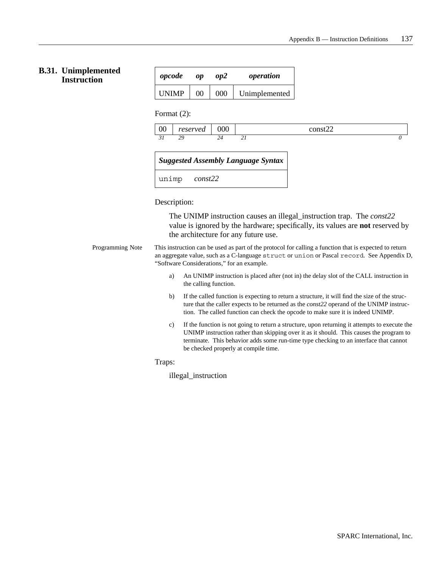# **B.31. Unimplemented Instruction** *opcode op op2 operation*

| opcode    | <i>op</i> | on2 | operation     |
|-----------|-----------|-----|---------------|
| $ $ UNIMP | 00        | 000 | Unimplemented |

# Format (2):



| <b>Suggested Assembly Language Syntax</b> |         |  |  |
|-------------------------------------------|---------|--|--|
| unimp                                     | const22 |  |  |

#### Description:

The UNIMP instruction causes an illegal\_instruction trap. The *const22* value is ignored by the hardware; specifically, its values are **not** reserved by the architecture for any future use.

Programming Note This instruction can be used as part of the protocol for calling a function that is expected to return an aggregate value, such as a C-language struct or union or Pascal record. See Appendix D, "Software Considerations," for an example.

- a) An UNIMP instruction is placed after (not in) the delay slot of the CALL instruction in the calling function.
- b) If the called function is expecting to return a structure, it will find the size of the structure that the caller expects to be returned as the *const22* operand of the UNIMP instruction. The called function can check the opcode to make sure it is indeed UNIMP.
- c) If the function is not going to return a structure, upon returning it attempts to execute the UNIMP instruction rather than skipping over it as it should. This causes the program to terminate. This behavior adds some run-time type checking to an interface that cannot be checked properly at compile time.

Traps:

illegal\_instruction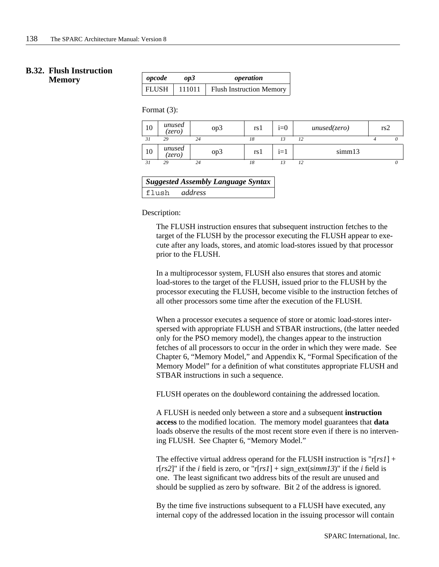#### **B.32. Flush Instruction Memory** *opcode op3 operation*

| <i>opcode</i><br>op3 |        | operation                |
|----------------------|--------|--------------------------|
| $ $ FLUSH            | 111011 | Flush Instruction Memory |

Format (3):

| 10 | unused<br>(zero) | op3 | rs 1 | $i=0$   |    | unused(zero) | rs2 |
|----|------------------|-----|------|---------|----|--------------|-----|
| 31 | 29               | 24  | 18   | 13      | 12 |              |     |
| 10 | unused<br>(zero) | op3 | rs 1 | $1 = 1$ |    | simm13       |     |
| 31 | 29               | 24  | 18   | 13      | 12 |              |     |

|                      | <b>Suggested Assembly Language Syntax</b> |
|----------------------|-------------------------------------------|
| flush <i>address</i> |                                           |

Description:

The FLUSH instruction ensures that subsequent instruction fetches to the target of the FLUSH by the processor executing the FLUSH appear to execute after any loads, stores, and atomic load-stores issued by that processor prior to the FLUSH.

In a multiprocessor system, FLUSH also ensures that stores and atomic load-stores to the target of the FLUSH, issued prior to the FLUSH by the processor executing the FLUSH, become visible to the instruction fetches of all other processors some time after the execution of the FLUSH.

When a processor executes a sequence of store or atomic load-stores interspersed with appropriate FLUSH and STBAR instructions, (the latter needed only for the PSO memory model), the changes appear to the instruction fetches of all processors to occur in the order in which they were made. See Chapter 6, "Memory Model," and Appendix K, "Formal Specification of the Memory Model" for a definition of what constitutes appropriate FLUSH and STBAR instructions in such a sequence.

FLUSH operates on the doubleword containing the addressed location.

A FLUSH is needed only between a store and a subsequent **instruction access** to the modified location. The memory model guarantees that **data** loads observe the results of the most recent store even if there is no intervening FLUSH. See Chapter 6, "Memory Model."

The effective virtual address operand for the FLUSH instruction is "r[*rs1*] + r[ $rs2$ ]" if the *i* field is zero, or "r[ $rs1$ ] + sign\_ext( $sim13$ )" if the *i* field is one. The least significant two address bits of the result are unused and should be supplied as zero by software. Bit 2 of the address is ignored.

By the time five instructions subsequent to a FLUSH have executed, any internal copy of the addressed location in the issuing processor will contain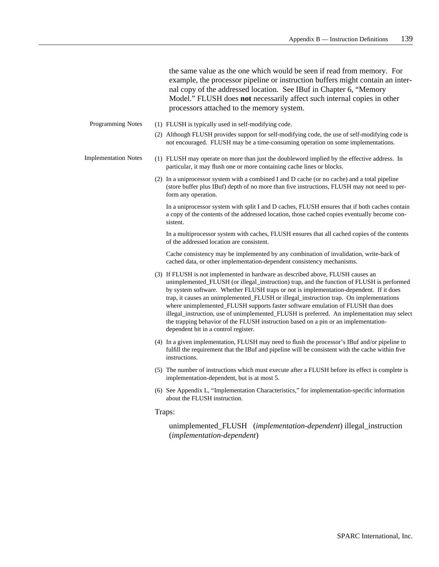|                             | the same value as the one which would be seen if read from memory. For<br>example, the processor pipeline or instruction buffers might contain an inter-<br>nal copy of the addressed location. See IBuf in Chapter 6, "Memory<br>Model." FLUSH does not necessarily affect such internal copies in other<br>processors attached to the memory system.                                                                                                                                                                                                                                                                                                                           |
|-----------------------------|----------------------------------------------------------------------------------------------------------------------------------------------------------------------------------------------------------------------------------------------------------------------------------------------------------------------------------------------------------------------------------------------------------------------------------------------------------------------------------------------------------------------------------------------------------------------------------------------------------------------------------------------------------------------------------|
| Programming Notes           | (1) FLUSH is typically used in self-modifying code.                                                                                                                                                                                                                                                                                                                                                                                                                                                                                                                                                                                                                              |
|                             | (2) Although FLUSH provides support for self-modifying code, the use of self-modifying code is<br>not encouraged. FLUSH may be a time-consuming operation on some implementations.                                                                                                                                                                                                                                                                                                                                                                                                                                                                                               |
| <b>Implementation Notes</b> | (1) FLUSH may operate on more than just the doubleword implied by the effective address. In<br>particular, it may flush one or more containing cache lines or blocks.                                                                                                                                                                                                                                                                                                                                                                                                                                                                                                            |
|                             | (2) In a uniprocessor system with a combined I and D cache (or no cache) and a total pipeline<br>(store buffer plus IBuf) depth of no more than five instructions, FLUSH may not need to per-<br>form any operation.                                                                                                                                                                                                                                                                                                                                                                                                                                                             |
|                             | In a uniprocessor system with split I and D caches, FLUSH ensures that if both caches contain<br>a copy of the contents of the addressed location, those cached copies eventually become con-<br>sistent.                                                                                                                                                                                                                                                                                                                                                                                                                                                                        |
|                             | In a multiprocessor system with caches, FLUSH ensures that all cached copies of the contents<br>of the addressed location are consistent.                                                                                                                                                                                                                                                                                                                                                                                                                                                                                                                                        |
|                             | Cache consistency may be implemented by any combination of invalidation, write-back of<br>cached data, or other implementation-dependent consistency mechanisms.                                                                                                                                                                                                                                                                                                                                                                                                                                                                                                                 |
|                             | (3) If FLUSH is not implemented in hardware as described above, FLUSH causes an<br>unimplemented_FLUSH (or illegal_instruction) trap, and the function of FLUSH is performed<br>by system software. Whether FLUSH traps or not is implementation-dependent. If it does<br>trap, it causes an unimplemented_FLUSH or illegal_instruction trap. On implementations<br>where unimplemented_FLUSH supports faster software emulation of FLUSH than does<br>illegal_instruction, use of unimplemented_FLUSH is preferred. An implementation may select<br>the trapping behavior of the FLUSH instruction based on a pin or an implementation-<br>dependent bit in a control register. |
|                             | (4) In a given implementation, FLUSH may need to flush the processor's IBuf and/or pipeline to<br>fulfill the requirement that the IBuf and pipeline will be consistent with the cache within five<br>instructions.                                                                                                                                                                                                                                                                                                                                                                                                                                                              |
|                             | (5) The number of instructions which must execute after a FLUSH before its effect is complete is<br>implementation-dependent, but is at most 5.                                                                                                                                                                                                                                                                                                                                                                                                                                                                                                                                  |
|                             | (6) See Appendix L, "Implementation Characteristics," for implementation-specific information<br>about the FLUSH instruction.                                                                                                                                                                                                                                                                                                                                                                                                                                                                                                                                                    |
|                             | Traps:                                                                                                                                                                                                                                                                                                                                                                                                                                                                                                                                                                                                                                                                           |
|                             | unimplemented_FLUSH (implementation-dependent) illegal_instruction<br>(implementation-dependent)                                                                                                                                                                                                                                                                                                                                                                                                                                                                                                                                                                                 |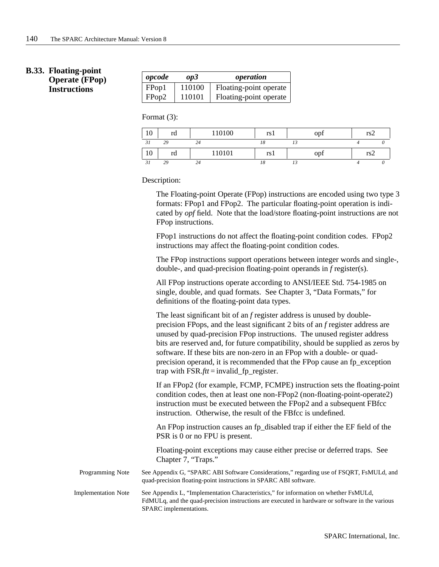# **B.33. Floating-point Operate (FPop) Instructions**

| opcode             | op3    | operation              |
|--------------------|--------|------------------------|
| FP <sub>op</sub> 1 | 110100 | Floating-point operate |
| FPop2              | 110101 | Floating-point operate |

Format (3):

| 10       | rd | 110100 | rs l     | opt                 | rs2        |  |
|----------|----|--------|----------|---------------------|------------|--|
| 21<br>IJ | 29 | 24     | 10<br>10 | $\mathbf{1}$<br>. . |            |  |
| 10       | rd | 110101 | rs 1     | opf                 | rc'<br>104 |  |
| IJ       | 20 | 24     |          | ن 1                 |            |  |

Description:

The Floating-point Operate (FPop) instructions are encoded using two type 3 formats: FPop1 and FPop2. The particular floating-point operation is indicated by *opf* field. Note that the load/store floating-point instructions are not FPop instructions.

FPop1 instructions do not affect the floating-point condition codes. FPop2 instructions may affect the floating-point condition codes.

The FPop instructions support operations between integer words and single-, double-, and quad-precision floating-point operands in *f* register(s).

All FPop instructions operate according to ANSI/IEEE Std. 754-1985 on single, double, and quad formats. See Chapter 3, "Data Formats," for definitions of the floating-point data types.

The least significant bit of an *f* register address is unused by doubleprecision FPops, and the least significant 2 bits of an *f* register address are unused by quad-precision FPop instructions. The unused register address bits are reserved and, for future compatibility, should be supplied as zeros by software. If these bits are non-zero in an FPop with a double- or quadprecision operand, it is recommended that the FPop cause an fp\_exception trap with FSR. $ftt = \text{invald}$  fp register.

If an FPop2 (for example, FCMP, FCMPE) instruction sets the floating-point condition codes, then at least one non-FPop2 (non-floating-point-operate2) instruction must be executed between the FPop2 and a subsequent FBfcc instruction. Otherwise, the result of the FBfcc is undefined.

An FPop instruction causes an fp\_disabled trap if either the EF field of the PSR is 0 or no FPU is present.

Floating-point exceptions may cause either precise or deferred traps. See Chapter 7, "Traps."

Programming Note See Appendix G, "SPARC ABI Software Considerations," regarding use of FSQRT, FsMULd, and quad-precision floating-point instructions in SPARC ABI software.

Implementation Note See Appendix L, "Implementation Characteristics," for information on whether FsMULd, FdMULq, and the quad-precision instructions are executed in hardware or software in the various SPARC implementations.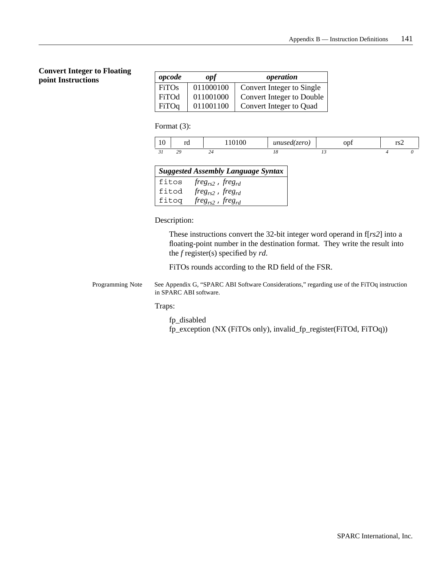# **Convert Integer to Floating**  $point$  **Instructions**

| opcode       | opf       | operation                 |
|--------------|-----------|---------------------------|
| <b>FiTOs</b> | 011000100 | Convert Integer to Single |
| FiTOd        | 011001000 | Convert Integer to Double |
| FiTOq        | 011001100 | Convert Integer to Quad   |

Format (3):

| $\sim$<br>$\overline{ }$ | $\overline{\phantom{a}}$<br> | 00  | unused(zero) | - -- | 220<br>154 |  |
|--------------------------|------------------------------|-----|--------------|------|------------|--|
| . .                      | $\overline{\phantom{a}}$     | - - |              |      |            |  |

| <b>Suggested Assembly Language Syntax</b> |                                          |  |  |  |
|-------------------------------------------|------------------------------------------|--|--|--|
| fitos                                     | freg <sub>rs2</sub> , freg <sub>rd</sub> |  |  |  |
| fitod                                     | $freq_{rs2}$ , freg <sub>rd</sub>        |  |  |  |
| fitoa                                     | $freq_{rs2}$ , freg <sub>rd</sub>        |  |  |  |

Description:

These instructions convert the 32-bit integer word operand in f[*rs2*] into a floating-point number in the destination format. They write the result into the *f* register(s) specified by *rd*.

FiTOs rounds according to the RD field of the FSR.

Programming Note See Appendix G, "SPARC ABI Software Considerations," regarding use of the FiTOq instruction in SPARC ABI software.

#### Traps:

fp\_disabled

fp\_exception (NX (FiTOs only), invalid\_fp\_register(FiTOd, FiTOq))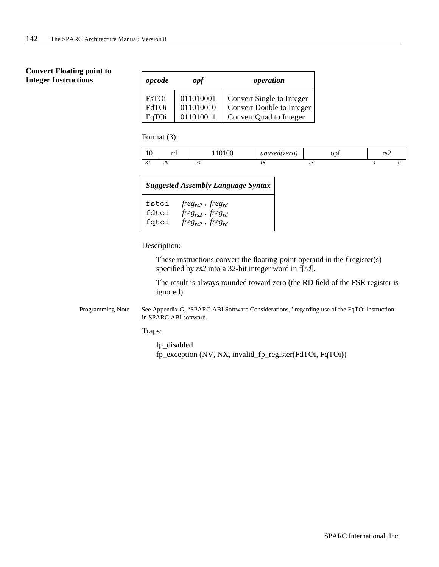# **Convert Floating point to Integer Instructions**

| opcode | opf       | operation                 |
|--------|-----------|---------------------------|
| FsTOi  | 011010001 | Convert Single to Integer |
| FdTOi  | 011010010 | Convert Double to Integer |
| FqTOi  | 011010011 | Convert Quad to Integer   |

# Format (3):

| -<br>ΙV<br>- | $\mathbf{r}$ |     | unused(zero) | ٦n                   | $\bullet$ c<br>104 |  |
|--------------|--------------|-----|--------------|----------------------|--------------------|--|
| - 1          | ر ت          | - ' | 10           | $\ddot{\phantom{0}}$ |                    |  |

# *Suggested Assembly Language Syntax*

| $freq_{rs2}$ , freg <sub>rd</sub> |
|-----------------------------------|
| $freq_{rs2}$ , freg <sub>rd</sub> |
| $freq_{rs2}$ , freg <sub>rd</sub> |
|                                   |

Description:

These instructions convert the floating-point operand in the *f* register(s) specified by *rs2* into a 32-bit integer word in f[*rd*].

The result is always rounded toward zero (the RD field of the FSR register is ignored).

Programming Note See Appendix G, "SPARC ABI Software Considerations," regarding use of the FqTOi instruction in SPARC ABI software.

Traps:

fp\_disabled fp\_exception (NV, NX, invalid\_fp\_register(FdTOi, FqTOi))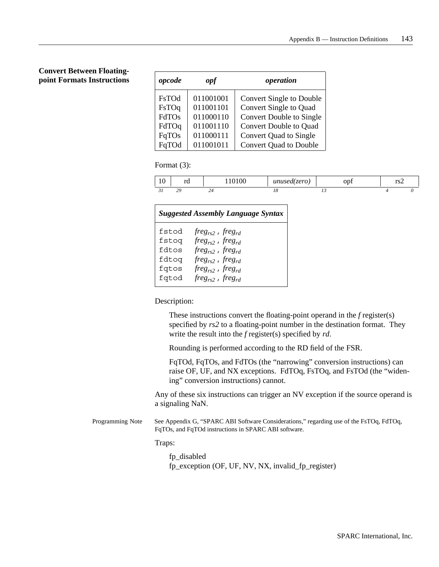# **Convert Between Floatingpoint Formats Instructions** *opcode opf operation*

| opcode       | opf       | operation                     |
|--------------|-----------|-------------------------------|
| FsTOd        | 011001001 | Convert Single to Double      |
| FsTOq        | 011001101 | Convert Single to Quad        |
| <b>FdTOs</b> | 011000110 | Convert Double to Single      |
| FdTOq        | 011001110 | <b>Convert Double to Quad</b> |
| FqTOs        | 011000111 | Convert Quad to Single        |
| FqTOd        | 011001011 | <b>Convert Quad to Double</b> |

# Format (3):

| $\sim$<br>ΙV | $\bullet$ | ີ   | unused(zero)   | $\overline{a}$ |  |
|--------------|-----------|-----|----------------|----------------|--|
| . .          | . .       | . . | $\overline{1}$ |                |  |

|       | <b>Suggested Assembly Language Syntax</b> |
|-------|-------------------------------------------|
| fstod | $freq_{rs2}$ , freg <sub>rd</sub>         |
| fstog | $freq_{rs2}$ , freg <sub>rd</sub>         |
| fdtos | $freq_{rs2}$ , freg <sub>rd</sub>         |
| fdtog | $freq_{rs2}$ , freg <sub>rd</sub>         |
| fqtos | $freq_{rs2}$ , freg <sub>rd</sub>         |
| fqtod | $freq_{rs2}$ , freg <sub>rd</sub>         |

Description:

These instructions convert the floating-point operand in the *f* register(s) specified by  $rs2$  to a floating-point number in the destination format. They write the result into the *f* register(s) specified by *rd*.

Rounding is performed according to the RD field of the FSR.

FqTOd, FqTOs, and FdTOs (the "narrowing" conversion instructions) can raise OF, UF, and NX exceptions. FdTOq, FsTOq, and FsTOd (the "widening" conversion instructions) cannot.

Any of these six instructions can trigger an NV exception if the source operand is a signaling NaN.

Programming Note See Appendix G, "SPARC ABI Software Considerations," regarding use of the FsTOq, FdTOq, FqTOs, and FqTOd instructions in SPARC ABI software.

Traps:

fp\_disabled

fp\_exception (OF, UF, NV, NX, invalid\_fp\_register)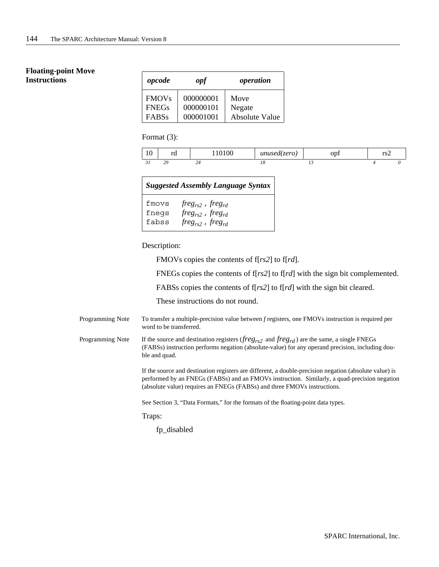#### **Floating-point Move Instructions**

| opcode       | opf       | operation             |
|--------------|-----------|-----------------------|
| <b>FMOVs</b> | 000000001 | Move                  |
| <b>FNEGs</b> | 000000101 | Negate                |
| <b>FABSs</b> | 000001001 | <b>Absolute Value</b> |

Format (3):

| $\sim$<br>ΙV | $\bullet$<br>1 U |    | unused(zero) | opt                  | $\sim$<br>154 |
|--------------|------------------|----|--------------|----------------------|---------------|
| . .          | 20<br>ر ت        | ∸⊤ | 10           | $\ddot{\phantom{0}}$ |               |

# *Suggested Assembly Language Syntax*

| fmovs | $freq_{rs2}$ , freg <sub>rd</sub> |
|-------|-----------------------------------|
| fnegs | $freq_{rs2}$ , freg <sub>rd</sub> |
| fabss | $freq_{rs2}$ , freg <sub>rd</sub> |

Description:

FMOVs copies the contents of f[*rs2*] to f[*rd*].

FNEGs copies the contents of f[*rs2*] to f[*rd*] with the sign bit complemented.

FABSs copies the contents of f[*rs2*] to f[*rd*] with the sign bit cleared.

These instructions do not round.

Programming Note To transfer a multiple-precision value between *f* registers, one FMOVs instruction is required per word to be transferred.

Programming Note If the source and destination registers ( $freg_{rs2}$  and  $freq_{rd}$ ) are the same, a single FNEGs (FABSs) instruction performs negation (absolute-value) for any operand precision, including double and quad.

> If the source and destination registers are different, a double-precision negation (absolute value) is performed by an FNEGs (FABSs) and an FMOVs instruction. Similarly, a quad-precision negation (absolute value) requires an FNEGs (FABSs) and three FMOVs instructions.

See Section 3, "Data Formats," for the formats of the floating-point data types.

Traps:

fp\_disabled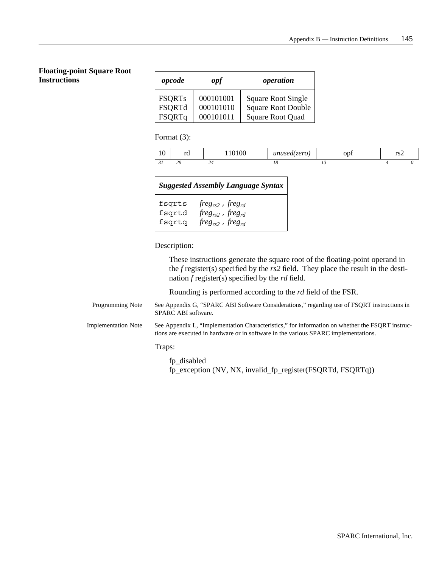#### **Floating-point Square Root Instructions**

| opcode        | opf       | operation                 |
|---------------|-----------|---------------------------|
| <b>FSQRTs</b> | 000101001 | Square Root Single        |
| <b>FSORTd</b> | 000101010 | <b>Square Root Double</b> |
| <b>FSQRTq</b> | 000101011 | <b>Square Root Quad</b>   |

#### Format (3):

| -<br>1 V | $\bullet$<br>1 U     | unused(zero` |     | $-1$<br>10A |  |
|----------|----------------------|--------------|-----|-------------|--|
| . .      | $\mathcal{U}$<br>ر ت | 10           | . . |             |  |

| <b>Suggested Assembly Language Syntax</b> |                                   |  |
|-------------------------------------------|-----------------------------------|--|
| fsqrts                                    | $freq_{rs2}$ , freg <sub>rd</sub> |  |
| fsqrtd                                    | $freq_{rs2}$ , freg <sub>rd</sub> |  |
| fsgrtg                                    | $freq_{rs2}$ , freg <sub>rd</sub> |  |

#### Description:

These instructions generate the square root of the floating-point operand in the *f* register(s) specified by the *rs2* field. They place the result in the destination *f* register(s) specified by the *rd* field.

Rounding is performed according to the *rd* field of the FSR.

Programming Note See Appendix G, "SPARC ABI Software Considerations," regarding use of FSQRT instructions in SPARC ABI software.

Implementation Note See Appendix L, "Implementation Characteristics," for information on whether the FSQRT instructions are executed in hardware or in software in the various SPARC implementations.

#### Traps:

fp\_disabled fp\_exception (NV, NX, invalid\_fp\_register(FSQRTd, FSQRTq))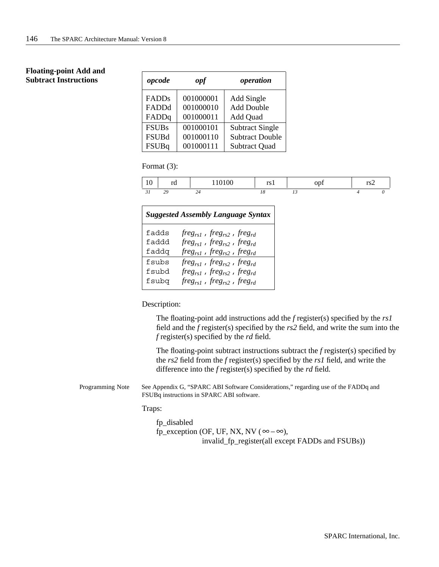#### **Floating-point Add and Subtract Instructions** *opcode opf operation*

| opcode       | opf       | operation              |
|--------------|-----------|------------------------|
| FADDs        | 001000001 | Add Single             |
| FADDd        | 001000010 | <b>Add Double</b>      |
| FADDq        | 001000011 | Add Quad               |
| <b>FSUBs</b> | 001000101 | <b>Subtract Single</b> |
| <b>FSUBd</b> | 001000110 | <b>Subtract Double</b> |
| FSUBq        | 001000111 | <b>Subtract Quad</b>   |

# Format (3):

| $-$ |           | $\sim$ |                      | 444 |  |
|-----|-----------|--------|----------------------|-----|--|
| . . | -<br>$ -$ | . .    | $\ddot{\phantom{0}}$ |     |  |

|       | <b>Suggested Assembly Language Syntax</b>               |
|-------|---------------------------------------------------------|
| fadds | $freq_{rs1}$ , freg <sub>rs2</sub> , freg <sub>rd</sub> |
| faddd | $freq_{rs1}$ , freg <sub>rs2</sub> , freg <sub>rd</sub> |
| faddq | $freq_{rs1}$ , freg <sub>rs2</sub> , freg <sub>rd</sub> |
| fsubs | $freq_{rs1}$ , freg <sub>rs2</sub> , freg <sub>rd</sub> |
| fsubd | $freq_{rs1}$ , freg <sub>rs2</sub> , freg <sub>rd</sub> |
| fsubq | $freq_{rs1}$ , freg <sub>rs2</sub> , freg <sub>rd</sub> |
|       |                                                         |

Description:

The floating-point add instructions add the *f* register(s) specified by the *rs1* field and the *f* register(s) specified by the *rs2* field, and write the sum into the *f* register(s) specified by the *rd* field.

The floating-point subtract instructions subtract the *f* register(s) specified by the *rs2* field from the *f* register(s) specified by the *rs1* field, and write the difference into the *f* register(s) specified by the *rd* field.

Programming Note See Appendix G, "SPARC ABI Software Considerations," regarding use of the FADDq and FSUBq instructions in SPARC ABI software.

Traps:

fp\_disabled fp\_exception (OF, UF, NX, NV (∞–∞), invalid\_fp\_register(all except FADDs and FSUBs))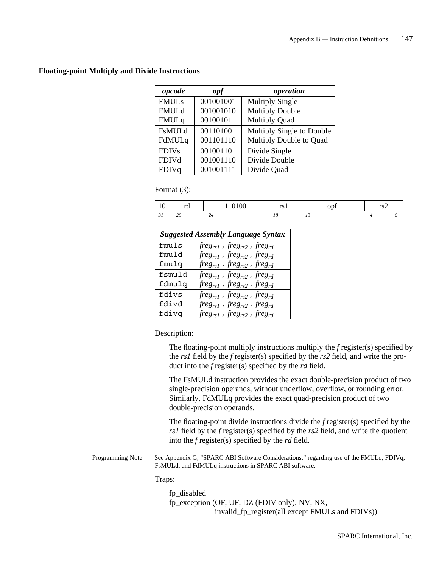#### **Floating-point Multiply and Divide Instructions**

| opcode       | opf       | operation                 |
|--------------|-----------|---------------------------|
| <b>FMULs</b> | 001001001 | <b>Multiply Single</b>    |
| <b>FMULd</b> | 001001010 | <b>Multiply Double</b>    |
| FMULq        | 001001011 | <b>Multiply Quad</b>      |
| FsMULd       | 001101001 | Multiply Single to Double |
| FdMULq       | 001101110 | Multiply Double to Quad   |
| <b>FDIVs</b> | 001001101 | Divide Single             |
| <b>FDIVd</b> | 001001110 | Divide Double             |
| FDIVq        | 001001111 | Divide Quad               |

Format (3):

| $\boldsymbol{\omega}$ | ---<br>$\overline{\phantom{a}}$ | - - - -                         | TC<br>10 T |         | <br>-- |  |
|-----------------------|---------------------------------|---------------------------------|------------|---------|--------|--|
| ັ                     | -                               | - -<br>$\overline{\phantom{a}}$ | . .        | $\cdot$ |        |  |

|        | <b>Suggested Assembly Language Syntax</b>               |
|--------|---------------------------------------------------------|
| fmuls  | $freq_{rs1}$ , freg <sub>rs2</sub> , freg <sub>rd</sub> |
| fmuld  | $freq_{rs1}$ , freg <sub>rs2</sub> , freg <sub>rd</sub> |
| fmulq  | $freq_{rs1}$ , freg <sub>rs2</sub> , freg <sub>rd</sub> |
| fsmuld | $freq_{rs1}$ , freg <sub>rs2</sub> , freg <sub>rd</sub> |
| fdmulq | $freq_{rs1}$ , freg <sub>rs2</sub> , freg <sub>rd</sub> |
| fdivs  | $freq_{rs1}$ , freg <sub>rs2</sub> , freg <sub>rd</sub> |
| fdivd  | $freq_{rs1}$ , freg <sub>rs2</sub> , freg <sub>rd</sub> |
| fdivq  | $freq_{rs1}$ , freg <sub>rs2</sub> , freg <sub>rd</sub> |

Description:

The floating-point multiply instructions multiply the *f* register(s) specified by the *rs1* field by the *f* register(s) specified by the *rs2* field, and write the product into the *f* register(s) specified by the *rd* field.

The FsMULd instruction provides the exact double-precision product of two single-precision operands, without underflow, overflow, or rounding error. Similarly, FdMULq provides the exact quad-precision product of two double-precision operands.

The floating-point divide instructions divide the *f* register(s) specified by the *rs1* field by the *f* register(s) specified by the *rs2* field, and write the quotient into the *f* register(s) specified by the *rd* field.

Programming Note See Appendix G, "SPARC ABI Software Considerations," regarding use of the FMULq, FDIVq, FsMULd, and FdMULq instructions in SPARC ABI software.

#### Traps:

fp\_disabled fp\_exception (OF, UF, DZ (FDIV only), NV, NX, invalid\_fp\_register(all except FMULs and FDIVs))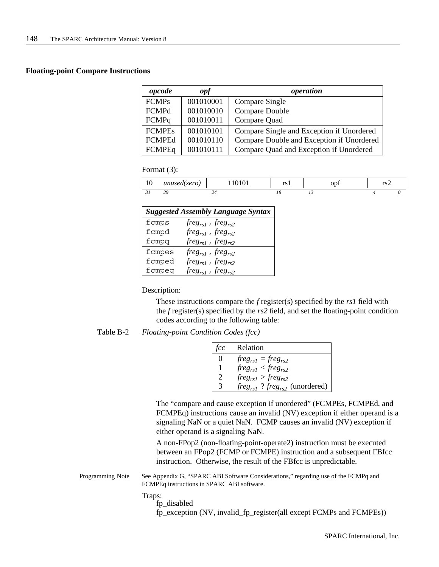#### **Floating-point Compare Instructions**

| opcode        | opf       | operation                                 |
|---------------|-----------|-------------------------------------------|
| <b>FCMPs</b>  | 001010001 | Compare Single                            |
| <b>FCMPd</b>  | 001010010 | Compare Double                            |
| FCMPq         | 001010011 | Compare Quad                              |
| <b>FCMPEs</b> | 001010101 | Compare Single and Exception if Unordered |
| <b>FCMPEd</b> | 001010110 | Compare Double and Exception if Unordered |
| <b>FCMPEq</b> | 001010111 | Compare Quad and Exception if Unordered   |

Format (3):

| $\sqrt{2}$<br>$\mathbf{v}$ | unused(zero) | $\sim$                        | $-$<br>10 T    |                      | $\overline{\phantom{a}}$<br>-- |  |
|----------------------------|--------------|-------------------------------|----------------|----------------------|--------------------------------|--|
| . .                        | 2C<br>ر ت    | ∸<br>$\overline{\phantom{a}}$ | $\overline{1}$ | $\ddot{\phantom{0}}$ |                                |  |

|        | <b>Suggested Assembly Language Syntax</b> |
|--------|-------------------------------------------|
| fcmps  | $freq_{rs1}$ , freg <sub>rs2</sub>        |
| fcmpd  | $freq_{rs1}$ , freg <sub>rs2</sub>        |
| fcmpq  | $freq_{rs1}$ , freg <sub>rs2</sub>        |
| fcmpes | $freq_{rs1}$ , $freq_{rs2}$               |
| fcmped | $freq_{rs1}$ , $freq_{rs2}$               |
| fcmpeq | freg <sub>rs1</sub> , freg <sub>rs2</sub> |

Description:

These instructions compare the *f* register(s) specified by the *rs1* field with the *f* register(s) specified by the *rs2* field, and set the floating-point condition codes according to the following table:

Table B-2 *Floating-point Condition Codes (fcc)*

| fcc      | Relation                                       |
|----------|------------------------------------------------|
| $\theta$ | $freq_{rs1} = freq_{rs2}$                      |
|          | $freq_{rs1} < freq_{rs2}$                      |
| 2        | $freq_{rs1} > freq_{rs2}$                      |
| 3        | $freq_{rs1}$ ? freg <sub>rs2</sub> (unordered) |

The "compare and cause exception if unordered" (FCMPEs, FCMPEd, and FCMPEq) instructions cause an invalid (NV) exception if either operand is a signaling NaN or a quiet NaN. FCMP causes an invalid (NV) exception if either operand is a signaling NaN.

A non-FPop2 (non-floating-point-operate2) instruction must be executed between an FPop2 (FCMP or FCMPE) instruction and a subsequent FBfcc instruction. Otherwise, the result of the FBfcc is unpredictable.

Programming Note See Appendix G, "SPARC ABI Software Considerations," regarding use of the FCMPq and FCMPEq instructions in SPARC ABI software.

Traps:

fp\_disabled

fp\_exception (NV, invalid\_fp\_register(all except FCMPs and FCMPEs))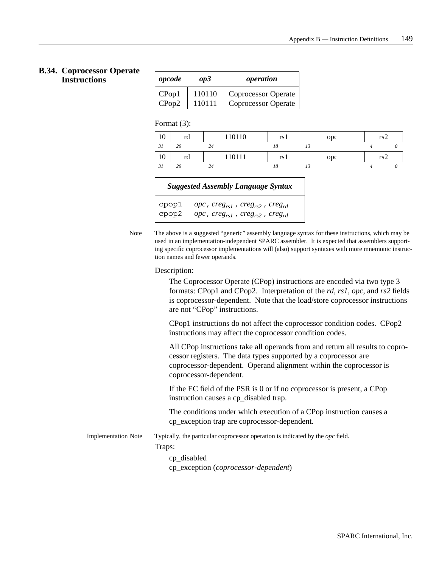## **B.34. Coprocessor Operate Instructions** *opcode op3 operation*

| opcode | op3    | operation                  |
|--------|--------|----------------------------|
| CPop1  | 110110 | <b>Coprocessor Operate</b> |
| CPop2  | 110111 | <b>Coprocessor Operate</b> |

#### Format (3):

| 10              | rd | ! 10110 | rs l | opc | rc.           |  |
|-----------------|----|---------|------|-----|---------------|--|
| 31              | 29 | 24      | 18   |     |               |  |
| 10              | rd | 1011    | rs 1 | opc | $TC$ .<br>⊥∪∠ |  |
| $\overline{21}$ | 29 | 24      | 18   | . . |               |  |

| <b>Suggested Assembly Language Syntax</b> |                                                                                 |  |
|-------------------------------------------|---------------------------------------------------------------------------------|--|
| cpop1                                     | $\textit{opc}$ , creg <sub>rs1</sub> , creg <sub>rs2</sub> , creg <sub>rd</sub> |  |

cpop2 *opc*, *cregrs1* , *cregrs2* , *cregrd*

Note The above is a suggested "generic" assembly language syntax for these instructions, which may be used in an implementation-independent SPARC assembler. It is expected that assemblers supporting specific coprocessor implementations will (also) support syntaxes with more mnemonic instruction names and fewer operands.

#### Description:

The Coprocessor Operate (CPop) instructions are encoded via two type 3 formats: CPop1 and CPop2. Interpretation of the *rd*, *rs1*, *opc*, and *rs2* fields is coprocessor-dependent. Note that the load/store coprocessor instructions are not "CPop" instructions.

CPop1 instructions do not affect the coprocessor condition codes. CPop2 instructions may affect the coprocessor condition codes.

All CPop instructions take all operands from and return all results to coprocessor registers. The data types supported by a coprocessor are coprocessor-dependent. Operand alignment within the coprocessor is coprocessor-dependent.

If the EC field of the PSR is 0 or if no coprocessor is present, a CPop instruction causes a cp\_disabled trap.

The conditions under which execution of a CPop instruction causes a cp\_exception trap are coprocessor-dependent.

Implementation Note Typically, the particular coprocessor operation is indicated by the *opc* field. Traps:

> cp\_disabled cp\_exception (*coprocessor-dependent*)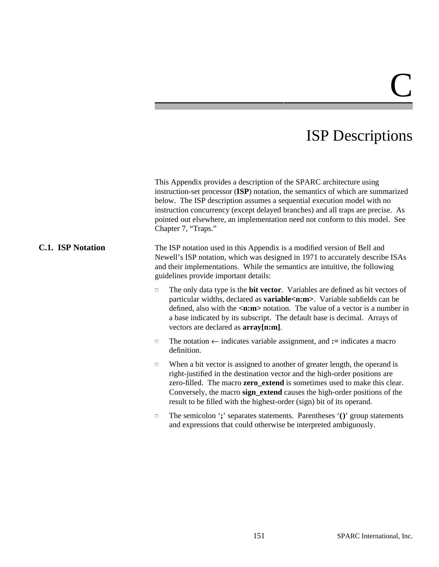# $\overline{C}$

# ISP Descriptions

| This Appendix provides a description of the SPARC architecture using            |
|---------------------------------------------------------------------------------|
| instruction-set processor (ISP) notation, the semantics of which are summarized |
| below. The ISP description assumes a sequential execution model with no         |
| instruction concurrency (except delayed branches) and all traps are precise. As |
| pointed out elsewhere, an implementation need not conform to this model. See    |
| Chapter 7, "Traps."                                                             |
|                                                                                 |

# **C.1. ISP Notation** The ISP notation used in this Appendix is a modified version of Bell and Newell's ISP notation, which was designed in 1971 to accurately describe ISAs and their implementations. While the semantics are intuitive, the following guidelines provide important details:

- The only data type is the **bit vector**. Variables are defined as bit vectors of particular widths, declared as **variable<n:m>**. Variable subfields can be defined, also with the **<n:m>** notation. The value of a vector is a number in a base indicated by its subscript. The default base is decimal. Arrays of vectors are declared as **array[n:m]**.
- The notation ← indicates variable assignment, and **:=** indicates a macro definition.
- $\Box$  When a bit vector is assigned to another of greater length, the operand is right-justified in the destination vector and the high-order positions are zero-filled. The macro **zero** extend is sometimes used to make this clear. Conversely, the macro **sign\_extend** causes the high-order positions of the result to be filled with the highest-order (sign) bit of its operand.
- □ The semicolon '**;'** separates statements. Parentheses '()' group statements and expressions that could otherwise be interpreted ambiguously.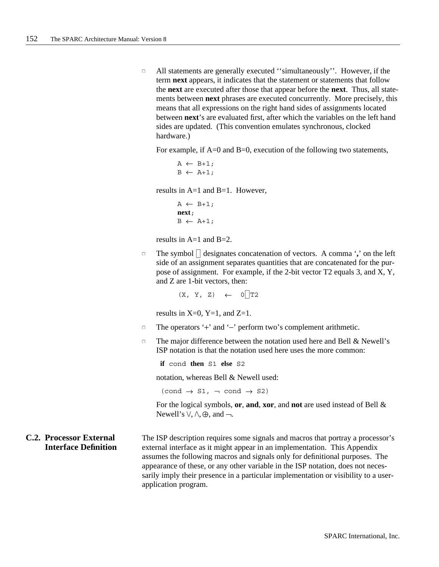All statements are generally executed ''simultaneously''. However, if the term **next** appears, it indicates that the statement or statements that follow the **next** are executed after those that appear before the **next**. Thus, all statements between **next** phrases are executed concurrently. More precisely, this means that all expressions on the right hand sides of assignments located between **next**'s are evaluated first, after which the variables on the left hand sides are updated. (This convention emulates synchronous, clocked hardware.)

For example, if  $A=0$  and  $B=0$ , execution of the following two statements,

```
A \leftarrow B+1;B \leftarrow A+1;
```
results in A=1 and B=1. However,

```
A \leftarrow B+1;next;
B \leftarrow A+1;
```
results in A=1 and B=2.

 $\Box$  The symbol  $\Box$  designates concatenation of vectors. A comma ',' on the left side of an assignment separates quantities that are concatenated for the purpose of assignment. For example, if the 2-bit vector T2 equals 3, and X, Y, and Z are 1-bit vectors, then:

 $(X, Y, Z) \leftarrow 0$  T2

results in  $X=0$ ,  $Y=1$ , and  $Z=1$ .

- The operators '+' and '−' perform two's complement arithmetic.
- $\Box$  The major difference between the notation used here and Bell & Newell's ISP notation is that the notation used here uses the more common:

**if** cond **then** S1 **else** S2

notation, whereas Bell & Newell used:

 $\text{(cond} \rightarrow \text{S1}, \neg \text{cond} \rightarrow \text{S2})$ 

For the logical symbols, **or**, **and**, **xor**, and **not** are used instead of Bell & Newell's  $\vee$ ,  $\wedge$ ,  $\oplus$ , and  $\neg$ .

# **C.2. Processor External Interface Definition**

The ISP description requires some signals and macros that portray a processor's external interface as it might appear in an implementation. This Appendix assumes the following macros and signals only for definitional purposes. The appearance of these, or any other variable in the ISP notation, does not necessarily imply their presence in a particular implementation or visibility to a userapplication program.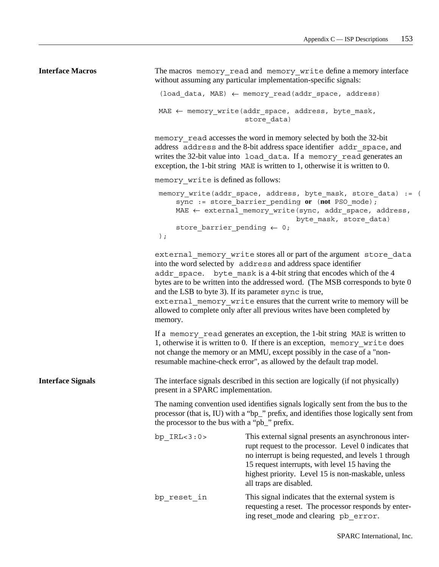| <b>Interface Macros</b>  | The macros memory read and memory write define a memory interface<br>without assuming any particular implementation-specific signals:                                                                                                                                                                                                                                                                                                                                                                                        |                                                                                                                                                                                                                                                                                                                 |  |
|--------------------------|------------------------------------------------------------------------------------------------------------------------------------------------------------------------------------------------------------------------------------------------------------------------------------------------------------------------------------------------------------------------------------------------------------------------------------------------------------------------------------------------------------------------------|-----------------------------------------------------------------------------------------------------------------------------------------------------------------------------------------------------------------------------------------------------------------------------------------------------------------|--|
|                          | $(load data, MAE) \leftarrow memory read (addr space, address)$                                                                                                                                                                                                                                                                                                                                                                                                                                                              |                                                                                                                                                                                                                                                                                                                 |  |
|                          |                                                                                                                                                                                                                                                                                                                                                                                                                                                                                                                              | MAE $\leftarrow$ memory write (addr space, address, byte mask,<br>store data)                                                                                                                                                                                                                                   |  |
|                          |                                                                                                                                                                                                                                                                                                                                                                                                                                                                                                                              | memory read accesses the word in memory selected by both the 32-bit<br>address address and the 8-bit address space identifier addr space, and<br>writes the 32-bit value into load data. If a memory read generates an<br>exception, the 1-bit string $MAE$ is written to 1, otherwise it is written to 0.      |  |
|                          | memory write is defined as follows:                                                                                                                                                                                                                                                                                                                                                                                                                                                                                          |                                                                                                                                                                                                                                                                                                                 |  |
|                          |                                                                                                                                                                                                                                                                                                                                                                                                                                                                                                                              | memory write (addr space, address, byte mask, store data) := (<br>sync := store barrier pending or (not PSO mode);<br>$MAE \leftarrow external_memory_write(sync, addr_space, address,$<br>byte mask, store data)<br>store barrier pending $\leftarrow 0$ ;                                                     |  |
|                          | $)$ ;                                                                                                                                                                                                                                                                                                                                                                                                                                                                                                                        |                                                                                                                                                                                                                                                                                                                 |  |
|                          | external memory write stores all or part of the argument store data<br>into the word selected by address and address space identifier<br>addr_space. byte_mask is a 4-bit string that encodes which of the 4<br>bytes are to be written into the addressed word. (The MSB corresponds to byte 0)<br>and the LSB to byte 3). If its parameter sync is true,<br>external memory write ensures that the current write to memory will be<br>allowed to complete only after all previous writes have been completed by<br>memory. |                                                                                                                                                                                                                                                                                                                 |  |
|                          |                                                                                                                                                                                                                                                                                                                                                                                                                                                                                                                              | If a memory read generates an exception, the 1-bit string MAE is written to<br>1, otherwise it is written to 0. If there is an exception, memory write does<br>not change the memory or an MMU, except possibly in the case of a "non-<br>resumable machine-check error", as allowed by the default trap model. |  |
| <b>Interface Signals</b> | present in a SPARC implementation.                                                                                                                                                                                                                                                                                                                                                                                                                                                                                           | The interface signals described in this section are logically (if not physically)                                                                                                                                                                                                                               |  |
|                          | The naming convention used identifies signals logically sent from the bus to the<br>processor (that is, IU) with a "bp_" prefix, and identifies those logically sent from<br>the processor to the bus with a "pb_" prefix.                                                                                                                                                                                                                                                                                                   |                                                                                                                                                                                                                                                                                                                 |  |
|                          | bp $IRL < 3:0>$                                                                                                                                                                                                                                                                                                                                                                                                                                                                                                              | This external signal presents an asynchronous inter-<br>rupt request to the processor. Level 0 indicates that<br>no interrupt is being requested, and levels 1 through<br>15 request interrupts, with level 15 having the<br>highest priority. Level 15 is non-maskable, unless<br>all traps are disabled.      |  |
|                          | bp reset in                                                                                                                                                                                                                                                                                                                                                                                                                                                                                                                  | This signal indicates that the external system is<br>requesting a reset. The processor responds by enter-<br>ing reset_mode and clearing pb error.                                                                                                                                                              |  |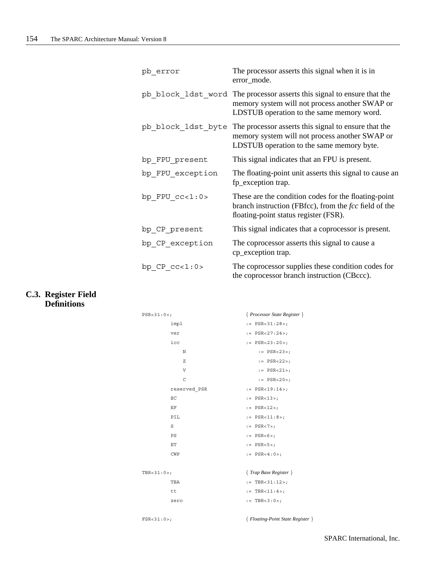| pb error            | The processor asserts this signal when it is in<br>error_mode.                                                                                                         |
|---------------------|------------------------------------------------------------------------------------------------------------------------------------------------------------------------|
|                     | pb block ldst word The processor asserts this signal to ensure that the<br>memory system will not process another SWAP or<br>LDSTUB operation to the same memory word. |
|                     | pb_block_ldst_byte The processor asserts this signal to ensure that the<br>memory system will not process another SWAP or<br>LDSTUB operation to the same memory byte. |
| bp_FPU_present      | This signal indicates that an FPU is present.                                                                                                                          |
| bp_FPU_exception    | The floating-point unit asserts this signal to cause an<br>fp_exception trap.                                                                                          |
| bp FPU $cc < 1:0>$  | These are the condition codes for the floating-point<br>branch instruction (FBfcc), from the <i>fcc</i> field of the<br>floating-point status register (FSR).          |
| bp_CP_present       | This signal indicates that a coprocessor is present.                                                                                                                   |
| bp_CP_exception     | The coprocessor asserts this signal to cause a<br>cp_exception trap.                                                                                                   |
| bp $CP$ $cc < 1:0>$ | The coprocessor supplies these condition codes for<br>the coprocessor branch instruction (CBccc).                                                                      |

# **C.3. Register Field Definitions**

| PSR < 31:0; |              | { Processor State Register }      |
|-------------|--------------|-----------------------------------|
|             | impl         | $:=$ PSR<31:28>;                  |
|             | ver          | $:=$ PSR<27:24>;                  |
|             | icc          | $:=$ PSR<23:20>;                  |
|             | Ν            | $:=$ PSR<23>;                     |
|             | Ζ            | $:=$ PSR<22>;                     |
|             | V            | $:=$ PSR<21>;                     |
|             | C            | $:=$ PSR<20>;                     |
|             | reserved PSR | $:=$ PSR<19:14>;                  |
|             | EC           | $:=$ PSR<13>;                     |
|             | ΕF           | $:=$ PSR<12>;                     |
|             | PIL          | $:=$ PSR<11:8>;                   |
|             | S            | $:=$ PSR<7>;                      |
|             | PS           | $:=$ PSR<6>;                      |
|             | ET           | $:=$ PSR<5>;                      |
|             | <b>CWP</b>   | $:=$ PSR<4:0>;                    |
|             |              |                                   |
| TBR < 31:0; |              | { Trap Base Register }            |
|             | TBA          | $:=$ TBR<31:12>;                  |
|             | tt           | $:=$ TBR<11:4>;                   |
|             | zero         | $:=$ TBR<3:0>;                    |
|             |              |                                   |
| FSR < 31:0; |              | { Floating-Point State Register } |
|             |              |                                   |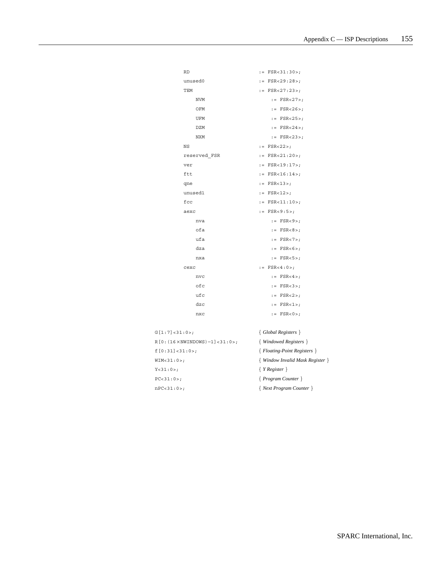|                                         | <b>RD</b>    | $:=$ FSR<31:30>;                 |
|-----------------------------------------|--------------|----------------------------------|
|                                         | unused0      | $:=$ FSR<29:28>;                 |
|                                         | TEM          | $:=$ FSR<27:23>;                 |
|                                         | <b>NVM</b>   | $:=$ FSR<27>;                    |
|                                         | OFM          | $:=$ FSR<26>;                    |
|                                         | UFM          | $:=$ FSR<25>;                    |
|                                         | DZM          | $:=$ FSR<24>;                    |
|                                         | NXM          | $:=$ FSR<23>;                    |
|                                         | NS           | $:=$ FSR<22>;                    |
|                                         | reserved FSR | $:=$ FSR<21:20>;                 |
|                                         | ver          | $:=$ FSR<19:17>;                 |
|                                         | ftt          | $:=$ FSR<16:14>;                 |
|                                         | qne          | $:=$ FSR<13>;                    |
|                                         | unused1      | $:=$ FSR<12>;                    |
|                                         | fcc          | $:=$ FSR<11:10>;                 |
|                                         | aexc         | $:=$ FSR<9:5>;                   |
|                                         | nva          | $:=$ FSR<9>;                     |
|                                         | ofa          | $:=$ FSR<8>;                     |
|                                         | ufa          | $:=$ FSR<7>;                     |
|                                         | dza          | $:=$ FSR<6>;                     |
|                                         | nxa          | $:=$ FSR<5>;                     |
|                                         | cexc         | $:=$ FSR<4:0>;                   |
|                                         | nvc          | $:=$ FSR<4>;                     |
|                                         | ofc          | $:=$ FSR<3>;                     |
|                                         | ufc          | $:=$ FSR<2>;                     |
|                                         | dzc          | $:=$ FSR<1>;                     |
|                                         | nxc          | $:=$ FSR<0>;                     |
| G[1:7]<31:0;                            |              | { Global Registers }             |
| $R[0:(16 \times NWINDOWS) -1] < 31:0>;$ |              | { Windowed Registers }           |
| f[0:31]<31:0;                           |              | { Floating-Point Registers }     |
| WIM < 31:0;                             |              | { Window Invalid Mask Register } |
| Y < 31:0;                               |              | $\{Y Register\}$                 |
| PC < 31:0;                              |              | { Program Counter }              |
| nPC < 31:0;                             |              | { Next Program Counter }         |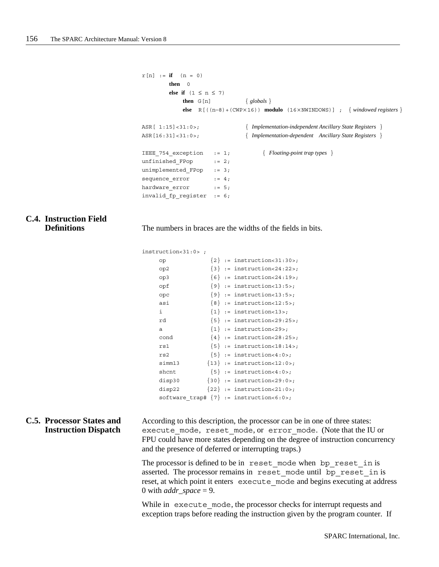```
r[n] := if (n = 0)then 0
       else if (1 \le n \le 7)then G[n] { globals }
           else R[((n−8)+(CWP× 16)) modulo (16× NWINDOWS)] ; { windowed registers }
ASR[ 1:15]<31:0>; { Implementation-independent Ancillary State Registers }
ASR[16:31]<31:0>; { Implementation-dependent Ancillary State Registers }
IEEE 754 exception := 1; {Floating-point trap types}unfinished_FPop := 2;
unimplemented FPop := 3;
sequence error := 4;
hardware error := 5;
invalid_fp_register := 6;
```
# **C.4. Instruction Field**

**Definitions** The numbers in braces are the widths of the fields in bits.

| instruction<31:0>; |                                             |
|--------------------|---------------------------------------------|
| op                 | ${2}$ := instruction<31:30>;                |
| op2                | $\{3\}$ := instruction<24:22>;              |
| op <sub>3</sub>    | ${6} :=$ instruction<24:19>;                |
| opf                | ${9}$ := instruction<13:5>;                 |
| opc                | ${9}$ := instruction<13:5>;                 |
| asi                | ${8} :=$ instruction<12:5>;                 |
| i.                 | $\{1\}$ := instruction<13>;                 |
| rd                 | $\{5\}$ := instruction<29:25>;              |
| a                  | $\{1\}$ := instruction<29>;                 |
| cond               | ${4}$ := instruction<28:25>;                |
| rs1                | $\{5\}$ := instruction<18:14>;              |
| rs2                | $\{5\}$ := instruction<4:0>;                |
| sim13              | $\{13\}$ := instruction<12:0>;              |
| shont              | $\{5\}$ := instruction<4:0>;                |
| disp30             | $\{30\}$ := instruction<29:0>;              |
| disp22             | ${22}$ := instruction<21:0>;                |
|                    | software trap# $\{7\}$ := instruction<6:0>; |

**C.5. Processor States and Instruction Dispatch** According to this description, the processor can be in one of three states: execute mode, reset mode, or error mode. (Note that the IU or FPU could have more states depending on the degree of instruction concurrency and the presence of deferred or interrupting traps.)

> The processor is defined to be in reset\_mode when bp\_reset\_in is asserted. The processor remains in reset\_mode until bp\_reset\_in is reset, at which point it enters execute mode and begins executing at address 0 with  $addr\_space = 9$ .

While in execute mode, the processor checks for interrupt requests and exception traps before reading the instruction given by the program counter. If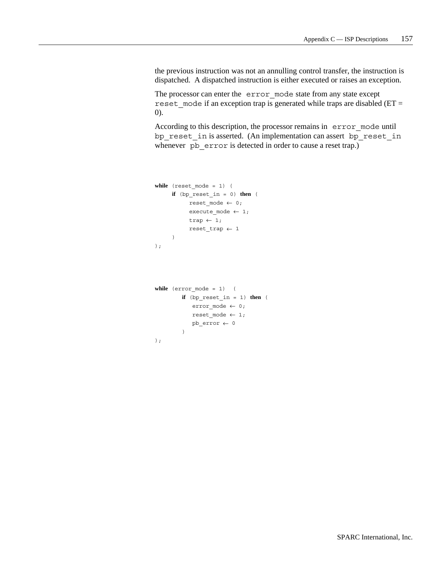the previous instruction was not an annulling control transfer, the instruction is dispatched. A dispatched instruction is either executed or raises an exception.

The processor can enter the error\_mode state from any state except reset mode if an exception trap is generated while traps are disabled ( $ET =$ 0).

According to this description, the processor remains in error mode until bp\_reset\_in is asserted. (An implementation can assert bp\_reset\_in whenever pb error is detected in order to cause a reset trap.)

```
while (reset_mode = 1) (
      if (bp reset in = 0) then (
            reset mode \leftarrow 0;
             execute mode \leftarrow 1;
            trap \leftarrow 1;reset trap \leftarrow 1
      )
);
while (error_mode = 1) (
          if (bp_reset_in = 1) then (
              error mode \leftarrow 0;
             reset_model \leftarrow 1;pb_error \leftarrow 0
          )
);
```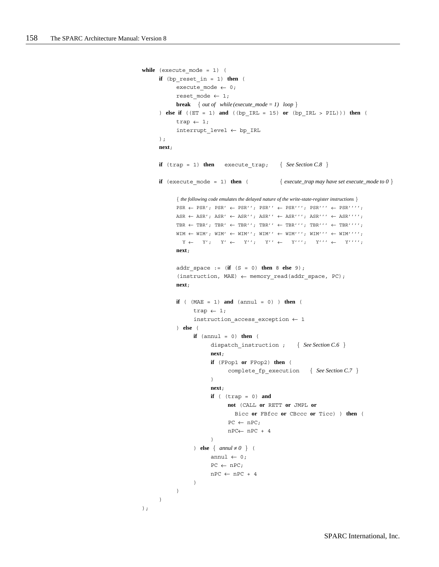```
while (execute mode = 1) (
            if (bp_reset_in = 1) then (
                         execute mode \leftarrow 0;
                         reset mode \leftarrow 1;
                         break { out of while (execute_mode = 1) loop }
            ) else if ((ET = 1) and ((bp_IRL = 15) or (bp_IRL > PIL))) then (
                         trap \leftarrow 1;
                         interrupt level \leftarrow bp IRL
            );
            next;
            if (trap = 1) then execute trap; { See Section C.8 }
            if (execute mode = 1) then ( {execute\_trap \, may \, have \, set \, execute\_mode \, to \, 0}{ the following code emulates the delayed nature of the write-state-register instructions }
                         \texttt{PSR} \;\gets\; \texttt{PSR'} \; ; \; \texttt{PSR''} \; \gets\; \texttt{PSR''} \; ; \; \texttt{PSR'''} \; \gets\; \texttt{PSR'''} \; ; \; \texttt{PSR'''} \; \gets\; \texttt{PSR'''} \; ; \; \texttt{PSR'''} \; \gets\; \texttt{PSR'''} \; ; \; \texttt{PSR''} \; ; \; \texttt{PSR''} \; ; \; \texttt{PSR''} \; ; \; \texttt{PSR''} \; ; \; \texttt{PSR''} \; ; \; \texttt{PSR''} \; ; \; \texttt{PSR''} \;\text{ASR} \leftarrow \text{ASR}'; \text{ASR}' \leftarrow \text{ASR}''; \text{ASR}'' \leftarrow \text{ASR}'''; \text{ASR}''': \leftarrow \text{ASR}'' \leftarrow \text{ASR}''':\texttt{TBR} \leftarrow \texttt{TBR'} \texttt{, TBR'} \leftarrow \texttt{TBR'} \texttt{', TBR'} \leftarrow \texttt{TBR'} \texttt{', TBR'} \leftarrow \texttt{TBR'} \leftarrow \texttt{TBR'} \leftarrow \texttt{TBR'} \leftarrow \texttt{TBR'} \leftarrow \texttt{TBR'} \leftarrow \texttt{TBR'} \leftarrow \texttt{TBR'} \leftarrow \texttt{TBR'} \leftarrow \texttt{TBR'} \leftarrow \texttt{TBR'} \leftarrow \texttt{TBR'} \leftarrow \texttt{TBR'} \leftarrow \texttt{TBR'} \leftarrow \texttt{TBR'} \leftarrow \texttt{TBR'} \leftarrow \texttt{TBR'} \leftarrow \texttt{TBR'} \leftarrow \texttt{TBR'} \\begin{array}{ccccccc} \texttt{WIM} & \leftarrow & \texttt{WIM}' & \leftarrow & \texttt{WIM}'' & \texttt{WIM}'' & \leftarrow & \texttt{WIM}'' & \texttt{WIM}'' & \leftarrow & \texttt{WIM}'' & \texttt{WIM}'' & \leftarrow & \texttt{WIM}'' & \leftarrow & \texttt{WIM}'' & \leftarrow & \texttt{WIM}'' & \leftarrow & \texttt{WIM}'' & \leftarrow & \texttt{WIM}'' & \leftarrow & \texttt{WIM}'' & \leftarrow & \texttt{WIM}'' & \leftarrow & \texttt{WIM}'' & \leftarrow & \texttt{WIM}'' & \leftarrow & \texttt{WY \leftarrow Y'; Y' \leftarrow Y'; Y'' \leftarrow Y'''; Y''' \leftarrow Y'''; Y''' \leftarrow Y''';
                         next;
                         addr_space := (if (S = 0) then 8 else 9);
                          (instruction, MAE) \leftarrow memory read(addr space, PC);
                         next;
                         if ( (MAE = 1) and (annul = 0) ) then (
                                     trap \leftarrow 1;
                                     instruction access exception \leftarrow 1
                         ) else (
                                     if (annul = 0) then (
                                                  dispatch instruction ; { See Section C.6 }
                                                  next;
                                                  if (FPop1 or FPop2) then (
                                                              complete fp execution { See Section C.7 }
                                                  )
                                                  next;
                                                  if ( (trap = 0) and
                                                              not (CALL or RETT or JMPL or
                                                                   Bicc or FBfcc or CBccc or Ticc) ) then (
                                                              PC \leftarrow nPC;nPC← nPC + 4
                                                  \lambda) else { annul ≠ 0 } (
                                                  annul \leftarrow 0;PC \leftarrow nPC;nPC \leftarrow nPC + 4\rightarrow\left( \begin{array}{c} \end{array} \right))
);
```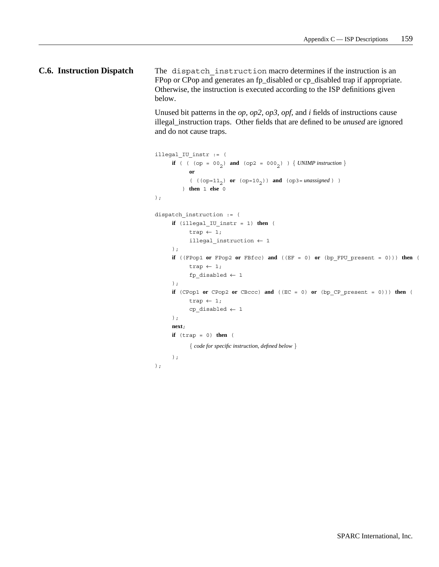**C.6. Instruction Dispatch** The dispatch instruction macro determines if the instruction is an FPop or CPop and generates an fp\_disabled or cp\_disabled trap if appropriate. Otherwise, the instruction is executed according to the ISP definitions given below.

> Unused bit patterns in the *op, op2, op3, opf,* and *i* fields of instructions cause illegal\_instruction traps. Other fields that are defined to be *unused* are ignored and do not cause traps.

```
illegal_IU_instr := (
      if ( ( (op = 00<sub>2</sub>) and (op2 = 000<sub>2</sub>) ) { UNIMP instruction }
             or
             ( ((op=11<sub>2</sub>) or (op=10<sub>2</sub>)) and (op3= unassigned))
          ) then 1 else 0
);
dispatch instruction := (
      if (illegal_IU_instr = 1) then (
            trap \leftarrow 1;illegal instruction \leftarrow 1
      ) ;
      if ((FPop1 or FPop2 or FBfcc) and ((EF = 0) or (bp_FPU_present = 0))) then (
            trap \leftarrow 1;fp disabled \leftarrow 1
      );
      if (CPop1 or CPop2 or CBccc) and ((EC = 0) or (bp_CP_present = 0))) then (
            trap \leftarrow 1;
            cp_disabled \leftarrow 1
      );
      next;
      if (\text{trap} = 0) then (
             { code for specific instruction, defined below }
      );
);
```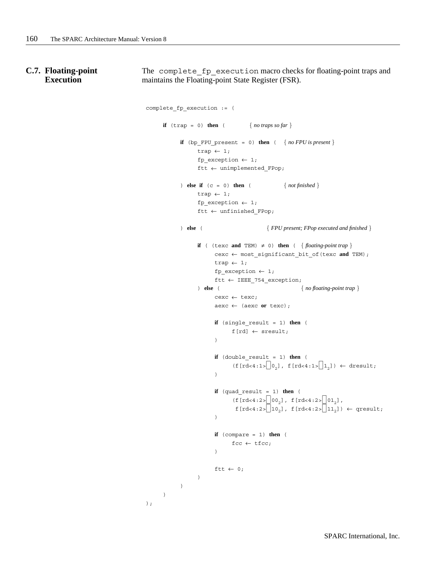);

### **C.7. Floating-point Execution**

The complete fp execution macro checks for floating-point traps and maintains the Floating-point State Register (FSR).

```
complete_fp_execution := (
      if (trap = 0) then ( \{ no \, transpose \, so \, far \}if (bp_FPU_present = 0) then ( { no FPU is present }
                   trap \leftarrow 1;fp_exception \leftarrow 1;
                   ftt ← unimplemented_FPop;
            ) else if (c = 0) then ( { not finished }
                   trap \leftarrow 1;fp\_exception \leftarrow 1;ftt ← unfinished_FPop;
            ) else ( { FPU present; FPop executed and finished }
                   if ( (texc and TEM) \neq 0) then ( { floating-point trap }
                         cexc ← most_significant_bit_of(texc and TEM);
                         trap \leftarrow 1;fp\_exception \leftarrow 1;ftt ← IEEE_754_exception;
                   ) else ( { no floating-point trap }
                         cexc ← texc;
                         aexc ← (aexc or texc);
                         if (single_result = 1) then (
                               f[rd] \leftarrow sresult;)
                         if (double_result = 1) then (
                                (f[rd&lt;4:1>0<sub>2</sub>], f[rd&lt;4:1>0<sub>1</sub>]<br>(f[rd&lt;4:1>0<sub>2</sub>])
                         if (quad_result = 1) then (
                                (f[rd<4:2>[00<sub>2</sub>], f[rd<4:2>[01<sub>2</sub>],
                                 f[rd<4:2>\boxed{10_2}], f[rd<4:2>\boxed{11_2}]) \leftarrow qresult;
                         )
                         if (compare = 1) then (
                               fcc \leftarrow tfcc;)
                         ftt \leftarrow 0;\rightarrow\rightarrow)
```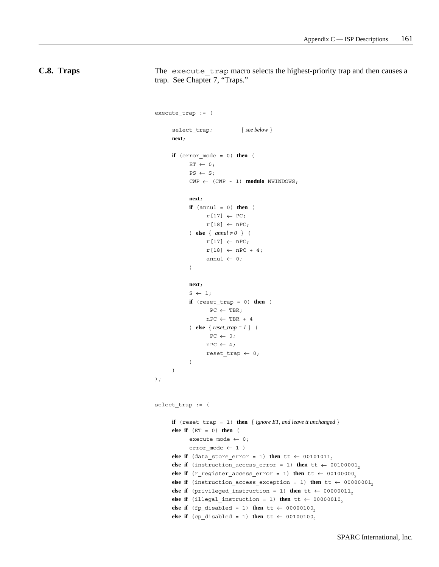**C.8. Traps** The execute trap macro selects the highest-priority trap and then causes a trap. See Chapter 7, "Traps."

```
execute_trap := (
      select_trap; { see below }
      next;
      if (error_mode = 0) then (
             ET \leftarrow 0;PS \leftarrow S;
             CWP ← (CWP - 1) modulo NWINDOWS;
             next;
             if (annul = 0) then (
                    r[17] \leftarrow PC;r[18] \leftarrow nPC;) else { annul ≠ 0 } (
                    r[17] \leftarrow nPC;r[18] \leftarrow nPC + 4;annul \leftarrow 0;
             \lambdanext;
             S \leftarrow 1;
             if (reset_trap = 0) then (
                     PC \leftarrow TBR;nPC \leftarrow TBR + 4) else { reset_trap = 1 } (
                     PC \leftarrow 0;nPC \leftarrow 4;reset trap \leftarrow 0;
             )
      )
);
select_trap := (
      if (reset_trap = 1) then { ignore ET, and leave tt unchanged }
      else if (ET = 0) then (
             execute mode \leftarrow 0;
             error mode \leftarrow 1 )
      else if (data_store_error = 1) then tt \leftarrow 00101011<sub>2</sub>
      else if (instruction access error = 1) then tt \leftarrow 00100001<sub>2</sub>
      else if (r register access error = 1) then tt \leftarrow 00100000<sub>2</sub>
      else if (instruction access exception = 1) then tt \leftarrow 00000001<sub>2</sub>
      else if (privileged_instruction = 1) then tt \leftarrow 00000011<sub>2</sub>
      else if (illegal_instruction = 1) then tt \leftarrow 00000010<sub>2</sub>
      else if (fp_disabled = 1) then tt \leftarrow 000001002else if (cp disabled = 1) then tt \leftarrow 001001002
```
SPARC International, Inc.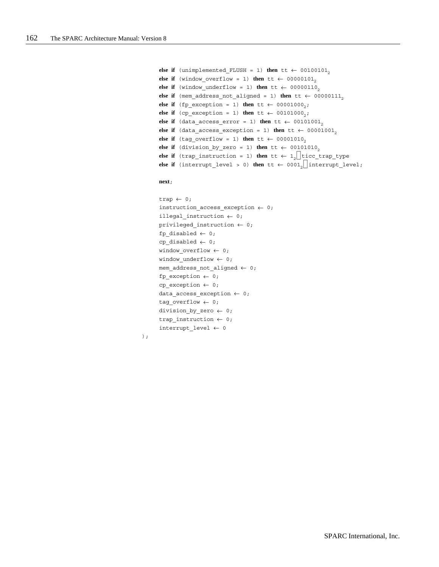```
else if (unimplemented FLUSH = 1) then tt \leftarrow 00100101<sub>2</sub>
else if (window_overflow = 1) then tt \leftarrow 00000101<sub>2</sub>
else if (window underflow = 1) then tt \leftarrow 00000110<sub>2</sub>
else if (mem address not aligned = 1) then tt \leftarrow 00000111<sub>2</sub>
else if (fp_exception = 1) then \text{tt} \leftarrow 000010000;
else if (cp exception = 1) then tt \leftarrow 00101000<sub>2</sub>;
else if (data_access_error = 1) then tt \leftarrow 00101001<sub>2</sub>
else if (data_access_exception = 1) then tt \leftarrow 00001001<sub>2</sub>
else if (tag overflow = 1) then tt \leftarrow 00001010<sub>2</sub>
else if (division_by_zero = 1) then tt ← 00101010<sub>2</sub>
else if (trap_instruction = 1) then \text{tt} \leftarrow 1, ticc_trap_type
else if (interrupt_level > 0) then \mathsf{tt} \leftarrow 0001 interrupt_level;
```
**next**;

```
trap \leftarrow 0;instruction access exception \leftarrow 0;
illegal_instruction \leftarrow 0;
privileged instruction \leftarrow 0;
fp disabled \leftarrow 0;
cp disabled \leftarrow 0;
window overflow \leftarrow 0;
window underflow \leftarrow 0;
mem\_address\_not\_aligned \leftarrow 0;fp_exception \leftarrow 0;
cp exception \leftarrow 0;
data\_access\_exception \leftarrow 0;tag_overflow \leftarrow 0;
division_by_zero ← 0;
trap instruction \leftarrow 0;
interval \leftarrow 0
```
);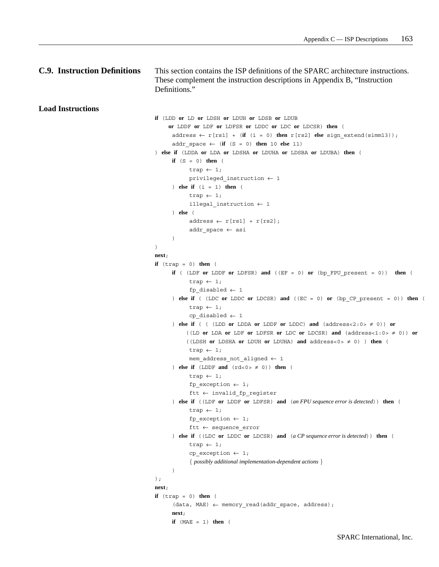| <b>C.9. Instruction Definitions</b> | This section contains the ISP definitions of the SPARC architecture instructions.<br>These complement the instruction descriptions in Appendix B, "Instruction<br>Definitions."                                                                                                                                                                                                                                                                                                                                                               |  |
|-------------------------------------|-----------------------------------------------------------------------------------------------------------------------------------------------------------------------------------------------------------------------------------------------------------------------------------------------------------------------------------------------------------------------------------------------------------------------------------------------------------------------------------------------------------------------------------------------|--|
|                                     |                                                                                                                                                                                                                                                                                                                                                                                                                                                                                                                                               |  |
| <b>Load Instructions</b>            | if (LDD or LD or LDSH or LDUH or LDSB or LDUB<br>or LDDF or LDF or LDFSR or LDDC or LDC or LDCSR) then (<br>$address \leftarrow r[rs1] + (if (i = 0) then r[rs2] else sign extend(simm13));$<br>addr space $\leftarrow$ (if (S = 0) then 10 else 11)<br>) else if (LDDA or LDA or LDSHA or LDUHA or LDSBA or LDUBA) then (<br>if $(S = 0)$ then (<br>trap $\leftarrow$ 1;<br>privileged instruction $\leftarrow$ 1<br>) else if $(i = 1)$ then (<br>trap $\leftarrow$ 1;<br>illegal_instruction $\leftarrow$ 1                                |  |
|                                     | $\angle$ else (<br>$address \leftarrow r[rs1] + r[rs2];$                                                                                                                                                                                                                                                                                                                                                                                                                                                                                      |  |
|                                     | addr space $\leftarrow$ asi                                                                                                                                                                                                                                                                                                                                                                                                                                                                                                                   |  |
|                                     | $\lambda$                                                                                                                                                                                                                                                                                                                                                                                                                                                                                                                                     |  |
|                                     | $\left( \right)$                                                                                                                                                                                                                                                                                                                                                                                                                                                                                                                              |  |
|                                     | next;<br>if $(\text{trap} = 0)$ then (                                                                                                                                                                                                                                                                                                                                                                                                                                                                                                        |  |
|                                     | if ((LDF or LDDF or LDFSR) and ((EF = 0) or (bp FPU present = 0)) then (<br>trap $\leftarrow$ 1;<br>fp disabled $\leftarrow$ 1<br>) else if ( $LDC$ or $LDDC$ or $LDCSR$ and $((EC = 0)$ or $(bp CP$ present = 0) then (<br>trap $\leftarrow$ 1;<br>$cp$ disabled $\leftarrow$ 1<br>) else if ( ( (LDD or LDDA or LDDF or LDDC) and (address<2:0> $\neq$ 0)) or<br>((LD or LDA or LDF or LDFSR or LDC or LDCSR) and (address<1:0> $\neq$ 0)) or<br>((LDSH or LDSHA or LDUH or LDUHA) and address<0> $\neq$ 0)) then (<br>trap $\leftarrow$ 1; |  |
|                                     | mem address not aligned $\leftarrow$ 1                                                                                                                                                                                                                                                                                                                                                                                                                                                                                                        |  |
|                                     | ) else if (LDDF and $(\text{rd}<0> \neq 0)$ ) then (<br>trap $\leftarrow$ 1;<br>$fp\_exception \leftarrow 1;$<br>$\texttt{ftt} \leftarrow \texttt{invalid}$ fp register                                                                                                                                                                                                                                                                                                                                                                       |  |
|                                     | ) else if ((LDF or LDDF or LDFSR) and (an FPU sequence error is detected)) then (<br>trap $\leftarrow$ 1;<br>fp_exception $\leftarrow$ 1;<br>$\texttt{ftt} \leftarrow \texttt{sequence error}$<br>) else if ((LDC or LDDC or LDCSR) and (a CP sequence error is detected)) then (                                                                                                                                                                                                                                                             |  |
|                                     | trap $\leftarrow$ 1;                                                                                                                                                                                                                                                                                                                                                                                                                                                                                                                          |  |
|                                     | $cp\_exception \leftarrow 1;$<br>$\{$ possibly additional implementation-dependent actions $\}$<br>$\lambda$                                                                                                                                                                                                                                                                                                                                                                                                                                  |  |
|                                     | $)$ ;                                                                                                                                                                                                                                                                                                                                                                                                                                                                                                                                         |  |
|                                     | next;                                                                                                                                                                                                                                                                                                                                                                                                                                                                                                                                         |  |
|                                     | if $(\text{trap} = 0)$ then (                                                                                                                                                                                                                                                                                                                                                                                                                                                                                                                 |  |
|                                     | $(data, \text{MAE}) \leftarrow memory\_read(data\_space, address);$                                                                                                                                                                                                                                                                                                                                                                                                                                                                           |  |
|                                     | next;<br>if $(MAE = 1)$ then (                                                                                                                                                                                                                                                                                                                                                                                                                                                                                                                |  |
|                                     |                                                                                                                                                                                                                                                                                                                                                                                                                                                                                                                                               |  |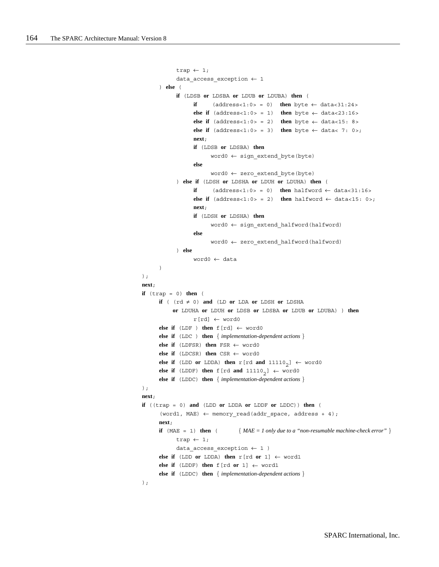```
trap \leftarrow 1;data_access_exception ← 1
      ) else (
            if (LDSB or LDSBA or LDUB or LDUBA) then (
                  if \left(\frac{\text{address}(1:0)}{5}\right) = 0 then byte \leftarrow data\left(\frac{31:24}{5}\right)else if (address < 1:0 > = 1) then byte ← data<23:16>
                  else if (address<1:0> = 2) then byte ← data<15: 8>
                  else if (address<1:0> = 3) then byte ← data< 7: 0>;
                  next;
                  if (LDSB or LDSBA) then
                        word0 \leftarrow sign extend byte(byte)else
                         word0 ← zero_extend_byte(byte)
            ) else if (LDSH or LDSHA or LDUH or LDUHA) then (
                  if \left( \text{address} < 1:0 \right) = 0 then halfword \leftarrow data\left( \text{stars} < 1:16 \right)else if (address<1:0> = 2) then halfword ← data<15: 0>;
                   next;
                   if (LDSH or LDSHA) then
                        word0 ← sign_extend_halfword(halfword)
                  else
                        word0 \leftarrow zero extend halfword(halfword)
            ) else
                  word0 ← data
      )
);
next;
if (\text{trap} = 0) then (
      if ( (rd ≠ 0) and (LD or LDA or LDSH or LDSHA
           or LDUHA or LDUH or LDSB or LDSBA or LDUB or LDUBA) ) then
                  r[rd] ← word0
      else if (LDF ) then f[rd] ← word0
      else if (LDC ) then { implementation-dependent actions }
      else if (LDFSR) then FSR ← word0
      else if (LDCSR) then CSR ← word0
      else if (LDD or LDDA) then r[rd and 11110<sub>2</sub>] \leftarrow word0else if (LDDF) then f[rd \text{ and } 11110_q] \leftarrow word0else if (LDDC) then { implementation-dependent actions }
);
next;
if ((trap = 0) and (LDD or LDDA or LDDF or LDDC)) then (
      (word1, MAE) \leftarrow memory read(addr space, address + 4);
      next;
      if (MAE = 1) then ( {MAE = 1} only due to a "non-resumable machine-check error" }
            trap \leftarrow 1;data access exception \leftarrow 1 )
      else if (LDD or LDDA) then r[rd or 1] \leftarrow word1
      else if (LDDF) then f[rd or 1] ← word1
      else if (LDDC) then { implementation-dependent actions }
);
```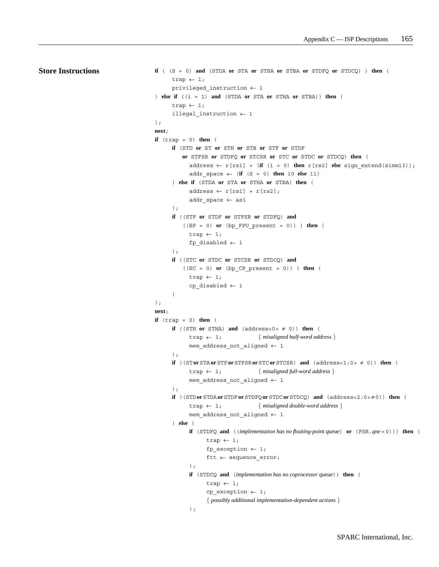```
Store Instructions if ( (S = 0) and (STDA or STA or STHA or STBA or STDFQ or STDCQ) ) then (
                                                 trap \leftarrow 1;privileged instruction \leftarrow 1
                                          ) else if ((i = 1) and (STDA or STA or STHA or STBA)) then (
                                                 trap \leftarrow 1;illegal instruction \leftarrow 1
                                          );
                                          next;
                                          if (\text{trap} = 0) then (
                                                 if (STD or ST or STH or STB or STF or STDF
                                                    or STFSR or STDFQ or STCSR or STC or STDC or STDCQ) then (
                                                       \text{address} \leftarrow \text{r}[\text{rs1}] + (\text{if} (\text{i} = 0) \text{ then } \text{r}[\text{rs2}] \text{ else } \text{sign}\_\text{extend}(\text{sim13});
                                                       addr space \leftarrow (if (S = 0) then 10 else 11)
                                                 ) else if (STDA or STA or STHA or STBA) then (
                                                       address \leftarrow r[rs1] + r[rs2];addr_space ← asi
                                                );
                                                 if ((STF or STDF or STFSR or STDFQ) and
                                                     ((EF = 0) or (bp FPU present = 0)) ) then (
                                                       trap \leftarrow 1;
                                                       fp disabled \leftarrow 1
                                                );
                                                 if ((STC or STDC or STCSR or STDCQ) and
                                                     ((EC = 0) or (bp CP present = 0)) ) then (
                                                       trap \leftarrow 1;
                                                       cp_disabled \leftarrow 1
                                                )
                                          );
                                          next;
                                          if (\text{trap} = 0) then (
                                                 if ((STH or STHA) and (address<0> \neq 0)) then (
                                                       trap ← 1; { misaligned half-word address }
                                                       mem address not aligned \leftarrow 1
                                                );
                                                 if ((STor STAor STFor STFSRor STCor STCSR) and (address<1:0> \neq 0)) then (
                                                       trap ← 1; { misaligned full-word address }
                                                       mem address not aligned \leftarrow 1
                                                 );
                                                 if ((STDor STDAor STDFor STDFQor STDCor STDCQ) and (address<2:0>\neq0)) then (
                                                       trap ← 1; { misaligned double-word address }
                                                       mem address not aligned \leftarrow 1
                                                 ) else (
                                                       if (STDFQ and ((implementation has no floating-point queue) or (FSR.qne= 0))) then (
                                                             trap \leftarrow 1;fp_exception \leftarrow 1;
                                                             ftt \leftarrow sequence error;
                                                       );
                                                       if (STDCQ and (implementation has no coprocessor queue)) then (
                                                             trap \leftarrow 1;cp exception \leftarrow 1;
                                                             { possibly additional implementation-dependent actions }
                                                       );
```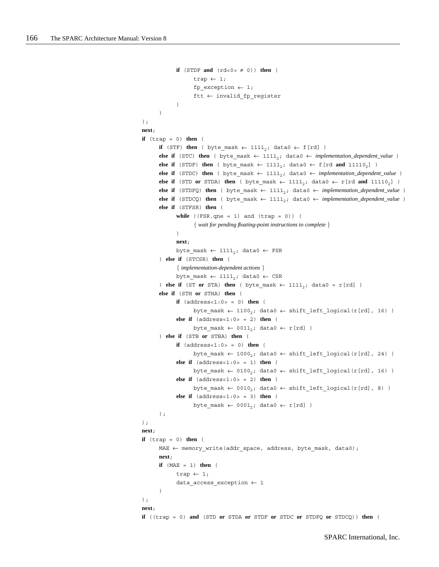```
if (STDF and (rd < 0 > \neq 0)) then (
                     trap \leftarrow 1;fp_exception \leftarrow 1;
                    ftt ← invalid_fp_register
             )
      )
);
next;
if (trap = 0) then (
      if (STF) then ( byte mask \leftarrow 1111<sub>2</sub>; data0 \leftarrow f[rd] )
      else if (STC) then ( byte mask \leftarrow 1111<sub>2</sub>; data0 \leftarrow implementation_dependent_value )
      else if (STDF) then ( byte mask \leftarrow 1111<sub>2</sub>; data0 \leftarrow f[rd and 11110<sub>2</sub>] )
      else if (STDC) then ( byte_mask ← 1111<sub>2</sub>; data0 ← implementation_dependent_value )
      else if (STD or STDA) then ( byte mask ← 1111<sub>2</sub>; data0 ← r[rd and 11110<sub>2</sub>] )
      else if (STDFQ) then ( byte mask \leftarrow 1111<sub>2</sub>; data0 \leftarrow implementation_dependent_value )
      else if (STDCQ) then ( byte mask \leftarrow 1111<sub>2</sub>; data0 \leftarrow implementation_dependent_value )
      else if (STFSR) then (
             while ((FSR.qne = 1) and (trap = 0)){ wait for pending floating-point instructions to complete }
             )
             next;
             byte mask \leftarrow 1111<sub>2</sub>; data0 \leftarrow FSR
      ) else if (STCSR) then (
              { implementation-dependent actions }
             byte mask \leftarrow 1111<sub>2</sub>; data0 \leftarrow CSR
      ) else if (ST or STA) then ( byte mask \leftarrow 1111<sub>2</sub>; data0 = r[rd] )
      else if (STH or STHA) then (
             if (address<1:0> = 0) then (
                    byte_mask \leftarrow 1100_2; data0 \leftarrow shift_left_logical(r[rd], 16))
             else if (address<1:0> = 2) then (
                    byte mask \leftarrow 0011_2; data0 \leftarrow r[rd] )
      ) else if (STB or STBA) then (
             if (address<1:0> = 0) then (
                    byte mask \leftarrow 1000<sub>2</sub>; data0 \leftarrow shift left logical(r[rd], 24) )
             else if (address<1:0> = 1) then (
                    byte mask \leftarrow 0100<sub>2</sub>; data0 \leftarrow shift left logical(r[rd], 16) )
             else if (address<1:0> = 2) then (
                    byte mask \leftarrow 0010<sub>2</sub>; data0 \leftarrow shift left logical(r[rd], 8) )
             else if (address<1:0> = 3) then (
                    byte_mask \leftarrow 0001<sub>2</sub>; data0 \leftarrow r[rd] )
      );
);
next;
if (trap = 0) then (
      MAE \leftarrow memory write(addr space, address, byte mask, data0);
      next;
      if (MAE = 1) then (
             trap \leftarrow 1;data\_access\_exception \leftarrow 1)
);
next;
if ((trap = 0) and (STD or STDA or STDF or STDC or STDFQ or STDCQ)) then (
```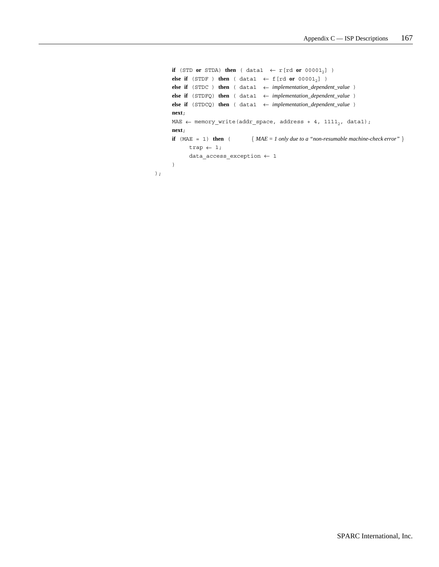```
if (STD or STDA) then ( data1 \leftarrow r[rd or 00001<sub>2</sub>] )
else if (STDF ) then ( data1 \leftarrow f[rd or 00001<sub>2</sub>] )
else if (STDC ) then ( data1 ← implementation_dependent_value )
else if (STDFQ) then ( data1 ← implementation_dependent_value )
else if (STDCQ) then ( data1 ← implementation_dependent_value )
next;
MAE \leftarrow memory_write(addr_space, address + 4, 1111<sub>2</sub>, data1);
next;
if (MAE = 1) then \{ MAE = 1 \text{ only due to a "non-resumable machine-check error" } \}trap \leftarrow 1;data_access_exception ← 1
)
```
);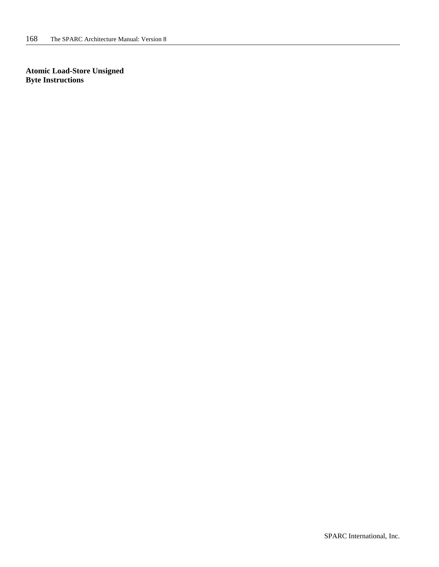**Atomic Load-Store Unsigned Byte Instructions**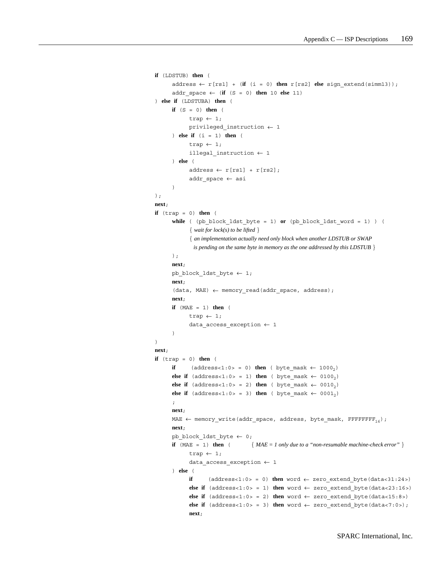```
if (LDSTUB) then (
       \text{address} \leftarrow \text{r}[\text{rs1}] + (\text{if} (\text{i} = 0) \text{ then } \text{r}[\text{rs2}] \text{ else sign extend}(\text{simm13}));
       addr space \leftarrow (if (S = 0) then 10 else 11)
) else if (LDSTUBA) then (
      if (S = 0) then (
             trap \leftarrow 1;privileged_instruction ← 1
      ) else if (i = 1) then (
             trap \leftarrow 1;illegal instruction \leftarrow 1
      ) else (
             address \leftarrow r[rs1] + r[rs2];addr_space ← asi
      )
);
next;
if (trap = 0) then (
      while ( (pb block ldst byte = 1) or (pb block ldst word = 1) ) (
              { wait for lock(s) to be lifted }
              { an implementation actually need only block when another LDSTUB or SWAP
               is pending on the same byte in memory as the one addressed by this LDSTUB }
      );
      next;
      pb block ldst byte \leftarrow 1;
      next;
      (data, MAE) \leftarrow memory read(addr space, address);next;
      if (MAE = 1) then (
             trap \leftarrow 1;data access exception \leftarrow 1
      )
)
next;
if (trap = 0) then (
      if (address<1:0> = 0) then ( byte mask \leftarrow 1000<sub>2</sub>)
      else if (address<1:0> = 1) then ( byte mask \leftarrow 0100<sub>2</sub>)
      else if (address<1:0> = 2) then ( byte mask \leftarrow 0010<sub>2</sub>)
      else if (address<1:0> = 3) then ( byte mask \leftarrow 0001<sub>2</sub>)
       ;
      next;
      MAE ← memory write(addr space, address, byte mask, FFFFFFFF<sub>16</sub>);
      next;
      pb block ldst byte \leftarrow 0;
      if (MAE = 1) then \{ MAE = 1 \text{ only due to a "non-resumable machine-check error" } \}trap \leftarrow 1;data access exception \leftarrow 1
      ) else (
             if \left( \text{address} < 1:0 \right) = 0 then word \leftarrow zero extend byte(data<31:24>)
             else if \{\text{address} < 1:0 > = 1\} then word ← zero extend byte(data<23:16>)
             else if address<1:0> = 2) then word ← zero_extend_byte(data<15:8>)
             else if \{\text{address} < 1:0 > = 3\} then word ← zero extend byte(data<7:0>);
             next;
```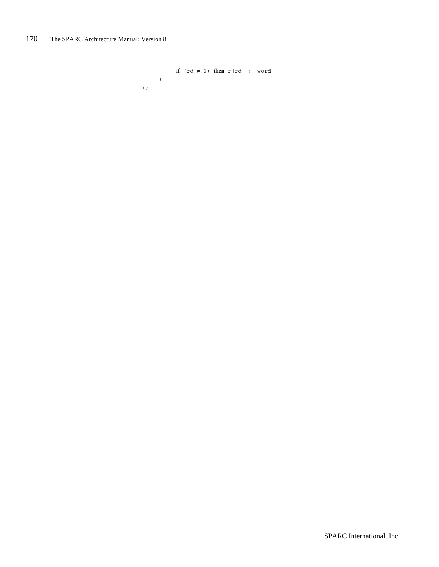```
if (\text{rd} \neq 0) then r[\text{rd}] \leftarrow \text{word})
);
```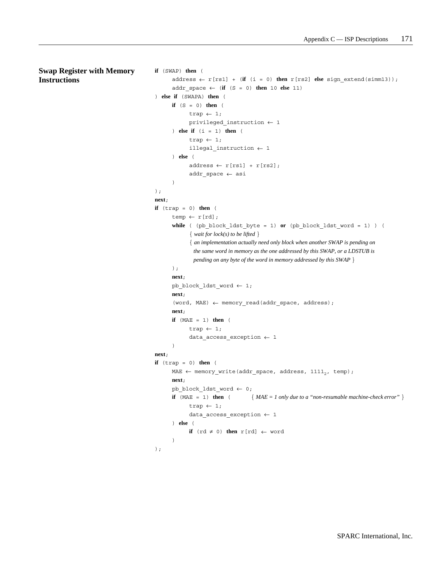**Swap Register with Memory Instructions**

```
if (SWAP) then (
       \text{address} \leftarrow \text{r}[\text{rs1}] + (\text{if} (\text{i} = 0) \text{ then } \text{r}[\text{rs2}] \text{ else sign extend}(\text{simm13}));
       addr space \leftarrow (if (S = 0) then 10 else 11)
) else if (SWAPA) then (
       if (S = 0) then (
              trap \leftarrow 1;
              privileged_instruction ← 1
       ) else if (i = 1) then (
              trap \leftarrow 1;
              illegal instruction \leftarrow 1
       ) else (
             address \leftarrow r[rs1] + r[rs2];addr_space ← asi
       )
);
next;
if (trap = 0) then (
       temp \leftarrow r[rd];while ( (pb_block_ldst_byte = 1) or (pb_block_ldst_word = 1) ) (
              { wait for lock(s) to be lifted }
              { an implementation actually need only block when another SWAP is pending on
               the same word in memory as the one addressed by this SWAP, or a LDSTUB is
               pending on any byte of the word in memory addressed by this SWAP }
       );
      next;
      pb block ldst word \leftarrow 1;
      next;
       (word, MAE) \leftarrow memory read(addr space, address);
       next;
       if (MAE = 1) then (
             trap \leftarrow 1;
              data_access_exception ← 1
       )
next;
if (\text{trap} = 0) then (
      MAE \leftarrow memory_write(addr_space, address, 1111<sub>2</sub>, temp);
      next;
       pb_block_ldst_word ← 0;
       if (MAE = 1) then ( {MAE = 1} only due to a "non-resumable machine-check error" }
              trap \leftarrow 1;data_access_exception ← 1
       ) else (
              if (\text{rd} \neq 0) then r[\text{rd}] \leftarrow \text{word})
);
```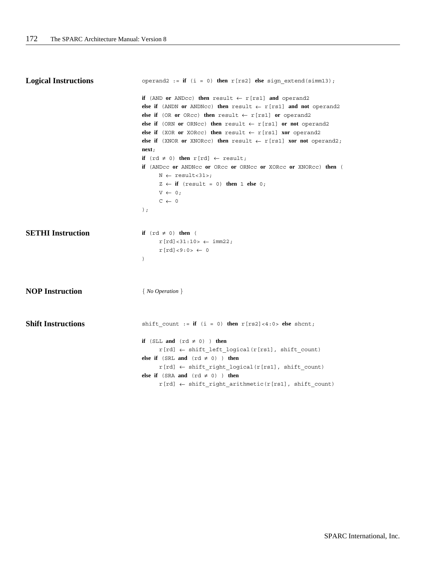| <b>Logical Instructions</b> | operand2 := if $(i = 0)$ then $r[rs2]$ else sign extend(simm13);           |  |  |
|-----------------------------|----------------------------------------------------------------------------|--|--|
|                             | if (AND or ANDcc) then result $\leftarrow$ r[rs1] and operand2             |  |  |
|                             | else if (ANDN or ANDNcc) then result $\leftarrow$ r[rs1] and not operand2  |  |  |
|                             | else if (OR or ORcc) then result $\leftarrow$ r[rs1] or operand2           |  |  |
|                             | else if (ORN or ORNcc) then result $\leftarrow$ r[rs1] or not operand2     |  |  |
|                             | else if (XOR or XORcc) then result $\leftarrow$ r[rs1] xor operand2        |  |  |
|                             | else if (XNOR or XNORcc) then result $\leftarrow$ r[rs1] xor not operand2; |  |  |
|                             | next;                                                                      |  |  |
|                             | if $(rd \neq 0)$ then $r[rd] \leftarrow result;$                           |  |  |
|                             | if (ANDCC or ANDNCC or ORCC or ORNCC or XORCC or XNORCC) then (            |  |  |
|                             | $N \leftarrow \text{result}<31$                                            |  |  |
|                             | $Z \leftarrow if$ (result = 0) then 1 else 0;                              |  |  |
|                             | $V \leftarrow 0;$                                                          |  |  |
|                             | $C \leftarrow 0$                                                           |  |  |
|                             | $\rightarrow$                                                              |  |  |
|                             |                                                                            |  |  |
| <b>SETHI</b> Instruction    | if $(\text{rd} \neq 0)$ then (                                             |  |  |
|                             | $r[rd]31:10> \leftarrow imm22;$                                            |  |  |
|                             | $r[rd]<.9:0> \leftarrow 0$                                                 |  |  |
|                             | $\left( \right)$                                                           |  |  |
|                             |                                                                            |  |  |
|                             |                                                                            |  |  |
|                             |                                                                            |  |  |
| <b>NOP Instruction</b>      | $\{No\ Operation\}$                                                        |  |  |
|                             |                                                                            |  |  |
|                             |                                                                            |  |  |
|                             |                                                                            |  |  |
| <b>Shift Instructions</b>   | shift count := if $(i = 0)$ then $r[rs2]<4:0>$ else shont;                 |  |  |
|                             | if (SLL and (rd $\neq$ 0)) then                                            |  |  |
|                             | $r[rd] \leftarrow$ shift left logical( $r[rs1]$ , shift count)             |  |  |
|                             | else if $(SRL$ and $(rd \neq 0)$ ) then                                    |  |  |
|                             | $r[rd] \leftarrow$ shift right logical( $r[rs1]$ , shift count)            |  |  |
|                             | else if (SRA and (rd $\neq$ 0)) then                                       |  |  |
|                             | $r[rd] \leftarrow shift\_right\_arithmetic(r[rs1], shift count)$           |  |  |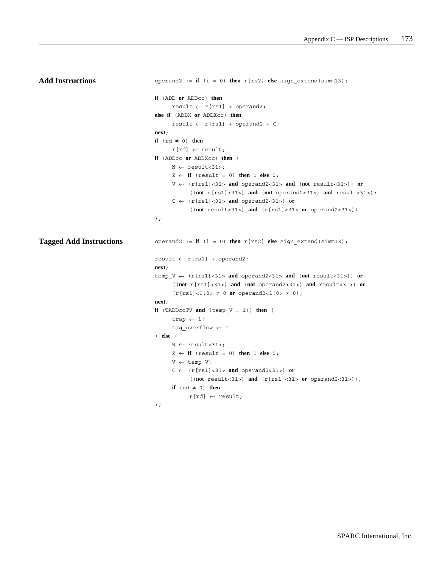```
Add Instructions operand2 := if (i = 0) then r[rs2] else sign extend(simm13);
                                       if (ADD or ADDcc) then
                                             result \leftarrow r[rsl] + operatingelse if (ADDX or ADDXcc) then
                                             result \leftarrow r[rs1] + operand2 + C;next;
                                       if (rd \neq 0) then
                                             r[rd] \leftarrow \text{result};if (ADDcc or ADDXcc) then (
                                             N \leftarrow \text{result}<31Z \leftarrow \textbf{if} (result = 0) then 1 else 0;
                                             V ← (r[rs1]<31> and operand2<31> and (not result<31>)) or
                                                    ((not r[rs1]<31>) and (not operand2<31>) and result<31>);
                                             C ← (r[rs1]<31> and operand2<31>) or
                                                    ((not result<31>) and (r[rs1]<31> or operand2<31>))
                                       );
Tagged Add Instructions operand2 := if (i = 0) then r[rs2] else sign_extend(simm13);
                                       result \leftarrow r[rs1] + operand2;next;
                                        temp V \leftarrow (r[rsl] < 31 and operand2<31> and (not result<31>)) or
                                              ((not r[rs1]<31>) and (not operand2<31>) and result<31>) or
                                              (r[rs1]<1:0> \neq 0 or operand2<1:0> \neq 0;
                                       next;
                                       if (TADDccTV and (temp V = 1)) then (
                                             trap \leftarrow 1;tag_overflow ← 1
                                        ) else (
                                             N \leftarrow \text{result}<31Z \leftarrow if (result = 0) then 1 else 0;
                                             V \leftarrow \text{temp}_V;C \leftarrow (r[rs1].31> and operand2<31>) or
                                                   ((not result<31>) and (r[rs1]<31> or operand2<31>));
                                             if (rd \neq 0) then
                                                   r[rd] \leftarrow \text{result};);
```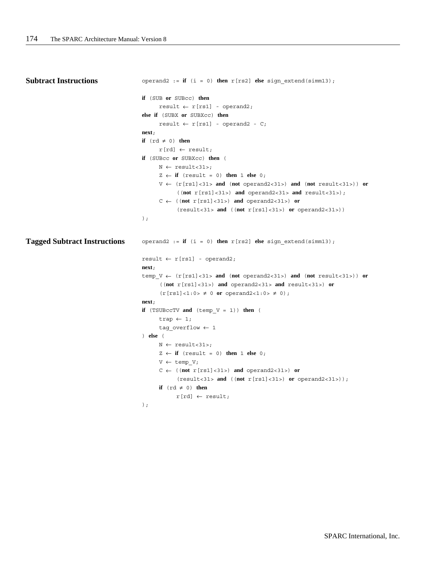```
Subtract Instructions operand2 := if (i = 0) then r[rs2] else sign extend(simm13);
                                        if (SUB or SUBcc) then
                                              result \leftarrow r[rs1] - operand2;else if (SUBX or SUBXcc) then
                                              result \leftarrow r[rs1] - operand2 - C;next;
                                        if (\text{rd} \neq 0) then
                                             r[rd] \leftarrow \text{result};if (SUBcc or SUBXcc) then (
                                              N \leftarrow \text{result}<31Z \leftarrow if (result = 0) then 1 else 0;
                                              V ← (r[rs1]<31> and (not operand2<31>) and (not result<31>)) or
                                                    ((not r[rs1]<31>) and operand2<31> and result<31>);
                                              C ← ((not r[rs1]<31>) and operand2<31>) or
                                                    (result<31> and ((not r[rs1]<31>) or operand2<31>))
                                        );
Tagged Subtract Instructions operand2 := if (i = 0) then r[rs2] else sign_extend(simm13);
                                        result \leftarrow r[rs1] - operand2;next;
                                        temp V \leftarrow (r[rs1]<31> and (not operand2<31>) and (not result<31>)) or
                                              ((not r[rs1]<31>) and operand2<31> and result<31>) or
                                              (r[rs1]<1:0> \neq 0 or operand2<1:0> \neq 0;
                                        next;
                                        if (TSUBccTV and (temp V = 1)) then (
                                              trap \leftarrow 1;tag_overflow ← 1
                                        ) else (
                                              N \leftarrow \text{result}<31Z \leftarrow if (result = 0) then 1 else 0;
                                              V \leftarrow \text{temp}_V;C \leftarrow ((not r[rs1]<31>) and operand2<31>) or
                                                    (result<31> and ((not r[rs1]<31>) or operand2<31>));
                                              if (rd \neq 0) then
                                                    r[rd] \leftarrow \text{result};);
```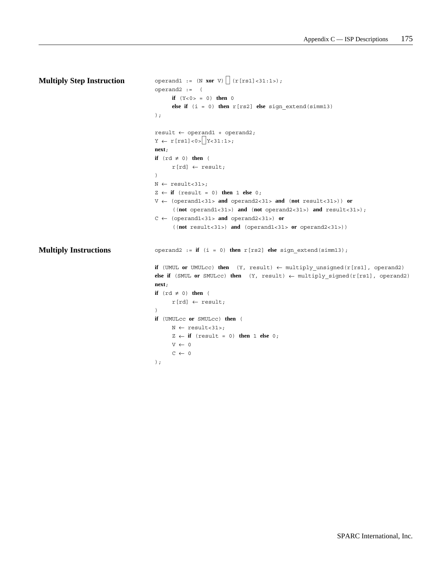```
Multiply Step Instruction operand1 := (N \nvert N) (r \nvert s1 \nvert s31:1>);
                                       operand2 := (
                                             if (Y<0> = 0) then 0
                                             else if (i = 0) then r[rs2] else sign_extend(simm13)
                                       );
                                       result ← operand1 + operand2;
                                       Y \leftarrow r[rs1] < 0 > Y < 31:1 > ;next;
                                       if (rd ≠ 0) then (
                                             r[rd] \leftarrow \text{result};)
                                       N \leftarrow \text{result}<31Z \leftarrow if (result = 0) then 1 else 0;
                                       V ← (operand1<31> and operand2<31> and (not result<31>)) or
                                             ((not operand1<31>) and (not operand2<31>) and result<31>);
                                       C ← (operand1<31> and operand2<31>) or
                                             ((not result<31>) and (operand1<31> or operand2<31>))
Multiply Instructions operand2 := if (i = 0) then r[rs2] else sign_extend(simm13);
                                       if (UMUL or UMULcc) then (Y, result) ← multiply_unsigned(r[rs1], operand2)
                                       else if (SMUL or SMULcc) then (Y, result) ← multiply signed(r[rs1], operand2)
                                       next;
                                       if (\text{rd} \neq 0) then (
                                             r[rd] \leftarrow \text{result};)
                                       if (UMULcc or SMULcc) then (
                                             N \leftarrow \text{result}<31Z \leftarrow if (result = 0) then 1 else 0;
                                             V \leftarrow 0C \leftarrow 0);
```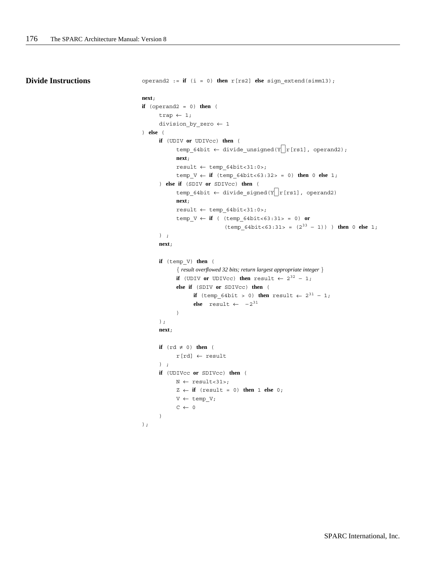**Divide Instructions** operand2 := **if**  $(i = 0)$  **then**  $r[rs2]$  **else** sign extend(simm13);

```
next;
if (operand2 = 0) then (
     trap \leftarrow 1;division_by_zero ← 1
) else (
      if (UDIV or UDIVcc) then (
            temp_64bit \leftarrow divide_unsigned(Y\boxed{r[rs1], operand2);
            next;
            result ← temp_64bit<31:0>;
            temp V \leftarrow if (temp 64bit < 63:32 > = 0) then 0 else 1;
      ) else if (SDIV or SDIVcc) then (
            temp 64bit \leftarrow divide signed(Y|r[rs1], operand2)next;
            result ← temp_64bit<31:0>;
            temp_V \leftarrow \textbf{if} ( temp_64bits < 63:31 > = 0) or
                              (temp_64bit<63:31> = (233 − 1)) ) then 0 else 1;
      ) ;
      next;
      if (temp_V) then (
            { result overflowed 32 bits; return largest appropriate integer }
            if (UDIV or UDIVcc) then result \leftarrow 2^{32} - 1;
            else if (SDIV or SDIVcc) then (
                  if (temp_64bit > 0) then result \leftarrow 2^{31} - 1;
                  else result ← -2^{31})
      );
      next;
      if (rd ≠ 0) then (
            r[rd] \leftarrow \text{result}) ;
      if (UDIVcc or SDIVcc) then (
            N ← result<31>;
            Z \leftarrow if (result = 0) then 1 else 0;
            V \leftarrow \text{temp }V;C \leftarrow 0)
);
```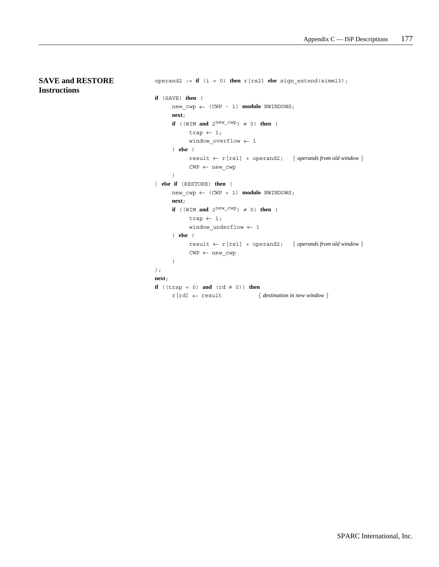**SAVE and RESTORE Instructions**

```
operand2 := if (i = 0) then r[rs2] else sign extend(simm13);if (SAVE) then (
      new_cwp ← (CWP - 1) modulo NWINDOWS;
      next;
      if ((WIM \text{ and } 2^{new\_cwp}) \neq 0) then (
            trap \leftarrow 1;window_overflow ← 1
      ) else (
            result ← r[rs1] + operand2; { operands from old window }
           CWP \leftarrow new \text{cw})
) else if (RESTORE) then (
      new_cwp ← (CWP + 1) modulo NWINDOWS;
      next;
      if ((WIM \text{ and } 2^{new\_cwp}) \neq 0) then (
            trap \leftarrow 1;window underflow \leftarrow 1
      ) else (
           result ← r[rs1] + operand2; { operands from old window }
            CWP \leftarrow new \text{cw})
);
next;
if ((trap = 0) and (rd \neq 0)) then
     r[rd] ← result { destination in new window }
```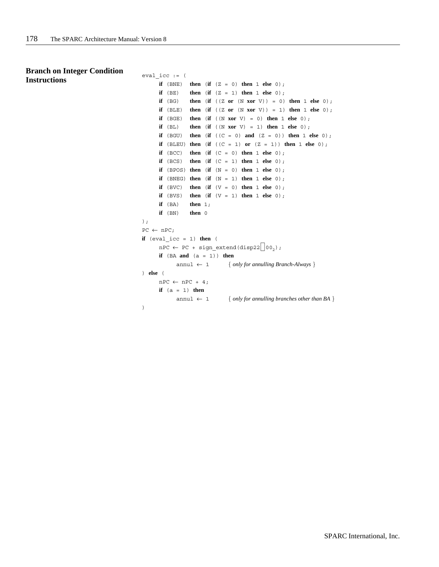| <b>Branch on Integer Condition</b> | $eval$ icc $:=$ (                                                                                  |  |  |
|------------------------------------|----------------------------------------------------------------------------------------------------|--|--|
| <b>Instructions</b>                | $if$ (BNE)<br>then $(ii (Z = 0)$ then 1 else 0);                                                   |  |  |
|                                    | $if$ $(BE)$<br>then $(ii (Z = 1)$ then 1 else 0);                                                  |  |  |
|                                    | if (BG)<br>then $(ii (Z or (N x or V)) = 0)$ then 1 else 0);                                       |  |  |
|                                    | then (if $((Z \text{ or } (N \text{ xor } V)) = 1)$ then 1 else 0);<br>$if$ (BLE)                  |  |  |
|                                    | $if$ (BGE)<br>then $(i\mathbf{f} \ (\mathbf{N} \ \mathbf{xor} \ \mathbf{V}) = 0)$ then 1 else 0);  |  |  |
|                                    | $if$ $(BL)$<br>then $(i\mathbf{f} \ (\mathbf{N} \ \mathbf{xor} \ \mathbf{V}) = 1)$ then 1 else 0); |  |  |
|                                    | <b>then</b> (if $(C = 0)$ and $(Z = 0)$ ) then 1 else 0);<br>$if$ (BGU)                            |  |  |
|                                    | if (BLEU) then $(\text{if } ((C = 1) \text{ or } (Z = 1))$ then 1 else 0);                         |  |  |
|                                    | then $(\text{if } (C = 0) \text{ then } 1 \text{ else } 0);$<br>if (BCC)                           |  |  |
|                                    | then $(ii \ (C = 1)$ then 1 else 0);<br>if (BCS)                                                   |  |  |
|                                    | if (BPOS) then $(i f (N = 0)$ then 1 else 0);                                                      |  |  |
|                                    | if (BNEG) then $(if(N = 1)$ then 1 else 0);                                                        |  |  |
|                                    | if $(BVC)$ then $(if (V = 0)$ then 1 else 0);                                                      |  |  |
|                                    | $if$ (BVS)<br>then $(ii \t (V = 1)$ then 1 else 0);                                                |  |  |
|                                    | $if$ $(BA)$<br>then $1;$                                                                           |  |  |
|                                    | $if$ (BN)<br>then $0$                                                                              |  |  |
|                                    | $)$ ;                                                                                              |  |  |
|                                    | $PC \leftarrow \text{nPC};$                                                                        |  |  |
|                                    | if $(eval$ $icc = 1)$ then $($                                                                     |  |  |
|                                    | $nPC \leftarrow PC + sign\_extend(disp22 002)$ ;                                                   |  |  |
|                                    | if $(BA \text{ and } (a = 1))$ then                                                                |  |  |
|                                    | $\text{annul} \leftarrow 1$ { only for annulling Branch-Always }                                   |  |  |
|                                    | ) else $($                                                                                         |  |  |
|                                    | $nPC \leftarrow nPC + 4;$                                                                          |  |  |
|                                    | if $(a = 1)$ then                                                                                  |  |  |
|                                    | $\{ only for annuling branches other than BA \}$<br>annul $\leftarrow$ 1                           |  |  |
|                                    | $\lambda$                                                                                          |  |  |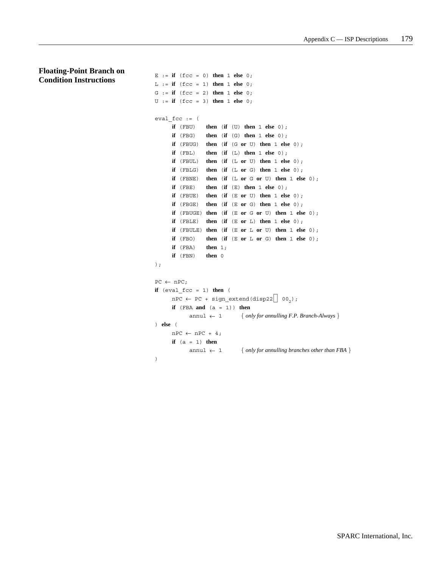```
Floating-Point Branch on
```

```
Condition Instructions E := if (fcc = 0) then 1 else 0;<br>\therefore c (fect = 0) then 1 else 0;
                                         L := \textbf{if} (fcc = 1) then 1 else 0;
                                         G := if (fcc = 2) then 1 else 0;
                                         U := if (fcc = 3) then 1 else 0;
                                         eval_fcc := (
                                               if (FBU) then (if (U) then 1 else 0);
                                               if (FBG) then (if (G) then 1 else 0);
                                               if (FBUG) then (if (G or U) then 1 else 0);
                                               if (FBL) then (if (L) then 1 else 0);
                                               if (FBUL) then (if (L or U) then 1 else 0);
                                               if (FBLG) then (if (L or G) then 1 else 0);
                                               if (FBNE) then (if (L or G or U) then 1 else 0);
                                               if (FBE) then (if (E) then 1 else 0);
                                               if (FBUE) then (if (E or U) then 1 else 0);
                                               if (FBGE) then (if (E or G) then 1 else 0);
                                               if (FBUGE) then (if (E or G or U) then 1 else 0);
                                               if (FBLE) then (if (E or L) then 1 else 0);
                                               if (FBULE) then (if (E or L or U) then 1 else 0);
                                               if (FBO) then (if (E or L or G) then 1 else 0);
                                               if (FBA) then 1;
                                               if (FBN) then 0
                                         );
                                         PC \leftarrow nPC;if (eval fcc = 1) then (
                                               nPC \leftarrow PC + sign\_extend(disp22 \n\bigcirc \n\bigcirc \n\bigcirc j;if (FBA and (a = 1)) then
                                                     annul \leftarrow 1 { only for annulling F.P. Branch-Always }
                                         ) else (
                                               nPC \leftarrow nPC + 4;if (a = 1) then
                                                     annul ← 1 { only for annulling branches other than FBA }
                                         \, \,
```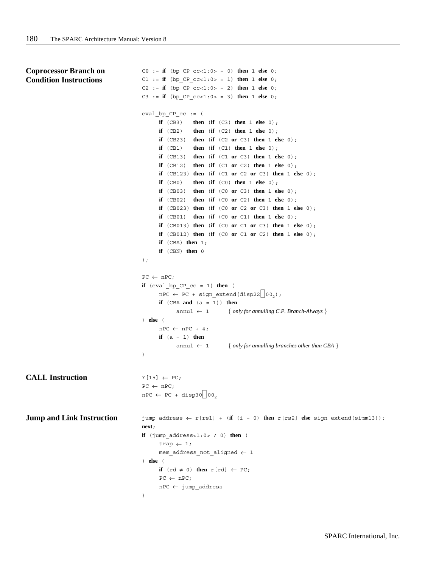```
Coprocessor Branch on
Condition Instructions
                                       C0 := if (bp_CP_cc<1:0> = 0) then 1 else 0;
                                       C1 := if (bp CP cc<1:0> = 1) then 1 else 0;
                                       C2 := if (bp CP cc<1:0> = 2) then 1 else 0;
                                       C3 := if (bp CP cc<1:0> = 3) then 1 else 0;
                                       eval_bp_CP_cc := (
                                             if (CB3) then (if (C3) then 1 else 0);
                                             if (CB2) then (if (C2) then 1 else 0);
                                             if (CB23) then (if (C2 or C3) then 1 else 0);
                                             if (CB1) then (if (C1) then 1 else 0);
                                             if (CB13) then (if (C1 or C3) then 1 else 0);
                                             if (CB12) then (if (C1 or C2) then 1 else 0);
                                             if (CB123) then (if (C1 or C2 or C3) then 1 else 0);
                                             if (CB0) then (if (C0) then 1 else 0);
                                             if (CB03) then (if (C0 or C3) then 1 else 0);
                                             if (CB02) then (if (C0 or C2) then 1 else 0);
                                             if (CB023) then (if (C0 or C2 or C3) then 1 else 0);
                                             if (CB01) then (if (C0 or C1) then 1 else 0);
                                             if (CB013) then (if (C0 or C1 or C3) then 1 else 0);
                                             if (CB012) then (if (C0 or C1 or C2) then 1 else 0);
                                             if (CBA) then 1;
                                             if (CBN) then 0
                                       );
                                       PC \leftarrow nPC;if (eval bp CP cc = 1) then (
                                             nPC \leftarrow PC + sign extend(disp22|002);if (CBA \text{ and } (a = 1)) then
                                                  annul ← 1 { only for annulling C.P. Branch-Always }
                                       ) else (
                                             nPC \leftarrow nPC + 4;if (a = 1) then
                                                  \{\text{only for annuling branches other than CBA}\})
CALL Instruction r[15] \leftarrow PC;PC \leftarrow \text{nPC};nPC \leftarrow PC + disp30 \cup 00Jump and Link Instruction jump_address \leftarrow r[rs1] + (if (i = 0) then r[rs2] else sign_extend(simm13));
                                       next;
                                       if (jump address < 1:0 > \neq 0) then (
                                             trap \leftarrow 1;mem_address_not_aligned ← 1
                                       ) else (
                                             if (\text{rd} \neq 0) then r[\text{rd}] \leftarrow PC;PC \leftarrow nPC;nPC ← jump_address
                                       )
```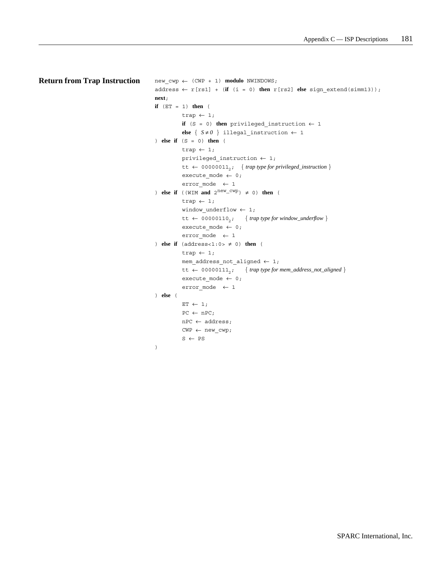```
Return from Trap Instruction new_cwp ← (CWP + 1) modulo NWINDOWS;
                                              address \leftarrow r[rs1] + (if (i = 0) then r[rs2] else sign\_extend(simm13));next;
                                              if (ET = 1) then (
                                                        trap \leftarrow 1;if (S = 0) then privileged_instruction ← 1
                                                        else { S \neq 0 } illegal instruction \leftarrow 1) else if (S = 0) then (
                                                        trap \leftarrow 1;privileged instruction \leftarrow 1;
                                                        tt \leftarrow 00000011<sub>2</sub>; {trap type for privileged_instruction }
                                                        execute mode \leftarrow 0;
                                                        error_model \leftarrow 1) else if ((WIM and 2^{\text{new\_cwp}}) \neq 0) then (
                                                        trap \leftarrow 1;window underflow \leftarrow 1;
                                                        tt \leftarrow 00000110<sub>2</sub>; { trap type for window_underflow }
                                                        execute mode \leftarrow 0;
                                                        error_model \leftarrow 1) else if (address<1:0> ≠ 0) then (
                                                        trap \leftarrow 1;mem\_address\_not\_aligned \leftarrow 1;tt ← 00000111<sub>2</sub>; { trap type for mem_address_not_aligned }
                                                        execute_model \leftarrow 0;error mode \leftarrow 1
                                              ) else (
                                                        ET \leftarrow 1;PC \leftarrow nPC;
                                                        nPC ← address;
                                                        CWP \leftarrow new_cwp;S \leftarrow PS)
```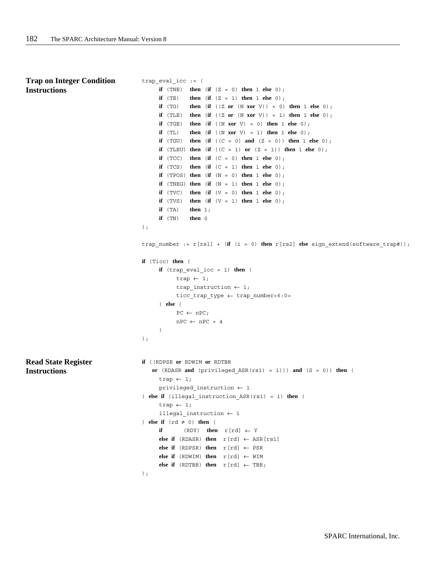```
Trap on Integer Condition
Instructions
                                        trap eval icc := (
                                              if (TNE) then (if (Z = 0) then 1 else 0);
                                              if (TE) then (if (Z = 1) then 1 else 0);
                                              if (TG) then (if ((Z \text{ or } (N \text{ xor } V)) = 0) then 1 else 0);
                                              if (TLE) then (if ((Z or (N xor V)) = 1) then 1 else 0);
                                              if (TGE) then (if ((N \times 20^{\circ} V) = 0) then 1 else 0);
                                              if (TL) then (if ((N \times 20^{\circ} V) = 1) then 1 else 0);
                                              if (TGU) then (if ((C = 0) and (Z = 0)) then 1 else 0);
                                              if (TLEU) then (if ((C = 1) or (Z = 1)) then 1 else 0);
                                              if (TCC) then (if (C = 0) then 1 else 0);
                                              if (TCS) then (if (C = 1) then 1 else 0);
                                              if (TPOS) then (if (N = 0) then 1 else 0);
                                              if (TNEG) then (if (N = 1) then 1 else 0);
                                              if (TVC) then (if (V = 0) then 1 else 0);
                                              if (TVS) then (if (V = 1) then 1 else 0);
                                              if (TA) then 1;
                                              if (TN) then 0
                                        );
                                        trap_number := r[rs1] + (if (i = 0) then r[rs2] else sign_extend(software_trap#));
                                        if (Ticc) then (
                                              if (trap_eval_icc = 1) then (
                                                    trap \leftarrow 1;
                                                    trap instruction \leftarrow 1;
                                                    ticc_trap_type ← trap_number<6:0>
                                              ) else (
                                                    PC \leftarrow nPC;nPC \leftarrow nPC + 4)
                                        );
Read State Register
Instructions
                                        if ((RDPSR or RDWIM or RDTBR
                                            or (RDASR and (privileged ASR(rs1) = 1))) and (S = 0)) then (
                                              trap \leftarrow 1;privileged instruction \leftarrow 1
                                         ) else if (illegal_instruction_ASR(rs1) = 1) then (
                                              trap \leftarrow 1;
                                              illegal instruction \leftarrow 1
                                        ) else if (rd ≠ 0) then (
                                              if (RDY) then r[rd] \leftarrow Yelse if (RDASR) then r[rd] \leftarrow ASR[rs1]else if (RDPSR) then r[rd] \leftarrow PSRelse if (RDWIM) then r[rd] \leftarrow WIMelse if (RDTBR) then r[rd] \leftarrow \text{TBR};
                                        );
```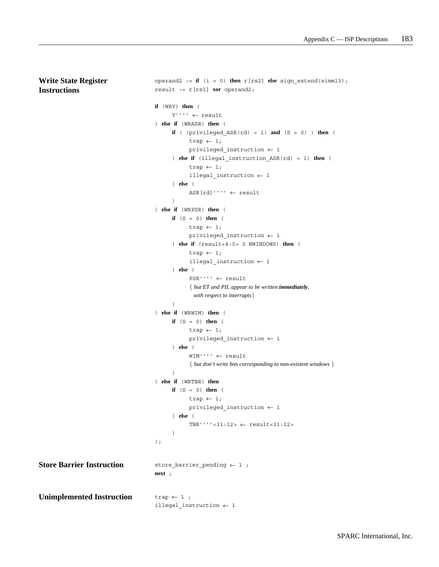**Write State Register Instructions**

```
operand2 := if (i = 0) then r[rs2] else sign_extend(simm13);
                                        result := r[rs1] xor operand2;
                                         if (WRY) then (
                                              Y'''' \leftarrow result
                                         ) else if (WRASR) then (
                                              if ( (privileged ASR(rd) = 1) and (S = 0) ) then (
                                                     trap \leftarrow 1;
                                                    privileged_instruction ← 1
                                              ) else if (illegal_instruction_ASR(rd) = 1) then (
                                                     trap \leftarrow 1;illegal instruction \leftarrow 1
                                              ) else (
                                                     ASR[rd]'''' \leftarrow result
                                              )
                                        ) else if (WRPSR) then (
                                              if (S = 0) then (
                                                     trap \leftarrow 1;privileged_instruction ← 1
                                              ) else if (result<4:0> ≥ NWINDOWS) then (
                                                     trap \leftarrow 1;illegal instruction \leftarrow 1
                                              ) else (
                                                     PSR'''' ← result
                                                     { but ET and PIL appear to be written immediately,
                                                      with respect to interrupts}
                                               )
                                         ) else if (WRWIM) then (
                                              if (S = 0) then (
                                                    trap \leftarrow 1;privileged instruction \leftarrow 1
                                              ) else (
                                                     WIM'''' ← result
                                                     { but don't write bits corresponding to non-existent windows }
                                              )
                                        ) else if (WRTBR) then
                                              if (S = 0) then (
                                                    trap \leftarrow 1;privileged_instruction ← 1
                                              ) else (
                                                    TBR''''<31:12> ← result<31:12>
                                              )
                                        );
Store Barrier Instruction store barrier pending \leftarrow 1 ;
                                         next ;
```
**Unimplemented Instruction**  $\text{trap} \leftarrow 1$  ;

illegal\_instruction ← 1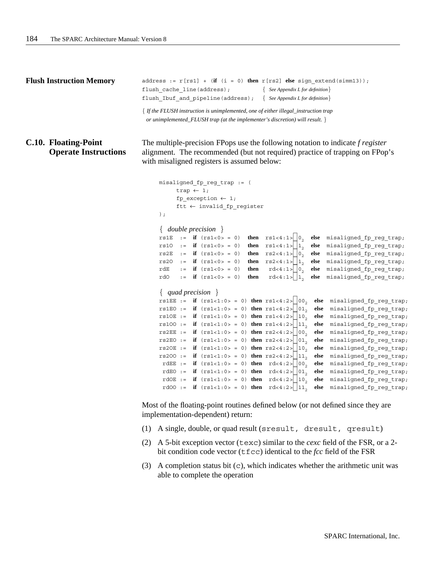| <b>Flush Instruction Memory</b>                            | address := $r[rsl] + (if (i = 0) then r[rsl] else sign\_extend(simm13));$<br>$\{$ See Appendix L for definition $\}$<br>flush cache line(address);<br>flush Ibuf and pipeline(address);<br>$\{$ See Appendix L for definition $\}$<br>If the FLUSH instruction is unimplemented, one of either illegal_instruction trap<br>or unimplemented_FLUSH trap (at the implementer's discretion) will result. }                                                                                                                                                                                                                                                                                                                                                                                                               |  |  |
|------------------------------------------------------------|-----------------------------------------------------------------------------------------------------------------------------------------------------------------------------------------------------------------------------------------------------------------------------------------------------------------------------------------------------------------------------------------------------------------------------------------------------------------------------------------------------------------------------------------------------------------------------------------------------------------------------------------------------------------------------------------------------------------------------------------------------------------------------------------------------------------------|--|--|
| <b>C.10. Floating-Point</b><br><b>Operate Instructions</b> | The multiple-precision FPops use the following notation to indicate f register<br>alignment. The recommended (but not required) practice of trapping on FPop's<br>with misaligned registers is assumed below:                                                                                                                                                                                                                                                                                                                                                                                                                                                                                                                                                                                                         |  |  |
|                                                            | misaligned fp reg $trap := ($<br>trap $\leftarrow$ 1;<br>$fp$ <sub>exception</sub> $\leftarrow$ 1;<br>$\texttt{ftt} \leftarrow \texttt{invalid\_fp\_register}$<br>$\rightarrow$<br>$\{$ double precision $\}$<br><b>then</b> $rs1 < 4 : 1 >   0,$<br>$:=$ if $(rsl<0) = 0$<br>else misaligned fp reg trap;<br>rs1E<br>$rs10 := if (rs1<0> = 0)$<br>then $rs1<4:1> 1_2 $<br>else misaligned_fp_reg_trap;<br>$:=$ if $(rsl<0> = 0)$<br>then $rs2<4:1> 0,$<br>else misaligned fp reg trap;<br>rs2E<br>$rs20 := if (rs1<0> = 0)$<br><b>then</b> $rs2 < 4:1 >  1,$<br>else misaligned_fp_reg_trap;<br>rd < 4:1 >   0<br>$:=$ if $(rsl<0> = 0)$<br>else misaligned fp reg trap;<br>rdE<br>then<br>$:=$ if $(rsl<0> = 0)$<br>rd < 4:1 >  1<br>rdO<br>then<br>else misaligned fp reg trap;                                    |  |  |
|                                                            | $\{quadquad precision \}$<br>rs1EE := if $(rs1<1:0> = 0)$ then $rs1<4:2>  002$<br>else misaligned_fp_reg_trap;<br>$rs1E0 := if (rs1<1:0> = 0) then rs1<4:2>  01,$<br>else misaligned fp reg trap;<br>rs10E := if $(rs1<1:0> = 0)$ then $rs1<4:2>  102$<br>else misaligned_fp_reg_trap;<br>rs100 := if $(rsl<1:0> = 0)$ then $rs1<4:2>  11 $<br>else misaligned fp reg trap;<br>$rs2EE := if (rs1<1:0> = 0) then rs2<4:2>  00,$<br>else misaligned_fp_reg_trap;<br>$rs2EO := if (rs1<1:0> = 0) then rs2<4:2>  01,$<br>else misaligned_fp_reg_trap;<br>$rs2OE := if (rs1<1:0> = 0) then rs2<4:2>  10,$<br>else misaligned fp reg trap;<br>rs200 := if $(rs1<1:0> = 0)$ then $rs2<4:2>11$ ,<br>misaligned_fp_reg_trap;<br>else<br>rdEE := if $(rs1 < 1:0 > = 0)$ then $r d < 4:2 >  00,$<br>else misaligned fp reg trap; |  |  |

Most of the floating-point routines defined below (or not defined since they are implementation-dependent) return:

rdEO := **if**  $(rs1<1:0> = 0)$  **then**  $r d<4:2> 01<sub>2</sub>$  **else** misaligned\_fp\_reg\_trap;  $r \cdot d \cdot E := \textbf{if}$  ( $rs1 < 1:0 > = 0$ ) **then**  $r d < 4:2 > 10^{\circ}$  **else** misaligned\_fp\_reg\_trap; rdOO := **if**  $(rs1<1:0> = 0)$  **then**  $r\cdot d \cdot 4:2>\left\lfloor 11\right\rfloor$  **else** misaligned\_fp\_reg\_trap;

- (1) A single, double, or quad result (sresult, dresult, qresult)
- (2) A 5-bit exception vector (texc) similar to the *cexc* field of the FSR, or a 2 bit condition code vector (tfcc) identical to the *fcc* field of the FSR
- (3) A completion status bit (c), which indicates whether the arithmetic unit was able to complete the operation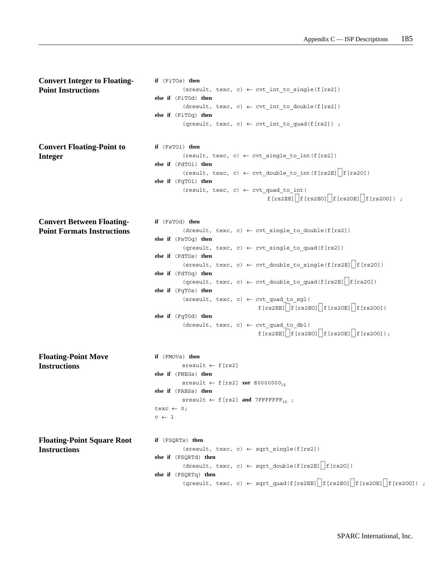```
Convert Integer to Floating-
Point Instructions
                                       if (FiTOs) then
                                                 (sresult, text, c) \leftarrow vvt_info_to_single(f[rs2])else if (FiTOd) then
                                                 (dresult, text, c) \leftarrow cvt\_int_to_double(f[rs2])else if (FiTOq) then
                                                 (qresult, texc, c) \leftarrow cvt int to quad(f[rs2]) ;
Convert Floating-Point to
Integer
                                       if (FsTOi) then
                                                 (result, texc, c) \leftarrow cvt single to int(f[rs2])
                                        else if (FdTOi) then
                                                 (result, texc, c) \leftarrow cvt double to int(f[rs2E] f[rs2O])
                                        else if (FqTOi) then
                                                 (result, texc, c) \leftarrow cvt quad to int(
                                                                              f[rszEE]f[rs2EO]f[rsz0E]f[rs2OE]f[rs200]);
Convert Between Floating-
Point Formats Instructions
                                       if (FsTOd) then
                                                 (dresult, text, c) \leftarrow cut\_single_to_double(f[rs2])else if (FsTOq) then
                                                 (qresult, text, c) \leftarrow cut\_single_to_quad(f[rs2])else if (FdTOs) then
                                                 (sresult, texc, c) \leftarrow cvt double to single(f[rs2E][f[rs2O])
                                        else if (FdTOq) then
                                                 (qresult, texc, c) \leftarrow cvt_double_to_quad(f[rs2E][f[rs2O])
                                        else if (FqTOs) then
                                                 (sresult, text, c) \leftarrow cut_quad_to_sgl(f[rs2EE]\sqrt{f[rs2EO]}[f[rs2OE]\sqrt{f[rs200]})else if (FqTOd) then
                                                 (dresult, text, c) \leftarrow cvt_quad_to_dbl(f[rs2EE]\nF[rs2E0]\nf[rs20E]\nF[rs200]);Floating-Point Move
Instructions
                                       if (FMOVs) then
                                                 sresult \leftarrow f[rs2]else if (FNEGs) then
                                                 sresult ← f[rs2] xor 8000000016
                                        else if (FABSs) then
                                                 sresult \leftarrow f[rs2] and 7FFFFFFF<sub>16</sub> ;
                                        texc \leftarrow 0;
                                        c \leftarrow 1Floating-Point Square Root
Instructions
                                       if (FSQRTs) then
                                                 (sresult, text, c) \leftarrow sqrt\_single(f[rs2])else if (FSQRTd) then
                                                 (dresult, texc, c) \leftarrow sqrt double(f[rs2E]\lceil f[rs2O])
                                       else if (FSQRTq) then
                                                 (qresult, texc, c) \leftarrow sqrt quad(f[rs2EE][f[rs2EO][f[rs2OE][f[rs2OO]) ;
```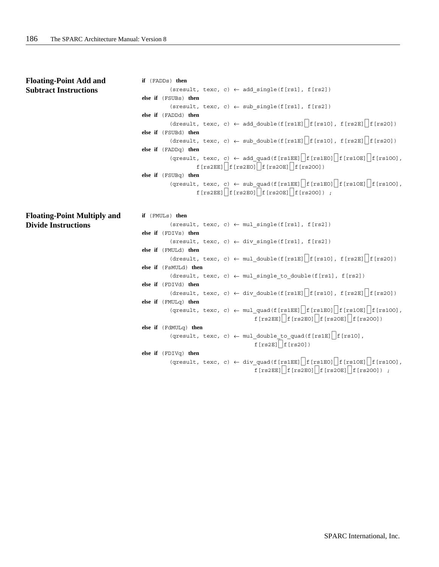| <b>Floating-Point Add and</b>      | if (FADDs) then                                                                                                                    |
|------------------------------------|------------------------------------------------------------------------------------------------------------------------------------|
| <b>Subtract Instructions</b>       | (sresult, texc, c) $\leftarrow$ add single(f[rs1], f[rs2])                                                                         |
|                                    | else if (FSUBs) then                                                                                                               |
|                                    | (sresult, texc, c) $\leftarrow$ sub single(f[rs1], f[rs2])                                                                         |
|                                    | else if (FADDd) then                                                                                                               |
|                                    | (dresult, texc, c) $\leftarrow$ add double(f[rs1E] [f[rs10], f[rs2E] [f[rs20])                                                     |
|                                    | else if (FSUBd) then                                                                                                               |
|                                    | (dresult, texc, c) $\leftarrow$ sub_double(f[rs1E] [f[rs10], f[rs2E] [f[rs20])                                                     |
|                                    | else if $(FADDQ)$ then                                                                                                             |
|                                    | (qresult, texc, c) $\leftarrow$ add_quad(f[rs1EE] [f[rs1E0] [f[rs10E] [f[rs100],                                                   |
|                                    | $f[rs2EE]$ $f[rs2EO]$ $f[rs2OE]$ $f[rs200]$                                                                                        |
|                                    | else if $(FSUBq)$ then                                                                                                             |
|                                    | (qresult, texc, c) $\leftarrow$ sub_quad(f[rs1EE] $\left[\right]$ [rs1EO] $\left[\right]$ [rs10E] $\left[\right]$ [rs100],         |
|                                    | $f[rs2EE]$ $f[rs2E0]$ $f[rs2OE]$ $f[rs200]$ ;                                                                                      |
|                                    |                                                                                                                                    |
| <b>Floating-Point Multiply and</b> | if $(FMULs)$ then                                                                                                                  |
| <b>Divide Instructions</b>         | (sresult, texc, c) $\leftarrow$ mul single(f[rs1], f[rs2])                                                                         |
|                                    | else if $(FDIVs)$ then                                                                                                             |
|                                    | (sresult, texc, c) $\leftarrow$ div single(f[rs1], f[rs2])                                                                         |
|                                    | else if (FMULd) then                                                                                                               |
|                                    | $(\text{dresult}, \text{text}, c) \leftarrow \text{mul\_double}(f[\text{rs1E}]   f[\text{rs10}], f[\text{rs2E}]   f[\text{rs20}])$ |
|                                    | else if (FSMULd) then                                                                                                              |
|                                    | (dresult, texc, c) $\leftarrow$ mul_single_to_double(f[rs1], f[rs2])                                                               |
|                                    | else if (FDIVd) then                                                                                                               |
|                                    | $(\text{dresult}, \text{text}, c) \leftarrow \text{div double (f[rslE)]}  f[rsl0], f[rslE]   f[rsl0])$                             |
|                                    | else if (FMULq) then                                                                                                               |
|                                    | $(qresult, text, c) \leftarrow mulquad(f[rs1EE]   f[rs1EO]   f[rs1OE]   f[rs100],$                                                 |
|                                    | $f[rs2EE]$ $f[rs2E0]$ $f[rs2OE]$ $f[rs200]$                                                                                        |
|                                    | else if (FdMULq) then                                                                                                              |
|                                    | (qresult, texc, c) $\leftarrow$ mul_double_to_quad(f[rs1E]   f[rs10],                                                              |
|                                    | $f[rs2E]$ $f[rs20]$                                                                                                                |
|                                    | else if $(FDIVq)$ then                                                                                                             |
|                                    | $(qresult, text, c) \leftarrow div_qual(f[rs1EE] [f[rs1EO] [f[rs1OE]   f[rs100] ],$                                                |
|                                    | $f[rs2EE]   f[rs2EO]   f[rs2OE]   f[rs200])$ ;                                                                                     |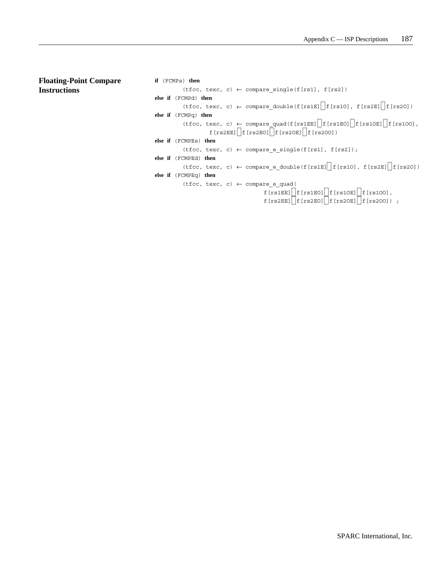**Floating-Point Compare Instructions**

```
if (FCMPs) then
         (tfcc, texc, c) \leftarrow compare_single(f[rs1], f[rs2])
else if (FCMPd) then
         (tfcc, texc, c) \leftarrow compare_double(f[rs1E][f[rs10], f[rs2E][f[rs20])
else if (FCMPq) then
         (tfcc, texc, c) \leftarrow compare_quad(f[rs1EE][f[rs1EO][f[rs1OE][f[rs1OO],
                  f[rs2EE]\nF[rs2EO]\nF[rs2OE]\nF[rs20E]\nF[rs200]else if (FCMPEs) then
         (tfcc, texc, c) \leftarrow compare_e_single(f[rs1], f[rs2]);
else if (FCMPEd) then
         (tfcc, texc, c) \leftarrow compare_e_double(f[rs1E][f[rs1O], f[rs2E][f[rs2O])
else if (FCMPEq) then
         (tfcc, texc, c) \leftarrow compare_e_quad(
                                      f[rs1EE]\left[f[rs1E0]\right]f[rs10E]\left[f[rs100]\right],
                                      f[rs2EE] f[rs2E0] f[rs20E] f[rs200] ;
```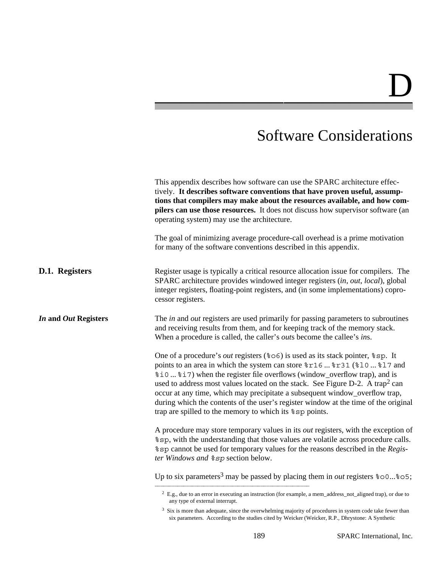# Software Considerations

|                      | This appendix describes how software can use the SPARC architecture effec-<br>tively. It describes software conventions that have proven useful, assump-<br>tions that compilers may make about the resources available, and how com-<br>pilers can use those resources. It does not discuss how supervisor software (an<br>operating system) may use the architecture.                                                                                                                                                                                                                                                             |  |
|----------------------|-------------------------------------------------------------------------------------------------------------------------------------------------------------------------------------------------------------------------------------------------------------------------------------------------------------------------------------------------------------------------------------------------------------------------------------------------------------------------------------------------------------------------------------------------------------------------------------------------------------------------------------|--|
|                      | The goal of minimizing average procedure-call overhead is a prime motivation<br>for many of the software conventions described in this appendix.                                                                                                                                                                                                                                                                                                                                                                                                                                                                                    |  |
| D.1. Registers       | Register usage is typically a critical resource allocation issue for compilers. The<br>SPARC architecture provides windowed integer registers (in, out, local), global<br>integer registers, floating-point registers, and (in some implementations) copro-<br>cessor registers.                                                                                                                                                                                                                                                                                                                                                    |  |
| In and Out Registers | The <i>in</i> and <i>out</i> registers are used primarily for passing parameters to subroutines<br>and receiving results from them, and for keeping track of the memory stack.<br>When a procedure is called, the caller's outs become the callee's ins.                                                                                                                                                                                                                                                                                                                                                                            |  |
|                      | One of a procedure's <i>out</i> registers ( $\text{*} \circ \text{6}$ ) is used as its stack pointer, $\text{*} \text{sp}$ . It<br>points to an area in which the system can store $r16$ $r31$ (\$10 $17$ and<br>%10%17) when the register file overflows (window_overflow trap), and is<br>used to address most values located on the stack. See Figure D-2. A trap <sup>2</sup> can<br>occur at any time, which may precipitate a subsequent window_overflow trap,<br>during which the contents of the user's register window at the time of the original<br>trap are spilled to the memory to which its $\frac{1}{2}$ sp points. |  |
|                      | A procedure may store temporary values in its <i>out</i> registers, with the exception of<br>% sp, with the understanding that those values are volatile across procedure calls.<br>% sp cannot be used for temporary values for the reasons described in the Regis-<br>ter Windows and %sp section below.                                                                                                                                                                                                                                                                                                                          |  |
|                      | Up to six parameters <sup>3</sup> may be passed by placing them in <i>out</i> registers $\textdegree$ 00 $\textdegree$ 05;                                                                                                                                                                                                                                                                                                                                                                                                                                                                                                          |  |

<sup>2</sup> E.g., due to an error in executing an instruction (for example, a mem\_address\_not\_aligned trap), or due to any type of external interrupt.

<sup>3</sup> Six is more than adequate, since the overwhelming majority of procedures in system code take fewer than six parameters. According to the studies cited by Weicker (Weicker, R.P., Dhrystone: A Synthetic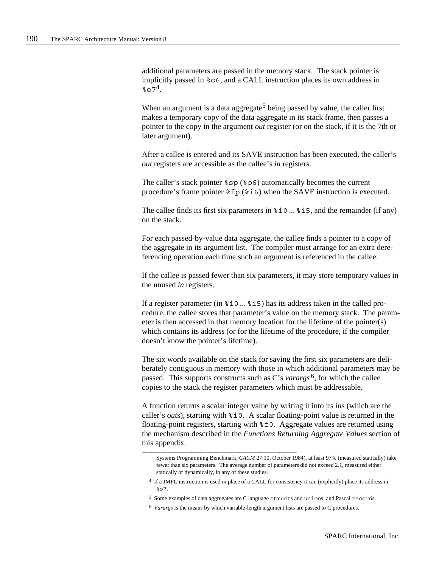additional parameters are passed in the memory stack. The stack pointer is implicitly passed in %o6, and a CALL instruction places its own address in  $\approx$  07<sup>4</sup>

When an argument is a data aggregate<sup>5</sup> being passed by value, the caller first makes a temporary copy of the data aggregate in its stack frame, then passes a pointer to the copy in the argument *out* register (or on the stack, if it is the 7th or later argument).

After a callee is entered and its SAVE instruction has been executed, the caller's *out* registers are accessible as the callee's *in* registers.

The caller's stack pointer %sp (%o6) automatically becomes the current procedure's frame pointer %fp (%i6) when the SAVE instruction is executed.

The callee finds its first six parameters in  $\text{\$i0...}\text{\$i5, and the remainder (if any)}$ on the stack.

For each passed-by-value data aggregate, the callee finds a pointer to a copy of the aggregate in its argument list. The compiler must arrange for an extra dereferencing operation each time such an argument is referenced in the callee.

If the callee is passed fewer than six parameters, it may store temporary values in the unused *in* registers.

If a register parameter (in %i0 ... %i5) has its address taken in the called procedure, the callee stores that parameter's value on the memory stack. The parameter is then accessed in that memory location for the lifetime of the pointer(s) which contains its address (or for the lifetime of the procedure, if the compiler doesn't know the pointer's lifetime).

The six words available on the stack for saving the first six parameters are deliberately contiguous in memory with those in which additional parameters may be passed. This supports constructs such as C's *varargs* 6, for which the callee copies to the stack the register parameters which must be addressable.

A function returns a scalar integer value by writing it into its *in*s (which are the caller's *out*s), starting with %i0. A scalar floating-point value is returned in the floating-point registers, starting with %f0. Aggregate values are returned using the mechanism described in the *Functions Returning Aggregate Values* section of this appendix.

<sup>5</sup> Some examples of data aggregates are C language structs and unions, and Pascal records.

Systems Programming Benchmark, *CACM* 27:10, October 1984), at least 97% (measured statically) take fewer than six parameters. The average number of parameters did not exceed 2.1, measured either statically or dynamically, in any of these studies.

<sup>4</sup> If a JMPL instruction is used in place of a CALL for consistency it can (explicitly) place its address in  $807.$ 

<sup>6</sup> *Varargs* is the means by which variable-length argument lists are passed to C procedures.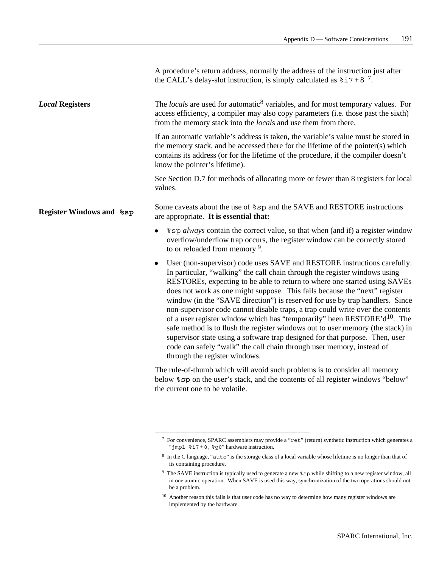|                                 | A procedure's return address, normally the address of the instruction just after<br>the CALL's delay-slot instruction, is simply calculated as $\frac{2}{3}$ i 7 + 8 <sup>7</sup> .                                                                                                                                                                                                                                                                                                                                                                                                                                                                                                                                                                                                                                                                                  |  |  |
|---------------------------------|----------------------------------------------------------------------------------------------------------------------------------------------------------------------------------------------------------------------------------------------------------------------------------------------------------------------------------------------------------------------------------------------------------------------------------------------------------------------------------------------------------------------------------------------------------------------------------------------------------------------------------------------------------------------------------------------------------------------------------------------------------------------------------------------------------------------------------------------------------------------|--|--|
| <b>Local Registers</b>          | The locals are used for automatic <sup>8</sup> variables, and for most temporary values. For<br>access efficiency, a compiler may also copy parameters (i.e. those past the sixth)<br>from the memory stack into the <i>locals</i> and use them from there.                                                                                                                                                                                                                                                                                                                                                                                                                                                                                                                                                                                                          |  |  |
|                                 | If an automatic variable's address is taken, the variable's value must be stored in<br>the memory stack, and be accessed there for the lifetime of the pointer(s) which<br>contains its address (or for the lifetime of the procedure, if the compiler doesn't<br>know the pointer's lifetime).                                                                                                                                                                                                                                                                                                                                                                                                                                                                                                                                                                      |  |  |
|                                 | See Section D.7 for methods of allocating more or fewer than 8 registers for local<br>values.                                                                                                                                                                                                                                                                                                                                                                                                                                                                                                                                                                                                                                                                                                                                                                        |  |  |
| <b>Register Windows and %sp</b> | Some caveats about the use of % sp and the SAVE and RESTORE instructions<br>are appropriate. It is essential that:                                                                                                                                                                                                                                                                                                                                                                                                                                                                                                                                                                                                                                                                                                                                                   |  |  |
|                                 | % sp <i>always</i> contain the correct value, so that when (and if) a register window<br>$\bullet$<br>overflow/underflow trap occurs, the register window can be correctly stored<br>to or reloaded from memory 9.                                                                                                                                                                                                                                                                                                                                                                                                                                                                                                                                                                                                                                                   |  |  |
|                                 | User (non-supervisor) code uses SAVE and RESTORE instructions carefully.<br>$\bullet$<br>In particular, "walking" the call chain through the register windows using<br>RESTOREs, expecting to be able to return to where one started using SAVEs<br>does not work as one might suppose. This fails because the "next" register<br>window (in the "SAVE direction") is reserved for use by trap handlers. Since<br>non-supervisor code cannot disable traps, a trap could write over the contents<br>of a user register window which has "temporarily" been RESTORE'd <sup>10</sup> . The<br>safe method is to flush the register windows out to user memory (the stack) in<br>supervisor state using a software trap designed for that purpose. Then, user<br>code can safely "walk" the call chain through user memory, instead of<br>through the register windows. |  |  |
|                                 | The rule-of-thumb which will avoid such problems is to consider all memory<br>below $\text{\$sp}$ on the user's stack, and the contents of all register windows "below"<br>the current one to be volatile.                                                                                                                                                                                                                                                                                                                                                                                                                                                                                                                                                                                                                                                           |  |  |
|                                 |                                                                                                                                                                                                                                                                                                                                                                                                                                                                                                                                                                                                                                                                                                                                                                                                                                                                      |  |  |

<sup>7</sup> For convenience, SPARC assemblers may provide a "ret" (return) synthetic instruction which generates a "jmpl %i7+ 8, %g0" hardware instruction.

<sup>8</sup> In the C language, "auto" is the storage class of a local variable whose lifetime is no longer than that of its containing procedure.

<sup>&</sup>lt;sup>9</sup> The SAVE instruction is typically used to generate a new %sp while shifting to a new register window, all in one atomic operation. When SAVE is used this way, synchronization of the two operations should not be a problem.

<sup>&</sup>lt;sup>10</sup> Another reason this fails is that user code has no way to determine how many register windows are implemented by the hardware.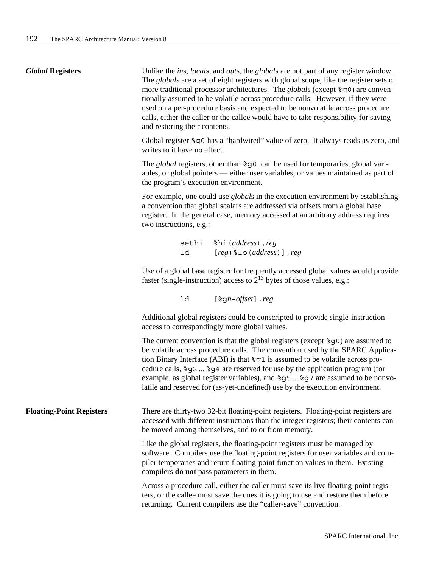| <b>Global Registers</b>         | Unlike the <i>ins</i> , <i>locals</i> , and <i>outs</i> , the <i>globals</i> are not part of any register window.<br>The <i>globals</i> are a set of eight registers with global scope, like the register sets of<br>more traditional processor architectures. The <i>globals</i> (except $\text{*g0}$ ) are conven-<br>tionally assumed to be volatile across procedure calls. However, if they were<br>used on a per-procedure basis and expected to be nonvolatile across procedure<br>calls, either the caller or the callee would have to take responsibility for saving<br>and restoring their contents. |  |  |  |
|---------------------------------|----------------------------------------------------------------------------------------------------------------------------------------------------------------------------------------------------------------------------------------------------------------------------------------------------------------------------------------------------------------------------------------------------------------------------------------------------------------------------------------------------------------------------------------------------------------------------------------------------------------|--|--|--|
|                                 | Global register $\frac{1}{2}$ g0 has a "hardwired" value of zero. It always reads as zero, and<br>writes to it have no effect.                                                                                                                                                                                                                                                                                                                                                                                                                                                                                 |  |  |  |
|                                 | The <i>global</i> registers, other than $\frac{1}{2}$ o, can be used for temporaries, global vari-<br>ables, or global pointers — either user variables, or values maintained as part of<br>the program's execution environment.                                                                                                                                                                                                                                                                                                                                                                               |  |  |  |
|                                 | For example, one could use <i>globals</i> in the execution environment by establishing<br>a convention that global scalars are addressed via offsets from a global base<br>register. In the general case, memory accessed at an arbitrary address requires<br>two instructions, e.g.:                                                                                                                                                                                                                                                                                                                          |  |  |  |
|                                 | sethi<br>%hi(address), reg<br>ld<br>$[reg+810 (address)]$ , reg                                                                                                                                                                                                                                                                                                                                                                                                                                                                                                                                                |  |  |  |
|                                 | Use of a global base register for frequently accessed global values would provide<br>faster (single-instruction) access to $2^{13}$ bytes of those values, e.g.:                                                                                                                                                                                                                                                                                                                                                                                                                                               |  |  |  |
|                                 | $[$ *gn+offset], reg<br>ld                                                                                                                                                                                                                                                                                                                                                                                                                                                                                                                                                                                     |  |  |  |
|                                 | Additional global registers could be conscripted to provide single-instruction<br>access to correspondingly more global values.                                                                                                                                                                                                                                                                                                                                                                                                                                                                                |  |  |  |
|                                 | The current convention is that the global registers (except $\text{\$g0}$ ) are assumed to<br>be volatile across procedure calls. The convention used by the SPARC Applica-<br>tion Binary Interface (ABI) is that $g_1$ is assumed to be volatile across pro-<br>cedure calls, $\frac{1}{2}$ g2 $\frac{1}{2}$ g4 are reserved for use by the application program (for<br>example, as global register variables), and $sg5$ $sg7$ are assumed to be nonvo-<br>latile and reserved for (as-yet-undefined) use by the execution environment.                                                                     |  |  |  |
| <b>Floating-Point Registers</b> | There are thirty-two 32-bit floating-point registers. Floating-point registers are<br>accessed with different instructions than the integer registers; their contents can<br>be moved among themselves, and to or from memory.                                                                                                                                                                                                                                                                                                                                                                                 |  |  |  |
|                                 | Like the global registers, the floating-point registers must be managed by<br>software. Compilers use the floating-point registers for user variables and com-<br>piler temporaries and return floating-point function values in them. Existing<br>compilers do not pass parameters in them.                                                                                                                                                                                                                                                                                                                   |  |  |  |
|                                 | Across a procedure call, either the caller must save its live floating-point regis-<br>ters, or the callee must save the ones it is going to use and restore them before<br>returning. Current compilers use the "caller-save" convention.                                                                                                                                                                                                                                                                                                                                                                     |  |  |  |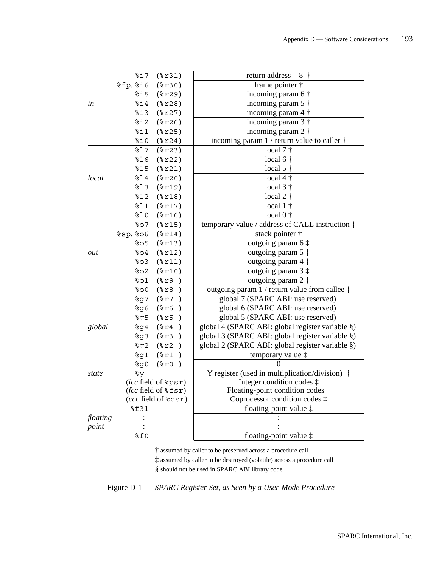|          | %i7                                            | $(*r31)$                 | return address $-8$ †                                    |  |
|----------|------------------------------------------------|--------------------------|----------------------------------------------------------|--|
|          | %fp, %i6                                       | $(*r30)$                 | frame pointer †                                          |  |
|          | %i5                                            | $(*r29)$                 | incoming param 6 †                                       |  |
| in       | %i4                                            | $(*r28)$                 | incoming param 5 $\dagger$                               |  |
|          | %i3                                            | $(*r27)$                 | incoming param 4 $\dagger$                               |  |
|          | %12                                            | $(*r26)$                 | incoming param $3\dagger$                                |  |
|          | %i1                                            | $(*r25)$                 | incoming param $2\dagger$                                |  |
|          | %i0                                            | $(*r24)$                 | incoming param $1/$ return value to caller $\dagger$     |  |
|          | 817                                            | $(*r23)$                 | local $7$ $\dagger$                                      |  |
|          | 816                                            | $(*r22)$                 | local $6\dagger$                                         |  |
|          | 815                                            | $(*r21)$                 | local $5$ $\dagger$                                      |  |
| local    | 814                                            | $(*r20)$                 | local $4\dagger$                                         |  |
|          | 813                                            | $(*r19)$                 | local $3$ $\dagger$                                      |  |
|          | 812                                            | $(*r18)$                 | local 2 <sup>†</sup>                                     |  |
|          | 811                                            | $(*r17)$                 | local $1$ $\dagger$                                      |  |
|          | 810                                            | $(*r16)$                 | local $0$ $\dagger$                                      |  |
|          | 807                                            | $(*r15)$                 | temporary value / address of CALL instruction $\ddagger$ |  |
|          | \$sp, \$06                                     | $(*r14)$                 | stack pointer †                                          |  |
|          | %၀5                                            | $(*r13)$                 | outgoing param 6 ‡                                       |  |
| out      | outgoing param 5 $\ddagger$<br>$(*r12)$<br>804 |                          |                                                          |  |
|          | %೦3                                            | $(*r11)$                 | outgoing param 4 $\ddagger$                              |  |
|          | %೦2                                            | $(*r10)$                 | outgoing param 3 ‡                                       |  |
|          | %01                                            | $(*r9)$                  | outgoing param 2 $\ddagger$                              |  |
|          | 800                                            | $(*r8)$<br>$\rightarrow$ | outgoing param 1 / return value from callee $\ddagger$   |  |
|          | 8g7                                            | $(*r7)$                  | global 7 (SPARC ABI: use reserved)                       |  |
|          | 8q6                                            | $(*r6$<br>$\rightarrow$  | global 6 (SPARC ABI: use reserved)                       |  |
|          | %g5                                            | $(*r5$<br>$\rightarrow$  | global 5 (SPARC ABI: use reserved)                       |  |
| global   | 8g4                                            | $(*r4)$<br>$\rightarrow$ | global 4 (SPARC ABI: global register variable §)         |  |
|          | $\S$ g3                                        | $(*r3)$<br>$\rightarrow$ | global 3 (SPARC ABI: global register variable §)         |  |
|          | 8q2                                            | $(*r2)$<br>$\rightarrow$ | global 2 (SPARC ABI: global register variable §)         |  |
|          | $\Sg1$                                         | $(*r1$<br>$\rightarrow$  | temporary value $\ddagger$                               |  |
|          | 890                                            | $(*r0$                   | 0                                                        |  |
| state    | %ş                                             |                          | Y register (used in multiplication/division) $\ddagger$  |  |
|          |                                                | (icc field of %psr)      | Integer condition codes $\ddagger$                       |  |
|          | (fcc field of %fsr)                            |                          | Floating-point condition codes $\ddagger$                |  |
|          |                                                | (ccc field of %csr)      | Coprocessor condition codes $\ddagger$                   |  |
|          | \$E31                                          |                          | floating-point value $\ddagger$                          |  |
| floating |                                                |                          |                                                          |  |
| point    |                                                |                          |                                                          |  |
|          | %f0                                            |                          | floating-point value $\ddagger$                          |  |

† assumed by caller to be preserved across a procedure call

‡ assumed by caller to be destroyed (volatile) across a procedure call

§ should not be used in SPARC ABI library code

Figure D-1 *SPARC Register Set, as Seen by a User-Mode Procedure*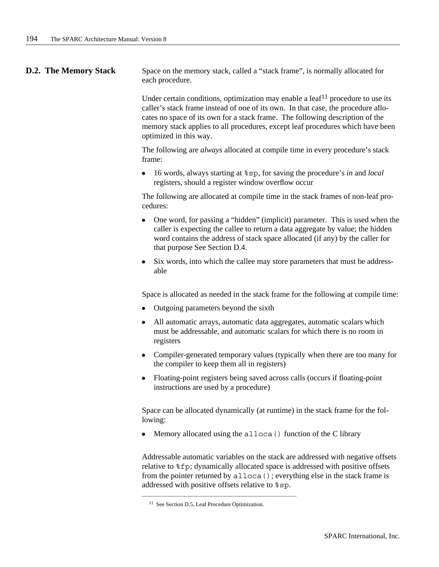## **D.2. The Memory Stack** Space on the memory stack, called a "stack frame", is normally allocated for each procedure.

Under certain conditions, optimization may enable a leaf<sup>11</sup> procedure to use its caller's stack frame instead of one of its own. In that case, the procedure allocates no space of its own for a stack frame. The following description of the memory stack applies to all procedures, except leaf procedures which have been optimized in this way.

The following are *always* allocated at compile time in every procedure's stack frame:

 $\bullet$  16 words, always starting at %sp, for saving the procedure's *in* and *local* registers, should a register window overflow occur

The following are allocated at compile time in the stack frames of non-leaf procedures:

- - One word, for passing a "hidden" (implicit) parameter. This is used when the caller is expecting the callee to return a data aggregate by value; the hidden word contains the address of stack space allocated (if any) by the caller for that purpose See Section D.4.
- Six words, into which the callee may store parameters that must be addressable

Space is allocated as needed in the stack frame for the following at compile time:

- -Outgoing parameters beyond the sixth
- All automatic arrays, automatic data aggregates, automatic scalars which must be addressable, and automatic scalars for which there is no room in registers
- Compiler-generated temporary values (typically when there are too many for the compiler to keep them all in registers)
- Floating-point registers being saved across calls (occurs if floating-point instructions are used by a procedure)

Space can be allocated dynamically (at runtime) in the stack frame for the following:

- Memory allocated using the alloca() function of the C library

Addressable automatic variables on the stack are addressed with negative offsets relative to %fp; dynamically allocated space is addressed with positive offsets from the pointer returned by alloca(); everything else in the stack frame is addressed with positive offsets relative to %sp.

<sup>11</sup> See Section D.5, Leaf Procedure Optimization.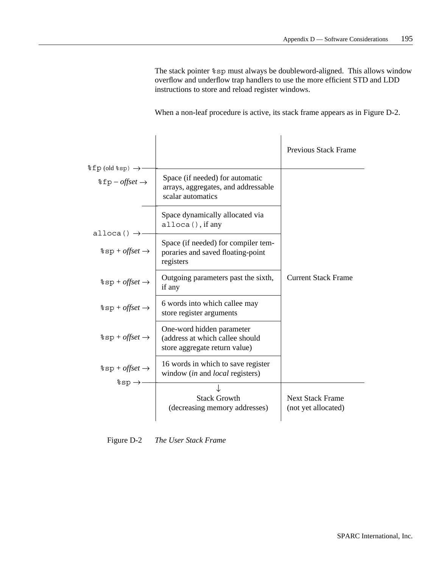The stack pointer %sp must always be doubleword-aligned. This allows window overflow and underflow trap handlers to use the more efficient STD and LDD instructions to store and reload register windows.

When a non-leaf procedure is active, its stack frame appears as in Figure D-2.

|                                                                          |                                                                                               | <b>Previous Stack Frame</b>                    |  |
|--------------------------------------------------------------------------|-----------------------------------------------------------------------------------------------|------------------------------------------------|--|
| $$fp$ (old $~sp) \rightarrow$<br>$\frac{1}{2}$ fp – offset $\rightarrow$ | Space (if needed) for automatic<br>arrays, aggregates, and addressable<br>scalar automatics   |                                                |  |
| $\text{alloc}( ) \rightarrow$                                            | Space dynamically allocated via<br>alloca(), if any                                           |                                                |  |
| $s$ sp + <i>offset</i> $\rightarrow$                                     | Space (if needed) for compiler tem-<br>poraries and saved floating-point<br>registers         |                                                |  |
| $s$ sp + <i>offset</i> $\rightarrow$                                     | Outgoing parameters past the sixth,<br>if any                                                 |                                                |  |
| $s$ sp + <i>offset</i> $\rightarrow$                                     | 6 words into which callee may<br>store register arguments                                     |                                                |  |
| $s$ sp + <i>offset</i> $\rightarrow$                                     | One-word hidden parameter<br>(address at which callee should<br>store aggregate return value) |                                                |  |
| $s$ sp + offset $\rightarrow$<br>$\texttt{\$sp} \rightarrow \texttt{\$}$ | 16 words in which to save register<br>window (in and local registers)                         |                                                |  |
|                                                                          | <b>Stack Growth</b><br>(decreasing memory addresses)                                          | <b>Next Stack Frame</b><br>(not yet allocated) |  |

Figure D-2 *The User Stack Frame*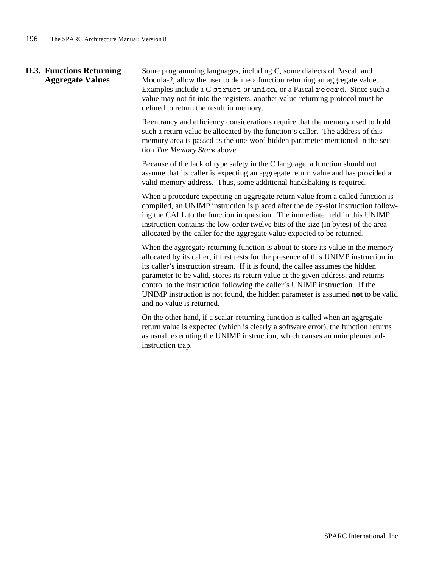## **D.3. Functions Returning Aggregate Values**

Some programming languages, including C, some dialects of Pascal, and Modula-2, allow the user to define a function returning an aggregate value. Examples include a C struct or union, or a Pascal record. Since such a value may not fit into the registers, another value-returning protocol must be defined to return the result in memory.

Reentrancy and efficiency considerations require that the memory used to hold such a return value be allocated by the function's caller. The address of this memory area is passed as the one-word hidden parameter mentioned in the section *The Memory Stack* above.

Because of the lack of type safety in the C language, a function should not assume that its caller is expecting an aggregate return value and has provided a valid memory address. Thus, some additional handshaking is required.

When a procedure expecting an aggregate return value from a called function is compiled, an UNIMP instruction is placed after the delay-slot instruction following the CALL to the function in question. The immediate field in this UNIMP instruction contains the low-order twelve bits of the size (in bytes) of the area allocated by the caller for the aggregate value expected to be returned.

When the aggregate-returning function is about to store its value in the memory allocated by its caller, it first tests for the presence of this UNIMP instruction in its caller's instruction stream. If it is found, the callee assumes the hidden parameter to be valid, stores its return value at the given address, and returns control to the instruction following the caller's UNIMP instruction. If the UNIMP instruction is not found, the hidden parameter is assumed **not** to be valid and no value is returned.

On the other hand, if a scalar-returning function is called when an aggregate return value is expected (which is clearly a software error), the function returns as usual, executing the UNIMP instruction, which causes an unimplementedinstruction trap.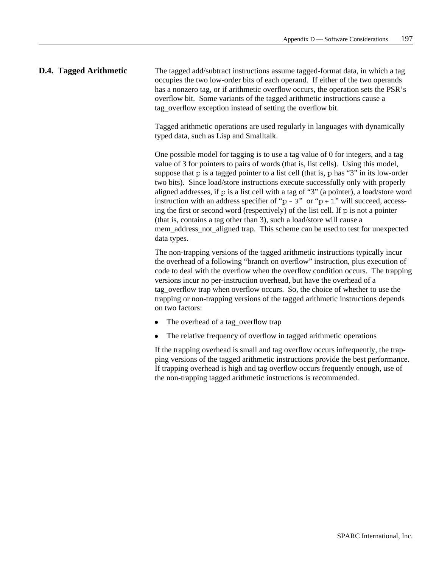**D.4. Tagged Arithmetic** The tagged add/subtract instructions assume tagged-format data, in which a tag occupies the two low-order bits of each operand. If either of the two operands has a nonzero tag, or if arithmetic overflow occurs, the operation sets the PSR's overflow bit. Some variants of the tagged arithmetic instructions cause a tag\_overflow exception instead of setting the overflow bit.

> Tagged arithmetic operations are used regularly in languages with dynamically typed data, such as Lisp and Smalltalk.

One possible model for tagging is to use a tag value of 0 for integers, and a tag value of 3 for pointers to pairs of words (that is, list cells). Using this model, suppose that  $p$  is a tagged pointer to a list cell (that is,  $p$  has "3" in its low-order two bits). Since load/store instructions execute successfully only with properly aligned addresses, if p is a list cell with a tag of "3" (a pointer), a load/store word instruction with an address specifier of "p - 3" or "p + 1" will succeed, accessing the first or second word (respectively) of the list cell. If p is not a pointer (that is, contains a tag other than 3), such a load/store will cause a mem\_address\_not\_aligned trap. This scheme can be used to test for unexpected data types.

The non-trapping versions of the tagged arithmetic instructions typically incur the overhead of a following "branch on overflow" instruction, plus execution of code to deal with the overflow when the overflow condition occurs. The trapping versions incur no per-instruction overhead, but have the overhead of a tag\_overflow trap when overflow occurs. So, the choice of whether to use the trapping or non-trapping versions of the tagged arithmetic instructions depends on two factors:

- -The overhead of a tag\_overflow trap
- -The relative frequency of overflow in tagged arithmetic operations

If the trapping overhead is small and tag overflow occurs infrequently, the trapping versions of the tagged arithmetic instructions provide the best performance. If trapping overhead is high and tag overflow occurs frequently enough, use of the non-trapping tagged arithmetic instructions is recommended.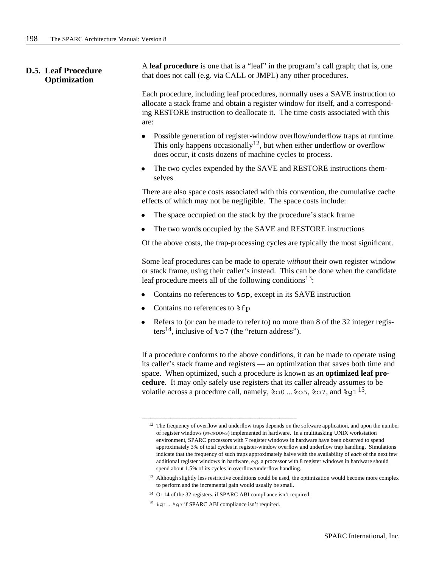## **D.5. Leaf Procedure Optimization**

A **leaf procedure** is one that is a "leaf" in the program's call graph; that is, one that does not call (e.g. via CALL or JMPL) any other procedures.

Each procedure, including leaf procedures, normally uses a SAVE instruction to allocate a stack frame and obtain a register window for itself, and a corresponding RESTORE instruction to deallocate it. The time costs associated with this are:

- - Possible generation of register-window overflow/underflow traps at runtime. This only happens occasionally<sup>12</sup>, but when either underflow or overflow does occur, it costs dozens of machine cycles to process.
- The two cycles expended by the SAVE and RESTORE instructions themselves

There are also space costs associated with this convention, the cumulative cache effects of which may not be negligible. The space costs include:

- -The space occupied on the stack by the procedure's stack frame
- -The two words occupied by the SAVE and RESTORE instructions

Of the above costs, the trap-processing cycles are typically the most significant.

Some leaf procedures can be made to operate *without* their own register window or stack frame, using their caller's instead. This can be done when the candidate leaf procedure meets all of the following conditions<sup>13</sup>:

- -Contains no references to %sp, except in its SAVE instruction
- -Contains no references to %fp
- $\bullet$  Refers to (or can be made to refer to) no more than 8 of the 32 integer registers<sup>14</sup>, inclusive of  $\textdegree$  o7 (the "return address").

If a procedure conforms to the above conditions, it can be made to operate using its caller's stack frame and registers — an optimization that saves both time and space. When optimized, such a procedure is known as an **optimized leaf procedure**. It may only safely use registers that its caller already assumes to be volatile across a procedure call, namely,  $\text{\$o0} \dots \text{\$o5}, \text{\$o7}, \text{and } \text{\$g1}^{15}.$ 

- <sup>14</sup> Or 14 of the 32 registers, if SPARC ABI compliance isn't required.
- <sup>15</sup> %g1... %g7 if SPARC ABI compliance isn't required.

<u> 2000 - 2000 - 2000 - 2000 - 2000 - 2000 - 2000 - 2000 - 2000 - 2000 - 2000 - 2000 - 2000 - 2000 - 2000 - 200</u>

<sup>&</sup>lt;sup>12</sup> The frequency of overflow and underflow traps depends on the software application, and upon the number of register windows (*NWINDOWS*) implemented in hardware. In a multitasking UNIX workstation environment, SPARC processors with 7 register windows in hardware have been observed to spend approximately 3% of total cycles in register-window overflow and underflow trap handling. Simulations indicate that the frequency of such traps approximately halve with the availability of *each* of the next few additional register windows in hardware, e.g. a processor with 8 register windows in hardware should spend about 1.5% of its cycles in overflow/underflow handling.

<sup>&</sup>lt;sup>13</sup> Although slightly less restrictive conditions could be used, the optimization would become more complex to perform and the incremental gain would usually be small.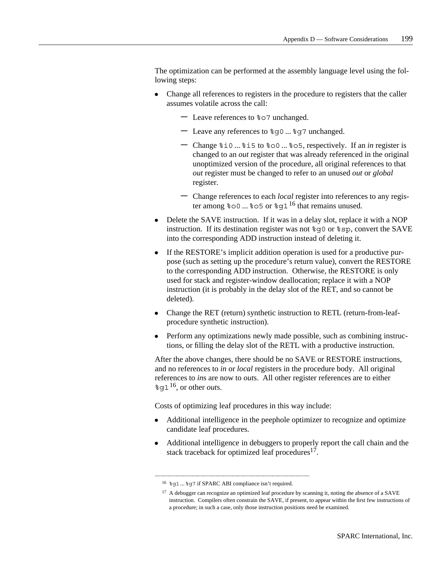The optimization can be performed at the assembly language level using the following steps:

- Change all references to registers in the procedure to registers that the caller assumes volatile across the call:
	- Leave references to %o7 unchanged.
	- Leave any references to %g0 ... %g7 unchanged.
	- Change %i0 ... %i5 to %o0 ... %o5, respectively. If an *in* register is changed to an *out* register that was already referenced in the original unoptimized version of the procedure, all original references to that *out* register must be changed to refer to an unused *out* or *global* register.
	- Change references to each *local* register into references to any register among  $\textdegree{00}$  ...  $\textdegree{05}$  or  $\textdegree{01}^{16}$  that remains unused.
- $\bullet$  Delete the SAVE instruction. If it was in a delay slot, replace it with a NOP instruction. If its destination register was not %g0 or %sp, convert the SAVE into the corresponding ADD instruction instead of deleting it.
- $\bullet$  If the RESTORE's implicit addition operation is used for a productive purpose (such as setting up the procedure's return value), convert the RESTORE to the corresponding ADD instruction. Otherwise, the RESTORE is only used for stack and register-window deallocation; replace it with a NOP instruction (it is probably in the delay slot of the RET, and so cannot be deleted).
- Change the RET (return) synthetic instruction to RETL (return-from-leafprocedure synthetic instruction).
- Perform any optimizations newly made possible, such as combining instructions, or filling the delay slot of the RETL with a productive instruction.

After the above changes, there should be no SAVE or RESTORE instructions, and no references to *in* or *local* registers in the procedure body. All original references to *in*s are now to *out*s. All other register references are to either  $\text{\$q1}^{16}$ , or other *outs*.

Costs of optimizing leaf procedures in this way include:

- $\bullet$  Additional intelligence in the peephole optimizer to recognize and optimize candidate leaf procedures.
- $\bullet$  Additional intelligence in debuggers to properly report the call chain and the stack traceback for optimized leaf procedures<sup>17</sup>.

<sup>&</sup>lt;u> 2000 - 2000 - 2000 - 2000 - 2000 - 2000 - 2000 - 2000 - 2000 - 2000 - 2000 - 2000 - 2000 - 2000 - 2000 - 200</u> <sup>16</sup> %g1... %g7 if SPARC ABI compliance isn't required.

<sup>&</sup>lt;sup>17</sup> A debugger can recognize an optimized leaf procedure by scanning it, noting the absence of a SAVE instruction. Compilers often constrain the SAVE, if present, to appear within the first few instructions of a procedure; in such a case, only those instruction positions need be examined.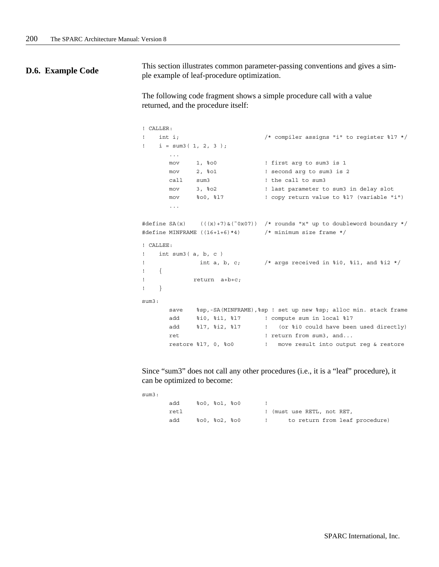sum

**D.6. Example Code** This section illustrates common parameter-passing conventions and gives a simple example of leaf-procedure optimization.

> The following code fragment shows a simple procedure call with a value returned, and the procedure itself:

```
! CALLER:
! int i; /* compiler assigns "i" to register %l7 */
\frac{1}{1} = sum3(1, 2, 3);
      ...
      mov 1, %o0 ! first arg to sum3 is 1
      mov 2, %01 ! second arg to sum3 is 2
      call sum3 ! the call to sum3
      mov 3, %o2 ! last parameter to sum3 in delay slot
      mov %o0, %l7 ! copy return value to %l7 (variable "i")
      ...
#define SA(x) ((x)+7) \& (^{^\circ}0x07)) /* rounds "x" up to doubleword boundary */
#define MINFRAME ((16+1+6)*4) /* minimum size frame */
! CALLEE:
! int sum3( a, b, c )
! int a, b, c; /* args received in %i0, %i1, and %i2 */
! {
! return a+b+c;
! }
sum3:
      save %sp,-SA(MINFRAME),%sp ! set up new %sp; alloc min. stack frame
      add %i0, %i1, %17 ! compute sum in local %17
      add %l7, %i2, %l7 ! (or %i0 could have been used directly)
      ret ! return from sum3, and...
      restore %l7, 0, %o0 ! move result into output reg & restore
```
Since "sum3" does not call any other procedures (i.e., it is a "leaf" procedure), it can be optimized to become:

| 3 : |      |               |  |                                                   |
|-----|------|---------------|--|---------------------------------------------------|
|     | add  | %oO, %o1, %oO |  |                                                   |
|     | ret1 |               |  | ! (must use RETL, not RET,                        |
|     | add  | %o0, %o2, %o0 |  | to return from leaf procedure)<br>and the company |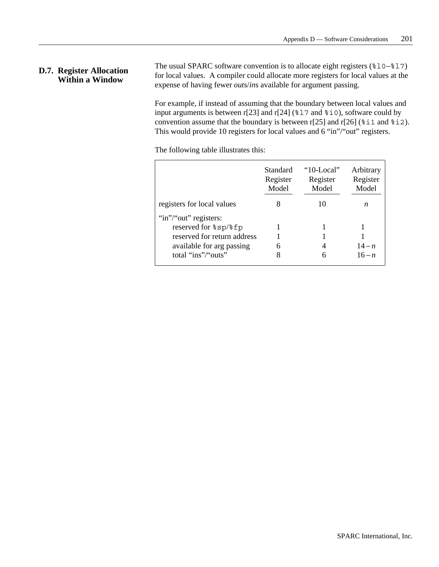## **D.7. Register Allocation Within a Window**

The usual SPARC software convention is to allocate eight registers (%10−%17) for local values. A compiler could allocate more registers for local values at the expense of having fewer *out*s/*in*s available for argument passing.

For example, if instead of assuming that the boundary between local values and input arguments is between r[23] and r[24] (%l7 and %i0), software could by convention assume that the boundary is between  $r[25]$  and  $r[26]$  ( $\text{\textless} i1$  and  $\text{\textless} i2$ ). This would provide 10 registers for local values and 6 "in"/"out" registers.

The following table illustrates this:

|                                     | Standard<br>Register<br>Model | " $10$ -Local"<br>Register<br>Model | Arbitrary<br>Register<br>Model |
|-------------------------------------|-------------------------------|-------------------------------------|--------------------------------|
| registers for local values          | 8                             | 10                                  | n                              |
| "in"/"out" registers:               |                               |                                     |                                |
| reserved for $\text{sgp}/\text{sp}$ |                               |                                     |                                |
| reserved for return address         |                               |                                     |                                |
| available for arg passing           | 6                             |                                     | $14 - n$                       |
| total "ins"/"outs"                  | 8                             |                                     | $16 - n$                       |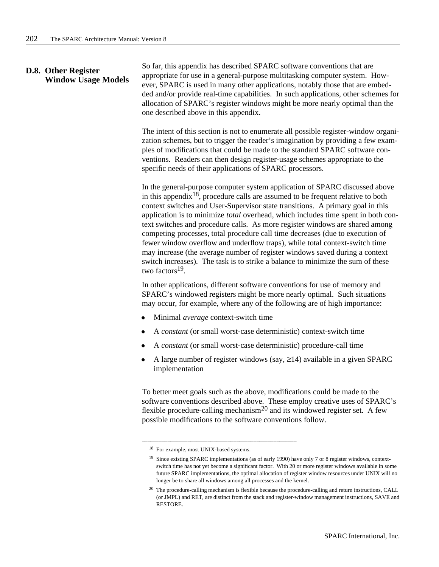## **D.8. Other Register Window Usage Models**

So far, this appendix has described SPARC software conventions that are appropriate for use in a general-purpose multitasking computer system. However, SPARC is used in many other applications, notably those that are embedded and/or provide real-time capabilities. In such applications, other schemes for allocation of SPARC's register windows might be more nearly optimal than the one described above in this appendix.

The intent of this section is not to enumerate all possible register-window organization schemes, but to trigger the reader's imagination by providing a few examples of modifications that could be made to the standard SPARC software conventions. Readers can then design register-usage schemes appropriate to the specific needs of their applications of SPARC processors.

In the general-purpose computer system application of SPARC discussed above in this appendix<sup>18</sup>, procedure calls are assumed to be frequent relative to both context switches and User-Supervisor state transitions. A primary goal in this application is to minimize *total* overhead, which includes time spent in both context switches and procedure calls. As more register windows are shared among competing processes, total procedure call time decreases (due to execution of fewer window overflow and underflow traps), while total context-switch time may increase (the average number of register windows saved during a context switch increases). The task is to strike a balance to minimize the sum of these two factors<sup>19</sup>

In other applications, different software conventions for use of memory and SPARC's windowed registers might be more nearly optimal. Such situations may occur, for example, where any of the following are of high importance:

- -Minimal *average* context-switch time
- -A *constant* (or small worst-case deterministic) context-switch time
- -A *constant* (or small worst-case deterministic) procedure-call time
- $\bullet$ A large number of register windows (say,  $\geq$ 14) available in a given SPARC implementation

To better meet goals such as the above, modifications could be made to the software conventions described above. These employ creative uses of SPARC's flexible procedure-calling mechanism<sup>20</sup> and its windowed register set. A few possible modifications to the software conventions follow.

<sup>18</sup> For example, most UNIX-based systems.

<sup>&</sup>lt;sup>19</sup> Since existing SPARC implementations (as of early 1990) have only 7 or 8 register windows, contextswitch time has not yet become a significant factor. With 20 or more register windows available in some future SPARC implementations, the optimal allocation of register window resources under UNIX will no longer be to share all windows among all processes and the kernel.

<sup>&</sup>lt;sup>20</sup> The procedure-calling mechanism is flexible because the procedure-calling and return instructions, CALL (or JMPL) and RET, are distinct from the stack and register-window management instructions, SAVE and RESTORE.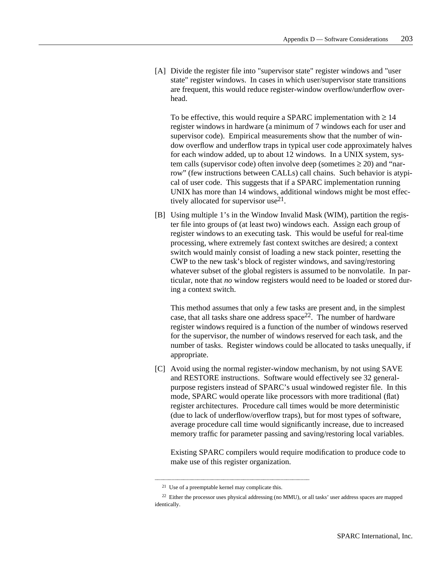[A] Divide the register file into "supervisor state" register windows and "user state" register windows. In cases in which user/supervisor state transitions are frequent, this would reduce register-window overflow/underflow overhead.

To be effective, this would require a SPARC implementation with  $\geq 14$ register windows in hardware (a minimum of 7 windows each for user and supervisor code). Empirical measurements show that the number of window overflow and underflow traps in typical user code approximately halves for each window added, up to about 12 windows. In a UNIX system, system calls (supervisor code) often involve deep (sometimes  $\geq$  20) and "narrow" (few instructions between CALLs) call chains. Such behavior is atypical of user code. This suggests that if a SPARC implementation running UNIX has more than 14 windows, additional windows might be most effectively allocated for supervisor use<sup>21</sup>.

[B] Using multiple 1's in the Window Invalid Mask (WIM), partition the register file into groups of (at least two) windows each. Assign each group of register windows to an executing task. This would be useful for real-time processing, where extremely fast context switches are desired; a context switch would mainly consist of loading a new stack pointer, resetting the CWP to the new task's block of register windows, and saving/restoring whatever subset of the global registers is assumed to be nonvolatile. In particular, note that *no* window registers would need to be loaded or stored during a context switch.

This method assumes that only a few tasks are present and, in the simplest case, that all tasks share one address space22. The number of hardware register windows required is a function of the number of windows reserved for the supervisor, the number of windows reserved for each task, and the number of tasks. Register windows could be allocated to tasks unequally, if appropriate.

[C] Avoid using the normal register-window mechanism, by not using SAVE and RESTORE instructions. Software would effectively see 32 generalpurpose registers instead of SPARC's usual windowed register file. In this mode, SPARC would operate like processors with more traditional (flat) register architectures. Procedure call times would be more deterministic (due to lack of underflow/overflow traps), but for most types of software, average procedure call time would significantly increase, due to increased memory traffic for parameter passing and saving/restoring local variables.

Existing SPARC compilers would require modification to produce code to make use of this register organization.

<sup>21</sup> Use of a preemptable kernel may complicate this.

<sup>&</sup>lt;sup>22</sup> Either the processor uses physical addressing (no MMU), or all tasks' user address spaces are mapped identically.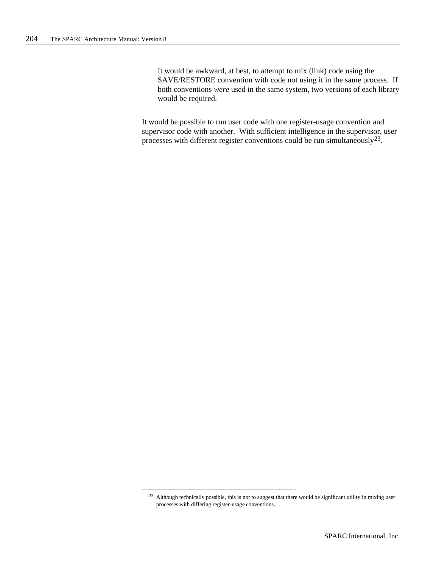It would be awkward, at best, to attempt to mix (link) code using the SAVE/RESTORE convention with code not using it in the same process. If both conventions *were* used in the same system, two versions of each library would be required.

It would be possible to run user code with one register-usage convention and supervisor code with another. With sufficient intelligence in the supervisor, user processes with different register conventions could be run simultaneously<sup>23</sup>.

<u> 2000 - 2000 - 2000 - 2000 - 2000 - 2000 - 2000 - 2000 - 2000 - 2000 - 2000 - 2000 - 2000 - 2000 - 2000 - 200</u>

<sup>&</sup>lt;sup>23</sup> Although technically possible, this is not to suggest that there would be significant utility in mixing user processes with differing register-usage conventions.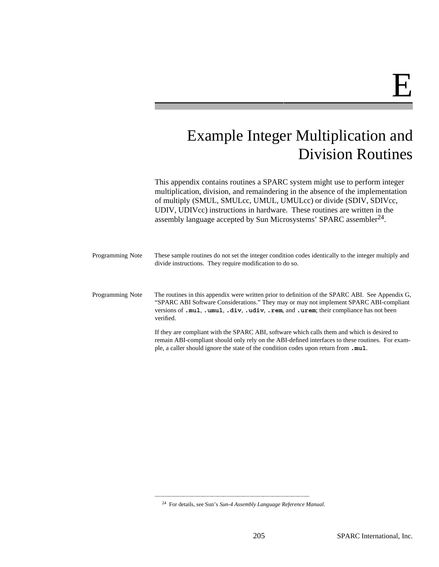# Example Integer Multiplication and Division Routines

This appendix contains routines a SPARC system might use to perform integer multiplication, division, and remaindering in the absence of the implementation of multiply (SMUL, SMULcc, UMUL, UMULcc) or divide (SDIV, SDIVcc, UDIV, UDIVcc) instructions in hardware. These routines are written in the assembly language accepted by Sun Microsystems' SPARC assembler<sup>24</sup>.

| Programming Note | These sample routines do not set the integer condition codes identically to the integer multiply and |  |  |  |
|------------------|------------------------------------------------------------------------------------------------------|--|--|--|
|                  | divide instructions. They require modification to do so.                                             |  |  |  |
|                  |                                                                                                      |  |  |  |
|                  |                                                                                                      |  |  |  |

Programming Note The routines in this appendix were written prior to definition of the SPARC ABI. See Appendix G, "SPARC ABI Software Considerations." They may or may not implement SPARC ABI-compliant versions of **.mul**, **.umul**, **.div**, **.udiv**, **.rem**, and **.urem**; their compliance has not been verified.

> If they are compliant with the SPARC ABI, software which calls them and which is desired to remain ABI-compliant should only rely on the ABI-defined interfaces to these routines. For example, a caller should ignore the state of the condition codes upon return from **.mul**.

<sup>24</sup> For details, see Sun's *Sun-4 Assembly Language Reference Manual*.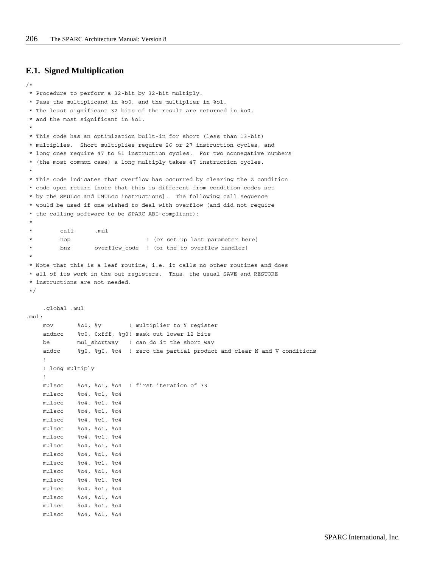### **E.1. Signed Multiplication**

```
/*
* Procedure to perform a 32-bit by 32-bit multiply.
* Pass the multiplicand in %o0, and the multiplier in %o1.
* The least significant 32 bits of the result are returned in %o0,
* and the most significant in %o1.
 *
* This code has an optimization built-in for short (less than 13-bit)
* multiplies. Short multiplies require 26 or 27 instruction cycles, and
* long ones require 47 to 51 instruction cycles. For two nonnegative numbers
* (the most common case) a long multiply takes 47 instruction cycles.
 *
* This code indicates that overflow has occurred by clearing the Z condition
* code upon return [note that this is different from condition codes set
* by the SMULcc and UMULcc instructions]. The following call sequence
* would be used if one wished to deal with overflow (and did not require
* the calling software to be SPARC ABI-compliant):
 *
* call .mul
* nop ! (or set up last parameter here)
         bnz overflow code ! (or tnz to overflow handler)
 *
* Note that this is a leaf routine; i.e. it calls no other routines and does
* all of its work in the out registers. Thus, the usual SAVE and RESTORE
* instructions are not needed.
*/
    .global .mul
m1.
    mov %o0, %y ! multiplier to Y register
    andncc %o0, 0xfff, %g0! mask out lower 12 bits
    be mul shortway ! can do it the short way
    andcc %g0, %g0, %o4 ! zero the partial product and clear N and V conditions
    !
    ! long multiply
    !
    mulscc %o4, %o1, %o4 ! first iteration of 33
    mulscc %o4, %o1, %o4
    mulscc %o4, %o1, %o4
    mulscc %o4, %o1, %o4
    mulscc %o4, %o1, %o4
    mulscc %o4, %o1, %o4
    mulscc %o4, %o1, %o4
    mulscc %o4, %o1, %o4
    mulscc %o4, %o1, %o4
    mulscc %o4, %o1, %o4
    mulscc %o4, %o1, %o4
    mulscc %o4, %o1, %o4
    mulscc %o4, %o1, %o4
    mulscc %o4, %o1, %o4
    mulscc %o4, %o1, %o4
    mulscc %o4, %o1, %o4
```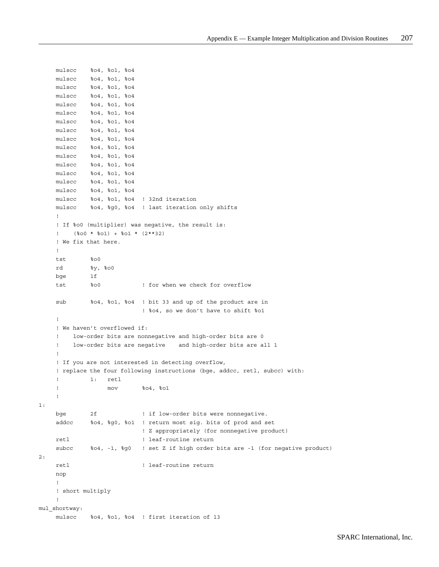```
mulscc %o4, %o1, %o4
    mulscc %o4, %o1, %o4
    mulscc %o4, %o1, %o4
    mulscc %o4, %o1, %o4
    mulscc %o4, %o1, %o4
    mulscc %o4, %o1, %o4
    mulscc %o4, %o1, %o4
    mulscc %o4, %o1, %o4
    mulscc %o4, %o1, %o4
    mulscc %o4, %o1, %o4
    mulscc %o4, %o1, %o4
    mulscc %o4, %o1, %o4
    mulscc %o4, %o1, %o4
    mulscc %o4, %o1, %o4
    mulscc %o4, %o1, %o4
    mulscc %o4, %o1, %o4 ! 32nd iteration
    mulscc %o4, %g0, %o4 ! last iteration only shifts
    !
    ! If %o0 (multiplier) was negative, the result is:
    \frac{1}{800 * 801} + 801 * (2**32)! We fix that here.
    !
    tst %o0
    rd %y, %o0
    bge 1f
    tst %o0 ! for when we check for overflow
    sub %o4, %o1, %o4 ! bit 33 and up of the product are in
                          ! %o4, so we don't have to shift %o1
    !
    ! We haven't overflowed if:
    ! low-order bits are nonnegative and high-order bits are 0
    ! low-order bits are negative and high-order bits are all 1
    !
    ! If you are not interested in detecting overflow,
    ! replace the four following instructions (bge, addcc, retl, subcc) with:
    ! 1: retl
    ! mov %o4, %o1
    !
1:
    bge 2f ! if low-order bits were nonnegative.
    addcc %o4, %g0, %o1 ! return most sig. bits of prod and set
                          ! Z appropriately (for nonnegative product)
    retl ! leaf-routine return
    subcc %o4, -1, %g0 ! set Z if high order bits are -1 (for negative product)
2:
    retl ! leaf-routine return
    nop
    !
    ! short multiply
    !
mul_shortway:
    mulscc %o4, %o1, %o4 ! first iteration of 13
```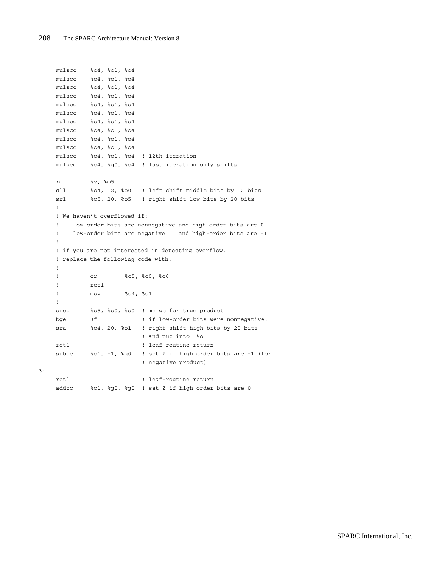3:

```
mulscc %o4, %o1, %o4
mulscc %o4, %o1, %o4
mulscc %o4, %o1, %o4
mulscc %o4, %o1, %o4
mulscc %o4, %o1, %o4
mulscc %o4, %o1, %o4
mulscc %o4, %o1, %o4
mulscc %o4, %o1, %o4
mulscc %o4, %o1, %o4
mulscc %o4, %o1, %o4
mulscc %o4, %o1, %o4 ! 12th iteration
mulscc %o4, %g0, %o4 ! last iteration only shifts
rd %y, %o5
sll %o4, 12, %o0 ! left shift middle bits by 12 bits
srl %o5, 20, %o5 ! right shift low bits by 20 bits
!
! We haven't overflowed if:
! low-order bits are nonnegative and high-order bits are 0
! low-order bits are negative and high-order bits are -1
!
! if you are not interested in detecting overflow,
! replace the following code with:
!
! or %o5, %o0, %o0
! retl
! mov %o4, %o1
!
orcc %o5, %o0, %o0 ! merge for true product
bge 3f : if low-order bits were nonnegative.
sra %o4, 20, %o1 ! right shift high bits by 20 bits
                     ! and put into %01
retl ! leaf-routine return
subcc %o1, -1, %g0 ! set Z if high order bits are -1 (for
                     ! negative product)
retl ! leaf-routine return
addcc %o1, %g0, %g0 ! set Z if high order bits are 0
```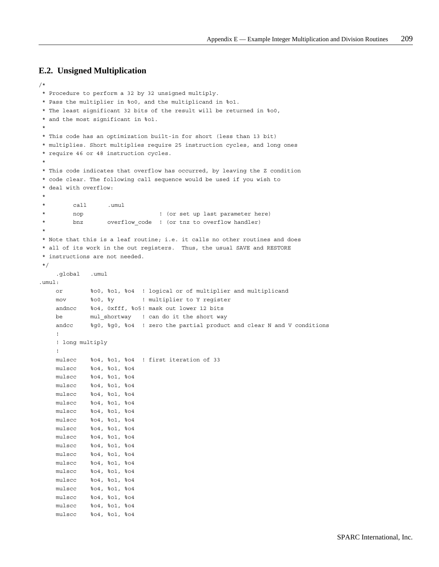## **E.2. Unsigned Multiplication**

```
/*
* Procedure to perform a 32 by 32 unsigned multiply.
* Pass the multiplier in %o0, and the multiplicand in %o1.
* The least significant 32 bits of the result will be returned in %o0,
* and the most significant in %o1.
 *
* This code has an optimization built-in for short (less than 13 bit)
* multiplies. Short multiplies require 25 instruction cycles, and long ones
 * require 46 or 48 instruction cycles.
 *
* This code indicates that overflow has occurred, by leaving the Z condition
* code clear. The following call sequence would be used if you wish to
* deal with overflow:
 *
         call .umul
         nop ! (or set up last parameter here)
         bnz overflow code ! (or tnz to overflow handler)
 *
* Note that this is a leaf routine; i.e. it calls no other routines and does
* all of its work in the out registers. Thus, the usual SAVE and RESTORE
 * instructions are not needed.
*/
    .global .umul
.umul:
    or %o0, %o1, %o4 ! logical or of multiplier and multiplicand
    mov %o0, %y ! multiplier to Y register
    andncc %o4, 0xfff, %o5! mask out lower 12 bits
    be mul shortway ! can do it the short way
    andcc %g0, %g0, %o4 ! zero the partial product and clear N and V conditions
    !
    ! long multiply
    !
    mulscc %o4, %o1, %o4 ! first iteration of 33
    mulscc %o4, %o1, %o4
    mulscc %o4, %o1, %o4
    mulscc %o4, %o1, %o4
    mulscc %o4, %o1, %o4
    mulscc %o4, %o1, %o4
    mulscc %o4, %o1, %o4
    mulscc %o4, %o1, %o4
    mulscc %o4, %o1, %o4
    mulscc %o4, %o1, %o4
    mulscc %o4, %o1, %o4
    mulscc %o4, %o1, %o4
    mulscc %o4, %o1, %o4
    mulscc %o4, %o1, %o4
    mulscc %o4, %o1, %o4
    mulscc %o4, %o1, %o4
    mulscc %o4, %o1, %o4
    mulscc %o4, %o1, %o4
    mulscc %o4, %o1, %o4
```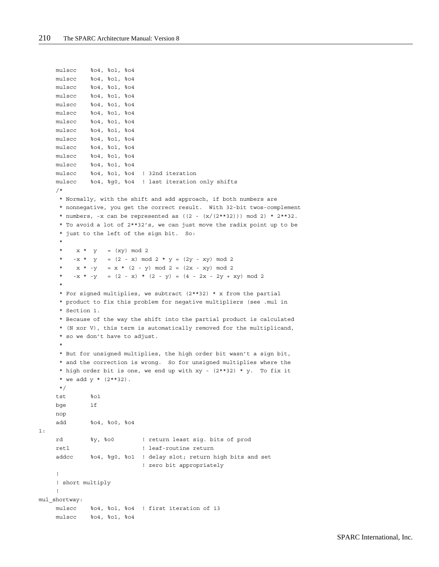mulscc %o4, %o1, %o4

```
mulscc %o4, %o1, %o4
    mulscc %o4, %o1, %o4
    mulscc %o4, %o1, %o4
    mulscc %o4, %o1, %o4
    mulscc %o4, %o1, %o4
    mulscc %o4, %o1, %o4
    mulscc %o4, %o1, %o4
    mulscc %o4, %o1, %o4
    mulscc %o4, %o1, %o4
    mulscc %o4, %o1, %o4
    mulscc %o4, %o1, %o4
    mulscc %o4, %o1, %o4 ! 32nd iteration
    mulscc %o4, %g0, %o4 ! last iteration only shifts
    /*
     * Normally, with the shift and add approach, if both numbers are
     * nonnegative, you get the correct result. With 32-bit twos-complement
     * numbers, -x can be represented as ((2 - (x/(2**32))) \mod 2) * 2**32.
     * To avoid a lot of 2**32's, we can just move the radix point up to be
     * just to the left of the sign bit. So:
      *
     * x * y = (xy) \mod 2-x * y = (2 - x) \mod 2 * y = (2y - xy) \mod 2x * -y = x * (2 - y) \mod 2 = (2x - xy) \mod 2-x * -y = (2 - x) * (2 - y) = (4 - 2x - 2y + xy) \mod 2*
     * For signed multiplies, we subtract (2**32) * x from the partial
     * product to fix this problem for negative multipliers (see .mul in
     * Section 1.
     * Because of the way the shift into the partial product is calculated
     * (N xor V), this term is automatically removed for the multiplicand,
     * so we don't have to adjust.
      *
     * But for unsigned multiplies, the high order bit wasn't a sign bit,
     * and the correction is wrong. So for unsigned multiplies where the
     * high order bit is one, we end up with xy - (2**32) * y. To fix it
     * we add y * (2**32).
     */
    tst %o1
    bge 1f
    nop
    add %o4, %o0, %o4
1:
    rd %y, %o0 ! return least sig. bits of prod
    retl ! leaf-routine return
    addcc %o4, %g0, %o1 ! delay slot; return high bits and set
                            ! zero bit appropriately
    !
    ! short multiply
    !
mul_shortway:
    mulscc %o4, %o1, %o4 ! first iteration of 13
    mulscc %o4, %o1, %o4
```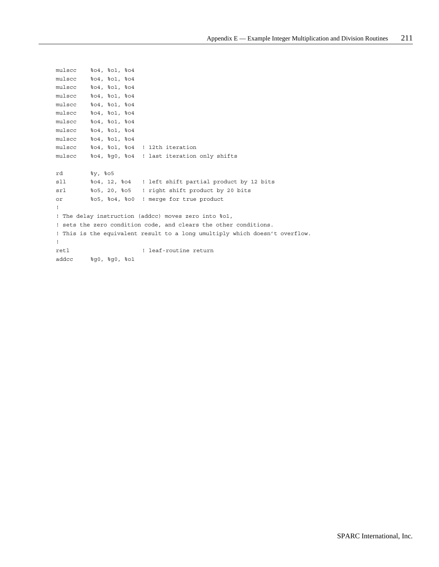```
mulscc %o4, %o1, %o4
mulscc %o4, %o1, %o4
mulscc %o4, %o1, %o4
mulscc %o4, %o1, %o4
mulscc %o4, %o1, %o4
mulscc %o4, %o1, %o4
mulscc %o4, %o1, %o4
mulscc %o4, %o1, %o4
mulscc %o4, %o1, %o4
mulscc %o4, %o1, %o4 ! 12th iteration
mulscc %o4, %g0, %o4 ! last iteration only shifts
rd %y, %o5
sll %o4, 12, %o4 ! left shift partial product by 12 bits
srl %o5, 20, %o5 ! right shift product by 20 bits
or %o5, %o4, %o0 ! merge for true product
!
! The delay instruction (addcc) moves zero into %o1,
! sets the zero condition code, and clears the other conditions.
! This is the equivalent result to a long umultiply which doesn't overflow.
!
retl ! leaf-routine return
addcc %g0, %g0, %o1
```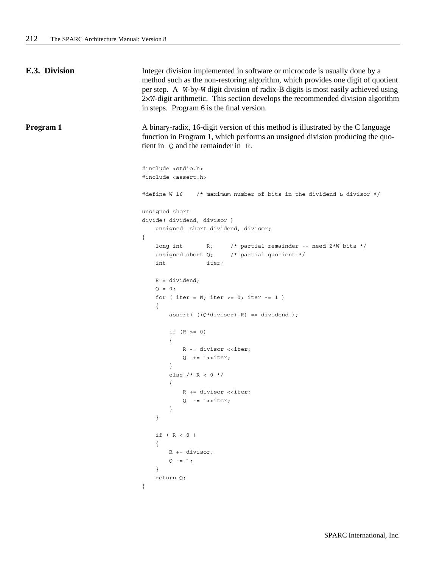| E.3. Division | Integer division implemented in software or microcode is usually done by a<br>method such as the non-restoring algorithm, which provides one digit of quotient<br>per step. A W-by-W digit division of radix-B digits is most easily achieved using<br>2×W-digit arithmetic. This section develops the recommended division algorithm<br>in steps. Program 6 is the final version. |  |  |  |  |
|---------------|------------------------------------------------------------------------------------------------------------------------------------------------------------------------------------------------------------------------------------------------------------------------------------------------------------------------------------------------------------------------------------|--|--|--|--|
| Program 1     | A binary-radix, 16-digit version of this method is illustrated by the C language<br>function in Program 1, which performs an unsigned division producing the quo-<br>tient in $Q$ and the remainder in $R$ .                                                                                                                                                                       |  |  |  |  |
|               | #include <stdio.h><br/>#include <assert.h></assert.h></stdio.h>                                                                                                                                                                                                                                                                                                                    |  |  |  |  |
|               | /* maximum number of bits in the dividend & divisor */<br>#define W 16                                                                                                                                                                                                                                                                                                             |  |  |  |  |
|               | unsigned short<br>divide( dividend, divisor)<br>unsigned short dividend, divisor;<br>$\{$<br>long int<br>/* partial remainder -- need 2*W bits */<br>$R_{i}$<br>unsigned short Q; $/*$ partial quotient $*/$                                                                                                                                                                       |  |  |  |  |
|               | int<br>iter;                                                                                                                                                                                                                                                                                                                                                                       |  |  |  |  |
|               | $R = \text{dividend}$<br>$Q = 0;$<br>for ( iter = $W$ ; iter >= 0; iter -= 1 )<br>₹<br>assert ( $((Q*divisor)+R) == dividend)$ ;                                                                                                                                                                                                                                                   |  |  |  |  |
|               | if $(R > = 0)$<br>€<br>$R =$ divisor < <iter;<br><math>Q</math> += 1&lt;<iter;<br><math>\}</math></iter;<br></iter;<br>                                                                                                                                                                                                                                                            |  |  |  |  |
|               | else /* R < 0 */<br>$R$ += divisor < <iter;<br><math>Q = 1</math> &lt; iter;</iter;<br>                                                                                                                                                                                                                                                                                            |  |  |  |  |
|               | $\}$                                                                                                                                                                                                                                                                                                                                                                               |  |  |  |  |
|               | if $(R < 0)$<br>$R$ += divisor;<br>$Q = 1;$<br>return Q;                                                                                                                                                                                                                                                                                                                           |  |  |  |  |
|               |                                                                                                                                                                                                                                                                                                                                                                                    |  |  |  |  |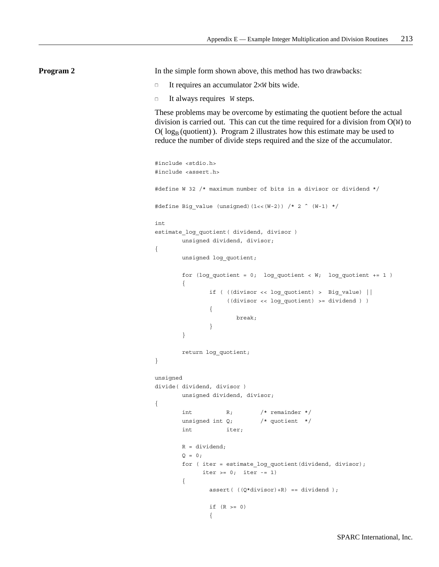**Program 2** In the simple form shown above, this method has two drawbacks:

- □ It requires an accumulator  $2×W$  bits wide.
- $\Box$  It always requires W steps.

These problems may be overcome by estimating the quotient before the actual division is carried out. This can cut the time required for a division from  $O(W)$  to  $O(\log_{\rm B}$  (quotient) ). Program 2 illustrates how this estimate may be used to reduce the number of divide steps required and the size of the accumulator.

```
#include <stdio.h>
#include <assert.h>
#define W 32 /* maximum number of bits in a divisor or dividend */
#define Big value (unsigned)(1<<(W-2)) /* 2 ^ (W-1) */
int
estimate_log_quotient( dividend, divisor )
       unsigned dividend, divisor;
{
       unsigned log quotient;
       for (log_quotient = 0; log_quotient < W; log_quotient += 1 )
       {
               if ( ((divisor << log_quotient) > Big_value) ||
                    ((divisor << log quotient) > = dividend ) ){
                       break;
               }
       }
       return log_quotient;
}
unsigned
divide( dividend, divisor )
       unsigned dividend, divisor;
{
       int R; /* remainder */unsigned int Q; /* quotient */int iter;
       R = \text{dividend};
       Q = 0;for ( iter = estimate_log_quotient(dividend, divisor);
             iter >= 0; iter == 1){
               assert( ((0 * divisor) + R) == dividend );
               if (R \geq 0){
```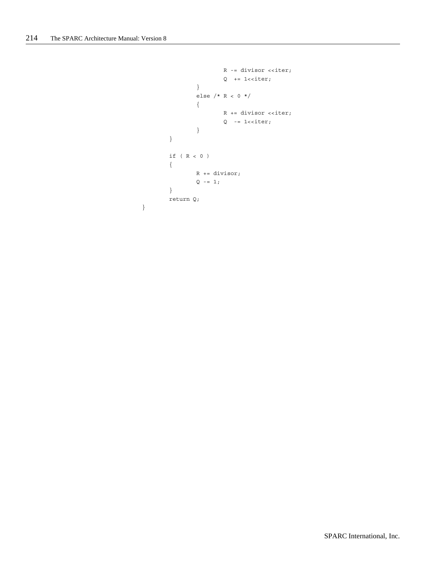}

```
R -= divisor <<iter;
              Q += 1<<iter;
       }
       else /* R < 0 */
       {
              R += divisor <<iter;
              Q -= 1<<iter;
       }
}
if ( R < 0 )
{
      R += divisor;
      Q = 1;}
return Q;
```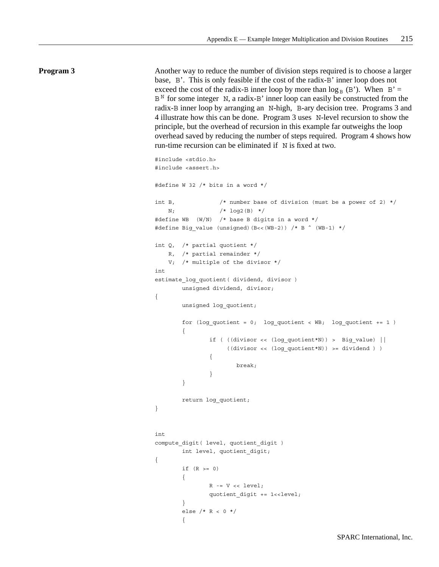**Program 3** Another way to reduce the number of division steps required is to choose a larger base, B'. This is only feasible if the cost of the radix-B' inner loop does not exceed the cost of the radix-B inner loop by more than  $\log_B (B')$ . When  $B' =$  $B<sup>N</sup>$  for some integer N, a radix-B' inner loop can easily be constructed from the radix-B inner loop by arranging an N-high, B-ary decision tree. Programs 3 and 4 illustrate how this can be done. Program 3 uses N-level recursion to show the principle, but the overhead of recursion in this example far outweighs the loop overhead saved by reducing the number of steps required. Program 4 shows how run-time recursion can be eliminated if N is fixed at two.

```
#include <stdio.h>
#include <assert.h>
#define W 32 /* bits in a word */
int B, \frac{1}{x} number base of division (must be a power of 2) \frac{x}{x}N; /* log2(B) */#define WB (W/N) /* base B digits in a word */
#define Big_value (unsigned)(B<<(WB-2)) /* B ˆ (WB-1) */
int Q, /* partial quotient */
   R, /* partial remainder */
   V; /* multiple of the divisor */
int
estimate log quotient ( dividend, divisor )
       unsigned dividend, divisor;
{
       unsigned log quotient;
        for (log_quotient = 0; log_quotient < WB; log_quotient += 1){
                if ( ((divisor << (log_quotient*N)) > Big_value) ||
                     ((divisor << (log quotient*N)) >= dividend ) ){
                       break;
                }
        }
       return log_quotient;
}
int
compute digit( level, quotient digit )
       int level, quotient_digit;
{
       if (R \geq 0){
                R -= V << level;
               quotient_digit += 1<<level;
        }
       else /* R < 0 */
        {
```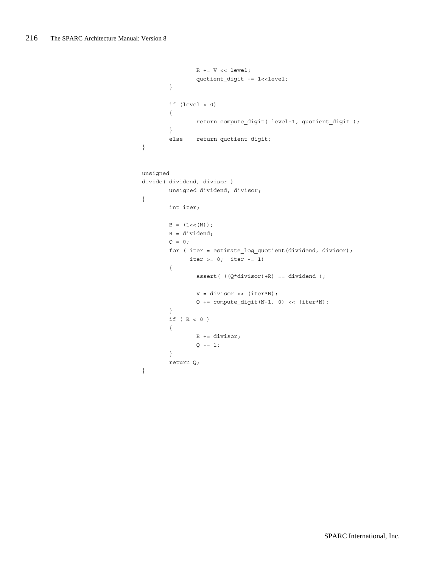```
R += V << level;
                quotient_digit -= 1<<level;
        }
        if (level > 0)
        {
                return compute_digit( level-1, quotient_digit );
        }
        else return quotient_digit;
}
unsigned
divide( dividend, divisor )
       unsigned dividend, divisor;
{
       int iter;
       B = (1 << (N));
        R = dividend;
        Q = 0;for ( iter = estimate_log_quotient(dividend, divisor);
             iter >= 0; iter == 1){
               assert(((Q * divisor) + R) == dividend);
               V = \text{divisor} \ll (\text{iter*N});Q += compute_digit(N-1, 0) << (iter*N);
        }
        if ( R < 0 )
        {
                R += divisor;
                Q = 1;}
        return Q;
}
```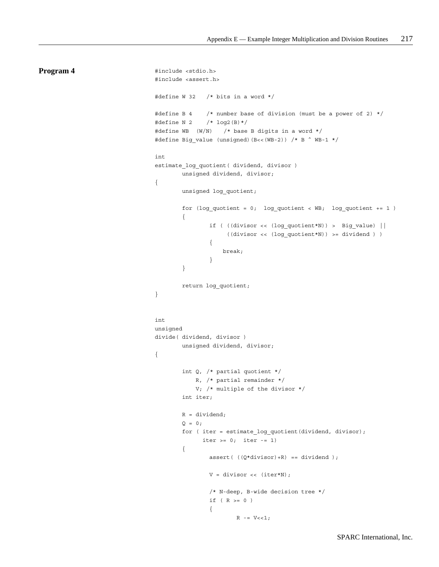```
Program 4 #include <stdio.h>
                                 #include <assert.h>
                                 #define W 32 /* bits in a word */
                                 #define B 4 \quad /* number base of division (must be a power of 2) */
                                 #define N 2 /* log2(B)*/
                                 #define WB (W/N) /* base B digits in a word */
                                 #define Big_value (unsigned)(B<<(WB-2)) /* B ˆ WB-1 */
                                 int
                                 estimate_log_quotient( dividend, divisor )
                                         unsigned dividend, divisor;
                                 {
                                         unsigned log quotient;
                                         for (log_quotient = 0; log_quotient < WB; log_quotient += 1){
                                                 if ( ((divisor << (log quotient*N)) > Big value) ||((divisor << (log_quotient*N)) >= dividend ) )
                                                 {
                                                     break;
                                                 }
                                         }
                                         return log_quotient;
                                 }
                                 int
                                 unsigned
                                 divide( dividend, divisor )
                                         unsigned dividend, divisor;
                                 {
                                         int Q, /* partial quotient */R, /* partial remainder */
                                             V; /* multiple of the divisor */
                                         int iter;
                                         R = \text{dividend};Q = 0;for ( iter = estimate_log_quotient(dividend, divisor);
                                              iter = 0; iter == 1){
                                                 assert( ((Q * divisor) + R) == dividend);
                                                 V = divisor \ll (iter*N);/* N-deep, B-wide decision tree */
                                                 if ( R > = 0 ){
                                                         R - = V < 1;
```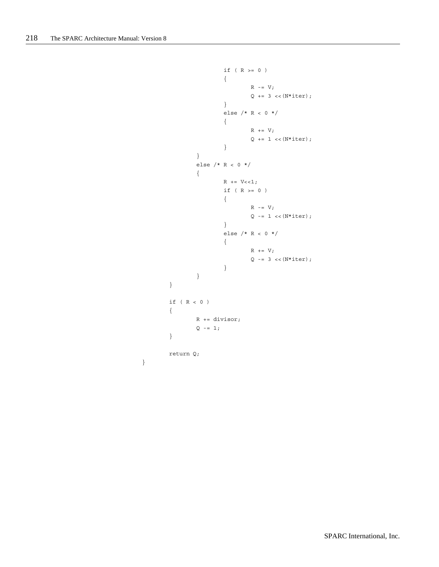}

```
if ( R > = 0 ){
                       R -= V;
                        Q \leftarrow 3 \lt\lt(N*iter);}
                 else /* R < 0 */
                 {
                       R += V;
                        Q \leftarrow 1 \leftarrow (N^*iter);}
         }
         else /* R < 0 */
         {
                R += V << 1;
                if ( R >= 0 )
                 {
                        R -= V;
                        Q = 1 << (N*iter);
                 }
                 else /* R < 0 */
                 {
                       R += V;
                        Q = 3 \ll (N * iter);}
       }
}
if ( R < 0 )
 {
       R += divisor;
        Q = 1;}
return Q;
```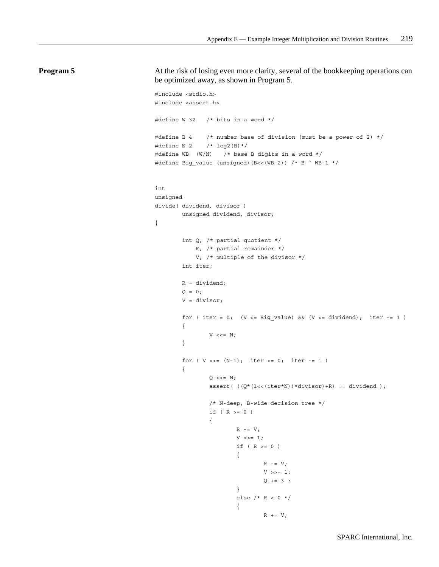**Program 5** At the risk of losing even more clarity, several of the bookkeeping operations can be optimized away, as shown in Program 5. #include <stdio.h> #include <assert.h> #define W 32 /\* bits in a word \*/ #define B 4 /\* number base of division (must be a power of 2) \*/ #define N 2 /\* log2(B)\*/ #define WB (W/N) /\* base B digits in a word \*/ #define Big\_value (unsigned)(B<<(WB-2)) /\* B ˆ WB-1 \*/ int unsigned divide( dividend, divisor ) unsigned dividend, divisor; { int Q, /\* partial quotient \*/ R, /\* partial remainder \*/ V; /\* multiple of the divisor \*/ int iter; R = dividend;  $Q = 0;$ V = divisor; for ( iter = 0; (V <= Big\_value) && (V <= dividend); iter += 1 ) {  $V \leq \leq N;$ } for (  $V \ll = (N-1)$ ; iter >= 0; iter -= 1 ) {  $Q \leq \leq N;$ assert(  $((Q*(1<<(iter*N))*divisor)+R) == dividend)$ ; /\* N-deep, B-wide decision tree \*/  $if ( R > = 0 )$ {  $R$  -= V;  $V \Rightarrow = 1;$  $if ( R > = 0 )$ {  $R$  -= V;

> $V \gg = 1;$ Q += 3 ;

 $R$  += V;

else /\* R < 0 \*/

}

{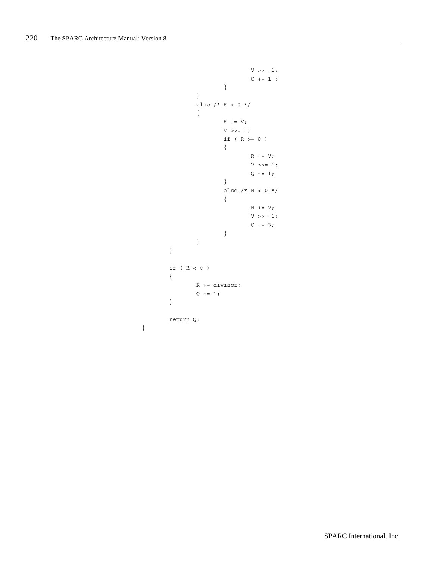}

```
V \gg = 1;Q += 1 ;
                }
        }
        else /* R < 0 */
        {
                R += V;
                V \gg = 1;if ( R > = 0 )
                {
                       R -= V;
                       V \gg = 1;Q = 1;}
                else /* R < 0 */
                {
                        R += V;
                       V \ \>> = \ 1 \, ;Q = 3;}
      }
}
if ( R < 0 )
{
      R += divisor;
       Q = 1;}
return Q;
```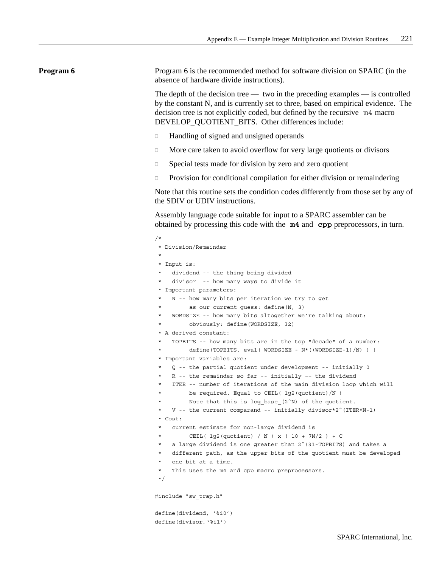| Program 6 | Program 6 is the recommended method for software division on SPARC (in the<br>absence of hardware divide instructions).                                                                                                                                                                                                                                                                                                                                                                                                                                                                                                                                                                                                                                                                                                                                                                                                                                                                                                                                                                                                                                                                                                                                                                                                                                                                                |  |  |  |  |  |
|-----------|--------------------------------------------------------------------------------------------------------------------------------------------------------------------------------------------------------------------------------------------------------------------------------------------------------------------------------------------------------------------------------------------------------------------------------------------------------------------------------------------------------------------------------------------------------------------------------------------------------------------------------------------------------------------------------------------------------------------------------------------------------------------------------------------------------------------------------------------------------------------------------------------------------------------------------------------------------------------------------------------------------------------------------------------------------------------------------------------------------------------------------------------------------------------------------------------------------------------------------------------------------------------------------------------------------------------------------------------------------------------------------------------------------|--|--|--|--|--|
|           | The depth of the decision tree $-$ two in the preceding examples $-$ is controlled<br>by the constant N, and is currently set to three, based on empirical evidence. The<br>decision tree is not explicitly coded, but defined by the recursive m4 macro<br>DEVELOP_QUOTIENT_BITS. Other differences include:                                                                                                                                                                                                                                                                                                                                                                                                                                                                                                                                                                                                                                                                                                                                                                                                                                                                                                                                                                                                                                                                                          |  |  |  |  |  |
|           | Handling of signed and unsigned operands<br>$\Box$                                                                                                                                                                                                                                                                                                                                                                                                                                                                                                                                                                                                                                                                                                                                                                                                                                                                                                                                                                                                                                                                                                                                                                                                                                                                                                                                                     |  |  |  |  |  |
|           | More care taken to avoid overflow for very large quotients or divisors<br>$\Box$                                                                                                                                                                                                                                                                                                                                                                                                                                                                                                                                                                                                                                                                                                                                                                                                                                                                                                                                                                                                                                                                                                                                                                                                                                                                                                                       |  |  |  |  |  |
|           | Special tests made for division by zero and zero quotient<br>$\Box$                                                                                                                                                                                                                                                                                                                                                                                                                                                                                                                                                                                                                                                                                                                                                                                                                                                                                                                                                                                                                                                                                                                                                                                                                                                                                                                                    |  |  |  |  |  |
|           |                                                                                                                                                                                                                                                                                                                                                                                                                                                                                                                                                                                                                                                                                                                                                                                                                                                                                                                                                                                                                                                                                                                                                                                                                                                                                                                                                                                                        |  |  |  |  |  |
|           | Provision for conditional compilation for either division or remaindering<br>$\Box$                                                                                                                                                                                                                                                                                                                                                                                                                                                                                                                                                                                                                                                                                                                                                                                                                                                                                                                                                                                                                                                                                                                                                                                                                                                                                                                    |  |  |  |  |  |
|           | Note that this routine sets the condition codes differently from those set by any of<br>the SDIV or UDIV instructions.                                                                                                                                                                                                                                                                                                                                                                                                                                                                                                                                                                                                                                                                                                                                                                                                                                                                                                                                                                                                                                                                                                                                                                                                                                                                                 |  |  |  |  |  |
|           | Assembly language code suitable for input to a SPARC assembler can be<br>obtained by processing this code with the $m4$ and $cpp$ preprocessors, in turn.                                                                                                                                                                                                                                                                                                                                                                                                                                                                                                                                                                                                                                                                                                                                                                                                                                                                                                                                                                                                                                                                                                                                                                                                                                              |  |  |  |  |  |
|           | * Division/Remainder<br>$^\star$<br>* Input is:<br>dividend -- the thing being divided<br>$\ast$<br>divisor -- how many ways to divide it<br>$\star$<br>* Important parameters:<br>N -- how many bits per iteration we try to get<br>$^\star$<br>$\star$<br>as our current guess: define (N, 3)<br>WORDSIZE -- how many bits altogether we're talking about:<br>$\star$<br>$\star$<br>obviously: define (WORDSIZE, 32)<br>* A derived constant:<br>TOPBITS -- how many bits are in the top "decade" of a number:<br>$\star$<br>define(TOPBITS, eval( $WORDSIZE - N*(WORDSIZE-1)/N)$ ) )<br>$^\star$<br>* Important variables are:<br>Q -- the partial quotient under development -- initially 0<br>$\star$<br>$R$ -- the remainder so far -- initially == the dividend<br>$\ast$<br>ITER -- number of iterations of the main division loop which will<br>be required. Equal to CEIL( lg2 (quotient) /N )<br>$^\star$<br>Note that this is log base (2^N) of the quotient.<br>$\star$<br>V -- the current comparand -- initially divisor*2^(ITER*N-1)<br>$^\star$<br>* Cost:<br>$\star$<br>current estimate for non-large dividend is<br>$^\star$<br>CEIL( $lg2$ (quotient) / N ) x ( 10 + 7N/2 ) + C<br>a large dividend is one greater than 2^(31-TOPBITS) and takes a<br>$^\star$<br>$\star$<br>different path, as the upper bits of the quotient must be developed<br>$\star$<br>one bit at a time. |  |  |  |  |  |
|           | $\star$<br>This uses the m4 and cpp macro preprocessors.<br>$\star/$                                                                                                                                                                                                                                                                                                                                                                                                                                                                                                                                                                                                                                                                                                                                                                                                                                                                                                                                                                                                                                                                                                                                                                                                                                                                                                                                   |  |  |  |  |  |
|           | #include "sw trap.h"                                                                                                                                                                                                                                                                                                                                                                                                                                                                                                                                                                                                                                                                                                                                                                                                                                                                                                                                                                                                                                                                                                                                                                                                                                                                                                                                                                                   |  |  |  |  |  |
|           | define(dividend, '%i0')                                                                                                                                                                                                                                                                                                                                                                                                                                                                                                                                                                                                                                                                                                                                                                                                                                                                                                                                                                                                                                                                                                                                                                                                                                                                                                                                                                                |  |  |  |  |  |

define(divisor,'%i1')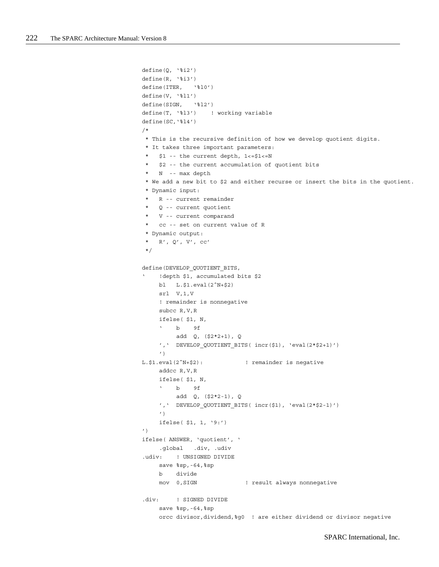```
define(Q, \ '8i2')define(R, '$i3')
define(ITER, '%l0')
define(V, 'll')
define(SIGN, '%12')
define(T, '%l3') ! working variable
define(SC,'%l4')
/*
* This is the recursive definition of how we develop quotient digits.
 * It takes three important parameters:
* $1 -- the current depth, 1<=$1<=N
 * $2 -- the current accumulation of quotient bits
 * N -- max depth
* We add a new bit to $2 and either recurse or insert the bits in the quotient.
* Dynamic input:
 * R -- current remainder
 * Q -- current quotient
* V -- current comparand
 * cc -- set on current value of R
* Dynamic output:
   R', Q', V', cc'
*/
define(DEVELOP_QUOTIENT_BITS,
' !depth $1, accumulated bits $2
    bl L.$1.eval(2ˆN+$2)
    srl V,1,V
    ! remainder is nonnegative
    subcc R,V,R
    ifelse( $1, N,
     ' b 9f
         add Q, ($2*2+1), Q
     ^\prime , <code>' DEVELOP_QUOTIENT_BITS</code> ( <code>incr</code> ($1) , <code>'eval(2*$2+1)')</code>
     ')
L.$1.eval(2^N+$2): ! remainder is negative
    addcc R,V,R
    ifelse( $1, N,
     ' b 9f
         add Q, ($2*2-1), Q
     ',' DEVELOP_QUOTIENT_BITS( incr($1), 'eval(2*$2-1)')
    ')
    ifelse( $1, 1, '9:')
')
ifelse( ANSWER, 'quotient', '
    .global .div, .udiv
.udiv: ! UNSIGNED DIVIDE
    save %sp,-64,%sp
    b divide
    mov 0, SIGN ! result always nonnegative
.div: ! SIGNED DIVIDE
    save %sp,-64,%sp
    orcc divisor,dividend,%g0 ! are either dividend or divisor negative
```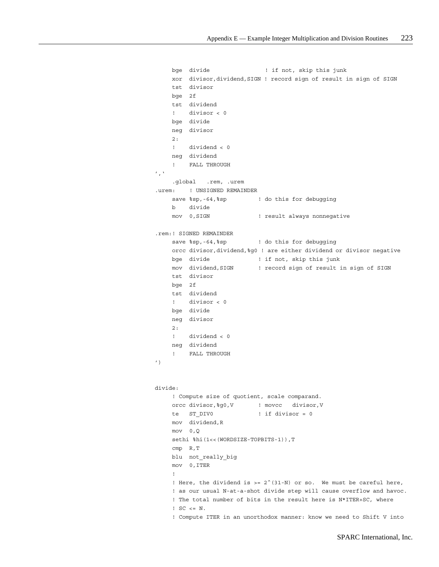```
bge divide \qquad ! if not, skip this junk
    xor divisor,dividend,SIGN ! record sign of result in sign of SIGN
    tst divisor
    bge 2f
    tst dividend
    ! divisor < 0
    bge divide
    neg divisor
    2:! dividend < 0
    neg dividend
    ! FALL THROUGH
\mathcal{L}<sup>\mathcal{L}</sup>
    .global .rem, .urem
.urem: ! UNSIGNED REMAINDER
    save %sp,-64,%sp | do this for debugging
    b divide
    mov 0, SIGN ! result always nonnegative
.rem:! SIGNED REMAINDER
    save %sp, -64, %sp | do this for debugging
    orcc divisor,dividend,%g0 ! are either dividend or divisor negative
    bge divide \qquad ! if not, skip this junk
    mov dividend,SIGN ! record sign of result in sign of SIGN
    tst divisor
    bge 2f
    tst dividend
    ! divisor < 0
    bge divide
    neg divisor
    2 \cdot! dividend < 0
    neg dividend
    ! FALL THROUGH
')
divide:
    ! Compute size of quotient, scale comparand.
    orcc divisor, %g0, V ! movcc divisor, V
    te ST DIV0 ! if divisor = 0
    mov dividend,R
    mov 0,Q
    sethi %hi(1<<(WORDSIZE-TOPBITS-1)),T
    cmp R,T
    blu not_really_big
    mov 0,ITER
    !
    ! Here, the dividend is >= 2ˆ(31-N) or so. We must be careful here,
    ! as our usual N-at-a-shot divide step will cause overflow and havoc.
    ! The total number of bits in the result here is N*ITER+SC, where
    ! SC <= N.
    ! Compute ITER in an unorthodox manner: know we need to Shift V into
```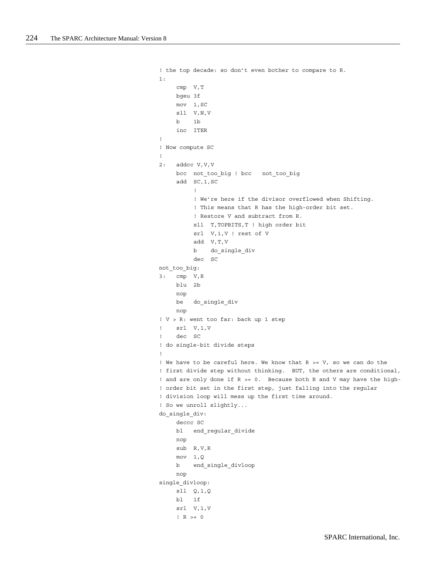```
! the top decade: so don't even bother to compare to R.
1:
    cmp V,T
    bgeu 3f
    mov 1,SC
    sll V,N,V
    b 1b
    inc ITER
!
! Now compute SC
!
2: addcc V,V,V
    bcc not_too_big ! bcc not_too_big
    add SC,1,SC
         !
         ! We're here if the divisor overflowed when Shifting.
         ! This means that R has the high-order bit set.
         ! Restore V and subtract from R.
         sll T,TOPBITS,T ! high order bit
         srl V,1,V ! rest of V
         add V,T,V
         b do_single_div
         dec SC
not_too_big:
3: cmp V,R
    blu 2b
    nop
    be do_single_div
    nop
! V > R: went too far: back up 1 step
! srl V,1,V
! dec SC
! do single-bit divide steps
!
! We have to be careful here. We know that R >= V, so we can do the
! first divide step without thinking. BUT, the others are conditional,
! and are only done if R >= 0. Because both R and V may have the high-
! order bit set in the first step, just falling into the regular
! division loop will mess up the first time around.
! So we unroll slightly...
do_single_div:
    deccc SC
    bl end regular divide
    nop
    sub R,V,R
    mov 1,Q
    b end single divloop
    nop
single divloop:
    sll Q,1,Q
    bl 1f
    srl V,1,V
    ! R \ge 0
```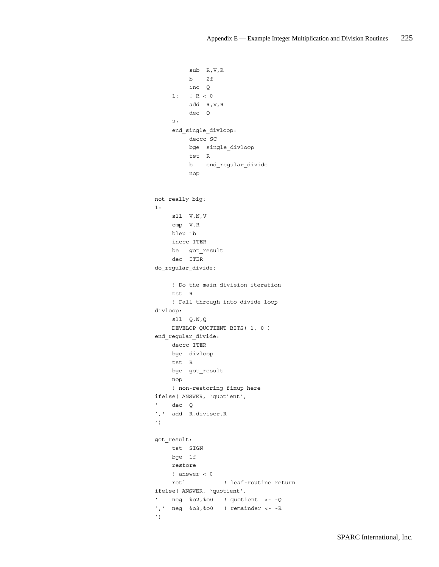```
sub R,V,R
         b 2f
         inc Q
    1: ! R < 0
         add R,V,R
         dec Q
    2:
    end_single_divloop:
         deccc SC
         bge single_divloop
         tst R
         b end_regular_divide
         nop
not_really_big:
1:
    sll V,N,V
    cmp V,R
    bleu 1b
    inccc ITER
    be got_result
    dec ITER
do_regular_divide:
    ! Do the main division iteration
    tst R
    ! Fall through into divide loop
divloop:
    sll Q,N,Q
    DEVELOP_QUOTIENT_BITS( 1, 0 )
end regular divide:
    deccc ITER
    bge divloop
    tst R
    bge got_result
    nop
    ! non-restoring fixup here
ifelse( ANSWER, 'quotient',
' dec Q
',' add R,divisor,R
')
got_result:
    tst SIGN
    bge 1f
    restore
    ! answer < 0
    retl ! leaf-routine return
ifelse( ANSWER, 'quotient',
' neg %o2,%o0 ! quotient <- -Q
',' neg %o3,%o0 ! remainder <- -R
')
```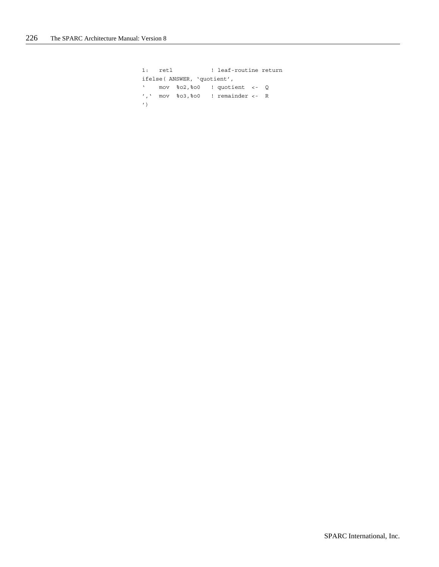1: retl  $!$  leaf-routine return ifelse( ANSWER, 'quotient', ' mov %o2,%o0 ! quotient <- Q ',' mov %o3,%o0 ! remainder <- R ')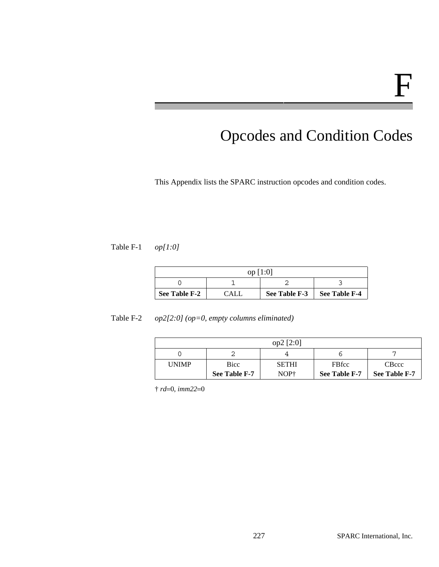# Opcodes and Condition Codes

This Appendix lists the SPARC instruction opcodes and condition codes.

Table F-1 *op[1:0]*

| op $[1:0]$    |      |               |               |  |  |  |
|---------------|------|---------------|---------------|--|--|--|
|               |      |               |               |  |  |  |
| See Table F-2 | CALI | See Table F-3 | See Table F-4 |  |  |  |

Table F-2 *op2[2:0] (op=0, empty columns eliminated)*

| $op2$ [2:0]  |               |              |               |               |  |  |  |
|--------------|---------------|--------------|---------------|---------------|--|--|--|
|              |               |              |               |               |  |  |  |
| <b>UNIMP</b> | <b>Bicc</b>   | <b>SETHI</b> | <b>FBfcc</b>  | <b>CBccc</b>  |  |  |  |
|              | See Table F-7 | NOP†         | See Table F-7 | See Table F-7 |  |  |  |

† *rd*=0, *imm22*=0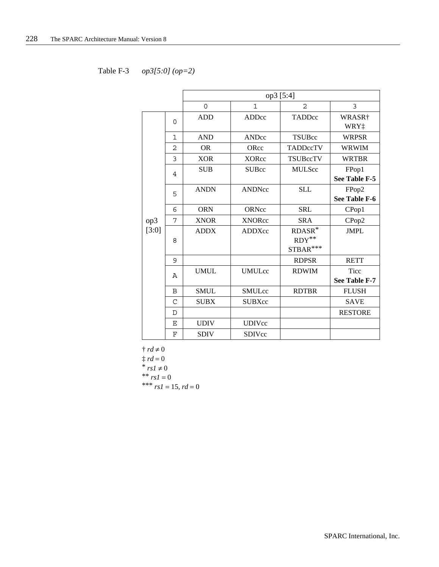# Table F-3 *op3[5:0] (op=2)*

|       |                | op3 [5:4]   |               |                 |                      |  |
|-------|----------------|-------------|---------------|-----------------|----------------------|--|
|       |                | 0           | $\mathbf{1}$  | $\overline{2}$  | 3                    |  |
|       | 0              | <b>ADD</b>  | ADDcc         | <b>TADDcc</b>   | WRASR <sup>+</sup>   |  |
|       |                |             |               |                 | WRY <sub>‡</sub>     |  |
|       | 1              | <b>AND</b>  | ANDcc         | <b>TSUBcc</b>   | <b>WRPSR</b>         |  |
|       | $\overline{2}$ | <b>OR</b>   | <b>ORcc</b>   | <b>TADDccTV</b> | <b>WRWIM</b>         |  |
|       | 3              | <b>XOR</b>  | <b>XORcc</b>  | <b>TSUBccTV</b> | <b>WRTBR</b>         |  |
|       | 4              | <b>SUB</b>  | <b>SUBcc</b>  | <b>MULScc</b>   | FPop1                |  |
|       |                |             |               |                 | See Table F-5        |  |
|       | 5              | <b>ANDN</b> | ANDNcc        | <b>SLL</b>      | FPop2                |  |
|       |                |             |               |                 | See Table F-6        |  |
|       | 6              | <b>ORN</b>  | <b>ORNcc</b>  | <b>SRL</b>      | CP <sub>op1</sub>    |  |
| op3   | 7              | <b>XNOR</b> | <b>XNORcc</b> | <b>SRA</b>      | CPop2                |  |
| [3:0] | 8              | <b>ADDX</b> | ADDXcc        | RDASR*          | <b>JMPL</b>          |  |
|       |                |             |               | $RDY**$         |                      |  |
|       |                |             |               | STBAR***        |                      |  |
|       | 9              |             |               | <b>RDPSR</b>    | <b>RETT</b>          |  |
|       | Α              | <b>UMUL</b> | <b>UMULcc</b> | <b>RDWIM</b>    | <b>Ticc</b>          |  |
|       |                |             |               |                 | <b>See Table F-7</b> |  |
|       | B              | <b>SMUL</b> | <b>SMULcc</b> | <b>RDTBR</b>    | <b>FLUSH</b>         |  |
|       | $\mathcal{C}$  | <b>SUBX</b> | <b>SUBXcc</b> |                 | <b>SAVE</b>          |  |
|       | D              |             |               |                 | <b>RESTORE</b>       |  |
|       | Ε              | <b>UDIV</b> | <b>UDIVcc</b> |                 |                      |  |
|       | F              | <b>SDIV</b> | <b>SDIVcc</b> |                 |                      |  |

 $\dagger$ *rd*  $\neq$  0

 $\ddagger$  *rd* = 0

\*  $rsl \neq 0$ 

\*\*  $rs1 = 0$ \*\*\*  $rs1 = 15$ ,  $rd = 0$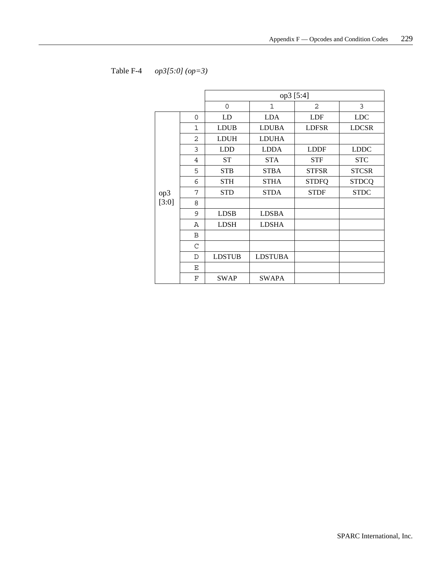|       |             | op3 [5:4]     |                |              |              |  |
|-------|-------------|---------------|----------------|--------------|--------------|--|
|       |             | 0             | 1              | 2            | 3            |  |
|       | 0           | LD            | <b>LDA</b>     | LDF          | <b>LDC</b>   |  |
|       | $\mathbf 1$ | <b>LDUB</b>   | <b>LDUBA</b>   | <b>LDFSR</b> | <b>LDCSR</b> |  |
|       | 2           | <b>LDUH</b>   | <b>LDUHA</b>   |              |              |  |
|       | 3           | <b>LDD</b>    | <b>LDDA</b>    | <b>LDDF</b>  | <b>LDDC</b>  |  |
|       | 4           | <b>ST</b>     | <b>STA</b>     | <b>STF</b>   | <b>STC</b>   |  |
|       | 5           | <b>STB</b>    | <b>STBA</b>    | <b>STFSR</b> | <b>STCSR</b> |  |
|       | 6           | <b>STH</b>    | <b>STHA</b>    | <b>STDFQ</b> | <b>STDCQ</b> |  |
| op3   | 7           | <b>STD</b>    | <b>STDA</b>    | <b>STDF</b>  | <b>STDC</b>  |  |
| [3:0] | 8           |               |                |              |              |  |
|       | 9           | <b>LDSB</b>   | <b>LDSBA</b>   |              |              |  |
|       | Α           | <b>LDSH</b>   | <b>LDSHA</b>   |              |              |  |
|       | B           |               |                |              |              |  |
|       | C           |               |                |              |              |  |
|       | D           | <b>LDSTUB</b> | <b>LDSTUBA</b> |              |              |  |
|       | Ε           |               |                |              |              |  |
|       | F           | <b>SWAP</b>   | <b>SWAPA</b>   |              |              |  |

# Table F-4 *op3[5:0] (op=3)*

 $\Gamma$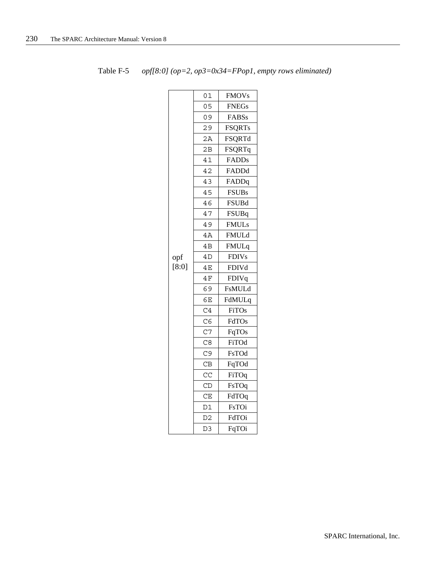|       | 01             | <b>FMOVs</b>  |
|-------|----------------|---------------|
|       | 05             | <b>FNEGs</b>  |
|       | 09             | <b>FABSs</b>  |
|       | 29             | <b>FSQRTs</b> |
|       | 2A             | <b>FSQRTd</b> |
|       | 2B             | <b>FSQRTq</b> |
|       | 41             | FADDs         |
|       | 42             | FADDd         |
|       | 43             | FADDq         |
|       | 45             | <b>FSUBs</b>  |
|       | 46             | <b>FSUBd</b>  |
|       | 47             | FSUBq         |
|       | 49             | <b>FMULs</b>  |
|       | 4A             | <b>FMULd</b>  |
|       | 4B             | FMULq         |
| opf   | 4D             | <b>FDIVs</b>  |
| [8:0] | 4E             | FDIVd         |
|       | 4F             | FDIVq         |
|       | 69             | FsMULd        |
|       | 6Е             | FdMULq        |
|       | C <sub>4</sub> | <b>FiTOs</b>  |
|       | C6             | FdTOs         |
|       | C7             | FqTOs         |
|       | C8             | FiTOd         |
|       | C9             | FsTOd         |
|       | CB             | FqTOd         |
|       | CC             | FiTOq         |
|       | CD             | FsTOq         |
|       | CE             | FdTOq         |
|       | D1             | FsTOi         |
|       | D <sub>2</sub> | FdTOi         |
|       | D3             | FqTOi         |

Table F-5 *opf[8:0] (op=2, op3=0x34=FPop1, empty rows eliminated)*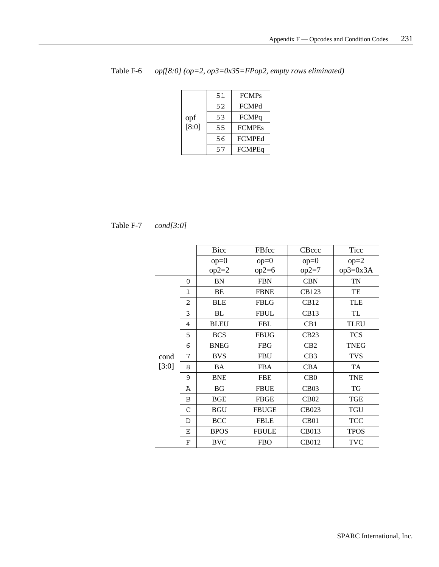|       | 51 | <b>FCMPs</b>  |
|-------|----|---------------|
|       | 52 | <b>FCMPd</b>  |
| opf   | 53 | <b>FCMPq</b>  |
| [8:0] | 55 | <b>FCMPEs</b> |
|       | 56 | <b>FCMPEd</b> |
|       | 57 | <b>FCMPEq</b> |

Table F-6 *opf[8:0] (op=2, op3=0x35=FPop2, empty rows eliminated)*

Table F-7 *cond[3:0]*

|       |              | Bicc        | FBfcc        | CBccc            | <b>Ticc</b> |
|-------|--------------|-------------|--------------|------------------|-------------|
|       |              | $op=0$      | $op=0$       | $op=0$           | $op=2$      |
|       |              | $op2=2$     | $op2=6$      | $op2=7$          | $op3=0x3A$  |
|       | 0            | <b>BN</b>   | <b>FBN</b>   | <b>CBN</b>       | <b>TN</b>   |
|       | $\mathbf{1}$ | BE          | <b>FBNE</b>  | CB123            | TE          |
|       | 2            | <b>BLE</b>  | <b>FBLG</b>  | CB12             | <b>TLE</b>  |
|       | 3            | BL          | <b>FBUL</b>  | CB13             | TL          |
|       | 4            | <b>BLEU</b> | <b>FBL</b>   | CB1              | <b>TLEU</b> |
|       | 5            | <b>BCS</b>  | <b>FBUG</b>  | <b>CB23</b>      | <b>TCS</b>  |
|       | 6            | <b>BNEG</b> | <b>FBG</b>   | CB2              | <b>TNEG</b> |
| cond  | 7            | <b>BVS</b>  | <b>FBU</b>   | CB <sub>3</sub>  | <b>TVS</b>  |
| [3:0] | 8            | <b>BA</b>   | <b>FBA</b>   | <b>CBA</b>       | TA          |
|       | 9            | <b>BNE</b>  | <b>FBE</b>   | CB0              | <b>TNE</b>  |
|       | Α            | BG          | <b>FBUE</b>  | CB <sub>03</sub> | TG          |
|       | В            | <b>BGE</b>  | <b>FBGE</b>  | <b>CB02</b>      | <b>TGE</b>  |
|       | C            | <b>BGU</b>  | <b>FBUGE</b> | CB023            | <b>TGU</b>  |
|       | D            | <b>BCC</b>  | <b>FBLE</b>  | CB01             | <b>TCC</b>  |
|       | Ε            | <b>BPOS</b> | <b>FBULE</b> | CB013            | <b>TPOS</b> |
|       | F            | <b>BVC</b>  | <b>FBO</b>   | CB012            | <b>TVC</b>  |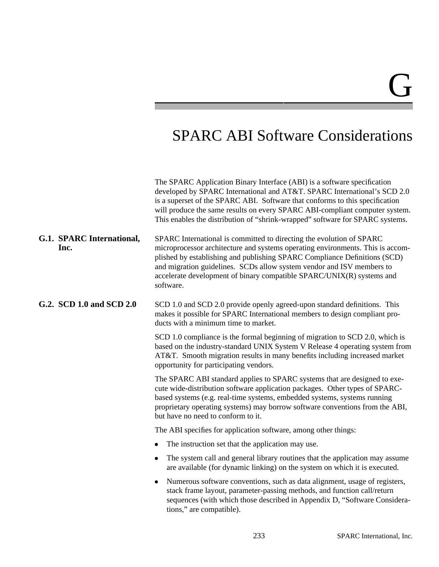# SPARC ABI Software Considerations

|                                   | The SPARC Application Binary Interface (ABI) is a software specification<br>developed by SPARC International and AT&T. SPARC International's SCD 2.0<br>is a superset of the SPARC ABI. Software that conforms to this specification<br>will produce the same results on every SPARC ABI-compliant computer system.<br>This enables the distribution of "shrink-wrapped" software for SPARC systems. |
|-----------------------------------|------------------------------------------------------------------------------------------------------------------------------------------------------------------------------------------------------------------------------------------------------------------------------------------------------------------------------------------------------------------------------------------------------|
| G.1. SPARC International,<br>Inc. | SPARC International is committed to directing the evolution of SPARC<br>microprocessor architecture and systems operating environments. This is accom-<br>plished by establishing and publishing SPARC Compliance Definitions (SCD)<br>and migration guidelines. SCDs allow system vendor and ISV members to<br>accelerate development of binary compatible SPARC/UNIX(R) systems and<br>software.   |
| G.2. SCD 1.0 and SCD 2.0          | SCD 1.0 and SCD 2.0 provide openly agreed-upon standard definitions. This<br>makes it possible for SPARC International members to design compliant pro-<br>ducts with a minimum time to market.                                                                                                                                                                                                      |
|                                   | SCD 1.0 compliance is the formal beginning of migration to SCD 2.0, which is<br>based on the industry-standard UNIX System V Release 4 operating system from<br>AT&T. Smooth migration results in many benefits including increased market<br>opportunity for participating vendors.                                                                                                                 |
|                                   | The SPARC ABI standard applies to SPARC systems that are designed to exe-<br>cute wide-distribution software application packages. Other types of SPARC-<br>based systems (e.g. real-time systems, embedded systems, systems running<br>proprietary operating systems) may borrow software conventions from the ABI,<br>but have no need to conform to it.                                           |
|                                   | The ABI specifies for application software, among other things:                                                                                                                                                                                                                                                                                                                                      |
|                                   | The instruction set that the application may use.                                                                                                                                                                                                                                                                                                                                                    |
|                                   | The system call and general library routines that the application may assume<br>$\bullet$<br>are available (for dynamic linking) on the system on which it is executed.                                                                                                                                                                                                                              |
|                                   | Numerous software conventions, such as data alignment, usage of registers,<br>$\bullet$<br>stack frame layout, parameter-passing methods, and function call/return<br>sequences (with which those described in Appendix D, "Software Considera-<br>tions," are compatible).                                                                                                                          |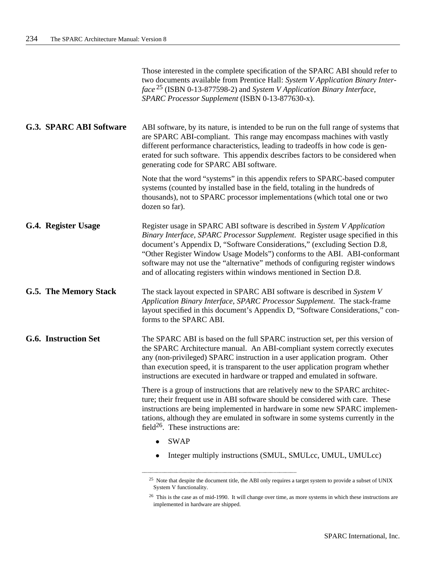|                                | Those interested in the complete specification of the SPARC ABI should refer to<br>two documents available from Prentice Hall: System V Application Binary Inter-<br>face $25$ (ISBN 0-13-877598-2) and System V Application Binary Interface,<br>SPARC Processor Supplement (ISBN 0-13-877630-x).                                                                                                                                                                              |
|--------------------------------|---------------------------------------------------------------------------------------------------------------------------------------------------------------------------------------------------------------------------------------------------------------------------------------------------------------------------------------------------------------------------------------------------------------------------------------------------------------------------------|
| <b>G.3. SPARC ABI Software</b> | ABI software, by its nature, is intended to be run on the full range of systems that<br>are SPARC ABI-compliant. This range may encompass machines with vastly<br>different performance characteristics, leading to tradeoffs in how code is gen-<br>erated for such software. This appendix describes factors to be considered when<br>generating code for SPARC ABI software.                                                                                                 |
|                                | Note that the word "systems" in this appendix refers to SPARC-based computer<br>systems (counted by installed base in the field, totaling in the hundreds of<br>thousands), not to SPARC processor implementations (which total one or two<br>dozen so far).                                                                                                                                                                                                                    |
| G.4. Register Usage            | Register usage in SPARC ABI software is described in System V Application<br>Binary Interface, SPARC Processor Supplement. Register usage specified in this<br>document's Appendix D, "Software Considerations," (excluding Section D.8,<br>"Other Register Window Usage Models") conforms to the ABI. ABI-conformant<br>software may not use the "alternative" methods of configuring register windows<br>and of allocating registers within windows mentioned in Section D.8. |
| G.5. The Memory Stack          | The stack layout expected in SPARC ABI software is described in System V<br>Application Binary Interface, SPARC Processor Supplement. The stack-frame<br>layout specified in this document's Appendix D, "Software Considerations," con-<br>forms to the SPARC ABI.                                                                                                                                                                                                             |
| <b>G.6. Instruction Set</b>    | The SPARC ABI is based on the full SPARC instruction set, per this version of<br>the SPARC Architecture manual. An ABI-compliant system correctly executes<br>any (non-privileged) SPARC instruction in a user application program. Other<br>than execution speed, it is transparent to the user application program whether<br>instructions are executed in hardware or trapped and emulated in software.                                                                      |
|                                | There is a group of instructions that are relatively new to the SPARC architec-<br>ture; their frequent use in ABI software should be considered with care. These<br>instructions are being implemented in hardware in some new SPARC implemen-<br>tations, although they are emulated in software in some systems currently in the<br>field <sup>26</sup> . These instructions are:                                                                                            |
|                                | <b>SWAP</b>                                                                                                                                                                                                                                                                                                                                                                                                                                                                     |
|                                | Integer multiply instructions (SMUL, SMULcc, UMUL, UMULcc)                                                                                                                                                                                                                                                                                                                                                                                                                      |
|                                |                                                                                                                                                                                                                                                                                                                                                                                                                                                                                 |

<u> 2000 - 2000 - 2000 - 2000 - 2000 - 2000 - 2000 - 2000 - 2000 - 2000 - 2000 - 2000 - 2000 - 2000 - 2000 - 200</u>

<sup>&</sup>lt;sup>25</sup> Note that despite the document title, the ABI only requires a target system to provide a subset of UNIX System V functionality.

<sup>&</sup>lt;sup>26</sup> This is the case as of mid-1990. It will change over time, as more systems in which these instructions are implemented in hardware are shipped.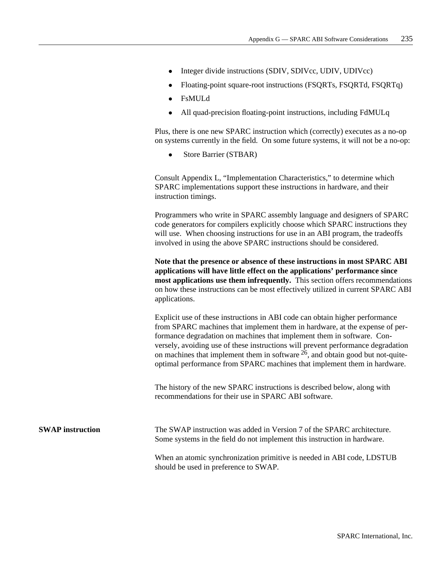- Integer divide instructions (SDIV, SDIVcc, UDIV, UDIVcc)
- -Floating-point square-root instructions (FSQRTs, FSQRTd, FSQRTq)
- FsMULd
- $\bullet$ All quad-precision floating-point instructions, including FdMULq

Plus, there is one new SPARC instruction which (correctly) executes as a no-op on systems currently in the field. On some future systems, it will not be a no-op:

-Store Barrier (STBAR)

Consult Appendix L, "Implementation Characteristics," to determine which SPARC implementations support these instructions in hardware, and their instruction timings.

Programmers who write in SPARC assembly language and designers of SPARC code generators for compilers explicitly choose which SPARC instructions they will use. When choosing instructions for use in an ABI program, the tradeoffs involved in using the above SPARC instructions should be considered.

**Note that the presence or absence of these instructions in most SPARC ABI applications will have little effect on the applications' performance since most applications use them infrequently.** This section offers recommendations on how these instructions can be most effectively utilized in current SPARC ABI applications.

Explicit use of these instructions in ABI code can obtain higher performance from SPARC machines that implement them in hardware, at the expense of performance degradation on machines that implement them in software. Conversely, avoiding use of these instructions will prevent performance degradation on machines that implement them in software  $^{26}$ , and obtain good but not-quiteoptimal performance from SPARC machines that implement them in hardware.

The history of the new SPARC instructions is described below, along with recommendations for their use in SPARC ABI software.

**SWAP instruction** The SWAP instruction was added in Version 7 of the SPARC architecture. Some systems in the field do not implement this instruction in hardware.

> When an atomic synchronization primitive is needed in ABI code, LDSTUB should be used in preference to SWAP.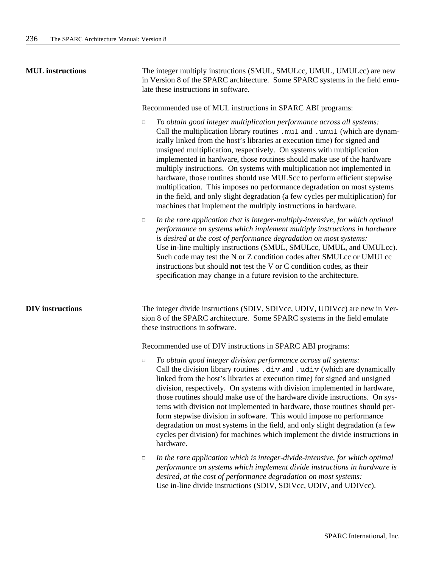| <b>MUL</b> instructions | The integer multiply instructions (SMUL, SMULcc, UMUL, UMULcc) are new<br>in Version 8 of the SPARC architecture. Some SPARC systems in the field emu-<br>late these instructions in software.                                                                                                                                                                                                                                                                                                                                                                                                                                                                                                                                                                                          |  |  |  |  |
|-------------------------|-----------------------------------------------------------------------------------------------------------------------------------------------------------------------------------------------------------------------------------------------------------------------------------------------------------------------------------------------------------------------------------------------------------------------------------------------------------------------------------------------------------------------------------------------------------------------------------------------------------------------------------------------------------------------------------------------------------------------------------------------------------------------------------------|--|--|--|--|
|                         | Recommended use of MUL instructions in SPARC ABI programs:                                                                                                                                                                                                                                                                                                                                                                                                                                                                                                                                                                                                                                                                                                                              |  |  |  |  |
|                         | To obtain good integer multiplication performance across all systems:<br>$\Box$<br>Call the multiplication library routines . mul and . umul (which are dynam-<br>ically linked from the host's libraries at execution time) for signed and<br>unsigned multiplication, respectively. On systems with multiplication<br>implemented in hardware, those routines should make use of the hardware<br>multiply instructions. On systems with multiplication not implemented in<br>hardware, those routines should use MULScc to perform efficient stepwise<br>multiplication. This imposes no performance degradation on most systems<br>in the field, and only slight degradation (a few cycles per multiplication) for<br>machines that implement the multiply instructions in hardware. |  |  |  |  |
|                         | In the rare application that is integer-multiply-intensive, for which optimal<br>$\Box$<br>performance on systems which implement multiply instructions in hardware<br>is desired at the cost of performance degradation on most systems:<br>Use in-line multiply instructions (SMUL, SMULcc, UMUL, and UMULcc).<br>Such code may test the N or Z condition codes after SMULcc or UMULcc<br>instructions but should not test the V or C condition codes, as their<br>specification may change in a future revision to the architecture.                                                                                                                                                                                                                                                 |  |  |  |  |
| <b>DIV</b> instructions | The integer divide instructions (SDIV, SDIVcc, UDIV, UDIVcc) are new in Ver-<br>sion 8 of the SPARC architecture. Some SPARC systems in the field emulate<br>these instructions in software.                                                                                                                                                                                                                                                                                                                                                                                                                                                                                                                                                                                            |  |  |  |  |
|                         | Recommended use of DIV instructions in SPARC ABI programs:                                                                                                                                                                                                                                                                                                                                                                                                                                                                                                                                                                                                                                                                                                                              |  |  |  |  |
|                         | To obtain good integer division performance across all systems:<br>$\Box$<br>Call the division library routines . div and . udiv (which are dynamically<br>linked from the host's libraries at execution time) for signed and unsigned<br>division, respectively. On systems with division implemented in hardware,<br>those routines should make use of the hardware divide instructions. On sys-<br>tems with division not implemented in hardware, those routines should per-<br>form stepwise division in software. This would impose no performance<br>degradation on most systems in the field, and only slight degradation (a few<br>cycles per division) for machines which implement the divide instructions in<br>hardware.                                                   |  |  |  |  |
|                         | In the rare application which is integer-divide-intensive, for which optimal<br>$\Box$<br>performance on systems which implement divide instructions in hardware is<br>desired, at the cost of performance degradation on most systems:<br>Use in-line divide instructions (SDIV, SDIVcc, UDIV, and UDIVcc).                                                                                                                                                                                                                                                                                                                                                                                                                                                                            |  |  |  |  |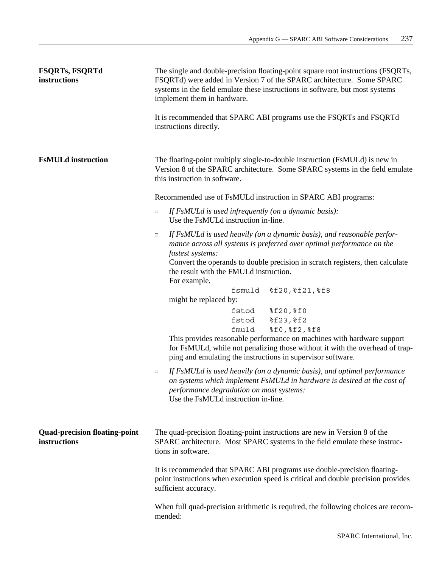| <b>FSQRTs, FSQRTd</b><br>instructions                | The single and double-precision floating-point square root instructions (FSQRTs,<br>FSQRTd) were added in Version 7 of the SPARC architecture. Some SPARC<br>systems in the field emulate these instructions in software, but most systems<br>implement them in hardware.<br>It is recommended that SPARC ABI programs use the FSQRTs and FSQRTd |  |  |  |  |
|------------------------------------------------------|--------------------------------------------------------------------------------------------------------------------------------------------------------------------------------------------------------------------------------------------------------------------------------------------------------------------------------------------------|--|--|--|--|
|                                                      | instructions directly.                                                                                                                                                                                                                                                                                                                           |  |  |  |  |
| <b>FsMULd</b> instruction                            | The floating-point multiply single-to-double instruction (FsMULd) is new in<br>Version 8 of the SPARC architecture. Some SPARC systems in the field emulate<br>this instruction in software.                                                                                                                                                     |  |  |  |  |
|                                                      | Recommended use of FsMULd instruction in SPARC ABI programs:                                                                                                                                                                                                                                                                                     |  |  |  |  |
|                                                      | If FsMULd is used infrequently (on a dynamic basis):<br>$\Box$<br>Use the FsMULd instruction in-line.                                                                                                                                                                                                                                            |  |  |  |  |
|                                                      | If FsMULd is used heavily (on a dynamic basis), and reasonable perfor-<br>$\Box$<br>mance across all systems is preferred over optimal performance on the<br>fastest systems:<br>Convert the operands to double precision in scratch registers, then calculate<br>the result with the FMULd instruction.                                         |  |  |  |  |
|                                                      | For example,<br>fsmuld<br>%f20,%f21,%f8<br>might be replaced by:                                                                                                                                                                                                                                                                                 |  |  |  |  |
|                                                      | %f20,%f0<br>fstod<br>fstod<br>%f23,%f2<br>%f0,%f2,%f8<br>fmuld<br>This provides reasonable performance on machines with hardware support<br>for FsMULd, while not penalizing those without it with the overhead of trap-<br>ping and emulating the instructions in supervisor software.                                                          |  |  |  |  |
|                                                      | If FsMULd is used heavily (on a dynamic basis), and optimal performance<br>$\Box$<br>on systems which implement FsMULd in hardware is desired at the cost of<br>performance degradation on most systems:<br>Use the FsMULd instruction in-line.                                                                                                  |  |  |  |  |
| <b>Quad-precision floating-point</b><br>instructions | The quad-precision floating-point instructions are new in Version 8 of the<br>SPARC architecture. Most SPARC systems in the field emulate these instruc-<br>tions in software.                                                                                                                                                                   |  |  |  |  |
|                                                      | It is recommended that SPARC ABI programs use double-precision floating-<br>point instructions when execution speed is critical and double precision provides<br>sufficient accuracy.                                                                                                                                                            |  |  |  |  |
|                                                      | When full quad-precision arithmetic is required, the following choices are recom-<br>mended:                                                                                                                                                                                                                                                     |  |  |  |  |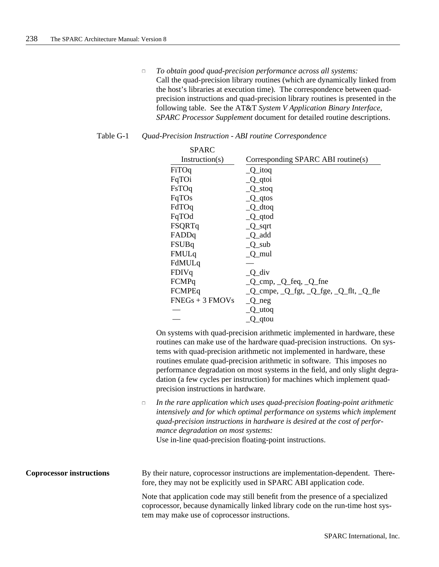*To obtain good quad-precision performance across all systems:* Call the quad-precision library routines (which are dynamically linked from the host's libraries at execution time). The correspondence between quadprecision instructions and quad-precision library routines is presented in the following table. See the AT&T *System V Application Binary Interface, SPARC Processor Supplement* document for detailed routine descriptions.

# Table G-1 *Quad-Precision Instruction - ABI routine Correspondence*

| <b>SPARC</b>      |                                                   |
|-------------------|---------------------------------------------------|
| Instruction(s)    | Corresponding SPARC ABI routine(s)                |
| FiTOq             | $Q$ _itoq                                         |
| FqTOi             | $Q_q$ toi                                         |
| FsTOq             | $Q_$ stoq                                         |
| FqTOs             | $Q_q$ tos                                         |
| FdTOq             | $Q_d$ toq                                         |
| FqTOd             | $Q$ <sup><math>q</math></sup>                     |
| <b>FSQRTq</b>     | $Q$ _sqrt                                         |
| FADDq             | $Q$ _add                                          |
| FSUBq             | $Q$ _sub                                          |
| FMULq             | $Q$ _mul                                          |
| FdMULq            |                                                   |
| FDIVq             | $Q$ <sub>div</sub>                                |
| FCMPq             | $Q$ _cmp, $Q$ _feq, $Q$ _fne                      |
| <b>FCMPEq</b>     | $Q$ _cmpe, $Q$ _fgt, $Q$ _fge, $Q$ _flt, $Q$ _fle |
| $FNEGs + 3 FMOVs$ | $Q_{\text{neg}}$                                  |
|                   | _Q_utoq                                           |
|                   | _Q_qtou                                           |

On systems with quad-precision arithmetic implemented in hardware, these routines can make use of the hardware quad-precision instructions. On systems with quad-precision arithmetic not implemented in hardware, these routines emulate quad-precision arithmetic in software. This imposes no performance degradation on most systems in the field, and only slight degradation (a few cycles per instruction) for machines which implement quadprecision instructions in hardware.

 *In the rare application which uses quad-precision floating-point arithmetic intensively and for which optimal performance on systems which implement quad-precision instructions in hardware is desired at the cost of performance degradation on most systems:* Use in-line quad-precision floating-point instructions.

**Coprocessor instructions** By their nature, coprocessor instructions are implementation-dependent. Therefore, they may not be explicitly used in SPARC ABI application code.

> Note that application code may still benefit from the presence of a specialized coprocessor, because dynamically linked library code on the run-time host system may make use of coprocessor instructions.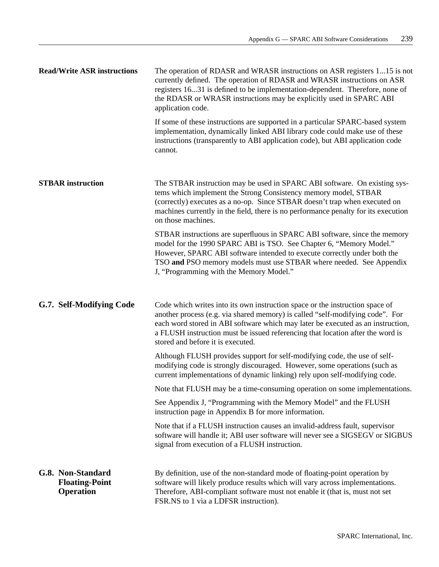| <b>Read/Write ASR instructions</b>                             | The operation of RDASR and WRASR instructions on ASR registers 115 is not<br>currently defined. The operation of RDASR and WRASR instructions on ASR<br>registers 1631 is defined to be implementation-dependent. Therefore, none of<br>the RDASR or WRASR instructions may be explicitly used in SPARC ABI<br>application code.                                        |  |  |  |  |
|----------------------------------------------------------------|-------------------------------------------------------------------------------------------------------------------------------------------------------------------------------------------------------------------------------------------------------------------------------------------------------------------------------------------------------------------------|--|--|--|--|
|                                                                | If some of these instructions are supported in a particular SPARC-based system<br>implementation, dynamically linked ABI library code could make use of these<br>instructions (transparently to ABI application code), but ABI application code<br>cannot.                                                                                                              |  |  |  |  |
| <b>STBAR</b> instruction                                       | The STBAR instruction may be used in SPARC ABI software. On existing sys-<br>tems which implement the Strong Consistency memory model, STBAR<br>(correctly) executes as a no-op. Since STBAR doesn't trap when executed on<br>machines currently in the field, there is no performance penalty for its execution<br>on those machines.                                  |  |  |  |  |
|                                                                | STBAR instructions are superfluous in SPARC ABI software, since the memory<br>model for the 1990 SPARC ABI is TSO. See Chapter 6, "Memory Model."<br>However, SPARC ABI software intended to execute correctly under both the<br>TSO and PSO memory models must use STBAR where needed. See Appendix<br>J, "Programming with the Memory Model."                         |  |  |  |  |
| G.7. Self-Modifying Code                                       | Code which writes into its own instruction space or the instruction space of<br>another process (e.g. via shared memory) is called "self-modifying code". For<br>each word stored in ABI software which may later be executed as an instruction,<br>a FLUSH instruction must be issued referencing that location after the word is<br>stored and before it is executed. |  |  |  |  |
|                                                                | Although FLUSH provides support for self-modifying code, the use of self-<br>modifying code is strongly discouraged. However, some operations (such as<br>current implementations of dynamic linking) rely upon self-modifying code.                                                                                                                                    |  |  |  |  |
|                                                                | Note that FLUSH may be a time-consuming operation on some implementations.                                                                                                                                                                                                                                                                                              |  |  |  |  |
|                                                                | See Appendix J, "Programming with the Memory Model" and the FLUSH<br>instruction page in Appendix B for more information.                                                                                                                                                                                                                                               |  |  |  |  |
|                                                                | Note that if a FLUSH instruction causes an invalid-address fault, supervisor<br>software will handle it; ABI user software will never see a SIGSEGV or SIGBUS<br>signal from execution of a FLUSH instruction.                                                                                                                                                          |  |  |  |  |
| G.8. Non-Standard<br><b>Floating-Point</b><br><b>Operation</b> | By definition, use of the non-standard mode of floating-point operation by<br>software will likely produce results which will vary across implementations.<br>Therefore, ABI-compliant software must not enable it (that is, must not set<br>FSR.NS to 1 via a LDFSR instruction).                                                                                      |  |  |  |  |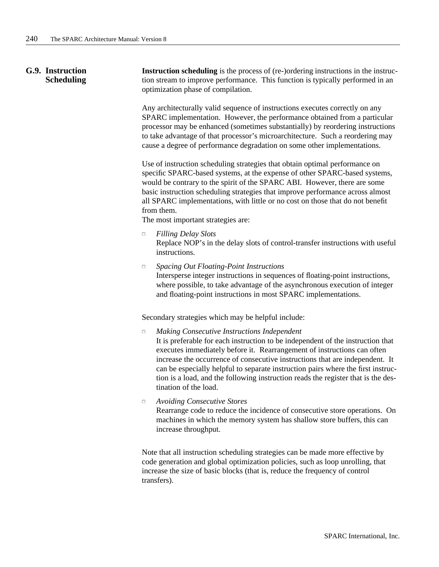## **G.9. Instruction Scheduling Instruction scheduling** is the process of (re-)ordering instructions in the instruction stream to improve performance. This function is typically performed in an optimization phase of compilation.

Any architecturally valid sequence of instructions executes correctly on any SPARC implementation. However, the performance obtained from a particular processor may be enhanced (sometimes substantially) by reordering instructions to take advantage of that processor's microarchitecture. Such a reordering may cause a degree of performance degradation on some other implementations.

Use of instruction scheduling strategies that obtain optimal performance on specific SPARC-based systems, at the expense of other SPARC-based systems, would be contrary to the spirit of the SPARC ABI. However, there are some basic instruction scheduling strategies that improve performance across almost all SPARC implementations, with little or no cost on those that do not benefit from them.

The most important strategies are:

- *Filling Delay Slots* Replace NOP's in the delay slots of control-transfer instructions with useful instructions.
- *Spacing Out Floating-Point Instructions* Intersperse integer instructions in sequences of floating-point instructions, where possible, to take advantage of the asynchronous execution of integer and floating-point instructions in most SPARC implementations.

Secondary strategies which may be helpful include:

*Making Consecutive Instructions Independent*

It is preferable for each instruction to be independent of the instruction that executes immediately before it. Rearrangement of instructions can often increase the occurrence of consecutive instructions that are independent. It can be especially helpful to separate instruction pairs where the first instruction is a load, and the following instruction reads the register that is the destination of the load.

 *Avoiding Consecutive Stores* Rearrange code to reduce the incidence of consecutive store operations. On machines in which the memory system has shallow store buffers, this can increase throughput.

Note that all instruction scheduling strategies can be made more effective by code generation and global optimization policies, such as loop unrolling, that increase the size of basic blocks (that is, reduce the frequency of control transfers).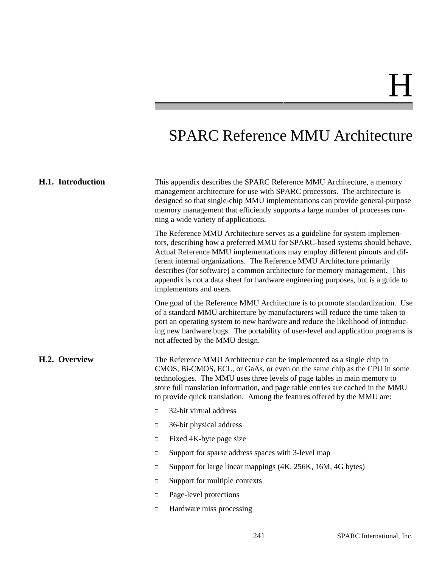# SPARC Reference MMU Architecture

| H.1. Introduction |                                                                                                                                                                                                                                                                                                                                                                          | This appendix describes the SPARC Reference MMU Architecture, a memory<br>management architecture for use with SPARC processors. The architecture is<br>designed so that single-chip MMU implementations can provide general-purpose<br>memory management that efficiently supports a large number of processes run-<br>ning a wide variety of applications.                                                                                                                                                    |  |  |  |  |
|-------------------|--------------------------------------------------------------------------------------------------------------------------------------------------------------------------------------------------------------------------------------------------------------------------------------------------------------------------------------------------------------------------|-----------------------------------------------------------------------------------------------------------------------------------------------------------------------------------------------------------------------------------------------------------------------------------------------------------------------------------------------------------------------------------------------------------------------------------------------------------------------------------------------------------------|--|--|--|--|
|                   |                                                                                                                                                                                                                                                                                                                                                                          | The Reference MMU Architecture serves as a guideline for system implemen-<br>tors, describing how a preferred MMU for SPARC-based systems should behave.<br>Actual Reference MMU implementations may employ different pinouts and dif-<br>ferent internal organizations. The Reference MMU Architecture primarily<br>describes (for software) a common architecture for memory management. This<br>appendix is not a data sheet for hardware engineering purposes, but is a guide to<br>implementors and users. |  |  |  |  |
|                   | One goal of the Reference MMU Architecture is to promote standardization. Use<br>of a standard MMU architecture by manufacturers will reduce the time taken to<br>port an operating system to new hardware and reduce the likelihood of introduc-<br>ing new hardware bugs. The portability of user-level and application programs is<br>not affected by the MMU design. |                                                                                                                                                                                                                                                                                                                                                                                                                                                                                                                 |  |  |  |  |
| H.2. Overview     |                                                                                                                                                                                                                                                                                                                                                                          | The Reference MMU Architecture can be implemented as a single chip in<br>CMOS, Bi-CMOS, ECL, or GaAs, or even on the same chip as the CPU in some<br>technologies. The MMU uses three levels of page tables in main memory to<br>store full translation information, and page table entries are cached in the MMU<br>to provide quick translation. Among the features offered by the MMU are:                                                                                                                   |  |  |  |  |
|                   | $\Box$                                                                                                                                                                                                                                                                                                                                                                   |                                                                                                                                                                                                                                                                                                                                                                                                                                                                                                                 |  |  |  |  |
|                   |                                                                                                                                                                                                                                                                                                                                                                          | 32-bit virtual address                                                                                                                                                                                                                                                                                                                                                                                                                                                                                          |  |  |  |  |
|                   | $\Box$                                                                                                                                                                                                                                                                                                                                                                   | 36-bit physical address                                                                                                                                                                                                                                                                                                                                                                                                                                                                                         |  |  |  |  |
|                   | $\Box$                                                                                                                                                                                                                                                                                                                                                                   | Fixed 4K-byte page size                                                                                                                                                                                                                                                                                                                                                                                                                                                                                         |  |  |  |  |
|                   | $\Box$                                                                                                                                                                                                                                                                                                                                                                   | Support for sparse address spaces with 3-level map                                                                                                                                                                                                                                                                                                                                                                                                                                                              |  |  |  |  |
|                   | $\Box$                                                                                                                                                                                                                                                                                                                                                                   | Support for large linear mappings (4K, 256K, 16M, 4G bytes)                                                                                                                                                                                                                                                                                                                                                                                                                                                     |  |  |  |  |
|                   | $\Box$                                                                                                                                                                                                                                                                                                                                                                   | Support for multiple contexts                                                                                                                                                                                                                                                                                                                                                                                                                                                                                   |  |  |  |  |
|                   | $\Box$                                                                                                                                                                                                                                                                                                                                                                   | Page-level protections                                                                                                                                                                                                                                                                                                                                                                                                                                                                                          |  |  |  |  |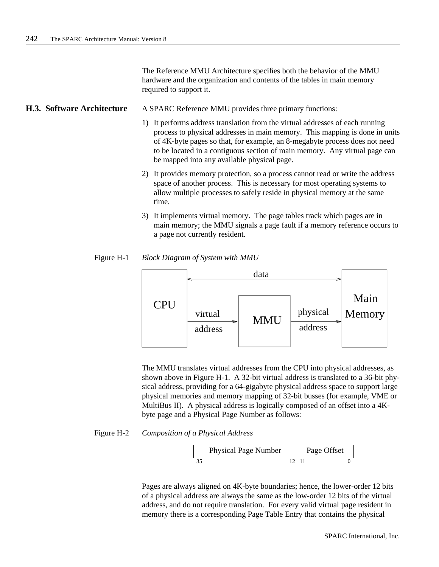The Reference MMU Architecture specifies both the behavior of the MMU hardware and the organization and contents of the tables in main memory required to support it.

# **H.3. Software Architecture** A SPARC Reference MMU provides three primary functions:

- 1) It performs address translation from the virtual addresses of each running process to physical addresses in main memory. This mapping is done in units of 4K-byte pages so that, for example, an 8-megabyte process does not need to be located in a contiguous section of main memory. Any virtual page can be mapped into any available physical page.
- 2) It provides memory protection, so a process cannot read or write the address space of another process. This is necessary for most operating systems to allow multiple processes to safely reside in physical memory at the same time.
- 3) It implements virtual memory. The page tables track which pages are in main memory; the MMU signals a page fault if a memory reference occurs to a page not currently resident.

# Figure H-1 *Block Diagram of System with MMU*



The MMU translates virtual addresses from the CPU into physical addresses, as shown above in Figure H-1. A 32-bit virtual address is translated to a 36-bit physical address, providing for a 64-gigabyte physical address space to support large physical memories and memory mapping of 32-bit busses (for example, VME or MultiBus II). A physical address is logically composed of an offset into a 4Kbyte page and a Physical Page Number as follows:

# Figure H-2 *Composition of a Physical Address*

| <b>Physical Page Number</b> | Page Offset |  |
|-----------------------------|-------------|--|
|                             |             |  |

Pages are always aligned on 4K-byte boundaries; hence, the lower-order 12 bits of a physical address are always the same as the low-order 12 bits of the virtual address, and do not require translation. For every valid virtual page resident in memory there is a corresponding Page Table Entry that contains the physical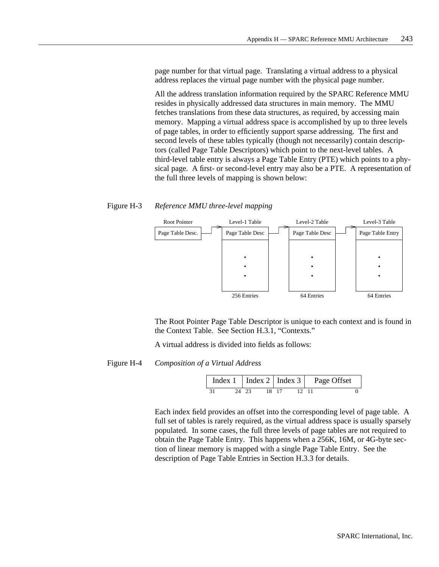page number for that virtual page. Translating a virtual address to a physical address replaces the virtual page number with the physical page number.

All the address translation information required by the SPARC Reference MMU resides in physically addressed data structures in main memory. The MMU fetches translations from these data structures, as required, by accessing main memory. Mapping a virtual address space is accomplished by up to three levels of page tables, in order to efficiently support sparse addressing. The first and second levels of these tables typically (though not necessarily) contain descriptors (called Page Table Descriptors) which point to the next-level tables. A third-level table entry is always a Page Table Entry (PTE) which points to a physical page. A first- or second-level entry may also be a PTE. A representation of the full three levels of mapping is shown below:

# Figure H-3 *Reference MMU three-level mapping*



The Root Pointer Page Table Descriptor is unique to each context and is found in the Context Table. See Section H.3.1, "Contexts."

A virtual address is divided into fields as follows:

# Figure H-4 *Composition of a Virtual Address*

|       |  |        |        |       | Index 1   Index 2   Index 3   Page Offset |  |
|-------|--|--------|--------|-------|-------------------------------------------|--|
| $-31$ |  | 24, 23 | 18. 17 | 12 11 |                                           |  |

Each index field provides an offset into the corresponding level of page table. A full set of tables is rarely required, as the virtual address space is usually sparsely populated. In some cases, the full three levels of page tables are not required to obtain the Page Table Entry. This happens when a 256K, 16M, or 4G-byte section of linear memory is mapped with a single Page Table Entry. See the description of Page Table Entries in Section H.3.3 for details.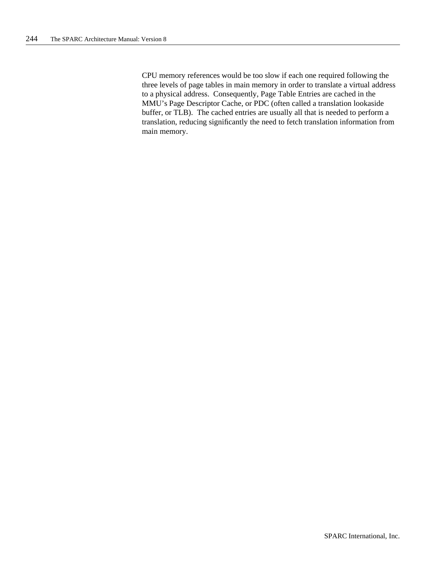CPU memory references would be too slow if each one required following the three levels of page tables in main memory in order to translate a virtual address to a physical address. Consequently, Page Table Entries are cached in the MMU's Page Descriptor Cache, or PDC (often called a translation lookaside buffer, or TLB). The cached entries are usually all that is needed to perform a translation, reducing significantly the need to fetch translation information from main memory.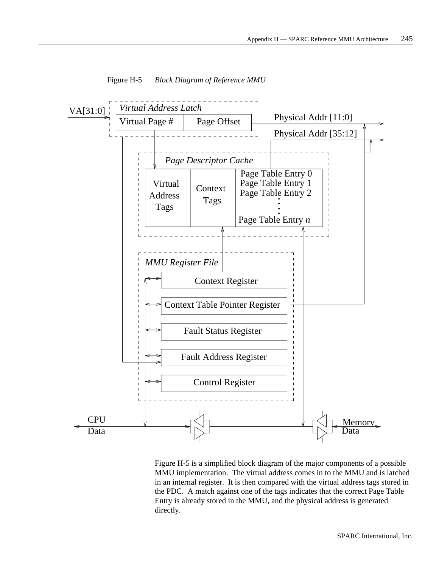

# Figure H-5 *Block Diagram of Reference MMU*

Figure H-5 is a simplified block diagram of the major components of a possible MMU implementation. The virtual address comes in to the MMU and is latched in an internal register. It is then compared with the virtual address tags stored in the PDC. A match against one of the tags indicates that the correct Page Table Entry is already stored in the MMU, and the physical address is generated directly.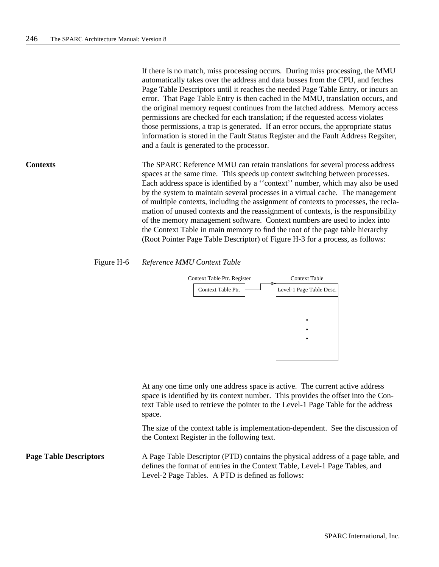If there is no match, miss processing occurs. During miss processing, the MMU automatically takes over the address and data busses from the CPU, and fetches Page Table Descriptors until it reaches the needed Page Table Entry, or incurs an error. That Page Table Entry is then cached in the MMU, translation occurs, and the original memory request continues from the latched address. Memory access permissions are checked for each translation; if the requested access violates those permissions, a trap is generated. If an error occurs, the appropriate status information is stored in the Fault Status Register and the Fault Address Regsiter, and a fault is generated to the processor.

**Contexts** The SPARC Reference MMU can retain translations for several process address spaces at the same time. This speeds up context switching between processes. Each address space is identified by a ''context'' number, which may also be used by the system to maintain several processes in a virtual cache. The management of multiple contexts, including the assignment of contexts to processes, the reclamation of unused contexts and the reassignment of contexts, is the responsibility of the memory management software. Context numbers are used to index into the Context Table in main memory to find the root of the page table hierarchy (Root Pointer Page Table Descriptor) of Figure H-3 for a process, as follows:

## Figure H-6 *Reference MMU Context Table*



At any one time only one address space is active. The current active address space is identified by its context number. This provides the offset into the Context Table used to retrieve the pointer to the Level-1 Page Table for the address space.

The size of the context table is implementation-dependent. See the discussion of the Context Register in the following text.

**Page Table Descriptors** A Page Table Descriptor (PTD) contains the physical address of a page table, and defines the format of entries in the Context Table, Level-1 Page Tables, and Level-2 Page Tables. A PTD is defined as follows: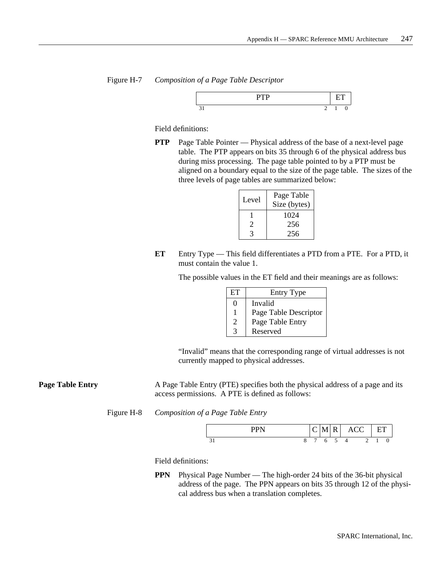# Figure H-7 *Composition of a Page Table Descriptor*



Field definitions:

**PTP** Page Table Pointer — Physical address of the base of a next-level page table. The PTP appears on bits 35 through 6 of the physical address bus during miss processing. The page table pointed to by a PTP must be aligned on a boundary equal to the size of the page table. The sizes of the three levels of page tables are summarized below:

| Level | Page Table<br>Size (bytes) |
|-------|----------------------------|
|       | 1024                       |
| 2     | 256                        |
|       | 256                        |

**ET** Entry Type — This field differentiates a PTD from a PTE. For a PTD, it must contain the value 1.

The possible values in the ET field and their meanings are as follows:

| EТ       | Entry Type            |
|----------|-----------------------|
| $\Omega$ | Invalid               |
|          | Page Table Descriptor |
| 2        | Page Table Entry      |
| 3        | Reserved              |

"Invalid" means that the corresponding range of virtual addresses is not currently mapped to physical addresses.

**Page Table Entry** A Page Table Entry (PTE) specifies both the physical address of a page and its access permissions. A PTE is defined as follows:

Figure H-8 *Composition of a Page Table Entry*



Field definitions:

**PPN** Physical Page Number — The high-order 24 bits of the 36-bit physical address of the page. The PPN appears on bits 35 through 12 of the physical address bus when a translation completes.

SPARC International, Inc.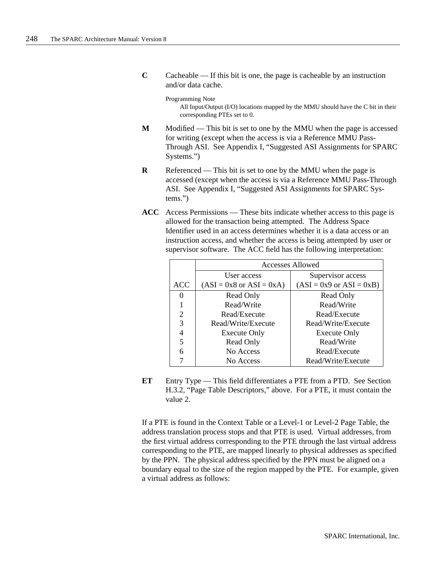**C** Cacheable — If this bit is one, the page is cacheable by an instruction and/or data cache.

Programming Note

All Input/Output (I/O) locations mapped by the MMU should have the C bit in their corresponding PTEs set to 0.

- **M** Modified This bit is set to one by the MMU when the page is accessed for writing (except when the access is via a Reference MMU Pass-Through ASI. See Appendix I, "Suggested ASI Assignments for SPARC Systems.")
- **R** Referenced This bit is set to one by the MMU when the page is accessed (except when the access is via a Reference MMU Pass-Through ASI. See Appendix I, "Suggested ASI Assignments for SPARC Systems.")
- **ACC** Access Permissions These bits indicate whether access to this page is allowed for the transaction being attempted. The Address Space Identifier used in an access determines whether it is a data access or an instruction access, and whether the access is being attempted by user or supervisor software. The ACC field has the following interpretation:

|            | <b>Accesses Allowed</b>      |                              |  |  |  |  |
|------------|------------------------------|------------------------------|--|--|--|--|
|            | User access                  | Supervisor access            |  |  |  |  |
| <b>ACC</b> | $(ASI = 0x8$ or $ASI = 0xA)$ | $(ASI = 0x9$ or $ASI = 0xB)$ |  |  |  |  |
| 0          | <b>Read Only</b>             | <b>Read Only</b>             |  |  |  |  |
|            | Read/Write                   | Read/Write                   |  |  |  |  |
| 2          | Read/Execute                 | Read/Execute                 |  |  |  |  |
| 3          | Read/Write/Execute           | Read/Write/Execute           |  |  |  |  |
| 4          | <b>Execute Only</b>          | <b>Execute Only</b>          |  |  |  |  |
| 5          | Read Only                    | Read/Write                   |  |  |  |  |
| 6          | No Access                    | Read/Execute                 |  |  |  |  |
|            | No Access                    | Read/Write/Execute           |  |  |  |  |

**ET** Entry Type — This field differentiates a PTE from a PTD. See Section H.3.2, "Page Table Descriptors," above. For a PTE, it must contain the value 2.

If a PTE is found in the Context Table or a Level-1 or Level-2 Page Table, the address translation process stops and that PTE is used. Virtual addresses, from the first virtual address corresponding to the PTE through the last virtual address corresponding to the PTE, are mapped linearly to physical addresses as specified by the PPN. The physical address specified by the PPN must be aligned on a boundary equal to the size of the region mapped by the PTE. For example, given a virtual address as follows: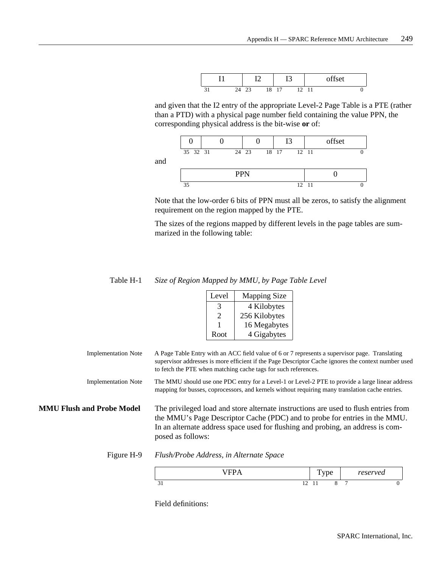| -- | -- |    | ⌒ |     | $\alpha$ |  |
|----|----|----|---|-----|----------|--|
|    |    | 10 |   | - - |          |  |

and given that the I2 entry of the appropriate Level-2 Page Table is a PTE (rather than a PTD) with a physical page number field containing the value PPN, the corresponding physical address is the bit-wise **or** of:



Note that the low-order 6 bits of PPN must all be zeros, to satisfy the alignment requirement on the region mapped by the PTE.

The sizes of the regions mapped by different levels in the page tables are summarized in the following table:

|                                  |                                                                                                                                                                                                                                                                           | Level          | <b>Mapping Size</b>                                                                                                                                                                                                                                                     |      |          |  |
|----------------------------------|---------------------------------------------------------------------------------------------------------------------------------------------------------------------------------------------------------------------------------------------------------------------------|----------------|-------------------------------------------------------------------------------------------------------------------------------------------------------------------------------------------------------------------------------------------------------------------------|------|----------|--|
|                                  |                                                                                                                                                                                                                                                                           | 3              | 4 Kilobytes                                                                                                                                                                                                                                                             |      |          |  |
|                                  |                                                                                                                                                                                                                                                                           | $\overline{2}$ | 256 Kilobytes                                                                                                                                                                                                                                                           |      |          |  |
|                                  |                                                                                                                                                                                                                                                                           |                | 16 Megabytes                                                                                                                                                                                                                                                            |      |          |  |
|                                  |                                                                                                                                                                                                                                                                           | Root           | 4 Gigabytes                                                                                                                                                                                                                                                             |      |          |  |
| <b>Implementation Note</b>       |                                                                                                                                                                                                                                                                           |                | A Page Table Entry with an ACC field value of 6 or 7 represents a supervisor page. Translating<br>supervisor addresses is more efficient if the Page Descriptor Cache ignores the context number used<br>to fetch the PTE when matching cache tags for such references. |      |          |  |
| <b>Implementation Note</b>       |                                                                                                                                                                                                                                                                           |                | The MMU should use one PDC entry for a Level-1 or Level-2 PTE to provide a large linear address<br>mapping for busses, coprocessors, and kernels without requiring many translation cache entries.                                                                      |      |          |  |
| <b>MMU Flush and Probe Model</b> | The privileged load and store alternate instructions are used to flush entries from<br>the MMU's Page Descriptor Cache (PDC) and to probe for entries in the MMU.<br>In an alternate address space used for flushing and probing, an address is com-<br>posed as follows: |                |                                                                                                                                                                                                                                                                         |      |          |  |
| Figure H-9                       | Flush/Probe Address, in Alternate Space                                                                                                                                                                                                                                   |                |                                                                                                                                                                                                                                                                         |      |          |  |
|                                  |                                                                                                                                                                                                                                                                           | <b>VFPA</b>    |                                                                                                                                                                                                                                                                         | Type | reserved |  |

 $31$  12

# Table H-1 *Size of Region Mapped by MMU, by Page Table Level*

Field definitions:

7 0

 $\frac{1}{12}$  11 8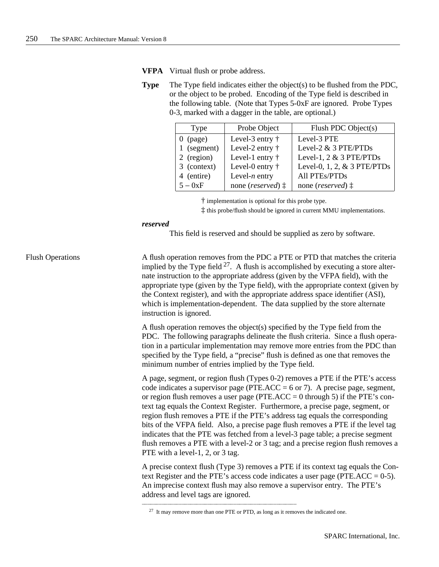- **VFPA** Virtual flush or probe address.
- **Type** The Type field indicates either the object(s) to be flushed from the PDC, or the object to be probed. Encoding of the Type field is described in the following table. (Note that Types 5-0xF are ignored. Probe Types 0-3, marked with a dagger in the table, are optional.)

| Type        | Probe Object               | Flush PDC Object(s)                 |
|-------------|----------------------------|-------------------------------------|
| $0$ (page)  | Level-3 entry $\dagger$    | Level-3 PTE                         |
| 1 (segment) | Level-2 entry †            | Level-2 & 3 PTE/PTDs                |
| 2 (region)  | Level-1 entry $\dagger$    | Level-1, $2 \& 3$ PTE/PTDs          |
| 3 (context) | Level-0 entry $\dagger$    | Level-0, 1, 2, $&$ 3 PTE/PTDs       |
| 4 (entire)  | Level- $n$ entry           | All PTEs/PTDs                       |
| $5-0xF$     | none (reserved) $\ddagger$ | none ( <i>reserved</i> ) $\ddagger$ |

† implementation is optional for this probe type.

‡ this probe/flush should be ignored in current MMU implementations.

## *reserved*

This field is reserved and should be supplied as zero by software.

Flush Operations A flush operation removes from the PDC a PTE or PTD that matches the criteria implied by the Type field  $27$ . A flush is accomplished by executing a store alternate instruction to the appropriate address (given by the VFPA field), with the appropriate type (given by the Type field), with the appropriate context (given by the Context register), and with the appropriate address space identifier (ASI), which is implementation-dependent. The data supplied by the store alternate instruction is ignored.

> A flush operation removes the object(s) specified by the Type field from the PDC. The following paragraphs delineate the flush criteria. Since a flush operation in a particular implementation may remove more entries from the PDC than specified by the Type field, a "precise" flush is defined as one that removes the minimum number of entries implied by the Type field.

> A page, segment, or region flush (Types 0-2) removes a PTE if the PTE's access code indicates a supervisor page (PTE.ACC = 6 or 7). A precise page, segment, or region flush removes a user page (PTE.ACC = 0 through 5) if the PTE's context tag equals the Context Register. Furthermore, a precise page, segment, or region flush removes a PTE if the PTE's address tag equals the corresponding bits of the VFPA field. Also, a precise page flush removes a PTE if the level tag indicates that the PTE was fetched from a level-3 page table; a precise segment flush removes a PTE with a level-2 or 3 tag; and a precise region flush removes a PTE with a level-1, 2, or 3 tag.

> A precise context flush (Type 3) removes a PTE if its context tag equals the Context Register and the PTE's access code indicates a user page (PTE.ACC =  $0-5$ ). An imprecise context flush may also remove a supervisor entry. The PTE's address and level tags are ignored.

<sup>27</sup> It may remove more than one PTE or PTD, as long as it removes the indicated one.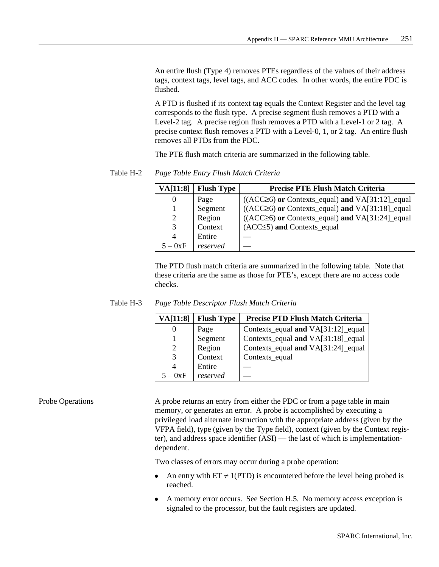An entire flush (Type 4) removes PTEs regardless of the values of their address tags, context tags, level tags, and ACC codes. In other words, the entire PDC is flushed.

A PTD is flushed if its context tag equals the Context Register and the level tag corresponds to the flush type. A precise segment flush removes a PTD with a Level-2 tag. A precise region flush removes a PTD with a Level-1 or 2 tag. A precise context flush removes a PTD with a Level-0, 1, or 2 tag. An entire flush removes all PTDs from the PDC.

The PTE flush match criteria are summarized in the following table.

| VA[11:8]  | <b>Flush Type</b> | <b>Precise PTE Flush Match Criteria</b>                   |
|-----------|-------------------|-----------------------------------------------------------|
|           | Page              | $((ACC\geq 6)$ or Contexts_equal) and $VA[31:12]$ _equal  |
|           | Segment           | $((ACC \geq 6)$ or Contexts_equal) and $VA[31:18]$ _equal |
| 2         | Region            | $((ACC \geq 6)$ or Contexts_equal) and VA[31:24]_equal    |
| 3         | Context           | $(ACC\leq 5)$ and Contexts_equal                          |
| 4         | Entire            |                                                           |
| $5 - 0xF$ | reserved          |                                                           |

# Table H-2 *Page Table Entry Flush Match Criteria*

The PTD flush match criteria are summarized in the following table. Note that these criteria are the same as those for PTE's, except there are no access code checks.

| Table H-3 |  |  | Page Table Descriptor Flush Match Criteria |  |
|-----------|--|--|--------------------------------------------|--|
|-----------|--|--|--------------------------------------------|--|

| VA[11:8] | <b>Flush Type</b> | <b>Precise PTD Flush Match Criteria</b> |
|----------|-------------------|-----------------------------------------|
| O        | Page              | Contexts_equal and VA[31:12]_equal      |
|          | Segment           | Contexts_equal and VA[31:18]_equal      |
| 2        | Region            | Contexts_equal and VA[31:24]_equal      |
| 3        | Context           | Contexts_equal                          |
| 4        | Entire            |                                         |
| $5-0xF$  | reserved          |                                         |

Probe Operations A probe returns an entry from either the PDC or from a page table in main memory, or generates an error. A probe is accomplished by executing a privileged load alternate instruction with the appropriate address (given by the VFPA field), type (given by the Type field), context (given by the Context register), and address space identifier (ASI) — the last of which is implementationdependent.

Two classes of errors may occur during a probe operation:

- An entry with  $ET \neq 1(PTD)$  is encountered before the level being probed is reached.
- $\bullet$  A memory error occurs. See Section H.5. No memory access exception is signaled to the processor, but the fault registers are updated.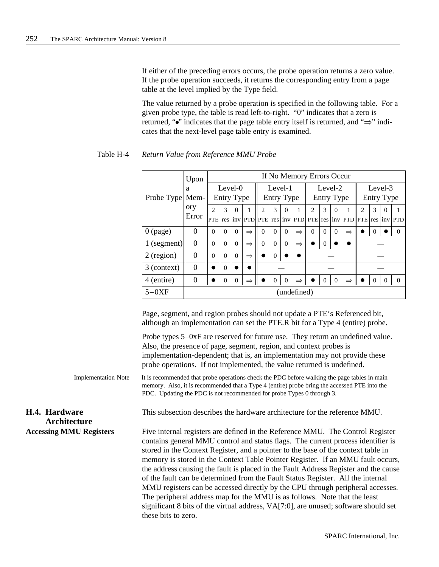If either of the preceding errors occurs, the probe operation returns a zero value. If the probe operation succeeds, it returns the corresponding entry from a page table at the level implied by the Type field.

The value returned by a probe operation is specified in the following table. For a given probe type, the table is read left-to-right. "0" indicates that a zero is returned, "•" indicates that the page table entry itself is returned, and "⇒" indicates that the next-level page table entry is examined.

|                   | If No Memory Errors Occur |                              |          |                       |                              |                     |          |                              |                        |                |                              |          |                        |                |          |          |                    |
|-------------------|---------------------------|------------------------------|----------|-----------------------|------------------------------|---------------------|----------|------------------------------|------------------------|----------------|------------------------------|----------|------------------------|----------------|----------|----------|--------------------|
| Probe Type   Mem- | a                         | Level- $0$<br>Entry Type     |          |                       | Level-1<br><b>Entry Type</b> |                     |          | Level-2<br><b>Entry Type</b> |                        |                | Level-3<br><b>Entry Type</b> |          |                        |                |          |          |                    |
|                   | ory<br>Error              | $\overline{c}$<br><b>PTE</b> | 3        | $\Omega$<br>$res$ inv | 1                            | 2<br><b>PTD</b> PTE | 3        | $\Omega$                     | 1<br>$res$ inv PTD PTE | $\overline{c}$ | 3                            | $\Omega$ | 1<br>$res$ inv PTD PTE | $\overline{2}$ | 3        | $\Omega$ | 1<br>$res$ inv PTD |
| $0$ (page)        | 0                         | $\Omega$                     | $\Omega$ | $\Omega$              | $\Rightarrow$                | $\Omega$            | $\Omega$ | $\Omega$                     | $\Rightarrow$          | $\Omega$       | $\Omega$                     | $\Omega$ | $\Rightarrow$          |                | $\Omega$ |          | $\Omega$           |
| $1$ (segment)     | $\Omega$                  | $\Omega$                     | $\Omega$ | $\Omega$              | $\Rightarrow$                | $\Omega$            | $\Omega$ | $\Omega$                     | $\Rightarrow$          |                | $\Omega$                     |          |                        |                |          |          |                    |
| 2 (region)        | $\theta$                  | $\Omega$                     | $\Omega$ | $\Omega$              | $\Rightarrow$                |                     | $\Omega$ |                              |                        |                |                              |          |                        |                |          |          |                    |
| 3 (context)       | $\theta$                  |                              | $\Omega$ |                       |                              |                     |          |                              |                        |                |                              |          |                        |                |          |          |                    |
| 4 (entire)        | $\theta$                  |                              | $\Omega$ | $\Omega$              | $\Rightarrow$                |                     | $\Omega$ | $\Omega$                     | $\Rightarrow$          |                | $\Omega$                     | $\Omega$ | $\Rightarrow$          |                | $\Omega$ | $\Omega$ | $\Omega$           |
| $5-0XF$           |                           | (undefined)                  |          |                       |                              |                     |          |                              |                        |                |                              |          |                        |                |          |          |                    |

Table H-4 *Return Value from Reference MMU Probe*

Page, segment, and region probes should not update a PTE's Referenced bit, although an implementation can set the PTE.R bit for a Type 4 (entire) probe.

Probe types 5−0xF are reserved for future use. They return an undefined value. Also, the presence of page, segment, region, and context probes is implementation-dependent; that is, an implementation may not provide these probe operations. If not implemented, the value returned is undefined.

Implementation Note It is recommended that probe operations check the PDC before walking the page tables in main memory. Also, it is recommended that a Type 4 (entire) probe bring the accessed PTE into the PDC. Updating the PDC is not recommended for probe Types 0 through 3.

**H.4. Hardware Architecture** This subsection describes the hardware architecture for the reference MMU.

**Accessing MMU Registers** Five internal registers are defined in the Reference MMU. The Control Register contains general MMU control and status flags. The current process identifier is stored in the Context Register, and a pointer to the base of the context table in memory is stored in the Context Table Pointer Register. If an MMU fault occurs, the address causing the fault is placed in the Fault Address Register and the cause of the fault can be determined from the Fault Status Register. All the internal MMU registers can be accessed directly by the CPU through peripheral accesses. The peripheral address map for the MMU is as follows. Note that the least significant 8 bits of the virtual address, VA[7:0], are unused; software should set these bits to zero.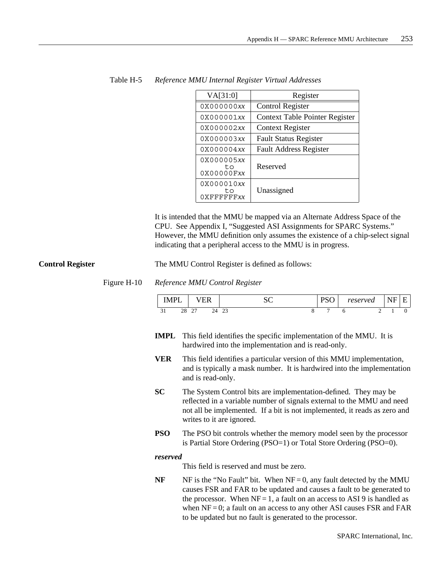| VA[31:0]                             | Register                       |
|--------------------------------------|--------------------------------|
| 0X000000xx                           | Control Register               |
| 0X000001xx                           | Context Table Pointer Register |
| 0X000002xx                           | <b>Context Register</b>        |
| 0X000003xx                           | <b>Fault Status Register</b>   |
| 0X000004xx                           | <b>Fault Address Register</b>  |
| 0X000005xx<br>tο<br>$0X00000$ F $xx$ | Reserved                       |
| 0X000010xx<br>τ∩<br>$0$ XFFFFFF $xx$ | Unassigned                     |

# Table H-5 *Reference MMU Internal Register Virtual Addresses*

It is intended that the MMU be mapped via an Alternate Address Space of the CPU. See Appendix I, "Suggested ASI Assignments for SPARC Systems." However, the MMU definition only assumes the existence of a chip-select signal indicating that a peripheral access to the MMU is in progress.

# **Control Register** The MMU Control Register is defined as follows:

Figure H-10 *Reference MMU Control Register*

| IMPI                 | $\overline{ }$<br>к      | nΩ<br>ື | DC.<br>◡<br>ֿ ש | reserved | --<br>NH | ╼ |
|----------------------|--------------------------|---------|-----------------|----------|----------|---|
| $\sim$<br>28<br>- 21 | $\sim$<br>74<br><u>.</u> | ر ے     |                 |          |          |   |

- **IMPL** This field identifies the specific implementation of the MMU. It is hardwired into the implementation and is read-only.
- **VER** This field identifies a particular version of this MMU implementation, and is typically a mask number. It is hardwired into the implementation and is read-only.
- **SC** The System Control bits are implementation-defined. They may be reflected in a variable number of signals external to the MMU and need not all be implemented. If a bit is not implemented, it reads as zero and writes to it are ignored.
- **PSO** The PSO bit controls whether the memory model seen by the processor is Partial Store Ordering (PSO=1) or Total Store Ordering (PSO=0).

## *reserved*

This field is reserved and must be zero.

**NF** NF is the "No Fault" bit. When  $NF = 0$ , any fault detected by the MMU causes FSR and FAR to be updated and causes a fault to be generated to the processor. When  $NF = 1$ , a fault on an access to ASI 9 is handled as when  $NF = 0$ ; a fault on an access to any other ASI causes FSR and FAR to be updated but no fault is generated to the processor.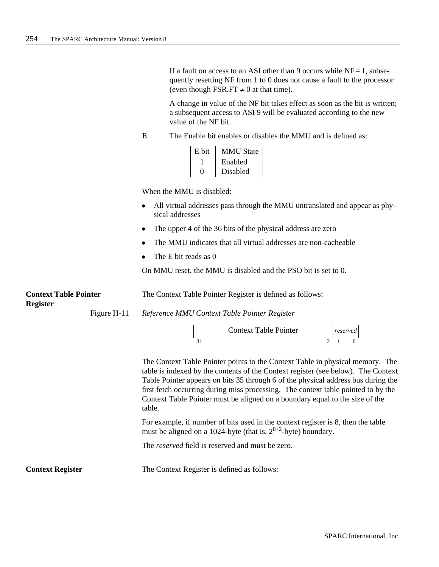If a fault on access to an ASI other than 9 occurs while  $NF = 1$ , subsequently resetting NF from 1 to 0 does not cause a fault to the processor (even though FSR.FT  $\neq$  0 at that time).

A change in value of the NF bit takes effect as soon as the bit is written; a subsequent access to ASI 9 will be evaluated according to the new value of the NF bit.

**E** The Enable bit enables or disables the MMU and is defined as:

| E bit | <b>MMU</b> State |
|-------|------------------|
|       | Enabled          |
|       | Disabled         |

When the MMU is disabled:

- All virtual addresses pass through the MMU untranslated and appear as physical addresses
- The upper 4 of the 36 bits of the physical address are zero
- $\bullet$ The MMU indicates that all virtual addresses are non-cacheable
- The E bit reads as 0

On MMU reset, the MMU is disabled and the PSO bit is set to 0.

| <b>Context Table Pointer</b><br><b>Register</b> |             | The Context Table Pointer Register is defined as follows:                                                                                                                                                                                                                                                                                                                                                                              |    |                              |  |                |          |  |
|-------------------------------------------------|-------------|----------------------------------------------------------------------------------------------------------------------------------------------------------------------------------------------------------------------------------------------------------------------------------------------------------------------------------------------------------------------------------------------------------------------------------------|----|------------------------------|--|----------------|----------|--|
|                                                 | Figure H-11 | Reference MMU Context Table Pointer Register                                                                                                                                                                                                                                                                                                                                                                                           |    |                              |  |                |          |  |
|                                                 |             |                                                                                                                                                                                                                                                                                                                                                                                                                                        |    | <b>Context Table Pointer</b> |  | reserved       |          |  |
|                                                 |             |                                                                                                                                                                                                                                                                                                                                                                                                                                        | 31 |                              |  | $\overline{2}$ | $\Omega$ |  |
|                                                 |             | The Context Table Pointer points to the Context Table in physical memory. The<br>table is indexed by the contents of the Context register (see below). The Context<br>Table Pointer appears on bits 35 through 6 of the physical address bus during the<br>first fetch occurring during miss processing. The context table pointed to by the<br>Context Table Pointer must be aligned on a boundary equal to the size of the<br>table. |    |                              |  |                |          |  |
|                                                 |             | For example, if number of bits used in the context register is 8, then the table<br>must be aligned on a 1024-byte (that is, $2^{8+2}$ -byte) boundary.                                                                                                                                                                                                                                                                                |    |                              |  |                |          |  |
|                                                 |             | The <i>reserved</i> field is reserved and must be zero.                                                                                                                                                                                                                                                                                                                                                                                |    |                              |  |                |          |  |
| <b>Context Register</b>                         |             | The Context Register is defined as follows:                                                                                                                                                                                                                                                                                                                                                                                            |    |                              |  |                |          |  |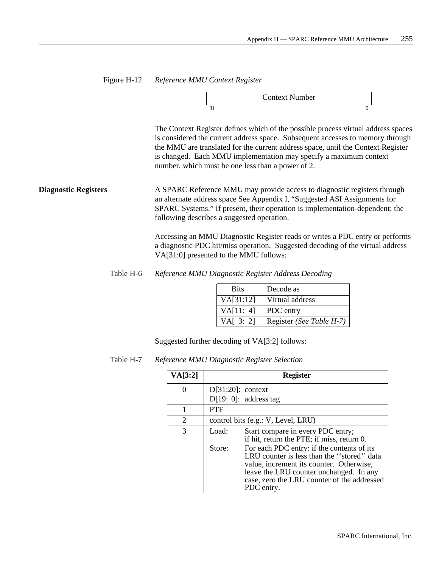# Figure H-12 *Reference MMU Context Register*



| <b>Bits</b> | Decode as                |
|-------------|--------------------------|
| VA[31:12]   | Virtual address          |
| VA[11: 4]   | PDC entry                |
| VAI 3: 21   | Register (See Table H-7) |

Suggested further decoding of VA[3:2] follows:

# Table H-7 *Reference MMU Diagnostic Register Selection*

| VA[3:2] | Register                           |                                                                                                                                                                                                                                              |  |  |
|---------|------------------------------------|----------------------------------------------------------------------------------------------------------------------------------------------------------------------------------------------------------------------------------------------|--|--|
|         | $D[31:20]$ : context               |                                                                                                                                                                                                                                              |  |  |
|         |                                    | $D[19: 0]$ : address tag                                                                                                                                                                                                                     |  |  |
|         | <b>PTE</b>                         |                                                                                                                                                                                                                                              |  |  |
| 2       | control bits (e.g.: V, Level, LRU) |                                                                                                                                                                                                                                              |  |  |
| 3       | Load:                              | Start compare in every PDC entry;<br>if hit, return the PTE; if miss, return 0.                                                                                                                                                              |  |  |
|         | Store:                             | For each PDC entry: if the contents of its<br>LRU counter is less than the "stored" data<br>value, increment its counter. Otherwise,<br>leave the LRU counter unchanged. In any<br>case, zero the LRU counter of the addressed<br>PDC entry. |  |  |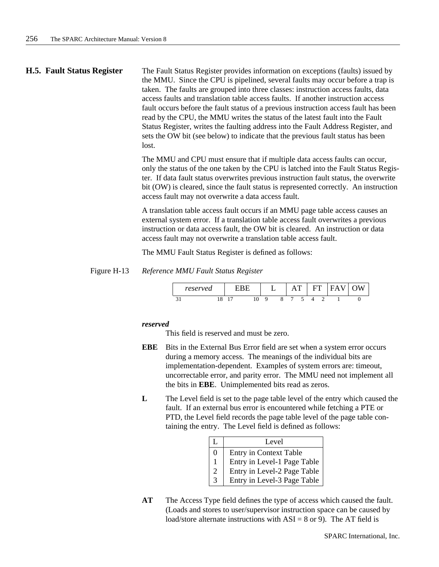| <b>H.5. Fault Status Register</b> | The Fault Status Register provides information on exceptions (faults) issued by      |
|-----------------------------------|--------------------------------------------------------------------------------------|
|                                   | the MMU. Since the CPU is pipelined, several faults may occur before a trap is       |
|                                   | taken. The faults are grouped into three classes: instruction access faults, data    |
|                                   | access faults and translation table access faults. If another instruction access     |
|                                   | fault occurs before the fault status of a previous instruction access fault has been |
|                                   | read by the CPU, the MMU writes the status of the latest fault into the Fault        |
|                                   | Status Register, writes the faulting address into the Fault Address Register, and    |
|                                   | sets the OW bit (see below) to indicate that the previous fault status has been      |
|                                   | lost.                                                                                |
|                                   |                                                                                      |

The MMU and CPU must ensure that if multiple data access faults can occur, only the status of the one taken by the CPU is latched into the Fault Status Register. If data fault status overwrites previous instruction fault status, the overwrite bit (OW) is cleared, since the fault status is represented correctly. An instruction access fault may not overwrite a data access fault.

A translation table access fault occurs if an MMU page table access causes an external system error. If a translation table access fault overwrites a previous instruction or data access fault, the OW bit is cleared. An instruction or data access fault may not overwrite a translation table access fault.

The MMU Fault Status Register is defined as follows:

# Figure H-13 *Reference MMU Fault Status Register*



## *reserved*

This field is reserved and must be zero.

- **EBE** Bits in the External Bus Error field are set when a system error occurs during a memory access. The meanings of the individual bits are implementation-dependent. Examples of system errors are: timeout, uncorrectable error, and parity error. The MMU need not implement all the bits in **EBE**. Unimplemented bits read as zeros.
- **L** The Level field is set to the page table level of the entry which caused the fault. If an external bus error is encountered while fetching a PTE or PTD, the Level field records the page table level of the page table containing the entry. The Level field is defined as follows:

|                | Level                         |
|----------------|-------------------------------|
| $\overline{0}$ | <b>Entry in Context Table</b> |
| 1              | Entry in Level-1 Page Table   |
| $\overline{2}$ | Entry in Level-2 Page Table   |
| 3              | Entry in Level-3 Page Table   |

**AT** The Access Type field defines the type of access which caused the fault. (Loads and stores to user/supervisor instruction space can be caused by load/store alternate instructions with  $ASI = 8$  or 9). The AT field is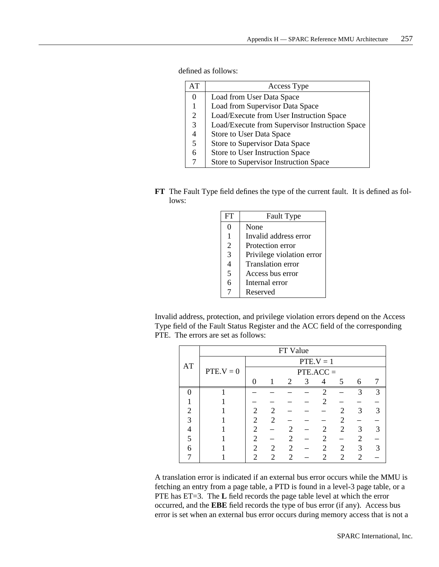defined as follows:

| AT       | Access Type                                    |
|----------|------------------------------------------------|
| $\Omega$ | Load from User Data Space                      |
|          | Load from Supervisor Data Space                |
| 2        | Load/Execute from User Instruction Space       |
| 3        | Load/Execute from Supervisor Instruction Space |
| 4        | <b>Store to User Data Space</b>                |
| 5        | Store to Supervisor Data Space                 |
| 6        | Store to User Instruction Space                |
|          | Store to Supervisor Instruction Space          |

**FT** The Fault Type field defines the type of the current fault. It is defined as follows:

| <b>FT</b>      | <b>Fault Type</b>         |
|----------------|---------------------------|
| 0              | None                      |
| 1              | Invalid address error     |
| 2              | Protection error          |
| 3              | Privilege violation error |
| $\overline{4}$ | <b>Translation error</b>  |
| 5              | Access bus error          |
| 6              | Internal error            |
|                | Reserved                  |

Invalid address, protection, and privilege violation errors depend on the Access Type field of the Fault Status Register and the ACC field of the corresponding PTE. The errors are set as follows:

|             |             |                             | FT Value       |                       |   |                             |   |   |   |  |  |
|-------------|-------------|-----------------------------|----------------|-----------------------|---|-----------------------------|---|---|---|--|--|
| AT          |             | $PTE.V = 1$                 |                |                       |   |                             |   |   |   |  |  |
|             | $PTE.V = 0$ |                             | $PTEACC =$     |                       |   |                             |   |   |   |  |  |
|             |             |                             |                | 2                     | 3 | 4                           | 5 | 6 |   |  |  |
|             |             |                             |                |                       |   | $\overline{c}$              |   | 3 | 3 |  |  |
|             |             |                             |                |                       |   | 2                           |   |   |   |  |  |
| っ           |             | 2                           | 2              |                       |   |                             | 2 | 3 |   |  |  |
| $\mathbf 3$ |             | $\overline{c}$              | ◠              |                       |   |                             | 2 |   |   |  |  |
|             |             | $\mathcal{D}_{\mathcal{A}}$ |                |                       |   | $\mathcal{D}_{\mathcal{L}}$ | 2 | 3 |   |  |  |
| 5           |             | $\mathcal{D}_{\mathcal{D}}$ |                |                       |   |                             |   | 2 |   |  |  |
|             |             | $\mathcal{D}_{\cdot}$       | $\overline{2}$ | $\mathcal{D}_{\cdot}$ |   | $\mathcal{D}_{\cdot}$       | 2 | 3 |   |  |  |
|             |             | 2                           | ⌒              | ി                     |   | ◠                           | 2 | ി |   |  |  |

A translation error is indicated if an external bus error occurs while the MMU is fetching an entry from a page table, a PTD is found in a level-3 page table, or a PTE has ET=3. The **L** field records the page table level at which the error occurred, and the **EBE** field records the type of bus error (if any). Access bus error is set when an external bus error occurs during memory access that is not a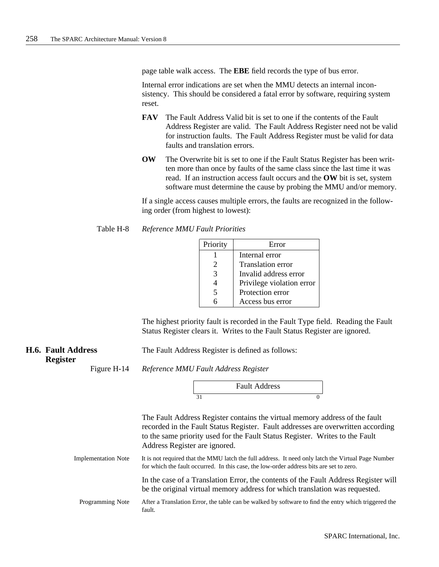page table walk access. The **EBE** field records the type of bus error.

Internal error indications are set when the MMU detects an internal inconsistency. This should be considered a fatal error by software, requiring system reset.

- **FAV** The Fault Address Valid bit is set to one if the contents of the Fault Address Register are valid. The Fault Address Register need not be valid for instruction faults. The Fault Address Register must be valid for data faults and translation errors.
- **OW** The Overwrite bit is set to one if the Fault Status Register has been written more than once by faults of the same class since the last time it was read. If an instruction access fault occurs and the **OW** bit is set, system software must determine the cause by probing the MMU and/or memory.

If a single access causes multiple errors, the faults are recognized in the following order (from highest to lowest):

# Table H-8 *Reference MMU Fault Priorities*

| Priority       | Error                     |
|----------------|---------------------------|
|                | Internal error            |
| 2              | Translation error         |
| 3              | Invalid address error     |
| 4              | Privilege violation error |
| $\overline{5}$ | Protection error          |
|                | Access bus error          |

The highest priority fault is recorded in the Fault Type field. Reading the Fault Status Register clears it. Writes to the Fault Status Register are ignored.

# **H.6. Fault Address Register**

The Fault Address Register is defined as follows:

Figure H-14 *Reference MMU Fault Address Register*



The Fault Address Register contains the virtual memory address of the fault recorded in the Fault Status Register. Fault addresses are overwritten according to the same priority used for the Fault Status Register. Writes to the Fault Address Register are ignored.

Implementation Note It is not required that the MMU latch the full address. It need only latch the Virtual Page Number for which the fault occurred. In this case, the low-order address bits are set to zero.

> In the case of a Translation Error, the contents of the Fault Address Register will be the original virtual memory address for which translation was requested.

Programming Note After a Translation Error, the table can be walked by software to find the entry which triggered the fault.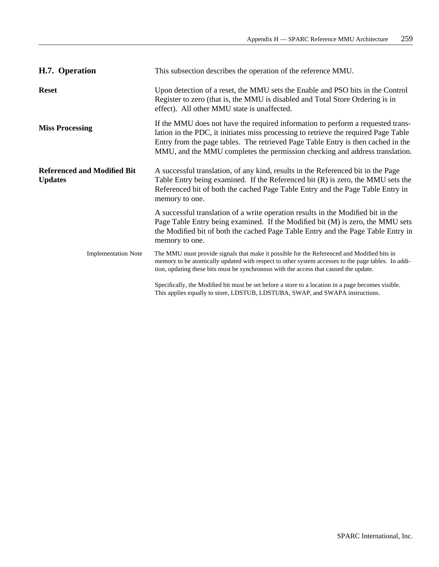| H.7. Operation                                       | This subsection describes the operation of the reference MMU.                                                                                                                                                                                                                                                                             |
|------------------------------------------------------|-------------------------------------------------------------------------------------------------------------------------------------------------------------------------------------------------------------------------------------------------------------------------------------------------------------------------------------------|
| <b>Reset</b>                                         | Upon detection of a reset, the MMU sets the Enable and PSO bits in the Control<br>Register to zero (that is, the MMU is disabled and Total Store Ordering is in<br>effect). All other MMU state is unaffected.                                                                                                                            |
| <b>Miss Processing</b>                               | If the MMU does not have the required information to perform a requested trans-<br>lation in the PDC, it initiates miss processing to retrieve the required Page Table<br>Entry from the page tables. The retrieved Page Table Entry is then cached in the<br>MMU, and the MMU completes the permission checking and address translation. |
| <b>Referenced and Modified Bit</b><br><b>Updates</b> | A successful translation, of any kind, results in the Referenced bit in the Page<br>Table Entry being examined. If the Referenced bit $(R)$ is zero, the MMU sets the<br>Referenced bit of both the cached Page Table Entry and the Page Table Entry in<br>memory to one.                                                                 |
|                                                      | A successful translation of a write operation results in the Modified bit in the<br>Page Table Entry being examined. If the Modified bit (M) is zero, the MMU sets<br>the Modified bit of both the cached Page Table Entry and the Page Table Entry in<br>memory to one.                                                                  |
| <b>Implementation Note</b>                           | The MMU must provide signals that make it possible for the Referenced and Modified bits in<br>memory to be atomically updated with respect to other system accesses to the page tables. In addi-<br>tion, updating these bits must be synchronous with the access that caused the update.                                                 |
|                                                      | Specifically, the Modified bit must be set before a store to a location in a page becomes visible.<br>This applies equally to store, LDSTUB, LDSTUBA, SWAP, and SWAPA instructions.                                                                                                                                                       |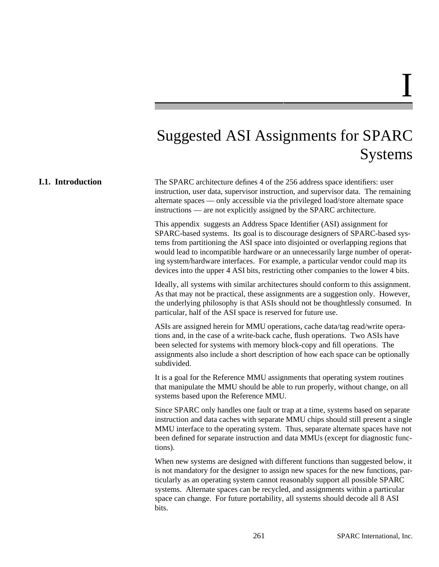$\overline{\phantom{a}}$ 

# Suggested ASI Assignments for SPARC Systems

**I.1. Introduction** The SPARC architecture defines 4 of the 256 address space identifiers: user instruction, user data, supervisor instruction, and supervisor data. The remaining alternate spaces — only accessible via the privileged load/store alternate space instructions — are not explicitly assigned by the SPARC architecture.

> This appendix suggests an Address Space Identifier (ASI) assignment for SPARC-based systems. Its goal is to discourage designers of SPARC-based systems from partitioning the ASI space into disjointed or overlapping regions that would lead to incompatible hardware or an unnecessarily large number of operating system/hardware interfaces. For example, a particular vendor could map its devices into the upper 4 ASI bits, restricting other companies to the lower 4 bits.

> Ideally, all systems with similar architectures should conform to this assignment. As that may not be practical, these assignments are a suggestion only. However, the underlying philosophy is that ASIs should not be thoughtlessly consumed. In particular, half of the ASI space is reserved for future use.

> ASIs are assigned herein for MMU operations, cache data/tag read/write operations and, in the case of a write-back cache, flush operations. Two ASIs have been selected for systems with memory block-copy and fill operations. The assignments also include a short description of how each space can be optionally subdivided.

> It is a goal for the Reference MMU assignments that operating system routines that manipulate the MMU should be able to run properly, without change, on all systems based upon the Reference MMU.

Since SPARC only handles one fault or trap at a time, systems based on separate instruction and data caches with separate MMU chips should still present a single MMU interface to the operating system. Thus, separate alternate spaces have not been defined for separate instruction and data MMUs (except for diagnostic functions).

When new systems are designed with different functions than suggested below, it is not mandatory for the designer to assign new spaces for the new functions, particularly as an operating system cannot reasonably support all possible SPARC systems. Alternate spaces can be recycled, and assignments within a particular space can change. For future portability, all systems should decode all 8 ASI bits.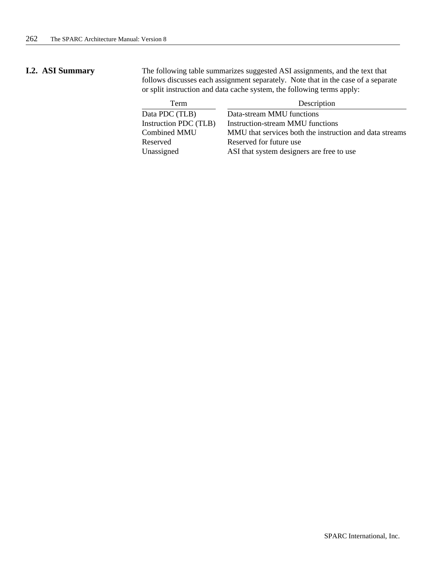**I.2. ASI Summary** The following table summarizes suggested ASI assignments, and the text that follows discusses each assignment separately. Note that in the case of a separate or split instruction and data cache system, the following terms apply:

| Term                  | Description                                             |
|-----------------------|---------------------------------------------------------|
| Data PDC (TLB)        | Data-stream MMU functions                               |
| Instruction PDC (TLB) | Instruction-stream MMU functions                        |
| Combined MMU          | MMU that services both the instruction and data streams |
| Reserved              | Reserved for future use                                 |
| Unassigned            | ASI that system designers are free to use               |
|                       |                                                         |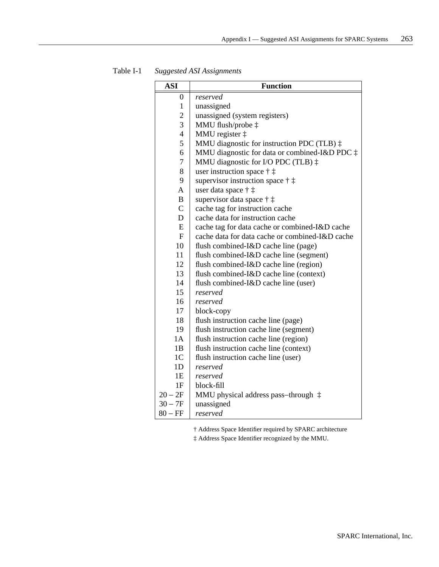| <b>ASI</b>     | <b>Function</b>                                        |
|----------------|--------------------------------------------------------|
| 0              | reserved                                               |
| 1              | unassigned                                             |
| $\overline{2}$ | unassigned (system registers)                          |
| 3              | MMU flush/probe $\ddagger$                             |
| $\overline{4}$ | MMU register $\ddagger$                                |
| 5              | MMU diagnostic for instruction PDC (TLB) $\ddagger$    |
| 6              | MMU diagnostic for data or combined-I&D PDC $\ddagger$ |
| 7              | MMU diagnostic for I/O PDC (TLB) $\ddagger$            |
| 8              | user instruction space $\dagger$ $\ddagger$            |
| 9              | supervisor instruction space $\dagger$ $\dagger$       |
| A              | user data space † ‡                                    |
| B              | supervisor data space $\dagger$ $\dagger$              |
| $\overline{C}$ | cache tag for instruction cache                        |
| $\mathbf D$    | cache data for instruction cache                       |
| ${\bf E}$      | cache tag for data cache or combined-I&D cache         |
| $\mathbf{F}$   | cache data for data cache or combined-I&D cache        |
| 10             | flush combined-I&D cache line (page)                   |
| 11             | flush combined-I&D cache line (segment)                |
| 12             | flush combined-I&D cache line (region)                 |
| 13             | flush combined-I&D cache line (context)                |
| 14             | flush combined-I&D cache line (user)                   |
| 15             | reserved                                               |
| 16             | reserved                                               |
| 17             | block-copy                                             |
| 18             | flush instruction cache line (page)                    |
| 19             | flush instruction cache line (segment)                 |
| 1A             | flush instruction cache line (region)                  |
| 1B             | flush instruction cache line (context)                 |
| 1 <sub>C</sub> | flush instruction cache line (user)                    |
| 1D             | reserved                                               |
| 1E             | reserved                                               |
| 1F             | block-fill                                             |
| $20 - 2F$      | MMU physical address pass-through $\ddagger$           |
| $30 - 7F$      | unassigned                                             |
| $80 - FF$      | reserved                                               |

Table I-1 *Suggested ASI Assignments*

† Address Space Identifier required by SPARC architecture

‡ Address Space Identifier recognized by the MMU.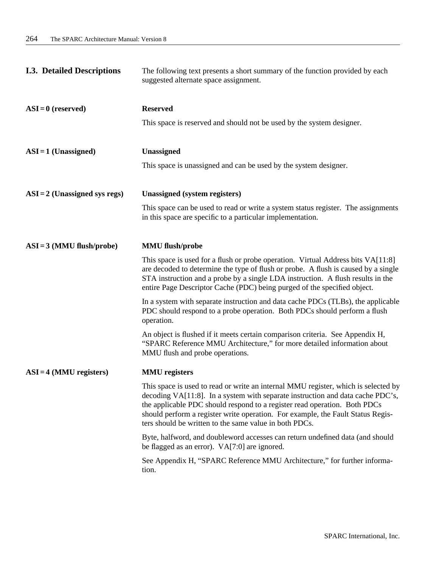| <b>I.3. Detailed Descriptions</b> | The following text presents a short summary of the function provided by each<br>suggested alternate space assignment.                                                                                                                                                                                                                                                                          |  |  |  |  |
|-----------------------------------|------------------------------------------------------------------------------------------------------------------------------------------------------------------------------------------------------------------------------------------------------------------------------------------------------------------------------------------------------------------------------------------------|--|--|--|--|
| $ASI = 0$ (reserved)              | <b>Reserved</b>                                                                                                                                                                                                                                                                                                                                                                                |  |  |  |  |
|                                   | This space is reserved and should not be used by the system designer.                                                                                                                                                                                                                                                                                                                          |  |  |  |  |
| $ASI = 1$ (Unassigned)            | Unassigned                                                                                                                                                                                                                                                                                                                                                                                     |  |  |  |  |
|                                   | This space is unassigned and can be used by the system designer.                                                                                                                                                                                                                                                                                                                               |  |  |  |  |
| $ASI = 2$ (Unassigned sys regs)   | Unassigned (system registers)                                                                                                                                                                                                                                                                                                                                                                  |  |  |  |  |
|                                   | This space can be used to read or write a system status register. The assignments<br>in this space are specific to a particular implementation.                                                                                                                                                                                                                                                |  |  |  |  |
| $ASI = 3$ (MMU flush/probe)       | <b>MMU</b> flush/probe                                                                                                                                                                                                                                                                                                                                                                         |  |  |  |  |
|                                   | This space is used for a flush or probe operation. Virtual Address bits VA[11:8]<br>are decoded to determine the type of flush or probe. A flush is caused by a single<br>STA instruction and a probe by a single LDA instruction. A flush results in the<br>entire Page Descriptor Cache (PDC) being purged of the specified object.                                                          |  |  |  |  |
|                                   | In a system with separate instruction and data cache PDCs (TLBs), the applicable<br>PDC should respond to a probe operation. Both PDCs should perform a flush<br>operation.                                                                                                                                                                                                                    |  |  |  |  |
|                                   | An object is flushed if it meets certain comparison criteria. See Appendix H,<br>"SPARC Reference MMU Architecture," for more detailed information about<br>MMU flush and probe operations.                                                                                                                                                                                                    |  |  |  |  |
| $ASI = 4$ (MMU registers)         | <b>MMU</b> registers                                                                                                                                                                                                                                                                                                                                                                           |  |  |  |  |
|                                   | This space is used to read or write an internal MMU register, which is selected by<br>decoding VA[11:8]. In a system with separate instruction and data cache PDC's,<br>the applicable PDC should respond to a register read operation. Both PDCs<br>should perform a register write operation. For example, the Fault Status Regis-<br>ters should be written to the same value in both PDCs. |  |  |  |  |
|                                   | Byte, halfword, and doubleword accesses can return undefined data (and should<br>be flagged as an error). $VA[7:0]$ are ignored.                                                                                                                                                                                                                                                               |  |  |  |  |
|                                   | See Appendix H, "SPARC Reference MMU Architecture," for further informa-<br>tion.                                                                                                                                                                                                                                                                                                              |  |  |  |  |
|                                   |                                                                                                                                                                                                                                                                                                                                                                                                |  |  |  |  |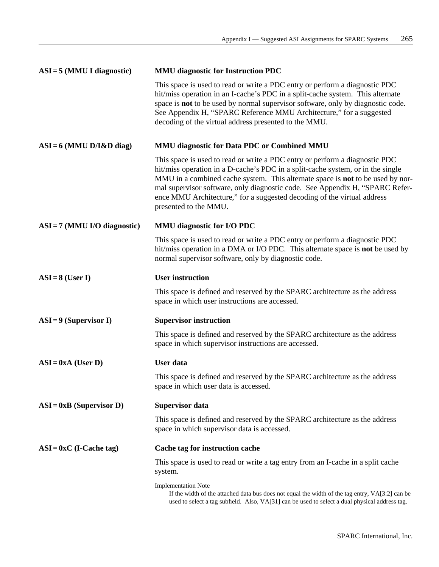| $ASI = 5$ (MMU I diagnostic)   | <b>MMU</b> diagnostic for Instruction PDC                                                                                                                                                                                                                                                                                                                                                                                            |
|--------------------------------|--------------------------------------------------------------------------------------------------------------------------------------------------------------------------------------------------------------------------------------------------------------------------------------------------------------------------------------------------------------------------------------------------------------------------------------|
|                                | This space is used to read or write a PDC entry or perform a diagnostic PDC<br>hit/miss operation in an I-cache's PDC in a split-cache system. This alternate<br>space is not to be used by normal supervisor software, only by diagnostic code.<br>See Appendix H, "SPARC Reference MMU Architecture," for a suggested<br>decoding of the virtual address presented to the MMU.                                                     |
| $ASI = 6$ (MMU D/I&D diag)     | <b>MMU</b> diagnostic for Data PDC or Combined MMU                                                                                                                                                                                                                                                                                                                                                                                   |
|                                | This space is used to read or write a PDC entry or perform a diagnostic PDC<br>hit/miss operation in a D-cache's PDC in a split-cache system, or in the single<br>MMU in a combined cache system. This alternate space is not to be used by nor-<br>mal supervisor software, only diagnostic code. See Appendix H, "SPARC Refer-<br>ence MMU Architecture," for a suggested decoding of the virtual address<br>presented to the MMU. |
| $ASI = 7$ (MMU I/O diagnostic) | <b>MMU</b> diagnostic for I/O PDC                                                                                                                                                                                                                                                                                                                                                                                                    |
|                                | This space is used to read or write a PDC entry or perform a diagnostic PDC<br>hit/miss operation in a DMA or I/O PDC. This alternate space is <b>not</b> be used by<br>normal supervisor software, only by diagnostic code.                                                                                                                                                                                                         |
| $ASI = 8$ (User I)             | <b>User instruction</b>                                                                                                                                                                                                                                                                                                                                                                                                              |
|                                | This space is defined and reserved by the SPARC architecture as the address<br>space in which user instructions are accessed.                                                                                                                                                                                                                                                                                                        |
| $ASI = 9$ (Supervisor I)       | <b>Supervisor instruction</b>                                                                                                                                                                                                                                                                                                                                                                                                        |
|                                | This space is defined and reserved by the SPARC architecture as the address<br>space in which supervisor instructions are accessed.                                                                                                                                                                                                                                                                                                  |
| $ASI = 0xA$ (User D)           | <b>User</b> data                                                                                                                                                                                                                                                                                                                                                                                                                     |
|                                | This space is defined and reserved by the SPARC architecture as the address<br>space in which user data is accessed.                                                                                                                                                                                                                                                                                                                 |
| $ASI = 0xB$ (Supervisor D)     | <b>Supervisor data</b>                                                                                                                                                                                                                                                                                                                                                                                                               |
|                                | This space is defined and reserved by the SPARC architecture as the address<br>space in which supervisor data is accessed.                                                                                                                                                                                                                                                                                                           |
| $ASI = 0xC$ (I-Cache tag)      | Cache tag for instruction cache                                                                                                                                                                                                                                                                                                                                                                                                      |
|                                | This space is used to read or write a tag entry from an I-cache in a split cache<br>system.                                                                                                                                                                                                                                                                                                                                          |
|                                | <b>Implementation Note</b><br>If the width of the attached data bus does not equal the width of the tag entry, $VA[3:2]$ can be<br>used to select a tag subfield. Also, VA[31] can be used to select a dual physical address tag.                                                                                                                                                                                                    |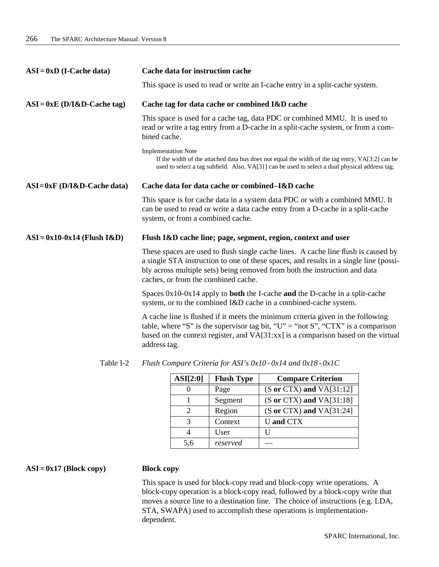| $ASI = 0xD$ (I-Cache data)     | Cache data for instruction cache                                                                                                                                                                                                                                                                 |                |                   |                                                                                                                                                                 |  |  |  |
|--------------------------------|--------------------------------------------------------------------------------------------------------------------------------------------------------------------------------------------------------------------------------------------------------------------------------------------------|----------------|-------------------|-----------------------------------------------------------------------------------------------------------------------------------------------------------------|--|--|--|
|                                | This space is used to read or write an I-cache entry in a split-cache system.                                                                                                                                                                                                                    |                |                   |                                                                                                                                                                 |  |  |  |
| $ASI = 0xE$ (D/I&D-Cache tag)  | Cache tag for data cache or combined I&D cache                                                                                                                                                                                                                                                   |                |                   |                                                                                                                                                                 |  |  |  |
|                                | bined cache.                                                                                                                                                                                                                                                                                     |                |                   | This space is used for a cache tag, data PDC or combined MMU. It is used to<br>read or write a tag entry from a D-cache in a split-cache system, or from a com- |  |  |  |
|                                | <b>Implementation Note</b><br>If the width of the attached data bus does not equal the width of the tag entry, VA[3:2] can be<br>used to select a tag subfield. Also, VA[31] can be used to select a dual physical address tag.                                                                  |                |                   |                                                                                                                                                                 |  |  |  |
| $ASI = 0xF (D/IAD-Cache data)$ |                                                                                                                                                                                                                                                                                                  |                |                   | Cache data for data cache or combined-I&D cache                                                                                                                 |  |  |  |
|                                | This space is for cache data in a system data PDC or with a combined MMU. It<br>can be used to read or write a data cache entry from a D-cache in a split-cache<br>system, or from a combined cache.                                                                                             |                |                   |                                                                                                                                                                 |  |  |  |
| $ASI = 0x10-0x14$ (Flush I&D)  | Flush I&D cache line; page, segment, region, context and user                                                                                                                                                                                                                                    |                |                   |                                                                                                                                                                 |  |  |  |
|                                | These spaces are used to flush single cache lines. A cache line flush is caused by<br>a single STA instruction to one of these spaces, and results in a single line (possi-<br>bly across multiple sets) being removed from both the instruction and data<br>caches, or from the combined cache. |                |                   |                                                                                                                                                                 |  |  |  |
|                                | Spaces $0x10-0x14$ apply to <b>both</b> the I-cache and the D-cache in a split-cache<br>system, or to the combined I&D cache in a combined-cache system.                                                                                                                                         |                |                   |                                                                                                                                                                 |  |  |  |
|                                | A cache line is flushed if it meets the minimum criteria given in the following<br>table, where "S" is the supervisor tag bit, "U" = "not S", "CTX" is a comparison<br>based on the context register, and VA[31:xx] is a comparison based on the virtual<br>address tag.                         |                |                   |                                                                                                                                                                 |  |  |  |
| Table I-2                      | Flush Compare Criteria for ASI's 0x10 - 0x14 and 0x18 - 0x1C                                                                                                                                                                                                                                     |                |                   |                                                                                                                                                                 |  |  |  |
|                                |                                                                                                                                                                                                                                                                                                  | ASI[2:0]       | <b>Flush Type</b> | <b>Compare Criterion</b>                                                                                                                                        |  |  |  |
|                                |                                                                                                                                                                                                                                                                                                  | $\overline{0}$ | Page              | $(S$ or CTX) and VA $[31:12]$                                                                                                                                   |  |  |  |
|                                |                                                                                                                                                                                                                                                                                                  |                | $\sim$            | $(0, 0)$ $(0, 0)$                                                                                                                                               |  |  |  |

| ASI[2:0]                    | <b>Flush Type</b> | <b>Compare Criterion</b>              |
|-----------------------------|-------------------|---------------------------------------|
|                             | Page              | $(S \text{ or } CTX)$ and $VA[31:12]$ |
|                             | Segment           | $(S$ or CTX) and VA $[31:18]$         |
| $\mathcal{D}_{\mathcal{A}}$ | Region            | $(S \text{ or } CTX)$ and $VA[31:24]$ |
| 3                           | Context           | <b>U</b> and CTX                      |
|                             | User              | U                                     |
| 5,6                         | reserved          |                                       |

# **ASI = 0x17 (Block copy) Block copy**

This space is used for block-copy read and block-copy write operations. A block-copy operation is a block-copy read, followed by a block-copy write that moves a source line to a destination line. The choice of instructions (e.g. LDA, STA, SWAPA) used to accomplish these operations is implementationdependent.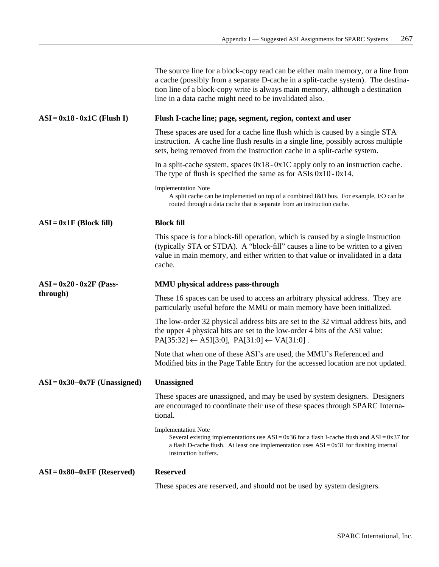|                                  | The source line for a block-copy read can be either main memory, or a line from<br>a cache (possibly from a separate D-cache in a split-cache system). The destina-<br>tion line of a block-copy write is always main memory, although a destination<br>line in a data cache might need to be invalidated also. |  |  |  |
|----------------------------------|-----------------------------------------------------------------------------------------------------------------------------------------------------------------------------------------------------------------------------------------------------------------------------------------------------------------|--|--|--|
| $ASI = 0x18 - 0x1C$ (Flush I)    | Flush I-cache line; page, segment, region, context and user                                                                                                                                                                                                                                                     |  |  |  |
|                                  | These spaces are used for a cache line flush which is caused by a single STA<br>instruction. A cache line flush results in a single line, possibly across multiple<br>sets, being removed from the Instruction cache in a split-cache system.                                                                   |  |  |  |
|                                  | In a split-cache system, spaces $0x18 - 0x1C$ apply only to an instruction cache.<br>The type of flush is specified the same as for ASIs $0x10 - 0x14$ .                                                                                                                                                        |  |  |  |
|                                  | <b>Implementation Note</b><br>A split cache can be implemented on top of a combined I&D bus. For example, I/O can be<br>routed through a data cache that is separate from an instruction cache.                                                                                                                 |  |  |  |
| $ASI = 0x1F$ (Block fill)        | <b>Block fill</b>                                                                                                                                                                                                                                                                                               |  |  |  |
|                                  | This space is for a block-fill operation, which is caused by a single instruction<br>(typically STA or STDA). A "block-fill" causes a line to be written to a given<br>value in main memory, and either written to that value or invalidated in a data<br>cache.                                                |  |  |  |
| $ASI = 0x20 - 0x2F$ (Pass-       | <b>MMU</b> physical address pass-through                                                                                                                                                                                                                                                                        |  |  |  |
| through)                         | These 16 spaces can be used to access an arbitrary physical address. They are<br>particularly useful before the MMU or main memory have been initialized.                                                                                                                                                       |  |  |  |
|                                  | The low-order 32 physical address bits are set to the 32 virtual address bits, and<br>the upper 4 physical bits are set to the low-order 4 bits of the ASI value:<br>$PA[35:32] \leftarrow ASI[3:0], PA[31:0] \leftarrow VA[31:0].$                                                                             |  |  |  |
|                                  | Note that when one of these ASI's are used, the MMU's Referenced and<br>Modified bits in the Page Table Entry for the accessed location are not updated.                                                                                                                                                        |  |  |  |
| $ASI = 0x30 - 0x7F$ (Unassigned) | Unassigned                                                                                                                                                                                                                                                                                                      |  |  |  |
|                                  | These spaces are unassigned, and may be used by system designers. Designers<br>are encouraged to coordinate their use of these spaces through SPARC Interna-<br>tional.                                                                                                                                         |  |  |  |
|                                  | <b>Implementation Note</b><br>Several existing implementations use $ASI = 0x36$ for a flash I-cache flush and $ASI = 0x37$ for<br>a flash D-cache flush. At least one implementation uses $ASI = 0x31$ for flushing internal<br>instruction buffers.                                                            |  |  |  |
| $ASI = 0x80 - 0xFF$ (Reserved)   | <b>Reserved</b>                                                                                                                                                                                                                                                                                                 |  |  |  |
|                                  | These spaces are reserved, and should not be used by system designers.                                                                                                                                                                                                                                          |  |  |  |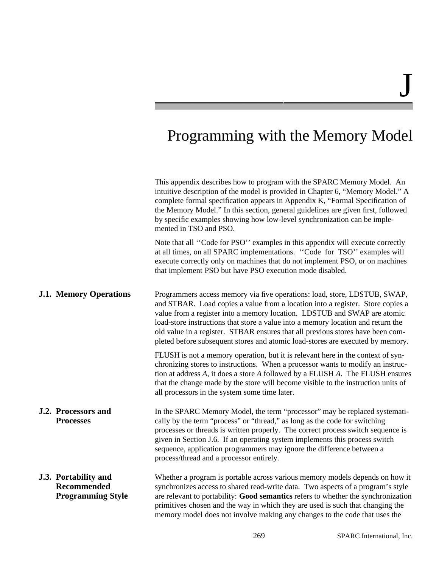$\overline{J}$ 

# Programming with the Memory Model

|                                                                        | This appendix describes how to program with the SPARC Memory Model. An<br>intuitive description of the model is provided in Chapter 6, "Memory Model." A<br>complete formal specification appears in Appendix K, "Formal Specification of<br>the Memory Model." In this section, general guidelines are given first, followed<br>by specific examples showing how low-level synchronization can be imple-<br>mented in TSO and PSO.                                                             |
|------------------------------------------------------------------------|-------------------------------------------------------------------------------------------------------------------------------------------------------------------------------------------------------------------------------------------------------------------------------------------------------------------------------------------------------------------------------------------------------------------------------------------------------------------------------------------------|
|                                                                        | Note that all "Code for PSO" examples in this appendix will execute correctly<br>at all times, on all SPARC implementations. "Code for TSO" examples will<br>execute correctly only on machines that do not implement PSO, or on machines<br>that implement PSO but have PSO execution mode disabled.                                                                                                                                                                                           |
| <b>J.1. Memory Operations</b>                                          | Programmers access memory via five operations: load, store, LDSTUB, SWAP,<br>and STBAR. Load copies a value from a location into a register. Store copies a<br>value from a register into a memory location. LDSTUB and SWAP are atomic<br>load-store instructions that store a value into a memory location and return the<br>old value in a register. STBAR ensures that all previous stores have been com-<br>pleted before subsequent stores and atomic load-stores are executed by memory. |
|                                                                        | FLUSH is not a memory operation, but it is relevant here in the context of syn-<br>chronizing stores to instructions. When a processor wants to modify an instruc-<br>tion at address A, it does a store A followed by a FLUSH A. The FLUSH ensures<br>that the change made by the store will become visible to the instruction units of<br>all processors in the system some time later.                                                                                                       |
| <b>J.2. Processors and</b><br><b>Processes</b>                         | In the SPARC Memory Model, the term "processor" may be replaced systemati-<br>cally by the term "process" or "thread," as long as the code for switching<br>processes or threads is written properly. The correct process switch sequence is<br>given in Section J.6. If an operating system implements this process switch<br>sequence, application programmers may ignore the difference between a<br>process/thread and a processor entirely.                                                |
| J.3. Portability and<br><b>Recommended</b><br><b>Programming Style</b> | Whether a program is portable across various memory models depends on how it<br>synchronizes access to shared read-write data. Two aspects of a program's style<br>are relevant to portability: Good semantics refers to whether the synchronization<br>primitives chosen and the way in which they are used is such that changing the<br>memory model does not involve making any changes to the code that uses the                                                                            |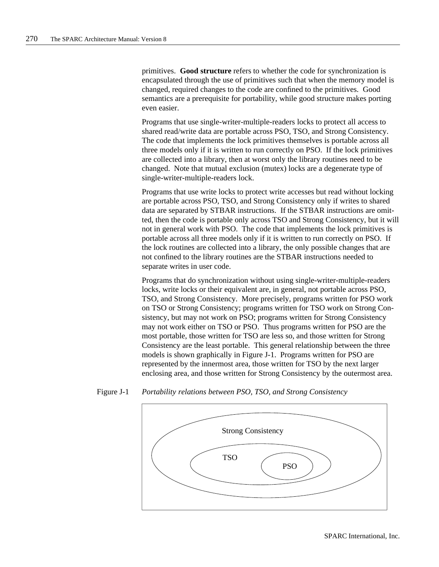primitives. **Good structure** refers to whether the code for synchronization is encapsulated through the use of primitives such that when the memory model is changed, required changes to the code are confined to the primitives. Good semantics are a prerequisite for portability, while good structure makes porting even easier.

Programs that use single-writer-multiple-readers locks to protect all access to shared read/write data are portable across PSO, TSO, and Strong Consistency. The code that implements the lock primitives themselves is portable across all three models only if it is written to run correctly on PSO. If the lock primitives are collected into a library, then at worst only the library routines need to be changed. Note that mutual exclusion (mutex) locks are a degenerate type of single-writer-multiple-readers lock.

Programs that use write locks to protect write accesses but read without locking are portable across PSO, TSO, and Strong Consistency only if writes to shared data are separated by STBAR instructions. If the STBAR instructions are omitted, then the code is portable only across TSO and Strong Consistency, but it will not in general work with PSO. The code that implements the lock primitives is portable across all three models only if it is written to run correctly on PSO. If the lock routines are collected into a library, the only possible changes that are not confined to the library routines are the STBAR instructions needed to separate writes in user code.

Programs that do synchronization without using single-writer-multiple-readers locks, write locks or their equivalent are, in general, not portable across PSO, TSO, and Strong Consistency. More precisely, programs written for PSO work on TSO or Strong Consistency; programs written for TSO work on Strong Consistency, but may not work on PSO; programs written for Strong Consistency may not work either on TSO or PSO. Thus programs written for PSO are the most portable, those written for TSO are less so, and those written for Strong Consistency are the least portable. This general relationship between the three models is shown graphically in Figure J-1. Programs written for PSO are represented by the innermost area, those written for TSO by the next larger enclosing area, and those written for Strong Consistency by the outermost area.

# Figure J-1 *Portability relations between PSO, TSO, and Strong Consistency*

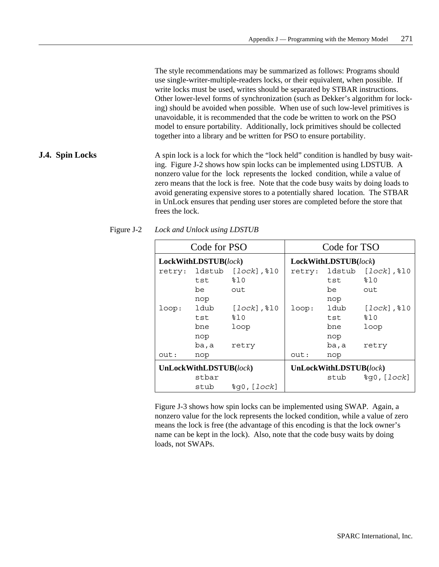The style recommendations may be summarized as follows: Programs should use single-writer-multiple-readers locks, or their equivalent, when possible. If write locks must be used, writes should be separated by STBAR instructions. Other lower-level forms of synchronization (such as Dekker's algorithm for locking) should be avoided when possible. When use of such low-level primitives is unavoidable, it is recommended that the code be written to work on the PSO model to ensure portability. Additionally, lock primitives should be collected together into a library and be written for PSO to ensure portability.

# **J.4. Spin Locks** A spin lock is a lock for which the "lock held" condition is handled by busy waiting. Figure J-2 shows how spin locks can be implemented using LDSTUB. A nonzero value for the lock represents the locked condition, while a value of zero means that the lock is free. Note that the code busy waits by doing loads to avoid generating expensive stores to a potentially shared location. The STBAR in UnLock ensures that pending user stores are completed before the store that frees the lock.

| Code for PSO           |       |                           | Code for TSO |       |                           |
|------------------------|-------|---------------------------|--------------|-------|---------------------------|
| LockWithLDSTUB(lock)   |       | LockWithLDSTUB(lock)      |              |       |                           |
| retry:                 |       | ldstub [lock], %10        | retry:       |       | ldstub [lock], %10        |
|                        | tst   | 810                       |              | tst   | 810                       |
|                        | be    | out                       |              | be    | out                       |
|                        | nop   |                           |              | nop   |                           |
| loop:                  | ldub  | $[lock]$ , $\$10$         | loop:        | ldub  | $[lock]$ , $\$10$         |
|                        | tst   | 810                       |              | tst   | 810                       |
|                        | bne   | loop                      |              | bne   | loop                      |
|                        | nop   |                           |              | nop   |                           |
|                        | ba, a | retry                     |              | ba, a | retry                     |
| out:                   | nop   |                           | out:         | nop   |                           |
| UnLockWithLDSTUB(lock) |       | UnLockWithLDSTUB(lock)    |              |       |                           |
|                        | stbar |                           |              | stub  | $\text{sg0}$ , [ $lock$ ] |
|                        | stub  | $\text{sg0}$ , [ $lock$ ] |              |       |                           |

Figure J-2 *Lock and Unlock using LDSTUB*

Figure J-3 shows how spin locks can be implemented using SWAP. Again, a nonzero value for the lock represents the locked condition, while a value of zero means the lock is free (the advantage of this encoding is that the lock owner's name can be kept in the lock). Also, note that the code busy waits by doing loads, not SWAPs.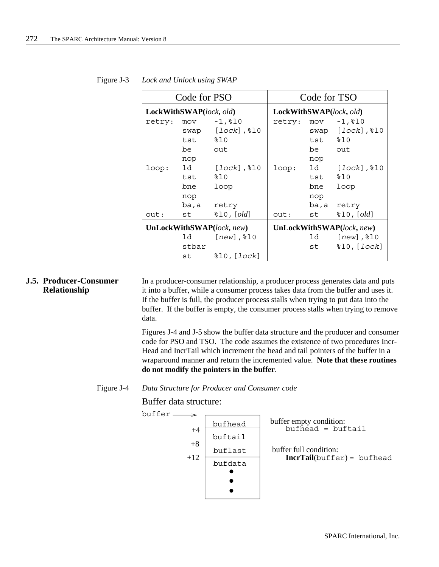|                                   | Code for PSO |                        |                         | Code for TSO                      |                      |
|-----------------------------------|--------------|------------------------|-------------------------|-----------------------------------|----------------------|
| LockWithSWAP(lock, old)           |              |                        | LockWithSWAP(lock, old) |                                   |                      |
| retry:                            | mov          | -1,%10                 | retry:                  |                                   | mov -1,%10           |
|                                   |              | swap [lock], \$10      |                         |                                   | swap [lock], \$10    |
|                                   | tst %10      |                        |                         | $tst$ $\$10$                      |                      |
|                                   | be           | out                    |                         | be                                | out                  |
|                                   | nop          |                        |                         | nop                               |                      |
| loop:                             | ld           | $[lock]$ , $\$10$      | loop:                   | ld                                | $[lock]$ , $\$10$    |
|                                   | tst          | 810                    |                         | tst                               | 810                  |
|                                   | bne          | loop                   |                         | bne                               | loop                 |
|                                   | nop          |                        |                         | nop                               |                      |
|                                   | ba,a         | retry                  |                         |                                   | ba, a retry          |
| out:                              | st           | $\$10$ , $[old]$       | out:                    | st                                | $\$10$ , $[old]$     |
| <b>UnLockWithSWAP</b> (lock, new) |              |                        |                         | <b>UnLockWithSWAP</b> (lock, new) |                      |
|                                   | 1d           | $[new]$ , $\$10$       |                         | ld                                | $[new]$ , $\$10$     |
|                                   | stbar        |                        |                         | st                                | %10, [ <i>lock</i> ] |
|                                   |              | $st$ $\$10$ , $[lock]$ |                         |                                   |                      |

#### Figure J-3 *Lock and Unlock using SWAP*

### **J.5. Producer-Consumer Relationship**

In a producer-consumer relationship, a producer process generates data and puts it into a buffer, while a consumer process takes data from the buffer and uses it. If the buffer is full, the producer process stalls when trying to put data into the buffer. If the buffer is empty, the consumer process stalls when trying to remove data.

Figures J-4 and J-5 show the buffer data structure and the producer and consumer code for PSO and TSO. The code assumes the existence of two procedures Incr-Head and IncrTail which increment the head and tail pointers of the buffer in a wraparound manner and return the incremented value. **Note that these routines do not modify the pointers in the buffer**.

#### Figure J-4 *Data Structure for Producer and Consumer code*

Buffer data structure:

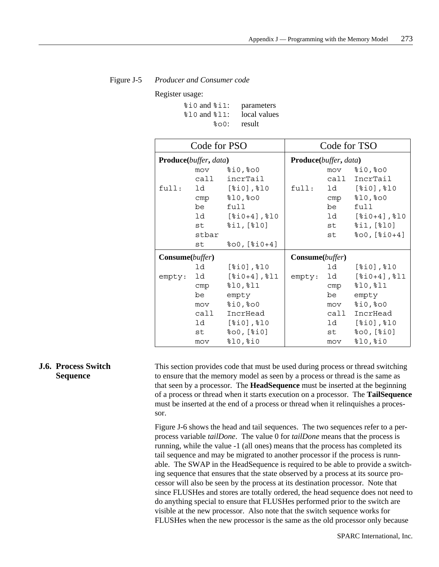#### Figure J-5 *Producer and Consumer code*

Register usage:

| $\$i0$ and $\$i1$ : | parameters   |
|---------------------|--------------|
| $\$10$ and $\$11$ : | local values |
| 800:                | result       |

| Code for PSO          |      |                    |                               |                | Code for TSO   |
|-----------------------|------|--------------------|-------------------------------|----------------|----------------|
| Produce(buffer, data) |      |                    | <b>Produce</b> (buffer, data) |                |                |
|                       | mov  | 810, 800           |                               | mov            | 810, 800       |
|                       | call | incrTail           |                               |                | call IncrTail  |
| full:                 | ld   | [%iO],%lO          | full:                         |                | ld [%i0],%10   |
|                       | cmp  | \$10, \$00         |                               | cmp            | 810, 800       |
|                       | be   | full               |                               | be             | full           |
|                       |      | ld [%i0+4], %10    |                               | ld             | $[$ %i0+4],%l0 |
|                       |      | st %i1, [%10]      | st                            |                | %i1, [810]     |
| stbar                 |      |                    | st                            | $800, [810+4]$ |                |
|                       | st   | $800, [810+4]$     |                               |                |                |
| $Consume(buffer)$     |      |                    | $Consume(buffer)$             |                |                |
|                       | ld   | [§i0],§l0          |                               | ld             | [§i0],§l0      |
| empty:                | ld   | $[$ 810+4], $ $ 11 | empty:                        |                | ld [%i0+4],%l1 |
|                       | cmp  | %10, %11           |                               | cmp            | %10, %11       |
|                       | be   | empty              |                               | be             | empty          |
|                       | mov  | 810, 800           |                               | mov            | \$10, \$00     |
|                       | call | IncrHead           |                               | call           | IncrHead       |
|                       | ld   | [%iO],%lO          |                               |                | 1d [%i0], %10  |
|                       | st   | 800, [810]         |                               | st             | 800, [810]     |
|                       | mov  | \$10, \$10         |                               | mov            | \$10, \$10     |

#### **J.6. Process Switch Sequence**

This section provides code that must be used during process or thread switching to ensure that the memory model as seen by a process or thread is the same as that seen by a processor. The **HeadSequence** must be inserted at the beginning of a process or thread when it starts execution on a processor. The **TailSequence** must be inserted at the end of a process or thread when it relinquishes a processor.

Figure J-6 shows the head and tail sequences. The two sequences refer to a perprocess variable *tailDone*. The value 0 for *tailDone* means that the process is running, while the value -1 (all ones) means that the process has completed its tail sequence and may be migrated to another processor if the process is runnable. The SWAP in the HeadSequence is required to be able to provide a switching sequence that ensures that the state observed by a process at its source processor will also be seen by the process at its destination processor. Note that since FLUSHes and stores are totally ordered, the head sequence does not need to do anything special to ensure that FLUSHes performed prior to the switch are visible at the new processor. Also note that the switch sequence works for FLUSHes when the new processor is the same as the old processor only because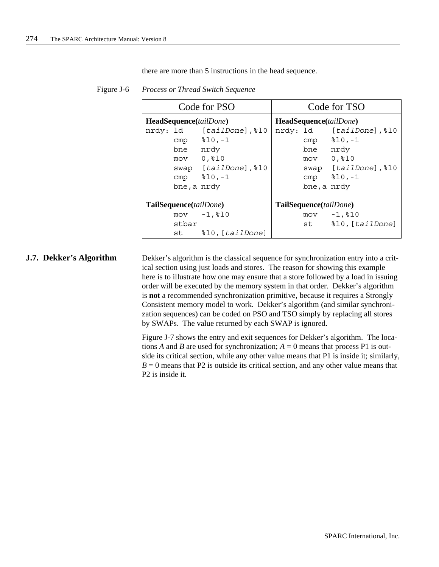there are more than 5 instructions in the head sequence.

| Code for PSO                   |                          |  |                        | Code for TSO              |  |
|--------------------------------|--------------------------|--|------------------------|---------------------------|--|
| <b>HeadSequence</b> (tailDone) |                          |  | HeadSequence(tailDone) |                           |  |
|                                | nrdy: 1d [tailDone], %10 |  |                        | nrdy: 1d [tailDone], \$10 |  |
|                                | cmp $\$10,-1$            |  |                        | cmp $\$10,-1$             |  |
| bne nrdy                       |                          |  | bne nrdy               |                           |  |
|                                | $mov$ 0, $\$10$          |  |                        | $mov$ 0, $\$10$           |  |
|                                | swap [tailDone], %10     |  |                        | swap [tailDone], \$10     |  |
|                                | cmp $\$10,-1$            |  |                        | cmp $$10,-1$              |  |
| bne,a nrdy                     |                          |  | bne, a nrdy            |                           |  |
| TailSequence(tailDone)         |                          |  | TailSequence(tailDone) |                           |  |
|                                | $mov -1, \$10$           |  |                        | $mov -1,$ \$10            |  |
| stbar                          |                          |  |                        | st %10, [tailDone]        |  |
|                                | st %10, [tailDone]       |  |                        |                           |  |

#### Figure J-6 *Process or Thread Switch Sequence*

**J.7. Dekker's Algorithm** Dekker's algorithm is the classical sequence for synchronization entry into a critical section using just loads and stores. The reason for showing this example here is to illustrate how one may ensure that a store followed by a load in issuing order will be executed by the memory system in that order. Dekker's algorithm is **not** a recommended synchronization primitive, because it requires a Strongly Consistent memory model to work. Dekker's algorithm (and similar synchronization sequences) can be coded on PSO and TSO simply by replacing all stores by SWAPs. The value returned by each SWAP is ignored.

> Figure J-7 shows the entry and exit sequences for Dekker's algorithm. The locations *A* and *B* are used for synchronization;  $A = 0$  means that process P1 is outside its critical section, while any other value means that P1 is inside it; similarly,  $B = 0$  means that P2 is outside its critical section, and any other value means that P2 is inside it.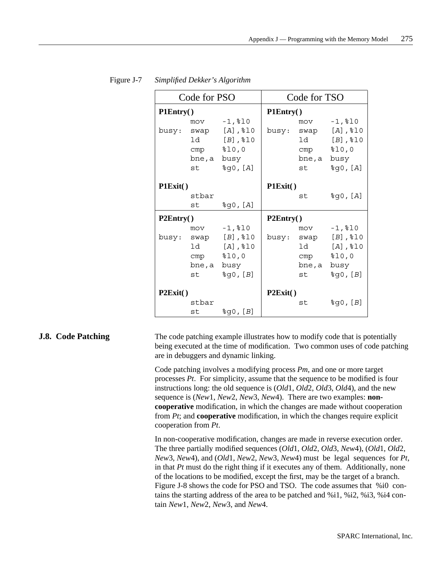|           | Code for PSO             |                                                                                                                     |           | Code for TSO               |                                                                                        |
|-----------|--------------------------|---------------------------------------------------------------------------------------------------------------------|-----------|----------------------------|----------------------------------------------------------------------------------------|
|           | P1Entry()                |                                                                                                                     |           | P1Entry()                  |                                                                                        |
|           | mov                      | $-1,$ $810$<br>busy: $swap$ [A], $\$10$<br>1d [B], %10<br>$cmp$ $$10,0$<br>bne, a busy<br>$st$ $\text{sg0}$ , $[A]$ |           | mov<br>cmp<br>bne, a<br>st | $-1,$ $810$<br>busy: $swap$ [A], $\$10$<br>1d [B], %10<br>$\$10,0$<br>busy<br>sg0, [A] |
|           | PIExit()                 |                                                                                                                     |           | PIExit()                   |                                                                                        |
|           | stbar                    | $st$ $\texttt{\$g0,[A]}$                                                                                            |           | st                         | sg0, [A]                                                                               |
| P2Entry() |                          |                                                                                                                     | P2Entry() |                            |                                                                                        |
|           | mov<br>bne, a busy<br>st | $-1,$ $810$<br>busy: $swap$ [B], $\$10$<br>1d [A], %10<br>cmp %10,0<br>$\S$ g $0$ , $[B]$                           |           | mov<br>cmp<br>bne, a<br>st | $-1,$ $\$10$<br>busy: $swap$ [B], $\$10$<br>1d [A], \$10<br>\$10,0<br>busy<br>sg0, [B] |
| P2Exit()  | stbar                    |                                                                                                                     | P2Exit()  | st                         | sg0, [B]                                                                               |
|           |                          | $st \t\t\t\t\t\t\t\text{sg0, [B]}$                                                                                  |           |                            |                                                                                        |

#### Figure J-7 *Simplified Dekker's Algorithm*

**J.8. Code Patching** The code patching example illustrates how to modify code that is potentially being executed at the time of modification. Two common uses of code patching are in debuggers and dynamic linking.

> Code patching involves a modifying process *Pm*, and one or more target processes *Pt*. For simplicity, assume that the sequence to be modified is four instructions long: the old sequence is (*Old*1, *Old*2, *Old*3, *Old*4), and the new sequence is (*New*1, *New*2, *New*3, *New*4). There are two examples: **noncooperative** modification, in which the changes are made without cooperation from *Pt*; and **cooperative** modification, in which the changes require explicit cooperation from *Pt*.

In non-cooperative modification, changes are made in reverse execution order. The three partially modified sequences (*Old*1, *Old*2, *Old*3, *New*4), (*Old*1, *Old*2, *New*3, *New*4), and (*Old*1, *New*2, *New*3, *New*4) must be legal sequences for *Pt*, in that *Pt* must do the right thing if it executes any of them. Additionally, none of the locations to be modified, except the first, may be the target of a branch. Figure J-8 shows the code for PSO and TSO. The code assumes that %i0 contains the starting address of the area to be patched and %i1, %i2, %i3, %i4 contain *New*1, *New*2, *New*3, and *New*4.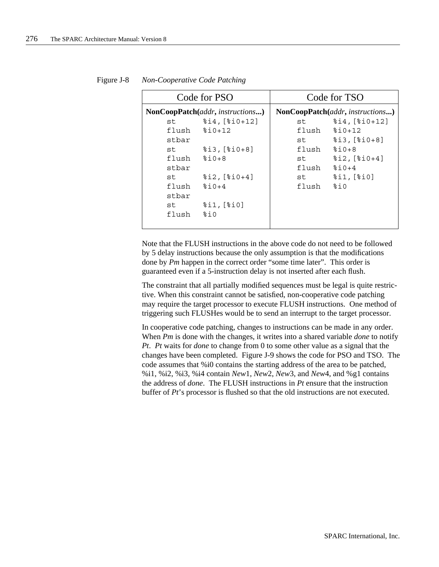|                 | Code for PSO                     | Code for TSO |                                  |  |
|-----------------|----------------------------------|--------------|----------------------------------|--|
|                 | NonCoopPatch(addr, instructions) |              | NonCoopPatch(addr, instructions) |  |
| st              | %i4,[%i0+12]                     | st           | $\$14$ , $[\$10+12]$             |  |
|                 | $flush$ $%10+12$                 | flush        | $810+12$                         |  |
| stbar           |                                  | st           | $\$i3, [§i0+8]$                  |  |
| st              | $\$13, [§10+8]$                  | flush        | $810+8$                          |  |
| $flush$ $%10+8$ |                                  | st           | $\$12, [§10+4]$                  |  |
| stbar           |                                  | flush        | $3i0+4$                          |  |
| st              | $\$12$ , $[\$10+4]$              | st           | $%i1,$ $%i0]$                    |  |
| $flush$ $%10+4$ |                                  | flush        | 810                              |  |
| stbar           |                                  |              |                                  |  |
| st              | $%i1,$ $%i0]$                    |              |                                  |  |
| flush           | 810                              |              |                                  |  |
|                 |                                  |              |                                  |  |

| Figure J-8 | <b>Non-Cooperative Code Patching</b> |  |  |  |
|------------|--------------------------------------|--|--|--|
|------------|--------------------------------------|--|--|--|

Note that the FLUSH instructions in the above code do not need to be followed by 5 delay instructions because the only assumption is that the modifications done by *Pm* happen in the correct order "some time later". This order is guaranteed even if a 5-instruction delay is not inserted after each flush.

The constraint that all partially modified sequences must be legal is quite restrictive. When this constraint cannot be satisfied, non-cooperative code patching may require the target processor to execute FLUSH instructions. One method of triggering such FLUSHes would be to send an interrupt to the target processor.

In cooperative code patching, changes to instructions can be made in any order. When *Pm* is done with the changes, it writes into a shared variable *done* to notify *Pt*. *Pt* waits for *done* to change from 0 to some other value as a signal that the changes have been completed. Figure J-9 shows the code for PSO and TSO. The code assumes that %i0 contains the starting address of the area to be patched, %i1, %i2, %i3, %i4 contain *New*1, *New*2, *New*3, and *New*4, and %g1 contains the address of *done*. The FLUSH instructions in *Pt* ensure that the instruction buffer of *Pt*'s processor is flushed so that the old instructions are not executed.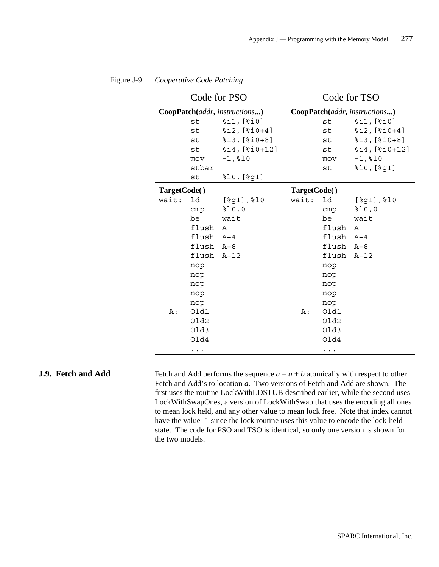|              | Code for PSO |                               | Code for TSO                  |           |                     |
|--------------|--------------|-------------------------------|-------------------------------|-----------|---------------------|
|              |              | CoopPatch(addr, instructions) | CoopPatch(addr, instructions) |           |                     |
|              | st           | %i1, [8i0]                    |                               | st        | $%i1, [$ $i0]$      |
|              | st           | $\$i2, [§i0+4]$               |                               | st        | $\$i2, [§i0+4]$     |
|              | st           | $\$i3, [§i0+8]$               |                               | st        | $\$i3, [§i0+8]$     |
|              | st           | $\$i4, [§i0+12]$              |                               | st        | $\$i4, [§i0+12]$    |
|              | mov          | $-1, \$10$                    |                               | mov       | $-1,$ $\$10$        |
|              | stbar        |                               |                               | st        | $\$10$ , $[$ $§q1]$ |
|              | st           | $\$10, [§91]$                 |                               |           |                     |
| TargetCode() |              |                               | TargetCode()                  |           |                     |
| wait:        | ld           | [%g1],%l0                     | wait:                         | ld        | [891], 810          |
|              | cmp          | $\$10,0$                      |                               | cmp       | $\$10,0$            |
|              | be           | wait                          |                               | be        | wait                |
|              | flush        | Α                             |                               | flush     | Α                   |
|              | flush A+4    |                               |                               | flush A+4 |                     |
|              | flush A+8    |                               |                               | flush A+8 |                     |
|              | flush        | A+12                          |                               | flush     | $A+12$              |
|              | nop          |                               |                               | nop       |                     |
|              | nop          |                               |                               | nop       |                     |
|              | nop          |                               |                               | nop       |                     |
|              | nop          |                               |                               | nop       |                     |
|              | nop          |                               |                               | nop       |                     |
| A:           | Old1         |                               | A:                            | Old1      |                     |
|              | Old2         |                               |                               | Old2      |                     |
|              | Old3         |                               |                               | Old3      |                     |
|              | Old4         |                               |                               | Old4      |                     |
|              | .            |                               |                               | .         |                     |

#### Figure J-9 *Cooperative Code Patching*

**J.9. Fetch and Add** Fetch and Add performs the sequence  $a = a + b$  atomically with respect to other Fetch and Add's to location *a*. Two versions of Fetch and Add are shown. The first uses the routine LockWithLDSTUB described earlier, while the second uses LockWithSwapOnes, a version of LockWithSwap that uses the encoding all ones to mean lock held, and any other value to mean lock free. Note that index cannot have the value -1 since the lock routine uses this value to encode the lock-held state. The code for PSO and TSO is identical, so only one version is shown for the two models.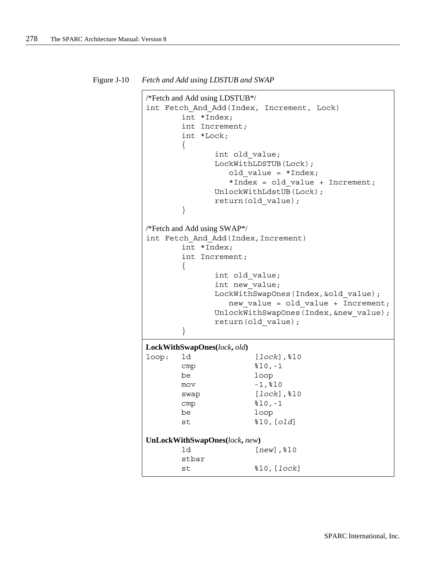Figure J-10 *Fetch and Add using LDSTUB and SWAP*

```
/*Fetch and Add using LDSTUB*/
int Fetch_And_Add(Index, Increment, Lock)
       int *Index;
      int Increment;
      int *Lock;
       \{int old_value;
             LockWithLDSTUB(Lock);
               old value = *Index;*Index = old_value + Increment;
             UnlockWithLdstUB(Lock);
             return(old_value);
       }
/*Fetch and Add using SWAP*/
int Fetch_And_Add(Index,Increment)
      int *Index;
      int Increment;
       \{int old_value;
             int new_value;
             LockWithSwapOnes(Index,&old_value);
               new_value = old_value + Increment;
             UnlockWithSwapOnes(Index,&new_value);
             return(old_value);
       }
LockWithSwapOnes(lock, old)
loop: ld [lock],%l0
      cmp %l0,-1
      be loop
      mov -1,%l0
      swap [lock],%l0
      cmp %l0,-1
      be loop
      st %l0,[old]
UnLockWithSwapOnes(lock, new)
      ld [new],%l0
      stbar
       st %l0,[lock]
```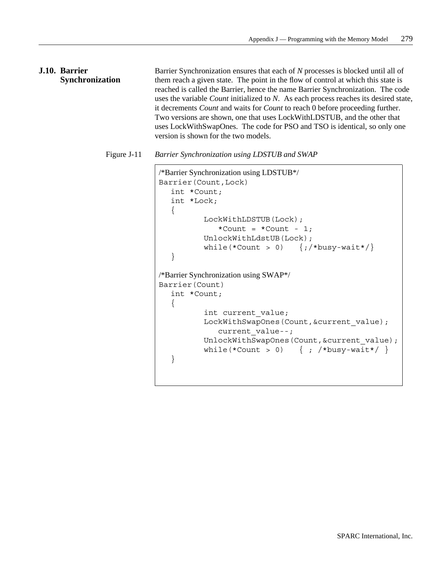#### **J.10. Barrier Synchronization** Barrier Synchronization ensures that each of *N* processes is blocked until all of them reach a given state. The point in the flow of control at which this state is reached is called the Barrier, hence the name Barrier Synchronization. The code uses the variable *Count* initialized to *N*. As each process reaches its desired state, it decrements *Count* and waits for *Count* to reach 0 before proceeding further. Two versions are shown, one that uses LockWithLDSTUB, and the other that uses LockWithSwapOnes. The code for PSO and TSO is identical, so only one version is shown for the two models.

Figure J-11 *Barrier Synchronization using LDSTUB and SWAP*

```
/*Barrier Synchronization using LDSTUB*/
Barrier(Count,Lock)
  int *Count;
  int *Lock;
  {
          LockWithLDSTUB(Lock);
             *Count = *Count - 1;
          UnlockWithLdstUB(Lock);
          while(*Count > 0) \{j/\text{*busy-wait*}/\}}
/*Barrier Synchronization using SWAP*/
Barrier(Count)
  int *Count;
   {
          int current_value;
          LockWithSwapOnes(Count, &current_value);
             current value--;
          UnlockWithSwapOnes(Count, &current value);
          while(*Count > 0) { ; /*busy-wait*/ }
   }
```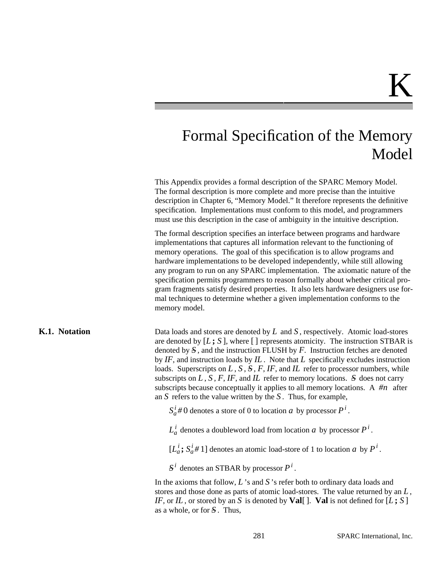## Formal Specification of the Memory Model

This Appendix provides a formal description of the SPARC Memory Model. The formal description is more complete and more precise than the intuitive description in Chapter 6, "Memory Model." It therefore represents the definitive specification. Implementations must conform to this model, and programmers must use this description in the case of ambiguity in the intuitive description.

The formal description specifies an interface between programs and hardware implementations that captures all information relevant to the functioning of memory operations. The goal of this specification is to allow programs and hardware implementations to be developed independently, while still allowing any program to run on any SPARC implementation. The axiomatic nature of the specification permits programmers to reason formally about whether critical program fragments satisfy desired properties. It also lets hardware designers use formal techniques to determine whether a given implementation conforms to the memory model.

**K.1. Notation** Data loads and stores are denoted by *L* and *S*, respectively. Atomic load-stores are denoted by  $[L; S]$ , where  $[ ]$  represents atomicity. The instruction STBAR is denoted by *S–* , and the instruction FLUSH by *F*. Instruction fetches are denoted by *IF*, and instruction loads by *IL* . Note that *L* specifically excludes instruction loads. Superscripts on L, S, S, F, IF, and IL refer to processor numbers, while subscripts on  $L$ ,  $S$ ,  $F$ ,  $IF$ , and  $IL$  refer to memory locations.  $S$  does not carry subscripts because conceptually it applies to all memory locations. A *#n* after an *S* refers to the value written by the *S* . Thus, for example,

 $S_a^i \# 0$  denotes a store of 0 to location *a* by processor  $P^i$ .

 $L_a^i$  denotes a doubleword load from location *a* by processor  $P^i$ .

 $[L_a^i; S_a^i \# 1]$  denotes an atomic load-store of 1 to location *a* by  $P^i$ .

 $S^i$  denotes an STBAR by processor  $P^i$ .

In the axioms that follow, *L* 's and *S* 's refer both to ordinary data loads and stores and those done as parts of atomic load-stores. The value returned by an *L* , *IF*, or *IL*, or stored by an *S* is denoted by **Val**[ ]. **Val** is not defined for  $[L; S]$ as a whole, or for *S–* . Thus,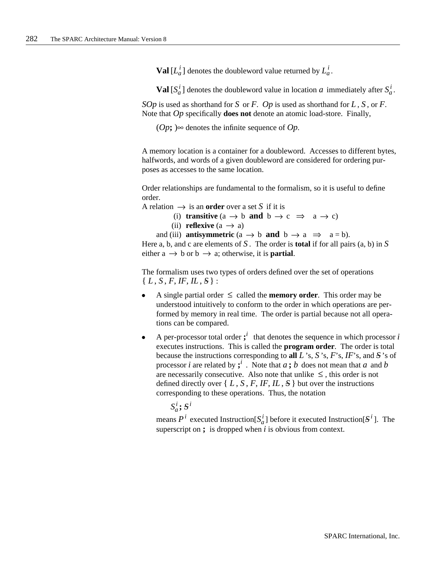**Val**  $[L_a^i]$  denotes the doubleword value returned by  $L_a^i$ .

**Val**  $[S_a^i]$  denotes the doubleword value in location *a* immediately after  $S_a^i$ .

*SOp* is used as shorthand for *S* or *F*. *Op* is used as shorthand for *L* , *S* , or *F*. Note that *Op* specifically **does not** denote an atomic load-store. Finally,

 $(Op; \infty)$  denotes the infinite sequence of  $Op$ .

A memory location is a container for a doubleword. Accesses to different bytes, halfwords, and words of a given doubleword are considered for ordering purposes as accesses to the same location.

Order relationships are fundamental to the formalism, so it is useful to define order.

A relation  $\rightarrow$  is an **order** over a set S if it is

- (i) **transitive**  $(a \rightarrow b \text{ and } b \rightarrow c \Rightarrow a \rightarrow c)$
- (ii) **reflexive**  $(a \rightarrow a)$

and (iii) **antisymmetric** (a  $\rightarrow$  b **and** b  $\rightarrow$  a  $\Rightarrow$  a = b).

Here a, b, and c are elements of *S* . The order is **total** if for all pairs (a, b) in *S* either  $a \rightarrow b$  or  $b \rightarrow a$ ; otherwise, it is **partial**.

The formalism uses two types of orders defined over the set of operations  ${L, S, F, IF, IL, S}$ :

- -A single partial order  $\leq$  called the **memory order**. This order may be understood intuitively to conform to the order in which operations are performed by memory in real time. The order is partial because not all operations can be compared.
- $\bullet$ A per-processor total order  $\mathbf{r}^i$  that denotes the sequence in which processor *i* executes instructions. This is called the **program order**. The order is total because the instructions corresponding to **all**  $L$ 's,  $S$ 's,  $F$ 's,  $IF$ 's, and  $S$ 's of processor *i* are related by  $\mathbf{y}^i$ . Note that *a*; *b* does not mean that *a* and *b* are necessarily consecutive. Also note that unlike  $\leq$ , this order is not defined directly over  $\{L, S, F, IF, IL, S\}$  but over the instructions corresponding to these operations. Thus, the notation

$$
S_a^i;S^i
$$

means  $P^i$  executed Instruction $[S^i_a]$  before it executed Instruction $[S^i]$ . The superscript on **;** is dropped when *i* is obvious from context.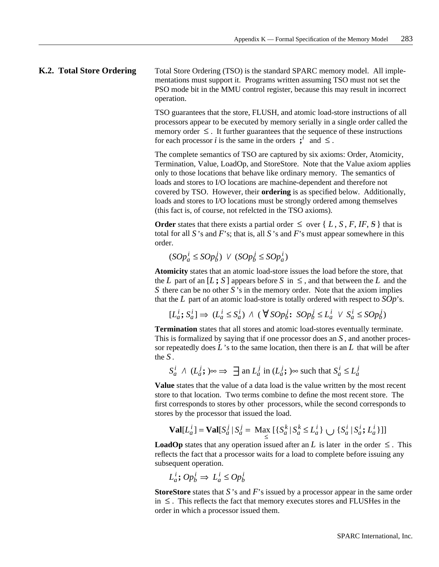**K.2. Total Store Ordering** Total Store Ordering (TSO) is the standard SPARC memory model. All implementations must support it. Programs written assuming TSO must not set the PSO mode bit in the MMU control register, because this may result in incorrect operation.

> TSO guarantees that the store, FLUSH, and atomic load-store instructions of all processors appear to be executed by memory serially in a single order called the memory order  $\leq$ . It further guarantees that the sequence of these instructions for each processor *i* is the same in the orders  $\mathbf{a}^i$  and  $\leq$ .

The complete semantics of TSO are captured by six axioms: Order, Atomicity, Termination, Value, LoadOp, and StoreStore. Note that the Value axiom applies only to those locations that behave like ordinary memory. The semantics of loads and stores to I/O locations are machine-dependent and therefore not covered by TSO. However, their **ordering** is as specified below. Additionally, loads and stores to I/O locations must be strongly ordered among themselves (this fact is, of course, not refelcted in the TSO axioms).

**Order** states that there exists a partial order  $\leq$  over  $\{L, S, F, IF, S\}$  that is total for all  $S$ 's and  $F$ 's; that is, all  $S$ 's and  $F$ 's must appear somewhere in this order.

 $(SOp_a^i \leq SOp_b^j) \ \ \forall \ (SOp_b^j \leq SOp_a^i)$ 

**Atomicity** states that an atomic load-store issues the load before the store, that the *L* part of an  $[L; S]$  appears before *S* in  $\leq$ , and that between the *L* and the *S* there can be no other *S* 's in the memory order. Note that the axiom implies that the *L* part of an atomic load-store is totally ordered with respect to *SOp*'s.

$$
[L_a^i; S_a^i] \Rightarrow (L_a^i \leq S_a^i) \land (\forall \textit{SOp}_b^i; \textit{SOp}_b^j \leq L_a^i \lor S_a^i \leq \textit{SOp}_b^j)
$$

**Termination** states that all stores and atomic load-stores eventually terminate. This is formalized by saying that if one processor does an *S* , and another processor repeatedly does  $L$ 's to the same location, then there is an  $L$  that will be after the *S* .

 $S_a^i \wedge (L_a^j; ) \infty \Rightarrow \exists$  $\exists$  an  $L_a^j$  in  $(L_a^j; \cdot) \infty$  such that  $S_a^i \leq L_a^j$ 

**Value** states that the value of a data load is the value written by the most recent store to that location. Two terms combine to define the most recent store. The first corresponds to stores by other processors, while the second corresponds to stores by the processor that issued the load.

$$
\mathbf{Val}[L_a^i] = \mathbf{Val}[S_a^j \,|\, S_a^j = \max_{\leq} \, [\{S_a^k \,|\, S_a^k \leq L_a^i\} \cup \{S_a^i \,|\, S_a^i; L_a^i\}]]
$$

**LoadOp** states that any operation issued after an *L* is later in the order  $\leq$ . This reflects the fact that a processor waits for a load to complete before issuing any subsequent operation.

$$
L_a^i; Op_b^i \Rightarrow L_a^i \le Op_b^i
$$

**StoreStore** states that *S* 's and *F*'s issued by a processor appear in the same order in ≤ . This reflects the fact that memory executes stores and FLUSHes in the order in which a processor issued them.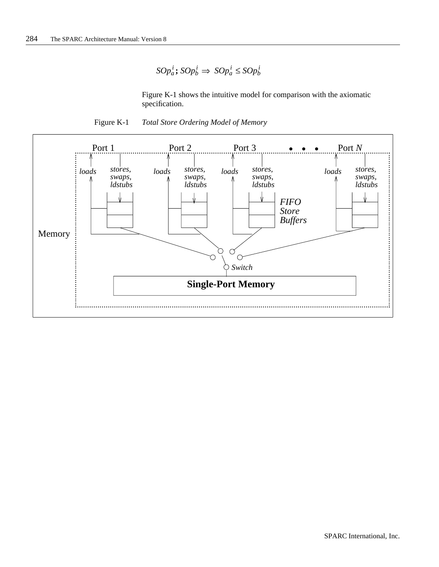$SOp_a^i$ ;  $SOp_b^i \Rightarrow SOp_a^i \leq SOp_b^i$ 

Figure K-1 shows the intuitive model for comparison with the axiomatic specification.



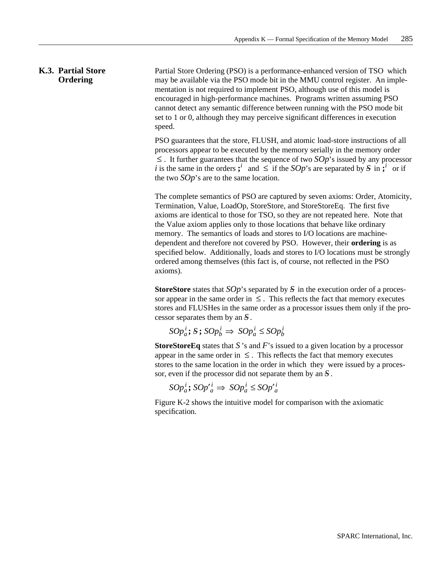#### **K.3. Partial Store Ordering**

Partial Store Ordering (PSO) is a performance-enhanced version of TSO which may be available via the PSO mode bit in the MMU control register. An implementation is not required to implement PSO, although use of this model is encouraged in high-performance machines. Programs written assuming PSO cannot detect any semantic difference between running with the PSO mode bit set to 1 or 0, although they may perceive significant differences in execution speed.

PSO guarantees that the store, FLUSH, and atomic load-store instructions of all processors appear to be executed by the memory serially in the memory order ≤ . It further guarantees that the sequence of two *SOp*'s issued by any processor *i* is the same in the orders **;**<sup>*i*</sup> and  $\leq$  if the *SOp*'s are separated by *S* in **;**<sup>*i*</sup> or if the two *SOp*'s are to the same location.

The complete semantics of PSO are captured by seven axioms: Order, Atomicity, Termination, Value, LoadOp, StoreStore, and StoreStoreEq. The first five axioms are identical to those for TSO, so they are not repeated here. Note that the Value axiom applies only to those locations that behave like ordinary memory. The semantics of loads and stores to I/O locations are machinedependent and therefore not covered by PSO. However, their **ordering** is as specified below. Additionally, loads and stores to I/O locations must be strongly ordered among themselves (this fact is, of course, not reflected in the PSO axioms).

**StoreStore** states that *SOp*'s separated by *S–* in the execution order of a processor appear in the same order in  $\leq$ . This reflects the fact that memory executes stores and FLUSHes in the same order as a processor issues them only if the processor separates them by an *S–* .

 $SOp_a^i$ ; *S*;  $SOp_b^i \Rightarrow SOp_a^i \leq SOp_b^i$ 

**StoreStoreEq** states that *S* 's and *F*'s issued to a given location by a processor appear in the same order in  $\leq$ . This reflects the fact that memory executes stores to the same location in the order in which they were issued by a processor, even if the processor did not separate them by an *S–* .

$$
SOp_a^i; \, SOp'_a \Rightarrow SOp_a^i \leq SOp'_a
$$

Figure K-2 shows the intuitive model for comparison with the axiomatic specification.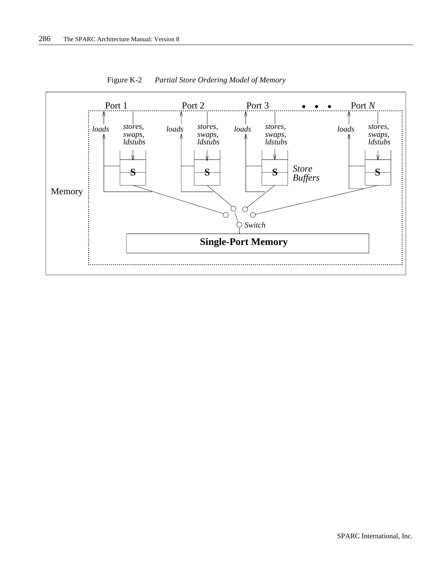

Figure K-2 *Partial Store Ordering Model of Memory*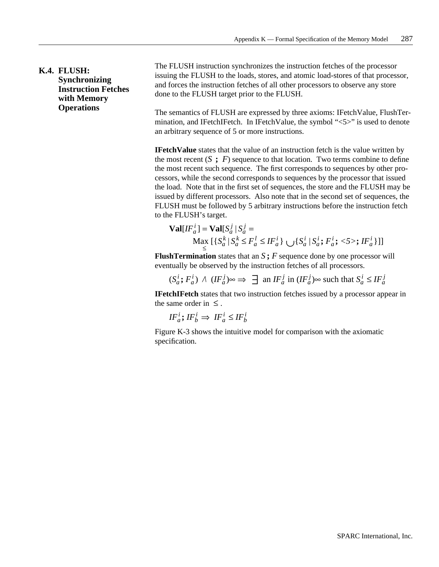### **K.4. FLUSH: Synchronizing Instruction Fetches with Memory Operations**

The FLUSH instruction synchronizes the instruction fetches of the processor issuing the FLUSH to the loads, stores, and atomic load-stores of that processor, and forces the instruction fetches of all other processors to observe any store done to the FLUSH target prior to the FLUSH.

The semantics of FLUSH are expressed by three axioms: IFetchValue, FlushTermination, and IFetchIFetch. In IFetchValue, the symbol "<5>" is used to denote an arbitrary sequence of 5 or more instructions.

**IFetchValue** states that the value of an instruction fetch is the value written by the most recent  $(S; F)$  sequence to that location. Two terms combine to define the most recent such sequence. The first corresponds to sequences by other processors, while the second corresponds to sequences by the processor that issued the load. Note that in the first set of sequences, the store and the FLUSH may be issued by different processors. Also note that in the second set of sequences, the FLUSH must be followed by 5 arbitrary instructions before the instruction fetch to the FLUSH's target.

$$
\mathbf{Val}[IF_a^i] = \mathbf{Val}[S_a^j | S_a^j =
$$
  
\n
$$
\text{Max } [\{S_a^k | S_a^k \le F_a^l \le IF_a^i\} \cup \{S_a^i | S_a^i; F_a^i; <5>; IF_a^i\}]]
$$

**FlushTermination** states that an *S* **;** *F* sequence done by one processor will eventually be observed by the instruction fetches of all processors.

 $(S_a^i; F_a^i) \land (IF_a^j) \approx \Rightarrow \exists$  $\exists$  an *IF*<sub>a</sub><sup>*i*</sup> in (*IF*<sub>a</sub><sup>*i*</sup>) $\infty$  such that  $S_a^i \leq I F_a^j$ 

**IFetchIFetch** states that two instruction fetches issued by a processor appear in the same order in  $\leq$ .

 $IF_a^i$ ;  $IF_b^i \Rightarrow IF_a^i \leq IF_b^i$ 

Figure K-3 shows the intuitive model for comparison with the axiomatic specification.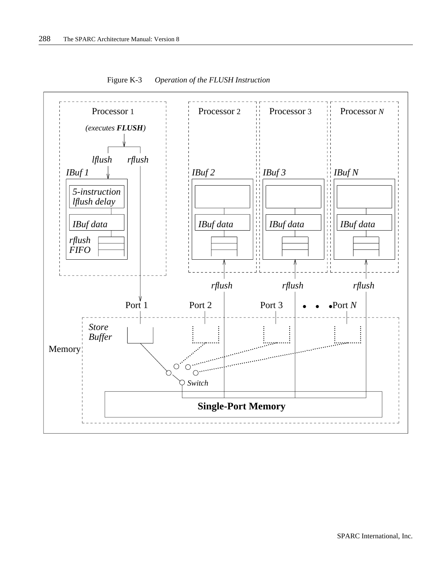

Figure K-3 *Operation of the FLUSH Instruction*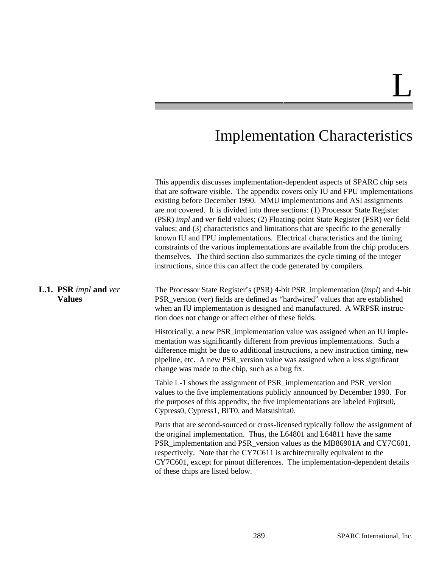<u>L</u>

# Implementation Characteristics

|                                               | This appendix discusses implementation-dependent aspects of SPARC chip sets<br>that are software visible. The appendix covers only IU and FPU implementations<br>existing before December 1990. MMU implementations and ASI assignments<br>are not covered. It is divided into three sections: (1) Processor State Register<br>(PSR) impl and ver field values; (2) Floating-point State Register (FSR) ver field<br>values; and (3) characteristics and limitations that are specific to the generally<br>known IU and FPU implementations. Electrical characteristics and the timing<br>constraints of the various implementations are available from the chip producers<br>themselves. The third section also summarizes the cycle timing of the integer<br>instructions, since this can affect the code generated by compilers. |
|-----------------------------------------------|-------------------------------------------------------------------------------------------------------------------------------------------------------------------------------------------------------------------------------------------------------------------------------------------------------------------------------------------------------------------------------------------------------------------------------------------------------------------------------------------------------------------------------------------------------------------------------------------------------------------------------------------------------------------------------------------------------------------------------------------------------------------------------------------------------------------------------------|
| <b>L.1. PSR</b> impl and ver<br><b>Values</b> | The Processor State Register's (PSR) 4-bit PSR_implementation (impl) and 4-bit<br>PSR_version (ver) fields are defined as "hardwired" values that are established<br>when an IU implementation is designed and manufactured. A WRPSR instruc-<br>tion does not change or affect either of these fields.                                                                                                                                                                                                                                                                                                                                                                                                                                                                                                                             |
|                                               | Historically, a new PSR_implementation value was assigned when an IU imple-<br>mentation was significantly different from previous implementations. Such a<br>difference might be due to additional instructions, a new instruction timing, new<br>pipeline, etc. A new PSR_version value was assigned when a less significant<br>change was made to the chip, such as a bug fix.                                                                                                                                                                                                                                                                                                                                                                                                                                                   |
|                                               | Table L-1 shows the assignment of PSR_implementation and PSR_version<br>values to the five implementations publicly announced by December 1990. For<br>the purposes of this appendix, the five implementations are labeled Fujitsu0,<br>Cypress0, Cypress1, BIT0, and Matsushita0.                                                                                                                                                                                                                                                                                                                                                                                                                                                                                                                                                  |
|                                               | Parts that are second-sourced or cross-licensed typically follow the assignment of<br>the original implementation. Thus, the L64801 and L64811 have the same<br>PSR_implementation and PSR_version values as the MB86901A and CY7C601,<br>respectively. Note that the CY7C611 is architecturally equivalent to the<br>CY7C601, except for pinout differences. The implementation-dependent details<br>of these chips are listed below.                                                                                                                                                                                                                                                                                                                                                                                              |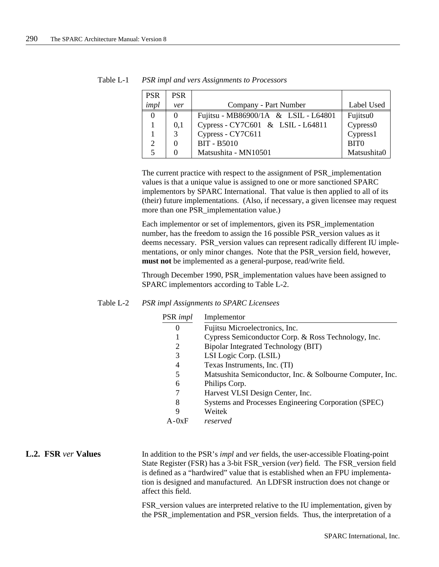| <b>PSR</b>                  | <b>PSR</b> |                                      |                      |
|-----------------------------|------------|--------------------------------------|----------------------|
| impl                        | ver        | Company - Part Number                | Label Used           |
|                             | $\Omega$   | Fujitsu - MB86900/1A & LSIL - L64801 | Fujitsu <sub>0</sub> |
|                             | 0,1        | Cypress - CY7C601 & LSIL - L64811    | Cypress0             |
|                             | 3          | Cypress - CY7C611                    | Cypress1             |
| $\mathcal{D}_{\mathcal{L}}$ | $\Omega$   | <b>BIT - B5010</b>                   | BIT <sub>0</sub>     |
|                             | 0          | Matsushita - MN10501                 | Matsushita0          |

Table L-1 *PSR impl and vers Assignments to Processors*

The current practice with respect to the assignment of PSR\_implementation values is that a unique value is assigned to one or more sanctioned SPARC implementors by SPARC International. That value is then applied to all of its (their) future implementations. (Also, if necessary, a given licensee may request more than one PSR\_implementation value.)

Each implementor or set of implementors, given its PSR\_implementation number, has the freedom to assign the 16 possible PSR\_version values as it deems necessary. PSR\_version values can represent radically different IU implementations, or only minor changes. Note that the PSR\_version field, however, **must not** be implemented as a general-purpose, read/write field.

Through December 1990, PSR\_implementation values have been assigned to SPARC implementors according to Table L-2.

#### Table L-2 *PSR impl Assignments to SPARC Licensees*

| PSR impl | Implementor                                               |
|----------|-----------------------------------------------------------|
| 0        | Fujitsu Microelectronics, Inc.                            |
|          | Cypress Semiconductor Corp. & Ross Technology, Inc.       |
| 2        | Bipolar Integrated Technology (BIT)                       |
| 3        | LSI Logic Corp. (LSIL)                                    |
| 4        | Texas Instruments, Inc. (TI)                              |
| 5        | Matsushita Semiconductor, Inc. & Solbourne Computer, Inc. |
| 6        | Philips Corp.                                             |
| 7        | Harvest VLSI Design Center, Inc.                          |
| 8        | Systems and Processes Engineering Corporation (SPEC)      |
| 9        | Weitek                                                    |
| $A-0xF$  | reserved                                                  |
|          |                                                           |

**L.2. FSR** *ver* **Values** In addition to the PSR's *impl* and *ver* fields, the user-accessible Floating-point State Register (FSR) has a 3-bit FSR\_version (*ver*) field. The FSR\_version field is defined as a "hardwired" value that is established when an FPU implementation is designed and manufactured. An LDFSR instruction does not change or affect this field.

> FSR\_version values are interpreted relative to the IU implementation, given by the PSR\_implementation and PSR\_version fields. Thus, the interpretation of a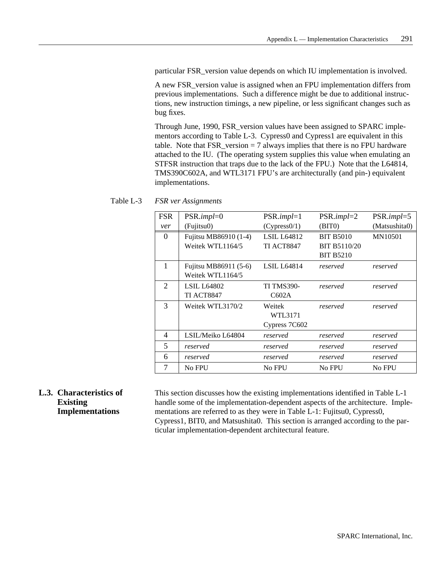particular FSR\_version value depends on which IU implementation is involved.

A new FSR\_version value is assigned when an FPU implementation differs from previous implementations. Such a difference might be due to additional instructions, new instruction timings, a new pipeline, or less significant changes such as bug fixes.

Through June, 1990, FSR\_version values have been assigned to SPARC implementors according to Table L-3. Cypress0 and Cypress1 are equivalent in this table. Note that  $FSR_{version} = 7$  always implies that there is no FPU hardware attached to the IU. (The operating system supplies this value when emulating an STFSR instruction that traps due to the lack of the FPU.) Note that the L64814, TMS390C602A, and WTL3171 FPU's are architecturally (and pin-) equivalent implementations.

| <b>FSR</b>                  | $PSR$ .impl=0         | $PSR$ . <i>impl</i> =1 | $PSR$ .impl=2    | $PSR$ .impl=5  |
|-----------------------------|-----------------------|------------------------|------------------|----------------|
| ver                         | (Fujitsu0)            | (Cypress0/1)           | (BITO)           | (Matsushita0)  |
| $\Omega$                    | Fujitsu MB86910 (1-4) | <b>LSIL L64812</b>     | <b>BIT B5010</b> | <b>MN10501</b> |
|                             | Weitek WTL1164/5      | <b>TI ACT8847</b>      | BIT B5110/20     |                |
|                             |                       |                        | <b>BIT B5210</b> |                |
| 1                           | Fujitsu MB86911 (5-6) | <b>LSIL L64814</b>     | reserved         | reserved       |
|                             | Weitek WTL1164/5      |                        |                  |                |
| $\mathcal{D}_{\mathcal{L}}$ | <b>LSIL L64802</b>    | <b>TI TMS390-</b>      | reserved         | reserved       |
|                             | <b>TI ACT8847</b>     | C602A                  |                  |                |
| 3                           | Weitek WTL3170/2      | Weitek                 | reserved         | reserved       |
|                             |                       | WTL3171                |                  |                |
|                             |                       | Cypress 7C602          |                  |                |
| $\overline{4}$              | LSIL/Meiko L64804     | reserved               | reserved         | reserved       |
| 5                           | reserved              | reserved               | reserved         | reserved       |
| 6                           | reserved              | reserved               | reserved         | reserved       |
| 7                           | No FPU                | No FPU                 | No FPU           | No FPU         |

Table L-3 *FSR ver Assignments*

### **L.3. Characteristics of Existing Implementations**

This section discusses how the existing implementations identified in Table L-1 handle some of the implementation-dependent aspects of the architecture. Implementations are referred to as they were in Table L-1: Fujitsu0, Cypress0, Cypress1, BIT0, and Matsushita0. This section is arranged according to the particular implementation-dependent architectural feature.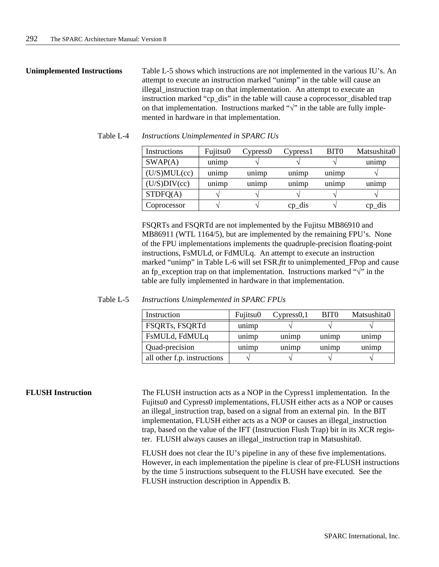#### **Unimplemented Instructions** Table L-5 shows which instructions are not implemented in the various IU's. An attempt to execute an instruction marked "unimp" in the table will cause an illegal\_instruction trap on that implementation. An attempt to execute an instruction marked "cp\_dis" in the table will cause a coprocessor\_disabled trap on that implementation. Instructions marked " $\sqrt{ }$ " in the table are fully implemented in hardware in that implementation.

| Instructions | Fujitsu0 | Cypress0 | Cypress <sub>1</sub> | BIT <sub>0</sub> | Matsushita0 |
|--------------|----------|----------|----------------------|------------------|-------------|
| SWAP(A)      | unimp    |          |                      |                  | unimp       |
| (U/S)MUL(cc) | unimp    | unimp    | unimp                | unimp            |             |
| (U/S)DIV(cc) | unimp    | unimp    | unimp                | unimp            | unimp       |
| STDFQ(A)     |          |          |                      |                  |             |
| Coprocessor  |          |          | $cp\_dis$            |                  | $cp\_dis$   |

#### Table L-4 *Instructions Unimplemented in SPARC IUs*

FSQRTs and FSQRTd are not implemented by the Fujitsu MB86910 and MB86911 (WTL 1164/5), but are implemented by the remaining FPU's. None of the FPU implementations implements the quadruple-precision floating-point instructions, FsMULd, or FdMULq. An attempt to execute an instruction marked "unimp" in Table L-6 will set FSR.*ftt* to unimplemented\_FPop and cause an fp\_exception trap on that implementation. Instructions marked " $\sqrt{$ " in the table are fully implemented in hardware in that implementation.

#### Table L-5 *Instructions Unimplemented in SPARC FPUs*

| Instruction                 | Fujitsu <sub>0</sub> | Cypress0,1 | BIT <sub>0</sub> | Matsushita0 |
|-----------------------------|----------------------|------------|------------------|-------------|
| FSQRTs, FSQRTd              | unimp                |            |                  |             |
| FsMULd, FdMULq              | unimp                | unimp      | unimp            | unimp       |
| Quad-precision              | unimp                | unimp      | unimp            | unimp       |
| all other f.p. instructions |                      |            |                  |             |

**FLUSH Instruction** The FLUSH instruction acts as a NOP in the Cypress1 implementation. In the Fujitsu0 and Cypress0 implementations, FLUSH either acts as a NOP or causes an illegal\_instruction trap, based on a signal from an external pin. In the BIT implementation, FLUSH either acts as a NOP or causes an illegal\_instruction trap, based on the value of the IFT (Instruction Flush Trap) bit in its XCR register. FLUSH always causes an illegal\_instruction trap in Matsushita0.

> FLUSH does not clear the IU's pipeline in any of these five implementations. However, in each implementation the pipeline is clear of pre-FLUSH instructions by the time 5 instructions subsequent to the FLUSH have executed. See the FLUSH instruction description in Appendix B.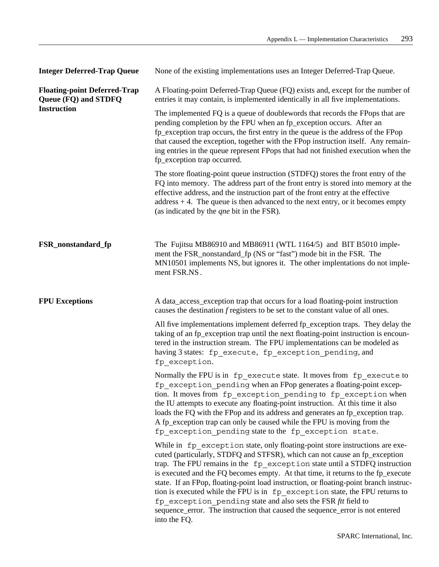| <b>Integer Deferred-Trap Queue</b>                          | None of the existing implementations uses an Integer Deferred-Trap Queue.                                                                                                                                                                                                                                                                                                                                                                                                                                                                                                                                                                                             |
|-------------------------------------------------------------|-----------------------------------------------------------------------------------------------------------------------------------------------------------------------------------------------------------------------------------------------------------------------------------------------------------------------------------------------------------------------------------------------------------------------------------------------------------------------------------------------------------------------------------------------------------------------------------------------------------------------------------------------------------------------|
| <b>Floating-point Deferred-Trap</b><br>Queue (FQ) and STDFQ | A Floating-point Deferred-Trap Queue (FQ) exists and, except for the number of<br>entries it may contain, is implemented identically in all five implementations.                                                                                                                                                                                                                                                                                                                                                                                                                                                                                                     |
| <b>Instruction</b>                                          | The implemented FQ is a queue of doublewords that records the FPops that are<br>pending completion by the FPU when an fp_exception occurs. After an<br>fp_exception trap occurs, the first entry in the queue is the address of the FPop<br>that caused the exception, together with the FPop instruction itself. Any remain-<br>ing entries in the queue represent FPops that had not finished execution when the<br>fp_exception trap occurred.                                                                                                                                                                                                                     |
|                                                             | The store floating-point queue instruction (STDFQ) stores the front entry of the<br>FQ into memory. The address part of the front entry is stored into memory at the<br>effective address, and the instruction part of the front entry at the effective<br>$address + 4$ . The queue is then advanced to the next entry, or it becomes empty<br>(as indicated by the <i>qne</i> bit in the FSR).                                                                                                                                                                                                                                                                      |
| FSR_nonstandard_fp                                          | The Fujitsu MB86910 and MB86911 (WTL 1164/5) and BIT B5010 imple-<br>ment the FSR_nonstandard_fp (NS or "fast") mode bit in the FSR. The<br>MN10501 implements NS, but ignores it. The other implentations do not imple-<br>ment FSR.NS.                                                                                                                                                                                                                                                                                                                                                                                                                              |
| <b>FPU Exceptions</b>                                       | A data_access_exception trap that occurs for a load floating-point instruction<br>causes the destination f registers to be set to the constant value of all ones.                                                                                                                                                                                                                                                                                                                                                                                                                                                                                                     |
|                                                             | All five implementations implement deferred fp_exception traps. They delay the<br>taking of an fp_exception trap until the next floating-point instruction is encoun-<br>tered in the instruction stream. The FPU implementations can be modeled as<br>having 3 states: fp_execute, fp_exception_pending, and<br>fp exception.                                                                                                                                                                                                                                                                                                                                        |
|                                                             | Normally the FPU is in fp_execute state. It moves from fp_execute to<br>fp exception pending when an FPop generates a floating-point excep-<br>tion. It moves from fp_exception pending to fp_exception when<br>the IU attempts to execute any floating-point instruction. At this time it also<br>loads the FQ with the FPop and its address and generates an fp_exception trap.<br>A fp_exception trap can only be caused while the FPU is moving from the<br>fp exception pending state to the fp exception state.                                                                                                                                                 |
|                                                             | While in fp exception state, only floating-point store instructions are exe-<br>cuted (particularly, STDFQ and STFSR), which can not cause an fp_exception<br>trap. The FPU remains in the fp_exception state until a STDFQ instruction<br>is executed and the FQ becomes empty. At that time, it returns to the fp_execute<br>state. If an FPop, floating-point load instruction, or floating-point branch instruc-<br>tion is executed while the FPU is in fp_exception state, the FPU returns to<br>fp_exception_pending state and also sets the FSR ftt field to<br>sequence_error. The instruction that caused the sequence_error is not entered<br>into the FQ. |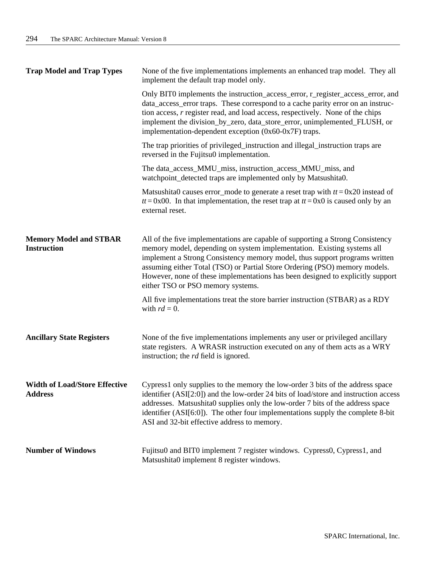| <b>Trap Model and Trap Types</b>                       | None of the five implementations implements an enhanced trap model. They all<br>implement the default trap model only.                                                                                                                                                                                                                                                                                                                      |
|--------------------------------------------------------|---------------------------------------------------------------------------------------------------------------------------------------------------------------------------------------------------------------------------------------------------------------------------------------------------------------------------------------------------------------------------------------------------------------------------------------------|
|                                                        | Only BIT0 implements the instruction_access_error, r_register_access_error, and<br>data_access_error traps. These correspond to a cache parity error on an instruc-<br>tion access, r register read, and load access, respectively. None of the chips<br>implement the division_by_zero, data_store_error, unimplemented_FLUSH, or<br>implementation-dependent exception (0x60-0x7F) traps.                                                 |
|                                                        | The trap priorities of privileged_instruction and illegal_instruction traps are<br>reversed in the Fujitsu0 implementation.                                                                                                                                                                                                                                                                                                                 |
|                                                        | The data_access_MMU_miss, instruction_access_MMU_miss, and<br>watchpoint_detected traps are implemented only by Matsushita0.                                                                                                                                                                                                                                                                                                                |
|                                                        | Matsushita0 causes error_mode to generate a reset trap with $tt = 0x20$ instead of<br>$tt = 0x00$ . In that implementation, the reset trap at $tt = 0x0$ is caused only by an<br>external reset.                                                                                                                                                                                                                                            |
| <b>Memory Model and STBAR</b><br><b>Instruction</b>    | All of the five implementations are capable of supporting a Strong Consistency<br>memory model, depending on system implementation. Existing systems all<br>implement a Strong Consistency memory model, thus support programs written<br>assuming either Total (TSO) or Partial Store Ordering (PSO) memory models.<br>However, none of these implementations has been designed to explicitly support<br>either TSO or PSO memory systems. |
|                                                        | All five implementations treat the store barrier instruction (STBAR) as a RDY<br>with $rd = 0$ .                                                                                                                                                                                                                                                                                                                                            |
| <b>Ancillary State Registers</b>                       | None of the five implementations implements any user or privileged ancillary<br>state registers. A WRASR instruction executed on any of them acts as a WRY<br>instruction; the <i>rd</i> field is ignored.                                                                                                                                                                                                                                  |
| <b>Width of Load/Store Effective</b><br><b>Address</b> | Cypress1 only supplies to the memory the low-order 3 bits of the address space<br>identifier (ASI[2:0]) and the low-order 24 bits of load/store and instruction access<br>addresses. Matsushita0 supplies only the low-order 7 bits of the address space<br>identifier (ASI[6:0]). The other four implementations supply the complete 8-bit<br>ASI and 32-bit effective address to memory.                                                  |
| <b>Number of Windows</b>                               | Fujitsu0 and BIT0 implement 7 register windows. Cypress0, Cypress1, and<br>Matsushita0 implement 8 register windows.                                                                                                                                                                                                                                                                                                                        |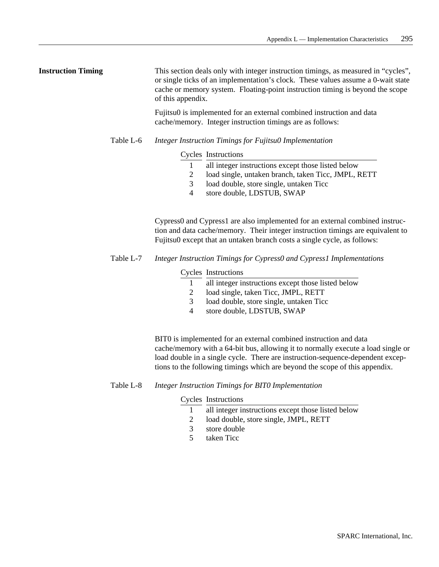**Instruction Timing** This section deals only with integer instruction timings, as measured in "cycles", or single ticks of an implementation's clock. These values assume a 0-wait state cache or memory system. Floating-point instruction timing is beyond the scope of this appendix.

> Fujitsu0 is implemented for an external combined instruction and data cache/memory. Integer instruction timings are as follows:

Table L-6 *Integer Instruction Timings for Fujitsu0 Implementation*

#### Cycles Instructions

- 1 all integer instructions except those listed below
- 2 load single, untaken branch, taken Ticc, JMPL, RETT
- 3 load double, store single, untaken Ticc
- 4 store double, LDSTUB, SWAP

Cypress0 and Cypress1 are also implemented for an external combined instruction and data cache/memory. Their integer instruction timings are equivalent to Fujitsu0 except that an untaken branch costs a single cycle, as follows:

#### Table L-7 *Integer Instruction Timings for Cypress0 and Cypress1 Implementations*

#### Cycles Instructions

- 1 all integer instructions except those listed below
- 2 load single, taken Ticc, JMPL, RETT
- 3 load double, store single, untaken Ticc
- 4 store double, LDSTUB, SWAP

BIT0 is implemented for an external combined instruction and data cache/memory with a 64-bit bus, allowing it to normally execute a load single or load double in a single cycle. There are instruction-sequence-dependent exceptions to the following timings which are beyond the scope of this appendix.

#### Table L-8 *Integer Instruction Timings for BIT0 Implementation*

#### Cycles Instructions

- 1 all integer instructions except those listed below
- 2 load double, store single, JMPL, RETT
- 3 store double
- 5 taken Ticc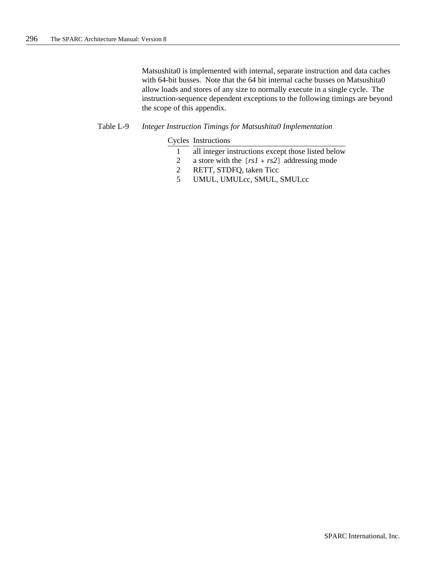Matsushita0 is implemented with internal, separate instruction and data caches with 64-bit busses. Note that the 64 bit internal cache busses on Matsushita0 allow loads and stores of any size to normally execute in a single cycle. The instruction-sequence dependent exceptions to the following timings are beyond the scope of this appendix.

#### Table L-9 *Integer Instruction Timings for Matsushita0 Implementation*

#### Cycles Instructions

- 1 all integer instructions except those listed below
- 2 a store with the  $[rsI + rs2]$  addressing mode<br>2 RETT, STDFO, taken Ticc
- RETT, STDFQ, taken Ticc
- 5 UMUL, UMULcc, SMUL, SMULcc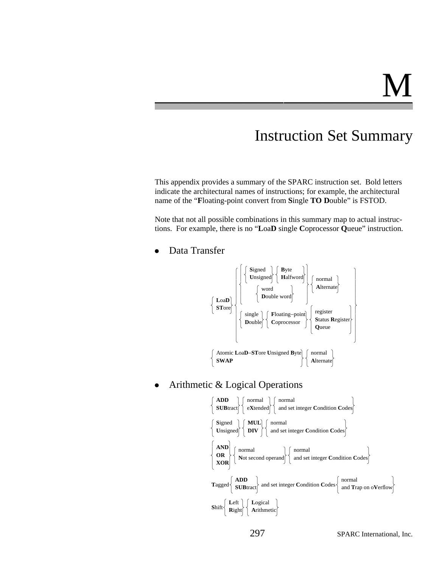## Instruction Set Summary

This appendix provides a summary of the SPARC instruction set. Bold letters indicate the architectural names of instructions; for example, the architectural name of the "**F**loating-point convert from **S**ingle **TO D**ouble" is FSTOD.

Note that not all possible combinations in this summary map to actual instructions. For example, there is no "**L**oa**D** single **C**oprocessor **Q**ueue" instruction.

-Data Transfer



 $\bullet$ Arithmetic & Logical Operations

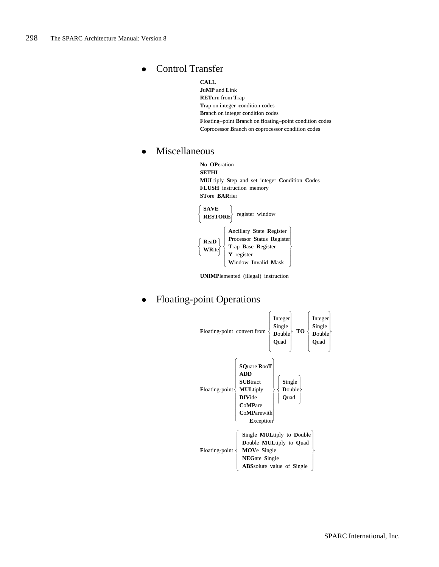#### $\bullet$ Control Transfer

### **CALL**

- **C**oprocessor **B**ranch on **c**oprocessor **c**ondition **c**odes **F**loating−point **B**ranch on **f**loating−point **c**ondition **c**odes **B**ranch on **i**nteger **c**ondition **c**odes **T**rap on **i**nteger **c**ondition **c**odes **RET**urn from **T**rap **J**u**MP** and **L**ink
- -Miscellaneous

```
STore BARrier
FLUSH instruction memory
MULtiply Step and set integer Condition Codes
SETHI
No OPeration
SAVE
```


**UNIMP**lemented (illegal) instruction

 $\bullet$ Floating-point Operations

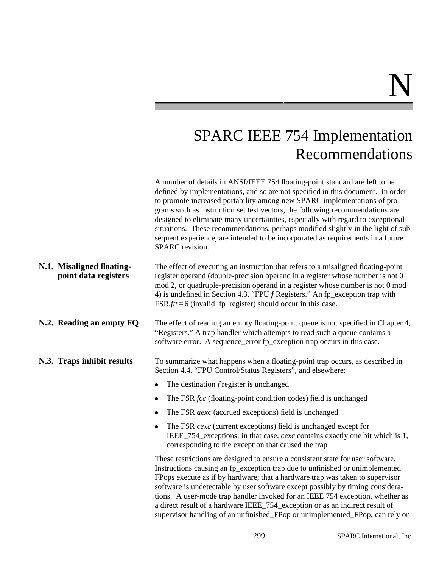# SPARC IEEE 754 Implementation Recommendations

A number of details in ANSI/IEEE 754 floating-point standard are left to be defined by implementations, and so are not specified in this document. In order to promote increased portability among new SPARC implementations of programs such as instruction set test vectors, the following recommendations are designed to eliminate many uncertainties, especially with regard to exceptional situations. These recommendations, perhaps modified slightly in the light of subsequent experience, are intended to be incorporated as requirements in a future SPARC revision.

#### **N.1. Misaligned floatingpoint data registers** The effect of executing an instruction that refers to a misaligned floating-point register operand (double-precision operand in a register whose number is not 0 mod 2, or quadruple-precision operand in a register whose number is not 0 mod 4) is undefined in Section 4.3, "FPU *f* Registers." An fp\_exception trap with FSR.*ftt* = 6 (invalid\_fp\_register) should occur in this case.

### **N.2. Reading an empty FQ** The effect of reading an empty floating-point queue is not specified in Chapter 4, "Registers." A trap handler which attempts to read such a queue contains a software error. A sequence\_error fp\_exception trap occurs in this case.

#### **N.3. Traps inhibit results** To summarize what happens when a floating-point trap occurs, as described in Section 4.4, "FPU Control/Status Registers", and elsewhere:

- -The destination *f* register is unchanged
- -The FSR *fcc* (floating-point condition codes) field is unchanged
- $\bullet$ The FSR *aexc* (accrued exceptions) field is unchanged
- $\bullet$  The FSR *cexc* (current exceptions) field is unchanged except for IEEE\_754\_exceptions; in that case, *cexc* contains exactly one bit which is 1, corresponding to the exception that caused the trap

These restrictions are designed to ensure a consistent state for user software. Instructions causing an fp\_exception trap due to unfinished or unimplemented FPops execute as if by hardware; that a hardware trap was taken to supervisor software is undetectable by user software except possibly by timing considerations. A user-mode trap handler invoked for an IEEE 754 exception, whether as a direct result of a hardware IEEE\_754\_exception or as an indirect result of supervisor handling of an unfinished\_FPop or unimplemented\_FPop, can rely on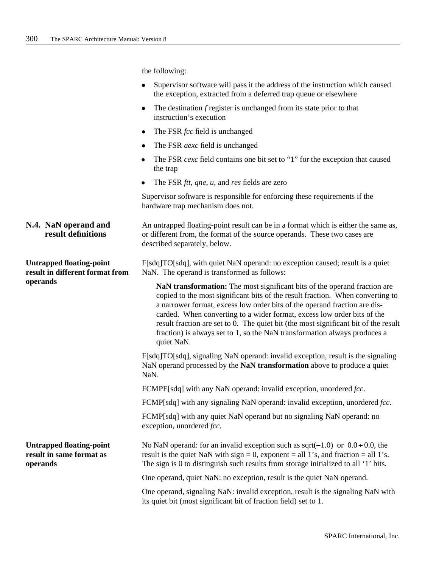the following:

|                                                                         | Supervisor software will pass it the address of the instruction which caused<br>the exception, extracted from a deferred trap queue or elsewhere                                                                                                                                                                                                                                                                                                                                                      |  |  |  |  |
|-------------------------------------------------------------------------|-------------------------------------------------------------------------------------------------------------------------------------------------------------------------------------------------------------------------------------------------------------------------------------------------------------------------------------------------------------------------------------------------------------------------------------------------------------------------------------------------------|--|--|--|--|
|                                                                         | The destination $f$ register is unchanged from its state prior to that<br>٠<br>instruction's execution                                                                                                                                                                                                                                                                                                                                                                                                |  |  |  |  |
|                                                                         | The FSR fcc field is unchanged                                                                                                                                                                                                                                                                                                                                                                                                                                                                        |  |  |  |  |
|                                                                         | The FSR <i>aexc</i> field is unchanged                                                                                                                                                                                                                                                                                                                                                                                                                                                                |  |  |  |  |
|                                                                         | The FSR cexc field contains one bit set to "1" for the exception that caused<br>the trap                                                                                                                                                                                                                                                                                                                                                                                                              |  |  |  |  |
|                                                                         | The FSR ftt, qne, u, and res fields are zero                                                                                                                                                                                                                                                                                                                                                                                                                                                          |  |  |  |  |
|                                                                         | Supervisor software is responsible for enforcing these requirements if the<br>hardware trap mechanism does not.                                                                                                                                                                                                                                                                                                                                                                                       |  |  |  |  |
| N.4. NaN operand and<br>result definitions                              | An untrapped floating-point result can be in a format which is either the same as,<br>or different from, the format of the source operands. These two cases are<br>described separately, below.                                                                                                                                                                                                                                                                                                       |  |  |  |  |
| <b>Untrapped floating-point</b><br>result in different format from      | F[sdq]TO[sdq], with quiet NaN operand: no exception caused; result is a quiet<br>NaN. The operand is transformed as follows:                                                                                                                                                                                                                                                                                                                                                                          |  |  |  |  |
| operands                                                                | NaN transformation: The most significant bits of the operand fraction are<br>copied to the most significant bits of the result fraction. When converting to<br>a narrower format, excess low order bits of the operand fraction are dis-<br>carded. When converting to a wider format, excess low order bits of the<br>result fraction are set to 0. The quiet bit (the most significant bit of the result<br>fraction) is always set to 1, so the NaN transformation always produces a<br>quiet NaN. |  |  |  |  |
|                                                                         | F[sdq]TO[sdq], signaling NaN operand: invalid exception, result is the signaling<br>NaN operand processed by the NaN transformation above to produce a quiet<br>NaN.                                                                                                                                                                                                                                                                                                                                  |  |  |  |  |
|                                                                         | FCMPE[sdq] with any NaN operand: invalid exception, unordered fcc.                                                                                                                                                                                                                                                                                                                                                                                                                                    |  |  |  |  |
|                                                                         | FCMP[sdq] with any signaling NaN operand: invalid exception, unordered fcc.                                                                                                                                                                                                                                                                                                                                                                                                                           |  |  |  |  |
|                                                                         | FCMP[sdq] with any quiet NaN operand but no signaling NaN operand: no<br>exception, unordered fcc.                                                                                                                                                                                                                                                                                                                                                                                                    |  |  |  |  |
| <b>Untrapped floating-point</b><br>result in same format as<br>operands | No NaN operand: for an invalid exception such as sqrt( $-1.0$ ) or $0.0 \div 0.0$ , the<br>result is the quiet NaN with sign = 0, exponent = all 1's, and fraction = all 1's.<br>The sign is 0 to distinguish such results from storage initialized to all '1' bits.                                                                                                                                                                                                                                  |  |  |  |  |
|                                                                         | One operand, quiet NaN: no exception, result is the quiet NaN operand.                                                                                                                                                                                                                                                                                                                                                                                                                                |  |  |  |  |
|                                                                         | One operand, signaling NaN: invalid exception, result is the signaling NaN with<br>its quiet bit (most significant bit of fraction field) set to 1.                                                                                                                                                                                                                                                                                                                                                   |  |  |  |  |
|                                                                         |                                                                                                                                                                                                                                                                                                                                                                                                                                                                                                       |  |  |  |  |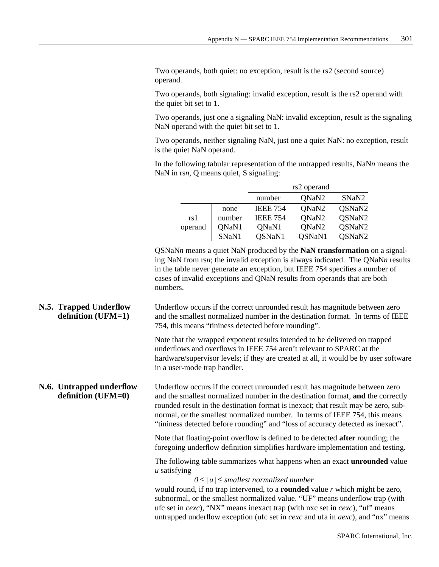Two operands, both quiet: no exception, result is the rs2 (second source) operand.

Two operands, both signaling: invalid exception, result is the rs2 operand with the quiet bit set to 1.

Two operands, just one a signaling NaN: invalid exception, result is the signaling NaN operand with the quiet bit set to 1.

Two operands, neither signaling NaN, just one a quiet NaN: no exception, result is the quiet NaN operand.

In the following tabular representation of the untrapped results, NaN*n* means the NaN in rs*n*, Q means quiet, S signaling:

|         |        | rs2 operand     |                   |                    |  |
|---------|--------|-----------------|-------------------|--------------------|--|
|         |        | number          | QNaN <sub>2</sub> | SNaN <sub>2</sub>  |  |
|         | none   | <b>IEEE 754</b> | QNaN <sub>2</sub> | QSNaN2             |  |
| rs 1    | number | <b>IEEE 754</b> | QNaN2             | QSNaN2             |  |
| operand | QNaN1  | QNaN1           | QNaN <sub>2</sub> | QSNaN <sub>2</sub> |  |
|         | SNaN1  | QSNaN1          | QSNaN1            | QSNaN2             |  |

QSNaN*n* means a quiet NaN produced by the **NaN transformation** on a signaling NaN from rs*n*; the invalid exception is always indicated. The QNaN*n* results in the table never generate an exception, but IEEE 754 specifies a number of cases of invalid exceptions and QNaN results from operands that are both numbers.

**N.5. Trapped Underflow definition (UFM=1)** Underflow occurs if the correct unrounded result has magnitude between zero and the smallest normalized number in the destination format. In terms of IEEE 754, this means "tininess detected before rounding".

> Note that the wrapped exponent results intended to be delivered on trapped underflows and overflows in IEEE 754 aren't relevant to SPARC at the hardware/supervisor levels; if they are created at all, it would be by user software in a user-mode trap handler.

**N.6. Untrapped underflow definition (UFM=0)** Underflow occurs if the correct unrounded result has magnitude between zero and the smallest normalized number in the destination format, **and** the correctly rounded result in the destination format is inexact; that result may be zero, subnormal, or the smallest normalized number. In terms of IEEE 754, this means "tininess detected before rounding" and "loss of accuracy detected as inexact".

> Note that floating-point overflow is defined to be detected **after** rounding; the foregoing underflow definition simplifies hardware implementation and testing.

> The following table summarizes what happens when an exact **unrounded** value *u* satisfying

> *0* ≤ | *u* | ≤ *smallest normalized number* would round, if no trap intervened, to a **rounded** value *r* which might be zero, subnormal, or the smallest normalized value. "UF" means underflow trap (with ufc set in *cexc*), "NX" means inexact trap (with nxc set in *cexc*), "uf" means untrapped underflow exception (ufc set in *cexc* and ufa in *aexc*), and "nx" means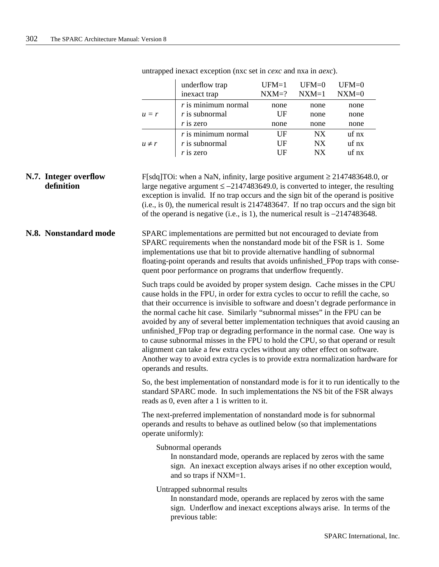|            | underflow trap        | $UFM=1$ | $UFM=0$         | $UFM=0$           |
|------------|-----------------------|---------|-----------------|-------------------|
|            | inexact trap          | $NXM=?$ | $NXM=1$         | $NXM=0$           |
|            | $r$ is minimum normal | none    | none            | none              |
| $u = r$    | $r$ is subnormal      | UF      | none            | none              |
|            | r is zero             | none    | none            | none              |
|            | $r$ is minimum normal | UF      | NX.             | $uf$ $nx$         |
| $u \neq r$ | $r$ is subnormal      | UF      | NX <sup>1</sup> | uf nx             |
|            | $r$ is zero           | НF      | N X             | $\mathbf{u}$ f nx |

of the operand is negative (i.e., is 1), the numerical result is −2147483648.

untrapped inexact exception (nxc set in *cexc* and nxa in *aexc*).

#### **N.7. Integer overflow definition** F[sdq]TOi: when a NaN, infinity, large positive argument  $\geq$  2147483648.0, or large negative argument  $\leq$  -2147483649.0, is converted to integer, the resulting exception is invalid. If no trap occurs and the sign bit of the operand is positive (i.e., is 0), the numerical result is 2147483647. If no trap occurs and the sign bit

**N.8. Nonstandard mode** SPARC implementations are permitted but not encouraged to deviate from SPARC requirements when the nonstandard mode bit of the FSR is 1. Some implementations use that bit to provide alternative handling of subnormal floating-point operands and results that avoids unfinished\_FPop traps with consequent poor performance on programs that underflow frequently.

> Such traps could be avoided by proper system design. Cache misses in the CPU cause holds in the FPU, in order for extra cycles to occur to refill the cache, so that their occurrence is invisible to software and doesn't degrade performance in the normal cache hit case. Similarly "subnormal misses" in the FPU can be avoided by any of several better implementation techniques that avoid causing an unfinished\_FPop trap or degrading performance in the normal case. One way is to cause subnormal misses in the FPU to hold the CPU, so that operand or result alignment can take a few extra cycles without any other effect on software. Another way to avoid extra cycles is to provide extra normalization hardware for operands and results.

> So, the best implementation of nonstandard mode is for it to run identically to the standard SPARC mode. In such implementations the NS bit of the FSR always reads as 0, even after a 1 is written to it.

The next-preferred implementation of nonstandard mode is for subnormal operands and results to behave as outlined below (so that implementations operate uniformly):

Subnormal operands

In nonstandard mode, operands are replaced by zeros with the same sign. An inexact exception always arises if no other exception would, and so traps if NXM=1.

Untrapped subnormal results

In nonstandard mode, operands are replaced by zeros with the same sign. Underflow and inexact exceptions always arise. In terms of the previous table: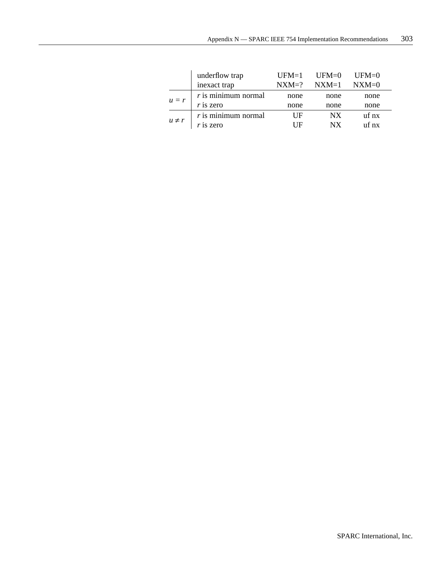|            | underflow trap        | $UFM=1$ | $UFM=0$ $UFM=0$ |                   |
|------------|-----------------------|---------|-----------------|-------------------|
|            | inexact trap          | $NXM=?$ | $NXM=1$ $NXM=0$ |                   |
|            | $r$ is minimum normal | none    | none            | none              |
| $u = r$    | r is zero             | none    | none            | none              |
| $u \neq r$ | $r$ is minimum normal | UF      | NX.             | $\mathbf{u}$ f nx |
|            | $r$ is zero           | UF      | NX.             | $\mathbf{u}$ f nx |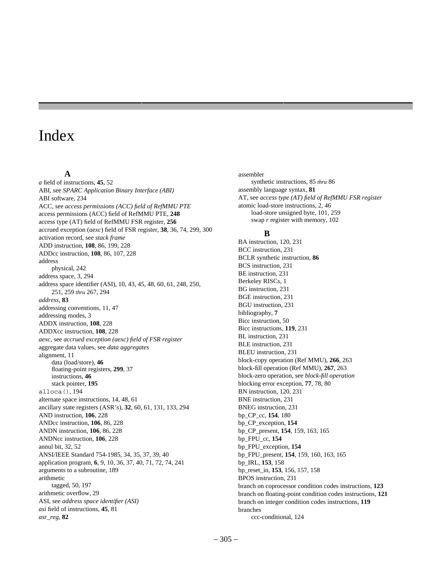## Index

#### **A**

*a* field of instructions, **45**, 52 ABI, see *SPARC Application Binary Interface (ABI)* ABI software, 234 ACC, see *access permissions (ACC) field of RefMMU PTE* access permissions (ACC) field of RefMMU PTE, **248** access type (AT) field of RefMMU FSR register, **256** accrued exception (*aexc*) field of FSR register, **38**, 36, 74, 299, 300 activation record, see *stack frame* ADD instruction, **108**, 86, 199, 228 ADDcc instruction, **108**, 86, 107, 228 address physical, 242 address space, 3, 294 address space identifier (ASI), 10, 43, 45, 48, 60, 61, 248, 250, 251, 259 *thru* 267, 294 *address*, **83** addressing conventions, 11, 47 addressing modes, 3 ADDX instruction, **108**, 228 ADDXcc instruction, **108**, 228 *aexc*, see *accrued exception (aexc) field of FSR register* aggregate data values, see *data aggregates* alignment, 11 data (load/store), **46** floating-point registers, **299**, 37 instructions, **46** stack pointer, **195** alloca(), 194 alternate space instructions, 14, 48, 61 ancillary state registers (ASR's), **32**, 60, 61, 131, 133, 294 AND instruction, **106**, 228 ANDcc instruction, **106**, 86, 228 ANDN instruction, **106**, 86, 228 ANDNcc instruction, **106**, 228 annul bit, 32, 52 ANSI/IEEE Standard 754-1985, 34, 35, 37, 39, 40 application program, **6**, 9, 10, 36, 37, 40, 71, 72, 74, 241 arguments to a subroutine, 189 arithmetic tagged, 50, 197 arithmetic overflow, 29 ASI, see *address space identifier (ASI) asi* field of instructions, **45**, 81 *asr\_reg*, **82**

assembler synthetic instructions, 85 *thru* 86 assembly language syntax, **81** AT, see *access type (AT) field of RefMMU FSR register* atomic load-store instructions, 2, 46 load-store unsigned byte, 101, 259 swap *r* register with memory, 102

#### **B**

BA instruction, 120, 231 BCC instruction, 231 BCLR synthetic instruction, **86** BCS instruction, 231 BE instruction, 231 Berkeley RISCs, 1 BG instruction, 231 BGE instruction, 231 BGU instruction, 231 bibliography, **7** Bicc instruction, 50 Bicc instructions, **119**, 231 BL instruction, 231 BLE instruction, 231 BLEU instruction, 231 block-copy operation (Ref MMU), **266**, 263 block-fill operation (Ref MMU), **267**, 263 block-zero operation, see *block-fill operation* blocking error exception, **77**, 78, 80 BN instruction, 120, 231 BNE instruction, 231 BNEG instruction, 231 bp\_CP\_cc, **154**, 180 bp\_CP\_exception, **154** bp\_CP\_present, **154**, 159, 163, 165 bp\_FPU\_cc, **154** bp\_FPU\_exception, **154** bp\_FPU\_present, **154**, 159, 160, 163, 165 bp\_IRL, **153**, 158 bp\_reset\_in, **153**, 156, 157, 158 BPOS instruction, 231 branch on coprocessor condition codes instructions, **123** branch on floating-point condition codes instructions, **121** branch on integer condition codes instructions, **119** branches ccc-conditional, 124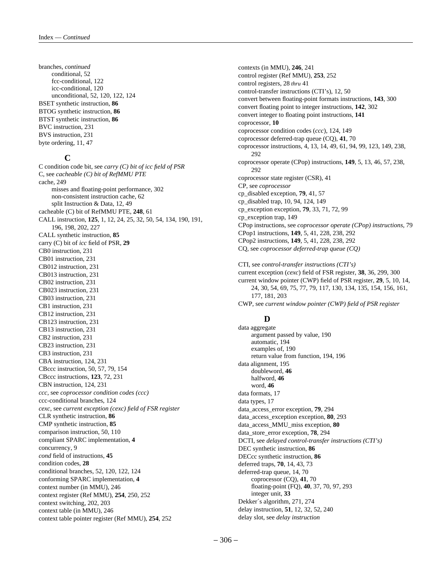branches, *continued* conditional, 52 fcc-conditional, 122 icc-conditional, 120 unconditional, 52, 120, 122, 124 BSET synthetic instruction, **86** BTOG synthetic instruction, **86** BTST synthetic instruction, **86** BVC instruction, 231 BVS instruction, 231 byte ordering, 11, 47

#### **C**

C condition code bit, see *carry (C) bit of icc field of PSR* C, see *cacheable (C) bit of RefMMU PTE* cache, 249 misses and floating-point performance, 302 non-consistent instruction cache, 62 split Instruction & Data, 12, 49 cacheable (C) bit of RefMMU PTE, **248**, 61 CALL instruction, **125**, 1, 12, 24, 25, 32, 50, 54, 134, 190, 191, 196, 198, 202, 227 CALL synthetic instruction, **85** carry (C) bit of *icc* field of PSR, **29** CB0 instruction, 231 CB01 instruction, 231 CB012 instruction, 231 CB013 instruction, 231 CB02 instruction, 231 CB023 instruction, 231 CB03 instruction, 231 CB1 instruction, 231 CB12 instruction, 231 CB123 instruction, 231 CB13 instruction, 231 CB2 instruction, 231 CB23 instruction, 231 CB3 instruction, 231 CBA instruction, 124, 231 CBccc instruction, 50, 57, 79, 154 CBccc instructions, **123**, 72, 231 CBN instruction, 124, 231 *ccc*, see *coprocessor condition codes (ccc)* ccc-conditional branches, 124 *cexc*, see *current exception (cexc) field of FSR register* CLR synthetic instruction, **86** CMP synthetic instruction, **85** comparison instruction, 50, 110 compliant SPARC implementation, **4** concurrency, 9 *cond* field of instructions, **45** condition codes, **28** conditional branches, 52, 120, 122, 124 conforming SPARC implementation, **4** context number (in MMU), 246 context register (Ref MMU), **254**, 250, 252 context switching, 202, 203 context table (in MMU), 246 context table pointer register (Ref MMU), **254**, 252

contexts (in MMU), **246**, 241 control register (Ref MMU), **253**, 252 control registers, 28 *thru* 41 control-transfer instructions (CTI's), 12, 50 convert between floating-point formats instructions, **143**, 300 convert floating point to integer instructions, **142**, 302 convert integer to floating point instructions, **141** coprocessor, **10** coprocessor condition codes (*ccc*), 124, 149 coprocessor deferred-trap queue (CQ), **41**, 70 coprocessor instructions, 4, 13, 14, 49, 61, 94, 99, 123, 149, 238, 292 coprocessor operate (CPop) instructions, **149**, 5, 13, 46, 57, 238, 292 coprocessor state register (CSR), 41 CP, see *coprocessor* cp\_disabled exception, **79**, 41, 57 cp\_disabled trap, 10, 94, 124, 149 cp\_exception exception, **79**, 33, 71, 72, 99 cp\_exception trap, 149 CPop instructions, see *coprocessor operate (CPop) instructions*, 79 CPop1 instructions, **149**, 5, 41, 228, 238, 292 CPop2 instructions, **149**, 5, 41, 228, 238, 292 CQ, see *coprocessor deferred-trap queue (CQ)*

CTI, see *control-transfer instructions (CTI's)* current exception (*cexc*) field of FSR register, **38**, 36, 299, 300 current window pointer (CWP) field of PSR register, **29**, 5, 10, 14, 24, 30, 54, 69, 75, 77, 79, 117, 130, 134, 135, 154, 156, 161, 177, 181, 203 CWP, see *current window pointer (CWP) field of PSR register*

### **D**

data aggregate argument passed by value, 190 automatic, 194 examples of, 190 return value from function, 194, 196 data alignment, 195 doubleword, **46** halfword, **46** word, **46** data formats, 17 data types, 17 data\_access\_error exception, **79**, 294 data\_access\_exception exception, **80**, 293 data\_access\_MMU\_miss exception, **80** data\_store\_error exception, **78**, 294 DCTI, see *delayed control-transfer instructions (CTI's)* DEC synthetic instruction, **86** DECcc synthetic instruction, **86** deferred traps, **70**, 14, 43, 73 deferred-trap queue, 14, 70 coprocessor (CQ), **41**, 70 floating-point (FQ), **40**, 37, 70, 97, 293 integer unit, **33** Dekker´s algorithm, 271, 274 delay instruction, **51**, 12, 32, 52, 240 delay slot, see *delay instruction*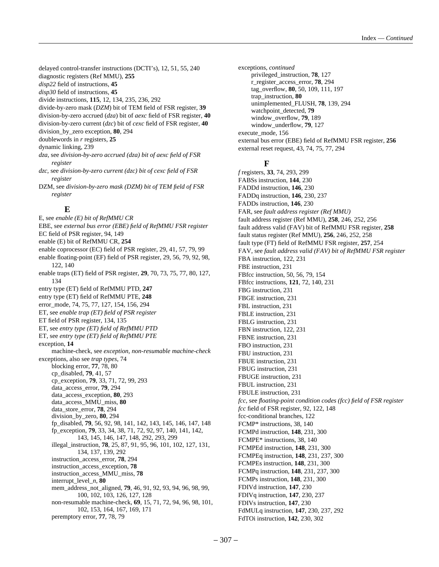delayed control-transfer instructions (DCTI's), 12, 51, 55, 240

- diagnostic registers (Ref MMU), **255**
- *disp22* field of instructions, **45**
- *disp30* field of instructions, **45**

divide instructions, **115**, 12, 134, 235, 236, 292

divide-by-zero mask (*DZM*) bit of TEM field of FSR register, **39**

division-by-zero accrued (*dza*) bit of *aexc* field of FSR register, **40**

division-by-zero current (*dzc*) bit of *cexc* field of FSR register, **40**

division\_by\_zero exception, **80**, 294

- doublewords in *r* registers, **25**
- dynamic linking, 239
- *dza*, see *division-by-zero accrued (dza) bit of aexc field of FSR register*
- *dzc*, see *division-by-zero current (dzc) bit of cexc field of FSR register*
- DZM, see *division-by-zero mask (DZM) bit of TEM field of FSR register*

### **E**

E, see *enable (E) bit of RefMMU CR* EBE, see *external bus error (EBE) field of RefMMU FSR register* EC field of PSR register, 94, 149 enable (E) bit of RefMMU CR, **254** enable coprocessor (EC) field of PSR register, 29, 41, 57, 79, 99 enable floating-point (EF) field of PSR register, 29, 56, 79, 92, 98, 122, 140 enable traps (ET) field of PSR register, **29**, 70, 73, 75, 77, 80, 127, 134 entry type (ET) field of RefMMU PTD, **247** entry type (ET) field of RefMMU PTE, **248** error\_mode, 74, 75, 77, 127, 154, 156, 294 ET, see *enable trap (ET) field of PSR register* ET field of PSR register, 134, 135 ET, see *entry type (ET) field of RefMMU PTD* ET, see *entry type (ET) field of RefMMU PTE* exception, **14** machine-check, see *exception, non-resumable machine-check* exceptions, also see *trap types*, 74 blocking error, **77**, 78, 80 cp\_disabled, **79**, 41, 57 cp\_exception, **79**, 33, 71, 72, 99, 293 data\_access\_error, **79**, 294 data\_access\_exception, **80**, 293 data\_access\_MMU\_miss, **80** data\_store\_error, **78**, 294 division\_by\_zero, **80**, 294 fp\_disabled, **79**, 56, 92, 98, 141, 142, 143, 145, 146, 147, 148 fp\_exception, **79**, 33, 34, 38, 71, 72, 92, 97, 140, 141, 142, 143, 145, 146, 147, 148, 292, 293, 299 illegal\_instruction, **78**, 25, 87, 91, 95, 96, 101, 102, 127, 131, 134, 137, 139, 292 instruction\_access\_error, **78**, 294 instruction\_access\_exception, **78** instruction\_access\_MMU\_miss, **78** interrupt\_level\_*n*, **80** mem\_address\_not\_aligned, **79**, 46, 91, 92, 93, 94, 96, 98, 99, 100, 102, 103, 126, 127, 128 non-resumable machine-check, **69**, 15, 71, 72, 94, 96, 98, 101, 102, 153, 164, 167, 169, 171 peremptory error, **77**, 78, 79

exceptions, *continued* privileged\_instruction, **78**, 127 r\_register\_access\_error, **78**, 294 tag\_overflow, **80**, 50, 109, 111, 197 trap\_instruction, **80** unimplemented\_FLUSH, **78**, 139, 294 watchpoint\_detected, **79** window\_overflow, **79**, 189 window\_underflow, **79**, 127 execute mode, 156 external bus error (EBE) field of RefMMU FSR register, **256** external reset request, 43, 74, 75, 77, 294

### **F**

*f* registers, **33**, 74, 293, 299 FABSs instruction, **144**, 230 FADDd instruction, **146**, 230 FADDq instruction, **146**, 230, 237 FADDs instruction, **146**, 230 FAR, see *fault address register (Ref MMU)* fault address register (Ref MMU), **258**, 246, 252, 256 fault address valid (FAV) bit of RefMMU FSR register, **258** fault status register (Ref MMU), **256**, 246, 252, 258 fault type (FT) field of RefMMU FSR register, **257**, 254 FAV, see *fault address valid (FAV) bit of RefMMU FSR register* FBA instruction, 122, 231 FBE instruction, 231 FBfcc instruction, 50, 56, 79, 154 FBfcc instructions, **121**, 72, 140, 231 FBG instruction, 231 FBGE instruction, 231 FBL instruction, 231 FBLE instruction, 231 FBLG instruction, 231 FBN instruction, 122, 231 FBNE instruction, 231 FBO instruction, 231 FBU instruction, 231 FBUE instruction, 231 FBUG instruction, 231 FBUGE instruction, 231 FBUL instruction, 231 FBULE instruction, 231 *fcc*, see *floating-point condition codes (fcc) field of FSR register fcc* field of FSR register, 92, 122, 148 fcc-conditional branches, 122 FCMP\* instructions, 38, 140 FCMPd instruction, **148**, 231, 300 FCMPE\* instructions, 38, 140 FCMPEd instruction, **148**, 231, 300 FCMPEq instruction, **148**, 231, 237, 300 FCMPEs instruction, **148**, 231, 300 FCMPq instruction, **148**, 231, 237, 300 FCMPs instruction, **148**, 231, 300 FDIVd instruction, **147**, 230 FDIVq instruction, **147**, 230, 237 FDIVs instruction, **147**, 230 FdMULq instruction, **147**, 230, 237, 292 FdTOi instruction, **142**, 230, 302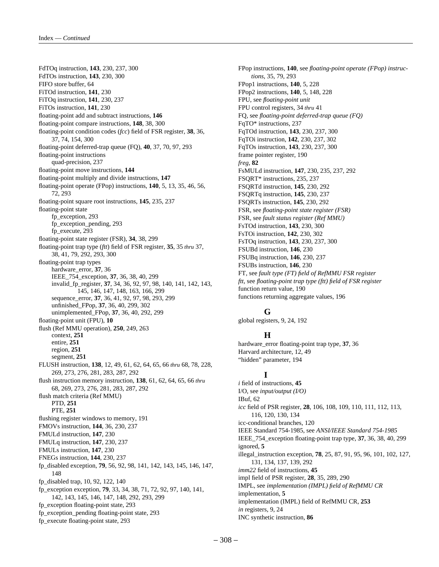FdTOq instruction, **143**, 230, 237, 300 FdTOs instruction, **143**, 230, 300 FIFO store buffer, 64 FiTOd instruction, **141**, 230 FiTOq instruction, **141**, 230, 237 FiTOs instruction, **141**, 230 floating-point add and subtract instructions, **146** floating-point compare instructions, **148**, 38, 300 floating-point condition codes (*fcc*) field of FSR register, **38**, 36, 37, 74, 154, 300 floating-point deferred-trap queue (FQ), **40**, 37, 70, 97, 293 floating-point instructions quad-precision, 237 floating-point move instructions, **144** floating-point multiply and divide instructions, **147** floating-point operate (FPop) instructions, **140**, 5, 13, 35, 46, 56, 72, 293 floating-point square root instructions, **145**, 235, 237 floating-point state fp\_exception, 293 fp\_exception\_pending, 293 fp\_execute, 293 floating-point state register (FSR), **34**, 38, 299 floating-point trap type (*ftt*) field of FSR register, **35**, 35 *thru* 37, 38, 41, 79, 292, 293, 300 floating-point trap types hardware\_error, **37**, 36 IEEE\_754\_exception, **37**, 36, 38, 40, 299 invalid\_fp\_register, **37**, 34, 36, 92, 97, 98, 140, 141, 142, 143, 145, 146, 147, 148, 163, 166, 299 sequence\_error, **37**, 36, 41, 92, 97, 98, 293, 299 unfinished\_FPop, **37**, 36, 40, 299, 302 unimplemented\_FPop, **37**, 36, 40, 292, 299 floating-point unit (FPU), **10** flush (Ref MMU operation), **250**, 249, 263 context, **251** entire, **251** region, **251** segment, **251** FLUSH instruction, **138**, 12, 49, 61, 62, 64, 65, 66 *thru* 68, 78, 228, 269, 273, 276, 281, 283, 287, 292 flush instruction memory instruction, **138**, 61, 62, 64, 65, 66 *thru* 68, 269, 273, 276, 281, 283, 287, 292 flush match criteria (Ref MMU) PTD, **251** PTE, **251** flushing register windows to memory, 191 FMOVs instruction, **144**, 36, 230, 237 FMULd instruction, **147**, 230 FMULq instruction, **147**, 230, 237 FMULs instruction, **147**, 230 FNEGs instruction, **144**, 230, 237 fp\_disabled exception, **79**, 56, 92, 98, 141, 142, 143, 145, 146, 147, 148 fp\_disabled trap, 10, 92, 122, 140 fp\_exception exception, **79**, 33, 34, 38, 71, 72, 92, 97, 140, 141, 142, 143, 145, 146, 147, 148, 292, 293, 299 fp\_exception floating-point state, 293 fp\_exception\_pending floating-point state, 293 fp\_execute floating-point state, 293

FPop instructions, **140**, see *floating-point operate (FPop) instructions*, 35, 79, 293 FPop1 instructions, **140**, 5, 228 FPop2 instructions, **140**, 5, 148, 228 FPU, see *floating-point unit* FPU control registers, 34 *thru* 41 FQ, see *floating-point deferred-trap queue (FQ)* FqTO\* instructions, 237 FqTOd instruction, **143**, 230, 237, 300 FqTOi instruction, **142**, 230, 237, 302 FqTOs instruction, **143**, 230, 237, 300 frame pointer register, 190 *freg*, **82** FsMULd instruction, **147**, 230, 235, 237, 292 FSQRT\* instructions, 235, 237 FSQRTd instruction, **145**, 230, 292 FSQRTq instruction, **145**, 230, 237 FSQRTs instruction, **145**, 230, 292 FSR, see *floating-point state register (FSR)* FSR, see *fault status register (Ref MMU)* FsTOd instruction, **143**, 230, 300 FsTOi instruction, **142**, 230, 302 FsTOq instruction, **143**, 230, 237, 300 FSUBd instruction, **146**, 230 FSUBq instruction, **146**, 230, 237 FSUBs instruction, **146**, 230 FT, see *fault type (FT) field of RefMMU FSR register ftt*, see *floating-point trap type (ftt) field of FSR register* function return value, 190 functions returning aggregate values, 196

#### **G**

global registers, 9, 24, 192

#### **H**

hardware\_error floating-point trap type, **37**, 36 Harvard architecture, 12, 49 "hidden" parameter, 194

#### **I**

*i* field of instructions, **45** I/O, see *input/output (I/O)* IBuf, 62 *icc* field of PSR register, **28**, 106, 108, 109, 110, 111, 112, 113, 116, 120, 130, 134 icc-conditional branches, 120 IEEE Standard 754-1985, see *ANSI/IEEE Standard 754-1985* IEEE\_754\_exception floating-point trap type, **37**, 36, 38, 40, 299 ignored, **5** illegal\_instruction exception, **78**, 25, 87, 91, 95, 96, 101, 102, 127, 131, 134, 137, 139, 292 *imm22* field of instructions, **45** impl field of PSR register, **28**, 35, 289, 290 IMPL, see *implementation (IMPL) field of RefMMU CR* implementation, **5** implementation (IMPL) field of RefMMU CR, **253** *in* registers, 9, 24 INC synthetic instruction, **86**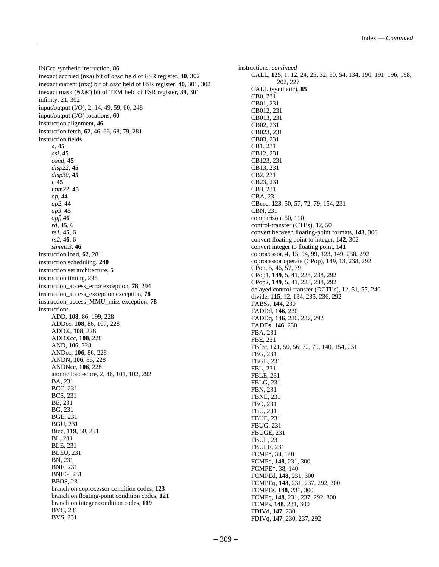INCcc synthetic instruction, **86** inexact accrued (nxa) bit of *aexc* field of FSR register, **40**, 302 inexact current (nxc) bit of *cexc* field of FSR register, **40**, 301, 302 inexact mask (*NXM*) bit of TEM field of FSR register, **39**, 301 infinity, 21, 302 input/output (I/O), 2, 14, 49, 59, 60, 248 input/output (I/O) locations, **60** instruction alignment, **46** instruction fetch, **62**, 46, 66, 68, 79, 281 instruction fields *a*, **45** *asi*, **45** *cond*, **45** *disp22*, **45** *disp30*, **45** *i*, **45** *imm22*, **45** *op*, **44** *op2*, **44** *op3*, **45** *opf*, **46** *rd*, **45**, 6 *rs1*, **45**, 6 *rs2*, **46**, 6 *simm13*, **46** instruction load, **62**, 281 instruction scheduling, **240** instruction set architecture, **5** instruction timing, 295 instruction\_access\_error exception, **78**, 294 instruction\_access\_exception exception, **78** instruction\_access\_MMU\_miss exception, **78** instructions ADD, **108**, 86, 199, 228 ADDcc, **108**, 86, 107, 228 ADDX, **108**, 228 ADDXcc, **108**, 228 AND, **106**, 228 ANDcc, **106**, 86, 228 ANDN, **106**, 86, 228 ANDNcc, **106**, 228 atomic load-store, 2, 46, 101, 102, 292 BA, 231 BCC, 231 BCS, 231 BE, 231 BG, 231 BGE, 231 BGU, 231 Bicc, **119**, 50, 231 BL, 231 BLE, 231 BLEU, 231 BN, 231 BNE, 231 BNEG, 231 BPOS, 231 branch on coprocessor condition codes, **123** branch on floating-point condition codes, **121** branch on integer condition codes, **119** BVC, 231 BVS, 231

instructions, *continued* CALL, **125**, 1, 12, 24, 25, 32, 50, 54, 134, 190, 191, 196, 198, 202, 227 CALL (synthetic), **85** CB0, 231 CB01, 231 CB012, 231 CB013, 231 CB02, 231 CB023, 231 CB03, 231 CB1, 231 CB12, 231 CB123, 231 CB13, 231 CB2, 231 CB23, 231 CB3, 231 CBA, 231 CBccc, **123**, 50, 57, 72, 79, 154, 231 CBN, 231 comparison, 50, 110 control-transfer (CTI's), 12, 50 convert between floating-point formats, **143**, 300 convert floating point to integer, **142**, 302 convert integer to floating point, **141** coprocessor, 4, 13, 94, 99, 123, 149, 238, 292 coprocessor operate (CPop), **149**, 13, 238, 292 CPop, 5, 46, 57, 79 CPop1, **149**, 5, 41, 228, 238, 292 CPop2, **149**, 5, 41, 228, 238, 292 delayed control-transfer (DCTI's), 12, 51, 55, 240 divide, **115**, 12, 134, 235, 236, 292 FABSs, **144**, 230 FADDd, **146**, 230 FADDq, **146**, 230, 237, 292 FADDs, **146**, 230 FBA, 231 FBE, 231 FBfcc, **121**, 50, 56, 72, 79, 140, 154, 231 FBG, 231 FBGE, 231 FBL, 231 FBLE, 231 FBLG, 231 FBN, 231 FBNE, 231 FBO, 231 FBU, 231 FBUE, 231 FBUG, 231 FBUGE, 231 FBUL, 231 FBULE, 231 FCMP\*, 38, 140 FCMPd, **148**, 231, 300 FCMPE\*, 38, 140 FCMPEd, **148**, 231, 300 FCMPEq, **148**, 231, 237, 292, 300 FCMPEs, **148**, 231, 300 FCMPq, **148**, 231, 237, 292, 300 FCMPs, **148**, 231, 300 FDIVd, **147**, 230 FDIVq, **147**, 230, 237, 292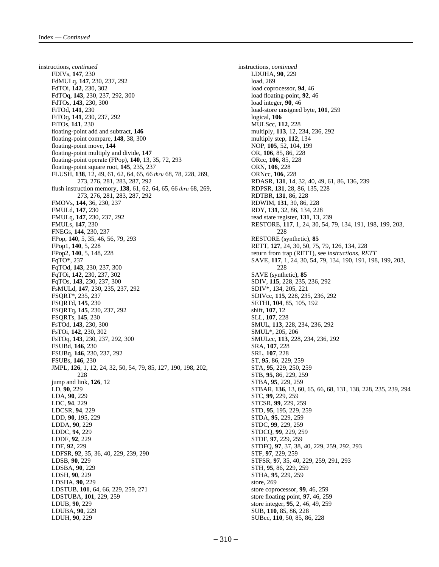instructions, *continued* FDIVs, **147**, 230 FdMULq, **147**, 230, 237, 292 FdTOi, **142**, 230, 302 FdTOq, **143**, 230, 237, 292, 300 FdTOs, **143**, 230, 300 FiTOd, **141**, 230 FiTOq, **141**, 230, 237, 292 FiTOs, **141**, 230 floating-point add and subtract, **146** floating-point compare, **148**, 38, 300 floating-point move, **144** floating-point multiply and divide, **147** floating-point operate (FPop), **140**, 13, 35, 72, 293 floating-point square root, **145**, 235, 237 FLUSH, **138**, 12, 49, 61, 62, 64, 65, 66 *thru* 68, 78, 228, 269, 273, 276, 281, 283, 287, 292 flush instruction memory, **138**, 61, 62, 64, 65, 66 *thru* 68, 269, 273, 276, 281, 283, 287, 292 FMOVs, **144**, 36, 230, 237 FMULd, **147**, 230 FMULq, **147**, 230, 237, 292 FMULs, **147**, 230 FNEGs, **144**, 230, 237 FPop, **140**, 5, 35, 46, 56, 79, 293 FPop1, **140**, 5, 228 FPop2, **140**, 5, 148, 228 FqTO\*, 237 FqTOd, **143**, 230, 237, 300 FqTOi, **142**, 230, 237, 302 FqTOs, **143**, 230, 237, 300 FsMULd, **147**, 230, 235, 237, 292 FSQRT\*, 235, 237 FSQRTd, **145**, 230 FSQRTq, **145**, 230, 237, 292 FSQRTs, **145**, 230 FsTOd, **143**, 230, 300 FsTOi, **142**, 230, 302 FsTOq, **143**, 230, 237, 292, 300 FSUBd, **146**, 230 FSUBq, **146**, 230, 237, 292 FSUBs, **146**, 230 JMPL, **126**, 1, 12, 24, 32, 50, 54, 79, 85, 127, 190, 198, 202, 228 jump and link, **126**, 12 LD, **90**, 229 LDA, **90**, 229 LDC, **94**, 229 LDCSR, **94**, 229 LDD, **90**, 195, 229 LDDA, **90**, 229 LDDC, **94**, 229 LDDF, **92**, 229 LDF, **92**, 229 LDFSR, **92**, 35, 36, 40, 229, 239, 290 LDSB, **90**, 229 LDSBA, **90**, 229 LDSH, **90**, 229 LDSHA, **90**, 229 LDSTUB, **101**, 64, 66, 229, 259, 271 LDSTUBA, **101**, 229, 259 LDUB, **90**, 229 LDUBA, **90**, 229 LDUH, **90**, 229

instructions, *continued* LDUHA, **90**, 229 load, 269 load coprocessor, **94**, 46 load floating-point, **92**, 46 load integer, **90**, 46 load-store unsigned byte, **101**, 259 logical, **106** MULScc, **112**, 228 multiply, **113**, 12, 234, 236, 292 multiply step, **112**, 134 NOP, **105**, 52, 104, 199 OR, **106**, 85, 86, 228 ORcc, **106**, 85, 228 ORN, **106**, 228 ORNcc, **106**, 228 RDASR, **131**, 14, 32, 40, 49, 61, 86, 136, 239 RDPSR, **131**, 28, 86, 135, 228 RDTBR, **131**, 86, 228 RDWIM, **131**, 30, 86, 228 RDY, **131**, 32, 86, 134, 228 read state register, **131**, 13, 239 RESTORE, **117**, 1, 24, 30, 54, 79, 134, 191, 198, 199, 203, 228 RESTORE (synthetic), **85** RETT, **127**, 24, 30, 50, 75, 79, 126, 134, 228 return from trap (RETT), see *instructions, RETT* SAVE, **117**, 1, 24, 30, 54, 79, 134, 190, 191, 198, 199, 203, 228 SAVE (synthetic), **85** SDIV, **115**, 228, 235, 236, 292 SDIV\*, 134, 205, 221 SDIVcc, **115**, 228, 235, 236, 292 SETHI, **104**, 85, 105, 192 shift, **107**, 12 SLL, **107**, 228 SMUL, **113**, 228, 234, 236, 292 SMUL\*, 205, 206 SMULcc, **113**, 228, 234, 236, 292 SRA, **107**, 228 SRL, **107**, 228 ST, **95**, 86, 229, 259 STA, **95**, 229, 250, 259 STB, **95**, 86, 229, 259 STBA, **95**, 229, 259 STBAR, **136**, 13, 60, 65, 66, 68, 131, 138, 228, 235, 239, 294 STC, **99**, 229, 259 STCSR, **99**, 229, 259 STD, **95**, 195, 229, 259 STDA, **95**, 229, 259 STDC, **99**, 229, 259 STDCQ, **99**, 229, 259 STDF, **97**, 229, 259 STDFQ, **97**, 37, 38, 40, 229, 259, 292, 293 STF, **97**, 229, 259 STFSR, **97**, 35, 40, 229, 259, 291, 293 STH, **95**, 86, 229, 259 STHA, **95**, 229, 259 store, 269 store coprocessor, **99**, 46, 259 store floating point, **97**, 46, 259 store integer, **95**, 2, 46, 49, 259 SUB, **110**, 85, 86, 228 SUBcc, **110**, 50, 85, 86, 228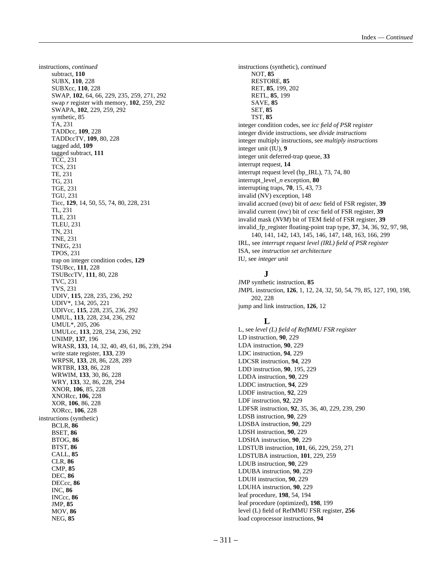instructions, *continued* subtract, **110** SUBX, **110**, 228 SUBXcc, **110**, 228 SWAP, **102**, 64, 66, 229, 235, 259, 271, 292 swap *r* register with memory, **102**, 259, 292 SWAPA, **102**, 229, 259, 292 synthetic, 85 TA, 231 TADDcc, **109**, 228 TADDccTV, **109**, 80, 228 tagged add, **109** tagged subtract, **111** TCC, 231 TCS, 231 TE, 231 TG, 231 TGE, 231 TGU, 231 Ticc, **129**, 14, 50, 55, 74, 80, 228, 231 TL, 231 TLE, 231 TLEU, 231 TN, 231 TNE, 231 TNEG, 231 TPOS, 231 trap on integer condition codes, **129** TSUBcc, **111**, 228 TSUBccTV, **111**, 80, 228 TVC, 231 TVS, 231 UDIV, **115**, 228, 235, 236, 292 UDIV\*, 134, 205, 221 UDIVcc, **115**, 228, 235, 236, 292 UMUL, **113**, 228, 234, 236, 292 UMUL\*, 205, 206 UMULcc, **113**, 228, 234, 236, 292 UNIMP, **137**, 196 WRASR, **133**, 14, 32, 40, 49, 61, 86, 239, 294 write state register, **133**, 239 WRPSR, **133**, 28, 86, 228, 289 WRTBR, **133**, 86, 228 WRWIM, **133**, 30, 86, 228 WRY, **133**, 32, 86, 228, 294 XNOR, **106**, 85, 228 XNORcc, **106**, 228 XOR, **106**, 86, 228 XORcc, **106**, 228 instructions (synthetic) BCLR, **86** BSET, **86** BTOG, **86** BTST, **86** CALL, **85** CLR, **86** CMP, **85** DEC, **86** DECcc, **86** INC, **86** INCcc, **86** JMP, **85** MOV, **86** NEG, **85**

instructions (synthetic), *continued* NOT, **85** RESTORE, **85** RET, **85**, 199, 202 RETL, **85**, 199 SAVE, **85** SET, **85** TST, **85** integer condition codes, see *icc field of PSR register* integer divide instructions, see *divide instructions* integer multiply instructions, see *multiply instructions* integer unit (IU), **9** integer unit deferred-trap queue, **33** interrupt request, **14** interrupt request level (bp\_IRL), 73, 74, 80 interrupt\_level\_*n* exception, **80** interrupting traps, **70**, 15, 43, 73 invalid (NV) exception, 148 invalid accrued (*nva*) bit of *aexc* field of FSR register, **39** invalid current (*nvc*) bit of *cexc* field of FSR register, **39** invalid mask (*NVM*) bit of TEM field of FSR register, **39** invalid\_fp\_register floating-point trap type, **37**, 34, 36, 92, 97, 98, 140, 141, 142, 143, 145, 146, 147, 148, 163, 166, 299 IRL, see *interrupt request level (IRL) field of PSR register* ISA, see *instruction set architecture* IU, see *integer unit*

## **J**

JMP synthetic instruction, **85** JMPL instruction, **126**, 1, 12, 24, 32, 50, 54, 79, 85, 127, 190, 198, 202, 228 jump and link instruction, **126**, 12

#### **L**

L, see *level (L) field of RefMMU FSR register* LD instruction, **90**, 229 LDA instruction, **90**, 229 LDC instruction, **94**, 229 LDCSR instruction, **94**, 229 LDD instruction, **90**, 195, 229 LDDA instruction, **90**, 229 LDDC instruction, **94**, 229 LDDF instruction, **92**, 229 LDF instruction, **92**, 229 LDFSR instruction, **92**, 35, 36, 40, 229, 239, 290 LDSB instruction, **90**, 229 LDSBA instruction, **90**, 229 LDSH instruction, **90**, 229 LDSHA instruction, **90**, 229 LDSTUB instruction, **101**, 66, 229, 259, 271 LDSTUBA instruction, **101**, 229, 259 LDUB instruction, **90**, 229 LDUBA instruction, **90**, 229 LDUH instruction, **90**, 229 LDUHA instruction, **90**, 229 leaf procedure, **198**, 54, 194 leaf procedure (optimized), **198**, 199 level (L) field of RefMMU FSR register, **256** load coprocessor instructions, **94**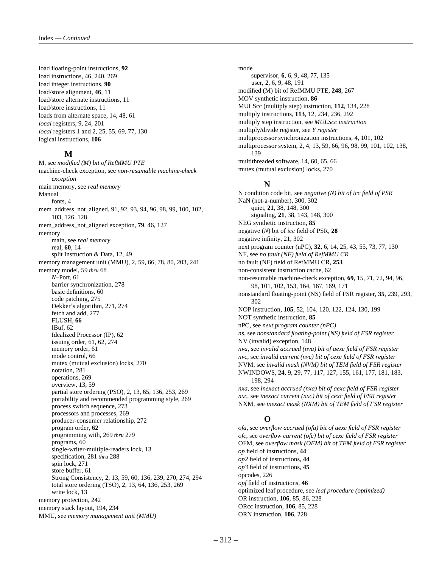load floating-point instructions, **92** load instructions, 46, 240, 269 load integer instructions, **90** load/store alignment, **46**, 11 load/store alternate instructions, 11 load/store instructions, 11 loads from alternate space, 14, 48, 61 *local* registers, 9, 24, 201 *local* registers 1 and 2, 25, 55, 69, 77, 130 logical instructions, **106**

#### **M**

M, see *modified (M) bit of RefMMU PTE* machine-check exception, see *non-resumable machine-check exception* main memory, see *real memory* Manual fonts, 4 mem\_address\_not\_aligned, 91, 92, 93, 94, 96, 98, 99, 100, 102, 103, 126, 128 mem\_address\_not\_aligned exception, **79**, 46, 127 memory main, see *real memory* real, **60**, 14 split Instruction & Data, 12, 49 memory management unit (MMU), 2, 59, 66, 78, 80, 203, 241 memory model, 59 *thru* 68 *N*–Port, 61 barrier synchronization, 278 basic definitions, 60 code patching, 275 Dekker´s algorithm, 271, 274 fetch and add, 277 FLUSH, **66** IBuf, 62 Idealized Processor (IP), 62 issuing order, 61, 62, 274 memory order, 61 mode control, 66 mutex (mutual exclusion) locks, 270 notation, 281 operations, 269 overview, 13, 59 partial store ordering (PSO), 2, 13, 65, 136, 253, 269 portability and recommended programming style, 269 process switch sequence, 273 processors and processes, 269 producer-consumer relationship, 272 program order, **62** programming with, 269 *thru* 279 programs, 60 single-writer-multiple-readers lock, 13 specification, 281 *thru* 288 spin lock, 271 store buffer, 61 Strong Consistency, 2, 13, 59, 60, 136, 239, 270, 274, 294 total store ordering (TSO), 2, 13, 64, 136, 253, 269 write lock, 13 memory protection, 242 memory stack layout, 194, 234 MMU, see *memory management unit (MMU)*

mode supervisor, **6**, 6, 9, 48, 77, 135 user, 2, 6, 9, 48, 191 modified (M) bit of RefMMU PTE, **248**, 267 MOV synthetic instruction, **86** MULScc (multiply step) instruction, **112**, 134, 228 multiply instructions, **113**, 12, 234, 236, 292 multiply step instruction, see *MULScc instruction* multiply/divide register, see *Y register* multiprocessor synchronization instructions, 4, 101, 102 multiprocessor system, 2, 4, 13, 59, 66, 96, 98, 99, 101, 102, 138, 139 multithreaded software, 14, 60, 65, 66 mutex (mutual exclusion) locks, 270

#### **N**

N condition code bit, see *negative (N) bit of icc field of PSR* NaN (not-a-number), 300, 302 quiet, **21**, 38, 148, 300 signaling, **21**, 38, 143, 148, 300 NEG synthetic instruction, **85** negative (*N*) bit of *icc* field of PSR, **28** negative infinity, 21, 302 next program counter (nPC), **32**, 6, 14, 25, 43, 55, 73, 77, 130 NF, see *no fault (NF) field of RefMMU CR* no fault (NF) field of RefMMU CR, **253** non-consistent instruction cache, 62 non-resumable machine-check exception, **69**, 15, 71, 72, 94, 96, 98, 101, 102, 153, 164, 167, 169, 171 nonstandard floating-point (NS) field of FSR register, **35**, 239, 293, 302 NOP instruction, **105**, 52, 104, 120, 122, 124, 130, 199 NOT synthetic instruction, **85** nPC, see *next program counter (nPC) ns*, see *nonstandard floating-point (NS) field of FSR register* NV (invalid) exception, 148 *nva*, see *invalid accrued (nva) bit of aexc field of FSR register nvc*, see *invalid current (nvc) bit of cexc field of FSR register* NVM, see *invalid mask (NVM) bit of TEM field of FSR register* NWINDOWS, **24**, 9, 29, 77, 117, 127, 155, 161, 177, 181, 183, 198, 294 *nxa*, see *inexact accrued (nxa) bit of aexc field of FSR register nxc*, see *inexact current (nxc) bit of cexc field of FSR register* NXM, see *inexact mask (NXM) bit of TEM field of FSR register*

### **O**

*ofa*, see *overflow accrued (ofa) bit of aexc field of FSR register ofc*, see *overflow current (ofc) bit of cexc field of FSR register* OFM, see *overflow mask (OFM) bit of TEM field of FSR register op* field of instructions, **44** *op2* field of instructions, **44** *op3* field of instructions, **45** opcodes, 226 *opf* field of instructions, **46** optimized leaf procedure, see *leaf procedure (optimized)* OR instruction, **106**, 85, 86, 228 ORcc instruction, **106**, 85, 228 ORN instruction, **106**, 228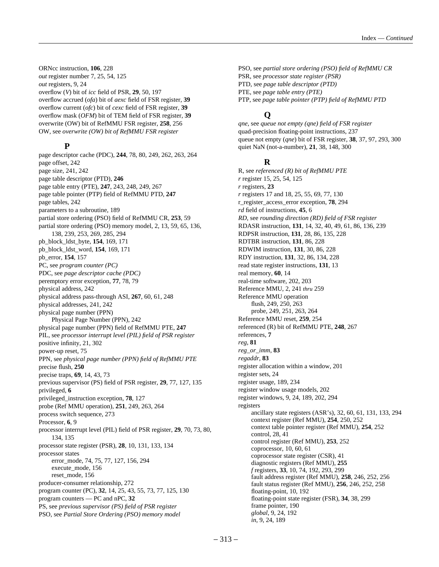ORNcc instruction, **106**, 228 *out* register number 7, 25, 54, 125 *out* registers, 9, 24 overflow (*V*) bit of *icc* field of PSR, **29**, 50, 197 overflow accrued (*ofa*) bit of *aexc* field of FSR register, **39** overflow current (*ofc*) bit of *cexc* field of FSR register, **39** overflow mask (*OFM*) bit of TEM field of FSR register, **39** overwrite (OW) bit of RefMMU FSR register, **258**, 256 OW, see *overwrite (OW) bit of RefMMU FSR register*

## **P**

page descriptor cache (PDC), **244**, 78, 80, 249, 262, 263, 264 page offset, 242 page size, 241, 242 page table descriptor (PTD), **246** page table entry (PTE), **247**, 243, 248, 249, 267 page table pointer (PTP) field of RefMMU PTD, **247** page tables, 242 parameters to a subroutine, 189 partial store ordering (PSO) field of RefMMU CR, **253**, 59 partial store ordering (PSO) memory model, 2, 13, 59, 65, 136, 138, 239, 253, 269, 285, 294 pb\_block\_ldst\_byte, **154**, 169, 171 pb\_block\_ldst\_word, **154**, 169, 171 pb\_error, **154**, 157 PC, see *program counter (PC)* PDC, see *page descriptor cache (PDC)* peremptory error exception, **77**, 78, 79 physical address, 242 physical address pass-through ASI, **267**, 60, 61, 248 physical addresses, 241, 242 physical page number (PPN) Physical Page Number (PPN), 242 physical page number (PPN) field of RefMMU PTE, **247** PIL, see *processor interrupt level (PIL) field of PSR register* positive infinity, 21, 302 power-up reset, 75 PPN, see *physical page number (PPN) field of RefMMU PTE* precise flush, **250** precise traps, **69**, 14, 43, 73 previous supervisor (PS) field of PSR register, **29**, 77, 127, 135 privileged, **6** privileged\_instruction exception, **78**, 127 probe (Ref MMU operation), **251**, 249, 263, 264 process switch sequence, 273 Processor, **6**, 9 processor interrupt level (PIL) field of PSR register, **29**, 70, 73, 80, 134, 135 processor state register (PSR), **28**, 10, 131, 133, 134 processor states error\_mode, 74, 75, 77, 127, 156, 294 execute\_mode, 156 reset\_mode, 156 producer-consumer relationship, 272 program counter (PC), **32**, 14, 25, 43, 55, 73, 77, 125, 130 program counters — PC and nPC, **32** PS, see *previous supervisor (PS) field of PSR register* PSO, see *Partial Store Ordering (PSO) memory model*

PSO, see *partial store ordering (PSO) field of RefMMU CR* PSR, see *processor state register (PSR)* PTD, see *page table descriptor (PTD)* PTE, see *page table entry (PTE)* PTP, see *page table pointer (PTP) field of RefMMU PTD*

# **Q**

*qne*, see *queue not empty (qne) field of FSR register* quad-precision floating-point instructions, 237 queue not empty (*qne*) bit of FSR register, **38**, 37, 97, 293, 300 quiet NaN (not-a-number), **21**, 38, 148, 300

# **R**

R, see *referenced (R) bit of RefMMU PTE r* register 15, 25, 54, 125 *r* registers, **23** *r* registers 17 and 18, 25, 55, 69, 77, 130 r\_register\_access\_error exception, **78**, 294 *rd* field of instructions, **45**, 6 *RD*, see *rounding direction (RD) field of FSR register* RDASR instruction, **131**, 14, 32, 40, 49, 61, 86, 136, 239 RDPSR instruction, **131**, 28, 86, 135, 228 RDTBR instruction, **131**, 86, 228 RDWIM instruction, **131**, 30, 86, 228 RDY instruction, **131**, 32, 86, 134, 228 read state register instructions, **131**, 13 real memory, **60**, 14 real-time software, 202, 203 Reference MMU, 2, 241 *thru* 259 Reference MMU operation flush, 249, 250, 263 probe, 249, 251, 263, 264 Reference MMU reset, **259**, 254 referenced (R) bit of RefMMU PTE, **248**, 267 references, **7** *reg*, **81** *reg\_or\_imm*, **83** *regaddr*, **83** register allocation within a window, 201 register sets, 24 register usage, 189, 234 register window usage models, 202 register windows, 9, 24, 189, 202, 294 registers ancillary state registers (ASR's), 32, 60, 61, 131, 133, 294 context register (Ref MMU), **254**, 250, 252 context table pointer register (Ref MMU), **254**, 252 control, 28, 41 control register (Ref MMU), **253**, 252 coprocessor, 10, 60, 61 coprocessor state register (CSR), 41 diagnostic registers (Ref MMU), **255** *f* registers, **33**, 10, 74, 192, 293, 299 fault address register (Ref MMU), **258**, 246, 252, 256 fault status register (Ref MMU), **256**, 246, 252, 258 floating-point, 10, 192 floating-point state register (FSR), **34**, 38, 299 frame pointer, 190 *global*, 9, 24, 192 *in*, 9, 24, 189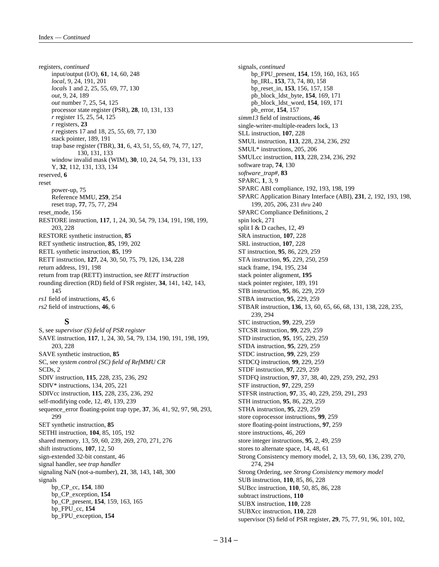registers, *continued* input/output (I/O), **61**, 14, 60, 248 *local*, 9, 24, 191, 201 *local*s 1 and 2, 25, 55, 69, 77, 130 *out*, 9, 24, 189 *out* number 7, 25, 54, 125 processor state register (PSR), **28**, 10, 131, 133 *r* register 15, 25, 54, 125 *r* registers, **23** *r* registers 17 and 18, 25, 55, 69, 77, 130 stack pointer, 189, 191 trap base register (TBR), **31**, 6, 43, 51, 55, 69, 74, 77, 127, 130, 131, 133 window invalid mask (WIM), **30**, 10, 24, 54, 79, 131, 133 Y, **32**, 112, 131, 133, 134 reserved, **6** reset power-up, 75 Reference MMU, **259**, 254 reset trap, **77**, 75, 77, 294 reset\_mode, 156 RESTORE instruction, **117**, 1, 24, 30, 54, 79, 134, 191, 198, 199, 203, 228 RESTORE synthetic instruction, **85** RET synthetic instruction, **85**, 199, 202 RETL synthetic instruction, **85**, 199 RETT instruction, **127**, 24, 30, 50, 75, 79, 126, 134, 228 return address, 191, 198 return from trap (RETT) instruction, see *RETT instruction* rounding direction (RD) field of FSR register, **34**, 141, 142, 143, 145 *rs1* field of instructions, **45**, 6 *rs2* field of instructions, **46**, 6

#### **S**

S, see *supervisor (S) field of PSR register* SAVE instruction, **117**, 1, 24, 30, 54, 79, 134, 190, 191, 198, 199, 203, 228 SAVE synthetic instruction, **85** SC, see *system control (SC) field of RefMMU CR* SCDs, 2 SDIV instruction, **115**, 228, 235, 236, 292 SDIV\* instructions, 134, 205, 221 SDIVcc instruction, **115**, 228, 235, 236, 292 self-modifying code, 12, 49, 139, 239 sequence\_error floating-point trap type, **37**, 36, 41, 92, 97, 98, 293, 299 SET synthetic instruction, **85** SETHI instruction, **104**, 85, 105, 192 shared memory, 13, 59, 60, 239, 269, 270, 271, 276 shift instructions, **107**, 12, 50 sign-extended 32-bit constant, 46 signal handler, see *trap handler* signaling NaN (not-a-number), **21**, 38, 143, 148, 300 signals bp\_CP\_cc, **154**, 180 bp\_CP\_exception, **154** bp\_CP\_present, **154**, 159, 163, 165 bp\_FPU\_cc, **154** bp\_FPU\_exception, **154**

signals, *continued* bp\_FPU\_present, **154**, 159, 160, 163, 165 bp\_IRL, **153**, 73, 74, 80, 158 bp\_reset\_in, **153**, 156, 157, 158 pb\_block\_ldst\_byte, **154**, 169, 171 pb\_block\_ldst\_word, **154**, 169, 171 pb\_error, **154**, 157 *simm13* field of instructions, **46** single-writer-multiple-readers lock, 13 SLL instruction, **107**, 228 SMUL instruction, **113**, 228, 234, 236, 292 SMUL\* instructions, 205, 206 SMULcc instruction, **113**, 228, 234, 236, 292 software trap, **74**, 130 *software\_trap#*, **83** SPARC, **1**, 3, 9 SPARC ABI compliance, 192, 193, 198, 199 SPARC Application Binary Interface (ABI), **231**, 2, 192, 193, 198, 199, 205, 206, 231 *thru* 240 SPARC Compliance Definitions, 2 spin lock, 271 split I & D caches, 12, 49 SRA instruction, **107**, 228 SRL instruction, **107**, 228 ST instruction, **95**, 86, 229, 259 STA instruction, **95**, 229, 250, 259 stack frame, 194, 195, 234 stack pointer alignment, **195** stack pointer register, 189, 191 STB instruction, **95**, 86, 229, 259 STBA instruction, **95**, 229, 259 STBAR instruction, **136**, 13, 60, 65, 66, 68, 131, 138, 228, 235, 239, 294 STC instruction, **99**, 229, 259 STCSR instruction, **99**, 229, 259 STD instruction, **95**, 195, 229, 259 STDA instruction, **95**, 229, 259 STDC instruction, **99**, 229, 259 STDCQ instruction, **99**, 229, 259 STDF instruction, **97**, 229, 259 STDFQ instruction, **97**, 37, 38, 40, 229, 259, 292, 293 STF instruction, **97**, 229, 259 STFSR instruction, **97**, 35, 40, 229, 259, 291, 293 STH instruction, **95**, 86, 229, 259 STHA instruction, **95**, 229, 259 store coprocessor instructions, **99**, 259 store floating-point instructions, **97**, 259 store instructions, 46, 269 store integer instructions, **95**, 2, 49, 259 stores to alternate space, 14, 48, 61 Strong Consistency memory model, 2, 13, 59, 60, 136, 239, 270, 274, 294 Strong Ordering, see *Strong Consistency memory model* SUB instruction, **110**, 85, 86, 228 SUBcc instruction, **110**, 50, 85, 86, 228 subtract instructions, **110** SUBX instruction, **110**, 228 SUBXcc instruction, **110**, 228 supervisor (S) field of PSR register, **29**, 75, 77, 91, 96, 101, 102,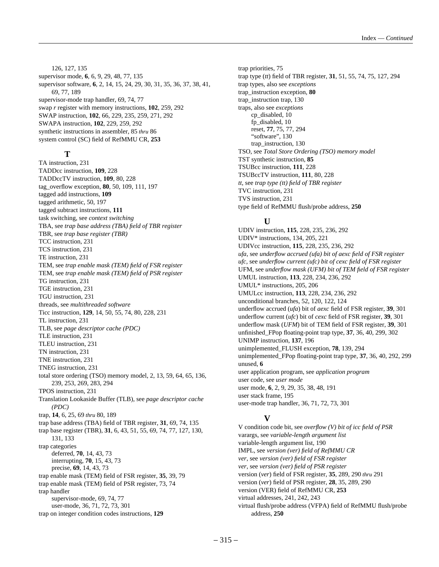126, 127, 135 supervisor mode, **6**, 6, 9, 29, 48, 77, 135 supervisor software, **6**, 2, 14, 15, 24, 29, 30, 31, 35, 36, 37, 38, 41, 69, 77, 189 supervisor-mode trap handler, 69, 74, 77 swap *r* register with memory instructions, **102**, 259, 292 SWAP instruction, **102**, 66, 229, 235, 259, 271, 292 SWAPA instruction, **102**, 229, 259, 292 synthetic instructions in assembler, 85 *thru* 86 system control (SC) field of RefMMU CR, **253**

## **T**

TA instruction, 231 TADDcc instruction, **109**, 228 TADDccTV instruction, **109**, 80, 228 tag\_overflow exception, **80**, 50, 109, 111, 197 tagged add instructions, **109** tagged arithmetic, 50, 197 tagged subtract instructions, **111** task switching, see *context switching* TBA, see *trap base address (TBA) field of TBR register* TBR, see *trap base register (TBR)* TCC instruction, 231 TCS instruction, 231 TE instruction, 231 TEM, see *trap enable mask (TEM) field of FSR register* TEM, see *trap enable mask (TEM) field of PSR register* TG instruction, 231 TGE instruction, 231 TGU instruction, 231 threads, see *multithreaded software* Ticc instruction, **129**, 14, 50, 55, 74, 80, 228, 231 TL instruction, 231 TLB, see *page descriptor cache (PDC)* TLE instruction, 231 TLEU instruction, 231 TN instruction, 231 TNE instruction, 231 TNEG instruction, 231 total store ordering (TSO) memory model, 2, 13, 59, 64, 65, 136, 239, 253, 269, 283, 294 TPOS instruction, 231 Translation Lookaside Buffer (TLB), see *page descriptor cache (PDC)* trap, **14**, 6, 25, 69 *thru* 80, 189 trap base address (TBA) field of TBR register, **31**, 69, 74, 135 trap base register (TBR), **31**, 6, 43, 51, 55, 69, 74, 77, 127, 130, 131, 133 trap categories deferred, **70**, 14, 43, 73 interrupting, **70**, 15, 43, 73 precise, **69**, 14, 43, 73 trap enable mask (TEM) field of FSR register, **35**, 39, 79 trap enable mask (TEM) field of PSR register, 73, 74 trap handler supervisor-mode, 69, 74, 77 user-mode, 36, 71, 72, 73, 301 trap on integer condition codes instructions, **129**

trap priorities, 75 trap type (*tt*) field of TBR register, **31**, 51, 55, 74, 75, 127, 294 trap types, also see *exceptions* trap\_instruction exception, **80** trap\_instruction trap, 130 traps, also see *exceptions* cp\_disabled, 10 fp\_disabled, 10 reset, **77**, 75, 77, 294 "software", 130 trap\_instruction, 130 TSO, see *Total Store Ordering (TSO) memory model* TST synthetic instruction, **85** TSUBcc instruction, **111**, 228 TSUBccTV instruction, **111**, 80, 228 *tt*, see *trap type (tt) field of TBR register* TVC instruction, 231 TVS instruction, 231 type field of RefMMU flush/probe address, **250**

## $\mathbf{U}$

UDIV instruction, **115**, 228, 235, 236, 292 UDIV\* instructions, 134, 205, 221 UDIVcc instruction, **115**, 228, 235, 236, 292 *ufa*, see *underflow accrued (ufa) bit of aexc field of FSR register ufc*, see *underflow current (ufc) bit of cexc field of FSR register* UFM, see *underflow mask (UFM) bit of TEM field of FSR register* UMUL instruction, **113**, 228, 234, 236, 292 UMUL\* instructions, 205, 206 UMULcc instruction, **113**, 228, 234, 236, 292 unconditional branches, 52, 120, 122, 124 underflow accrued (*ufa*) bit of *aexc* field of FSR register, **39**, 301 underflow current (*ufc*) bit of *cexc* field of FSR register, **39**, 301 underflow mask (*UFM*) bit of TEM field of FSR register, **39**, 301 unfinished\_FPop floating-point trap type, **37**, 36, 40, 299, 302 UNIMP instruction, **137**, 196 unimplemented\_FLUSH exception, **78**, 139, 294 unimplemented\_FPop floating-point trap type, **37**, 36, 40, 292, 299 unused, **6** user application program, see *application program* user code, see *user mode* user mode, **6**, 2, 9, 29, 35, 38, 48, 191 user stack frame, 195 user-mode trap handler, 36, 71, 72, 73, 301

# **V**

V condition code bit, see *overflow (V) bit of icc field of PSR* varargs, see *variable-length argument list* variable-length argument list, 190 IMPL, see *version (ver) field of RefMMU CR ver*, see *version (ver) field of FSR register ver*, see *version (ver) field of PSR register* version (*ver*) field of FSR register, **35**, 289, 290 *thru* 291 version (*ver*) field of PSR register, **28**, 35, 289, 290 version (VER) field of RefMMU CR, **253** virtual addresses, 241, 242, 243 virtual flush/probe address (VFPA) field of RefMMU flush/probe address, **250**